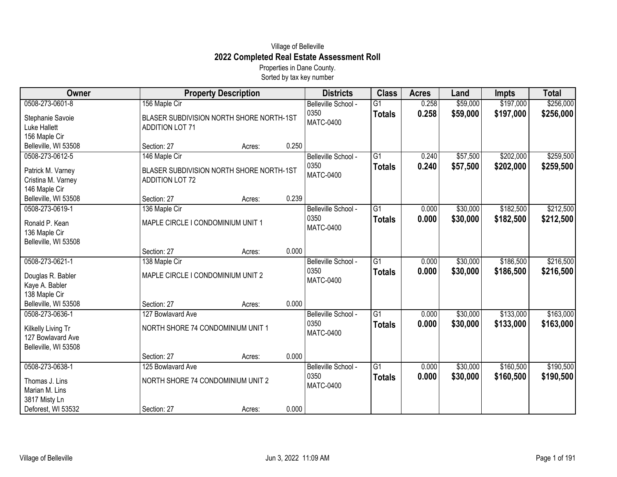## Village of Belleville **2022 Completed Real Estate Assessment Roll**

Properties in Dane County. Sorted by tax key number

| Owner                                                                              |                                                                    | <b>Property Description</b>              |       | <b>Districts</b>                                | <b>Class</b>                     | <b>Acres</b>   | Land                 | <b>Impts</b>           | <b>Total</b>           |
|------------------------------------------------------------------------------------|--------------------------------------------------------------------|------------------------------------------|-------|-------------------------------------------------|----------------------------------|----------------|----------------------|------------------------|------------------------|
| 0508-273-0601-8                                                                    | 156 Maple Cir                                                      |                                          |       | Belleville School -                             | $\overline{G1}$                  | 0.258          | \$59,000             | \$197,000              | \$256,000              |
| Stephanie Savoie<br><b>Luke Hallett</b>                                            | <b>ADDITION LOT 71</b>                                             | BLASER SUBDIVISION NORTH SHORE NORTH-1ST |       | 0350<br><b>MATC-0400</b>                        | <b>Totals</b>                    | 0.258          | \$59,000             | \$197,000              | \$256,000              |
| 156 Maple Cir<br>Belleville, WI 53508                                              | Section: 27                                                        | Acres:                                   | 0.250 |                                                 |                                  |                |                      |                        |                        |
| 0508-273-0612-5                                                                    | 146 Maple Cir                                                      |                                          |       | Belleville School -                             | $\overline{G1}$                  | 0.240          | \$57,500             | \$202,000              | \$259,500              |
| Patrick M. Varney<br>Cristina M. Varney<br>146 Maple Cir                           | BLASER SUBDIVISION NORTH SHORE NORTH-1ST<br><b>ADDITION LOT 72</b> |                                          |       | 0350<br><b>MATC-0400</b>                        | <b>Totals</b>                    | 0.240          | \$57,500             | \$202,000              | \$259,500              |
| Belleville, WI 53508                                                               | Section: 27                                                        | Acres:                                   | 0.239 |                                                 |                                  |                |                      |                        |                        |
| 0508-273-0619-1<br>Ronald P. Kean<br>136 Maple Cir<br>Belleville, WI 53508         | 136 Maple Cir<br>MAPLE CIRCLE I CONDOMINIUM UNIT 1                 |                                          |       | Belleville School -<br>0350<br><b>MATC-0400</b> | $\overline{G1}$<br><b>Totals</b> | 0.000<br>0.000 | \$30,000<br>\$30,000 | \$182,500<br>\$182,500 | \$212,500<br>\$212,500 |
|                                                                                    | Section: 27                                                        | Acres:                                   | 0.000 |                                                 |                                  |                |                      |                        |                        |
| 0508-273-0621-1<br>Douglas R. Babler<br>Kaye A. Babler<br>138 Maple Cir            | 138 Maple Cir<br>MAPLE CIRCLE I CONDOMINIUM UNIT 2                 |                                          |       | Belleville School -<br>0350<br><b>MATC-0400</b> | $\overline{G1}$<br><b>Totals</b> | 0.000<br>0.000 | \$30,000<br>\$30,000 | \$186,500<br>\$186,500 | \$216,500<br>\$216,500 |
| Belleville, WI 53508                                                               | Section: 27                                                        | Acres:                                   | 0.000 |                                                 |                                  |                |                      |                        |                        |
| 0508-273-0636-1<br>Kilkelly Living Tr<br>127 Bowlavard Ave<br>Belleville, WI 53508 | 127 Bowlavard Ave<br>NORTH SHORE 74 CONDOMINIUM UNIT 1             |                                          |       | Belleville School -<br>0350<br><b>MATC-0400</b> | $\overline{G1}$<br><b>Totals</b> | 0.000<br>0.000 | \$30,000<br>\$30,000 | \$133,000<br>\$133,000 | \$163,000<br>\$163,000 |
|                                                                                    | Section: 27                                                        | Acres:                                   | 0.000 |                                                 |                                  |                |                      |                        |                        |
| 0508-273-0638-1<br>Thomas J. Lins<br>Marian M. Lins<br>3817 Misty Ln               | 125 Bowlavard Ave<br>NORTH SHORE 74 CONDOMINIUM UNIT 2             |                                          |       | Belleville School -<br>0350<br><b>MATC-0400</b> | $\overline{G1}$<br><b>Totals</b> | 0.000<br>0.000 | \$30,000<br>\$30,000 | \$160,500<br>\$160,500 | \$190,500<br>\$190,500 |
| Deforest, WI 53532                                                                 | Section: 27                                                        | Acres:                                   | 0.000 |                                                 |                                  |                |                      |                        |                        |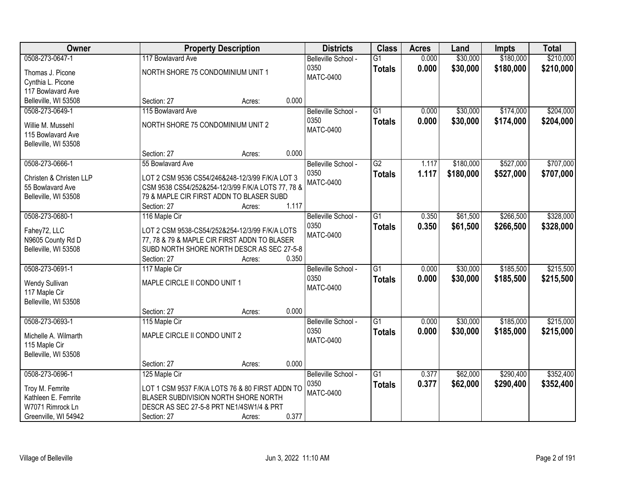| <b>Owner</b>            |                                                   | <b>Property Description</b>                     |       | <b>Districts</b>    | <b>Class</b>    | <b>Acres</b> | Land      | <b>Impts</b> | <b>Total</b> |
|-------------------------|---------------------------------------------------|-------------------------------------------------|-------|---------------------|-----------------|--------------|-----------|--------------|--------------|
| 0508-273-0647-1         | 117 Bowlavard Ave                                 |                                                 |       | Belleville School - | $\overline{G1}$ | 0.000        | \$30,000  | \$180,000    | \$210,000    |
| Thomas J. Picone        | NORTH SHORE 75 CONDOMINIUM UNIT 1                 |                                                 |       | 0350                | <b>Totals</b>   | 0.000        | \$30,000  | \$180,000    | \$210,000    |
| Cynthia L. Picone       |                                                   |                                                 |       | <b>MATC-0400</b>    |                 |              |           |              |              |
| 117 Bowlavard Ave       |                                                   |                                                 |       |                     |                 |              |           |              |              |
| Belleville, WI 53508    | Section: 27                                       | Acres:                                          | 0.000 |                     |                 |              |           |              |              |
| 0508-273-0649-1         | 115 Bowlavard Ave                                 |                                                 |       | Belleville School - | $\overline{G1}$ | 0.000        | \$30,000  | \$174,000    | \$204,000    |
|                         |                                                   |                                                 |       | 0350                | <b>Totals</b>   | 0.000        | \$30,000  | \$174,000    | \$204,000    |
| Willie M. Mussehl       | NORTH SHORE 75 CONDOMINIUM UNIT 2                 |                                                 |       | <b>MATC-0400</b>    |                 |              |           |              |              |
| 115 Bowlavard Ave       |                                                   |                                                 |       |                     |                 |              |           |              |              |
| Belleville, WI 53508    | Section: 27                                       | Acres:                                          | 0.000 |                     |                 |              |           |              |              |
| 0508-273-0666-1         | 55 Bowlavard Ave                                  |                                                 |       | Belleville School - | $\overline{G2}$ | 1.117        | \$180,000 | \$527,000    | \$707,000    |
|                         |                                                   |                                                 |       | 0350                | <b>Totals</b>   | 1.117        | \$180,000 | \$527,000    | \$707,000    |
| Christen & Christen LLP | LOT 2 CSM 9536 CS54/246&248-12/3/99 F/K/A LOT 3   |                                                 |       | <b>MATC-0400</b>    |                 |              |           |              |              |
| 55 Bowlavard Ave        | CSM 9538 CS54/252&254-12/3/99 F/K/A LOTS 77, 78 & |                                                 |       |                     |                 |              |           |              |              |
| Belleville, WI 53508    | 79 & MAPLE CIR FIRST ADDN TO BLASER SUBD          |                                                 |       |                     |                 |              |           |              |              |
|                         | Section: 27                                       | Acres:                                          | 1.117 |                     |                 |              |           |              |              |
| 0508-273-0680-1         | 116 Maple Cir                                     |                                                 |       | Belleville School - | $\overline{G1}$ | 0.350        | \$61,500  | \$266,500    | \$328,000    |
| Fahey72, LLC            | LOT 2 CSM 9538-CS54/252&254-12/3/99 F/K/A LOTS    |                                                 |       | 0350                | <b>Totals</b>   | 0.350        | \$61,500  | \$266,500    | \$328,000    |
| N9605 County Rd D       | 77, 78 & 79 & MAPLE CIR FIRST ADDN TO BLASER      |                                                 |       | <b>MATC-0400</b>    |                 |              |           |              |              |
| Belleville, WI 53508    | SUBD NORTH SHORE NORTH DESCR AS SEC 27-5-8        |                                                 |       |                     |                 |              |           |              |              |
|                         | Section: 27                                       | Acres:                                          | 0.350 |                     |                 |              |           |              |              |
| 0508-273-0691-1         | 117 Maple Cir                                     |                                                 |       | Belleville School - | $\overline{G1}$ | 0.000        | \$30,000  | \$185,500    | \$215,500    |
| Wendy Sullivan          | MAPLE CIRCLE II CONDO UNIT 1                      |                                                 |       | 0350                | <b>Totals</b>   | 0.000        | \$30,000  | \$185,500    | \$215,500    |
| 117 Maple Cir           |                                                   |                                                 |       | <b>MATC-0400</b>    |                 |              |           |              |              |
| Belleville, WI 53508    |                                                   |                                                 |       |                     |                 |              |           |              |              |
|                         | Section: 27                                       | Acres:                                          | 0.000 |                     |                 |              |           |              |              |
| 0508-273-0693-1         | 115 Maple Cir                                     |                                                 |       | Belleville School - | $\overline{G1}$ | 0.000        | \$30,000  | \$185,000    | \$215,000    |
|                         |                                                   |                                                 |       | 0350                | <b>Totals</b>   | 0.000        | \$30,000  | \$185,000    | \$215,000    |
| Michelle A. Wilmarth    | MAPLE CIRCLE II CONDO UNIT 2                      |                                                 |       | <b>MATC-0400</b>    |                 |              |           |              |              |
| 115 Maple Cir           |                                                   |                                                 |       |                     |                 |              |           |              |              |
| Belleville, WI 53508    | Section: 27                                       | Acres:                                          | 0.000 |                     |                 |              |           |              |              |
| 0508-273-0696-1         | 125 Maple Cir                                     |                                                 |       | Belleville School - | $\overline{G1}$ | 0.377        | \$62,000  | \$290,400    | \$352,400    |
|                         |                                                   |                                                 |       | 0350                | <b>Totals</b>   | 0.377        | \$62,000  | \$290,400    | \$352,400    |
| Troy M. Femrite         |                                                   | LOT 1 CSM 9537 F/K/A LOTS 76 & 80 FIRST ADDN TO |       | <b>MATC-0400</b>    |                 |              |           |              |              |
| Kathleen E. Femrite     | BLASER SUBDIVISION NORTH SHORE NORTH              |                                                 |       |                     |                 |              |           |              |              |
| W7071 Rimrock Ln        | DESCR AS SEC 27-5-8 PRT NE1/4SW1/4 & PRT          |                                                 |       |                     |                 |              |           |              |              |
| Greenville, WI 54942    | Section: 27                                       | Acres:                                          | 0.377 |                     |                 |              |           |              |              |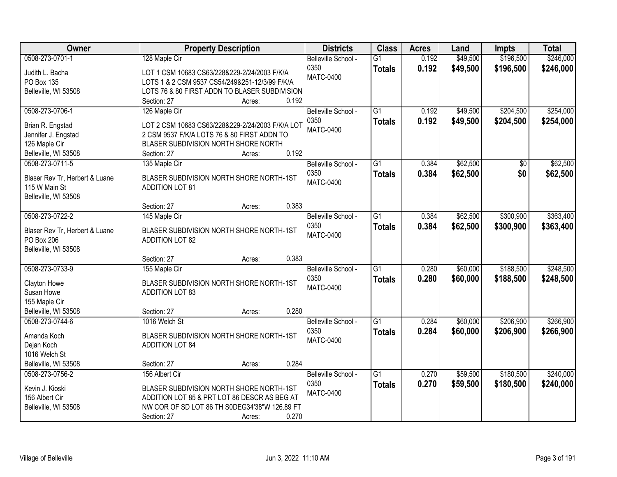| Owner                          | <b>Property Description</b>                      | <b>Districts</b>            | <b>Class</b>    | <b>Acres</b> | Land     | <b>Impts</b> | <b>Total</b> |
|--------------------------------|--------------------------------------------------|-----------------------------|-----------------|--------------|----------|--------------|--------------|
| 0508-273-0701-1                | 128 Maple Cir                                    | Belleville School -         | $\overline{G1}$ | 0.192        | \$49,500 | \$196,500    | \$246,000    |
| Judith L. Bacha                | LOT 1 CSM 10683 CS63/228&229-2/24/2003 F/K/A     | 0350                        | <b>Totals</b>   | 0.192        | \$49,500 | \$196,500    | \$246,000    |
| PO Box 135                     | LOTS 1 & 2 CSM 9537 CS54/249&251-12/3/99 F/K/A   | <b>MATC-0400</b>            |                 |              |          |              |              |
| Belleville, WI 53508           | LOTS 76 & 80 FIRST ADDN TO BLASER SUBDIVISION    |                             |                 |              |          |              |              |
|                                | 0.192<br>Section: 27<br>Acres:                   |                             |                 |              |          |              |              |
| 0508-273-0706-1                | 126 Maple Cir                                    | Belleville School -         | $\overline{G1}$ | 0.192        | \$49,500 | \$204,500    | \$254,000    |
|                                |                                                  | 0350                        | <b>Totals</b>   | 0.192        | \$49,500 | \$204,500    | \$254,000    |
| Brian R. Engstad               | LOT 2 CSM 10683 CS63/228&229-2/24/2003 F/K/A LOT | <b>MATC-0400</b>            |                 |              |          |              |              |
| Jennifer J. Engstad            | 2 CSM 9537 F/K/A LOTS 76 & 80 FIRST ADDN TO      |                             |                 |              |          |              |              |
| 126 Maple Cir                  | BLASER SUBDIVISION NORTH SHORE NORTH             |                             |                 |              |          |              |              |
| Belleville, WI 53508           | 0.192<br>Section: 27<br>Acres:                   |                             |                 |              |          |              |              |
| 0508-273-0711-5                | 135 Maple Cir                                    | Belleville School -         | G1              | 0.384        | \$62,500 | \$0          | \$62,500     |
| Blaser Rev Tr, Herbert & Luane | BLASER SUBDIVISION NORTH SHORE NORTH-1ST         | 0350                        | <b>Totals</b>   | 0.384        | \$62,500 | \$0          | \$62,500     |
| 115 W Main St                  | <b>ADDITION LOT 81</b>                           | <b>MATC-0400</b>            |                 |              |          |              |              |
| Belleville, WI 53508           |                                                  |                             |                 |              |          |              |              |
|                                | 0.383<br>Section: 27<br>Acres:                   |                             |                 |              |          |              |              |
| 0508-273-0722-2                | 145 Maple Cir                                    | Belleville School -         | $\overline{G1}$ | 0.384        | \$62,500 | \$300,900    | \$363,400    |
| Blaser Rev Tr, Herbert & Luane | BLASER SUBDIVISION NORTH SHORE NORTH-1ST         | 0350                        | <b>Totals</b>   | 0.384        | \$62,500 | \$300,900    | \$363,400    |
| PO Box 206                     | <b>ADDITION LOT 82</b>                           | <b>MATC-0400</b>            |                 |              |          |              |              |
| Belleville, WI 53508           |                                                  |                             |                 |              |          |              |              |
|                                | 0.383<br>Section: 27<br>Acres:                   |                             |                 |              |          |              |              |
| 0508-273-0733-9                | 155 Maple Cir                                    |                             | $\overline{G1}$ | 0.280        | \$60,000 | \$188,500    | \$248,500    |
|                                |                                                  | Belleville School -<br>0350 |                 |              |          |              |              |
| Clayton Howe                   | BLASER SUBDIVISION NORTH SHORE NORTH-1ST         | <b>MATC-0400</b>            | <b>Totals</b>   | 0.280        | \$60,000 | \$188,500    | \$248,500    |
| Susan Howe                     | <b>ADDITION LOT 83</b>                           |                             |                 |              |          |              |              |
| 155 Maple Cir                  |                                                  |                             |                 |              |          |              |              |
| Belleville, WI 53508           | 0.280<br>Section: 27<br>Acres:                   |                             |                 |              |          |              |              |
| 0508-273-0744-6                | 1016 Welch St                                    | Belleville School -         | $\overline{G1}$ | 0.284        | \$60,000 | \$206,900    | \$266,900    |
| Amanda Koch                    | BLASER SUBDIVISION NORTH SHORE NORTH-1ST         | 0350                        | <b>Totals</b>   | 0.284        | \$60,000 | \$206,900    | \$266,900    |
| Dejan Koch                     | <b>ADDITION LOT 84</b>                           | <b>MATC-0400</b>            |                 |              |          |              |              |
| 1016 Welch St                  |                                                  |                             |                 |              |          |              |              |
| Belleville, WI 53508           | 0.284<br>Section: 27<br>Acres:                   |                             |                 |              |          |              |              |
| 0508-273-0756-2                | 156 Albert Cir                                   | Belleville School -         | $\overline{G1}$ | 0.270        | \$59,500 | \$180,500    | \$240,000    |
|                                |                                                  | 0350                        |                 | 0.270        | \$59,500 | \$180,500    | \$240,000    |
| Kevin J. Kioski                | BLASER SUBDIVISION NORTH SHORE NORTH-1ST         | <b>MATC-0400</b>            | <b>Totals</b>   |              |          |              |              |
| 156 Albert Cir                 | ADDITION LOT 85 & PRT LOT 86 DESCR AS BEG AT     |                             |                 |              |          |              |              |
| Belleville, WI 53508           | NW COR OF SD LOT 86 TH S0DEG34'38"W 126.89 FT    |                             |                 |              |          |              |              |
|                                | 0.270<br>Section: 27<br>Acres:                   |                             |                 |              |          |              |              |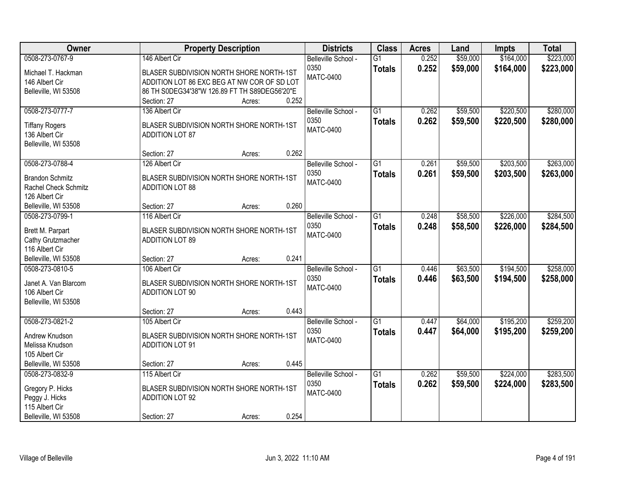| Owner                                                            | <b>Property Description</b>                                                             | <b>Districts</b>         | <b>Class</b>    | <b>Acres</b> | Land     | <b>Impts</b> | <b>Total</b> |
|------------------------------------------------------------------|-----------------------------------------------------------------------------------------|--------------------------|-----------------|--------------|----------|--------------|--------------|
| 0508-273-0767-9                                                  | 146 Albert Cir                                                                          | Belleville School -      | $\overline{G1}$ | 0.252        | \$59,000 | \$164,000    | \$223,000    |
| Michael T. Hackman<br>146 Albert Cir                             | BLASER SUBDIVISION NORTH SHORE NORTH-1ST<br>ADDITION LOT 86 EXC BEG AT NW COR OF SD LOT | 0350<br><b>MATC-0400</b> | <b>Totals</b>   | 0.252        | \$59,000 | \$164,000    | \$223,000    |
| Belleville, WI 53508                                             | 86 TH S0DEG34'38"W 126.89 FT TH S89DEG56'20"E<br>0.252<br>Section: 27<br>Acres:         |                          |                 |              |          |              |              |
| 0508-273-0777-7                                                  | 136 Albert Cir                                                                          | Belleville School -      | $\overline{G1}$ | 0.262        | \$59,500 | \$220,500    | \$280,000    |
| <b>Tiffany Rogers</b><br>136 Albert Cir<br>Belleville, WI 53508  | BLASER SUBDIVISION NORTH SHORE NORTH-1ST<br><b>ADDITION LOT 87</b>                      | 0350<br><b>MATC-0400</b> | <b>Totals</b>   | 0.262        | \$59,500 | \$220,500    | \$280,000    |
|                                                                  | 0.262<br>Section: 27<br>Acres:                                                          |                          |                 |              |          |              |              |
| 0508-273-0788-4                                                  | 126 Albert Cir                                                                          | Belleville School -      | G1              | 0.261        | \$59,500 | \$203,500    | \$263,000    |
| <b>Brandon Schmitz</b><br>Rachel Check Schmitz<br>126 Albert Cir | BLASER SUBDIVISION NORTH SHORE NORTH-1ST<br><b>ADDITION LOT 88</b>                      | 0350<br><b>MATC-0400</b> | <b>Totals</b>   | 0.261        | \$59,500 | \$203,500    | \$263,000    |
| Belleville, WI 53508                                             | 0.260<br>Section: 27<br>Acres:                                                          |                          |                 |              |          |              |              |
| 0508-273-0799-1                                                  | 116 Albert Cir                                                                          | Belleville School -      | G1              | 0.248        | \$58,500 | \$226,000    | \$284,500    |
| Brett M. Parpart<br>Cathy Grutzmacher<br>116 Albert Cir          | BLASER SUBDIVISION NORTH SHORE NORTH-1ST<br><b>ADDITION LOT 89</b>                      | 0350<br><b>MATC-0400</b> | <b>Totals</b>   | 0.248        | \$58,500 | \$226,000    | \$284,500    |
| Belleville, WI 53508                                             | 0.241<br>Section: 27<br>Acres:                                                          |                          |                 |              |          |              |              |
| 0508-273-0810-5                                                  | 106 Albert Cir                                                                          | Belleville School -      | $\overline{G1}$ | 0.446        | \$63,500 | \$194,500    | \$258,000    |
| Janet A. Van Blarcom<br>106 Albert Cir<br>Belleville, WI 53508   | BLASER SUBDIVISION NORTH SHORE NORTH-1ST<br><b>ADDITION LOT 90</b>                      | 0350<br><b>MATC-0400</b> | <b>Totals</b>   | 0.446        | \$63,500 | \$194,500    | \$258,000    |
|                                                                  | 0.443<br>Section: 27<br>Acres:                                                          |                          |                 |              |          |              |              |
| 0508-273-0821-2                                                  | 105 Albert Cir                                                                          | Belleville School -      | $\overline{G1}$ | 0.447        | \$64,000 | \$195,200    | \$259,200    |
| Andrew Knudson<br>Melissa Knudson<br>105 Albert Cir              | BLASER SUBDIVISION NORTH SHORE NORTH-1ST<br><b>ADDITION LOT 91</b>                      | 0350<br><b>MATC-0400</b> | <b>Totals</b>   | 0.447        | \$64,000 | \$195,200    | \$259,200    |
| Belleville, WI 53508                                             | 0.445<br>Section: 27<br>Acres:                                                          |                          |                 |              |          |              |              |
| 0508-273-0832-9                                                  | 115 Albert Cir                                                                          | Belleville School -      | $\overline{G1}$ | 0.262        | \$59,500 | \$224,000    | \$283,500    |
| Gregory P. Hicks<br>Peggy J. Hicks                               | BLASER SUBDIVISION NORTH SHORE NORTH-1ST<br><b>ADDITION LOT 92</b>                      | 0350<br><b>MATC-0400</b> | <b>Totals</b>   | 0.262        | \$59,500 | \$224,000    | \$283,500    |
| 115 Albert Cir<br>Belleville, WI 53508                           | 0.254<br>Section: 27<br>Acres:                                                          |                          |                 |              |          |              |              |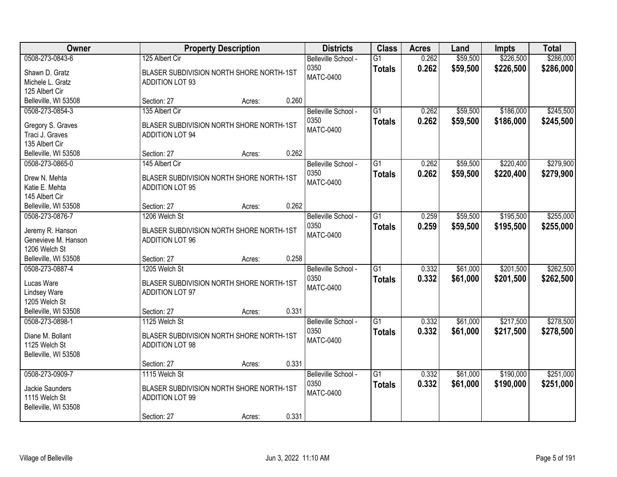| Owner                                                                       |                                                                                                    | <b>Property Description</b> |       | <b>Districts</b>                                | <b>Class</b>                     | <b>Acres</b>   | Land                 | <b>Impts</b>           | <b>Total</b>           |
|-----------------------------------------------------------------------------|----------------------------------------------------------------------------------------------------|-----------------------------|-------|-------------------------------------------------|----------------------------------|----------------|----------------------|------------------------|------------------------|
| 0508-273-0843-6<br>Shawn D. Gratz<br>Michele L. Gratz                       | 125 Albert Cir<br>BLASER SUBDIVISION NORTH SHORE NORTH-1ST<br><b>ADDITION LOT 93</b>               |                             |       | Belleville School -<br>0350<br>MATC-0400        | $\overline{G1}$<br><b>Totals</b> | 0.262<br>0.262 | \$59,500<br>\$59,500 | \$226,500<br>\$226,500 | \$286,000<br>\$286,000 |
| 125 Albert Cir<br>Belleville, WI 53508                                      | Section: 27                                                                                        | Acres:                      | 0.260 |                                                 |                                  |                |                      |                        |                        |
| 0508-273-0854-3<br>Gregory S. Graves<br>Traci J. Graves<br>135 Albert Cir   | 135 Albert Cir<br>BLASER SUBDIVISION NORTH SHORE NORTH-1ST<br><b>ADDITION LOT 94</b>               |                             |       | Belleville School -<br>0350<br><b>MATC-0400</b> | $\overline{G1}$<br><b>Totals</b> | 0.262<br>0.262 | \$59,500<br>\$59,500 | \$186,000<br>\$186,000 | \$245,500<br>\$245,500 |
| Belleville, WI 53508                                                        | Section: 27                                                                                        | Acres:                      | 0.262 |                                                 |                                  |                |                      |                        |                        |
| 0508-273-0865-0<br>Drew N. Mehta<br>Katie E. Mehta<br>145 Albert Cir        | 145 Albert Cir<br>BLASER SUBDIVISION NORTH SHORE NORTH-1ST<br><b>ADDITION LOT 95</b>               |                             |       | Belleville School -<br>0350<br><b>MATC-0400</b> | $\overline{G1}$<br><b>Totals</b> | 0.262<br>0.262 | \$59,500<br>\$59,500 | \$220,400<br>\$220,400 | \$279,900<br>\$279,900 |
| Belleville, WI 53508                                                        | Section: 27                                                                                        | Acres:                      | 0.262 |                                                 |                                  |                |                      |                        |                        |
| 0508-273-0876-7<br>Jeremy R. Hanson<br>Genevieve M. Hanson<br>1206 Welch St | 1206 Welch St<br>BLASER SUBDIVISION NORTH SHORE NORTH-1ST<br><b>ADDITION LOT 96</b>                |                             |       | Belleville School -<br>0350<br>MATC-0400        | $\overline{G1}$<br><b>Totals</b> | 0.259<br>0.259 | \$59,500<br>\$59,500 | \$195,500<br>\$195,500 | \$255,000<br>\$255,000 |
| Belleville, WI 53508                                                        | Section: 27                                                                                        | Acres:                      | 0.258 |                                                 |                                  |                |                      |                        |                        |
| 0508-273-0887-4<br>Lucas Ware<br><b>Lindsey Ware</b><br>1205 Welch St       | 1205 Welch St<br>BLASER SUBDIVISION NORTH SHORE NORTH-1ST<br><b>ADDITION LOT 97</b>                |                             |       | Belleville School -<br>0350<br><b>MATC-0400</b> | $\overline{G1}$<br><b>Totals</b> | 0.332<br>0.332 | \$61,000<br>\$61,000 | \$201,500<br>\$201,500 | \$262,500<br>\$262,500 |
| Belleville, WI 53508<br>0508-273-0898-1                                     | Section: 27<br>1125 Welch St                                                                       | Acres:                      | 0.331 | Belleville School -                             | $\overline{G1}$                  | 0.332          | \$61,000             | \$217,500              | \$278,500              |
| Diane M. Bollant<br>1125 Welch St<br>Belleville, WI 53508                   | BLASER SUBDIVISION NORTH SHORE NORTH-1ST<br><b>ADDITION LOT 98</b>                                 |                             |       | 0350<br>MATC-0400                               | <b>Totals</b>                    | 0.332          | \$61,000             | \$217,500              | \$278,500              |
|                                                                             | Section: 27                                                                                        | Acres:                      | 0.331 |                                                 |                                  |                |                      |                        |                        |
| 0508-273-0909-7<br>Jackie Saunders<br>1115 Welch St<br>Belleville, WI 53508 | 1115 Welch St<br>BLASER SUBDIVISION NORTH SHORE NORTH-1ST<br><b>ADDITION LOT 99</b><br>Section: 27 | Acres:                      | 0.331 | Belleville School -<br>0350<br><b>MATC-0400</b> | $\overline{G1}$<br><b>Totals</b> | 0.332<br>0.332 | \$61,000<br>\$61,000 | \$190,000<br>\$190,000 | \$251,000<br>\$251,000 |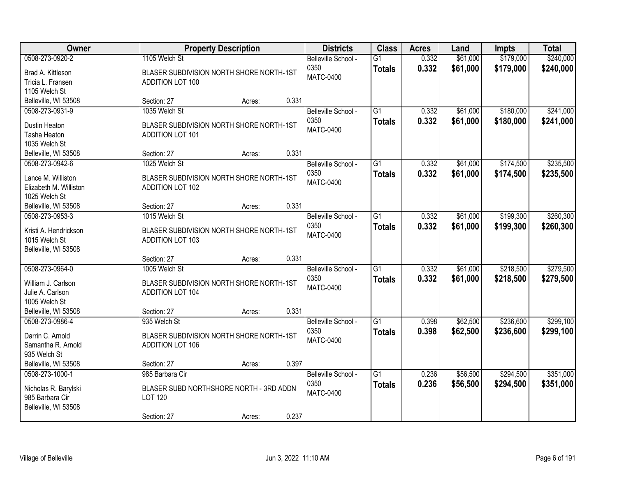| <b>Owner</b>                                 | <b>Property Description</b>                                         |        |       | <b>Districts</b>            | <b>Class</b>                     | <b>Acres</b>   | Land                 | <b>Impts</b>           | <b>Total</b>           |
|----------------------------------------------|---------------------------------------------------------------------|--------|-------|-----------------------------|----------------------------------|----------------|----------------------|------------------------|------------------------|
| 0508-273-0920-2                              | 1105 Welch St                                                       |        |       | Belleville School -<br>0350 | $\overline{G1}$<br><b>Totals</b> | 0.332<br>0.332 | \$61,000<br>\$61,000 | \$179,000<br>\$179,000 | \$240,000<br>\$240,000 |
| Brad A. Kittleson                            | BLASER SUBDIVISION NORTH SHORE NORTH-1ST                            |        |       | <b>MATC-0400</b>            |                                  |                |                      |                        |                        |
| Tricia L. Fransen<br>1105 Welch St           | <b>ADDITION LOT 100</b>                                             |        |       |                             |                                  |                |                      |                        |                        |
| Belleville, WI 53508                         | Section: 27                                                         | Acres: | 0.331 |                             |                                  |                |                      |                        |                        |
| 0508-273-0931-9                              | 1035 Welch St                                                       |        |       | Belleville School -         | $\overline{G1}$                  | 0.332          | \$61,000             | \$180,000              | \$241,000              |
|                                              |                                                                     |        |       | 0350                        | <b>Totals</b>                    | 0.332          | \$61,000             | \$180,000              | \$241,000              |
| Dustin Heaton<br>Tasha Heaton                | BLASER SUBDIVISION NORTH SHORE NORTH-1ST<br><b>ADDITION LOT 101</b> |        |       | <b>MATC-0400</b>            |                                  |                |                      |                        |                        |
| 1035 Welch St                                |                                                                     |        |       |                             |                                  |                |                      |                        |                        |
| Belleville, WI 53508                         | Section: 27                                                         | Acres: | 0.331 |                             |                                  |                |                      |                        |                        |
| 0508-273-0942-6                              | 1025 Welch St                                                       |        |       | Belleville School -         | G1                               | 0.332          | \$61,000             | \$174,500              | \$235,500              |
|                                              |                                                                     |        |       | 0350                        | <b>Totals</b>                    | 0.332          | \$61,000             | \$174,500              | \$235,500              |
| Lance M. Williston<br>Elizabeth M. Williston | BLASER SUBDIVISION NORTH SHORE NORTH-1ST<br><b>ADDITION LOT 102</b> |        |       | <b>MATC-0400</b>            |                                  |                |                      |                        |                        |
| 1025 Welch St                                |                                                                     |        |       |                             |                                  |                |                      |                        |                        |
| Belleville, WI 53508                         | Section: 27                                                         | Acres: | 0.331 |                             |                                  |                |                      |                        |                        |
| 0508-273-0953-3                              | 1015 Welch St                                                       |        |       | Belleville School -         | G1                               | 0.332          | \$61,000             | \$199,300              | \$260,300              |
| Kristi A. Hendrickson                        | BLASER SUBDIVISION NORTH SHORE NORTH-1ST                            |        |       | 0350                        | <b>Totals</b>                    | 0.332          | \$61,000             | \$199,300              | \$260,300              |
| 1015 Welch St                                | <b>ADDITION LOT 103</b>                                             |        |       | <b>MATC-0400</b>            |                                  |                |                      |                        |                        |
| Belleville, WI 53508                         |                                                                     |        |       |                             |                                  |                |                      |                        |                        |
|                                              | Section: 27                                                         | Acres: | 0.331 |                             |                                  |                |                      |                        |                        |
| 0508-273-0964-0                              | 1005 Welch St                                                       |        |       | Belleville School -         | $\overline{G1}$                  | 0.332          | \$61,000             | \$218,500              | \$279,500              |
| William J. Carlson                           | BLASER SUBDIVISION NORTH SHORE NORTH-1ST                            |        |       | 0350                        | <b>Totals</b>                    | 0.332          | \$61,000             | \$218,500              | \$279,500              |
| Julie A. Carlson                             | <b>ADDITION LOT 104</b>                                             |        |       | <b>MATC-0400</b>            |                                  |                |                      |                        |                        |
| 1005 Welch St                                |                                                                     |        |       |                             |                                  |                |                      |                        |                        |
| Belleville, WI 53508                         | Section: 27                                                         | Acres: | 0.331 |                             |                                  |                |                      |                        |                        |
| 0508-273-0986-4                              | 935 Welch St                                                        |        |       | Belleville School -         | $\overline{G1}$                  | 0.398          | \$62,500             | \$236,600              | \$299,100              |
| Darrin C. Arnold                             | BLASER SUBDIVISION NORTH SHORE NORTH-1ST                            |        |       | 0350                        | <b>Totals</b>                    | 0.398          | \$62,500             | \$236,600              | \$299,100              |
| Samantha R. Arnold                           | <b>ADDITION LOT 106</b>                                             |        |       | <b>MATC-0400</b>            |                                  |                |                      |                        |                        |
| 935 Welch St                                 |                                                                     |        |       |                             |                                  |                |                      |                        |                        |
| Belleville, WI 53508                         | Section: 27                                                         | Acres: | 0.397 |                             |                                  |                |                      |                        |                        |
| 0508-273-1000-1                              | 985 Barbara Cir                                                     |        |       | Belleville School -         | $\overline{G1}$                  | 0.236          | \$56,500             | \$294,500              | \$351,000              |
| Nicholas R. Barylski                         | BLASER SUBD NORTHSHORE NORTH - 3RD ADDN                             |        |       | 0350                        | <b>Totals</b>                    | 0.236          | \$56,500             | \$294,500              | \$351,000              |
| 985 Barbara Cir                              | LOT 120                                                             |        |       | <b>MATC-0400</b>            |                                  |                |                      |                        |                        |
| Belleville, WI 53508                         |                                                                     |        |       |                             |                                  |                |                      |                        |                        |
|                                              | Section: 27                                                         | Acres: | 0.237 |                             |                                  |                |                      |                        |                        |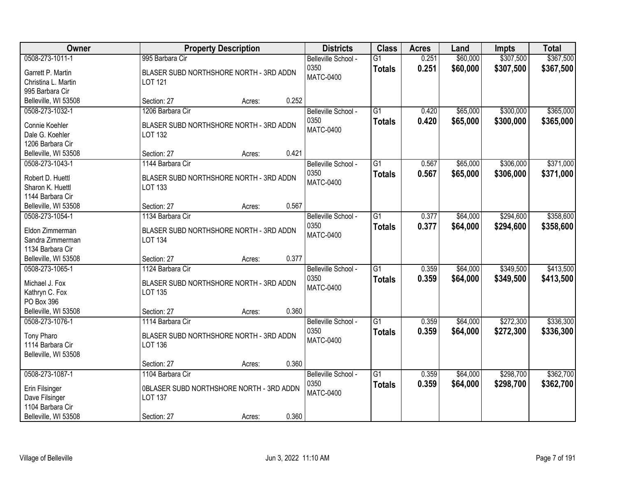| Owner                                | <b>Property Description</b>                                | <b>Districts</b>                                | <b>Class</b>                     | <b>Acres</b>   | Land                 | <b>Impts</b>           | <b>Total</b>           |
|--------------------------------------|------------------------------------------------------------|-------------------------------------------------|----------------------------------|----------------|----------------------|------------------------|------------------------|
| 0508-273-1011-1<br>Garrett P. Martin | 995 Barbara Cir<br>BLASER SUBD NORTHSHORE NORTH - 3RD ADDN | Belleville School -<br>0350<br><b>MATC-0400</b> | $\overline{G1}$<br><b>Totals</b> | 0.251<br>0.251 | \$60,000<br>\$60,000 | \$307,500<br>\$307,500 | \$367,500<br>\$367,500 |
| Christina L. Martin                  | LOT 121                                                    |                                                 |                                  |                |                      |                        |                        |
| 995 Barbara Cir                      |                                                            |                                                 |                                  |                |                      |                        |                        |
| Belleville, WI 53508                 | 0.252<br>Section: 27<br>Acres:                             |                                                 |                                  |                |                      |                        |                        |
| 0508-273-1032-1                      | 1206 Barbara Cir                                           | Belleville School -                             | $\overline{G1}$                  | 0.420          | \$65,000             | \$300,000              | \$365,000              |
| Connie Koehler                       | BLASER SUBD NORTHSHORE NORTH - 3RD ADDN                    | 0350                                            | <b>Totals</b>                    | 0.420          | \$65,000             | \$300,000              | \$365,000              |
| Dale G. Koehler                      | LOT 132                                                    | <b>MATC-0400</b>                                |                                  |                |                      |                        |                        |
| 1206 Barbara Cir                     |                                                            |                                                 |                                  |                |                      |                        |                        |
| Belleville, WI 53508                 | 0.421<br>Section: 27<br>Acres:                             |                                                 |                                  |                |                      |                        |                        |
| 0508-273-1043-1                      | 1144 Barbara Cir                                           | Belleville School -                             | $\overline{G1}$                  | 0.567          | \$65,000             | \$306,000              | \$371,000              |
| Robert D. Huettl                     | BLASER SUBD NORTHSHORE NORTH - 3RD ADDN                    | 0350                                            | <b>Totals</b>                    | 0.567          | \$65,000             | \$306,000              | \$371,000              |
| Sharon K. Huettl                     | LOT 133                                                    | <b>MATC-0400</b>                                |                                  |                |                      |                        |                        |
| 1144 Barbara Cir                     |                                                            |                                                 |                                  |                |                      |                        |                        |
| Belleville, WI 53508                 | 0.567<br>Section: 27<br>Acres:                             |                                                 |                                  |                |                      |                        |                        |
| 0508-273-1054-1                      | 1134 Barbara Cir                                           | Belleville School -                             | $\overline{G1}$                  | 0.377          | \$64,000             | \$294,600              | \$358,600              |
|                                      |                                                            | 0350                                            | <b>Totals</b>                    | 0.377          | \$64,000             | \$294,600              | \$358,600              |
| Eldon Zimmerman                      | BLASER SUBD NORTHSHORE NORTH - 3RD ADDN                    | <b>MATC-0400</b>                                |                                  |                |                      |                        |                        |
| Sandra Zimmerman                     | <b>LOT 134</b>                                             |                                                 |                                  |                |                      |                        |                        |
| 1134 Barbara Cir                     |                                                            |                                                 |                                  |                |                      |                        |                        |
| Belleville, WI 53508                 | 0.377<br>Section: 27<br>Acres:                             |                                                 |                                  |                |                      |                        |                        |
| 0508-273-1065-1                      | 1124 Barbara Cir                                           | Belleville School -                             | $\overline{G1}$                  | 0.359          | \$64,000             | \$349,500              | \$413,500              |
| Michael J. Fox                       | BLASER SUBD NORTHSHORE NORTH - 3RD ADDN                    | 0350                                            | <b>Totals</b>                    | 0.359          | \$64,000             | \$349,500              | \$413,500              |
| Kathryn C. Fox                       | <b>LOT 135</b>                                             | <b>MATC-0400</b>                                |                                  |                |                      |                        |                        |
| PO Box 396                           |                                                            |                                                 |                                  |                |                      |                        |                        |
| Belleville, WI 53508                 | 0.360<br>Section: 27<br>Acres:                             |                                                 |                                  |                |                      |                        |                        |
| 0508-273-1076-1                      | 1114 Barbara Cir                                           | Belleville School -                             | $\overline{G1}$                  | 0.359          | \$64,000             | \$272,300              | \$336,300              |
| Tony Pharo                           | BLASER SUBD NORTHSHORE NORTH - 3RD ADDN                    | 0350                                            | <b>Totals</b>                    | 0.359          | \$64,000             | \$272,300              | \$336,300              |
| 1114 Barbara Cir                     | <b>LOT 136</b>                                             | <b>MATC-0400</b>                                |                                  |                |                      |                        |                        |
| Belleville, WI 53508                 |                                                            |                                                 |                                  |                |                      |                        |                        |
|                                      | 0.360<br>Section: 27<br>Acres:                             |                                                 |                                  |                |                      |                        |                        |
| 0508-273-1087-1                      | 1104 Barbara Cir                                           | Belleville School -                             | $\overline{G1}$                  | 0.359          | \$64,000             | \$298,700              | \$362,700              |
|                                      |                                                            | 0350                                            | <b>Totals</b>                    | 0.359          | \$64,000             | \$298,700              | \$362,700              |
| Erin Filsinger                       | OBLASER SUBD NORTHSHORE NORTH - 3RD ADDN                   | <b>MATC-0400</b>                                |                                  |                |                      |                        |                        |
| Dave Filsinger                       | <b>LOT 137</b>                                             |                                                 |                                  |                |                      |                        |                        |
| 1104 Barbara Cir                     |                                                            |                                                 |                                  |                |                      |                        |                        |
| Belleville, WI 53508                 | 0.360<br>Section: 27<br>Acres:                             |                                                 |                                  |                |                      |                        |                        |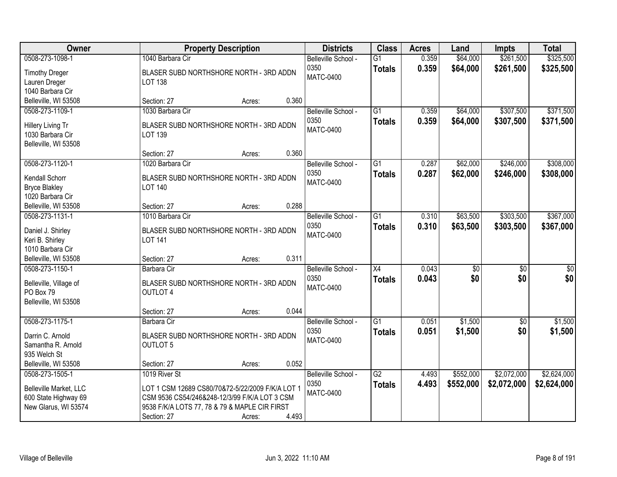| Owner                                    |                                                             | <b>Property Description</b> |       |                                                 | <b>Class</b>                     | <b>Acres</b>   | Land                 | <b>Impts</b>           | <b>Total</b>           |
|------------------------------------------|-------------------------------------------------------------|-----------------------------|-------|-------------------------------------------------|----------------------------------|----------------|----------------------|------------------------|------------------------|
| 0508-273-1098-1<br><b>Timothy Dreger</b> | 1040 Barbara Cir<br>BLASER SUBD NORTHSHORE NORTH - 3RD ADDN |                             |       | Belleville School -<br>0350<br><b>MATC-0400</b> | $\overline{G1}$<br><b>Totals</b> | 0.359<br>0.359 | \$64,000<br>\$64,000 | \$261,500<br>\$261,500 | \$325,500<br>\$325,500 |
| Lauren Dreger                            | <b>LOT 138</b>                                              |                             |       |                                                 |                                  |                |                      |                        |                        |
| 1040 Barbara Cir                         |                                                             |                             |       |                                                 |                                  |                |                      |                        |                        |
| Belleville, WI 53508                     | Section: 27                                                 | Acres:                      | 0.360 |                                                 |                                  |                |                      |                        |                        |
| 0508-273-1109-1                          | 1030 Barbara Cir                                            |                             |       | Belleville School -                             | $\overline{G1}$                  | 0.359          | \$64,000             | \$307,500              | \$371,500              |
| Hillery Living Tr                        | BLASER SUBD NORTHSHORE NORTH - 3RD ADDN                     |                             |       | 0350                                            | <b>Totals</b>                    | 0.359          | \$64,000             | \$307,500              | \$371,500              |
| 1030 Barbara Cir                         | LOT 139                                                     |                             |       | <b>MATC-0400</b>                                |                                  |                |                      |                        |                        |
| Belleville, WI 53508                     |                                                             |                             |       |                                                 |                                  |                |                      |                        |                        |
|                                          | Section: 27                                                 | Acres:                      | 0.360 |                                                 |                                  |                |                      |                        |                        |
| 0508-273-1120-1                          | 1020 Barbara Cir                                            |                             |       | Belleville School -                             | G1                               | 0.287          | \$62,000             | \$246,000              | \$308,000              |
| Kendall Schorr                           | BLASER SUBD NORTHSHORE NORTH - 3RD ADDN                     |                             |       | 0350                                            | <b>Totals</b>                    | 0.287          | \$62,000             | \$246,000              | \$308,000              |
| <b>Bryce Blakley</b>                     | <b>LOT 140</b>                                              |                             |       | <b>MATC-0400</b>                                |                                  |                |                      |                        |                        |
| 1020 Barbara Cir                         |                                                             |                             |       |                                                 |                                  |                |                      |                        |                        |
| Belleville, WI 53508                     | Section: 27                                                 | Acres:                      | 0.288 |                                                 |                                  |                |                      |                        |                        |
| 0508-273-1131-1                          | 1010 Barbara Cir                                            |                             |       | Belleville School -                             | G1                               | 0.310          | \$63,500             | \$303,500              | \$367,000              |
|                                          |                                                             |                             |       | 0350                                            | <b>Totals</b>                    | 0.310          | \$63,500             | \$303,500              | \$367,000              |
| Daniel J. Shirley                        | BLASER SUBD NORTHSHORE NORTH - 3RD ADDN                     |                             |       | <b>MATC-0400</b>                                |                                  |                |                      |                        |                        |
| Keri B. Shirley                          | <b>LOT 141</b>                                              |                             |       |                                                 |                                  |                |                      |                        |                        |
| 1010 Barbara Cir<br>Belleville, WI 53508 | Section: 27                                                 |                             | 0.311 |                                                 |                                  |                |                      |                        |                        |
| 0508-273-1150-1                          | Barbara Cir                                                 | Acres:                      |       |                                                 | $\overline{X4}$                  | 0.043          | $\overline{50}$      | $\overline{30}$        | $\overline{30}$        |
|                                          |                                                             |                             |       | Belleville School -<br>0350                     |                                  |                | \$0                  | \$0                    |                        |
| Belleville, Village of                   | BLASER SUBD NORTHSHORE NORTH - 3RD ADDN                     |                             |       | <b>MATC-0400</b>                                | <b>Totals</b>                    | 0.043          |                      |                        | \$0                    |
| PO Box 79                                | <b>OUTLOT 4</b>                                             |                             |       |                                                 |                                  |                |                      |                        |                        |
| Belleville, WI 53508                     |                                                             |                             |       |                                                 |                                  |                |                      |                        |                        |
|                                          | Section: 27                                                 | Acres:                      | 0.044 |                                                 |                                  |                |                      |                        |                        |
| 0508-273-1175-1                          | Barbara Cir                                                 |                             |       | Belleville School -                             | $\overline{G1}$                  | 0.051          | \$1,500              | $\overline{60}$        | \$1,500                |
| Darrin C. Arnold                         | BLASER SUBD NORTHSHORE NORTH - 3RD ADDN                     |                             |       | 0350                                            | <b>Totals</b>                    | 0.051          | \$1,500              | \$0                    | \$1,500                |
| Samantha R. Arnold                       | <b>OUTLOT 5</b>                                             |                             |       | <b>MATC-0400</b>                                |                                  |                |                      |                        |                        |
| 935 Welch St                             |                                                             |                             |       |                                                 |                                  |                |                      |                        |                        |
| Belleville, WI 53508                     | Section: 27                                                 | Acres:                      | 0.052 |                                                 |                                  |                |                      |                        |                        |
| 0508-273-1505-1                          | 1019 River St                                               |                             |       | Belleville School -                             | $\overline{G2}$                  | 4.493          | \$552,000            | \$2,072,000            | \$2,624,000            |
| Belleville Market, LLC                   | LOT 1 CSM 12689 CS80/70&72-5/22/2009 F/K/A LOT 1            |                             |       | 0350                                            | <b>Totals</b>                    | 4.493          | \$552,000            | \$2,072,000            | \$2,624,000            |
| 600 State Highway 69                     | CSM 9536 CS54/246&248-12/3/99 F/K/A LOT 3 CSM               |                             |       | <b>MATC-0400</b>                                |                                  |                |                      |                        |                        |
| New Glarus, WI 53574                     | 9538 F/K/A LOTS 77, 78 & 79 & MAPLE CIR FIRST               |                             |       |                                                 |                                  |                |                      |                        |                        |
|                                          | Section: 27                                                 | Acres:                      | 4.493 |                                                 |                                  |                |                      |                        |                        |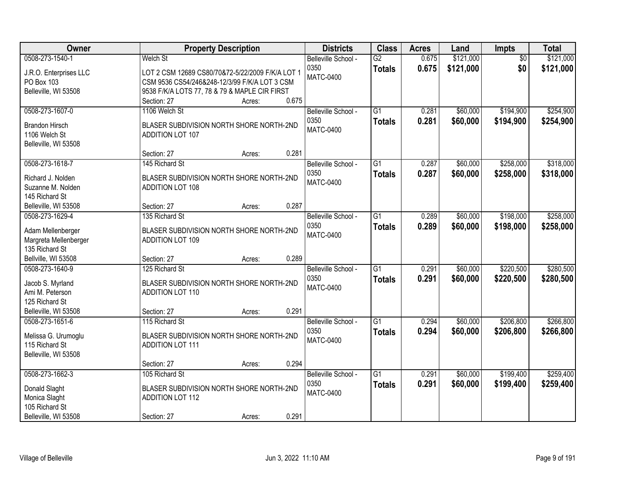| <b>Owner</b>                   | <b>Property Description</b>                      | <b>Districts</b>         | <b>Class</b>    | <b>Acres</b> | Land      | Impts           | <b>Total</b> |
|--------------------------------|--------------------------------------------------|--------------------------|-----------------|--------------|-----------|-----------------|--------------|
| 0508-273-1540-1                | <b>Welch St</b>                                  | Belleville School -      | $\overline{G2}$ | 0.675        | \$121,000 | $\overline{50}$ | \$121,000    |
| J.R.O. Enterprises LLC         | LOT 2 CSM 12689 CS80/70&72-5/22/2009 F/K/A LOT 1 | 0350<br><b>MATC-0400</b> | <b>Totals</b>   | 0.675        | \$121,000 | \$0             | \$121,000    |
| PO Box 103                     | CSM 9536 CS54/246&248-12/3/99 F/K/A LOT 3 CSM    |                          |                 |              |           |                 |              |
| Belleville, WI 53508           | 9538 F/K/A LOTS 77, 78 & 79 & MAPLE CIR FIRST    |                          |                 |              |           |                 |              |
|                                | 0.675<br>Section: 27<br>Acres:                   |                          |                 |              |           |                 |              |
| 0508-273-1607-0                | 1106 Welch St                                    | Belleville School -      | $\overline{G1}$ | 0.281        | \$60,000  | \$194,900       | \$254,900    |
| <b>Brandon Hirsch</b>          | BLASER SUBDIVISION NORTH SHORE NORTH-2ND         | 0350                     | <b>Totals</b>   | 0.281        | \$60,000  | \$194,900       | \$254,900    |
| 1106 Welch St                  | ADDITION LOT 107                                 | <b>MATC-0400</b>         |                 |              |           |                 |              |
| Belleville, WI 53508           |                                                  |                          |                 |              |           |                 |              |
|                                | 0.281<br>Section: 27<br>Acres:                   |                          |                 |              |           |                 |              |
| 0508-273-1618-7                | 145 Richard St                                   | Belleville School -      | $\overline{G1}$ | 0.287        | \$60,000  | \$258,000       | \$318,000    |
| Richard J. Nolden              | BLASER SUBDIVISION NORTH SHORE NORTH-2ND         | 0350                     | <b>Totals</b>   | 0.287        | \$60,000  | \$258,000       | \$318,000    |
| Suzanne M. Nolden              | <b>ADDITION LOT 108</b>                          | <b>MATC-0400</b>         |                 |              |           |                 |              |
| 145 Richard St                 |                                                  |                          |                 |              |           |                 |              |
| Belleville, WI 53508           | 0.287<br>Section: 27<br>Acres:                   |                          |                 |              |           |                 |              |
| 0508-273-1629-4                | 135 Richard St                                   | Belleville School -      | $\overline{G1}$ | 0.289        | \$60,000  | \$198,000       | \$258,000    |
|                                |                                                  | 0350                     | <b>Totals</b>   | 0.289        | \$60,000  | \$198,000       | \$258,000    |
| Adam Mellenberger              | BLASER SUBDIVISION NORTH SHORE NORTH-2ND         | <b>MATC-0400</b>         |                 |              |           |                 |              |
| Margreta Mellenberger          | <b>ADDITION LOT 109</b>                          |                          |                 |              |           |                 |              |
| 135 Richard St                 |                                                  |                          |                 |              |           |                 |              |
| Bellville, WI 53508            | 0.289<br>Section: 27<br>Acres:                   |                          |                 |              |           |                 |              |
| 0508-273-1640-9                | 125 Richard St                                   | Belleville School -      | $\overline{G1}$ | 0.291        | \$60,000  | \$220,500       | \$280,500    |
| Jacob S. Myrland               | BLASER SUBDIVISION NORTH SHORE NORTH-2ND         | 0350                     | <b>Totals</b>   | 0.291        | \$60,000  | \$220,500       | \$280,500    |
| Ami M. Peterson                | <b>ADDITION LOT 110</b>                          | <b>MATC-0400</b>         |                 |              |           |                 |              |
| 125 Richard St                 |                                                  |                          |                 |              |           |                 |              |
| Belleville, WI 53508           | 0.291<br>Section: 27<br>Acres:                   |                          |                 |              |           |                 |              |
| 0508-273-1651-6                | 115 Richard St                                   | Belleville School -      | $\overline{G1}$ | 0.294        | \$60,000  | \$206,800       | \$266,800    |
| Melissa G. Urumoglu            | BLASER SUBDIVISION NORTH SHORE NORTH-2ND         | 0350                     | <b>Totals</b>   | 0.294        | \$60,000  | \$206,800       | \$266,800    |
| 115 Richard St                 | <b>ADDITION LOT 111</b>                          | <b>MATC-0400</b>         |                 |              |           |                 |              |
| Belleville, WI 53508           |                                                  |                          |                 |              |           |                 |              |
|                                | 0.294<br>Section: 27<br>Acres:                   |                          |                 |              |           |                 |              |
| 0508-273-1662-3                | 105 Richard St                                   | Belleville School -      | $\overline{G1}$ | 0.291        | \$60,000  | \$199,400       | \$259,400    |
|                                | BLASER SUBDIVISION NORTH SHORE NORTH-2ND         | 0350                     | <b>Totals</b>   | 0.291        | \$60,000  | \$199,400       | \$259,400    |
| Donald Slaght<br>Monica Slaght | ADDITION LOT 112                                 | <b>MATC-0400</b>         |                 |              |           |                 |              |
| 105 Richard St                 |                                                  |                          |                 |              |           |                 |              |
| Belleville, WI 53508           | 0.291<br>Section: 27<br>Acres:                   |                          |                 |              |           |                 |              |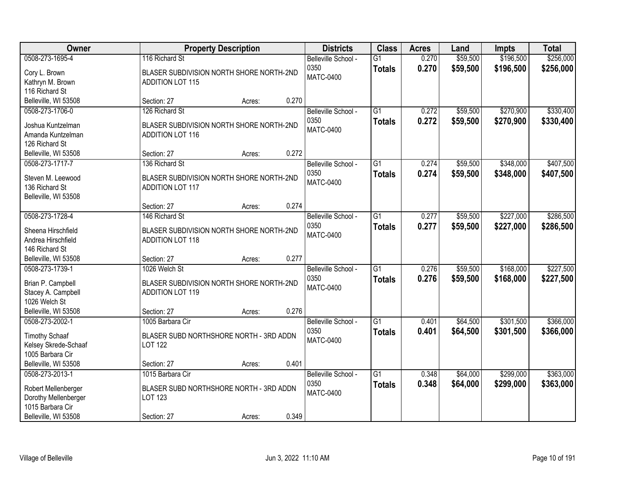| Owner                                    |                                                            | <b>Property Description</b> |       |                                                 | <b>Class</b>                     | <b>Acres</b>   | Land                 | <b>Impts</b>           | <b>Total</b>           |
|------------------------------------------|------------------------------------------------------------|-----------------------------|-------|-------------------------------------------------|----------------------------------|----------------|----------------------|------------------------|------------------------|
| 0508-273-1695-4<br>Cory L. Brown         | 116 Richard St<br>BLASER SUBDIVISION NORTH SHORE NORTH-2ND |                             |       | Belleville School -<br>0350<br><b>MATC-0400</b> | $\overline{G1}$<br><b>Totals</b> | 0.270<br>0.270 | \$59,500<br>\$59,500 | \$196,500<br>\$196,500 | \$256,000<br>\$256,000 |
| Kathryn M. Brown                         | <b>ADDITION LOT 115</b>                                    |                             |       |                                                 |                                  |                |                      |                        |                        |
| 116 Richard St                           |                                                            |                             |       |                                                 |                                  |                |                      |                        |                        |
| Belleville, WI 53508                     | Section: 27                                                | Acres:                      | 0.270 |                                                 |                                  |                |                      |                        |                        |
| 0508-273-1706-0                          | 126 Richard St                                             |                             |       | Belleville School -                             | $\overline{G1}$                  | 0.272          | \$59,500             | \$270,900              | \$330,400              |
| Joshua Kuntzelman                        | BLASER SUBDIVISION NORTH SHORE NORTH-2ND                   |                             |       | 0350                                            | <b>Totals</b>                    | 0.272          | \$59,500             | \$270,900              | \$330,400              |
| Amanda Kuntzelman                        | <b>ADDITION LOT 116</b>                                    |                             |       | <b>MATC-0400</b>                                |                                  |                |                      |                        |                        |
| 126 Richard St                           |                                                            |                             |       |                                                 |                                  |                |                      |                        |                        |
| Belleville, WI 53508                     | Section: 27                                                | Acres:                      | 0.272 |                                                 |                                  |                |                      |                        |                        |
| 0508-273-1717-7                          | 136 Richard St                                             |                             |       | Belleville School -                             | $\overline{G1}$                  | 0.274          | \$59,500             | \$348,000              | \$407,500              |
| Steven M. Leewood                        | BLASER SUBDIVISION NORTH SHORE NORTH-2ND                   |                             |       | 0350                                            | <b>Totals</b>                    | 0.274          | \$59,500             | \$348,000              | \$407,500              |
| 136 Richard St                           | <b>ADDITION LOT 117</b>                                    |                             |       | <b>MATC-0400</b>                                |                                  |                |                      |                        |                        |
| Belleville, WI 53508                     |                                                            |                             |       |                                                 |                                  |                |                      |                        |                        |
|                                          | Section: 27                                                | Acres:                      | 0.274 |                                                 |                                  |                |                      |                        |                        |
| 0508-273-1728-4                          | 146 Richard St                                             |                             |       | Belleville School -                             | $\overline{G1}$                  | 0.277          | \$59,500             | \$227,000              | \$286,500              |
|                                          |                                                            |                             |       | 0350                                            | <b>Totals</b>                    | 0.277          | \$59,500             | \$227,000              | \$286,500              |
| Sheena Hirschfield                       | BLASER SUBDIVISION NORTH SHORE NORTH-2ND                   |                             |       | <b>MATC-0400</b>                                |                                  |                |                      |                        |                        |
| Andrea Hirschfield                       | <b>ADDITION LOT 118</b>                                    |                             |       |                                                 |                                  |                |                      |                        |                        |
| 146 Richard St                           |                                                            |                             |       |                                                 |                                  |                |                      |                        |                        |
| Belleville, WI 53508                     | Section: 27                                                | Acres:                      | 0.277 |                                                 |                                  |                |                      |                        |                        |
| 0508-273-1739-1                          | 1026 Welch St                                              |                             |       | Belleville School -                             | $\overline{G1}$                  | 0.276          | \$59,500             | \$168,000              | \$227,500              |
| Brian P. Campbell                        | BLASER SUBDIVISION NORTH SHORE NORTH-2ND                   |                             |       | 0350                                            | <b>Totals</b>                    | 0.276          | \$59,500             | \$168,000              | \$227,500              |
| Stacey A. Campbell                       | <b>ADDITION LOT 119</b>                                    |                             |       | <b>MATC-0400</b>                                |                                  |                |                      |                        |                        |
| 1026 Welch St                            |                                                            |                             |       |                                                 |                                  |                |                      |                        |                        |
| Belleville, WI 53508                     | Section: 27                                                | Acres:                      | 0.276 |                                                 |                                  |                |                      |                        |                        |
| 0508-273-2002-1                          | 1005 Barbara Cir                                           |                             |       | Belleville School -                             | $\overline{G1}$                  | 0.401          | \$64,500             | \$301,500              | \$366,000              |
|                                          |                                                            |                             |       | 0350                                            | <b>Totals</b>                    | 0.401          | \$64,500             | \$301,500              | \$366,000              |
| <b>Timothy Schaaf</b>                    | BLASER SUBD NORTHSHORE NORTH - 3RD ADDN<br><b>LOT 122</b>  |                             |       | <b>MATC-0400</b>                                |                                  |                |                      |                        |                        |
| Kelsey Skrede-Schaaf<br>1005 Barbara Cir |                                                            |                             |       |                                                 |                                  |                |                      |                        |                        |
| Belleville, WI 53508                     | Section: 27                                                | Acres:                      | 0.401 |                                                 |                                  |                |                      |                        |                        |
| 0508-273-2013-1                          | 1015 Barbara Cir                                           |                             |       | Belleville School -                             | $\overline{G1}$                  | 0.348          | \$64,000             | \$299,000              | \$363,000              |
|                                          |                                                            |                             |       | 0350                                            | <b>Totals</b>                    | 0.348          | \$64,000             | \$299,000              | \$363,000              |
| Robert Mellenberger                      | BLASER SUBD NORTHSHORE NORTH - 3RD ADDN                    |                             |       | <b>MATC-0400</b>                                |                                  |                |                      |                        |                        |
| Dorothy Mellenberger                     | LOT 123                                                    |                             |       |                                                 |                                  |                |                      |                        |                        |
| 1015 Barbara Cir                         |                                                            |                             |       |                                                 |                                  |                |                      |                        |                        |
| Belleville, WI 53508                     | Section: 27                                                | Acres:                      | 0.349 |                                                 |                                  |                |                      |                        |                        |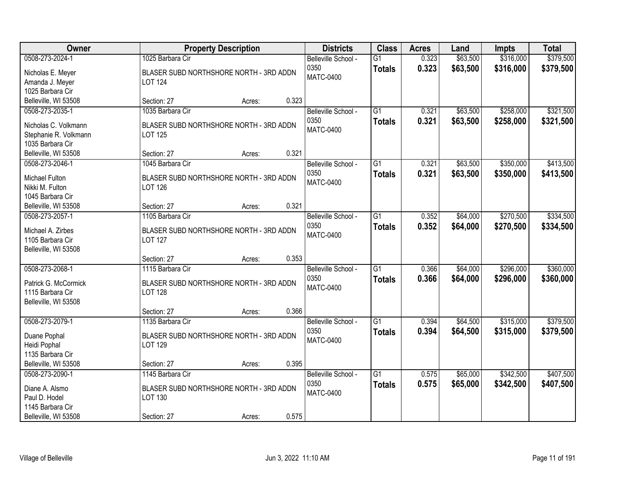| <b>Owner</b>                                                                                   | <b>Property Description</b>                                                                              | <b>Districts</b>                                | <b>Class</b>                     | <b>Acres</b>   | Land                 | <b>Impts</b>           | <b>Total</b>           |
|------------------------------------------------------------------------------------------------|----------------------------------------------------------------------------------------------------------|-------------------------------------------------|----------------------------------|----------------|----------------------|------------------------|------------------------|
| 0508-273-2024-1<br>Nicholas E. Meyer<br>Amanda J. Meyer<br>1025 Barbara Cir                    | 1025 Barbara Cir<br>BLASER SUBD NORTHSHORE NORTH - 3RD ADDN<br><b>LOT 124</b>                            | Belleville School -<br>0350<br><b>MATC-0400</b> | $\overline{G1}$<br><b>Totals</b> | 0.323<br>0.323 | \$63,500<br>\$63,500 | \$316,000<br>\$316,000 | \$379,500<br>\$379,500 |
| Belleville, WI 53508                                                                           | 0.323<br>Section: 27<br>Acres:                                                                           |                                                 |                                  |                |                      |                        |                        |
| 0508-273-2035-1<br>Nicholas C. Volkmann<br>Stephanie R. Volkmann<br>1035 Barbara Cir           | 1035 Barbara Cir<br>BLASER SUBD NORTHSHORE NORTH - 3RD ADDN<br>LOT 125                                   | Belleville School -<br>0350<br><b>MATC-0400</b> | $\overline{G1}$<br><b>Totals</b> | 0.321<br>0.321 | \$63,500<br>\$63,500 | \$258,000<br>\$258,000 | \$321,500<br>\$321,500 |
| Belleville, WI 53508                                                                           | 0.321<br>Section: 27<br>Acres:                                                                           |                                                 |                                  |                |                      |                        |                        |
| 0508-273-2046-1<br>Michael Fulton<br>Nikki M. Fulton<br>1045 Barbara Cir                       | 1045 Barbara Cir<br>BLASER SUBD NORTHSHORE NORTH - 3RD ADDN<br><b>LOT 126</b>                            | Belleville School -<br>0350<br><b>MATC-0400</b> | $\overline{G1}$<br><b>Totals</b> | 0.321<br>0.321 | \$63,500<br>\$63,500 | \$350,000<br>\$350,000 | \$413,500<br>\$413,500 |
| Belleville, WI 53508                                                                           | 0.321<br>Section: 27<br>Acres:                                                                           |                                                 |                                  |                |                      |                        |                        |
| 0508-273-2057-1<br>Michael A. Zirbes<br>1105 Barbara Cir<br>Belleville, WI 53508               | 1105 Barbara Cir<br>BLASER SUBD NORTHSHORE NORTH - 3RD ADDN<br><b>LOT 127</b>                            | Belleville School -<br>0350<br><b>MATC-0400</b> | $\overline{G1}$<br><b>Totals</b> | 0.352<br>0.352 | \$64,000<br>\$64,000 | \$270,500<br>\$270,500 | \$334,500<br>\$334,500 |
|                                                                                                | 0.353<br>Section: 27<br>Acres:                                                                           |                                                 |                                  |                |                      |                        |                        |
| 0508-273-2068-1<br>Patrick G. McCormick<br>1115 Barbara Cir<br>Belleville, WI 53508            | 1115 Barbara Cir<br>BLASER SUBD NORTHSHORE NORTH - 3RD ADDN<br><b>LOT 128</b>                            | Belleville School -<br>0350<br><b>MATC-0400</b> | $\overline{G1}$<br><b>Totals</b> | 0.366<br>0.366 | \$64,000<br>\$64,000 | \$296,000<br>\$296,000 | \$360,000<br>\$360,000 |
|                                                                                                | 0.366<br>Section: 27<br>Acres:                                                                           |                                                 |                                  |                |                      |                        |                        |
| 0508-273-2079-1<br>Duane Pophal<br>Heidi Pophal<br>1135 Barbara Cir                            | 1135 Barbara Cir<br>BLASER SUBD NORTHSHORE NORTH - 3RD ADDN<br>LOT 129                                   | Belleville School -<br>0350<br><b>MATC-0400</b> | $\overline{G1}$<br><b>Totals</b> | 0.394<br>0.394 | \$64,500<br>\$64,500 | \$315,000<br>\$315,000 | \$379,500<br>\$379,500 |
| Belleville, WI 53508                                                                           | 0.395<br>Section: 27<br>Acres:                                                                           |                                                 |                                  |                |                      |                        |                        |
| 0508-273-2090-1<br>Diane A. Alsmo<br>Paul D. Hodel<br>1145 Barbara Cir<br>Belleville, WI 53508 | 1145 Barbara Cir<br>BLASER SUBD NORTHSHORE NORTH - 3RD ADDN<br>LOT 130<br>0.575<br>Section: 27<br>Acres: | Belleville School -<br>0350<br><b>MATC-0400</b> | $\overline{G1}$<br><b>Totals</b> | 0.575<br>0.575 | \$65,000<br>\$65,000 | \$342,500<br>\$342,500 | \$407,500<br>\$407,500 |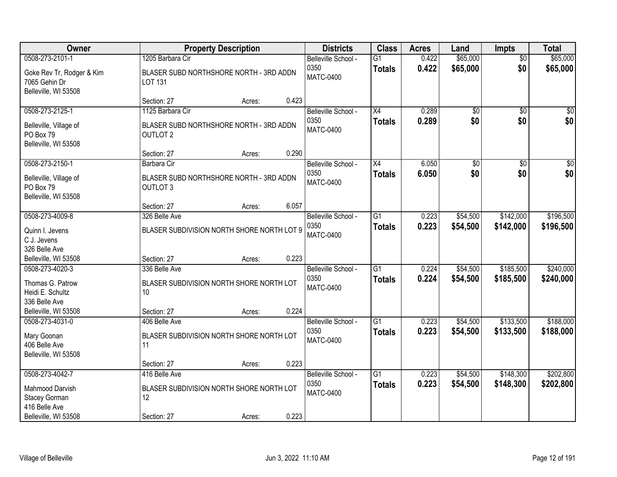| Owner                                                              |                                                            | <b>Property Description</b> |       | <b>Districts</b>         | <b>Class</b>    | <b>Acres</b> | Land            | Impts           | <b>Total</b>    |
|--------------------------------------------------------------------|------------------------------------------------------------|-----------------------------|-------|--------------------------|-----------------|--------------|-----------------|-----------------|-----------------|
| 0508-273-2101-1                                                    | 1205 Barbara Cir                                           |                             |       | Belleville School -      | $\overline{G1}$ | 0.422        | \$65,000        | $\overline{50}$ | \$65,000        |
| Goke Rev Tr, Rodger & Kim<br>7065 Gehin Dr<br>Belleville, WI 53508 | BLASER SUBD NORTHSHORE NORTH - 3RD ADDN<br><b>LOT 131</b>  |                             |       | 0350<br><b>MATC-0400</b> | <b>Totals</b>   | 0.422        | \$65,000        | \$0             | \$65,000        |
|                                                                    | Section: 27                                                | Acres:                      | 0.423 |                          |                 |              |                 |                 |                 |
| 0508-273-2125-1                                                    | 1125 Barbara Cir                                           |                             |       | Belleville School -      | $\overline{X4}$ | 0.289        | $\overline{50}$ | $\overline{50}$ | $\sqrt{50}$     |
| Belleville, Village of<br>PO Box 79<br>Belleville, WI 53508        | BLASER SUBD NORTHSHORE NORTH - 3RD ADDN<br><b>OUTLOT 2</b> |                             |       | 0350<br><b>MATC-0400</b> | <b>Totals</b>   | 0.289        | \$0             | \$0             | \$0             |
|                                                                    | Section: 27                                                | Acres:                      | 0.290 |                          |                 |              |                 |                 |                 |
| 0508-273-2150-1                                                    | Barbara Cir                                                |                             |       | Belleville School -      | X4              | 6.050        | \$0             | $\overline{50}$ | $\overline{30}$ |
| Belleville, Village of<br>PO Box 79<br>Belleville, WI 53508        | BLASER SUBD NORTHSHORE NORTH - 3RD ADDN<br><b>OUTLOT 3</b> |                             |       | 0350<br><b>MATC-0400</b> | <b>Totals</b>   | 6.050        | \$0             | \$0             | \$0             |
|                                                                    | Section: 27                                                | Acres:                      | 6.057 |                          |                 |              |                 |                 |                 |
| 0508-273-4009-8                                                    | 326 Belle Ave                                              |                             |       | Belleville School -      | G1              | 0.223        | \$54,500        | \$142,000       | \$196,500       |
| Quinn I. Jevens<br>C J. Jevens<br>326 Belle Ave                    | BLASER SUBDIVISION NORTH SHORE NORTH LOT 9                 |                             |       | 0350<br><b>MATC-0400</b> | <b>Totals</b>   | 0.223        | \$54,500        | \$142,000       | \$196,500       |
| Belleville, WI 53508                                               | Section: 27                                                | Acres:                      | 0.223 |                          |                 |              |                 |                 |                 |
| 0508-273-4020-3                                                    | 336 Belle Ave                                              |                             |       | Belleville School -      | $\overline{G1}$ | 0.224        | \$54,500        | \$185,500       | \$240,000       |
| Thomas G. Patrow<br>Heidi E. Schultz<br>336 Belle Ave              | BLASER SUBDIVISION NORTH SHORE NORTH LOT<br>10             |                             |       | 0350<br>MATC-0400        | <b>Totals</b>   | 0.224        | \$54,500        | \$185,500       | \$240,000       |
| Belleville, WI 53508                                               | Section: 27                                                | Acres:                      | 0.224 |                          |                 |              |                 |                 |                 |
| 0508-273-4031-0                                                    | 406 Belle Ave                                              |                             |       | Belleville School -      | $\overline{G1}$ | 0.223        | \$54,500        | \$133,500       | \$188,000       |
| Mary Goonan<br>406 Belle Ave<br>Belleville, WI 53508               | BLASER SUBDIVISION NORTH SHORE NORTH LOT<br>11             |                             |       | 0350<br><b>MATC-0400</b> | <b>Totals</b>   | 0.223        | \$54,500        | \$133,500       | \$188,000       |
|                                                                    | Section: 27                                                | Acres:                      | 0.223 |                          |                 |              |                 |                 |                 |
| 0508-273-4042-7                                                    | 416 Belle Ave                                              |                             |       | Belleville School -      | $\overline{G1}$ | 0.223        | \$54,500        | \$148,300       | \$202,800       |
| Mahmood Darvish<br>Stacey Gorman<br>416 Belle Ave                  | BLASER SUBDIVISION NORTH SHORE NORTH LOT<br>12             |                             |       | 0350<br><b>MATC-0400</b> | <b>Totals</b>   | 0.223        | \$54,500        | \$148,300       | \$202,800       |
| Belleville, WI 53508                                               | Section: 27                                                | Acres:                      | 0.223 |                          |                 |              |                 |                 |                 |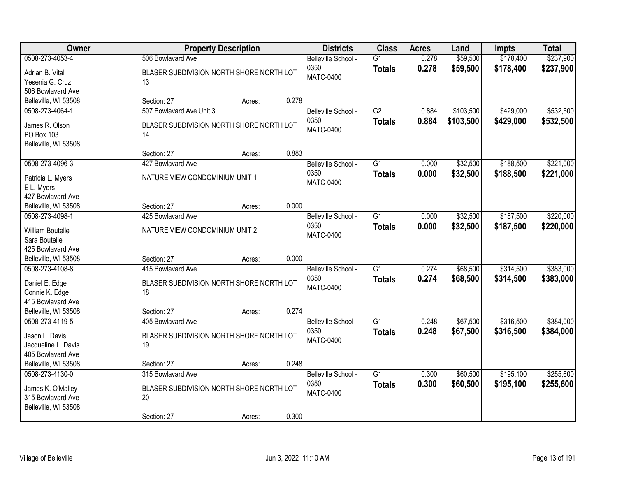| Owner                                   | <b>Property Description</b>                    | <b>Districts</b>    | <b>Class</b>    | <b>Acres</b> | Land      | <b>Impts</b> | <b>Total</b> |
|-----------------------------------------|------------------------------------------------|---------------------|-----------------|--------------|-----------|--------------|--------------|
| 0508-273-4053-4                         | 506 Bowlavard Ave                              | Belleville School - | $\overline{G1}$ | 0.278        | \$59,500  | \$178,400    | \$237,900    |
| Adrian B. Vital                         | BLASER SUBDIVISION NORTH SHORE NORTH LOT       | 0350                | <b>Totals</b>   | 0.278        | \$59,500  | \$178,400    | \$237,900    |
| Yesenia G. Cruz                         | 13                                             | MATC-0400           |                 |              |           |              |              |
| 506 Bowlavard Ave                       |                                                |                     |                 |              |           |              |              |
| Belleville, WI 53508                    | 0.278<br>Section: 27<br>Acres:                 |                     |                 |              |           |              |              |
| 0508-273-4064-1                         | 507 Bowlavard Ave Unit 3                       | Belleville School - | $\overline{G2}$ | 0.884        | \$103,500 | \$429,000    | \$532,500    |
| James R. Olson                          | BLASER SUBDIVISION NORTH SHORE NORTH LOT       | 0350                | <b>Totals</b>   | 0.884        | \$103,500 | \$429,000    | \$532,500    |
| <b>PO Box 103</b>                       | 14                                             | <b>MATC-0400</b>    |                 |              |           |              |              |
| Belleville, WI 53508                    |                                                |                     |                 |              |           |              |              |
|                                         | 0.883<br>Section: 27<br>Acres:                 |                     |                 |              |           |              |              |
| 0508-273-4096-3                         | 427 Bowlavard Ave                              | Belleville School - | $\overline{G1}$ | 0.000        | \$32,500  | \$188,500    | \$221,000    |
|                                         |                                                | 0350                | <b>Totals</b>   | 0.000        | \$32,500  | \$188,500    | \$221,000    |
| Patricia L. Myers                       | NATURE VIEW CONDOMINIUM UNIT 1                 | <b>MATC-0400</b>    |                 |              |           |              |              |
| E L. Myers                              |                                                |                     |                 |              |           |              |              |
| 427 Bowlavard Ave                       | 0.000<br>Section: 27                           |                     |                 |              |           |              |              |
| Belleville, WI 53508<br>0508-273-4098-1 | Acres:<br>425 Bowlavard Ave                    | Belleville School - | $\overline{G1}$ | 0.000        | \$32,500  | \$187,500    | \$220,000    |
|                                         |                                                | 0350                |                 |              |           |              |              |
| <b>William Boutelle</b>                 | NATURE VIEW CONDOMINIUM UNIT 2                 | <b>MATC-0400</b>    | <b>Totals</b>   | 0.000        | \$32,500  | \$187,500    | \$220,000    |
| Sara Boutelle                           |                                                |                     |                 |              |           |              |              |
| 425 Bowlavard Ave                       |                                                |                     |                 |              |           |              |              |
| Belleville, WI 53508                    | 0.000<br>Section: 27<br>Acres:                 |                     |                 |              |           |              |              |
| 0508-273-4108-8                         | 415 Bowlavard Ave                              | Belleville School - | $\overline{G1}$ | 0.274        | \$68,500  | \$314,500    | \$383,000    |
| Daniel E. Edge                          | BLASER SUBDIVISION NORTH SHORE NORTH LOT       | 0350                | <b>Totals</b>   | 0.274        | \$68,500  | \$314,500    | \$383,000    |
| Connie K. Edge                          | 18                                             | <b>MATC-0400</b>    |                 |              |           |              |              |
| 415 Bowlavard Ave                       |                                                |                     |                 |              |           |              |              |
| Belleville, WI 53508                    | 0.274<br>Section: 27<br>Acres:                 |                     |                 |              |           |              |              |
| 0508-273-4119-5                         | 405 Bowlavard Ave                              | Belleville School - | $\overline{G1}$ | 0.248        | \$67,500  | \$316,500    | \$384,000    |
|                                         |                                                | 0350                | <b>Totals</b>   | 0.248        | \$67,500  | \$316,500    | \$384,000    |
| Jason L. Davis<br>Jacqueline L. Davis   | BLASER SUBDIVISION NORTH SHORE NORTH LOT<br>19 | MATC-0400           |                 |              |           |              |              |
| 405 Bowlavard Ave                       |                                                |                     |                 |              |           |              |              |
| Belleville, WI 53508                    | 0.248<br>Section: 27<br>Acres:                 |                     |                 |              |           |              |              |
| 0508-273-4130-0                         | 315 Bowlavard Ave                              | Belleville School - | $\overline{G1}$ | 0.300        | \$60,500  | \$195,100    | \$255,600    |
|                                         |                                                | 0350                | <b>Totals</b>   | 0.300        | \$60,500  | \$195,100    | \$255,600    |
| James K. O'Malley                       | BLASER SUBDIVISION NORTH SHORE NORTH LOT       | <b>MATC-0400</b>    |                 |              |           |              |              |
| 315 Bowlavard Ave                       | 20                                             |                     |                 |              |           |              |              |
| Belleville, WI 53508                    |                                                |                     |                 |              |           |              |              |
|                                         | 0.300<br>Section: 27<br>Acres:                 |                     |                 |              |           |              |              |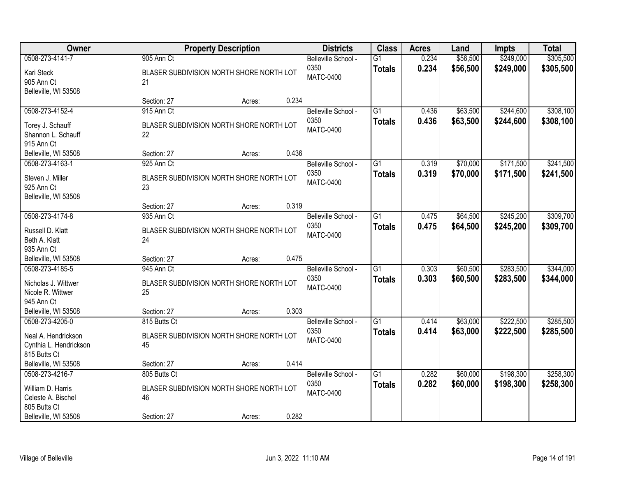| Owner                                                                                              |                                                                               | <b>Property Description</b> |       | <b>Districts</b>                                | <b>Class</b>                     | <b>Acres</b>   | Land                 | <b>Impts</b>           | <b>Total</b>           |
|----------------------------------------------------------------------------------------------------|-------------------------------------------------------------------------------|-----------------------------|-------|-------------------------------------------------|----------------------------------|----------------|----------------------|------------------------|------------------------|
| 0508-273-4141-7<br>Kari Steck<br>905 Ann Ct<br>Belleville, WI 53508                                | 905 Ann Ct<br>BLASER SUBDIVISION NORTH SHORE NORTH LOT<br>21                  |                             |       | Belleville School -<br>0350<br><b>MATC-0400</b> | $\overline{G1}$<br><b>Totals</b> | 0.234<br>0.234 | \$56,500<br>\$56,500 | \$249,000<br>\$249,000 | \$305,500<br>\$305,500 |
|                                                                                                    | Section: 27                                                                   | Acres:                      | 0.234 |                                                 |                                  |                |                      |                        |                        |
| 0508-273-4152-4<br>Torey J. Schauff<br>Shannon L. Schauff<br>915 Ann Ct                            | 915 Ann Ct<br>BLASER SUBDIVISION NORTH SHORE NORTH LOT<br>22                  |                             |       | Belleville School -<br>0350<br><b>MATC-0400</b> | $\overline{G1}$<br><b>Totals</b> | 0.436<br>0.436 | \$63,500<br>\$63,500 | \$244,600<br>\$244,600 | \$308,100<br>\$308,100 |
| Belleville, WI 53508                                                                               | Section: 27                                                                   | Acres:                      | 0.436 |                                                 |                                  |                |                      |                        |                        |
| 0508-273-4163-1<br>Steven J. Miller<br>925 Ann Ct<br>Belleville, WI 53508                          | 925 Ann Ct<br>BLASER SUBDIVISION NORTH SHORE NORTH LOT<br>23                  |                             |       | Belleville School -<br>0350<br><b>MATC-0400</b> | G <sub>1</sub><br><b>Totals</b>  | 0.319<br>0.319 | \$70,000<br>\$70,000 | \$171,500<br>\$171,500 | \$241,500<br>\$241,500 |
|                                                                                                    | Section: 27                                                                   | Acres:                      | 0.319 |                                                 |                                  |                |                      |                        |                        |
| 0508-273-4174-8<br>Russell D. Klatt<br>Beth A. Klatt<br>935 Ann Ct                                 | 935 Ann Ct<br>BLASER SUBDIVISION NORTH SHORE NORTH LOT<br>24                  |                             |       | Belleville School -<br>0350<br><b>MATC-0400</b> | G1<br><b>Totals</b>              | 0.475<br>0.475 | \$64,500<br>\$64,500 | \$245,200<br>\$245,200 | \$309,700<br>\$309,700 |
| Belleville, WI 53508                                                                               | Section: 27                                                                   | Acres:                      | 0.475 |                                                 |                                  |                |                      |                        |                        |
| 0508-273-4185-5<br>Nicholas J. Wittwer<br>Nicole R. Wittwer<br>945 Ann Ct                          | 945 Ann Ct<br>BLASER SUBDIVISION NORTH SHORE NORTH LOT<br>25                  |                             |       | Belleville School -<br>0350<br><b>MATC-0400</b> | $\overline{G1}$<br><b>Totals</b> | 0.303<br>0.303 | \$60,500<br>\$60,500 | \$283,500<br>\$283,500 | \$344,000<br>\$344,000 |
| Belleville, WI 53508<br>0508-273-4205-0                                                            | Section: 27<br>815 Butts Ct                                                   | Acres:                      | 0.303 | Belleville School -                             | $\overline{G1}$                  | 0.414          | \$63,000             | \$222,500              | \$285,500              |
| Neal A. Hendrickson<br>Cynthia L. Hendrickson<br>815 Butts Ct                                      | BLASER SUBDIVISION NORTH SHORE NORTH LOT<br>45                                |                             |       | 0350<br><b>MATC-0400</b>                        | <b>Totals</b>                    | 0.414          | \$63,000             | \$222,500              | \$285,500              |
| Belleville, WI 53508                                                                               | Section: 27                                                                   | Acres:                      | 0.414 |                                                 |                                  |                |                      |                        |                        |
| 0508-273-4216-7<br>William D. Harris<br>Celeste A. Bischel<br>805 Butts Ct<br>Belleville, WI 53508 | 805 Butts Ct<br>BLASER SUBDIVISION NORTH SHORE NORTH LOT<br>46<br>Section: 27 | Acres:                      | 0.282 | Belleville School -<br>0350<br><b>MATC-0400</b> | $\overline{G1}$<br><b>Totals</b> | 0.282<br>0.282 | \$60,000<br>\$60,000 | \$198,300<br>\$198,300 | \$258,300<br>\$258,300 |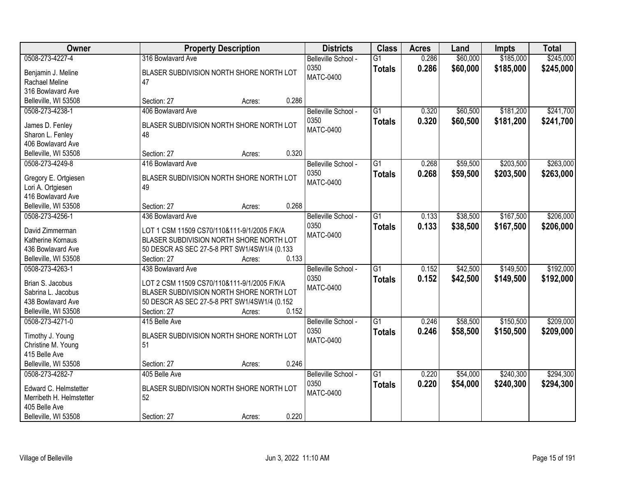| Owner                    | <b>Property Description</b>                  | <b>Districts</b>    | <b>Class</b>    | <b>Acres</b> | Land     | Impts     | <b>Total</b> |
|--------------------------|----------------------------------------------|---------------------|-----------------|--------------|----------|-----------|--------------|
| 0508-273-4227-4          | 316 Bowlavard Ave                            | Belleville School - | $\overline{G1}$ | 0.286        | \$60,000 | \$185,000 | \$245,000    |
| Benjamin J. Meline       | BLASER SUBDIVISION NORTH SHORE NORTH LOT     | 0350                | <b>Totals</b>   | 0.286        | \$60,000 | \$185,000 | \$245,000    |
| Rachael Meline           | 47                                           | <b>MATC-0400</b>    |                 |              |          |           |              |
| 316 Bowlavard Ave        |                                              |                     |                 |              |          |           |              |
| Belleville, WI 53508     | 0.286<br>Section: 27<br>Acres:               |                     |                 |              |          |           |              |
| 0508-273-4238-1          | 406 Bowlavard Ave                            | Belleville School - | $\overline{G1}$ | 0.320        | \$60,500 | \$181,200 | \$241,700    |
|                          |                                              | 0350                | <b>Totals</b>   | 0.320        | \$60,500 | \$181,200 | \$241,700    |
| James D. Fenley          | BLASER SUBDIVISION NORTH SHORE NORTH LOT     | <b>MATC-0400</b>    |                 |              |          |           |              |
| Sharon L. Fenley         | 48                                           |                     |                 |              |          |           |              |
| 406 Bowlavard Ave        | 0.320<br>Section: 27                         |                     |                 |              |          |           |              |
| Belleville, WI 53508     | Acres:                                       |                     |                 |              |          |           |              |
| 0508-273-4249-8          | 416 Bowlavard Ave                            | Belleville School - | G1              | 0.268        | \$59,500 | \$203,500 | \$263,000    |
| Gregory E. Ortgiesen     | BLASER SUBDIVISION NORTH SHORE NORTH LOT     | 0350                | <b>Totals</b>   | 0.268        | \$59,500 | \$203,500 | \$263,000    |
| Lori A. Ortgiesen        | 49                                           | <b>MATC-0400</b>    |                 |              |          |           |              |
| 416 Bowlavard Ave        |                                              |                     |                 |              |          |           |              |
| Belleville, WI 53508     | 0.268<br>Section: 27<br>Acres:               |                     |                 |              |          |           |              |
| 0508-273-4256-1          | 436 Bowlavard Ave                            | Belleville School - | G1              | 0.133        | \$38,500 | \$167,500 | \$206,000    |
|                          |                                              | 0350                | <b>Totals</b>   | 0.133        | \$38,500 | \$167,500 | \$206,000    |
| David Zimmerman          | LOT 1 CSM 11509 CS70/110&111-9/1/2005 F/K/A  | <b>MATC-0400</b>    |                 |              |          |           |              |
| Katherine Kornaus        | BLASER SUBDIVISION NORTH SHORE NORTH LOT     |                     |                 |              |          |           |              |
| 436 Bowlavard Ave        | 50 DESCR AS SEC 27-5-8 PRT SW1/4SW1/4 (0.133 |                     |                 |              |          |           |              |
| Belleville, WI 53508     | 0.133<br>Section: 27<br>Acres:               |                     |                 |              |          |           |              |
| 0508-273-4263-1          | 438 Bowlavard Ave                            | Belleville School - | $\overline{G1}$ | 0.152        | \$42,500 | \$149,500 | \$192,000    |
| Brian S. Jacobus         | LOT 2 CSM 11509 CS70/110&111-9/1/2005 F/K/A  | 0350                | <b>Totals</b>   | 0.152        | \$42,500 | \$149,500 | \$192,000    |
| Sabrina L. Jacobus       | BLASER SUBDIVISION NORTH SHORE NORTH LOT     | <b>MATC-0400</b>    |                 |              |          |           |              |
| 438 Bowlavard Ave        | 50 DESCR AS SEC 27-5-8 PRT SW1/4SW1/4 (0.152 |                     |                 |              |          |           |              |
| Belleville, WI 53508     | 0.152<br>Section: 27<br>Acres:               |                     |                 |              |          |           |              |
| 0508-273-4271-0          | 415 Belle Ave                                | Belleville School - | $\overline{G1}$ | 0.246        | \$58,500 | \$150,500 | \$209,000    |
|                          |                                              | 0350                | <b>Totals</b>   | 0.246        | \$58,500 | \$150,500 | \$209,000    |
| Timothy J. Young         | BLASER SUBDIVISION NORTH SHORE NORTH LOT     | <b>MATC-0400</b>    |                 |              |          |           |              |
| Christine M. Young       | 51                                           |                     |                 |              |          |           |              |
| 415 Belle Ave            |                                              |                     |                 |              |          |           |              |
| Belleville, WI 53508     | 0.246<br>Section: 27<br>Acres:               |                     |                 |              |          |           |              |
| 0508-273-4282-7          | 405 Belle Ave                                | Belleville School - | $\overline{G1}$ | 0.220        | \$54,000 | \$240,300 | \$294,300    |
| Edward C. Helmstetter    | BLASER SUBDIVISION NORTH SHORE NORTH LOT     | 0350                | <b>Totals</b>   | 0.220        | \$54,000 | \$240,300 | \$294,300    |
| Merribeth H. Helmstetter | 52                                           | <b>MATC-0400</b>    |                 |              |          |           |              |
| 405 Belle Ave            |                                              |                     |                 |              |          |           |              |
| Belleville, WI 53508     | 0.220<br>Section: 27<br>Acres:               |                     |                 |              |          |           |              |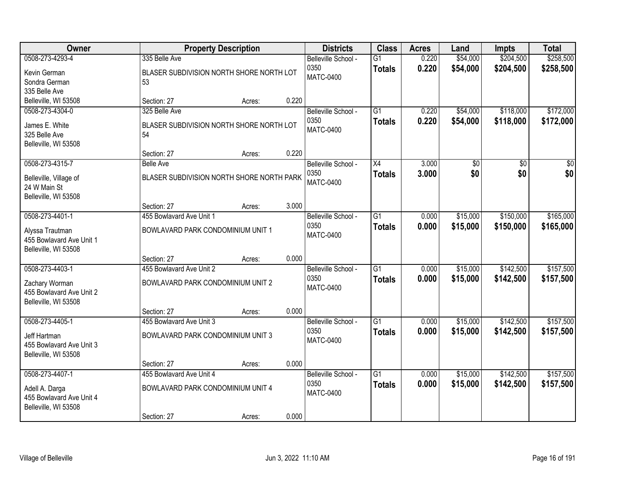| Owner                                                                                  |                                                                                | <b>Property Description</b> |       | <b>Districts</b>                                | <b>Class</b>                     | <b>Acres</b>   | Land                 | Impts                  | <b>Total</b>           |
|----------------------------------------------------------------------------------------|--------------------------------------------------------------------------------|-----------------------------|-------|-------------------------------------------------|----------------------------------|----------------|----------------------|------------------------|------------------------|
| 0508-273-4293-4<br>Kevin German<br>Sondra German<br>335 Belle Ave                      | 335 Belle Ave<br>BLASER SUBDIVISION NORTH SHORE NORTH LOT<br>53                |                             |       | Belleville School -<br>0350<br>MATC-0400        | $\overline{G1}$<br><b>Totals</b> | 0.220<br>0.220 | \$54,000<br>\$54,000 | \$204,500<br>\$204,500 | \$258,500<br>\$258,500 |
| Belleville, WI 53508                                                                   | Section: 27                                                                    | Acres:                      | 0.220 |                                                 |                                  |                |                      |                        |                        |
| 0508-273-4304-0<br>James E. White<br>325 Belle Ave<br>Belleville, WI 53508             | 325 Belle Ave<br>BLASER SUBDIVISION NORTH SHORE NORTH LOT<br>54<br>Section: 27 | Acres:                      | 0.220 | Belleville School -<br>0350<br><b>MATC-0400</b> | $\overline{G1}$<br><b>Totals</b> | 0.220<br>0.220 | \$54,000<br>\$54,000 | \$118,000<br>\$118,000 | \$172,000<br>\$172,000 |
| 0508-273-4315-7                                                                        | <b>Belle Ave</b>                                                               |                             |       | Belleville School -                             | $\overline{X4}$                  | 3.000          | \$0                  | \$0                    | \$0                    |
| Belleville, Village of<br>24 W Main St<br>Belleville, WI 53508                         | BLASER SUBDIVISION NORTH SHORE NORTH PARK                                      |                             |       | 0350<br><b>MATC-0400</b>                        | <b>Totals</b>                    | 3.000          | \$0                  | \$0                    | \$0                    |
|                                                                                        | Section: 27                                                                    | Acres:                      | 3.000 |                                                 |                                  |                |                      |                        |                        |
| 0508-273-4401-1<br>Alyssa Trautman<br>455 Bowlavard Ave Unit 1<br>Belleville, WI 53508 | 455 Bowlavard Ave Unit 1<br>BOWLAVARD PARK CONDOMINIUM UNIT 1                  |                             |       | Belleville School -<br>0350<br><b>MATC-0400</b> | $\overline{G1}$<br><b>Totals</b> | 0.000<br>0.000 | \$15,000<br>\$15,000 | \$150,000<br>\$150,000 | \$165,000<br>\$165,000 |
|                                                                                        | Section: 27                                                                    | Acres:                      | 0.000 |                                                 |                                  |                |                      |                        |                        |
| 0508-273-4403-1<br>Zachary Worman<br>455 Bowlavard Ave Unit 2<br>Belleville, WI 53508  | 455 Bowlavard Ave Unit 2<br>BOWLAVARD PARK CONDOMINIUM UNIT 2<br>Section: 27   | Acres:                      | 0.000 | Belleville School -<br>0350<br><b>MATC-0400</b> | $\overline{G1}$<br><b>Totals</b> | 0.000<br>0.000 | \$15,000<br>\$15,000 | \$142,500<br>\$142,500 | \$157,500<br>\$157,500 |
| 0508-273-4405-1                                                                        | 455 Bowlavard Ave Unit 3                                                       |                             |       | Belleville School -                             | $\overline{G1}$                  | 0.000          | \$15,000             | \$142,500              | \$157,500              |
| Jeff Hartman<br>455 Bowlavard Ave Unit 3<br>Belleville, WI 53508                       | BOWLAVARD PARK CONDOMINIUM UNIT 3                                              |                             |       | 0350<br><b>MATC-0400</b>                        | <b>Totals</b>                    | 0.000          | \$15,000             | \$142,500              | \$157,500              |
|                                                                                        | Section: 27                                                                    | Acres:                      | 0.000 |                                                 |                                  |                |                      |                        |                        |
| 0508-273-4407-1<br>Adell A. Darga<br>455 Bowlavard Ave Unit 4<br>Belleville, WI 53508  | 455 Bowlavard Ave Unit 4<br>BOWLAVARD PARK CONDOMINIUM UNIT 4<br>Section: 27   | Acres:                      | 0.000 | Belleville School -<br>0350<br><b>MATC-0400</b> | $\overline{G1}$<br><b>Totals</b> | 0.000<br>0.000 | \$15,000<br>\$15,000 | \$142,500<br>\$142,500 | \$157,500<br>\$157,500 |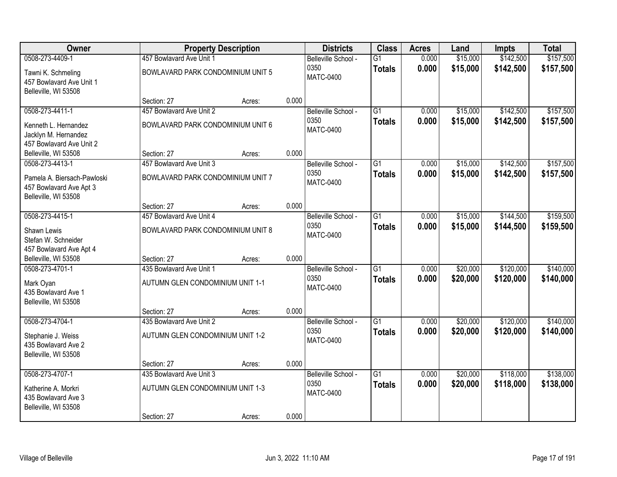| Owner                                                                          |                                   | <b>Property Description</b> |       | <b>Districts</b>            | <b>Class</b>                     | <b>Acres</b>   | Land                 | Impts                  | <b>Total</b>           |
|--------------------------------------------------------------------------------|-----------------------------------|-----------------------------|-------|-----------------------------|----------------------------------|----------------|----------------------|------------------------|------------------------|
| 0508-273-4409-1                                                                | 457 Bowlavard Ave Unit 1          |                             |       | Belleville School -<br>0350 | $\overline{G1}$                  | 0.000<br>0.000 | \$15,000<br>\$15,000 | \$142,500<br>\$142,500 | \$157,500<br>\$157,500 |
| Tawni K. Schmeling<br>457 Bowlavard Ave Unit 1<br>Belleville, WI 53508         | BOWLAVARD PARK CONDOMINIUM UNIT 5 |                             |       | <b>MATC-0400</b>            | <b>Totals</b>                    |                |                      |                        |                        |
|                                                                                | Section: 27                       | Acres:                      | 0.000 |                             |                                  |                |                      |                        |                        |
| 0508-273-4411-1                                                                | 457 Bowlavard Ave Unit 2          |                             |       | Belleville School -<br>0350 | $\overline{G1}$<br><b>Totals</b> | 0.000<br>0.000 | \$15,000<br>\$15,000 | \$142,500<br>\$142,500 | \$157,500<br>\$157,500 |
| Kenneth L. Hernandez<br>Jacklyn M. Hernandez                                   | BOWLAVARD PARK CONDOMINIUM UNIT 6 |                             |       | <b>MATC-0400</b>            |                                  |                |                      |                        |                        |
| 457 Bowlavard Ave Unit 2<br>Belleville, WI 53508                               | Section: 27                       | Acres:                      | 0.000 |                             |                                  |                |                      |                        |                        |
| 0508-273-4413-1                                                                | 457 Bowlavard Ave Unit 3          |                             |       | Belleville School -         | $\overline{G1}$                  | 0.000          | \$15,000             | \$142,500              | \$157,500              |
| Pamela A. Biersach-Pawloski<br>457 Bowlavard Ave Apt 3<br>Belleville, WI 53508 | BOWLAVARD PARK CONDOMINIUM UNIT 7 |                             |       | 0350<br><b>MATC-0400</b>    | <b>Totals</b>                    | 0.000          | \$15,000             | \$142,500              | \$157,500              |
|                                                                                | Section: 27                       | Acres:                      | 0.000 |                             |                                  |                |                      |                        |                        |
| 0508-273-4415-1                                                                | 457 Bowlavard Ave Unit 4          |                             |       | Belleville School -         | $\overline{G1}$                  | 0.000          | \$15,000             | \$144,500              | \$159,500              |
| Shawn Lewis<br>Stefan W. Schneider                                             | BOWLAVARD PARK CONDOMINIUM UNIT 8 |                             |       | 0350<br><b>MATC-0400</b>    | <b>Totals</b>                    | 0.000          | \$15,000             | \$144,500              | \$159,500              |
| 457 Bowlavard Ave Apt 4<br>Belleville, WI 53508                                | Section: 27                       | Acres:                      | 0.000 |                             |                                  |                |                      |                        |                        |
| 0508-273-4701-1                                                                | 435 Bowlavard Ave Unit 1          |                             |       | Belleville School -         | $\overline{G1}$                  | 0.000          | \$20,000             | \$120,000              | \$140,000              |
| Mark Oyan<br>435 Bowlavard Ave 1<br>Belleville, WI 53508                       | AUTUMN GLEN CONDOMINIUM UNIT 1-1  |                             |       | 0350<br><b>MATC-0400</b>    | <b>Totals</b>                    | 0.000          | \$20,000             | \$120,000              | \$140,000              |
|                                                                                | Section: 27                       | Acres:                      | 0.000 |                             |                                  |                |                      |                        |                        |
| 0508-273-4704-1                                                                | 435 Bowlavard Ave Unit 2          |                             |       | Belleville School -         | $\overline{G1}$                  | 0.000          | \$20,000             | \$120,000              | \$140,000              |
| Stephanie J. Weiss<br>435 Bowlavard Ave 2<br>Belleville, WI 53508              | AUTUMN GLEN CONDOMINIUM UNIT 1-2  |                             |       | 0350<br><b>MATC-0400</b>    | <b>Totals</b>                    | 0.000          | \$20,000             | \$120,000              | \$140,000              |
|                                                                                | Section: 27                       | Acres:                      | 0.000 |                             |                                  |                |                      |                        |                        |
| 0508-273-4707-1                                                                | 435 Bowlavard Ave Unit 3          |                             |       | Belleville School -         | $\overline{G1}$                  | 0.000          | \$20,000             | \$118,000              | \$138,000              |
| Katherine A. Morkri<br>435 Bowlavard Ave 3<br>Belleville, WI 53508             | AUTUMN GLEN CONDOMINIUM UNIT 1-3  |                             |       | 0350<br><b>MATC-0400</b>    | <b>Totals</b>                    | 0.000          | \$20,000             | \$118,000              | \$138,000              |
|                                                                                | Section: 27                       | Acres:                      | 0.000 |                             |                                  |                |                      |                        |                        |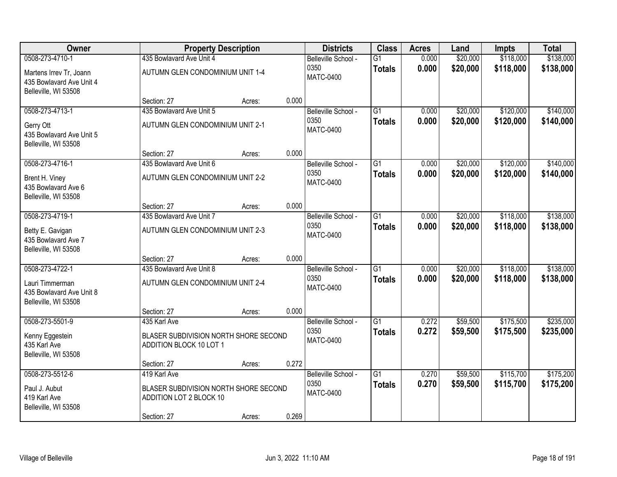| Owner                                                                       |                                                                  | <b>Property Description</b> |       | <b>Districts</b>         | <b>Class</b>    | <b>Acres</b> | Land     | Impts     | <b>Total</b> |
|-----------------------------------------------------------------------------|------------------------------------------------------------------|-----------------------------|-------|--------------------------|-----------------|--------------|----------|-----------|--------------|
| 0508-273-4710-1                                                             | 435 Bowlavard Ave Unit 4                                         |                             |       | Belleville School -      | $\overline{G1}$ | 0.000        | \$20,000 | \$118,000 | \$138,000    |
| Martens Irrev Tr, Joann<br>435 Bowlavard Ave Unit 4<br>Belleville, WI 53508 | AUTUMN GLEN CONDOMINIUM UNIT 1-4                                 |                             |       | 0350<br><b>MATC-0400</b> | <b>Totals</b>   | 0.000        | \$20,000 | \$118,000 | \$138,000    |
|                                                                             | Section: 27                                                      | Acres:                      | 0.000 |                          |                 |              |          |           |              |
| 0508-273-4713-1                                                             | 435 Bowlavard Ave Unit 5                                         |                             |       | Belleville School -      | $\overline{G1}$ | 0.000        | \$20,000 | \$120,000 | \$140,000    |
| Gerry Ott<br>435 Bowlavard Ave Unit 5<br>Belleville, WI 53508               | AUTUMN GLEN CONDOMINIUM UNIT 2-1                                 |                             |       | 0350<br><b>MATC-0400</b> | <b>Totals</b>   | 0.000        | \$20,000 | \$120,000 | \$140,000    |
|                                                                             | Section: 27                                                      | Acres:                      | 0.000 |                          |                 |              |          |           |              |
| 0508-273-4716-1                                                             | 435 Bowlavard Ave Unit 6                                         |                             |       | Belleville School -      | $\overline{G1}$ | 0.000        | \$20,000 | \$120,000 | \$140,000    |
| Brent H. Viney<br>435 Bowlavard Ave 6<br>Belleville, WI 53508               | AUTUMN GLEN CONDOMINIUM UNIT 2-2                                 |                             |       | 0350<br><b>MATC-0400</b> | <b>Totals</b>   | 0.000        | \$20,000 | \$120,000 | \$140,000    |
|                                                                             | Section: 27                                                      | Acres:                      | 0.000 |                          |                 |              |          |           |              |
| 0508-273-4719-1                                                             | 435 Bowlavard Ave Unit 7                                         |                             |       | Belleville School -      | $\overline{G1}$ | 0.000        | \$20,000 | \$118,000 | \$138,000    |
| Betty E. Gavigan<br>435 Bowlavard Ave 7<br>Belleville, WI 53508             | AUTUMN GLEN CONDOMINIUM UNIT 2-3                                 |                             |       | 0350<br><b>MATC-0400</b> | <b>Totals</b>   | 0.000        | \$20,000 | \$118,000 | \$138,000    |
|                                                                             | Section: 27                                                      | Acres:                      | 0.000 |                          |                 |              |          |           |              |
| 0508-273-4722-1                                                             | 435 Bowlavard Ave Unit 8                                         |                             |       | Belleville School -      | $\overline{G1}$ | 0.000        | \$20,000 | \$118,000 | \$138,000    |
| Lauri Timmerman<br>435 Bowlavard Ave Unit 8<br>Belleville, WI 53508         | AUTUMN GLEN CONDOMINIUM UNIT 2-4                                 |                             |       | 0350<br><b>MATC-0400</b> | <b>Totals</b>   | 0.000        | \$20,000 | \$118,000 | \$138,000    |
|                                                                             | Section: 27                                                      | Acres:                      | 0.000 |                          |                 |              |          |           |              |
| 0508-273-5501-9                                                             | 435 Karl Ave                                                     |                             |       | Belleville School -      | $\overline{G1}$ | 0.272        | \$59,500 | \$175,500 | \$235,000    |
| Kenny Eggestein<br>435 Karl Ave<br>Belleville, WI 53508                     | BLASER SUBDIVISION NORTH SHORE SECOND<br>ADDITION BLOCK 10 LOT 1 |                             |       | 0350<br><b>MATC-0400</b> | <b>Totals</b>   | 0.272        | \$59,500 | \$175,500 | \$235,000    |
|                                                                             | Section: 27                                                      | Acres:                      | 0.272 |                          |                 |              |          |           |              |
| 0508-273-5512-6                                                             | 419 Karl Ave                                                     |                             |       | Belleville School -      | $\overline{G1}$ | 0.270        | \$59,500 | \$115,700 | \$175,200    |
| Paul J. Aubut<br>419 Karl Ave<br>Belleville, WI 53508                       | BLASER SUBDIVISION NORTH SHORE SECOND<br>ADDITION LOT 2 BLOCK 10 |                             |       | 0350<br><b>MATC-0400</b> | <b>Totals</b>   | 0.270        | \$59,500 | \$115,700 | \$175,200    |
|                                                                             | Section: 27                                                      | Acres:                      | 0.269 |                          |                 |              |          |           |              |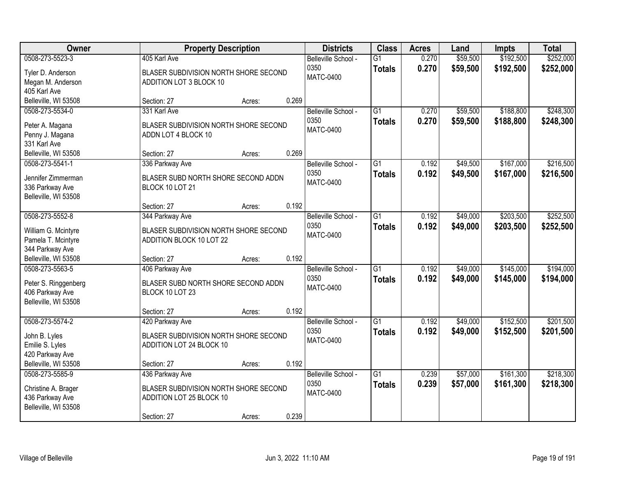| Owner                                     |                                                                   | <b>Property Description</b> |       | <b>Districts</b>                                | <b>Class</b>                     | <b>Acres</b>   | Land                 | Impts                  | <b>Total</b>           |
|-------------------------------------------|-------------------------------------------------------------------|-----------------------------|-------|-------------------------------------------------|----------------------------------|----------------|----------------------|------------------------|------------------------|
| 0508-273-5523-3<br>Tyler D. Anderson      | 405 Karl Ave<br>BLASER SUBDIVISION NORTH SHORE SECOND             |                             |       | Belleville School -<br>0350<br><b>MATC-0400</b> | $\overline{G1}$<br><b>Totals</b> | 0.270<br>0.270 | \$59,500<br>\$59,500 | \$192,500<br>\$192,500 | \$252,000<br>\$252,000 |
| Megan M. Anderson                         | ADDITION LOT 3 BLOCK 10                                           |                             |       |                                                 |                                  |                |                      |                        |                        |
| 405 Karl Ave                              |                                                                   |                             |       |                                                 |                                  |                |                      |                        |                        |
| Belleville, WI 53508                      | Section: 27                                                       | Acres:                      | 0.269 |                                                 |                                  |                |                      |                        |                        |
| 0508-273-5534-0                           | 331 Karl Ave                                                      |                             |       | Belleville School -                             | $\overline{G1}$                  | 0.270          | \$59,500             | \$188,800              | \$248,300              |
| Peter A. Magana                           | BLASER SUBDIVISION NORTH SHORE SECOND                             |                             |       | 0350                                            | <b>Totals</b>                    | 0.270          | \$59,500             | \$188,800              | \$248,300              |
| Penny J. Magana                           | ADDN LOT 4 BLOCK 10                                               |                             |       | <b>MATC-0400</b>                                |                                  |                |                      |                        |                        |
| 331 Karl Ave                              |                                                                   |                             |       |                                                 |                                  |                |                      |                        |                        |
| Belleville, WI 53508                      | Section: 27                                                       | Acres:                      | 0.269 |                                                 |                                  |                |                      |                        |                        |
| 0508-273-5541-1                           | 336 Parkway Ave                                                   |                             |       | Belleville School -                             | $\overline{G1}$                  | 0.192          | \$49,500             | \$167,000              | \$216,500              |
| Jennifer Zimmerman                        | BLASER SUBD NORTH SHORE SECOND ADDN                               |                             |       | 0350                                            | <b>Totals</b>                    | 0.192          | \$49,500             | \$167,000              | \$216,500              |
| 336 Parkway Ave                           | BLOCK 10 LOT 21                                                   |                             |       | <b>MATC-0400</b>                                |                                  |                |                      |                        |                        |
| Belleville, WI 53508                      |                                                                   |                             |       |                                                 |                                  |                |                      |                        |                        |
|                                           | Section: 27                                                       | Acres:                      | 0.192 |                                                 |                                  |                |                      |                        |                        |
| 0508-273-5552-8                           | 344 Parkway Ave                                                   |                             |       | Belleville School -                             | $\overline{G1}$                  | 0.192          | \$49,000             | \$203,500              | \$252,500              |
|                                           |                                                                   |                             |       | 0350                                            | <b>Totals</b>                    | 0.192          | \$49,000             | \$203,500              | \$252,500              |
| William G. Mcintyre<br>Pamela T. Mcintyre | BLASER SUBDIVISION NORTH SHORE SECOND<br>ADDITION BLOCK 10 LOT 22 |                             |       | <b>MATC-0400</b>                                |                                  |                |                      |                        |                        |
| 344 Parkway Ave                           |                                                                   |                             |       |                                                 |                                  |                |                      |                        |                        |
| Belleville, WI 53508                      | Section: 27                                                       | Acres:                      | 0.192 |                                                 |                                  |                |                      |                        |                        |
| 0508-273-5563-5                           | 406 Parkway Ave                                                   |                             |       | Belleville School -                             | $\overline{G1}$                  | 0.192          | \$49,000             | \$145,000              | \$194,000              |
|                                           |                                                                   |                             |       | 0350                                            | <b>Totals</b>                    | 0.192          | \$49,000             | \$145,000              | \$194,000              |
| Peter S. Ringgenberg                      | BLASER SUBD NORTH SHORE SECOND ADDN                               |                             |       | <b>MATC-0400</b>                                |                                  |                |                      |                        |                        |
| 406 Parkway Ave                           | BLOCK 10 LOT 23                                                   |                             |       |                                                 |                                  |                |                      |                        |                        |
| Belleville, WI 53508                      | Section: 27                                                       |                             | 0.192 |                                                 |                                  |                |                      |                        |                        |
| 0508-273-5574-2                           | 420 Parkway Ave                                                   | Acres:                      |       | Belleville School -                             | $\overline{G1}$                  | 0.192          | \$49,000             | \$152,500              | \$201,500              |
|                                           |                                                                   |                             |       | 0350                                            |                                  | 0.192          | \$49,000             | \$152,500              | \$201,500              |
| John B. Lyles                             | BLASER SUBDIVISION NORTH SHORE SECOND                             |                             |       | <b>MATC-0400</b>                                | <b>Totals</b>                    |                |                      |                        |                        |
| Emilie S. Lyles                           | ADDITION LOT 24 BLOCK 10                                          |                             |       |                                                 |                                  |                |                      |                        |                        |
| 420 Parkway Ave                           |                                                                   |                             |       |                                                 |                                  |                |                      |                        |                        |
| Belleville, WI 53508                      | Section: 27                                                       | Acres:                      | 0.192 |                                                 |                                  |                |                      |                        |                        |
| 0508-273-5585-9                           | 436 Parkway Ave                                                   |                             |       | Belleville School -                             | $\overline{G1}$                  | 0.239          | \$57,000             | \$161,300              | \$218,300              |
| Christine A. Brager                       | BLASER SUBDIVISION NORTH SHORE SECOND                             |                             |       | 0350                                            | <b>Totals</b>                    | 0.239          | \$57,000             | \$161,300              | \$218,300              |
| 436 Parkway Ave                           | ADDITION LOT 25 BLOCK 10                                          |                             |       | <b>MATC-0400</b>                                |                                  |                |                      |                        |                        |
| Belleville, WI 53508                      |                                                                   |                             |       |                                                 |                                  |                |                      |                        |                        |
|                                           | Section: 27                                                       | Acres:                      | 0.239 |                                                 |                                  |                |                      |                        |                        |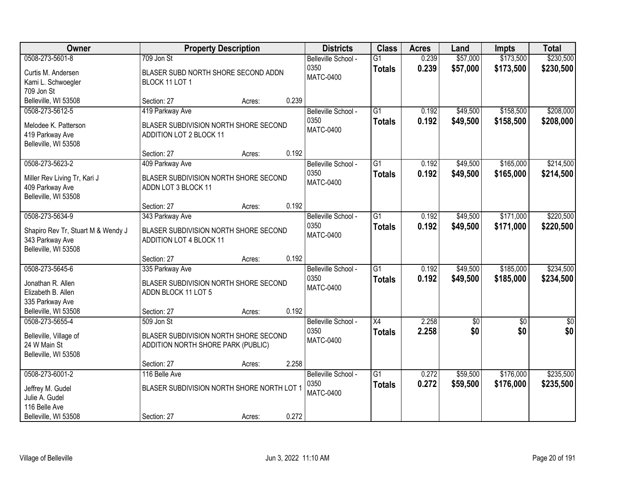| Owner                                                                                                 |                                                                                                    | <b>Property Description</b> |       | <b>Districts</b>                                | <b>Class</b>                     | <b>Acres</b>   | Land                 | Impts                  | <b>Total</b>           |
|-------------------------------------------------------------------------------------------------------|----------------------------------------------------------------------------------------------------|-----------------------------|-------|-------------------------------------------------|----------------------------------|----------------|----------------------|------------------------|------------------------|
| 0508-273-5601-8<br>Curtis M. Andersen<br>Kami L. Schwoegler<br>709 Jon St                             | 709 Jon St<br>BLASER SUBD NORTH SHORE SECOND ADDN<br>BLOCK 11 LOT 1                                |                             |       | Belleville School -<br>0350<br><b>MATC-0400</b> | $\overline{G1}$<br><b>Totals</b> | 0.239<br>0.239 | \$57,000<br>\$57,000 | \$173,500<br>\$173,500 | \$230,500<br>\$230,500 |
| Belleville, WI 53508                                                                                  | Section: 27                                                                                        | Acres:                      | 0.239 |                                                 |                                  |                |                      |                        |                        |
| 0508-273-5612-5<br>Melodee K. Patterson<br>419 Parkway Ave<br>Belleville, WI 53508                    | 419 Parkway Ave<br>BLASER SUBDIVISION NORTH SHORE SECOND<br>ADDITION LOT 2 BLOCK 11<br>Section: 27 | Acres:                      | 0.192 | Belleville School -<br>0350<br><b>MATC-0400</b> | $\overline{G1}$<br><b>Totals</b> | 0.192<br>0.192 | \$49,500<br>\$49,500 | \$158,500<br>\$158,500 | \$208,000<br>\$208,000 |
| 0508-273-5623-2                                                                                       | 409 Parkway Ave                                                                                    |                             |       | Belleville School -                             | $\overline{G1}$                  | 0.192          | \$49,500             | \$165,000              | \$214,500              |
| Miller Rev Living Tr, Kari J<br>409 Parkway Ave<br>Belleville, WI 53508                               | BLASER SUBDIVISION NORTH SHORE SECOND<br>ADDN LOT 3 BLOCK 11                                       |                             |       | 0350<br><b>MATC-0400</b>                        | <b>Totals</b>                    | 0.192          | \$49,500             | \$165,000              | \$214,500              |
|                                                                                                       | Section: 27                                                                                        | Acres:                      | 0.192 |                                                 |                                  |                |                      |                        |                        |
| 0508-273-5634-9<br>Shapiro Rev Tr, Stuart M & Wendy J<br>343 Parkway Ave<br>Belleville, WI 53508      | 343 Parkway Ave<br>BLASER SUBDIVISION NORTH SHORE SECOND<br>ADDITION LOT 4 BLOCK 11                |                             |       | Belleville School -<br>0350<br><b>MATC-0400</b> | G1<br><b>Totals</b>              | 0.192<br>0.192 | \$49,500<br>\$49,500 | \$171,000<br>\$171,000 | \$220,500<br>\$220,500 |
|                                                                                                       | Section: 27                                                                                        | Acres:                      | 0.192 |                                                 |                                  |                |                      |                        |                        |
| 0508-273-5645-6<br>Jonathan R. Allen<br>Elizabeth B. Allen<br>335 Parkway Ave<br>Belleville, WI 53508 | 335 Parkway Ave<br>BLASER SUBDIVISION NORTH SHORE SECOND<br>ADDN BLOCK 11 LOT 5                    |                             | 0.192 | Belleville School -<br>0350<br><b>MATC-0400</b> | $\overline{G1}$<br><b>Totals</b> | 0.192<br>0.192 | \$49,500<br>\$49,500 | \$185,000<br>\$185,000 | \$234,500<br>\$234,500 |
| 0508-273-5655-4                                                                                       | Section: 27<br>509 Jon St                                                                          | Acres:                      |       | Belleville School -                             | $\overline{X4}$                  | 2.258          | $\overline{60}$      | $\overline{50}$        | $\overline{50}$        |
| Belleville, Village of<br>24 W Main St<br>Belleville, WI 53508                                        | BLASER SUBDIVISION NORTH SHORE SECOND<br>ADDITION NORTH SHORE PARK (PUBLIC)                        |                             |       | 0350<br><b>MATC-0400</b>                        | <b>Totals</b>                    | 2.258          | \$0                  | \$0                    | \$0                    |
|                                                                                                       | Section: 27                                                                                        | Acres:                      | 2.258 |                                                 |                                  |                |                      |                        |                        |
| 0508-273-6001-2<br>Jeffrey M. Gudel<br>Julie A. Gudel<br>116 Belle Ave<br>Belleville, WI 53508        | 116 Belle Ave<br>BLASER SUBDIVISION NORTH SHORE NORTH LOT 1<br>Section: 27                         | Acres:                      | 0.272 | Belleville School -<br>0350<br><b>MATC-0400</b> | $\overline{G1}$<br><b>Totals</b> | 0.272<br>0.272 | \$59,500<br>\$59,500 | \$176,000<br>\$176,000 | \$235,500<br>\$235,500 |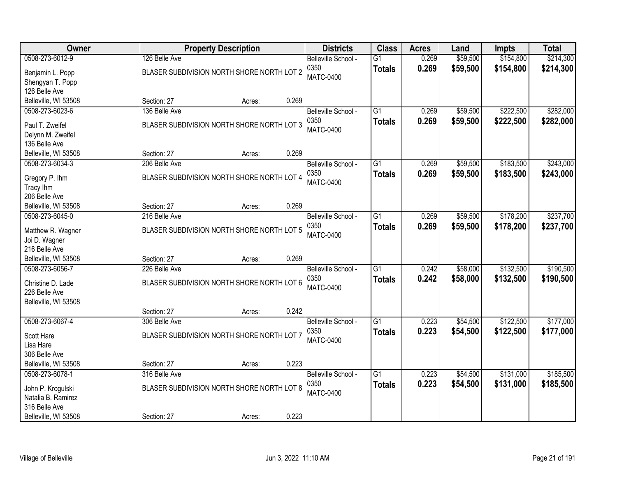| <b>Owner</b>                                               |                                                             | <b>Property Description</b>                |       | <b>Districts</b>            | <b>Class</b>                     | <b>Acres</b>   | Land                 | <b>Impts</b>           | <b>Total</b>           |
|------------------------------------------------------------|-------------------------------------------------------------|--------------------------------------------|-------|-----------------------------|----------------------------------|----------------|----------------------|------------------------|------------------------|
| 0508-273-6012-9<br>Benjamin L. Popp                        | 126 Belle Ave<br>BLASER SUBDIVISION NORTH SHORE NORTH LOT 2 |                                            |       | Belleville School -<br>0350 | $\overline{G1}$<br><b>Totals</b> | 0.269<br>0.269 | \$59,500<br>\$59,500 | \$154,800<br>\$154,800 | \$214,300<br>\$214,300 |
| Shengyan T. Popp<br>126 Belle Ave                          |                                                             |                                            |       | <b>MATC-0400</b>            |                                  |                |                      |                        |                        |
| Belleville, WI 53508                                       | Section: 27                                                 | Acres:                                     | 0.269 |                             |                                  |                |                      |                        |                        |
| 0508-273-6023-6                                            | 136 Belle Ave                                               |                                            |       | Belleville School -         | $\overline{G1}$                  | 0.269          | \$59,500             | \$222,500              | \$282,000              |
| Paul T. Zweifel<br>Delynn M. Zweifel<br>136 Belle Ave      |                                                             | BLASER SUBDIVISION NORTH SHORE NORTH LOT 3 |       | 0350<br><b>MATC-0400</b>    | <b>Totals</b>                    | 0.269          | \$59,500             | \$222,500              | \$282,000              |
| Belleville, WI 53508                                       | Section: 27                                                 | Acres:                                     | 0.269 |                             |                                  |                |                      |                        |                        |
| 0508-273-6034-3                                            | 206 Belle Ave                                               |                                            |       | Belleville School -         | G1                               | 0.269          | \$59,500             | \$183,500              | \$243,000              |
| Gregory P. Ihm<br>Tracy lhm                                |                                                             | BLASER SUBDIVISION NORTH SHORE NORTH LOT 4 |       | 0350<br><b>MATC-0400</b>    | <b>Totals</b>                    | 0.269          | \$59,500             | \$183,500              | \$243,000              |
| 206 Belle Ave                                              |                                                             |                                            |       |                             |                                  |                |                      |                        |                        |
| Belleville, WI 53508<br>0508-273-6045-0                    | Section: 27<br>216 Belle Ave                                | Acres:                                     | 0.269 | Belleville School -         | G1                               | 0.269          | \$59,500             | \$178,200              | \$237,700              |
| Matthew R. Wagner<br>Joi D. Wagner<br>216 Belle Ave        |                                                             | BLASER SUBDIVISION NORTH SHORE NORTH LOT 5 |       | 0350<br><b>MATC-0400</b>    | <b>Totals</b>                    | 0.269          | \$59,500             | \$178,200              | \$237,700              |
| Belleville, WI 53508                                       | Section: 27                                                 | Acres:                                     | 0.269 |                             |                                  |                |                      |                        |                        |
| 0508-273-6056-7                                            | 226 Belle Ave                                               |                                            |       | Belleville School -         | $\overline{G1}$                  | 0.242          | \$58,000             | \$132,500              | \$190,500              |
| Christine D. Lade<br>226 Belle Ave<br>Belleville, WI 53508 | BLASER SUBDIVISION NORTH SHORE NORTH LOT 6                  |                                            |       | 0350<br><b>MATC-0400</b>    | <b>Totals</b>                    | 0.242          | \$58,000             | \$132,500              | \$190,500              |
|                                                            | Section: 27                                                 | Acres:                                     | 0.242 |                             |                                  |                |                      |                        |                        |
| 0508-273-6067-4                                            | 306 Belle Ave                                               |                                            |       | Belleville School -         | $\overline{G1}$                  | 0.223          | \$54,500             | \$122,500              | \$177,000              |
| Scott Hare<br>Lisa Hare                                    | BLASER SUBDIVISION NORTH SHORE NORTH LOT 7                  |                                            |       | 0350<br><b>MATC-0400</b>    | <b>Totals</b>                    | 0.223          | \$54,500             | \$122,500              | \$177,000              |
| 306 Belle Ave<br>Belleville, WI 53508                      | Section: 27                                                 | Acres:                                     | 0.223 |                             |                                  |                |                      |                        |                        |
| 0508-273-6078-1                                            | 316 Belle Ave                                               |                                            |       | Belleville School -         | $\overline{G1}$                  | 0.223          | \$54,500             | \$131,000              | \$185,500              |
| John P. Krogulski<br>Natalia B. Ramirez<br>316 Belle Ave   |                                                             | BLASER SUBDIVISION NORTH SHORE NORTH LOT 8 |       | 0350<br><b>MATC-0400</b>    | <b>Totals</b>                    | 0.223          | \$54,500             | \$131,000              | \$185,500              |
| Belleville, WI 53508                                       | Section: 27                                                 | Acres:                                     | 0.223 |                             |                                  |                |                      |                        |                        |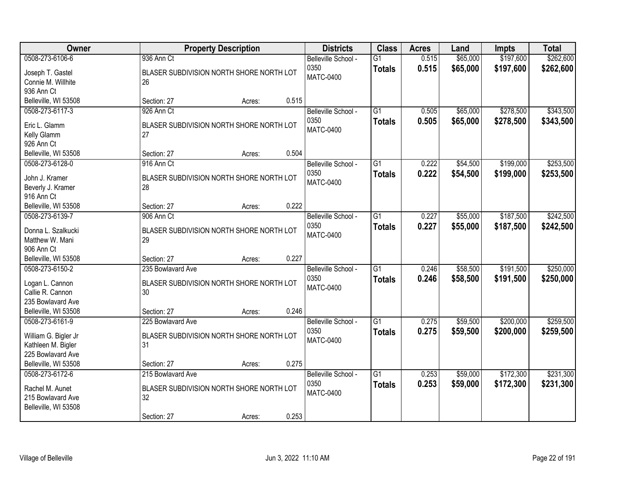| Owner                                                                                               |                                                                                    | <b>Property Description</b> |       | <b>Districts</b>                                | <b>Class</b>                     | <b>Acres</b>   | Land                 | Impts                  | <b>Total</b>           |
|-----------------------------------------------------------------------------------------------------|------------------------------------------------------------------------------------|-----------------------------|-------|-------------------------------------------------|----------------------------------|----------------|----------------------|------------------------|------------------------|
| 0508-273-6106-6<br>Joseph T. Gastel<br>Connie M. Willhite                                           | 936 Ann Ct<br>BLASER SUBDIVISION NORTH SHORE NORTH LOT<br>26                       |                             |       | Belleville School -<br>0350<br>MATC-0400        | $\overline{G1}$<br><b>Totals</b> | 0.515<br>0.515 | \$65,000<br>\$65,000 | \$197,600<br>\$197,600 | \$262,600<br>\$262,600 |
| 936 Ann Ct<br>Belleville, WI 53508                                                                  | Section: 27                                                                        | Acres:                      | 0.515 |                                                 |                                  |                |                      |                        |                        |
| 0508-273-6117-3<br>Eric L. Glamm<br>Kelly Glamm<br>926 Ann Ct                                       | 926 Ann Ct<br>BLASER SUBDIVISION NORTH SHORE NORTH LOT<br>27                       |                             |       | Belleville School -<br>0350<br><b>MATC-0400</b> | $\overline{G1}$<br><b>Totals</b> | 0.505<br>0.505 | \$65,000<br>\$65,000 | \$278,500<br>\$278,500 | \$343,500<br>\$343,500 |
| Belleville, WI 53508                                                                                | Section: 27                                                                        | Acres:                      | 0.504 |                                                 |                                  |                |                      |                        |                        |
| 0508-273-6128-0<br>John J. Kramer<br>Beverly J. Kramer<br>916 Ann Ct                                | 916 Ann Ct<br>BLASER SUBDIVISION NORTH SHORE NORTH LOT<br>28                       |                             |       | Belleville School -<br>0350<br><b>MATC-0400</b> | $\overline{G1}$<br><b>Totals</b> | 0.222<br>0.222 | \$54,500<br>\$54,500 | \$199,000<br>\$199,000 | \$253,500<br>\$253,500 |
| Belleville, WI 53508                                                                                | Section: 27                                                                        | Acres:                      | 0.222 |                                                 |                                  |                |                      |                        |                        |
| 0508-273-6139-7<br>Donna L. Szalkucki<br>Matthew W. Mani<br>906 Ann Ct                              | 906 Ann Ct<br>BLASER SUBDIVISION NORTH SHORE NORTH LOT<br>29                       |                             |       | Belleville School -<br>0350<br>MATC-0400        | $\overline{G1}$<br><b>Totals</b> | 0.227<br>0.227 | \$55,000<br>\$55,000 | \$187,500<br>\$187,500 | \$242,500<br>\$242,500 |
| Belleville, WI 53508                                                                                | Section: 27                                                                        | Acres:                      | 0.227 |                                                 |                                  |                |                      |                        |                        |
| 0508-273-6150-2<br>Logan L. Cannon<br>Callie R. Cannon<br>235 Bowlavard Ave<br>Belleville, WI 53508 | 235 Bowlavard Ave<br>BLASER SUBDIVISION NORTH SHORE NORTH LOT<br>30<br>Section: 27 | Acres:                      | 0.246 | Belleville School -<br>0350<br><b>MATC-0400</b> | $\overline{G1}$<br><b>Totals</b> | 0.246<br>0.246 | \$58,500<br>\$58,500 | \$191,500<br>\$191,500 | \$250,000<br>\$250,000 |
| 0508-273-6161-9                                                                                     | 225 Bowlavard Ave                                                                  |                             |       | Belleville School -                             | $\overline{G1}$                  | 0.275          | \$59,500             | \$200,000              | \$259,500              |
| William G. Bigler Jr<br>Kathleen M. Bigler<br>225 Bowlavard Ave                                     | BLASER SUBDIVISION NORTH SHORE NORTH LOT<br>31                                     |                             |       | 0350<br>MATC-0400                               | <b>Totals</b>                    | 0.275          | \$59,500             | \$200,000              | \$259,500              |
| Belleville, WI 53508                                                                                | Section: 27                                                                        | Acres:                      | 0.275 |                                                 |                                  |                |                      |                        |                        |
| 0508-273-6172-6<br>Rachel M. Aunet<br>215 Bowlavard Ave<br>Belleville, WI 53508                     | 215 Bowlavard Ave<br>BLASER SUBDIVISION NORTH SHORE NORTH LOT<br>32<br>Section: 27 | Acres:                      | 0.253 | Belleville School -<br>0350<br><b>MATC-0400</b> | $\overline{G1}$<br><b>Totals</b> | 0.253<br>0.253 | \$59,000<br>\$59,000 | \$172,300<br>\$172,300 | \$231,300<br>\$231,300 |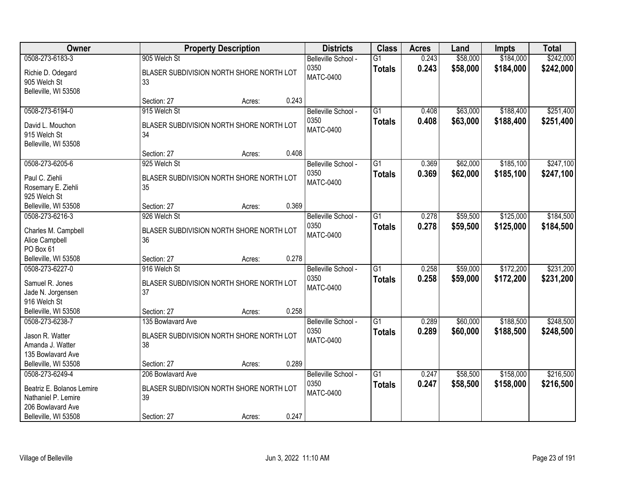| <b>Owner</b>                                                          |                                                          | <b>Property Description</b> |       | <b>Districts</b>                                | <b>Class</b>                     | <b>Acres</b>   | Land                 | <b>Impts</b>           | <b>Total</b>           |
|-----------------------------------------------------------------------|----------------------------------------------------------|-----------------------------|-------|-------------------------------------------------|----------------------------------|----------------|----------------------|------------------------|------------------------|
| 0508-273-6183-3                                                       | 905 Welch St                                             |                             |       | Belleville School -                             | $\overline{G1}$                  | 0.243          | \$58,000             | \$184,000              | \$242,000              |
| Richie D. Odegard<br>905 Welch St<br>Belleville, WI 53508             | BLASER SUBDIVISION NORTH SHORE NORTH LOT<br>33           |                             |       | 0350<br>MATC-0400                               | <b>Totals</b>                    | 0.243          | \$58,000             | \$184,000              | \$242,000              |
|                                                                       | Section: 27                                              | Acres:                      | 0.243 |                                                 |                                  |                |                      |                        |                        |
| 0508-273-6194-0                                                       | 915 Welch St                                             |                             |       | Belleville School -                             | G1                               | 0.408          | \$63,000             | \$188,400              | \$251,400              |
| David L. Mouchon<br>915 Welch St<br>Belleville, WI 53508              | BLASER SUBDIVISION NORTH SHORE NORTH LOT<br>34           |                             |       | 0350<br><b>MATC-0400</b>                        | <b>Totals</b>                    | 0.408          | \$63,000             | \$188,400              | \$251,400              |
|                                                                       | Section: 27                                              | Acres:                      | 0.408 |                                                 |                                  |                |                      |                        |                        |
| 0508-273-6205-6                                                       | 925 Welch St                                             |                             |       | Belleville School -                             | $\overline{G1}$                  | 0.369          | \$62,000             | \$185,100              | \$247,100              |
| Paul C. Ziehli<br>Rosemary E. Ziehli<br>925 Welch St                  | BLASER SUBDIVISION NORTH SHORE NORTH LOT<br>35           |                             |       | 0350<br><b>MATC-0400</b>                        | <b>Totals</b>                    | 0.369          | \$62,000             | \$185,100              | \$247,100              |
| Belleville, WI 53508                                                  | Section: 27                                              | Acres:                      | 0.369 |                                                 |                                  |                |                      |                        |                        |
| 0508-273-6216-3                                                       | 926 Welch St                                             |                             |       | Belleville School -                             | $\overline{G1}$                  | 0.278          | \$59,500             | \$125,000              | \$184,500              |
| Charles M. Campbell<br>Alice Campbell<br>PO Box 61                    | BLASER SUBDIVISION NORTH SHORE NORTH LOT<br>36           |                             |       | 0350<br><b>MATC-0400</b>                        | <b>Totals</b>                    | 0.278          | \$59,500             | \$125,000              | \$184,500              |
| Belleville, WI 53508                                                  | Section: 27                                              | Acres:                      | 0.278 |                                                 |                                  |                |                      |                        |                        |
| 0508-273-6227-0<br>Samuel R. Jones                                    | 916 Welch St<br>BLASER SUBDIVISION NORTH SHORE NORTH LOT |                             |       | Belleville School -<br>0350<br><b>MATC-0400</b> | $\overline{G1}$<br><b>Totals</b> | 0.258<br>0.258 | \$59,000<br>\$59,000 | \$172,200<br>\$172,200 | \$231,200<br>\$231,200 |
| Jade N. Jorgensen                                                     | 37                                                       |                             |       |                                                 |                                  |                |                      |                        |                        |
| 916 Welch St                                                          |                                                          |                             |       |                                                 |                                  |                |                      |                        |                        |
| Belleville, WI 53508<br>0508-273-6238-7                               | Section: 27<br>135 Bowlavard Ave                         | Acres:                      | 0.258 | Belleville School -                             | $\overline{G1}$                  | 0.289          | \$60,000             | \$188,500              | \$248,500              |
| Jason R. Watter<br>Amanda J. Watter                                   | BLASER SUBDIVISION NORTH SHORE NORTH LOT<br>38           |                             |       | 0350<br>MATC-0400                               | <b>Totals</b>                    | 0.289          | \$60,000             | \$188,500              | \$248,500              |
| 135 Bowlavard Ave                                                     |                                                          |                             |       |                                                 |                                  |                |                      |                        |                        |
| Belleville, WI 53508<br>0508-273-6249-4                               | Section: 27<br>206 Bowlavard Ave                         | Acres:                      | 0.289 | Belleville School -                             | $\overline{G1}$                  | 0.247          | \$58,500             | \$158,000              | \$216,500              |
| Beatriz E. Bolanos Lemire<br>Nathaniel P. Lemire<br>206 Bowlavard Ave | BLASER SUBDIVISION NORTH SHORE NORTH LOT<br>39           |                             |       | 0350<br><b>MATC-0400</b>                        | <b>Totals</b>                    | 0.247          | \$58,500             | \$158,000              | \$216,500              |
| Belleville, WI 53508                                                  | Section: 27                                              | Acres:                      | 0.247 |                                                 |                                  |                |                      |                        |                        |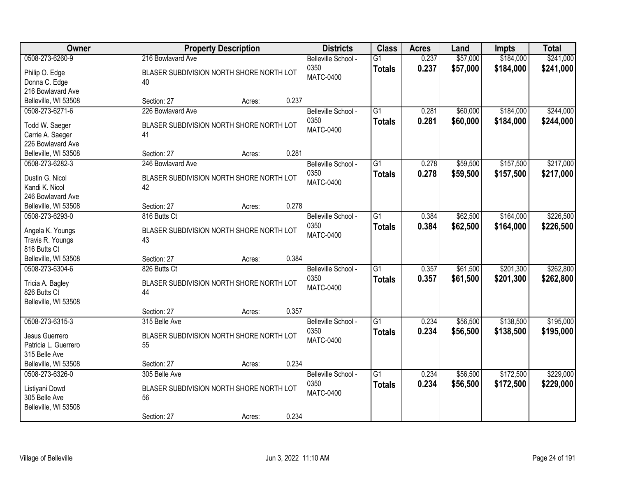| Owner                                  | <b>Property Description</b>              | <b>Districts</b>            | <b>Class</b>                     | <b>Acres</b>   | Land                 | Impts                  | <b>Total</b>           |
|----------------------------------------|------------------------------------------|-----------------------------|----------------------------------|----------------|----------------------|------------------------|------------------------|
| 0508-273-6260-9                        | 216 Bowlavard Ave                        | Belleville School -<br>0350 | $\overline{G1}$<br><b>Totals</b> | 0.237<br>0.237 | \$57,000<br>\$57,000 | \$184,000<br>\$184,000 | \$241,000<br>\$241,000 |
| Philip O. Edge                         | BLASER SUBDIVISION NORTH SHORE NORTH LOT | MATC-0400                   |                                  |                |                      |                        |                        |
| Donna C. Edge                          | 40                                       |                             |                                  |                |                      |                        |                        |
| 216 Bowlavard Ave                      |                                          |                             |                                  |                |                      |                        |                        |
| Belleville, WI 53508                   | 0.237<br>Section: 27<br>Acres:           |                             |                                  |                |                      |                        |                        |
| 0508-273-6271-6                        | 226 Bowlavard Ave                        | Belleville School -         | $\overline{G1}$                  | 0.281          | \$60,000             | \$184,000              | \$244,000              |
| Todd W. Saeger                         | BLASER SUBDIVISION NORTH SHORE NORTH LOT | 0350                        | <b>Totals</b>                    | 0.281          | \$60,000             | \$184,000              | \$244,000              |
| Carrie A. Saeger                       | 41                                       | <b>MATC-0400</b>            |                                  |                |                      |                        |                        |
| 226 Bowlavard Ave                      |                                          |                             |                                  |                |                      |                        |                        |
| Belleville, WI 53508                   | 0.281<br>Section: 27<br>Acres:           |                             |                                  |                |                      |                        |                        |
| 0508-273-6282-3                        | 246 Bowlavard Ave                        | Belleville School -         | $\overline{G1}$                  | 0.278          | \$59,500             | \$157,500              | \$217,000              |
|                                        |                                          | 0350                        | <b>Totals</b>                    | 0.278          | \$59,500             | \$157,500              | \$217,000              |
| Dustin G. Nicol                        | BLASER SUBDIVISION NORTH SHORE NORTH LOT | <b>MATC-0400</b>            |                                  |                |                      |                        |                        |
| Kandi K. Nicol<br>246 Bowlavard Ave    | 42                                       |                             |                                  |                |                      |                        |                        |
| Belleville, WI 53508                   | Section: 27<br>0.278<br>Acres:           |                             |                                  |                |                      |                        |                        |
| 0508-273-6293-0                        | 816 Butts Ct                             | Belleville School -         | $\overline{G1}$                  | 0.384          | \$62,500             | \$164,000              | \$226,500              |
|                                        |                                          | 0350                        |                                  |                |                      |                        |                        |
| Angela K. Youngs                       | BLASER SUBDIVISION NORTH SHORE NORTH LOT | <b>MATC-0400</b>            | <b>Totals</b>                    | 0.384          | \$62,500             | \$164,000              | \$226,500              |
| Travis R. Youngs                       | 43                                       |                             |                                  |                |                      |                        |                        |
| 816 Butts Ct                           |                                          |                             |                                  |                |                      |                        |                        |
| Belleville, WI 53508                   | 0.384<br>Section: 27<br>Acres:           |                             |                                  |                |                      |                        |                        |
| 0508-273-6304-6                        | 826 Butts Ct                             | Belleville School -         | $\overline{G1}$                  | 0.357          | \$61,500             | \$201,300              | \$262,800              |
| Tricia A. Bagley                       | BLASER SUBDIVISION NORTH SHORE NORTH LOT | 0350                        | <b>Totals</b>                    | 0.357          | \$61,500             | \$201,300              | \$262,800              |
| 826 Butts Ct                           | 44                                       | <b>MATC-0400</b>            |                                  |                |                      |                        |                        |
| Belleville, WI 53508                   |                                          |                             |                                  |                |                      |                        |                        |
|                                        | 0.357<br>Section: 27<br>Acres:           |                             |                                  |                |                      |                        |                        |
| 0508-273-6315-3                        | 315 Belle Ave                            | Belleville School -         | $\overline{G1}$                  | 0.234          | \$56,500             | \$138,500              | \$195,000              |
|                                        | BLASER SUBDIVISION NORTH SHORE NORTH LOT | 0350                        | <b>Totals</b>                    | 0.234          | \$56,500             | \$138,500              | \$195,000              |
| Jesus Guerrero<br>Patricia L. Guerrero | 55                                       | <b>MATC-0400</b>            |                                  |                |                      |                        |                        |
| 315 Belle Ave                          |                                          |                             |                                  |                |                      |                        |                        |
| Belleville, WI 53508                   | 0.234<br>Section: 27<br>Acres:           |                             |                                  |                |                      |                        |                        |
| 0508-273-6326-0                        | 305 Belle Ave                            | Belleville School -         | $\overline{G1}$                  | 0.234          | \$56,500             | \$172,500              | \$229,000              |
|                                        |                                          | 0350                        | <b>Totals</b>                    | 0.234          | \$56,500             | \$172,500              | \$229,000              |
| Listiyani Dowd                         | BLASER SUBDIVISION NORTH SHORE NORTH LOT | <b>MATC-0400</b>            |                                  |                |                      |                        |                        |
| 305 Belle Ave                          | 56                                       |                             |                                  |                |                      |                        |                        |
| Belleville, WI 53508                   |                                          |                             |                                  |                |                      |                        |                        |
|                                        | 0.234<br>Section: 27<br>Acres:           |                             |                                  |                |                      |                        |                        |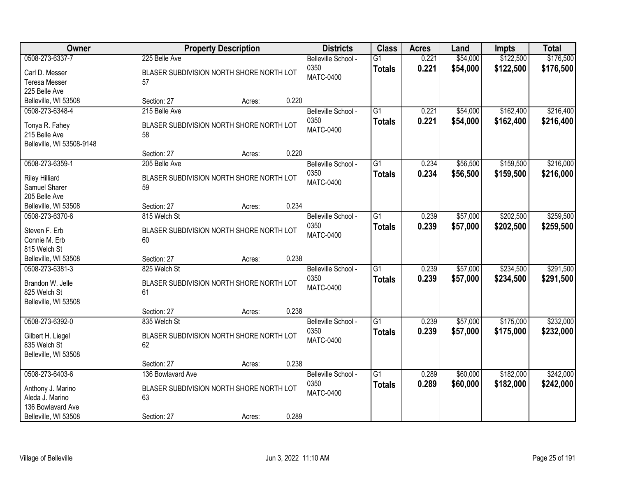| Owner                     |                                          | <b>Property Description</b> |       | <b>Districts</b>    | <b>Class</b>    | <b>Acres</b> | Land     | <b>Impts</b> | <b>Total</b> |
|---------------------------|------------------------------------------|-----------------------------|-------|---------------------|-----------------|--------------|----------|--------------|--------------|
| 0508-273-6337-7           | 225 Belle Ave                            |                             |       | Belleville School - | $\overline{G1}$ | 0.221        | \$54,000 | \$122,500    | \$176,500    |
| Carl D. Messer            | BLASER SUBDIVISION NORTH SHORE NORTH LOT |                             |       | 0350<br>MATC-0400   | <b>Totals</b>   | 0.221        | \$54,000 | \$122,500    | \$176,500    |
| <b>Teresa Messer</b>      | 57                                       |                             |       |                     |                 |              |          |              |              |
| 225 Belle Ave             |                                          |                             |       |                     |                 |              |          |              |              |
| Belleville, WI 53508      | Section: 27                              | Acres:                      | 0.220 |                     |                 |              |          |              |              |
| 0508-273-6348-4           | 215 Belle Ave                            |                             |       | Belleville School - | G1              | 0.221        | \$54,000 | \$162,400    | \$216,400    |
| Tonya R. Fahey            | BLASER SUBDIVISION NORTH SHORE NORTH LOT |                             |       | 0350                | <b>Totals</b>   | 0.221        | \$54,000 | \$162,400    | \$216,400    |
| 215 Belle Ave             | 58                                       |                             |       | <b>MATC-0400</b>    |                 |              |          |              |              |
| Belleville, WI 53508-9148 |                                          |                             |       |                     |                 |              |          |              |              |
|                           | Section: 27                              | Acres:                      | 0.220 |                     |                 |              |          |              |              |
| 0508-273-6359-1           | 205 Belle Ave                            |                             |       | Belleville School - | G1              | 0.234        | \$56,500 | \$159,500    | \$216,000    |
| <b>Riley Hilliard</b>     | BLASER SUBDIVISION NORTH SHORE NORTH LOT |                             |       | 0350                | <b>Totals</b>   | 0.234        | \$56,500 | \$159,500    | \$216,000    |
| Samuel Sharer             | 59                                       |                             |       | MATC-0400           |                 |              |          |              |              |
| 205 Belle Ave             |                                          |                             |       |                     |                 |              |          |              |              |
| Belleville, WI 53508      | Section: 27                              | Acres:                      | 0.234 |                     |                 |              |          |              |              |
| 0508-273-6370-6           | 815 Welch St                             |                             |       | Belleville School - | $\overline{G1}$ | 0.239        | \$57,000 | \$202,500    | \$259,500    |
| Steven F. Erb             | BLASER SUBDIVISION NORTH SHORE NORTH LOT |                             |       | 0350                | <b>Totals</b>   | 0.239        | \$57,000 | \$202,500    | \$259,500    |
| Connie M. Erb             | 60                                       |                             |       | <b>MATC-0400</b>    |                 |              |          |              |              |
| 815 Welch St              |                                          |                             |       |                     |                 |              |          |              |              |
| Belleville, WI 53508      | Section: 27                              | Acres:                      | 0.238 |                     |                 |              |          |              |              |
| 0508-273-6381-3           | 825 Welch St                             |                             |       | Belleville School - | $\overline{G1}$ | 0.239        | \$57,000 | \$234,500    | \$291,500    |
|                           |                                          |                             |       | 0350                | <b>Totals</b>   | 0.239        | \$57,000 | \$234,500    | \$291,500    |
| Brandon W. Jelle          | BLASER SUBDIVISION NORTH SHORE NORTH LOT |                             |       | <b>MATC-0400</b>    |                 |              |          |              |              |
| 825 Welch St              | 61                                       |                             |       |                     |                 |              |          |              |              |
| Belleville, WI 53508      |                                          |                             |       |                     |                 |              |          |              |              |
|                           | Section: 27                              | Acres:                      | 0.238 |                     |                 |              |          |              |              |
| 0508-273-6392-0           | 835 Welch St                             |                             |       | Belleville School - | $\overline{G1}$ | 0.239        | \$57,000 | \$175,000    | \$232,000    |
| Gilbert H. Liegel         | BLASER SUBDIVISION NORTH SHORE NORTH LOT |                             |       | 0350<br>MATC-0400   | <b>Totals</b>   | 0.239        | \$57,000 | \$175,000    | \$232,000    |
| 835 Welch St              | 62                                       |                             |       |                     |                 |              |          |              |              |
| Belleville, WI 53508      |                                          |                             |       |                     |                 |              |          |              |              |
|                           | Section: 27                              | Acres:                      | 0.238 |                     |                 |              |          |              |              |
| 0508-273-6403-6           | 136 Bowlavard Ave                        |                             |       | Belleville School - | $\overline{G1}$ | 0.289        | \$60,000 | \$182,000    | \$242,000    |
| Anthony J. Marino         | BLASER SUBDIVISION NORTH SHORE NORTH LOT |                             |       | 0350                | <b>Totals</b>   | 0.289        | \$60,000 | \$182,000    | \$242,000    |
| Aleda J. Marino           | 63                                       |                             |       | <b>MATC-0400</b>    |                 |              |          |              |              |
| 136 Bowlavard Ave         |                                          |                             |       |                     |                 |              |          |              |              |
| Belleville, WI 53508      | Section: 27                              | Acres:                      | 0.289 |                     |                 |              |          |              |              |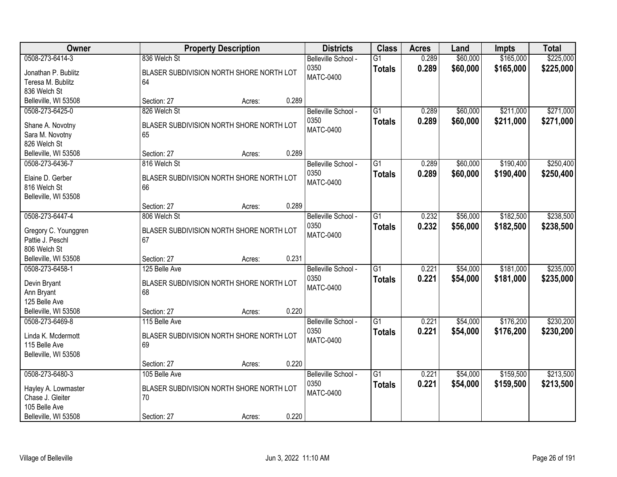| <b>Owner</b>                      | <b>Property Description</b>                    |       | <b>Districts</b>            | <b>Class</b>                     | <b>Acres</b>   | Land                 | <b>Impts</b>           | <b>Total</b>           |
|-----------------------------------|------------------------------------------------|-------|-----------------------------|----------------------------------|----------------|----------------------|------------------------|------------------------|
| 0508-273-6414-3                   | 836 Welch St                                   |       | Belleville School -<br>0350 | $\overline{G1}$<br><b>Totals</b> | 0.289<br>0.289 | \$60,000<br>\$60,000 | \$165,000<br>\$165,000 | \$225,000<br>\$225,000 |
| Jonathan P. Bublitz               | BLASER SUBDIVISION NORTH SHORE NORTH LOT       |       | <b>MATC-0400</b>            |                                  |                |                      |                        |                        |
| Teresa M. Bublitz<br>836 Welch St | 64                                             |       |                             |                                  |                |                      |                        |                        |
| Belleville, WI 53508              | Section: 27<br>Acres:                          | 0.289 |                             |                                  |                |                      |                        |                        |
| 0508-273-6425-0                   | 826 Welch St                                   |       | Belleville School -         | $\overline{G1}$                  | 0.289          | \$60,000             | \$211,000              | \$271,000              |
|                                   |                                                |       | 0350                        | <b>Totals</b>                    | 0.289          | \$60,000             | \$211,000              | \$271,000              |
| Shane A. Novotny                  | BLASER SUBDIVISION NORTH SHORE NORTH LOT       |       | <b>MATC-0400</b>            |                                  |                |                      |                        |                        |
| Sara M. Novotny                   | 65                                             |       |                             |                                  |                |                      |                        |                        |
| 826 Welch St                      |                                                |       |                             |                                  |                |                      |                        |                        |
| Belleville, WI 53508              | Section: 27<br>Acres:                          | 0.289 |                             |                                  |                |                      |                        |                        |
| 0508-273-6436-7                   | 816 Welch St                                   |       | Belleville School -         | G1                               | 0.289          | \$60,000             | \$190,400              | \$250,400              |
| Elaine D. Gerber                  | BLASER SUBDIVISION NORTH SHORE NORTH LOT       |       | 0350                        | <b>Totals</b>                    | 0.289          | \$60,000             | \$190,400              | \$250,400              |
| 816 Welch St                      | 66                                             |       | <b>MATC-0400</b>            |                                  |                |                      |                        |                        |
| Belleville, WI 53508              |                                                |       |                             |                                  |                |                      |                        |                        |
|                                   | Section: 27<br>Acres:                          | 0.289 |                             |                                  |                |                      |                        |                        |
| 0508-273-6447-4                   | 806 Welch St                                   |       | Belleville School -         | G1                               | 0.232          | \$56,000             | \$182,500              | \$238,500              |
| Gregory C. Younggren              | BLASER SUBDIVISION NORTH SHORE NORTH LOT       |       | 0350                        | <b>Totals</b>                    | 0.232          | \$56,000             | \$182,500              | \$238,500              |
| Pattie J. Peschl                  | 67                                             |       | <b>MATC-0400</b>            |                                  |                |                      |                        |                        |
| 806 Welch St                      |                                                |       |                             |                                  |                |                      |                        |                        |
| Belleville, WI 53508              | Section: 27<br>Acres:                          | 0.231 |                             |                                  |                |                      |                        |                        |
| 0508-273-6458-1                   | 125 Belle Ave                                  |       | Belleville School -         | $\overline{G1}$                  | 0.221          | \$54,000             | \$181,000              | \$235,000              |
|                                   |                                                |       | 0350                        | <b>Totals</b>                    | 0.221          | \$54,000             | \$181,000              | \$235,000              |
| Devin Bryant<br>Ann Bryant        | BLASER SUBDIVISION NORTH SHORE NORTH LOT<br>68 |       | <b>MATC-0400</b>            |                                  |                |                      |                        |                        |
| 125 Belle Ave                     |                                                |       |                             |                                  |                |                      |                        |                        |
| Belleville, WI 53508              | Section: 27<br>Acres:                          | 0.220 |                             |                                  |                |                      |                        |                        |
| 0508-273-6469-8                   | 115 Belle Ave                                  |       | Belleville School -         | $\overline{G1}$                  | 0.221          | \$54,000             | \$176,200              | \$230,200              |
|                                   |                                                |       | 0350                        | <b>Totals</b>                    | 0.221          | \$54,000             | \$176,200              | \$230,200              |
| Linda K. Mcdermott                | BLASER SUBDIVISION NORTH SHORE NORTH LOT       |       | <b>MATC-0400</b>            |                                  |                |                      |                        |                        |
| 115 Belle Ave                     | 69                                             |       |                             |                                  |                |                      |                        |                        |
| Belleville, WI 53508              |                                                |       |                             |                                  |                |                      |                        |                        |
| 0508-273-6480-3                   | Section: 27<br>Acres:<br>105 Belle Ave         | 0.220 |                             | $\overline{G1}$                  | 0.221          | \$54,000             | \$159,500              |                        |
|                                   |                                                |       | Belleville School -<br>0350 |                                  |                |                      |                        | \$213,500              |
| Hayley A. Lowmaster               | BLASER SUBDIVISION NORTH SHORE NORTH LOT       |       | <b>MATC-0400</b>            | <b>Totals</b>                    | 0.221          | \$54,000             | \$159,500              | \$213,500              |
| Chase J. Gleiter                  | 70                                             |       |                             |                                  |                |                      |                        |                        |
| 105 Belle Ave                     |                                                |       |                             |                                  |                |                      |                        |                        |
| Belleville, WI 53508              | Section: 27<br>Acres:                          | 0.220 |                             |                                  |                |                      |                        |                        |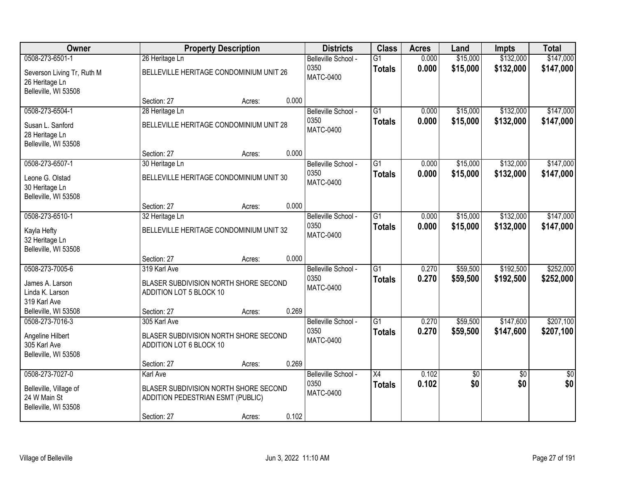| Owner                                                                |                                                                            | <b>Property Description</b> |       | <b>Districts</b>         | <b>Class</b>    | <b>Acres</b> | Land     | <b>Impts</b>    | <b>Total</b> |
|----------------------------------------------------------------------|----------------------------------------------------------------------------|-----------------------------|-------|--------------------------|-----------------|--------------|----------|-----------------|--------------|
| 0508-273-6501-1                                                      | 26 Heritage Ln                                                             |                             |       | Belleville School -      | $\overline{G1}$ | 0.000        | \$15,000 | \$132,000       | \$147,000    |
| Severson Living Tr, Ruth M<br>26 Heritage Ln<br>Belleville, WI 53508 | BELLEVILLE HERITAGE CONDOMINIUM UNIT 26                                    |                             |       | 0350<br><b>MATC-0400</b> | <b>Totals</b>   | 0.000        | \$15,000 | \$132,000       | \$147,000    |
|                                                                      | Section: 27                                                                | Acres:                      | 0.000 |                          |                 |              |          |                 |              |
| 0508-273-6504-1                                                      | 28 Heritage Ln                                                             |                             |       | Belleville School -      | $\overline{G1}$ | 0.000        | \$15,000 | \$132,000       | \$147,000    |
| Susan L. Sanford<br>28 Heritage Ln<br>Belleville, WI 53508           | BELLEVILLE HERITAGE CONDOMINIUM UNIT 28                                    |                             |       | 0350<br><b>MATC-0400</b> | <b>Totals</b>   | 0.000        | \$15,000 | \$132,000       | \$147,000    |
|                                                                      | Section: 27                                                                | Acres:                      | 0.000 |                          |                 |              |          |                 |              |
| 0508-273-6507-1                                                      | 30 Heritage Ln                                                             |                             |       | Belleville School -      | $\overline{G1}$ | 0.000        | \$15,000 | \$132,000       | \$147,000    |
| Leone G. Olstad<br>30 Heritage Ln<br>Belleville, WI 53508            | BELLEVILLE HERITAGE CONDOMINIUM UNIT 30                                    |                             |       | 0350<br><b>MATC-0400</b> | <b>Totals</b>   | 0.000        | \$15,000 | \$132,000       | \$147,000    |
|                                                                      | Section: 27                                                                | Acres:                      | 0.000 |                          |                 |              |          |                 |              |
| 0508-273-6510-1                                                      | 32 Heritage Ln                                                             |                             |       | Belleville School -      | $\overline{G1}$ | 0.000        | \$15,000 | \$132,000       | \$147,000    |
| Kayla Hefty<br>32 Heritage Ln<br>Belleville, WI 53508                | BELLEVILLE HERITAGE CONDOMINIUM UNIT 32                                    |                             |       | 0350<br><b>MATC-0400</b> | <b>Totals</b>   | 0.000        | \$15,000 | \$132,000       | \$147,000    |
|                                                                      | Section: 27                                                                | Acres:                      | 0.000 |                          |                 |              |          |                 |              |
| 0508-273-7005-6                                                      | 319 Karl Ave                                                               |                             |       | Belleville School -      | $\overline{G1}$ | 0.270        | \$59,500 | \$192,500       | \$252,000    |
| James A. Larson<br>Linda K. Larson<br>319 Karl Ave                   | BLASER SUBDIVISION NORTH SHORE SECOND<br>ADDITION LOT 5 BLOCK 10           |                             |       | 0350<br><b>MATC-0400</b> | <b>Totals</b>   | 0.270        | \$59,500 | \$192,500       | \$252,000    |
| Belleville, WI 53508                                                 | Section: 27                                                                | Acres:                      | 0.269 |                          |                 |              |          |                 |              |
| 0508-273-7016-3                                                      | 305 Karl Ave                                                               |                             |       | Belleville School -      | $\overline{G1}$ | 0.270        | \$59,500 | \$147,600       | \$207,100    |
| Angeline Hilbert<br>305 Karl Ave<br>Belleville, WI 53508             | BLASER SUBDIVISION NORTH SHORE SECOND<br>ADDITION LOT 6 BLOCK 10           |                             |       | 0350<br><b>MATC-0400</b> | <b>Totals</b>   | 0.270        | \$59,500 | \$147,600       | \$207,100    |
|                                                                      | Section: 27                                                                | Acres:                      | 0.269 |                          |                 |              |          |                 |              |
| 0508-273-7027-0                                                      | <b>Karl Ave</b>                                                            |                             |       | Belleville School -      | $\overline{X4}$ | 0.102        | \$0      | $\overline{50}$ | $\sqrt{50}$  |
| Belleville, Village of<br>24 W Main St<br>Belleville, WI 53508       | BLASER SUBDIVISION NORTH SHORE SECOND<br>ADDITION PEDESTRIAN ESMT (PUBLIC) |                             |       | 0350<br><b>MATC-0400</b> | <b>Totals</b>   | 0.102        | \$0      | \$0             | \$0          |
|                                                                      | Section: 27                                                                | Acres:                      | 0.102 |                          |                 |              |          |                 |              |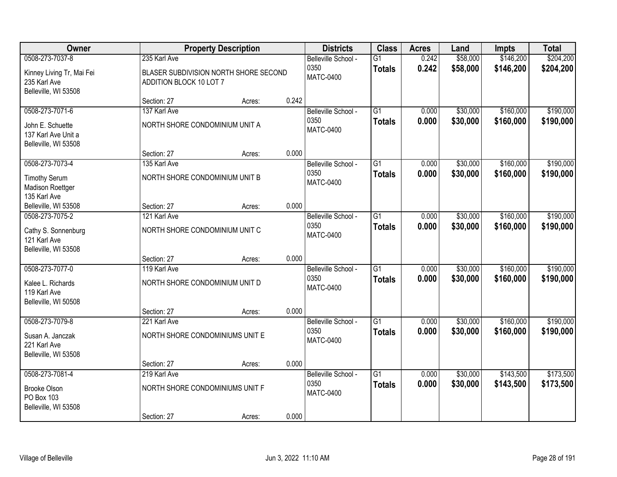| Owner                                                                                |                                                                | <b>Property Description</b>           |       | <b>Districts</b>                                | <b>Class</b>                     | <b>Acres</b>   | Land                 | Impts                  | <b>Total</b>           |
|--------------------------------------------------------------------------------------|----------------------------------------------------------------|---------------------------------------|-------|-------------------------------------------------|----------------------------------|----------------|----------------------|------------------------|------------------------|
| 0508-273-7037-8<br>Kinney Living Tr, Mai Fei<br>235 Karl Ave<br>Belleville, WI 53508 | 235 Karl Ave<br>ADDITION BLOCK 10 LOT 7                        | BLASER SUBDIVISION NORTH SHORE SECOND |       | Belleville School -<br>0350<br>MATC-0400        | $\overline{G1}$<br><b>Totals</b> | 0.242<br>0.242 | \$58,000<br>\$58,000 | \$146,200<br>\$146,200 | \$204,200<br>\$204,200 |
|                                                                                      | Section: 27                                                    | Acres:                                | 0.242 |                                                 |                                  |                |                      |                        |                        |
| 0508-273-7071-6<br>John E. Schuette<br>137 Karl Ave Unit a<br>Belleville, WI 53508   | 137 Karl Ave<br>NORTH SHORE CONDOMINIUM UNIT A                 |                                       |       | Belleville School -<br>0350<br><b>MATC-0400</b> | $\overline{G1}$<br><b>Totals</b> | 0.000<br>0.000 | \$30,000<br>\$30,000 | \$160,000<br>\$160,000 | \$190,000<br>\$190,000 |
|                                                                                      | Section: 27                                                    | Acres:                                | 0.000 |                                                 |                                  |                |                      |                        |                        |
| 0508-273-7073-4<br><b>Timothy Serum</b><br>Madison Roettger<br>135 Karl Ave          | 135 Karl Ave<br>NORTH SHORE CONDOMINIUM UNIT B                 |                                       |       | Belleville School -<br>0350<br><b>MATC-0400</b> | $\overline{G1}$<br><b>Totals</b> | 0.000<br>0.000 | \$30,000<br>\$30,000 | \$160,000<br>\$160,000 | \$190,000<br>\$190,000 |
| Belleville, WI 53508                                                                 | Section: 27                                                    | Acres:                                | 0.000 |                                                 |                                  |                |                      |                        |                        |
| 0508-273-7075-2<br>Cathy S. Sonnenburg<br>121 Karl Ave<br>Belleville, WI 53508       | 121 Karl Ave<br>NORTH SHORE CONDOMINIUM UNIT C                 |                                       |       | Belleville School -<br>0350<br><b>MATC-0400</b> | $\overline{G1}$<br><b>Totals</b> | 0.000<br>0.000 | \$30,000<br>\$30,000 | \$160,000<br>\$160,000 | \$190,000<br>\$190,000 |
|                                                                                      | Section: 27                                                    | Acres:                                | 0.000 |                                                 |                                  |                |                      |                        |                        |
| 0508-273-7077-0<br>Kalee L. Richards<br>119 Karl Ave<br>Belleville, WI 50508         | 119 Karl Ave<br>NORTH SHORE CONDOMINIUM UNIT D<br>Section: 27  | Acres:                                | 0.000 | Belleville School -<br>0350<br><b>MATC-0400</b> | $\overline{G1}$<br><b>Totals</b> | 0.000<br>0.000 | \$30,000<br>\$30,000 | \$160,000<br>\$160,000 | \$190,000<br>\$190,000 |
| 0508-273-7079-8                                                                      | 221 Karl Ave                                                   |                                       |       | Belleville School -                             | $\overline{G1}$                  | 0.000          | \$30,000             | \$160,000              | \$190,000              |
| Susan A. Janczak<br>221 Karl Ave<br>Belleville, WI 53508                             | NORTH SHORE CONDOMINIUMS UNIT E                                |                                       |       | 0350<br>MATC-0400                               | <b>Totals</b>                    | 0.000          | \$30,000             | \$160,000              | \$190,000              |
|                                                                                      | Section: 27                                                    | Acres:                                | 0.000 |                                                 |                                  |                |                      |                        |                        |
| 0508-273-7081-4<br>Brooke Olson<br>PO Box 103<br>Belleville, WI 53508                | 219 Karl Ave<br>NORTH SHORE CONDOMINIUMS UNIT F<br>Section: 27 | Acres:                                | 0.000 | Belleville School -<br>0350<br><b>MATC-0400</b> | $\overline{G1}$<br><b>Totals</b> | 0.000<br>0.000 | \$30,000<br>\$30,000 | \$143,500<br>\$143,500 | \$173,500<br>\$173,500 |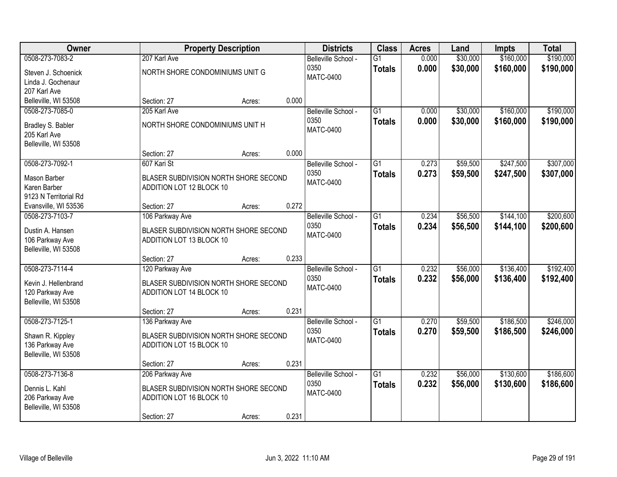| Owner                                   |                                                                   | <b>Property Description</b> |       | <b>Districts</b>    | <b>Class</b>    | <b>Acres</b> | Land     | Impts     | <b>Total</b> |
|-----------------------------------------|-------------------------------------------------------------------|-----------------------------|-------|---------------------|-----------------|--------------|----------|-----------|--------------|
| 0508-273-7083-2                         | 207 Karl Ave                                                      |                             |       | Belleville School - | $\overline{G1}$ | 0.000        | \$30,000 | \$160,000 | \$190,000    |
| Steven J. Schoenick                     | NORTH SHORE CONDOMINIUMS UNIT G                                   |                             |       | 0350                | <b>Totals</b>   | 0.000        | \$30,000 | \$160,000 | \$190,000    |
| Linda J. Gochenaur                      |                                                                   |                             |       | MATC-0400           |                 |              |          |           |              |
| 207 Karl Ave                            |                                                                   |                             |       |                     |                 |              |          |           |              |
| Belleville, WI 53508                    | Section: 27                                                       | Acres:                      | 0.000 |                     |                 |              |          |           |              |
| 0508-273-7085-0                         | 205 Karl Ave                                                      |                             |       | Belleville School - | $\overline{G1}$ | 0.000        | \$30,000 | \$160,000 | \$190,000    |
| Bradley S. Babler                       | NORTH SHORE CONDOMINIUMS UNIT H                                   |                             |       | 0350                | <b>Totals</b>   | 0.000        | \$30,000 | \$160,000 | \$190,000    |
| 205 Karl Ave                            |                                                                   |                             |       | <b>MATC-0400</b>    |                 |              |          |           |              |
| Belleville, WI 53508                    |                                                                   |                             |       |                     |                 |              |          |           |              |
|                                         | Section: 27                                                       | Acres:                      | 0.000 |                     |                 |              |          |           |              |
| 0508-273-7092-1                         | 607 Kari St                                                       |                             |       | Belleville School - | $\overline{G1}$ | 0.273        | \$59,500 | \$247,500 | \$307,000    |
| Mason Barber                            | BLASER SUBDIVISION NORTH SHORE SECOND                             |                             |       | 0350                | <b>Totals</b>   | 0.273        | \$59,500 | \$247,500 | \$307,000    |
| Karen Barber                            | ADDITION LOT 12 BLOCK 10                                          |                             |       | <b>MATC-0400</b>    |                 |              |          |           |              |
| 9123 N Territorial Rd                   |                                                                   |                             |       |                     |                 |              |          |           |              |
| Evansville, WI 53536                    | Section: 27                                                       | Acres:                      | 0.272 |                     |                 |              |          |           |              |
| 0508-273-7103-7                         | 106 Parkway Ave                                                   |                             |       | Belleville School - | $\overline{G1}$ | 0.234        | \$56,500 | \$144,100 | \$200,600    |
| Dustin A. Hansen                        | BLASER SUBDIVISION NORTH SHORE SECOND                             |                             |       | 0350                | <b>Totals</b>   | 0.234        | \$56,500 | \$144,100 | \$200,600    |
| 106 Parkway Ave                         | ADDITION LOT 13 BLOCK 10                                          |                             |       | <b>MATC-0400</b>    |                 |              |          |           |              |
| Belleville, WI 53508                    |                                                                   |                             |       |                     |                 |              |          |           |              |
|                                         | Section: 27                                                       | Acres:                      | 0.233 |                     |                 |              |          |           |              |
| 0508-273-7114-4                         | 120 Parkway Ave                                                   |                             |       | Belleville School - | $\overline{G1}$ | 0.232        | \$56,000 | \$136,400 | \$192,400    |
|                                         |                                                                   |                             |       | 0350                | <b>Totals</b>   | 0.232        | \$56,000 | \$136,400 | \$192,400    |
| Kevin J. Hellenbrand<br>120 Parkway Ave | BLASER SUBDIVISION NORTH SHORE SECOND<br>ADDITION LOT 14 BLOCK 10 |                             |       | <b>MATC-0400</b>    |                 |              |          |           |              |
| Belleville, WI 53508                    |                                                                   |                             |       |                     |                 |              |          |           |              |
|                                         | Section: 27                                                       | Acres:                      | 0.231 |                     |                 |              |          |           |              |
| 0508-273-7125-1                         | 136 Parkway Ave                                                   |                             |       | Belleville School - | $\overline{G1}$ | 0.270        | \$59,500 | \$186,500 | \$246,000    |
| Shawn R. Kippley                        | BLASER SUBDIVISION NORTH SHORE SECOND                             |                             |       | 0350                | <b>Totals</b>   | 0.270        | \$59,500 | \$186,500 | \$246,000    |
| 136 Parkway Ave                         | ADDITION LOT 15 BLOCK 10                                          |                             |       | MATC-0400           |                 |              |          |           |              |
| Belleville, WI 53508                    |                                                                   |                             |       |                     |                 |              |          |           |              |
|                                         | Section: 27                                                       | Acres:                      | 0.231 |                     |                 |              |          |           |              |
| 0508-273-7136-8                         | 206 Parkway Ave                                                   |                             |       | Belleville School - | $\overline{G1}$ | 0.232        | \$56,000 | \$130,600 | \$186,600    |
|                                         |                                                                   |                             |       | 0350                | <b>Totals</b>   | 0.232        | \$56,000 | \$130,600 | \$186,600    |
| Dennis L. Kahl<br>206 Parkway Ave       | BLASER SUBDIVISION NORTH SHORE SECOND<br>ADDITION LOT 16 BLOCK 10 |                             |       | <b>MATC-0400</b>    |                 |              |          |           |              |
| Belleville, WI 53508                    |                                                                   |                             |       |                     |                 |              |          |           |              |
|                                         | Section: 27                                                       | Acres:                      | 0.231 |                     |                 |              |          |           |              |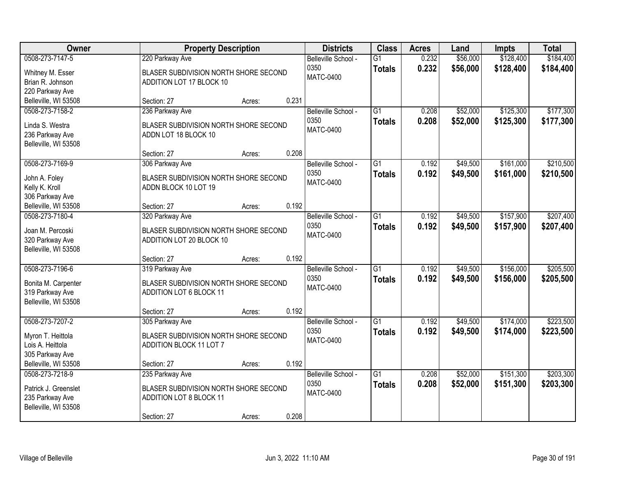| Owner                                                                                                  |                                                                                                                          | <b>Property Description</b> |                | <b>Districts</b>                                | <b>Class</b>                     | <b>Acres</b>   | Land                 | Impts                  | <b>Total</b>           |
|--------------------------------------------------------------------------------------------------------|--------------------------------------------------------------------------------------------------------------------------|-----------------------------|----------------|-------------------------------------------------|----------------------------------|----------------|----------------------|------------------------|------------------------|
| 0508-273-7147-5<br>Whitney M. Esser<br>Brian R. Johnson                                                | 220 Parkway Ave<br>BLASER SUBDIVISION NORTH SHORE SECOND<br>ADDITION LOT 17 BLOCK 10                                     |                             |                | Belleville School -<br>0350<br>MATC-0400        | $\overline{G1}$<br><b>Totals</b> | 0.232<br>0.232 | \$56,000<br>\$56,000 | \$128,400<br>\$128,400 | \$184,400<br>\$184,400 |
| 220 Parkway Ave<br>Belleville, WI 53508                                                                | Section: 27                                                                                                              | Acres:                      | 0.231          |                                                 |                                  |                |                      |                        |                        |
| 0508-273-7158-2<br>Linda S. Westra<br>236 Parkway Ave<br>Belleville, WI 53508                          | 236 Parkway Ave<br>BLASER SUBDIVISION NORTH SHORE SECOND<br>ADDN LOT 18 BLOCK 10                                         |                             |                | Belleville School -<br>0350<br><b>MATC-0400</b> | $\overline{G1}$<br><b>Totals</b> | 0.208<br>0.208 | \$52,000<br>\$52,000 | \$125,300<br>\$125,300 | \$177,300<br>\$177,300 |
| 0508-273-7169-9<br>John A. Foley<br>Kelly K. Kroll<br>306 Parkway Ave                                  | Section: 27<br>306 Parkway Ave<br>BLASER SUBDIVISION NORTH SHORE SECOND<br>ADDN BLOCK 10 LOT 19                          | Acres:                      | 0.208          | Belleville School -<br>0350<br><b>MATC-0400</b> | $\overline{G1}$<br><b>Totals</b> | 0.192<br>0.192 | \$49,500<br>\$49,500 | \$161,000<br>\$161,000 | \$210,500<br>\$210,500 |
| Belleville, WI 53508<br>0508-273-7180-4<br>Joan M. Percoski<br>320 Parkway Ave<br>Belleville, WI 53508 | Section: 27<br>320 Parkway Ave<br>BLASER SUBDIVISION NORTH SHORE SECOND<br>ADDITION LOT 20 BLOCK 10                      | Acres:                      | 0.192          | Belleville School -<br>0350<br><b>MATC-0400</b> | $\overline{G1}$<br><b>Totals</b> | 0.192<br>0.192 | \$49,500<br>\$49,500 | \$157,900<br>\$157,900 | \$207,400<br>\$207,400 |
| 0508-273-7196-6<br>Bonita M. Carpenter<br>319 Parkway Ave<br>Belleville, WI 53508                      | Section: 27<br>319 Parkway Ave<br>BLASER SUBDIVISION NORTH SHORE SECOND<br>ADDITION LOT 6 BLOCK 11                       | Acres:                      | 0.192          | Belleville School -<br>0350<br><b>MATC-0400</b> | $\overline{G1}$<br><b>Totals</b> | 0.192<br>0.192 | \$49,500<br>\$49,500 | \$156,000<br>\$156,000 | \$205,500<br>\$205,500 |
| 0508-273-7207-2<br>Myron T. Heittola<br>Lois A. Heittola<br>305 Parkway Ave<br>Belleville, WI 53508    | Section: 27<br>305 Parkway Ave<br>BLASER SUBDIVISION NORTH SHORE SECOND<br><b>ADDITION BLOCK 11 LOT 7</b><br>Section: 27 | Acres:<br>Acres:            | 0.192<br>0.192 | Belleville School -<br>0350<br><b>MATC-0400</b> | $\overline{G1}$<br><b>Totals</b> | 0.192<br>0.192 | \$49,500<br>\$49,500 | \$174,000<br>\$174,000 | \$223,500<br>\$223,500 |
| 0508-273-7218-9<br>Patrick J. Greenslet<br>235 Parkway Ave<br>Belleville, WI 53508                     | 235 Parkway Ave<br>BLASER SUBDIVISION NORTH SHORE SECOND<br><b>ADDITION LOT 8 BLOCK 11</b><br>Section: 27                | Acres:                      | 0.208          | Belleville School -<br>0350<br><b>MATC-0400</b> | $\overline{G1}$<br><b>Totals</b> | 0.208<br>0.208 | \$52,000<br>\$52,000 | \$151,300<br>\$151,300 | \$203,300<br>\$203,300 |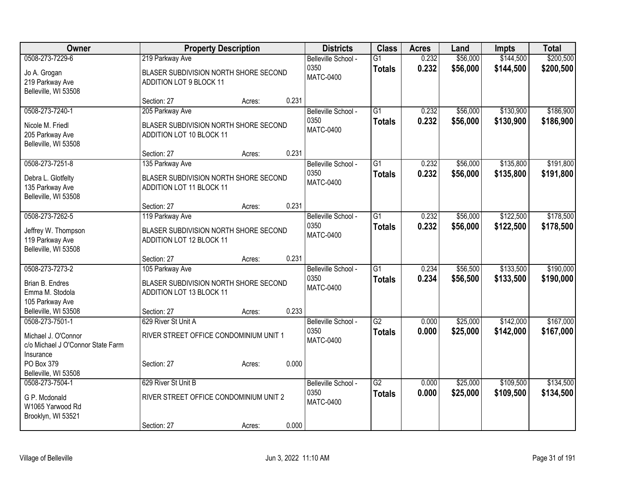| Owner                                   |                                                                   | <b>Property Description</b> |       | <b>Districts</b>            | <b>Class</b>    | <b>Acres</b> | Land     | Impts     | <b>Total</b> |
|-----------------------------------------|-------------------------------------------------------------------|-----------------------------|-------|-----------------------------|-----------------|--------------|----------|-----------|--------------|
| 0508-273-7229-6                         | 219 Parkway Ave                                                   |                             |       | Belleville School -         | $\overline{G1}$ | 0.232        | \$56,000 | \$144,500 | \$200,500    |
| Jo A. Grogan                            | BLASER SUBDIVISION NORTH SHORE SECOND                             |                             |       | 0350<br><b>MATC-0400</b>    | <b>Totals</b>   | 0.232        | \$56,000 | \$144,500 | \$200,500    |
| 219 Parkway Ave                         | ADDITION LOT 9 BLOCK 11                                           |                             |       |                             |                 |              |          |           |              |
| Belleville, WI 53508                    |                                                                   |                             |       |                             |                 |              |          |           |              |
| 0508-273-7240-1                         | Section: 27                                                       | Acres:                      | 0.231 |                             | $\overline{G1}$ | 0.232        | \$56,000 | \$130,900 | \$186,900    |
|                                         | 205 Parkway Ave                                                   |                             |       | Belleville School -<br>0350 |                 | 0.232        | \$56,000 | \$130,900 | \$186,900    |
| Nicole M. Friedl                        | BLASER SUBDIVISION NORTH SHORE SECOND                             |                             |       | <b>MATC-0400</b>            | <b>Totals</b>   |              |          |           |              |
| 205 Parkway Ave                         | ADDITION LOT 10 BLOCK 11                                          |                             |       |                             |                 |              |          |           |              |
| Belleville, WI 53508                    | Section: 27                                                       | Acres:                      | 0.231 |                             |                 |              |          |           |              |
| 0508-273-7251-8                         | 135 Parkway Ave                                                   |                             |       | Belleville School -         | $\overline{G1}$ | 0.232        | \$56,000 | \$135,800 | \$191,800    |
|                                         |                                                                   |                             |       | 0350                        | <b>Totals</b>   | 0.232        | \$56,000 | \$135,800 | \$191,800    |
| Debra L. Glotfelty                      | BLASER SUBDIVISION NORTH SHORE SECOND                             |                             |       | <b>MATC-0400</b>            |                 |              |          |           |              |
| 135 Parkway Ave<br>Belleville, WI 53508 | <b>ADDITION LOT 11 BLOCK 11</b>                                   |                             |       |                             |                 |              |          |           |              |
|                                         | Section: 27                                                       | Acres:                      | 0.231 |                             |                 |              |          |           |              |
| 0508-273-7262-5                         | 119 Parkway Ave                                                   |                             |       | Belleville School -         | $\overline{G1}$ | 0.232        | \$56,000 | \$122,500 | \$178,500    |
|                                         |                                                                   |                             |       | 0350                        | <b>Totals</b>   | 0.232        | \$56,000 | \$122,500 | \$178,500    |
| Jeffrey W. Thompson<br>119 Parkway Ave  | BLASER SUBDIVISION NORTH SHORE SECOND<br>ADDITION LOT 12 BLOCK 11 |                             |       | <b>MATC-0400</b>            |                 |              |          |           |              |
| Belleville, WI 53508                    |                                                                   |                             |       |                             |                 |              |          |           |              |
|                                         | Section: 27                                                       | Acres:                      | 0.231 |                             |                 |              |          |           |              |
| 0508-273-7273-2                         | 105 Parkway Ave                                                   |                             |       | Belleville School -         | $\overline{G1}$ | 0.234        | \$56,500 | \$133,500 | \$190,000    |
| Brian B. Endres                         | BLASER SUBDIVISION NORTH SHORE SECOND                             |                             |       | 0350                        | <b>Totals</b>   | 0.234        | \$56,500 | \$133,500 | \$190,000    |
| Emma M. Stodola                         | ADDITION LOT 13 BLOCK 11                                          |                             |       | MATC-0400                   |                 |              |          |           |              |
| 105 Parkway Ave                         |                                                                   |                             |       |                             |                 |              |          |           |              |
| Belleville, WI 53508                    | Section: 27                                                       | Acres:                      | 0.233 |                             |                 |              |          |           |              |
| 0508-273-7501-1                         | 629 River St Unit A                                               |                             |       | Belleville School -         | $\overline{G2}$ | 0.000        | \$25,000 | \$142,000 | \$167,000    |
| Michael J. O'Connor                     | RIVER STREET OFFICE CONDOMINIUM UNIT 1                            |                             |       | 0350<br><b>MATC-0400</b>    | <b>Totals</b>   | 0.000        | \$25,000 | \$142,000 | \$167,000    |
| c/o Michael J O'Connor State Farm       |                                                                   |                             |       |                             |                 |              |          |           |              |
| Insurance                               |                                                                   |                             |       |                             |                 |              |          |           |              |
| PO Box 379                              | Section: 27                                                       | Acres:                      | 0.000 |                             |                 |              |          |           |              |
| Belleville, WI 53508<br>0508-273-7504-1 | 629 River St Unit B                                               |                             |       | Belleville School -         | $\overline{G2}$ | 0.000        | \$25,000 | \$109,500 | \$134,500    |
|                                         |                                                                   |                             |       | 0350                        | <b>Totals</b>   | 0.000        | \$25,000 | \$109,500 | \$134,500    |
| G P. Mcdonald                           | RIVER STREET OFFICE CONDOMINIUM UNIT 2                            |                             |       | <b>MATC-0400</b>            |                 |              |          |           |              |
| W1065 Yarwood Rd<br>Brooklyn, WI 53521  |                                                                   |                             |       |                             |                 |              |          |           |              |
|                                         | Section: 27                                                       | Acres:                      | 0.000 |                             |                 |              |          |           |              |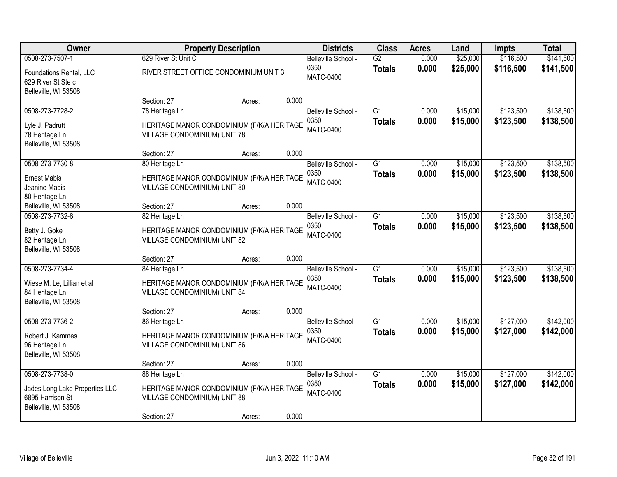| Owner                                                                                         |                                                | <b>Property Description</b>                |       | <b>Districts</b>                                | <b>Class</b>                     | <b>Acres</b>   | Land                 | Impts                  | <b>Total</b>           |
|-----------------------------------------------------------------------------------------------|------------------------------------------------|--------------------------------------------|-------|-------------------------------------------------|----------------------------------|----------------|----------------------|------------------------|------------------------|
| 0508-273-7507-1                                                                               | 629 River St Unit C                            |                                            |       | Belleville School -                             | $\overline{G2}$                  | 0.000          | \$25,000             | \$116,500              | \$141,500              |
| Foundations Rental, LLC<br>629 River St Ste c<br>Belleville, WI 53508                         |                                                | RIVER STREET OFFICE CONDOMINIUM UNIT 3     |       | 0350<br>MATC-0400                               | <b>Totals</b>                    | 0.000          | \$25,000             | \$116,500              | \$141,500              |
|                                                                                               | Section: 27                                    | Acres:                                     | 0.000 |                                                 |                                  |                |                      |                        |                        |
| 0508-273-7728-2                                                                               | 78 Heritage Ln                                 |                                            |       | Belleville School -                             | $\overline{G1}$                  | 0.000          | \$15,000             | \$123,500              | \$138,500              |
| Lyle J. Padrutt<br>78 Heritage Ln<br>Belleville, WI 53508                                     | VILLAGE CONDOMINIUM) UNIT 78                   | HERITAGE MANOR CONDOMINIUM (F/K/A HERITAGE |       | 0350<br><b>MATC-0400</b>                        | <b>Totals</b>                    | 0.000          | \$15,000             | \$123,500              | \$138,500              |
|                                                                                               | Section: 27                                    | Acres:                                     | 0.000 |                                                 |                                  |                |                      |                        |                        |
| 0508-273-7730-8                                                                               | 80 Heritage Ln                                 |                                            |       | Belleville School -                             | $\overline{G1}$                  | 0.000          | \$15,000             | \$123,500              | \$138,500              |
| <b>Ernest Mabis</b><br>Jeanine Mabis<br>80 Heritage Ln                                        | VILLAGE CONDOMINIUM) UNIT 80                   | HERITAGE MANOR CONDOMINIUM (F/K/A HERITAGE |       | 0350<br><b>MATC-0400</b>                        | <b>Totals</b>                    | 0.000          | \$15,000             | \$123,500              | \$138,500              |
| Belleville, WI 53508                                                                          | Section: 27                                    | Acres:                                     | 0.000 |                                                 |                                  |                |                      |                        |                        |
| 0508-273-7732-6                                                                               | 82 Heritage Ln                                 |                                            |       | Belleville School -                             | $\overline{G1}$                  | 0.000          | \$15,000             | \$123,500              | \$138,500              |
| Betty J. Goke<br>82 Heritage Ln<br>Belleville, WI 53508                                       | VILLAGE CONDOMINIUM) UNIT 82                   | HERITAGE MANOR CONDOMINIUM (F/K/A HERITAGE |       | 0350<br><b>MATC-0400</b>                        | <b>Totals</b>                    | 0.000          | \$15,000             | \$123,500              | \$138,500              |
|                                                                                               | Section: 27                                    | Acres:                                     | 0.000 |                                                 |                                  |                |                      |                        |                        |
| 0508-273-7734-4<br>Wiese M. Le, Lillian et al<br>84 Heritage Ln<br>Belleville, WI 53508       | 84 Heritage Ln<br>VILLAGE CONDOMINIUM) UNIT 84 | HERITAGE MANOR CONDOMINIUM (F/K/A HERITAGE |       | Belleville School -<br>0350<br><b>MATC-0400</b> | $\overline{G1}$<br><b>Totals</b> | 0.000<br>0.000 | \$15,000<br>\$15,000 | \$123,500<br>\$123,500 | \$138,500<br>\$138,500 |
|                                                                                               | Section: 27                                    | Acres:                                     | 0.000 |                                                 |                                  |                |                      |                        |                        |
| 0508-273-7736-2                                                                               | 86 Heritage Ln                                 |                                            |       | Belleville School -                             | $\overline{G1}$                  | 0.000          | \$15,000             | \$127,000              | \$142,000              |
| Robert J. Kammes<br>96 Heritage Ln<br>Belleville, WI 53508                                    | VILLAGE CONDOMINIUM) UNIT 86                   | HERITAGE MANOR CONDOMINIUM (F/K/A HERITAGE |       | 0350<br><b>MATC-0400</b>                        | <b>Totals</b>                    | 0.000          | \$15,000             | \$127,000              | \$142,000              |
|                                                                                               | Section: 27                                    | Acres:                                     | 0.000 |                                                 |                                  |                |                      |                        |                        |
| 0508-273-7738-0<br>Jades Long Lake Properties LLC<br>6895 Harrison St<br>Belleville, WI 53508 | 88 Heritage Ln<br>VILLAGE CONDOMINIUM) UNIT 88 | HERITAGE MANOR CONDOMINIUM (F/K/A HERITAGE |       | Belleville School -<br>0350<br><b>MATC-0400</b> | $\overline{G1}$<br><b>Totals</b> | 0.000<br>0.000 | \$15,000<br>\$15,000 | \$127,000<br>\$127,000 | \$142,000<br>\$142,000 |
|                                                                                               | Section: 27                                    | Acres:                                     | 0.000 |                                                 |                                  |                |                      |                        |                        |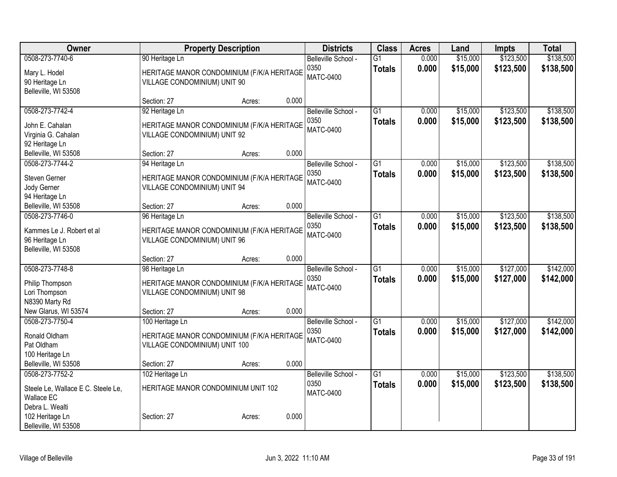| Owner                              | <b>Property Description</b>                                                |        | <b>Districts</b>            | <b>Class</b>    | <b>Acres</b> | Land     | <b>Impts</b> | <b>Total</b> |
|------------------------------------|----------------------------------------------------------------------------|--------|-----------------------------|-----------------|--------------|----------|--------------|--------------|
| 0508-273-7740-6                    | 90 Heritage Ln                                                             |        | Belleville School -         | $\overline{G1}$ | 0.000        | \$15,000 | \$123,500    | \$138,500    |
| Mary L. Hodel                      | HERITAGE MANOR CONDOMINIUM (F/K/A HERITAGE                                 |        | 0350                        | <b>Totals</b>   | 0.000        | \$15,000 | \$123,500    | \$138,500    |
| 90 Heritage Ln                     | VILLAGE CONDOMINIUM) UNIT 90                                               |        | <b>MATC-0400</b>            |                 |              |          |              |              |
| Belleville, WI 53508               |                                                                            |        |                             |                 |              |          |              |              |
|                                    | Section: 27                                                                | Acres: | 0.000                       |                 |              |          |              |              |
| 0508-273-7742-4                    | 92 Heritage Ln                                                             |        | Belleville School -         | $\overline{G1}$ | 0.000        | \$15,000 | \$123,500    | \$138,500    |
| John E. Cahalan                    | HERITAGE MANOR CONDOMINIUM (F/K/A HERITAGE                                 |        | 0350                        | <b>Totals</b>   | 0.000        | \$15,000 | \$123,500    | \$138,500    |
| Virginia G. Cahalan                | VILLAGE CONDOMINIUM) UNIT 92                                               |        | <b>MATC-0400</b>            |                 |              |          |              |              |
| 92 Heritage Ln                     |                                                                            |        |                             |                 |              |          |              |              |
| Belleville, WI 53508               | Section: 27                                                                | Acres: | 0.000                       |                 |              |          |              |              |
| 0508-273-7744-2                    | 94 Heritage Ln                                                             |        | Belleville School -         | G1              | 0.000        | \$15,000 | \$123,500    | \$138,500    |
|                                    |                                                                            |        | 0350                        | <b>Totals</b>   | 0.000        | \$15,000 | \$123,500    | \$138,500    |
| Steven Gerner<br>Jody Gerner       | HERITAGE MANOR CONDOMINIUM (F/K/A HERITAGE<br>VILLAGE CONDOMINIUM) UNIT 94 |        | <b>MATC-0400</b>            |                 |              |          |              |              |
| 94 Heritage Ln                     |                                                                            |        |                             |                 |              |          |              |              |
| Belleville, WI 53508               | Section: 27                                                                | Acres: | 0.000                       |                 |              |          |              |              |
| 0508-273-7746-0                    | 96 Heritage Ln                                                             |        | Belleville School -         | $\overline{G1}$ | 0.000        | \$15,000 | \$123,500    | \$138,500    |
|                                    |                                                                            |        | 0350                        | <b>Totals</b>   | 0.000        | \$15,000 | \$123,500    | \$138,500    |
| Kammes Le J. Robert et al          | HERITAGE MANOR CONDOMINIUM (F/K/A HERITAGE                                 |        | <b>MATC-0400</b>            |                 |              |          |              |              |
| 96 Heritage Ln                     | VILLAGE CONDOMINIUM) UNIT 96                                               |        |                             |                 |              |          |              |              |
| Belleville, WI 53508               |                                                                            |        |                             |                 |              |          |              |              |
| 0508-273-7748-8                    | Section: 27                                                                | Acres: | 0.000                       | $\overline{G1}$ | 0.000        | \$15,000 | \$127,000    | \$142,000    |
|                                    | 98 Heritage Ln                                                             |        | Belleville School -<br>0350 |                 |              |          |              |              |
| Philip Thompson                    | HERITAGE MANOR CONDOMINIUM (F/K/A HERITAGE                                 |        | <b>MATC-0400</b>            | <b>Totals</b>   | 0.000        | \$15,000 | \$127,000    | \$142,000    |
| Lori Thompson                      | VILLAGE CONDOMINIUM) UNIT 98                                               |        |                             |                 |              |          |              |              |
| N8390 Marty Rd                     |                                                                            |        |                             |                 |              |          |              |              |
| New Glarus, WI 53574               | Section: 27                                                                | Acres: | 0.000                       |                 |              |          |              |              |
| 0508-273-7750-4                    | 100 Heritage Ln                                                            |        | Belleville School -         | $\overline{G1}$ | 0.000        | \$15,000 | \$127,000    | \$142,000    |
| Ronald Oldham                      | HERITAGE MANOR CONDOMINIUM (F/K/A HERITAGE                                 |        | 0350                        | <b>Totals</b>   | 0.000        | \$15,000 | \$127,000    | \$142,000    |
| Pat Oldham                         | VILLAGE CONDOMINIUM) UNIT 100                                              |        | <b>MATC-0400</b>            |                 |              |          |              |              |
| 100 Heritage Ln                    |                                                                            |        |                             |                 |              |          |              |              |
| Belleville, WI 53508               | Section: 27                                                                | Acres: | 0.000                       |                 |              |          |              |              |
| 0508-273-7752-2                    | 102 Heritage Ln                                                            |        | Belleville School -         | $\overline{G1}$ | 0.000        | \$15,000 | \$123,500    | \$138,500    |
| Steele Le, Wallace E C. Steele Le, | HERITAGE MANOR CONDOMINIUM UNIT 102                                        |        | 0350                        | <b>Totals</b>   | 0.000        | \$15,000 | \$123,500    | \$138,500    |
| <b>Wallace EC</b>                  |                                                                            |        | <b>MATC-0400</b>            |                 |              |          |              |              |
| Debra L. Wealti                    |                                                                            |        |                             |                 |              |          |              |              |
| 102 Heritage Ln                    | Section: 27                                                                | Acres: | 0.000                       |                 |              |          |              |              |
| Belleville, WI 53508               |                                                                            |        |                             |                 |              |          |              |              |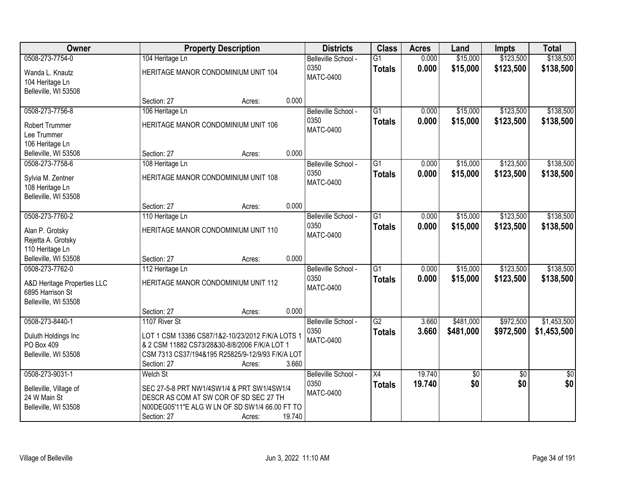| Owner                                           | <b>Property Description</b>                                                                       |                  | <b>Districts</b>    | <b>Class</b>    | <b>Acres</b> | Land            | Impts           | <b>Total</b>    |
|-------------------------------------------------|---------------------------------------------------------------------------------------------------|------------------|---------------------|-----------------|--------------|-----------------|-----------------|-----------------|
| 0508-273-7754-0                                 | 104 Heritage Ln                                                                                   |                  | Belleville School - | $\overline{G1}$ | 0.000        | \$15,000        | \$123,500       | \$138,500       |
| Wanda L. Knautz                                 | HERITAGE MANOR CONDOMINIUM UNIT 104                                                               |                  | 0350                | <b>Totals</b>   | 0.000        | \$15,000        | \$123,500       | \$138,500       |
| 104 Heritage Ln                                 |                                                                                                   |                  | <b>MATC-0400</b>    |                 |              |                 |                 |                 |
| Belleville, WI 53508                            |                                                                                                   |                  |                     |                 |              |                 |                 |                 |
|                                                 | Section: 27                                                                                       | 0.000<br>Acres:  |                     |                 |              |                 |                 |                 |
| 0508-273-7756-8                                 | 106 Heritage Ln                                                                                   |                  | Belleville School - | $\overline{G1}$ | 0.000        | \$15,000        | \$123,500       | \$138,500       |
| <b>Robert Trummer</b>                           | HERITAGE MANOR CONDOMINIUM UNIT 106                                                               |                  | 0350                | <b>Totals</b>   | 0.000        | \$15,000        | \$123,500       | \$138,500       |
| Lee Trummer                                     |                                                                                                   |                  | <b>MATC-0400</b>    |                 |              |                 |                 |                 |
| 106 Heritage Ln                                 |                                                                                                   |                  |                     |                 |              |                 |                 |                 |
| Belleville, WI 53508                            | Section: 27                                                                                       | 0.000<br>Acres:  |                     |                 |              |                 |                 |                 |
| 0508-273-7758-6                                 | 108 Heritage Ln                                                                                   |                  | Belleville School - | G <sub>1</sub>  | 0.000        | \$15,000        | \$123,500       | \$138,500       |
| Sylvia M. Zentner                               | HERITAGE MANOR CONDOMINIUM UNIT 108                                                               |                  | 0350                | <b>Totals</b>   | 0.000        | \$15,000        | \$123,500       | \$138,500       |
| 108 Heritage Ln                                 |                                                                                                   |                  | <b>MATC-0400</b>    |                 |              |                 |                 |                 |
| Belleville, WI 53508                            |                                                                                                   |                  |                     |                 |              |                 |                 |                 |
|                                                 | Section: 27                                                                                       | 0.000<br>Acres:  |                     |                 |              |                 |                 |                 |
| 0508-273-7760-2                                 | 110 Heritage Ln                                                                                   |                  | Belleville School - | G1              | 0.000        | \$15,000        | \$123,500       | \$138,500       |
| Alan P. Grotsky                                 | HERITAGE MANOR CONDOMINIUM UNIT 110                                                               |                  | 0350                | <b>Totals</b>   | 0.000        | \$15,000        | \$123,500       | \$138,500       |
| Rejetta A. Grotsky                              |                                                                                                   |                  | <b>MATC-0400</b>    |                 |              |                 |                 |                 |
| 110 Heritage Ln                                 |                                                                                                   |                  |                     |                 |              |                 |                 |                 |
| Belleville, WI 53508                            | Section: 27                                                                                       | 0.000<br>Acres:  |                     |                 |              |                 |                 |                 |
| 0508-273-7762-0                                 | 112 Heritage Ln                                                                                   |                  | Belleville School - | $\overline{G1}$ | 0.000        | \$15,000        | \$123,500       | \$138,500       |
|                                                 | HERITAGE MANOR CONDOMINIUM UNIT 112                                                               |                  | 0350                | <b>Totals</b>   | 0.000        | \$15,000        | \$123,500       | \$138,500       |
| A&D Heritage Properties LLC<br>6895 Harrison St |                                                                                                   |                  | <b>MATC-0400</b>    |                 |              |                 |                 |                 |
| Belleville, WI 53508                            |                                                                                                   |                  |                     |                 |              |                 |                 |                 |
|                                                 | Section: 27                                                                                       | 0.000<br>Acres:  |                     |                 |              |                 |                 |                 |
| 0508-273-8440-1                                 | 1107 River St                                                                                     |                  | Belleville School - | G2              | 3.660        | \$481,000       | \$972,500       | \$1,453,500     |
|                                                 |                                                                                                   |                  | 0350                | <b>Totals</b>   | 3.660        | \$481,000       | \$972,500       | \$1,453,500     |
| Duluth Holdings Inc<br>PO Box 409               | LOT 1 CSM 13386 CS87/1&2-10/23/2012 F/K/A LOTS 1<br>& 2 CSM 11882 CS73/28&30-8/8/2006 F/K/A LOT 1 |                  | <b>MATC-0400</b>    |                 |              |                 |                 |                 |
| Belleville, WI 53508                            | CSM 7313 CS37/194&195 R25825/9-12/9/93 F/K/A LOT                                                  |                  |                     |                 |              |                 |                 |                 |
|                                                 | Section: 27                                                                                       | 3.660<br>Acres:  |                     |                 |              |                 |                 |                 |
| 0508-273-9031-1                                 | Welch St                                                                                          |                  | Belleville School - | $\overline{X4}$ | 19.740       | $\overline{50}$ | $\overline{50}$ | $\overline{50}$ |
|                                                 |                                                                                                   |                  | 0350                | <b>Totals</b>   | 19.740       | \$0             | \$0             | \$0             |
| Belleville, Village of                          | SEC 27-5-8 PRT NW1/4SW1/4 & PRT SW1/4SW1/4                                                        |                  | <b>MATC-0400</b>    |                 |              |                 |                 |                 |
| 24 W Main St<br>Belleville, WI 53508            | DESCR AS COM AT SW COR OF SD SEC 27 TH<br>N00DEG05'11"E ALG W LN OF SD SW1/4 66.00 FT TO          |                  |                     |                 |              |                 |                 |                 |
|                                                 | Section: 27                                                                                       | 19.740<br>Acres: |                     |                 |              |                 |                 |                 |
|                                                 |                                                                                                   |                  |                     |                 |              |                 |                 |                 |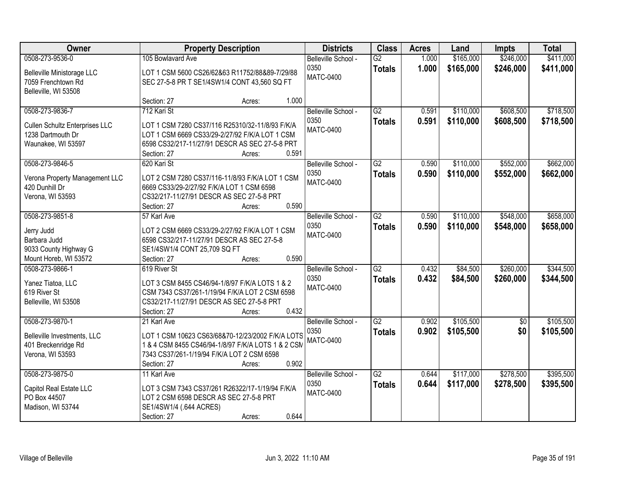| <b>Owner</b>                          | <b>Property Description</b>                        |                 | <b>Districts</b>    | <b>Class</b>    | <b>Acres</b> | Land      | Impts           | <b>Total</b> |
|---------------------------------------|----------------------------------------------------|-----------------|---------------------|-----------------|--------------|-----------|-----------------|--------------|
| 0508-273-9536-0                       | 105 Bowlavard Ave                                  |                 | Belleville School - | $\overline{G2}$ | 1.000        | \$165,000 | \$246,000       | \$411,000    |
| Belleville Ministorage LLC            | LOT 1 CSM 5600 CS26/62&63 R11752/88&89-7/29/88     |                 | 0350                | <b>Totals</b>   | 1.000        | \$165,000 | \$246,000       | \$411,000    |
| 7059 Frenchtown Rd                    | SEC 27-5-8 PR T SE1/4SW1/4 CONT 43,560 SQ FT       |                 | <b>MATC-0400</b>    |                 |              |           |                 |              |
| Belleville, WI 53508                  |                                                    |                 |                     |                 |              |           |                 |              |
|                                       | Section: 27                                        | 1.000<br>Acres: |                     |                 |              |           |                 |              |
| 0508-273-9836-7                       | 712 Kari St                                        |                 | Belleville School - | G2              | 0.591        | \$110,000 | \$608,500       | \$718,500    |
| <b>Cullen Schultz Enterprises LLC</b> | LOT 1 CSM 7280 CS37/116 R25310/32-11/8/93 F/K/A    |                 | 0350                | <b>Totals</b>   | 0.591        | \$110,000 | \$608,500       | \$718,500    |
| 1238 Dartmouth Dr                     | LOT 1 CSM 6669 CS33/29-2/27/92 F/K/A LOT 1 CSM     |                 | <b>MATC-0400</b>    |                 |              |           |                 |              |
| Waunakee, WI 53597                    | 6598 CS32/217-11/27/91 DESCR AS SEC 27-5-8 PRT     |                 |                     |                 |              |           |                 |              |
|                                       | Section: 27                                        | 0.591<br>Acres: |                     |                 |              |           |                 |              |
| 0508-273-9846-5                       | 620 Kari St                                        |                 | Belleville School - | $\overline{G2}$ | 0.590        | \$110,000 | \$552,000       | \$662,000    |
| Verona Property Management LLC        | LOT 2 CSM 7280 CS37/116-11/8/93 F/K/A LOT 1 CSM    |                 | 0350                | <b>Totals</b>   | 0.590        | \$110,000 | \$552,000       | \$662,000    |
| 420 Dunhill Dr                        | 6669 CS33/29-2/27/92 F/K/A LOT 1 CSM 6598          |                 | <b>MATC-0400</b>    |                 |              |           |                 |              |
| Verona, WI 53593                      | CS32/217-11/27/91 DESCR AS SEC 27-5-8 PRT          |                 |                     |                 |              |           |                 |              |
|                                       | Section: 27                                        | 0.590<br>Acres: |                     |                 |              |           |                 |              |
| 0508-273-9851-8                       | 57 Karl Ave                                        |                 | Belleville School - | $\overline{G2}$ | 0.590        | \$110,000 | \$548,000       | \$658,000    |
| Jerry Judd                            | LOT 2 CSM 6669 CS33/29-2/27/92 F/K/A LOT 1 CSM     |                 | 0350                | <b>Totals</b>   | 0.590        | \$110,000 | \$548,000       | \$658,000    |
| Barbara Judd                          | 6598 CS32/217-11/27/91 DESCR AS SEC 27-5-8         |                 | <b>MATC-0400</b>    |                 |              |           |                 |              |
| 9033 County Highway G                 | SE1/4SW1/4 CONT 25,709 SQ FT                       |                 |                     |                 |              |           |                 |              |
| Mount Horeb, WI 53572                 | Section: 27                                        | 0.590<br>Acres: |                     |                 |              |           |                 |              |
| 0508-273-9866-1                       | 619 River St                                       |                 | Belleville School - | $\overline{G2}$ | 0.432        | \$84,500  | \$260,000       | \$344,500    |
| Yanez Tiatoa, LLC                     | LOT 3 CSM 8455 CS46/94-1/8/97 F/K/A LOTS 1 & 2     |                 | 0350                | <b>Totals</b>   | 0.432        | \$84,500  | \$260,000       | \$344,500    |
| 619 River St                          | CSM 7343 CS37/261-1/19/94 F/K/A LOT 2 CSM 6598     |                 | <b>MATC-0400</b>    |                 |              |           |                 |              |
| Belleville, WI 53508                  | CS32/217-11/27/91 DESCR AS SEC 27-5-8 PRT          |                 |                     |                 |              |           |                 |              |
|                                       | Section: 27                                        | 0.432<br>Acres: |                     |                 |              |           |                 |              |
| 0508-273-9870-1                       | 21 Karl Ave                                        |                 | Belleville School - | $\overline{G2}$ | 0.902        | \$105,500 | $\overline{50}$ | \$105,500    |
| Belleville Investments, LLC           | LOT 1 CSM 10623 CS63/68&70-12/23/2002 F/K/A LOTS   |                 | 0350                | <b>Totals</b>   | 0.902        | \$105,500 | \$0             | \$105,500    |
| 401 Breckenridge Rd                   | 1 & 4 CSM 8455 CS46/94-1/8/97 F/K/A LOTS 1 & 2 CSM |                 | <b>MATC-0400</b>    |                 |              |           |                 |              |
| Verona, WI 53593                      | 7343 CS37/261-1/19/94 F/K/A LOT 2 CSM 6598         |                 |                     |                 |              |           |                 |              |
|                                       | Section: 27                                        | 0.902<br>Acres: |                     |                 |              |           |                 |              |
| 0508-273-9875-0                       | 11 Karl Ave                                        |                 | Belleville School - | $\overline{G2}$ | 0.644        | \$117,000 | \$278,500       | \$395,500    |
| Capitol Real Estate LLC               | LOT 3 CSM 7343 CS37/261 R26322/17-1/19/94 F/K/A    |                 | 0350                | <b>Totals</b>   | 0.644        | \$117,000 | \$278,500       | \$395,500    |
| PO Box 44507                          | LOT 2 CSM 6598 DESCR AS SEC 27-5-8 PRT             |                 | <b>MATC-0400</b>    |                 |              |           |                 |              |
| Madison, WI 53744                     | SE1/4SW1/4 (.644 ACRES)                            |                 |                     |                 |              |           |                 |              |
|                                       | Section: 27                                        | 0.644<br>Acres: |                     |                 |              |           |                 |              |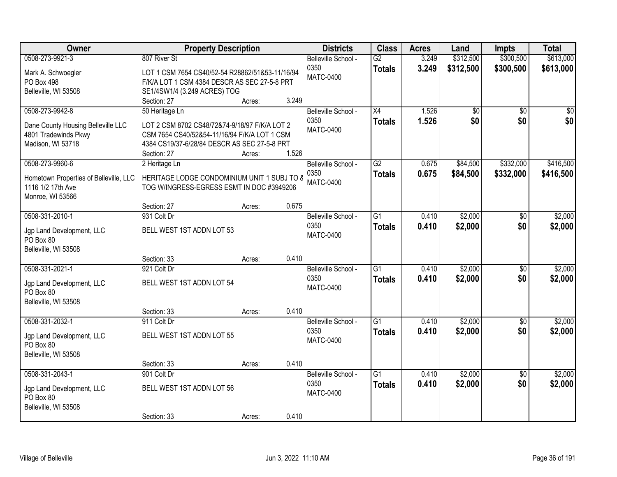| <b>Owner</b>                                                | <b>Property Description</b>                                                              |                 | <b>Districts</b>    | <b>Class</b>    | <b>Acres</b> | Land      | Impts           | <b>Total</b> |
|-------------------------------------------------------------|------------------------------------------------------------------------------------------|-----------------|---------------------|-----------------|--------------|-----------|-----------------|--------------|
| 0508-273-9921-3                                             | 807 River St                                                                             |                 | Belleville School - | $\overline{G2}$ | 3.249        | \$312,500 | \$300,500       | \$613,000    |
| Mark A. Schwoegler                                          | LOT 1 CSM 7654 CS40/52-54 R28862/51&53-11/16/94                                          |                 | 0350                | <b>Totals</b>   | 3.249        | \$312,500 | \$300,500       | \$613,000    |
| PO Box 498                                                  | F/K/A LOT 1 CSM 4384 DESCR AS SEC 27-5-8 PRT                                             |                 | <b>MATC-0400</b>    |                 |              |           |                 |              |
| Belleville, WI 53508                                        | SE1/4SW1/4 (3.249 ACRES) TOG                                                             |                 |                     |                 |              |           |                 |              |
|                                                             | Section: 27                                                                              | 3.249<br>Acres: |                     |                 |              |           |                 |              |
| 0508-273-9942-8                                             | 50 Heritage Ln                                                                           |                 | Belleville School - | $\overline{X4}$ | 1.526        | \$0       | \$0             | $\sqrt{50}$  |
| Dane County Housing Belleville LLC                          | LOT 2 CSM 8702 CS48/72&74-9/18/97 F/K/A LOT 2                                            |                 | 0350                | <b>Totals</b>   | 1.526        | \$0       | \$0             | \$0          |
| 4801 Tradewinds Pkwy                                        | CSM 7654 CS40/52&54-11/16/94 F/K/A LOT 1 CSM                                             |                 | <b>MATC-0400</b>    |                 |              |           |                 |              |
| Madison, WI 53718                                           | 4384 CS19/37-6/28/84 DESCR AS SEC 27-5-8 PRT                                             |                 |                     |                 |              |           |                 |              |
|                                                             | Section: 27                                                                              | 1.526<br>Acres: |                     |                 |              |           |                 |              |
| 0508-273-9960-6                                             | 2 Heritage Ln                                                                            |                 | Belleville School - | $\overline{G2}$ | 0.675        | \$84,500  | \$332,000       | \$416,500    |
|                                                             |                                                                                          |                 | 0350                | <b>Totals</b>   | 0.675        | \$84,500  | \$332,000       | \$416,500    |
| Hometown Properties of Belleville, LLC<br>1116 1/2 17th Ave | HERITAGE LODGE CONDOMINIUM UNIT 1 SUBJ TO 8<br>TOG W/INGRESS-EGRESS ESMT IN DOC #3949206 |                 | <b>MATC-0400</b>    |                 |              |           |                 |              |
| Monroe, WI 53566                                            |                                                                                          |                 |                     |                 |              |           |                 |              |
|                                                             | Section: 27                                                                              | 0.675<br>Acres: |                     |                 |              |           |                 |              |
| 0508-331-2010-1                                             | 931 Colt Dr                                                                              |                 | Belleville School - | $\overline{G1}$ | 0.410        | \$2,000   | \$0             | \$2,000      |
|                                                             |                                                                                          |                 | 0350                | <b>Totals</b>   | 0.410        | \$2,000   | \$0             | \$2,000      |
| Jgp Land Development, LLC                                   | BELL WEST 1ST ADDN LOT 53                                                                |                 | <b>MATC-0400</b>    |                 |              |           |                 |              |
| PO Box 80                                                   |                                                                                          |                 |                     |                 |              |           |                 |              |
| Belleville, WI 53508                                        | Section: 33                                                                              | 0.410<br>Acres: |                     |                 |              |           |                 |              |
| 0508-331-2021-1                                             | 921 Colt Dr                                                                              |                 | Belleville School - | $\overline{G1}$ | 0.410        | \$2,000   | $\overline{50}$ | \$2,000      |
|                                                             |                                                                                          |                 | 0350                | <b>Totals</b>   | 0.410        | \$2,000   | \$0             | \$2,000      |
| Jgp Land Development, LLC                                   | BELL WEST 1ST ADDN LOT 54                                                                |                 | <b>MATC-0400</b>    |                 |              |           |                 |              |
| PO Box 80                                                   |                                                                                          |                 |                     |                 |              |           |                 |              |
| Belleville, WI 53508                                        |                                                                                          |                 |                     |                 |              |           |                 |              |
|                                                             | Section: 33                                                                              | 0.410<br>Acres: |                     |                 |              |           |                 |              |
| 0508-331-2032-1                                             | 911 Colt Dr                                                                              |                 | Belleville School - | G1              | 0.410        | \$2,000   | $\sqrt{6}$      | \$2,000      |
| Jgp Land Development, LLC                                   | BELL WEST 1ST ADDN LOT 55                                                                |                 | 0350                | <b>Totals</b>   | 0.410        | \$2,000   | \$0             | \$2,000      |
| PO Box 80                                                   |                                                                                          |                 | <b>MATC-0400</b>    |                 |              |           |                 |              |
| Belleville, WI 53508                                        |                                                                                          |                 |                     |                 |              |           |                 |              |
|                                                             | Section: 33                                                                              | 0.410<br>Acres: |                     |                 |              |           |                 |              |
| 0508-331-2043-1                                             | 901 Colt Dr                                                                              |                 | Belleville School - | $\overline{G1}$ | 0.410        | \$2,000   | $\overline{50}$ | \$2,000      |
| Jgp Land Development, LLC                                   | BELL WEST 1ST ADDN LOT 56                                                                |                 | 0350                | <b>Totals</b>   | 0.410        | \$2,000   | \$0             | \$2,000      |
| PO Box 80                                                   |                                                                                          |                 | <b>MATC-0400</b>    |                 |              |           |                 |              |
| Belleville, WI 53508                                        |                                                                                          |                 |                     |                 |              |           |                 |              |
|                                                             | Section: 33                                                                              | 0.410<br>Acres: |                     |                 |              |           |                 |              |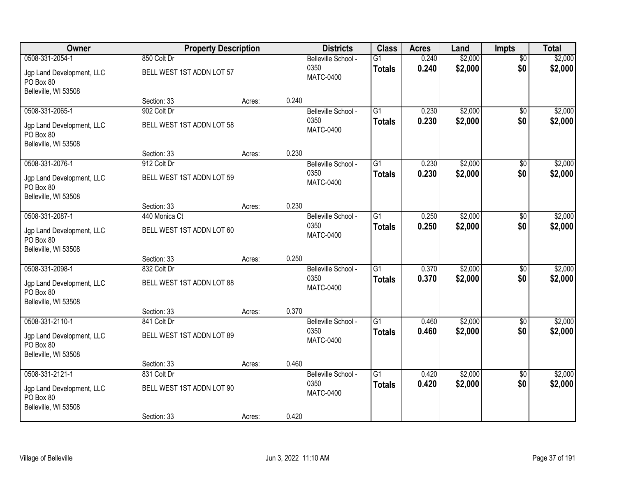| Owner                                                          | <b>Property Description</b> |        |       | <b>Districts</b>            | <b>Class</b>    | <b>Acres</b> | Land    | <b>Impts</b>    | <b>Total</b> |
|----------------------------------------------------------------|-----------------------------|--------|-------|-----------------------------|-----------------|--------------|---------|-----------------|--------------|
| 0508-331-2054-1                                                | 850 Colt Dr                 |        |       | Belleville School -         | $\overline{G1}$ | 0.240        | \$2,000 | $\overline{50}$ | \$2,000      |
| Jgp Land Development, LLC<br>PO Box 80                         | BELL WEST 1ST ADDN LOT 57   |        |       | 0350<br><b>MATC-0400</b>    | <b>Totals</b>   | 0.240        | \$2,000 | \$0             | \$2,000      |
| Belleville, WI 53508                                           |                             |        |       |                             |                 |              |         |                 |              |
|                                                                | Section: 33                 | Acres: | 0.240 |                             |                 |              |         |                 |              |
| 0508-331-2065-1                                                | 902 Colt Dr                 |        |       | Belleville School -<br>0350 | $\overline{G1}$ | 0.230        | \$2,000 | $\overline{50}$ | \$2,000      |
| Jgp Land Development, LLC<br>PO Box 80<br>Belleville, WI 53508 | BELL WEST 1ST ADDN LOT 58   |        |       | <b>MATC-0400</b>            | <b>Totals</b>   | 0.230        | \$2,000 | \$0             | \$2,000      |
|                                                                | Section: 33                 | Acres: | 0.230 |                             |                 |              |         |                 |              |
| 0508-331-2076-1                                                | 912 Colt Dr                 |        |       | Belleville School -         | G1              | 0.230        | \$2,000 | \$0             | \$2,000      |
| Jgp Land Development, LLC<br>PO Box 80                         | BELL WEST 1ST ADDN LOT 59   |        |       | 0350<br><b>MATC-0400</b>    | <b>Totals</b>   | 0.230        | \$2,000 | \$0             | \$2,000      |
| Belleville, WI 53508                                           | Section: 33                 | Acres: | 0.230 |                             |                 |              |         |                 |              |
| 0508-331-2087-1                                                | 440 Monica Ct               |        |       | Belleville School -         | $\overline{G1}$ | 0.250        | \$2,000 | \$0             | \$2,000      |
| Jgp Land Development, LLC<br>PO Box 80<br>Belleville, WI 53508 | BELL WEST 1ST ADDN LOT 60   |        |       | 0350<br><b>MATC-0400</b>    | <b>Totals</b>   | 0.250        | \$2,000 | \$0             | \$2,000      |
|                                                                | Section: 33                 | Acres: | 0.250 |                             |                 |              |         |                 |              |
| 0508-331-2098-1                                                | 832 Colt Dr                 |        |       | Belleville School -         | $\overline{G1}$ | 0.370        | \$2,000 | $\overline{50}$ | \$2,000      |
| Jgp Land Development, LLC<br>PO Box 80<br>Belleville, WI 53508 | BELL WEST 1ST ADDN LOT 88   |        |       | 0350<br><b>MATC-0400</b>    | <b>Totals</b>   | 0.370        | \$2,000 | \$0             | \$2,000      |
|                                                                | Section: 33                 | Acres: | 0.370 |                             |                 |              |         |                 |              |
| 0508-331-2110-1                                                | 841 Colt Dr                 |        |       | Belleville School -         | $\overline{G1}$ | 0.460        | \$2,000 | \$0             | \$2,000      |
| Jgp Land Development, LLC<br>PO Box 80<br>Belleville, WI 53508 | BELL WEST 1ST ADDN LOT 89   |        |       | 0350<br><b>MATC-0400</b>    | <b>Totals</b>   | 0.460        | \$2,000 | \$0             | \$2,000      |
|                                                                | Section: 33                 | Acres: | 0.460 |                             |                 |              |         |                 |              |
| 0508-331-2121-1                                                | 831 Colt Dr                 |        |       | Belleville School -         | $\overline{G1}$ | 0.420        | \$2,000 | $\overline{50}$ | \$2,000      |
| Jgp Land Development, LLC<br>PO Box 80<br>Belleville, WI 53508 | BELL WEST 1ST ADDN LOT 90   |        |       | 0350<br><b>MATC-0400</b>    | <b>Totals</b>   | 0.420        | \$2,000 | \$0             | \$2,000      |
|                                                                | Section: 33                 | Acres: | 0.420 |                             |                 |              |         |                 |              |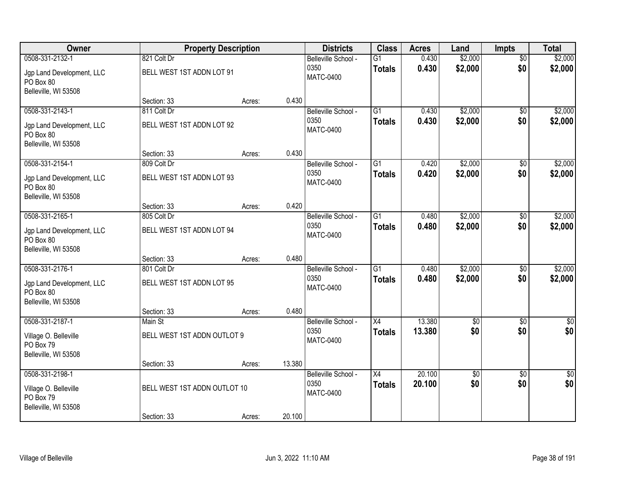| Owner                                                          | <b>Property Description</b>  |        |        | <b>Districts</b>            | <b>Class</b>    | <b>Acres</b>     | Land            | Impts                  | <b>Total</b>         |
|----------------------------------------------------------------|------------------------------|--------|--------|-----------------------------|-----------------|------------------|-----------------|------------------------|----------------------|
| 0508-331-2132-1                                                | 821 Colt Dr                  |        |        | Belleville School -         | $\overline{G1}$ | 0.430            | \$2,000         | $\overline{50}$        | \$2,000              |
| Jgp Land Development, LLC<br>PO Box 80                         | BELL WEST 1ST ADDN LOT 91    |        |        | 0350<br><b>MATC-0400</b>    | <b>Totals</b>   | 0.430            | \$2,000         | \$0                    | \$2,000              |
| Belleville, WI 53508                                           |                              |        |        |                             |                 |                  |                 |                        |                      |
|                                                                | Section: 33                  | Acres: | 0.430  |                             |                 |                  |                 |                        |                      |
| 0508-331-2143-1                                                | 811 Colt Dr                  |        |        | Belleville School -         | $\overline{G1}$ | 0.430            | \$2,000         | $\overline{50}$        | \$2,000              |
| Jgp Land Development, LLC<br>PO Box 80<br>Belleville, WI 53508 | BELL WEST 1ST ADDN LOT 92    |        |        | 0350<br><b>MATC-0400</b>    | <b>Totals</b>   | 0.430            | \$2,000         | \$0                    | \$2,000              |
|                                                                | Section: 33                  | Acres: | 0.430  |                             |                 |                  |                 |                        |                      |
| 0508-331-2154-1                                                | 809 Colt Dr                  |        |        | Belleville School -         | G1              | 0.420            | \$2,000         | \$0                    | \$2,000              |
| Jgp Land Development, LLC<br>PO Box 80                         | BELL WEST 1ST ADDN LOT 93    |        |        | 0350<br><b>MATC-0400</b>    | <b>Totals</b>   | 0.420            | \$2,000         | \$0                    | \$2,000              |
| Belleville, WI 53508                                           | Section: 33                  | Acres: | 0.420  |                             |                 |                  |                 |                        |                      |
| 0508-331-2165-1                                                | 805 Colt Dr                  |        |        | Belleville School -         | $\overline{G1}$ | 0.480            | \$2,000         | \$0                    | \$2,000              |
|                                                                |                              |        |        | 0350                        | <b>Totals</b>   | 0.480            | \$2,000         | \$0                    | \$2,000              |
| Jgp Land Development, LLC<br>PO Box 80<br>Belleville, WI 53508 | BELL WEST 1ST ADDN LOT 94    |        |        | <b>MATC-0400</b>            |                 |                  |                 |                        |                      |
|                                                                | Section: 33                  | Acres: | 0.480  |                             |                 |                  |                 |                        |                      |
| 0508-331-2176-1                                                | 801 Colt Dr                  |        |        | Belleville School -         | $\overline{G1}$ | 0.480            | \$2,000         | $\overline{50}$        | \$2,000              |
| Jgp Land Development, LLC                                      | BELL WEST 1ST ADDN LOT 95    |        |        | 0350<br><b>MATC-0400</b>    | <b>Totals</b>   | 0.480            | \$2,000         | \$0                    | \$2,000              |
| PO Box 80<br>Belleville, WI 53508                              |                              |        |        |                             |                 |                  |                 |                        |                      |
|                                                                | Section: 33                  | Acres: | 0.480  |                             |                 |                  |                 |                        |                      |
| 0508-331-2187-1                                                | Main St                      |        |        | Belleville School -         | $\overline{X4}$ | 13.380           | $\overline{60}$ | $\overline{50}$        | \$0                  |
| Village O. Belleville<br>PO Box 79                             | BELL WEST 1ST ADDN OUTLOT 9  |        |        | 0350<br><b>MATC-0400</b>    | <b>Totals</b>   | 13.380           | \$0             | \$0                    | \$0                  |
| Belleville, WI 53508                                           |                              |        |        |                             |                 |                  |                 |                        |                      |
|                                                                | Section: 33                  | Acres: | 13.380 |                             |                 |                  |                 |                        |                      |
| 0508-331-2198-1                                                |                              |        |        | Belleville School -<br>0350 | $\overline{X4}$ | 20.100<br>20.100 | \$0<br>\$0      | $\overline{50}$<br>\$0 | $\frac{1}{6}$<br>\$0 |
| Village O. Belleville                                          | BELL WEST 1ST ADDN OUTLOT 10 |        |        | <b>MATC-0400</b>            | <b>Totals</b>   |                  |                 |                        |                      |
| PO Box 79                                                      |                              |        |        |                             |                 |                  |                 |                        |                      |
| Belleville, WI 53508                                           | Section: 33                  | Acres: | 20.100 |                             |                 |                  |                 |                        |                      |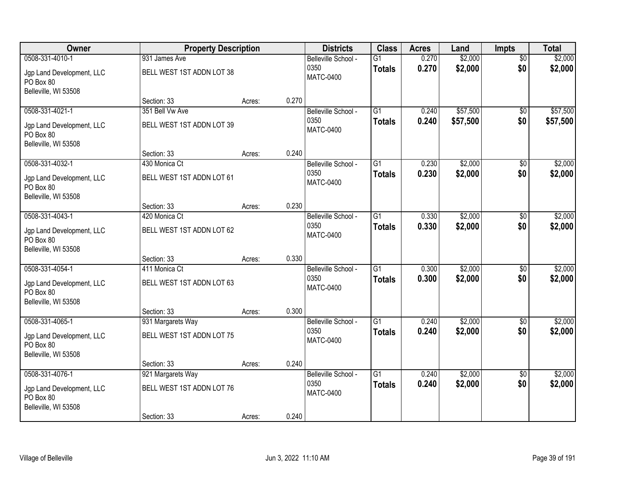| Owner                                                                             | <b>Property Description</b>                                   |        |       | <b>Districts</b>                                | <b>Class</b>                     | <b>Acres</b>   | Land                 | Impts                  | <b>Total</b>         |
|-----------------------------------------------------------------------------------|---------------------------------------------------------------|--------|-------|-------------------------------------------------|----------------------------------|----------------|----------------------|------------------------|----------------------|
| 0508-331-4010-1<br>Jgp Land Development, LLC<br>PO Box 80                         | 931 James Ave<br>BELL WEST 1ST ADDN LOT 38                    |        |       | Belleville School -<br>0350<br><b>MATC-0400</b> | $\overline{G1}$<br><b>Totals</b> | 0.270<br>0.270 | \$2,000<br>\$2,000   | $\overline{50}$<br>\$0 | \$2,000<br>\$2,000   |
| Belleville, WI 53508                                                              | Section: 33                                                   | Acres: | 0.270 |                                                 |                                  |                |                      |                        |                      |
| 0508-331-4021-1<br>Jgp Land Development, LLC<br>PO Box 80<br>Belleville, WI 53508 | 351 Bell Vw Ave<br>BELL WEST 1ST ADDN LOT 39                  |        |       | Belleville School -<br>0350<br><b>MATC-0400</b> | $\overline{G1}$<br><b>Totals</b> | 0.240<br>0.240 | \$57,500<br>\$57,500 | \$0<br>\$0             | \$57,500<br>\$57,500 |
|                                                                                   | Section: 33                                                   | Acres: | 0.240 |                                                 |                                  |                |                      |                        |                      |
| 0508-331-4032-1<br>Jgp Land Development, LLC<br>PO Box 80<br>Belleville, WI 53508 | 430 Monica Ct<br>BELL WEST 1ST ADDN LOT 61                    |        |       | Belleville School -<br>0350<br><b>MATC-0400</b> | G1<br><b>Totals</b>              | 0.230<br>0.230 | \$2,000<br>\$2,000   | \$0<br>\$0             | \$2,000<br>\$2,000   |
|                                                                                   | Section: 33                                                   | Acres: | 0.230 |                                                 |                                  |                |                      |                        |                      |
| 0508-331-4043-1<br>Jgp Land Development, LLC<br>PO Box 80<br>Belleville, WI 53508 | 420 Monica Ct<br>BELL WEST 1ST ADDN LOT 62                    |        |       | Belleville School -<br>0350<br><b>MATC-0400</b> | $\overline{G1}$<br><b>Totals</b> | 0.330<br>0.330 | \$2,000<br>\$2,000   | \$0<br>\$0             | \$2,000<br>\$2,000   |
|                                                                                   | Section: 33                                                   | Acres: | 0.330 |                                                 |                                  |                |                      |                        |                      |
| 0508-331-4054-1<br>Jgp Land Development, LLC<br>PO Box 80<br>Belleville, WI 53508 | 411 Monica Ct<br>BELL WEST 1ST ADDN LOT 63                    |        |       | Belleville School -<br>0350<br><b>MATC-0400</b> | $\overline{G1}$<br><b>Totals</b> | 0.300<br>0.300 | \$2,000<br>\$2,000   | $\overline{50}$<br>\$0 | \$2,000<br>\$2,000   |
| 0508-331-4065-1                                                                   | Section: 33<br>931 Margarets Way                              | Acres: | 0.300 | Belleville School -                             | $\overline{G1}$                  | 0.240          | \$2,000              | $\sqrt{6}$             | \$2,000              |
| Jgp Land Development, LLC<br>PO Box 80<br>Belleville, WI 53508                    | BELL WEST 1ST ADDN LOT 75                                     |        |       | 0350<br><b>MATC-0400</b>                        | <b>Totals</b>                    | 0.240          | \$2,000              | \$0                    | \$2,000              |
|                                                                                   | Section: 33                                                   | Acres: | 0.240 |                                                 |                                  |                |                      |                        |                      |
| 0508-331-4076-1<br>Jgp Land Development, LLC<br>PO Box 80<br>Belleville, WI 53508 | 921 Margarets Way<br>BELL WEST 1ST ADDN LOT 76<br>Section: 33 | Acres: | 0.240 | Belleville School -<br>0350<br><b>MATC-0400</b> | $\overline{G1}$<br><b>Totals</b> | 0.240<br>0.240 | \$2,000<br>\$2,000   | $\overline{50}$<br>\$0 | \$2,000<br>\$2,000   |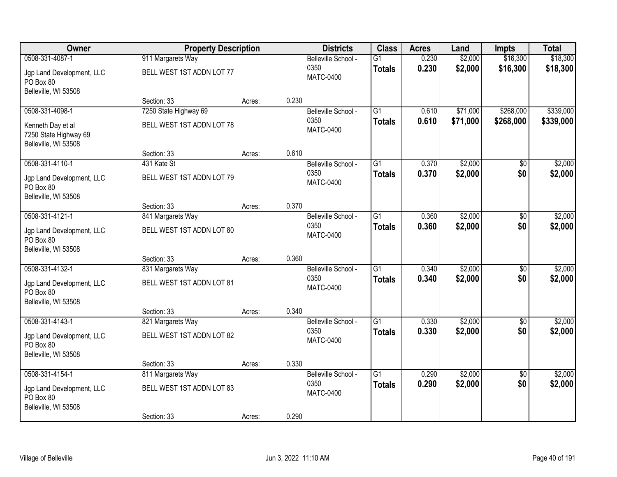| Owner                                                              | <b>Property Description</b> |        |       | <b>Districts</b>            | <b>Class</b>    | <b>Acres</b> | Land     | Impts           | <b>Total</b> |
|--------------------------------------------------------------------|-----------------------------|--------|-------|-----------------------------|-----------------|--------------|----------|-----------------|--------------|
| 0508-331-4087-1                                                    | 911 Margarets Way           |        |       | Belleville School -         | $\overline{G1}$ | 0.230        | \$2,000  | \$16,300        | \$18,300     |
| Jgp Land Development, LLC<br>PO Box 80                             | BELL WEST 1ST ADDN LOT 77   |        |       | 0350<br><b>MATC-0400</b>    | <b>Totals</b>   | 0.230        | \$2,000  | \$16,300        | \$18,300     |
| Belleville, WI 53508                                               |                             |        |       |                             |                 |              |          |                 |              |
|                                                                    | Section: 33                 | Acres: | 0.230 |                             |                 |              |          |                 |              |
| 0508-331-4098-1                                                    | 7250 State Highway 69       |        |       | Belleville School -         | $\overline{G1}$ | 0.610        | \$71,000 | \$268,000       | \$339,000    |
| Kenneth Day et al<br>7250 State Highway 69<br>Belleville, WI 53508 | BELL WEST 1ST ADDN LOT 78   |        |       | 0350<br><b>MATC-0400</b>    | <b>Totals</b>   | 0.610        | \$71,000 | \$268,000       | \$339,000    |
|                                                                    | Section: 33                 | Acres: | 0.610 |                             |                 |              |          |                 |              |
| 0508-331-4110-1                                                    | 431 Kate St                 |        |       | Belleville School -         | G1              | 0.370        | \$2,000  | $\overline{50}$ | \$2,000      |
| Jgp Land Development, LLC<br>PO Box 80<br>Belleville, WI 53508     | BELL WEST 1ST ADDN LOT 79   |        |       | 0350<br><b>MATC-0400</b>    | <b>Totals</b>   | 0.370        | \$2,000  | \$0             | \$2,000      |
|                                                                    | Section: 33                 | Acres: | 0.370 |                             |                 |              |          |                 |              |
| 0508-331-4121-1                                                    | 841 Margarets Way           |        |       | Belleville School -         | $\overline{G1}$ | 0.360        | \$2,000  | $\overline{30}$ | \$2,000      |
| Jgp Land Development, LLC<br>PO Box 80                             | BELL WEST 1ST ADDN LOT 80   |        |       | 0350<br><b>MATC-0400</b>    | <b>Totals</b>   | 0.360        | \$2,000  | \$0             | \$2,000      |
| Belleville, WI 53508                                               |                             |        |       |                             |                 |              |          |                 |              |
|                                                                    | Section: 33                 | Acres: | 0.360 |                             |                 |              |          |                 |              |
| 0508-331-4132-1                                                    | 831 Margarets Way           |        |       | Belleville School -         | $\overline{G1}$ | 0.340        | \$2,000  | \$0             | \$2,000      |
| Jgp Land Development, LLC<br>PO Box 80                             | BELL WEST 1ST ADDN LOT 81   |        |       | 0350<br><b>MATC-0400</b>    | <b>Totals</b>   | 0.340        | \$2,000  | \$0             | \$2,000      |
| Belleville, WI 53508                                               | Section: 33                 |        | 0.340 |                             |                 |              |          |                 |              |
| 0508-331-4143-1                                                    | 821 Margarets Way           | Acres: |       | Belleville School -         | $\overline{G1}$ | 0.330        | \$2,000  | $\sqrt{6}$      | \$2,000      |
|                                                                    |                             |        |       | 0350                        | <b>Totals</b>   | 0.330        | \$2,000  | \$0             | \$2,000      |
| Jgp Land Development, LLC<br>PO Box 80                             | BELL WEST 1ST ADDN LOT 82   |        |       | <b>MATC-0400</b>            |                 |              |          |                 |              |
| Belleville, WI 53508                                               |                             |        |       |                             |                 |              |          |                 |              |
|                                                                    | Section: 33                 | Acres: | 0.330 |                             |                 |              |          |                 |              |
| 0508-331-4154-1                                                    | 811 Margarets Way           |        |       | Belleville School -<br>0350 | $\overline{G1}$ | 0.290        | \$2,000  | $\overline{50}$ | \$2,000      |
| Jgp Land Development, LLC<br>PO Box 80<br>Belleville, WI 53508     | BELL WEST 1ST ADDN LOT 83   |        |       | <b>MATC-0400</b>            | <b>Totals</b>   | 0.290        | \$2,000  | \$0             | \$2,000      |
|                                                                    | Section: 33                 | Acres: | 0.290 |                             |                 |              |          |                 |              |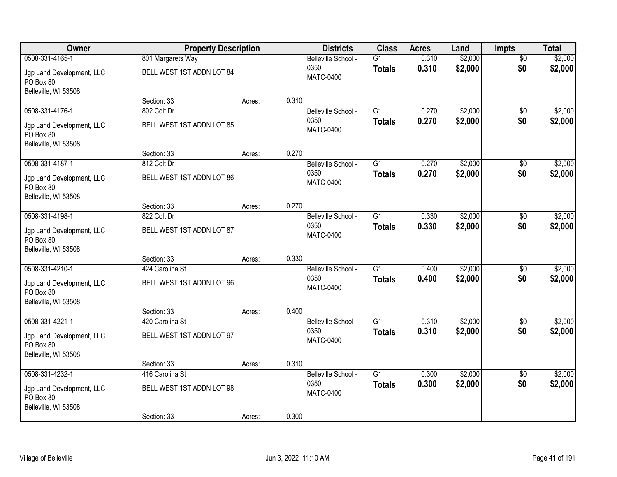| Owner                                                          | <b>Property Description</b> |        |       | <b>Districts</b>            | <b>Class</b>    | <b>Acres</b> | Land    | <b>Impts</b>    | <b>Total</b> |
|----------------------------------------------------------------|-----------------------------|--------|-------|-----------------------------|-----------------|--------------|---------|-----------------|--------------|
| 0508-331-4165-1                                                | 801 Margarets Way           |        |       | Belleville School -         | $\overline{G1}$ | 0.310        | \$2,000 | $\overline{50}$ | \$2,000      |
| Jgp Land Development, LLC<br>PO Box 80                         | BELL WEST 1ST ADDN LOT 84   |        |       | 0350<br><b>MATC-0400</b>    | <b>Totals</b>   | 0.310        | \$2,000 | \$0             | \$2,000      |
| Belleville, WI 53508                                           |                             |        |       |                             |                 |              |         |                 |              |
|                                                                | Section: 33                 | Acres: | 0.310 |                             |                 |              |         |                 |              |
| 0508-331-4176-1                                                | 802 Colt Dr                 |        |       | Belleville School -         | $\overline{G1}$ | 0.270        | \$2,000 | $\overline{50}$ | \$2,000      |
| Jgp Land Development, LLC<br>PO Box 80                         | BELL WEST 1ST ADDN LOT 85   |        |       | 0350<br><b>MATC-0400</b>    | <b>Totals</b>   | 0.270        | \$2,000 | \$0             | \$2,000      |
| Belleville, WI 53508                                           | Section: 33                 | Acres: | 0.270 |                             |                 |              |         |                 |              |
| 0508-331-4187-1                                                | 812 Colt Dr                 |        |       | Belleville School -         | G1              | 0.270        | \$2,000 | $\overline{50}$ | \$2,000      |
|                                                                |                             |        |       | 0350                        | <b>Totals</b>   | 0.270        | \$2,000 | \$0             | \$2,000      |
| Jgp Land Development, LLC<br>PO Box 80                         | BELL WEST 1ST ADDN LOT 86   |        |       | <b>MATC-0400</b>            |                 |              |         |                 |              |
| Belleville, WI 53508                                           |                             |        |       |                             |                 |              |         |                 |              |
| 0508-331-4198-1                                                | Section: 33                 | Acres: | 0.270 |                             | $\overline{G1}$ |              | \$2,000 |                 |              |
|                                                                | 822 Colt Dr                 |        |       | Belleville School -<br>0350 |                 | 0.330        |         | $\overline{30}$ | \$2,000      |
| Jgp Land Development, LLC<br>PO Box 80                         | BELL WEST 1ST ADDN LOT 87   |        |       | <b>MATC-0400</b>            | <b>Totals</b>   | 0.330        | \$2,000 | \$0             | \$2,000      |
| Belleville, WI 53508                                           |                             |        |       |                             |                 |              |         |                 |              |
|                                                                | Section: 33                 | Acres: | 0.330 |                             | $\overline{G1}$ |              |         |                 |              |
| 0508-331-4210-1                                                | 424 Carolina St             |        |       | Belleville School -<br>0350 |                 | 0.400        | \$2,000 | \$0             | \$2,000      |
| Jgp Land Development, LLC<br>PO Box 80                         | BELL WEST 1ST ADDN LOT 96   |        |       | <b>MATC-0400</b>            | <b>Totals</b>   | 0.400        | \$2,000 | \$0             | \$2,000      |
| Belleville, WI 53508                                           |                             |        |       |                             |                 |              |         |                 |              |
|                                                                | Section: 33                 | Acres: | 0.400 |                             |                 |              |         |                 |              |
| 0508-331-4221-1                                                | 420 Carolina St             |        |       | Belleville School -         | $\overline{G1}$ | 0.310        | \$2,000 | $\sqrt{6}$      | \$2,000      |
| Jgp Land Development, LLC<br>PO Box 80                         | BELL WEST 1ST ADDN LOT 97   |        |       | 0350<br><b>MATC-0400</b>    | <b>Totals</b>   | 0.310        | \$2,000 | \$0             | \$2,000      |
| Belleville, WI 53508                                           |                             |        |       |                             |                 |              |         |                 |              |
|                                                                | Section: 33                 | Acres: | 0.310 |                             |                 |              |         |                 |              |
| 0508-331-4232-1                                                | 416 Carolina St             |        |       | Belleville School -         | $\overline{G1}$ | 0.300        | \$2,000 | $\overline{50}$ | \$2,000      |
| Jgp Land Development, LLC<br>PO Box 80<br>Belleville, WI 53508 | BELL WEST 1ST ADDN LOT 98   |        |       | 0350<br><b>MATC-0400</b>    | <b>Totals</b>   | 0.300        | \$2,000 | \$0             | \$2,000      |
|                                                                | Section: 33                 | Acres: | 0.300 |                             |                 |              |         |                 |              |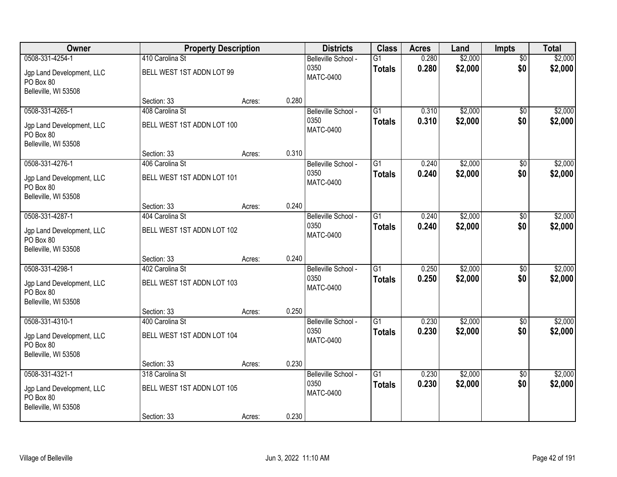| Owner                                                          | <b>Property Description</b>                  |        |       | <b>Districts</b>                                | <b>Class</b>                     | <b>Acres</b>   | Land               | <b>Impts</b>           | <b>Total</b>       |
|----------------------------------------------------------------|----------------------------------------------|--------|-------|-------------------------------------------------|----------------------------------|----------------|--------------------|------------------------|--------------------|
| 0508-331-4254-1<br>Jgp Land Development, LLC<br>PO Box 80      | 410 Carolina St<br>BELL WEST 1ST ADDN LOT 99 |        |       | Belleville School -<br>0350<br><b>MATC-0400</b> | $\overline{G1}$<br><b>Totals</b> | 0.280<br>0.280 | \$2,000<br>\$2,000 | $\overline{50}$<br>\$0 | \$2,000<br>\$2,000 |
| Belleville, WI 53508                                           | Section: 33                                  | Acres: | 0.280 |                                                 |                                  |                |                    |                        |                    |
| 0508-331-4265-1                                                | 408 Carolina St                              |        |       | Belleville School -                             | $\overline{G1}$                  | 0.310          | \$2,000            | $\overline{50}$        | \$2,000            |
| Jgp Land Development, LLC<br>PO Box 80<br>Belleville, WI 53508 | BELL WEST 1ST ADDN LOT 100                   |        |       | 0350<br><b>MATC-0400</b>                        | <b>Totals</b>                    | 0.310          | \$2,000            | \$0                    | \$2,000            |
|                                                                | Section: 33                                  | Acres: | 0.310 |                                                 |                                  |                |                    |                        |                    |
| 0508-331-4276-1                                                | 406 Carolina St                              |        |       | Belleville School -                             | $\overline{G1}$                  | 0.240          | \$2,000            | \$0                    | \$2,000            |
| Jgp Land Development, LLC<br>PO Box 80<br>Belleville, WI 53508 | BELL WEST 1ST ADDN LOT 101                   |        |       | 0350<br><b>MATC-0400</b>                        | <b>Totals</b>                    | 0.240          | \$2,000            | \$0                    | \$2,000            |
|                                                                | Section: 33                                  | Acres: | 0.240 |                                                 |                                  |                |                    |                        |                    |
| 0508-331-4287-1                                                | 404 Carolina St                              |        |       | Belleville School -                             | $\overline{G1}$                  | 0.240          | \$2,000            | $\overline{30}$        | \$2,000            |
| Jgp Land Development, LLC<br>PO Box 80<br>Belleville, WI 53508 | BELL WEST 1ST ADDN LOT 102                   |        |       | 0350<br><b>MATC-0400</b>                        | <b>Totals</b>                    | 0.240          | \$2,000            | \$0                    | \$2,000            |
|                                                                | Section: 33                                  | Acres: | 0.240 |                                                 |                                  |                |                    |                        |                    |
| 0508-331-4298-1                                                | 402 Carolina St                              |        |       | Belleville School -                             | $\overline{G1}$                  | 0.250          | \$2,000            | \$0                    | \$2,000            |
| Jgp Land Development, LLC<br>PO Box 80<br>Belleville, WI 53508 | BELL WEST 1ST ADDN LOT 103                   |        |       | 0350<br><b>MATC-0400</b>                        | <b>Totals</b>                    | 0.250          | \$2,000            | \$0                    | \$2,000            |
|                                                                | Section: 33                                  | Acres: | 0.250 |                                                 |                                  |                |                    |                        |                    |
| 0508-331-4310-1                                                | 400 Carolina St                              |        |       | Belleville School -                             | $\overline{G1}$                  | 0.230          | \$2,000            | \$0                    | \$2,000            |
| Jgp Land Development, LLC<br>PO Box 80                         | BELL WEST 1ST ADDN LOT 104                   |        |       | 0350<br><b>MATC-0400</b>                        | <b>Totals</b>                    | 0.230          | \$2,000            | \$0                    | \$2,000            |
| Belleville, WI 53508                                           | Section: 33                                  | Acres: | 0.230 |                                                 |                                  |                |                    |                        |                    |
| 0508-331-4321-1                                                | 318 Carolina St                              |        |       | Belleville School -                             | $\overline{G1}$                  | 0.230          | \$2,000            | $\overline{50}$        | \$2,000            |
| Jgp Land Development, LLC<br>PO Box 80<br>Belleville, WI 53508 | BELL WEST 1ST ADDN LOT 105                   |        |       | 0350<br><b>MATC-0400</b>                        | <b>Totals</b>                    | 0.230          | \$2,000            | \$0                    | \$2,000            |
|                                                                | Section: 33                                  | Acres: | 0.230 |                                                 |                                  |                |                    |                        |                    |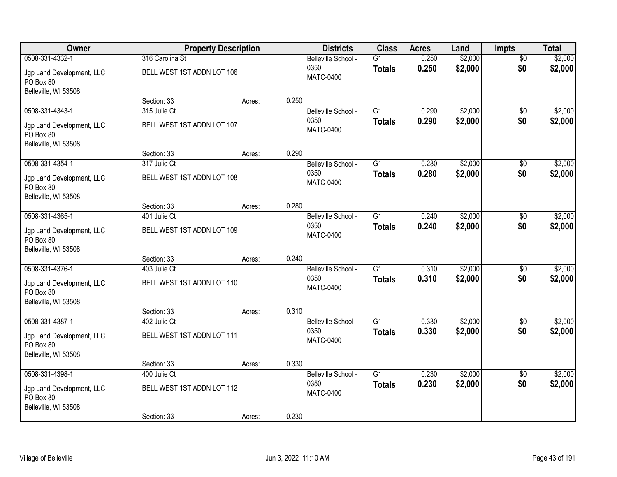| Owner                                                          | <b>Property Description</b> |        |       | <b>Districts</b>         | <b>Class</b>    | <b>Acres</b> | Land    | <b>Impts</b>    | <b>Total</b> |
|----------------------------------------------------------------|-----------------------------|--------|-------|--------------------------|-----------------|--------------|---------|-----------------|--------------|
| 0508-331-4332-1                                                | 316 Carolina St             |        |       | Belleville School -      | $\overline{G1}$ | 0.250        | \$2,000 | $\overline{50}$ | \$2,000      |
| Jgp Land Development, LLC<br>PO Box 80                         | BELL WEST 1ST ADDN LOT 106  |        |       | 0350<br><b>MATC-0400</b> | <b>Totals</b>   | 0.250        | \$2,000 | \$0             | \$2,000      |
| Belleville, WI 53508                                           | Section: 33                 |        | 0.250 |                          |                 |              |         |                 |              |
| 0508-331-4343-1                                                | 315 Julie Ct                | Acres: |       | Belleville School -      | $\overline{G1}$ | 0.290        | \$2,000 | $\overline{50}$ | \$2,000      |
|                                                                |                             |        |       | 0350                     | <b>Totals</b>   | 0.290        | \$2,000 | \$0             | \$2,000      |
| Jgp Land Development, LLC<br>PO Box 80<br>Belleville, WI 53508 | BELL WEST 1ST ADDN LOT 107  |        |       | <b>MATC-0400</b>         |                 |              |         |                 |              |
|                                                                | Section: 33                 | Acres: | 0.290 |                          |                 |              |         |                 |              |
| 0508-331-4354-1                                                | 317 Julie Ct                |        |       | Belleville School -      | G1              | 0.280        | \$2,000 | \$0             | \$2,000      |
| Jgp Land Development, LLC<br>PO Box 80<br>Belleville, WI 53508 | BELL WEST 1ST ADDN LOT 108  |        |       | 0350<br><b>MATC-0400</b> | <b>Totals</b>   | 0.280        | \$2,000 | \$0             | \$2,000      |
|                                                                | Section: 33                 | Acres: | 0.280 |                          |                 |              |         |                 |              |
| 0508-331-4365-1                                                | 401 Julie Ct                |        |       | Belleville School -      | $\overline{G1}$ | 0.240        | \$2,000 | \$0             | \$2,000      |
| Jgp Land Development, LLC<br>PO Box 80<br>Belleville, WI 53508 | BELL WEST 1ST ADDN LOT 109  |        |       | 0350<br><b>MATC-0400</b> | <b>Totals</b>   | 0.240        | \$2,000 | \$0             | \$2,000      |
|                                                                | Section: 33                 | Acres: | 0.240 |                          |                 |              |         |                 |              |
| 0508-331-4376-1                                                | 403 Julie Ct                |        |       | Belleville School -      | $\overline{G1}$ | 0.310        | \$2,000 | $\overline{50}$ | \$2,000      |
|                                                                |                             |        |       | 0350                     | <b>Totals</b>   | 0.310        | \$2,000 | \$0             | \$2,000      |
| Jgp Land Development, LLC<br>PO Box 80                         | BELL WEST 1ST ADDN LOT 110  |        |       | <b>MATC-0400</b>         |                 |              |         |                 |              |
| Belleville, WI 53508                                           |                             |        |       |                          |                 |              |         |                 |              |
|                                                                | Section: 33                 | Acres: | 0.310 |                          |                 |              |         |                 |              |
| 0508-331-4387-1                                                | 402 Julie Ct                |        |       | Belleville School -      | $\overline{G1}$ | 0.330        | \$2,000 | \$0             | \$2,000      |
| Jgp Land Development, LLC<br>PO Box 80                         | BELL WEST 1ST ADDN LOT 111  |        |       | 0350<br><b>MATC-0400</b> | <b>Totals</b>   | 0.330        | \$2,000 | \$0             | \$2,000      |
| Belleville, WI 53508                                           |                             |        |       |                          |                 |              |         |                 |              |
| 0508-331-4398-1                                                | Section: 33<br>400 Julie Ct | Acres: | 0.330 | Belleville School -      | $\overline{G1}$ | 0.230        | \$2,000 | $\overline{50}$ | \$2,000      |
|                                                                |                             |        |       | 0350                     | <b>Totals</b>   | 0.230        | \$2,000 | \$0             | \$2,000      |
| Jgp Land Development, LLC<br>PO Box 80<br>Belleville, WI 53508 | BELL WEST 1ST ADDN LOT 112  |        |       | <b>MATC-0400</b>         |                 |              |         |                 |              |
|                                                                | Section: 33                 | Acres: | 0.230 |                          |                 |              |         |                 |              |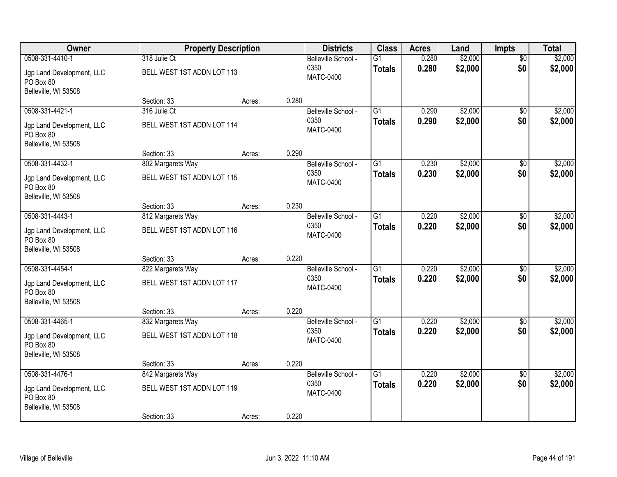| Owner                                                          | <b>Property Description</b> |        |       | <b>Districts</b>         | <b>Class</b>    | <b>Acres</b> | Land    | <b>Impts</b>    | <b>Total</b> |
|----------------------------------------------------------------|-----------------------------|--------|-------|--------------------------|-----------------|--------------|---------|-----------------|--------------|
| 0508-331-4410-1                                                | 318 Julie Ct                |        |       | Belleville School -      | $\overline{G1}$ | 0.280        | \$2,000 | $\overline{50}$ | \$2,000      |
| Jgp Land Development, LLC<br>PO Box 80                         | BELL WEST 1ST ADDN LOT 113  |        |       | 0350<br><b>MATC-0400</b> | <b>Totals</b>   | 0.280        | \$2,000 | \$0             | \$2,000      |
| Belleville, WI 53508                                           |                             |        |       |                          |                 |              |         |                 |              |
|                                                                | Section: 33                 | Acres: | 0.280 |                          |                 |              |         |                 |              |
| 0508-331-4421-1                                                | 316 Julie Ct                |        |       | Belleville School -      | $\overline{G1}$ | 0.290        | \$2,000 | $\overline{50}$ | \$2,000      |
| Jgp Land Development, LLC<br>PO Box 80<br>Belleville, WI 53508 | BELL WEST 1ST ADDN LOT 114  |        |       | 0350<br><b>MATC-0400</b> | <b>Totals</b>   | 0.290        | \$2,000 | \$0             | \$2,000      |
|                                                                | Section: 33                 | Acres: | 0.290 |                          |                 |              |         |                 |              |
| 0508-331-4432-1                                                | 802 Margarets Way           |        |       | Belleville School -      | G1              | 0.230        | \$2,000 | $\overline{50}$ | \$2,000      |
| Jgp Land Development, LLC<br>PO Box 80                         | BELL WEST 1ST ADDN LOT 115  |        |       | 0350<br><b>MATC-0400</b> | <b>Totals</b>   | 0.230        | \$2,000 | \$0             | \$2,000      |
| Belleville, WI 53508                                           |                             |        |       |                          |                 |              |         |                 |              |
|                                                                | Section: 33                 | Acres: | 0.230 |                          |                 |              |         |                 |              |
| 0508-331-4443-1                                                | 812 Margarets Way           |        |       | Belleville School -      | $\overline{G1}$ | 0.220        | \$2,000 | $\overline{30}$ | \$2,000      |
| Jgp Land Development, LLC<br>PO Box 80                         | BELL WEST 1ST ADDN LOT 116  |        |       | 0350<br><b>MATC-0400</b> | <b>Totals</b>   | 0.220        | \$2,000 | \$0             | \$2,000      |
| Belleville, WI 53508                                           | Section: 33                 | Acres: | 0.220 |                          |                 |              |         |                 |              |
| 0508-331-4454-1                                                | 822 Margarets Way           |        |       | Belleville School -      | $\overline{G1}$ | 0.220        | \$2,000 | \$0             | \$2,000      |
|                                                                |                             |        |       | 0350                     | <b>Totals</b>   | 0.220        | \$2,000 | \$0             | \$2,000      |
| Jgp Land Development, LLC<br>PO Box 80                         | BELL WEST 1ST ADDN LOT 117  |        |       | <b>MATC-0400</b>         |                 |              |         |                 |              |
| Belleville, WI 53508                                           |                             |        |       |                          |                 |              |         |                 |              |
|                                                                | Section: 33                 | Acres: | 0.220 |                          |                 |              |         |                 |              |
| 0508-331-4465-1                                                | 832 Margarets Way           |        |       | Belleville School -      | $\overline{G1}$ | 0.220        | \$2,000 | $\sqrt{6}$      | \$2,000      |
| Jgp Land Development, LLC<br>PO Box 80                         | BELL WEST 1ST ADDN LOT 118  |        |       | 0350<br><b>MATC-0400</b> | <b>Totals</b>   | 0.220        | \$2,000 | \$0             | \$2,000      |
| Belleville, WI 53508                                           |                             |        |       |                          |                 |              |         |                 |              |
|                                                                | Section: 33                 | Acres: | 0.220 |                          |                 |              |         |                 |              |
| 0508-331-4476-1                                                | 842 Margarets Way           |        |       | Belleville School -      | $\overline{G1}$ | 0.220        | \$2,000 | $\overline{50}$ | \$2,000      |
| Jgp Land Development, LLC<br>PO Box 80<br>Belleville, WI 53508 | BELL WEST 1ST ADDN LOT 119  |        |       | 0350<br><b>MATC-0400</b> | <b>Totals</b>   | 0.220        | \$2,000 | \$0             | \$2,000      |
|                                                                | Section: 33                 | Acres: | 0.220 |                          |                 |              |         |                 |              |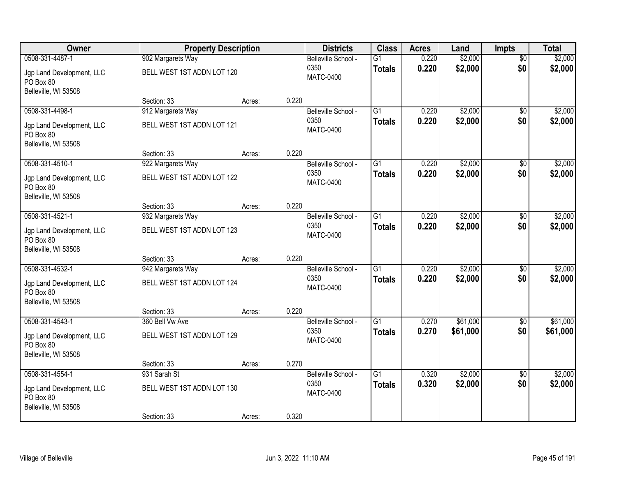| Owner                                                          | <b>Property Description</b> |        |       | <b>Districts</b>         | <b>Class</b>    | <b>Acres</b> | Land     | <b>Impts</b>    | <b>Total</b> |
|----------------------------------------------------------------|-----------------------------|--------|-------|--------------------------|-----------------|--------------|----------|-----------------|--------------|
| 0508-331-4487-1                                                | 902 Margarets Way           |        |       | Belleville School -      | $\overline{G1}$ | 0.220        | \$2,000  | $\overline{50}$ | \$2,000      |
| Jgp Land Development, LLC<br>PO Box 80                         | BELL WEST 1ST ADDN LOT 120  |        |       | 0350<br><b>MATC-0400</b> | <b>Totals</b>   | 0.220        | \$2,000  | \$0             | \$2,000      |
| Belleville, WI 53508                                           |                             |        |       |                          |                 |              |          |                 |              |
|                                                                | Section: 33                 | Acres: | 0.220 |                          |                 |              |          |                 |              |
| 0508-331-4498-1                                                | 912 Margarets Way           |        |       | Belleville School -      | $\overline{G1}$ | 0.220        | \$2,000  | $\overline{50}$ | \$2,000      |
| Jgp Land Development, LLC<br>PO Box 80<br>Belleville, WI 53508 | BELL WEST 1ST ADDN LOT 121  |        |       | 0350<br><b>MATC-0400</b> | <b>Totals</b>   | 0.220        | \$2,000  | \$0             | \$2,000      |
|                                                                | Section: 33                 | Acres: | 0.220 |                          |                 |              |          |                 |              |
| 0508-331-4510-1                                                | 922 Margarets Way           |        |       | Belleville School -      | G1              | 0.220        | \$2,000  | $\overline{50}$ | \$2,000      |
| Jgp Land Development, LLC<br>PO Box 80<br>Belleville, WI 53508 | BELL WEST 1ST ADDN LOT 122  |        |       | 0350<br><b>MATC-0400</b> | <b>Totals</b>   | 0.220        | \$2,000  | \$0             | \$2,000      |
|                                                                | Section: 33                 | Acres: | 0.220 |                          |                 |              |          |                 |              |
| 0508-331-4521-1                                                | 932 Margarets Way           |        |       | Belleville School -      | $\overline{G1}$ | 0.220        | \$2,000  | $\overline{30}$ | \$2,000      |
|                                                                |                             |        |       | 0350                     | <b>Totals</b>   | 0.220        | \$2,000  | \$0             | \$2,000      |
| Jgp Land Development, LLC<br>PO Box 80<br>Belleville, WI 53508 | BELL WEST 1ST ADDN LOT 123  |        |       | <b>MATC-0400</b>         |                 |              |          |                 |              |
|                                                                | Section: 33                 | Acres: | 0.220 |                          |                 |              |          |                 |              |
| 0508-331-4532-1                                                | 942 Margarets Way           |        |       | Belleville School -      | $\overline{G1}$ | 0.220        | \$2,000  | \$0             | \$2,000      |
|                                                                |                             |        |       | 0350                     | <b>Totals</b>   | 0.220        | \$2,000  | \$0             | \$2,000      |
| Jgp Land Development, LLC<br>PO Box 80                         | BELL WEST 1ST ADDN LOT 124  |        |       | <b>MATC-0400</b>         |                 |              |          |                 |              |
| Belleville, WI 53508                                           |                             |        |       |                          |                 |              |          |                 |              |
|                                                                | Section: 33                 | Acres: | 0.220 |                          |                 |              |          |                 |              |
| 0508-331-4543-1                                                | 360 Bell Vw Ave             |        |       | Belleville School -      | $\overline{G1}$ | 0.270        | \$61,000 | $\sqrt{6}$      | \$61,000     |
| Jgp Land Development, LLC<br>PO Box 80                         | BELL WEST 1ST ADDN LOT 129  |        |       | 0350<br><b>MATC-0400</b> | <b>Totals</b>   | 0.270        | \$61,000 | \$0             | \$61,000     |
| Belleville, WI 53508                                           |                             |        |       |                          |                 |              |          |                 |              |
|                                                                | Section: 33                 | Acres: | 0.270 |                          |                 |              |          |                 |              |
| 0508-331-4554-1                                                | 931 Sarah St                |        |       | Belleville School -      | $\overline{G1}$ | 0.320        | \$2,000  | $\overline{50}$ | \$2,000      |
| Jgp Land Development, LLC<br>PO Box 80<br>Belleville, WI 53508 | BELL WEST 1ST ADDN LOT 130  |        |       | 0350<br><b>MATC-0400</b> | <b>Totals</b>   | 0.320        | \$2,000  | \$0             | \$2,000      |
|                                                                | Section: 33                 | Acres: | 0.320 |                          |                 |              |          |                 |              |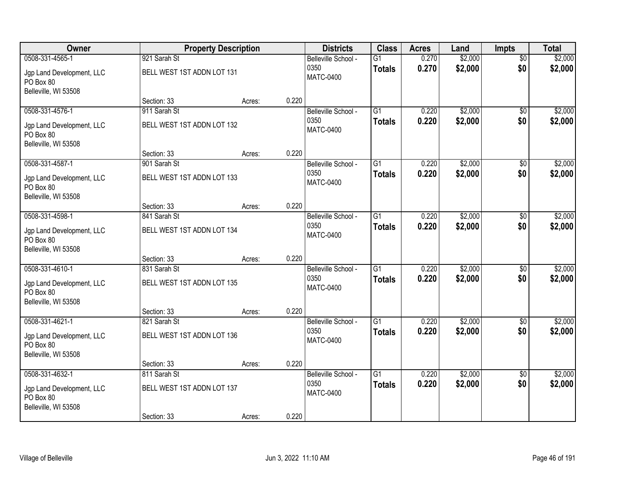| Owner                                                          |                                            | <b>Property Description</b> |       | <b>Districts</b>                                | <b>Class</b>                     | <b>Acres</b>   | Land               | Impts                  | <b>Total</b>       |
|----------------------------------------------------------------|--------------------------------------------|-----------------------------|-------|-------------------------------------------------|----------------------------------|----------------|--------------------|------------------------|--------------------|
| 0508-331-4565-1<br>Jgp Land Development, LLC<br>PO Box 80      | 921 Sarah St<br>BELL WEST 1ST ADDN LOT 131 |                             |       | Belleville School -<br>0350<br><b>MATC-0400</b> | $\overline{G1}$<br><b>Totals</b> | 0.270<br>0.270 | \$2,000<br>\$2,000 | $\overline{50}$<br>\$0 | \$2,000<br>\$2,000 |
| Belleville, WI 53508                                           | Section: 33                                | Acres:                      | 0.220 |                                                 |                                  |                |                    |                        |                    |
| 0508-331-4576-1                                                | 911 Sarah St                               |                             |       | Belleville School -                             | $\overline{G1}$                  | 0.220          | \$2,000            | \$0                    | \$2,000            |
| Jgp Land Development, LLC<br>PO Box 80<br>Belleville, WI 53508 | BELL WEST 1ST ADDN LOT 132                 |                             |       | 0350<br><b>MATC-0400</b>                        | <b>Totals</b>                    | 0.220          | \$2,000            | \$0                    | \$2,000            |
|                                                                | Section: 33                                | Acres:                      | 0.220 |                                                 |                                  |                |                    |                        |                    |
| 0508-331-4587-1                                                | 901 Sarah St                               |                             |       | Belleville School -                             | G1                               | 0.220          | \$2,000            | \$0                    | \$2,000            |
| Jgp Land Development, LLC<br>PO Box 80<br>Belleville, WI 53508 | BELL WEST 1ST ADDN LOT 133                 |                             |       | 0350<br><b>MATC-0400</b>                        | <b>Totals</b>                    | 0.220          | \$2,000            | \$0                    | \$2,000            |
|                                                                | Section: 33                                | Acres:                      | 0.220 |                                                 |                                  |                |                    |                        |                    |
| 0508-331-4598-1                                                | 841 Sarah St                               |                             |       | Belleville School -                             | $\overline{G1}$                  | 0.220          | \$2,000            | \$0                    | \$2,000            |
| Jgp Land Development, LLC<br>PO Box 80<br>Belleville, WI 53508 | BELL WEST 1ST ADDN LOT 134                 |                             |       | 0350<br><b>MATC-0400</b>                        | <b>Totals</b>                    | 0.220          | \$2,000            | \$0                    | \$2,000            |
|                                                                | Section: 33                                | Acres:                      | 0.220 |                                                 |                                  |                |                    |                        |                    |
| 0508-331-4610-1                                                | 831 Sarah St                               |                             |       | Belleville School -                             | $\overline{G1}$                  | 0.220          | \$2,000            | $\overline{50}$        | \$2,000            |
| Jgp Land Development, LLC<br>PO Box 80<br>Belleville, WI 53508 | BELL WEST 1ST ADDN LOT 135                 |                             |       | 0350<br><b>MATC-0400</b>                        | <b>Totals</b>                    | 0.220          | \$2,000            | \$0                    | \$2,000            |
|                                                                | Section: 33                                | Acres:                      | 0.220 |                                                 |                                  |                |                    |                        |                    |
| 0508-331-4621-1                                                | 821 Sarah St                               |                             |       | Belleville School -                             | $\overline{G1}$                  | 0.220          | \$2,000            | $\sqrt{6}$             | \$2,000            |
| Jgp Land Development, LLC<br>PO Box 80                         | BELL WEST 1ST ADDN LOT 136                 |                             |       | 0350<br><b>MATC-0400</b>                        | <b>Totals</b>                    | 0.220          | \$2,000            | \$0                    | \$2,000            |
| Belleville, WI 53508                                           | Section: 33                                |                             | 0.220 |                                                 |                                  |                |                    |                        |                    |
| 0508-331-4632-1                                                | 811 Sarah St                               | Acres:                      |       | Belleville School -                             | $\overline{G1}$                  | 0.220          | \$2,000            | $\overline{50}$        | \$2,000            |
| Jgp Land Development, LLC<br>PO Box 80<br>Belleville, WI 53508 | BELL WEST 1ST ADDN LOT 137                 |                             |       | 0350<br><b>MATC-0400</b>                        | <b>Totals</b>                    | 0.220          | \$2,000            | \$0                    | \$2,000            |
|                                                                | Section: 33                                | Acres:                      | 0.220 |                                                 |                                  |                |                    |                        |                    |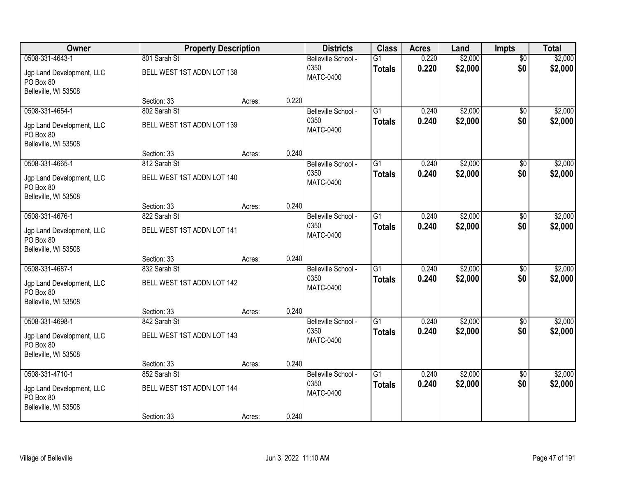| Owner                                                          | <b>Property Description</b> |        |       | <b>Districts</b>         | <b>Class</b>    | <b>Acres</b> | Land    | <b>Impts</b>    | <b>Total</b> |
|----------------------------------------------------------------|-----------------------------|--------|-------|--------------------------|-----------------|--------------|---------|-----------------|--------------|
| 0508-331-4643-1                                                | 801 Sarah St                |        |       | Belleville School -      | $\overline{G1}$ | 0.220        | \$2,000 | $\overline{50}$ | \$2,000      |
| Jgp Land Development, LLC<br>PO Box 80                         | BELL WEST 1ST ADDN LOT 138  |        |       | 0350<br><b>MATC-0400</b> | <b>Totals</b>   | 0.220        | \$2,000 | \$0             | \$2,000      |
| Belleville, WI 53508                                           |                             |        |       |                          |                 |              |         |                 |              |
|                                                                | Section: 33                 | Acres: | 0.220 |                          |                 |              |         |                 |              |
| 0508-331-4654-1                                                | 802 Sarah St                |        |       | Belleville School -      | $\overline{G1}$ | 0.240        | \$2,000 | $\overline{50}$ | \$2,000      |
| Jgp Land Development, LLC<br>PO Box 80<br>Belleville, WI 53508 | BELL WEST 1ST ADDN LOT 139  |        |       | 0350<br><b>MATC-0400</b> | <b>Totals</b>   | 0.240        | \$2,000 | \$0             | \$2,000      |
|                                                                | Section: 33                 | Acres: | 0.240 |                          |                 |              |         |                 |              |
| 0508-331-4665-1                                                | 812 Sarah St                |        |       | Belleville School -      | G1              | 0.240        | \$2,000 | \$0             | \$2,000      |
| Jgp Land Development, LLC<br>PO Box 80<br>Belleville, WI 53508 | BELL WEST 1ST ADDN LOT 140  |        |       | 0350<br><b>MATC-0400</b> | <b>Totals</b>   | 0.240        | \$2,000 | \$0             | \$2,000      |
|                                                                | Section: 33                 | Acres: | 0.240 |                          |                 |              |         |                 |              |
| 0508-331-4676-1                                                | 822 Sarah St                |        |       | Belleville School -      | $\overline{G1}$ | 0.240        | \$2,000 | \$0             | \$2,000      |
| Jgp Land Development, LLC<br>PO Box 80                         | BELL WEST 1ST ADDN LOT 141  |        |       | 0350<br><b>MATC-0400</b> | <b>Totals</b>   | 0.240        | \$2,000 | \$0             | \$2,000      |
| Belleville, WI 53508                                           | Section: 33                 | Acres: | 0.240 |                          |                 |              |         |                 |              |
| 0508-331-4687-1                                                | 832 Sarah St                |        |       | Belleville School -      | $\overline{G1}$ | 0.240        | \$2,000 | $\overline{50}$ | \$2,000      |
|                                                                |                             |        |       | 0350                     | <b>Totals</b>   | 0.240        | \$2,000 | \$0             | \$2,000      |
| Jgp Land Development, LLC<br>PO Box 80                         | BELL WEST 1ST ADDN LOT 142  |        |       | <b>MATC-0400</b>         |                 |              |         |                 |              |
| Belleville, WI 53508                                           |                             |        |       |                          |                 |              |         |                 |              |
|                                                                | Section: 33                 | Acres: | 0.240 |                          |                 |              |         |                 |              |
| 0508-331-4698-1                                                | 842 Sarah St                |        |       | Belleville School -      | $\overline{G1}$ | 0.240        | \$2,000 | \$0             | \$2,000      |
| Jgp Land Development, LLC<br>PO Box 80                         | BELL WEST 1ST ADDN LOT 143  |        |       | 0350<br><b>MATC-0400</b> | <b>Totals</b>   | 0.240        | \$2,000 | \$0             | \$2,000      |
| Belleville, WI 53508                                           |                             |        |       |                          |                 |              |         |                 |              |
| 0508-331-4710-1                                                | Section: 33<br>852 Sarah St | Acres: | 0.240 | Belleville School -      | $\overline{G1}$ | 0.240        | \$2,000 | $\overline{50}$ | \$2,000      |
|                                                                |                             |        |       | 0350                     | <b>Totals</b>   | 0.240        | \$2,000 | \$0             | \$2,000      |
| Jgp Land Development, LLC<br>PO Box 80<br>Belleville, WI 53508 | BELL WEST 1ST ADDN LOT 144  |        |       | <b>MATC-0400</b>         |                 |              |         |                 |              |
|                                                                | Section: 33                 | Acres: | 0.240 |                          |                 |              |         |                 |              |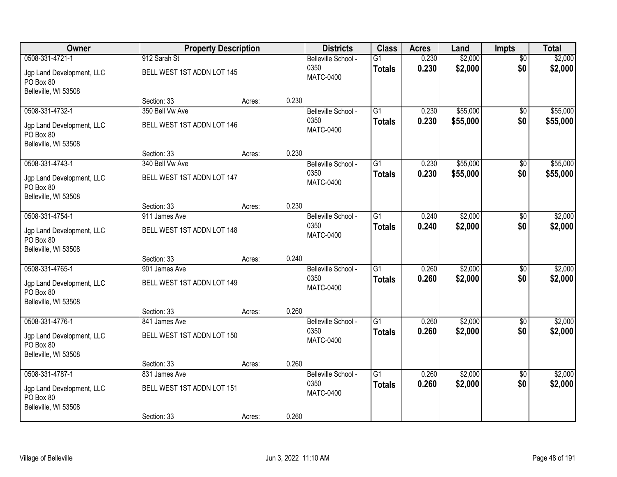| Owner                                                                             |                                                            | <b>Property Description</b> |       | <b>Districts</b>                                | <b>Class</b>                     | <b>Acres</b>   | Land                 | <b>Impts</b>           | <b>Total</b>         |
|-----------------------------------------------------------------------------------|------------------------------------------------------------|-----------------------------|-------|-------------------------------------------------|----------------------------------|----------------|----------------------|------------------------|----------------------|
| 0508-331-4721-1<br>Jgp Land Development, LLC<br>PO Box 80                         | 912 Sarah St<br>BELL WEST 1ST ADDN LOT 145                 |                             |       | Belleville School -<br>0350<br><b>MATC-0400</b> | $\overline{G1}$<br><b>Totals</b> | 0.230<br>0.230 | \$2,000<br>\$2,000   | $\overline{50}$<br>\$0 | \$2,000<br>\$2,000   |
| Belleville, WI 53508                                                              | Section: 33                                                | Acres:                      | 0.230 |                                                 |                                  |                |                      |                        |                      |
| 0508-331-4732-1<br>Jgp Land Development, LLC<br>PO Box 80<br>Belleville, WI 53508 | 350 Bell Vw Ave<br>BELL WEST 1ST ADDN LOT 146              |                             |       | Belleville School -<br>0350<br><b>MATC-0400</b> | $\overline{G1}$<br><b>Totals</b> | 0.230<br>0.230 | \$55,000<br>\$55,000 | $\overline{50}$<br>\$0 | \$55,000<br>\$55,000 |
|                                                                                   | Section: 33                                                | Acres:                      | 0.230 |                                                 |                                  |                |                      |                        |                      |
| 0508-331-4743-1<br>Jgp Land Development, LLC<br>PO Box 80<br>Belleville, WI 53508 | 340 Bell Vw Ave<br>BELL WEST 1ST ADDN LOT 147              |                             |       | Belleville School -<br>0350<br><b>MATC-0400</b> | G1<br><b>Totals</b>              | 0.230<br>0.230 | \$55,000<br>\$55,000 | \$0<br>\$0             | \$55,000<br>\$55,000 |
|                                                                                   | Section: 33                                                | Acres:                      | 0.230 |                                                 |                                  |                |                      |                        |                      |
| 0508-331-4754-1<br>Jgp Land Development, LLC<br>PO Box 80<br>Belleville, WI 53508 | 911 James Ave<br>BELL WEST 1ST ADDN LOT 148                |                             |       | Belleville School -<br>0350<br><b>MATC-0400</b> | $\overline{G1}$<br><b>Totals</b> | 0.240<br>0.240 | \$2,000<br>\$2,000   | $\overline{30}$<br>\$0 | \$2,000<br>\$2,000   |
|                                                                                   | Section: 33                                                | Acres:                      | 0.240 |                                                 |                                  |                |                      |                        |                      |
| 0508-331-4765-1<br>Jgp Land Development, LLC<br>PO Box 80<br>Belleville, WI 53508 | 901 James Ave<br>BELL WEST 1ST ADDN LOT 149                |                             |       | Belleville School -<br>0350<br><b>MATC-0400</b> | $\overline{G1}$<br><b>Totals</b> | 0.260<br>0.260 | \$2,000<br>\$2,000   | \$0<br>\$0             | \$2,000<br>\$2,000   |
|                                                                                   | Section: 33                                                | Acres:                      | 0.260 |                                                 |                                  |                |                      |                        |                      |
| 0508-331-4776-1<br>Jgp Land Development, LLC<br>PO Box 80<br>Belleville, WI 53508 | 841 James Ave<br>BELL WEST 1ST ADDN LOT 150                |                             |       | Belleville School -<br>0350<br><b>MATC-0400</b> | $\overline{G1}$<br><b>Totals</b> | 0.260<br>0.260 | \$2,000<br>\$2,000   | \$0<br>\$0             | \$2,000<br>\$2,000   |
|                                                                                   | Section: 33                                                | Acres:                      | 0.260 |                                                 |                                  |                |                      |                        |                      |
| 0508-331-4787-1<br>Jgp Land Development, LLC<br>PO Box 80<br>Belleville, WI 53508 | 831 James Ave<br>BELL WEST 1ST ADDN LOT 151<br>Section: 33 | Acres:                      | 0.260 | Belleville School -<br>0350<br><b>MATC-0400</b> | $\overline{G1}$<br><b>Totals</b> | 0.260<br>0.260 | \$2,000<br>\$2,000   | $\overline{50}$<br>\$0 | \$2,000<br>\$2,000   |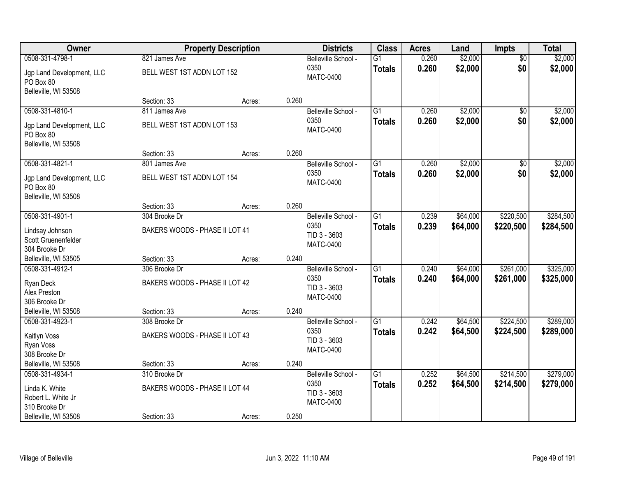| \$2,000<br>0508-331-4798-1<br>0.260<br>$\overline{60}$<br>821 James Ave<br>Belleville School -<br>$\overline{G1}$<br>0.260<br>\$2,000<br>\$0<br>0350<br>\$2,000<br><b>Totals</b><br>BELL WEST 1ST ADDN LOT 152<br>Jgp Land Development, LLC<br><b>MATC-0400</b><br>PO Box 80<br>Belleville, WI 53508<br>0.260<br>Section: 33<br>Acres:<br>\$2,000<br>0508-331-4810-1<br>$\overline{G1}$<br>\$2,000<br>811 James Ave<br>0.260<br>$\overline{50}$<br>Belleville School -<br>0.260<br>\$2,000<br>0350<br>\$0<br>\$2,000<br><b>Totals</b><br>BELL WEST 1ST ADDN LOT 153<br>Jgp Land Development, LLC<br><b>MATC-0400</b><br>PO Box 80<br>Belleville, WI 53508<br>0.260<br>Section: 33<br>Acres:<br>\$2,000<br>\$2,000<br>0508-331-4821-1<br>G1<br>0.260<br>\$0<br>801 James Ave<br>Belleville School -<br>0350<br>\$2,000<br>\$0<br>0.260<br>\$2,000<br><b>Totals</b><br>BELL WEST 1ST ADDN LOT 154<br>Jgp Land Development, LLC<br><b>MATC-0400</b><br>PO Box 80<br>Belleville, WI 53508<br>0.260<br>Section: 33<br>Acres:<br>0508-331-4901-1<br>\$64,000<br>\$220,500<br>\$284,500<br>304 Brooke Dr<br>G1<br>0.239<br>Belleville School -<br>0350<br>0.239<br>\$64,000<br>\$220,500<br>\$284,500<br><b>Totals</b><br>BAKERS WOODS - PHASE II LOT 41<br>Lindsay Johnson<br>TID 3 - 3603<br>Scott Gruenenfelder<br><b>MATC-0400</b><br>304 Brooke Dr<br>0.240<br>Belleville, WI 53505<br>Section: 33<br>Acres: | Owner           | <b>Property Description</b> |  | <b>Districts</b>    | <b>Class</b>    | <b>Acres</b> | Land     | Impts     | <b>Total</b> |
|------------------------------------------------------------------------------------------------------------------------------------------------------------------------------------------------------------------------------------------------------------------------------------------------------------------------------------------------------------------------------------------------------------------------------------------------------------------------------------------------------------------------------------------------------------------------------------------------------------------------------------------------------------------------------------------------------------------------------------------------------------------------------------------------------------------------------------------------------------------------------------------------------------------------------------------------------------------------------------------------------------------------------------------------------------------------------------------------------------------------------------------------------------------------------------------------------------------------------------------------------------------------------------------------------------------------------------------------------------------------------------------------------------|-----------------|-----------------------------|--|---------------------|-----------------|--------------|----------|-----------|--------------|
|                                                                                                                                                                                                                                                                                                                                                                                                                                                                                                                                                                                                                                                                                                                                                                                                                                                                                                                                                                                                                                                                                                                                                                                                                                                                                                                                                                                                            |                 |                             |  |                     |                 |              |          |           | \$2,000      |
|                                                                                                                                                                                                                                                                                                                                                                                                                                                                                                                                                                                                                                                                                                                                                                                                                                                                                                                                                                                                                                                                                                                                                                                                                                                                                                                                                                                                            |                 |                             |  |                     |                 |              |          |           |              |
|                                                                                                                                                                                                                                                                                                                                                                                                                                                                                                                                                                                                                                                                                                                                                                                                                                                                                                                                                                                                                                                                                                                                                                                                                                                                                                                                                                                                            |                 |                             |  |                     |                 |              |          |           |              |
|                                                                                                                                                                                                                                                                                                                                                                                                                                                                                                                                                                                                                                                                                                                                                                                                                                                                                                                                                                                                                                                                                                                                                                                                                                                                                                                                                                                                            |                 |                             |  |                     |                 |              |          |           |              |
|                                                                                                                                                                                                                                                                                                                                                                                                                                                                                                                                                                                                                                                                                                                                                                                                                                                                                                                                                                                                                                                                                                                                                                                                                                                                                                                                                                                                            |                 |                             |  |                     |                 |              |          |           |              |
|                                                                                                                                                                                                                                                                                                                                                                                                                                                                                                                                                                                                                                                                                                                                                                                                                                                                                                                                                                                                                                                                                                                                                                                                                                                                                                                                                                                                            |                 |                             |  |                     |                 |              |          |           |              |
|                                                                                                                                                                                                                                                                                                                                                                                                                                                                                                                                                                                                                                                                                                                                                                                                                                                                                                                                                                                                                                                                                                                                                                                                                                                                                                                                                                                                            |                 |                             |  |                     |                 |              |          |           |              |
|                                                                                                                                                                                                                                                                                                                                                                                                                                                                                                                                                                                                                                                                                                                                                                                                                                                                                                                                                                                                                                                                                                                                                                                                                                                                                                                                                                                                            |                 |                             |  |                     |                 |              |          |           |              |
|                                                                                                                                                                                                                                                                                                                                                                                                                                                                                                                                                                                                                                                                                                                                                                                                                                                                                                                                                                                                                                                                                                                                                                                                                                                                                                                                                                                                            |                 |                             |  |                     |                 |              |          |           |              |
|                                                                                                                                                                                                                                                                                                                                                                                                                                                                                                                                                                                                                                                                                                                                                                                                                                                                                                                                                                                                                                                                                                                                                                                                                                                                                                                                                                                                            |                 |                             |  |                     |                 |              |          |           |              |
|                                                                                                                                                                                                                                                                                                                                                                                                                                                                                                                                                                                                                                                                                                                                                                                                                                                                                                                                                                                                                                                                                                                                                                                                                                                                                                                                                                                                            |                 |                             |  |                     |                 |              |          |           |              |
|                                                                                                                                                                                                                                                                                                                                                                                                                                                                                                                                                                                                                                                                                                                                                                                                                                                                                                                                                                                                                                                                                                                                                                                                                                                                                                                                                                                                            |                 |                             |  |                     |                 |              |          |           |              |
|                                                                                                                                                                                                                                                                                                                                                                                                                                                                                                                                                                                                                                                                                                                                                                                                                                                                                                                                                                                                                                                                                                                                                                                                                                                                                                                                                                                                            |                 |                             |  |                     |                 |              |          |           |              |
|                                                                                                                                                                                                                                                                                                                                                                                                                                                                                                                                                                                                                                                                                                                                                                                                                                                                                                                                                                                                                                                                                                                                                                                                                                                                                                                                                                                                            |                 |                             |  |                     |                 |              |          |           |              |
|                                                                                                                                                                                                                                                                                                                                                                                                                                                                                                                                                                                                                                                                                                                                                                                                                                                                                                                                                                                                                                                                                                                                                                                                                                                                                                                                                                                                            |                 |                             |  |                     |                 |              |          |           |              |
|                                                                                                                                                                                                                                                                                                                                                                                                                                                                                                                                                                                                                                                                                                                                                                                                                                                                                                                                                                                                                                                                                                                                                                                                                                                                                                                                                                                                            |                 |                             |  |                     |                 |              |          |           |              |
|                                                                                                                                                                                                                                                                                                                                                                                                                                                                                                                                                                                                                                                                                                                                                                                                                                                                                                                                                                                                                                                                                                                                                                                                                                                                                                                                                                                                            |                 |                             |  |                     |                 |              |          |           |              |
|                                                                                                                                                                                                                                                                                                                                                                                                                                                                                                                                                                                                                                                                                                                                                                                                                                                                                                                                                                                                                                                                                                                                                                                                                                                                                                                                                                                                            | 0508-331-4912-1 | 306 Brooke Dr               |  | Belleville School - | $\overline{G1}$ | 0.240        | \$64,000 | \$261,000 | \$325,000    |
| 0.240<br>0350<br>\$64,000<br>\$261,000<br><b>Totals</b>                                                                                                                                                                                                                                                                                                                                                                                                                                                                                                                                                                                                                                                                                                                                                                                                                                                                                                                                                                                                                                                                                                                                                                                                                                                                                                                                                    |                 |                             |  |                     |                 |              |          |           | \$325,000    |
| BAKERS WOODS - PHASE II LOT 42<br>Ryan Deck<br>TID 3 - 3603                                                                                                                                                                                                                                                                                                                                                                                                                                                                                                                                                                                                                                                                                                                                                                                                                                                                                                                                                                                                                                                                                                                                                                                                                                                                                                                                                |                 |                             |  |                     |                 |              |          |           |              |
| Alex Preston<br><b>MATC-0400</b><br>306 Brooke Dr                                                                                                                                                                                                                                                                                                                                                                                                                                                                                                                                                                                                                                                                                                                                                                                                                                                                                                                                                                                                                                                                                                                                                                                                                                                                                                                                                          |                 |                             |  |                     |                 |              |          |           |              |
| Belleville, WI 53508<br>Section: 33<br>0.240<br>Acres:                                                                                                                                                                                                                                                                                                                                                                                                                                                                                                                                                                                                                                                                                                                                                                                                                                                                                                                                                                                                                                                                                                                                                                                                                                                                                                                                                     |                 |                             |  |                     |                 |              |          |           |              |
| $\overline{G1}$<br>\$64,500<br>\$224,500<br>0508-331-4923-1<br>Belleville School -<br>0.242<br>308 Brooke Dr                                                                                                                                                                                                                                                                                                                                                                                                                                                                                                                                                                                                                                                                                                                                                                                                                                                                                                                                                                                                                                                                                                                                                                                                                                                                                               |                 |                             |  |                     |                 |              |          |           | \$289,000    |
| 0350<br>0.242<br>\$64,500<br>\$224,500<br><b>Totals</b>                                                                                                                                                                                                                                                                                                                                                                                                                                                                                                                                                                                                                                                                                                                                                                                                                                                                                                                                                                                                                                                                                                                                                                                                                                                                                                                                                    |                 |                             |  |                     |                 |              |          |           | \$289,000    |
| Kaitlyn Voss<br>BAKERS WOODS - PHASE II LOT 43<br>TID 3 - 3603                                                                                                                                                                                                                                                                                                                                                                                                                                                                                                                                                                                                                                                                                                                                                                                                                                                                                                                                                                                                                                                                                                                                                                                                                                                                                                                                             |                 |                             |  |                     |                 |              |          |           |              |
| Ryan Voss<br><b>MATC-0400</b>                                                                                                                                                                                                                                                                                                                                                                                                                                                                                                                                                                                                                                                                                                                                                                                                                                                                                                                                                                                                                                                                                                                                                                                                                                                                                                                                                                              |                 |                             |  |                     |                 |              |          |           |              |
| 308 Brooke Dr<br>0.240<br>Belleville, WI 53508<br>Section: 33<br>Acres:                                                                                                                                                                                                                                                                                                                                                                                                                                                                                                                                                                                                                                                                                                                                                                                                                                                                                                                                                                                                                                                                                                                                                                                                                                                                                                                                    |                 |                             |  |                     |                 |              |          |           |              |
| $\overline{G1}$<br>\$64,500<br>\$214,500<br>0508-331-4934-1<br>310 Brooke Dr<br>0.252<br>Belleville School -                                                                                                                                                                                                                                                                                                                                                                                                                                                                                                                                                                                                                                                                                                                                                                                                                                                                                                                                                                                                                                                                                                                                                                                                                                                                                               |                 |                             |  |                     |                 |              |          |           | \$279,000    |
| 0.252<br>0350<br>\$64,500<br>\$214,500<br><b>Totals</b>                                                                                                                                                                                                                                                                                                                                                                                                                                                                                                                                                                                                                                                                                                                                                                                                                                                                                                                                                                                                                                                                                                                                                                                                                                                                                                                                                    |                 |                             |  |                     |                 |              |          |           | \$279,000    |
| BAKERS WOODS - PHASE II LOT 44<br>Linda K. White<br>TID 3 - 3603                                                                                                                                                                                                                                                                                                                                                                                                                                                                                                                                                                                                                                                                                                                                                                                                                                                                                                                                                                                                                                                                                                                                                                                                                                                                                                                                           |                 |                             |  |                     |                 |              |          |           |              |
| Robert L. White Jr<br>MATC-0400                                                                                                                                                                                                                                                                                                                                                                                                                                                                                                                                                                                                                                                                                                                                                                                                                                                                                                                                                                                                                                                                                                                                                                                                                                                                                                                                                                            |                 |                             |  |                     |                 |              |          |           |              |
| 310 Brooke Dr<br>0.250<br>Belleville, WI 53508<br>Section: 33<br>Acres:                                                                                                                                                                                                                                                                                                                                                                                                                                                                                                                                                                                                                                                                                                                                                                                                                                                                                                                                                                                                                                                                                                                                                                                                                                                                                                                                    |                 |                             |  |                     |                 |              |          |           |              |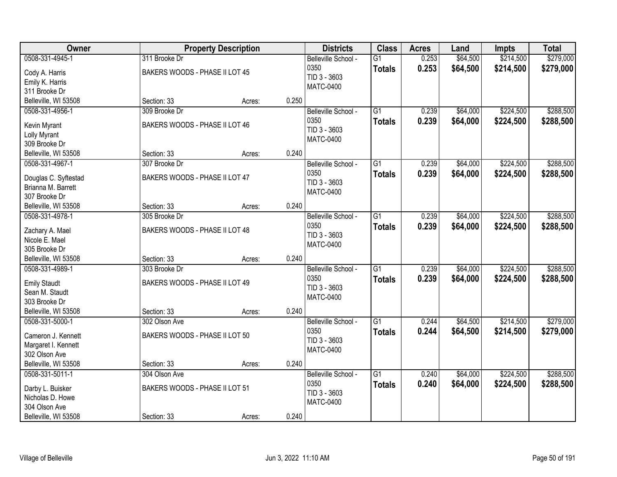| Owner                                                                                            |                                                                | <b>Property Description</b> |       | <b>Districts</b>                                                | <b>Class</b>                     | <b>Acres</b>   | Land                 | <b>Impts</b>           | <b>Total</b>           |
|--------------------------------------------------------------------------------------------------|----------------------------------------------------------------|-----------------------------|-------|-----------------------------------------------------------------|----------------------------------|----------------|----------------------|------------------------|------------------------|
| 0508-331-4945-1<br>Cody A. Harris<br>Emily K. Harris<br>311 Brooke Dr                            | 311 Brooke Dr<br>BAKERS WOODS - PHASE II LOT 45                |                             |       | Belleville School -<br>0350<br>TID 3 - 3603<br><b>MATC-0400</b> | $\overline{G1}$<br><b>Totals</b> | 0.253<br>0.253 | \$64,500<br>\$64,500 | \$214,500<br>\$214,500 | \$279,000<br>\$279,000 |
| Belleville, WI 53508                                                                             | Section: 33                                                    | Acres:                      | 0.250 |                                                                 |                                  |                |                      |                        |                        |
| 0508-331-4956-1<br>Kevin Myrant<br>Lolly Myrant<br>309 Brooke Dr                                 | 309 Brooke Dr<br>BAKERS WOODS - PHASE II LOT 46                |                             |       | Belleville School -<br>0350<br>TID 3 - 3603<br><b>MATC-0400</b> | $\overline{G1}$<br><b>Totals</b> | 0.239<br>0.239 | \$64,000<br>\$64,000 | \$224,500<br>\$224,500 | \$288,500<br>\$288,500 |
| Belleville, WI 53508                                                                             | Section: 33                                                    | Acres:                      | 0.240 |                                                                 |                                  |                |                      |                        |                        |
| 0508-331-4967-1<br>Douglas C. Syftestad<br>Brianna M. Barrett<br>307 Brooke Dr                   | 307 Brooke Dr<br>BAKERS WOODS - PHASE II LOT 47                |                             |       | Belleville School -<br>0350<br>TID 3 - 3603<br>MATC-0400        | G1<br><b>Totals</b>              | 0.239<br>0.239 | \$64,000<br>\$64,000 | \$224,500<br>\$224,500 | \$288,500<br>\$288,500 |
| Belleville, WI 53508                                                                             | Section: 33                                                    | Acres:                      | 0.240 |                                                                 |                                  |                |                      |                        |                        |
| 0508-331-4978-1<br>Zachary A. Mael<br>Nicole E. Mael<br>305 Brooke Dr                            | 305 Brooke Dr<br>BAKERS WOODS - PHASE II LOT 48                |                             |       | Belleville School -<br>0350<br>TID 3 - 3603<br><b>MATC-0400</b> | G1<br><b>Totals</b>              | 0.239<br>0.239 | \$64,000<br>\$64,000 | \$224,500<br>\$224,500 | \$288,500<br>\$288,500 |
| Belleville, WI 53508                                                                             | Section: 33                                                    | Acres:                      | 0.240 |                                                                 |                                  |                |                      |                        |                        |
| 0508-331-4989-1<br><b>Emily Staudt</b><br>Sean M. Staudt<br>303 Brooke Dr                        | 303 Brooke Dr<br>BAKERS WOODS - PHASE II LOT 49                |                             |       | Belleville School -<br>0350<br>TID 3 - 3603<br><b>MATC-0400</b> | $\overline{G1}$<br><b>Totals</b> | 0.239<br>0.239 | \$64,000<br>\$64,000 | \$224,500<br>\$224,500 | \$288,500<br>\$288,500 |
| Belleville, WI 53508                                                                             | Section: 33                                                    | Acres:                      | 0.240 |                                                                 |                                  |                |                      |                        |                        |
| 0508-331-5000-1<br>Cameron J. Kennett<br>Margaret I. Kennett<br>302 Olson Ave                    | 302 Olson Ave<br>BAKERS WOODS - PHASE II LOT 50                |                             |       | Belleville School -<br>0350<br>TID 3 - 3603<br><b>MATC-0400</b> | $\overline{G1}$<br><b>Totals</b> | 0.244<br>0.244 | \$64,500<br>\$64,500 | \$214,500<br>\$214,500 | \$279,000<br>\$279,000 |
| Belleville, WI 53508                                                                             | Section: 33                                                    | Acres:                      | 0.240 |                                                                 |                                  |                |                      |                        |                        |
| 0508-331-5011-1<br>Darby L. Buisker<br>Nicholas D. Howe<br>304 Olson Ave<br>Belleville, WI 53508 | 304 Olson Ave<br>BAKERS WOODS - PHASE II LOT 51<br>Section: 33 | Acres:                      | 0.240 | Belleville School -<br>0350<br>TID 3 - 3603<br>MATC-0400        | $\overline{G1}$<br><b>Totals</b> | 0.240<br>0.240 | \$64,000<br>\$64,000 | \$224,500<br>\$224,500 | \$288,500<br>\$288,500 |
|                                                                                                  |                                                                |                             |       |                                                                 |                                  |                |                      |                        |                        |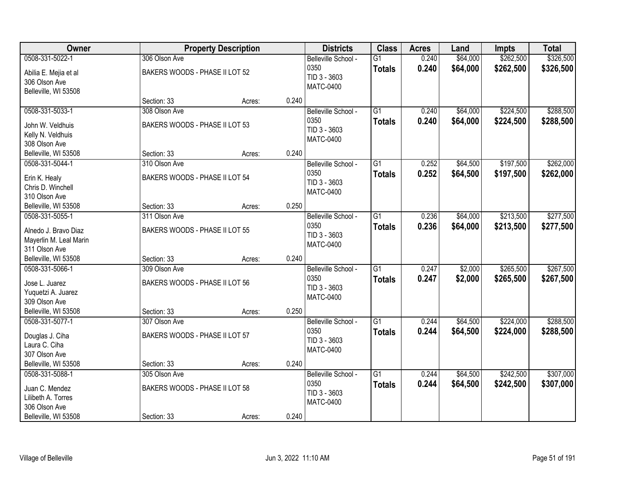| Owner                                   |                                | <b>Property Description</b> |       | <b>Districts</b>            | <b>Class</b>    | <b>Acres</b> | Land     | <b>Impts</b> | <b>Total</b> |
|-----------------------------------------|--------------------------------|-----------------------------|-------|-----------------------------|-----------------|--------------|----------|--------------|--------------|
| 0508-331-5022-1                         | 306 Olson Ave                  |                             |       | Belleville School -         | $\overline{G1}$ | 0.240        | \$64,000 | \$262,500    | \$326,500    |
| Abilia E. Mejia et al                   | BAKERS WOODS - PHASE II LOT 52 |                             |       | 0350                        | <b>Totals</b>   | 0.240        | \$64,000 | \$262,500    | \$326,500    |
| 306 Olson Ave                           |                                |                             |       | TID 3 - 3603                |                 |              |          |              |              |
| Belleville, WI 53508                    |                                |                             |       | <b>MATC-0400</b>            |                 |              |          |              |              |
|                                         | Section: 33                    | Acres:                      | 0.240 |                             |                 |              |          |              |              |
| 0508-331-5033-1                         | 308 Olson Ave                  |                             |       | Belleville School -         | $\overline{G1}$ | 0.240        | \$64,000 | \$224,500    | \$288,500    |
| John W. Veldhuis                        | BAKERS WOODS - PHASE II LOT 53 |                             |       | 0350                        | <b>Totals</b>   | 0.240        | \$64,000 | \$224,500    | \$288,500    |
| Kelly N. Veldhuis                       |                                |                             |       | TID 3 - 3603                |                 |              |          |              |              |
| 308 Olson Ave                           |                                |                             |       | <b>MATC-0400</b>            |                 |              |          |              |              |
| Belleville, WI 53508                    | Section: 33                    | Acres:                      | 0.240 |                             |                 |              |          |              |              |
| 0508-331-5044-1                         | 310 Olson Ave                  |                             |       | Belleville School -         | G1              | 0.252        | \$64,500 | \$197,500    | \$262,000    |
| Erin K. Healy                           | BAKERS WOODS - PHASE II LOT 54 |                             |       | 0350                        | <b>Totals</b>   | 0.252        | \$64,500 | \$197,500    | \$262,000    |
| Chris D. Winchell                       |                                |                             |       | TID 3 - 3603                |                 |              |          |              |              |
| 310 Olson Ave                           |                                |                             |       | <b>MATC-0400</b>            |                 |              |          |              |              |
| Belleville, WI 53508                    | Section: 33                    | Acres:                      | 0.250 |                             |                 |              |          |              |              |
| 0508-331-5055-1                         | 311 Olson Ave                  |                             |       | Belleville School -         | G1              | 0.236        | \$64,000 | \$213,500    | \$277,500    |
|                                         |                                |                             |       | 0350                        | <b>Totals</b>   | 0.236        | \$64,000 | \$213,500    | \$277,500    |
| Alnedo J. Bravo Diaz                    | BAKERS WOODS - PHASE II LOT 55 |                             |       | TID 3 - 3603                |                 |              |          |              |              |
| Mayerlin M. Leal Marin<br>311 Olson Ave |                                |                             |       | <b>MATC-0400</b>            |                 |              |          |              |              |
| Belleville, WI 53508                    | Section: 33                    | Acres:                      | 0.240 |                             |                 |              |          |              |              |
| 0508-331-5066-1                         | 309 Olson Ave                  |                             |       | Belleville School -         | $\overline{G1}$ | 0.247        | \$2,000  | \$265,500    | \$267,500    |
|                                         |                                |                             |       | 0350                        | <b>Totals</b>   | 0.247        | \$2,000  | \$265,500    | \$267,500    |
| Jose L. Juarez                          | BAKERS WOODS - PHASE II LOT 56 |                             |       | TID 3 - 3603                |                 |              |          |              |              |
| Yuquetzi A. Juarez                      |                                |                             |       | <b>MATC-0400</b>            |                 |              |          |              |              |
| 309 Olson Ave                           |                                |                             |       |                             |                 |              |          |              |              |
| Belleville, WI 53508                    | Section: 33                    | Acres:                      | 0.250 |                             |                 |              |          |              |              |
| 0508-331-5077-1                         | 307 Olson Ave                  |                             |       | Belleville School -<br>0350 | $\overline{G1}$ | 0.244        | \$64,500 | \$224,000    | \$288,500    |
| Douglas J. Ciha                         | BAKERS WOODS - PHASE II LOT 57 |                             |       | TID 3 - 3603                | <b>Totals</b>   | 0.244        | \$64,500 | \$224,000    | \$288,500    |
| Laura C. Ciha                           |                                |                             |       | <b>MATC-0400</b>            |                 |              |          |              |              |
| 307 Olson Ave                           |                                |                             |       |                             |                 |              |          |              |              |
| Belleville, WI 53508                    | Section: 33                    | Acres:                      | 0.240 |                             |                 |              |          |              |              |
| 0508-331-5088-1                         | 305 Olson Ave                  |                             |       | Belleville School -         | $\overline{G1}$ | 0.244        | \$64,500 | \$242,500    | \$307,000    |
| Juan C. Mendez                          | BAKERS WOODS - PHASE II LOT 58 |                             |       | 0350                        | <b>Totals</b>   | 0.244        | \$64,500 | \$242,500    | \$307,000    |
| Lilibeth A. Torres                      |                                |                             |       | TID 3 - 3603                |                 |              |          |              |              |
| 306 Olson Ave                           |                                |                             |       | <b>MATC-0400</b>            |                 |              |          |              |              |
| Belleville, WI 53508                    | Section: 33                    | Acres:                      | 0.240 |                             |                 |              |          |              |              |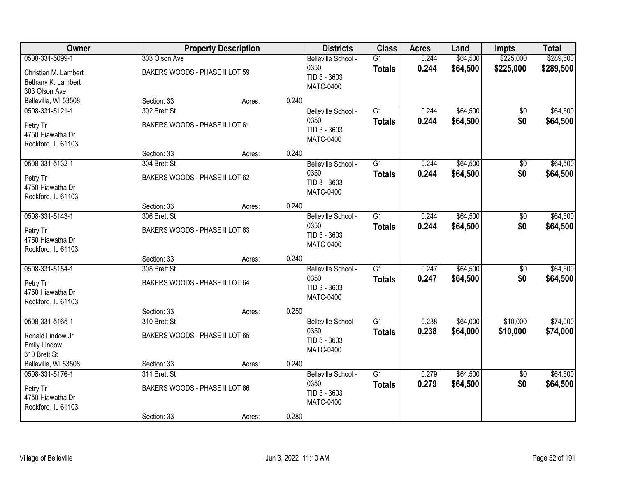| Owner                                                                          |                                                               | <b>Property Description</b> |       | <b>Districts</b>                                                | <b>Class</b>                     | <b>Acres</b>   | Land                 | <b>Impts</b>           | <b>Total</b>           |
|--------------------------------------------------------------------------------|---------------------------------------------------------------|-----------------------------|-------|-----------------------------------------------------------------|----------------------------------|----------------|----------------------|------------------------|------------------------|
| 0508-331-5099-1<br>Christian M. Lambert<br>Bethany K. Lambert<br>303 Olson Ave | 303 Olson Ave<br>BAKERS WOODS - PHASE II LOT 59               |                             |       | Belleville School -<br>0350<br>TID 3 - 3603<br><b>MATC-0400</b> | $\overline{G1}$<br><b>Totals</b> | 0.244<br>0.244 | \$64,500<br>\$64,500 | \$225,000<br>\$225,000 | \$289,500<br>\$289,500 |
| Belleville, WI 53508                                                           | Section: 33                                                   | Acres:                      | 0.240 |                                                                 |                                  |                |                      |                        |                        |
| 0508-331-5121-1<br>Petry Tr<br>4750 Hiawatha Dr<br>Rockford, IL 61103          | 302 Brett St<br>BAKERS WOODS - PHASE II LOT 61                |                             |       | Belleville School -<br>0350<br>TID 3 - 3603<br><b>MATC-0400</b> | $\overline{G1}$<br><b>Totals</b> | 0.244<br>0.244 | \$64,500<br>\$64,500 | $\overline{50}$<br>\$0 | \$64,500<br>\$64,500   |
|                                                                                | Section: 33                                                   | Acres:                      | 0.240 |                                                                 |                                  |                |                      |                        |                        |
| 0508-331-5132-1<br>Petry Tr<br>4750 Hiawatha Dr<br>Rockford, IL 61103          | 304 Brett St<br>BAKERS WOODS - PHASE II LOT 62                |                             |       | Belleville School -<br>0350<br>TID 3 - 3603<br>MATC-0400        | G1<br><b>Totals</b>              | 0.244<br>0.244 | \$64,500<br>\$64,500 | \$0<br>\$0             | \$64,500<br>\$64,500   |
|                                                                                | Section: 33                                                   | Acres:                      | 0.240 |                                                                 |                                  |                |                      |                        |                        |
| 0508-331-5143-1<br>Petry Tr<br>4750 Hiawatha Dr<br>Rockford, IL 61103          | 306 Brett St<br>BAKERS WOODS - PHASE II LOT 63                |                             |       | Belleville School -<br>0350<br>TID 3 - 3603<br><b>MATC-0400</b> | G1<br><b>Totals</b>              | 0.244<br>0.244 | \$64,500<br>\$64,500 | \$0<br>\$0             | \$64,500<br>\$64,500   |
|                                                                                | Section: 33                                                   | Acres:                      | 0.240 |                                                                 |                                  |                |                      |                        |                        |
| 0508-331-5154-1<br>Petry Tr<br>4750 Hiawatha Dr<br>Rockford, IL 61103          | 308 Brett St<br>BAKERS WOODS - PHASE II LOT 64                |                             |       | Belleville School -<br>0350<br>TID 3 - 3603<br><b>MATC-0400</b> | $\overline{G1}$<br><b>Totals</b> | 0.247<br>0.247 | \$64,500<br>\$64,500 | $\overline{50}$<br>\$0 | \$64,500<br>\$64,500   |
|                                                                                | Section: 33                                                   | Acres:                      | 0.250 |                                                                 |                                  |                |                      |                        |                        |
| 0508-331-5165-1<br>Ronald Lindow Jr<br><b>Emily Lindow</b><br>310 Brett St     | 310 Brett St<br>BAKERS WOODS - PHASE II LOT 65                |                             |       | Belleville School -<br>0350<br>TID 3 - 3603<br><b>MATC-0400</b> | $\overline{G1}$<br><b>Totals</b> | 0.238<br>0.238 | \$64,000<br>\$64,000 | \$10,000<br>\$10,000   | \$74,000<br>\$74,000   |
| Belleville, WI 53508                                                           | Section: 33                                                   | Acres:                      | 0.240 |                                                                 |                                  |                |                      |                        |                        |
| 0508-331-5176-1<br>Petry Tr<br>4750 Hiawatha Dr<br>Rockford, IL 61103          | 311 Brett St<br>BAKERS WOODS - PHASE II LOT 66<br>Section: 33 | Acres:                      | 0.280 | Belleville School -<br>0350<br>TID 3 - 3603<br><b>MATC-0400</b> | $\overline{G1}$<br><b>Totals</b> | 0.279<br>0.279 | \$64,500<br>\$64,500 | $\overline{50}$<br>\$0 | \$64,500<br>\$64,500   |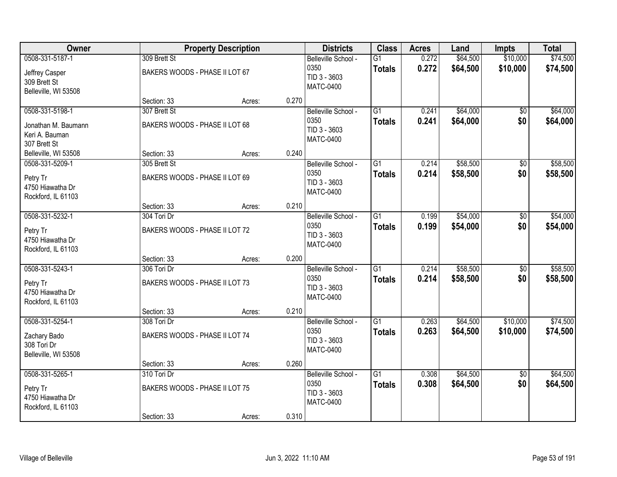| \$10,000<br>0508-331-5187-1<br>309 Brett St<br>0.272<br>\$64,500<br>Belleville School -<br>$\overline{G1}$<br>0.272<br>\$10,000<br>0350<br>\$64,500<br><b>Totals</b><br>BAKERS WOODS - PHASE II LOT 67<br>Jeffrey Casper<br>TID 3 - 3603<br>309 Brett St<br><b>MATC-0400</b><br>Belleville, WI 53508<br>0.270<br>Section: 33<br>Acres:<br>$\overline{G1}$<br>\$64,000<br>0508-331-5198-1<br>307 Brett St<br>Belleville School -<br>0.241<br>$\overline{50}$<br>0350<br>0.241<br>\$64,000<br>\$0<br><b>Totals</b><br>BAKERS WOODS - PHASE II LOT 68<br>Jonathan M. Baumann<br>TID 3 - 3603<br>Keri A. Bauman<br><b>MATC-0400</b><br>307 Brett St<br>0.240<br>Section: 33<br>Belleville, WI 53508<br>Acres:<br>\$58,500<br>0508-331-5209-1<br>305 Brett St<br>G1<br>0.214<br>\$0<br>Belleville School -<br>0350<br>0.214<br>\$58,500<br>\$0<br><b>Totals</b><br>BAKERS WOODS - PHASE II LOT 69<br>Petry Tr<br>TID 3 - 3603<br>4750 Hiawatha Dr<br>MATC-0400<br>Rockford, IL 61103<br>0.210<br>Section: 33<br>Acres:<br>\$54,000<br>0508-331-5232-1<br>304 Tori Dr<br>Belleville School -<br>G1<br>0.199<br>\$0<br>0350<br>0.199<br>\$0<br>\$54,000<br><b>Totals</b><br>Petry Tr<br>BAKERS WOODS - PHASE II LOT 72<br>TID 3 - 3603<br>4750 Hiawatha Dr<br><b>MATC-0400</b><br>Rockford, IL 61103<br>0.200<br>Section: 33<br>Acres:<br>\$58,500<br>0508-331-5243-1<br>306 Tori Dr<br>$\overline{G1}$<br>0.214<br>$\overline{50}$<br>Belleville School -<br>0.214<br>\$58,500<br>0350<br>\$0<br><b>Totals</b><br>BAKERS WOODS - PHASE II LOT 73<br>Petry Tr<br>TID 3 - 3603<br>4750 Hiawatha Dr<br><b>MATC-0400</b><br>Rockford, IL 61103<br>Section: 33<br>0.210<br>Acres:<br>0508-331-5254-1<br>$\overline{G1}$<br>\$64,500<br>\$10,000<br>308 Tori Dr<br>Belleville School -<br>0.263<br>0350<br>0.263<br>\$64,500<br>\$10,000<br><b>Totals</b><br>BAKERS WOODS - PHASE II LOT 74<br>Zachary Bado<br>TID 3 - 3603<br>308 Tori Dr<br><b>MATC-0400</b><br>Belleville, WI 53508<br>0.260<br>Section: 33<br>Acres: | Owner           |             | <b>Property Description</b> | <b>Districts</b>    | <b>Class</b>    | <b>Acres</b> | Land     | <b>Impts</b>    | <b>Total</b>         |
|--------------------------------------------------------------------------------------------------------------------------------------------------------------------------------------------------------------------------------------------------------------------------------------------------------------------------------------------------------------------------------------------------------------------------------------------------------------------------------------------------------------------------------------------------------------------------------------------------------------------------------------------------------------------------------------------------------------------------------------------------------------------------------------------------------------------------------------------------------------------------------------------------------------------------------------------------------------------------------------------------------------------------------------------------------------------------------------------------------------------------------------------------------------------------------------------------------------------------------------------------------------------------------------------------------------------------------------------------------------------------------------------------------------------------------------------------------------------------------------------------------------------------------------------------------------------------------------------------------------------------------------------------------------------------------------------------------------------------------------------------------------------------------------------------------------------------------------------------------------------------------------------------------------------------------------------------------------------------------------------------------------|-----------------|-------------|-----------------------------|---------------------|-----------------|--------------|----------|-----------------|----------------------|
|                                                                                                                                                                                                                                                                                                                                                                                                                                                                                                                                                                                                                                                                                                                                                                                                                                                                                                                                                                                                                                                                                                                                                                                                                                                                                                                                                                                                                                                                                                                                                                                                                                                                                                                                                                                                                                                                                                                                                                                                              |                 |             |                             |                     |                 |              |          |                 | \$74,500<br>\$74,500 |
|                                                                                                                                                                                                                                                                                                                                                                                                                                                                                                                                                                                                                                                                                                                                                                                                                                                                                                                                                                                                                                                                                                                                                                                                                                                                                                                                                                                                                                                                                                                                                                                                                                                                                                                                                                                                                                                                                                                                                                                                              |                 |             |                             |                     |                 |              |          |                 |                      |
|                                                                                                                                                                                                                                                                                                                                                                                                                                                                                                                                                                                                                                                                                                                                                                                                                                                                                                                                                                                                                                                                                                                                                                                                                                                                                                                                                                                                                                                                                                                                                                                                                                                                                                                                                                                                                                                                                                                                                                                                              |                 |             |                             |                     |                 |              |          |                 | \$64,000<br>\$64,000 |
|                                                                                                                                                                                                                                                                                                                                                                                                                                                                                                                                                                                                                                                                                                                                                                                                                                                                                                                                                                                                                                                                                                                                                                                                                                                                                                                                                                                                                                                                                                                                                                                                                                                                                                                                                                                                                                                                                                                                                                                                              |                 |             |                             |                     |                 |              |          |                 |                      |
|                                                                                                                                                                                                                                                                                                                                                                                                                                                                                                                                                                                                                                                                                                                                                                                                                                                                                                                                                                                                                                                                                                                                                                                                                                                                                                                                                                                                                                                                                                                                                                                                                                                                                                                                                                                                                                                                                                                                                                                                              |                 |             |                             |                     |                 |              |          |                 | \$58,500<br>\$58,500 |
|                                                                                                                                                                                                                                                                                                                                                                                                                                                                                                                                                                                                                                                                                                                                                                                                                                                                                                                                                                                                                                                                                                                                                                                                                                                                                                                                                                                                                                                                                                                                                                                                                                                                                                                                                                                                                                                                                                                                                                                                              |                 |             |                             |                     |                 |              |          |                 |                      |
|                                                                                                                                                                                                                                                                                                                                                                                                                                                                                                                                                                                                                                                                                                                                                                                                                                                                                                                                                                                                                                                                                                                                                                                                                                                                                                                                                                                                                                                                                                                                                                                                                                                                                                                                                                                                                                                                                                                                                                                                              |                 |             |                             |                     |                 |              |          |                 | \$54,000<br>\$54,000 |
|                                                                                                                                                                                                                                                                                                                                                                                                                                                                                                                                                                                                                                                                                                                                                                                                                                                                                                                                                                                                                                                                                                                                                                                                                                                                                                                                                                                                                                                                                                                                                                                                                                                                                                                                                                                                                                                                                                                                                                                                              |                 |             |                             |                     |                 |              |          |                 |                      |
|                                                                                                                                                                                                                                                                                                                                                                                                                                                                                                                                                                                                                                                                                                                                                                                                                                                                                                                                                                                                                                                                                                                                                                                                                                                                                                                                                                                                                                                                                                                                                                                                                                                                                                                                                                                                                                                                                                                                                                                                              |                 |             |                             |                     |                 |              |          |                 | \$58,500<br>\$58,500 |
|                                                                                                                                                                                                                                                                                                                                                                                                                                                                                                                                                                                                                                                                                                                                                                                                                                                                                                                                                                                                                                                                                                                                                                                                                                                                                                                                                                                                                                                                                                                                                                                                                                                                                                                                                                                                                                                                                                                                                                                                              |                 |             |                             |                     |                 |              |          |                 | \$74,500             |
|                                                                                                                                                                                                                                                                                                                                                                                                                                                                                                                                                                                                                                                                                                                                                                                                                                                                                                                                                                                                                                                                                                                                                                                                                                                                                                                                                                                                                                                                                                                                                                                                                                                                                                                                                                                                                                                                                                                                                                                                              |                 |             |                             |                     |                 |              |          |                 | \$74,500             |
|                                                                                                                                                                                                                                                                                                                                                                                                                                                                                                                                                                                                                                                                                                                                                                                                                                                                                                                                                                                                                                                                                                                                                                                                                                                                                                                                                                                                                                                                                                                                                                                                                                                                                                                                                                                                                                                                                                                                                                                                              |                 |             |                             |                     |                 |              |          |                 |                      |
| \$0<br>0350<br>0.308<br>\$64,500<br><b>Totals</b><br>BAKERS WOODS - PHASE II LOT 75<br>Petry Tr<br>TID 3 - 3603<br>4750 Hiawatha Dr<br>MATC-0400<br>Rockford, IL 61103<br>0.310<br>Section: 33<br>Acres:                                                                                                                                                                                                                                                                                                                                                                                                                                                                                                                                                                                                                                                                                                                                                                                                                                                                                                                                                                                                                                                                                                                                                                                                                                                                                                                                                                                                                                                                                                                                                                                                                                                                                                                                                                                                     | 0508-331-5265-1 | 310 Tori Dr |                             | Belleville School - | $\overline{G1}$ | 0.308        | \$64,500 | $\overline{50}$ | \$64,500<br>\$64,500 |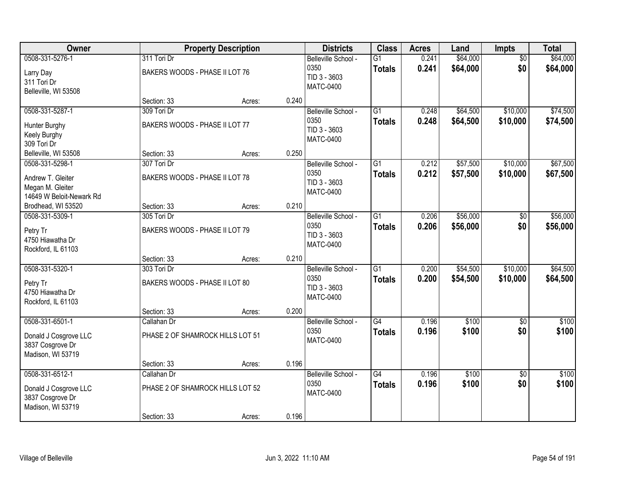| Owner                                                                                |                                                                | <b>Property Description</b> |       | <b>Districts</b>                                                | <b>Class</b>                     | <b>Acres</b>   | Land                 | Impts                  | <b>Total</b>         |
|--------------------------------------------------------------------------------------|----------------------------------------------------------------|-----------------------------|-------|-----------------------------------------------------------------|----------------------------------|----------------|----------------------|------------------------|----------------------|
| 0508-331-5276-1<br>Larry Day<br>311 Tori Dr<br>Belleville, WI 53508                  | 311 Tori Dr<br>BAKERS WOODS - PHASE II LOT 76                  |                             |       | Belleville School -<br>0350<br>TID 3 - 3603<br><b>MATC-0400</b> | $\overline{G1}$<br><b>Totals</b> | 0.241<br>0.241 | \$64,000<br>\$64,000 | $\overline{50}$<br>\$0 | \$64,000<br>\$64,000 |
|                                                                                      | Section: 33                                                    | Acres:                      | 0.240 |                                                                 |                                  |                |                      |                        |                      |
| 0508-331-5287-1<br>Hunter Burghy<br>Keely Burghy<br>309 Tori Dr                      | 309 Tori Dr<br>BAKERS WOODS - PHASE II LOT 77                  |                             |       | Belleville School -<br>0350<br>TID 3 - 3603<br><b>MATC-0400</b> | $\overline{G1}$<br><b>Totals</b> | 0.248<br>0.248 | \$64,500<br>\$64,500 | \$10,000<br>\$10,000   | \$74,500<br>\$74,500 |
| Belleville, WI 53508                                                                 | Section: 33                                                    | Acres:                      | 0.250 |                                                                 |                                  |                |                      |                        |                      |
| 0508-331-5298-1<br>Andrew T. Gleiter<br>Megan M. Gleiter<br>14649 W Beloit-Newark Rd | 307 Tori Dr<br>BAKERS WOODS - PHASE II LOT 78                  |                             |       | Belleville School -<br>0350<br>TID 3 - 3603<br><b>MATC-0400</b> | G1<br><b>Totals</b>              | 0.212<br>0.212 | \$57,500<br>\$57,500 | \$10,000<br>\$10,000   | \$67,500<br>\$67,500 |
| Brodhead, WI 53520                                                                   | Section: 33                                                    | Acres:                      | 0.210 |                                                                 |                                  |                |                      |                        |                      |
| 0508-331-5309-1<br>Petry Tr<br>4750 Hiawatha Dr<br>Rockford, IL 61103                | 305 Tori Dr<br>BAKERS WOODS - PHASE II LOT 79                  |                             |       | Belleville School -<br>0350<br>TID 3 - 3603<br><b>MATC-0400</b> | $\overline{G1}$<br><b>Totals</b> | 0.206<br>0.206 | \$56,000<br>\$56,000 | \$0<br>\$0             | \$56,000<br>\$56,000 |
|                                                                                      | Section: 33                                                    | Acres:                      | 0.210 |                                                                 |                                  |                |                      |                        |                      |
| 0508-331-5320-1<br>Petry Tr<br>4750 Hiawatha Dr<br>Rockford, IL 61103                | 303 Tori Dr<br>BAKERS WOODS - PHASE II LOT 80<br>Section: 33   | Acres:                      | 0.200 | Belleville School -<br>0350<br>TID 3 - 3603<br><b>MATC-0400</b> | $\overline{G1}$<br><b>Totals</b> | 0.200<br>0.200 | \$54,500<br>\$54,500 | \$10,000<br>\$10,000   | \$64,500<br>\$64,500 |
| 0508-331-6501-1                                                                      | Callahan Dr                                                    |                             |       | Belleville School -                                             | $\overline{G4}$                  | 0.196          | \$100                | $\overline{50}$        | \$100                |
| Donald J Cosgrove LLC<br>3837 Cosgrove Dr<br>Madison, WI 53719                       | PHASE 2 OF SHAMROCK HILLS LOT 51                               |                             |       | 0350<br><b>MATC-0400</b>                                        | <b>Totals</b>                    | 0.196          | \$100                | \$0                    | \$100                |
|                                                                                      | Section: 33                                                    | Acres:                      | 0.196 |                                                                 |                                  |                |                      |                        |                      |
| 0508-331-6512-1<br>Donald J Cosgrove LLC<br>3837 Cosgrove Dr<br>Madison, WI 53719    | Callahan Dr<br>PHASE 2 OF SHAMROCK HILLS LOT 52<br>Section: 33 | Acres:                      | 0.196 | Belleville School -<br>0350<br><b>MATC-0400</b>                 | $\overline{G4}$<br><b>Totals</b> | 0.196<br>0.196 | \$100<br>\$100       | $\overline{50}$<br>\$0 | \$100<br>\$100       |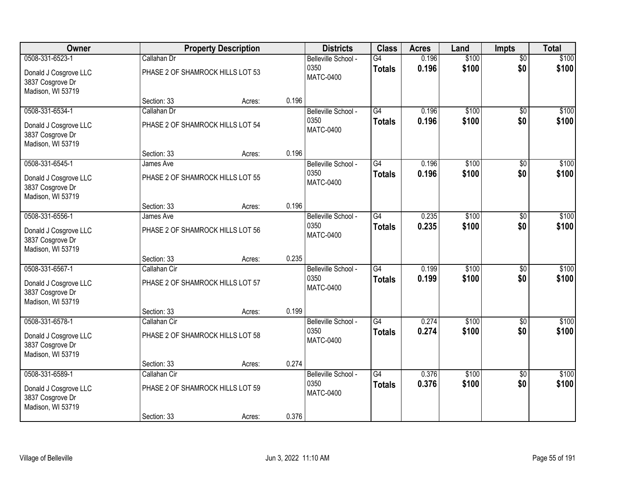| Owner                                                          |                                  | <b>Property Description</b> |       | <b>Districts</b>         | <b>Class</b>    | <b>Acres</b> | Land              | <b>Impts</b>    | <b>Total</b> |
|----------------------------------------------------------------|----------------------------------|-----------------------------|-------|--------------------------|-----------------|--------------|-------------------|-----------------|--------------|
| 0508-331-6523-1                                                | Callahan Dr                      |                             |       | Belleville School -      | G4              | 0.196        | \$100             | $\overline{50}$ | \$100        |
| Donald J Cosgrove LLC<br>3837 Cosgrove Dr<br>Madison, WI 53719 | PHASE 2 OF SHAMROCK HILLS LOT 53 |                             |       | 0350<br><b>MATC-0400</b> | <b>Totals</b>   | 0.196        | \$100             | \$0             | \$100        |
|                                                                | Section: 33                      | Acres:                      | 0.196 |                          |                 |              |                   |                 |              |
| 0508-331-6534-1                                                | Callahan Dr                      |                             |       | Belleville School -      | G4              | 0.196        | \$100             | $\overline{50}$ | \$100        |
| Donald J Cosgrove LLC<br>3837 Cosgrove Dr<br>Madison, WI 53719 | PHASE 2 OF SHAMROCK HILLS LOT 54 |                             |       | 0350<br><b>MATC-0400</b> | <b>Totals</b>   | 0.196        | \$100             | \$0             | \$100        |
|                                                                | Section: 33                      | Acres:                      | 0.196 |                          |                 |              |                   |                 |              |
| 0508-331-6545-1                                                | James Ave                        |                             |       | Belleville School -      | G4              | 0.196        | \$100             | \$0             | \$100        |
| Donald J Cosgrove LLC<br>3837 Cosgrove Dr<br>Madison, WI 53719 | PHASE 2 OF SHAMROCK HILLS LOT 55 |                             |       | 0350<br><b>MATC-0400</b> | <b>Totals</b>   | 0.196        | \$100             | \$0             | \$100        |
|                                                                | Section: 33                      | Acres:                      | 0.196 |                          |                 |              |                   |                 |              |
| 0508-331-6556-1                                                | James Ave                        |                             |       | Belleville School -      | $\overline{G4}$ | 0.235        | \$100             | $\sqrt[6]{}$    | \$100        |
| Donald J Cosgrove LLC<br>3837 Cosgrove Dr<br>Madison, WI 53719 | PHASE 2 OF SHAMROCK HILLS LOT 56 |                             |       | 0350<br><b>MATC-0400</b> | <b>Totals</b>   | 0.235        | \$100             | \$0             | \$100        |
|                                                                | Section: 33                      | Acres:                      | 0.235 |                          |                 |              |                   |                 |              |
| 0508-331-6567-1                                                | Callahan Cir                     |                             |       | Belleville School -      | $\overline{G4}$ | 0.199        | \$100             | $\overline{50}$ | \$100        |
| Donald J Cosgrove LLC<br>3837 Cosgrove Dr<br>Madison, WI 53719 | PHASE 2 OF SHAMROCK HILLS LOT 57 |                             |       | 0350<br><b>MATC-0400</b> | <b>Totals</b>   | 0.199        | \$100             | \$0             | \$100        |
|                                                                | Section: 33                      | Acres:                      | 0.199 |                          |                 |              |                   |                 |              |
| 0508-331-6578-1                                                | Callahan Cir                     |                             |       | Belleville School -      | $\overline{G4}$ | 0.274        | $\overline{$100}$ | $\overline{50}$ | \$100        |
| Donald J Cosgrove LLC<br>3837 Cosgrove Dr<br>Madison, WI 53719 | PHASE 2 OF SHAMROCK HILLS LOT 58 |                             |       | 0350<br><b>MATC-0400</b> | <b>Totals</b>   | 0.274        | \$100             | \$0             | \$100        |
|                                                                | Section: 33                      | Acres:                      | 0.274 |                          |                 |              |                   |                 |              |
| 0508-331-6589-1                                                | Callahan Cir                     |                             |       | Belleville School -      | G4              | 0.376        | \$100             | $\overline{50}$ | \$100        |
| Donald J Cosgrove LLC<br>3837 Cosgrove Dr<br>Madison, WI 53719 | PHASE 2 OF SHAMROCK HILLS LOT 59 |                             |       | 0350<br><b>MATC-0400</b> | <b>Totals</b>   | 0.376        | \$100             | \$0             | \$100        |
|                                                                | Section: 33                      | Acres:                      | 0.376 |                          |                 |              |                   |                 |              |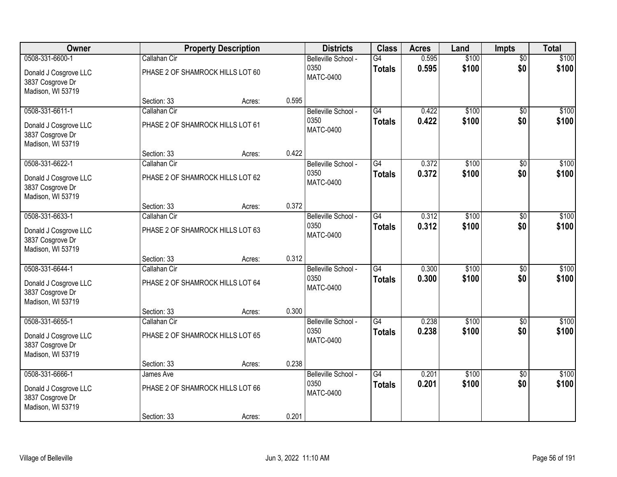| Owner                                                          |                                                  | <b>Property Description</b> |       | <b>Districts</b>                                | <b>Class</b>                     | <b>Acres</b>   | Land           | <b>Impts</b>           | <b>Total</b>   |
|----------------------------------------------------------------|--------------------------------------------------|-----------------------------|-------|-------------------------------------------------|----------------------------------|----------------|----------------|------------------------|----------------|
| 0508-331-6600-1<br>Donald J Cosgrove LLC<br>3837 Cosgrove Dr   | Callahan Cir<br>PHASE 2 OF SHAMROCK HILLS LOT 60 |                             |       | Belleville School -<br>0350<br><b>MATC-0400</b> | $\overline{G4}$<br><b>Totals</b> | 0.595<br>0.595 | \$100<br>\$100 | $\overline{50}$<br>\$0 | \$100<br>\$100 |
| Madison, WI 53719                                              | Section: 33                                      | Acres:                      | 0.595 |                                                 |                                  |                |                |                        |                |
| 0508-331-6611-1                                                | Callahan Cir                                     |                             |       | Belleville School -                             | G4                               | 0.422          | \$100          | $\overline{50}$        | \$100          |
| Donald J Cosgrove LLC<br>3837 Cosgrove Dr<br>Madison, WI 53719 | PHASE 2 OF SHAMROCK HILLS LOT 61                 |                             |       | 0350<br><b>MATC-0400</b>                        | <b>Totals</b>                    | 0.422          | \$100          | \$0                    | \$100          |
|                                                                | Section: 33                                      | Acres:                      | 0.422 |                                                 |                                  |                |                |                        |                |
| 0508-331-6622-1                                                | Callahan Cir                                     |                             |       | Belleville School -                             | G4                               | 0.372          | \$100          | \$0                    | \$100          |
| Donald J Cosgrove LLC<br>3837 Cosgrove Dr<br>Madison, WI 53719 | PHASE 2 OF SHAMROCK HILLS LOT 62                 |                             |       | 0350<br><b>MATC-0400</b>                        | <b>Totals</b>                    | 0.372          | \$100          | \$0                    | \$100          |
|                                                                | Section: 33                                      | Acres:                      | 0.372 |                                                 |                                  |                |                |                        |                |
| 0508-331-6633-1                                                | Callahan Cir                                     |                             |       | Belleville School -                             | $\overline{G4}$                  | 0.312          | \$100          | \$0                    | \$100          |
| Donald J Cosgrove LLC<br>3837 Cosgrove Dr<br>Madison, WI 53719 | PHASE 2 OF SHAMROCK HILLS LOT 63                 |                             |       | 0350<br><b>MATC-0400</b>                        | <b>Totals</b>                    | 0.312          | \$100          | \$0                    | \$100          |
|                                                                | Section: 33                                      | Acres:                      | 0.312 |                                                 |                                  |                |                |                        |                |
| 0508-331-6644-1                                                | Callahan Cir                                     |                             |       | Belleville School -                             | $\overline{G4}$                  | 0.300          | \$100          | $\overline{30}$        | \$100          |
| Donald J Cosgrove LLC<br>3837 Cosgrove Dr<br>Madison, WI 53719 | PHASE 2 OF SHAMROCK HILLS LOT 64                 |                             |       | 0350<br><b>MATC-0400</b>                        | <b>Totals</b>                    | 0.300          | \$100          | \$0                    | \$100          |
|                                                                | Section: 33                                      | Acres:                      | 0.300 |                                                 |                                  |                |                |                        |                |
| 0508-331-6655-1                                                | Callahan Cir                                     |                             |       | Belleville School -                             | G4                               | 0.238          | \$100          | $\overline{50}$        | \$100          |
| Donald J Cosgrove LLC<br>3837 Cosgrove Dr<br>Madison, WI 53719 | PHASE 2 OF SHAMROCK HILLS LOT 65                 |                             |       | 0350<br><b>MATC-0400</b>                        | <b>Totals</b>                    | 0.238          | \$100          | \$0                    | \$100          |
|                                                                | Section: 33                                      | Acres:                      | 0.238 |                                                 |                                  |                |                |                        |                |
| 0508-331-6666-1                                                | James Ave                                        |                             |       | Belleville School -                             | $\overline{G4}$                  | 0.201          | \$100          | $\overline{50}$        | \$100          |
| Donald J Cosgrove LLC<br>3837 Cosgrove Dr<br>Madison, WI 53719 | PHASE 2 OF SHAMROCK HILLS LOT 66                 |                             |       | 0350<br><b>MATC-0400</b>                        | <b>Totals</b>                    | 0.201          | \$100          | \$0                    | \$100          |
|                                                                | Section: 33                                      | Acres:                      | 0.201 |                                                 |                                  |                |                |                        |                |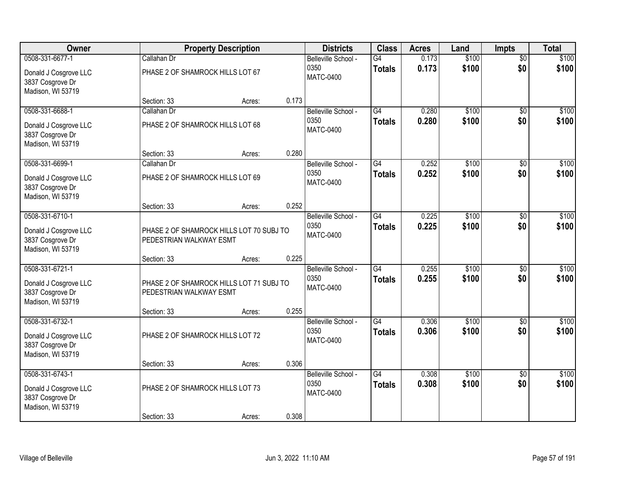| Owner                                                                             |                                                 | <b>Property Description</b>              |       | <b>Districts</b>                                | <b>Class</b>                     | <b>Acres</b>   | Land           | <b>Impts</b>           | <b>Total</b>   |
|-----------------------------------------------------------------------------------|-------------------------------------------------|------------------------------------------|-------|-------------------------------------------------|----------------------------------|----------------|----------------|------------------------|----------------|
| 0508-331-6677-1<br>Donald J Cosgrove LLC<br>3837 Cosgrove Dr                      | Callahan Dr<br>PHASE 2 OF SHAMROCK HILLS LOT 67 |                                          |       | Belleville School -<br>0350<br><b>MATC-0400</b> | $\overline{G4}$<br><b>Totals</b> | 0.173<br>0.173 | \$100<br>\$100 | $\overline{50}$<br>\$0 | \$100<br>\$100 |
| Madison, WI 53719                                                                 | Section: 33                                     | Acres:                                   | 0.173 |                                                 |                                  |                |                |                        |                |
| 0508-331-6688-1<br>Donald J Cosgrove LLC<br>3837 Cosgrove Dr<br>Madison, WI 53719 | Callahan Dr<br>PHASE 2 OF SHAMROCK HILLS LOT 68 |                                          |       | Belleville School -<br>0350<br><b>MATC-0400</b> | G4<br><b>Totals</b>              | 0.280<br>0.280 | \$100<br>\$100 | $\overline{50}$<br>\$0 | \$100<br>\$100 |
|                                                                                   | Section: 33                                     | Acres:                                   | 0.280 |                                                 |                                  |                |                |                        |                |
| 0508-331-6699-1<br>Donald J Cosgrove LLC<br>3837 Cosgrove Dr<br>Madison, WI 53719 | Callahan Dr<br>PHASE 2 OF SHAMROCK HILLS LOT 69 |                                          |       | Belleville School -<br>0350<br><b>MATC-0400</b> | G4<br><b>Totals</b>              | 0.252<br>0.252 | \$100<br>\$100 | \$0<br>\$0             | \$100<br>\$100 |
|                                                                                   | Section: 33                                     | Acres:                                   | 0.252 |                                                 |                                  |                |                |                        |                |
| 0508-331-6710-1<br>Donald J Cosgrove LLC<br>3837 Cosgrove Dr<br>Madison, WI 53719 | PEDESTRIAN WALKWAY ESMT                         | PHASE 2 OF SHAMROCK HILLS LOT 70 SUBJ TO |       | Belleville School -<br>0350<br><b>MATC-0400</b> | $\overline{G4}$<br><b>Totals</b> | 0.225<br>0.225 | \$100<br>\$100 | \$0<br>\$0             | \$100<br>\$100 |
|                                                                                   | Section: 33                                     | Acres:                                   | 0.225 |                                                 |                                  |                |                |                        |                |
| 0508-331-6721-1<br>Donald J Cosgrove LLC<br>3837 Cosgrove Dr<br>Madison, WI 53719 | PEDESTRIAN WALKWAY ESMT                         | PHASE 2 OF SHAMROCK HILLS LOT 71 SUBJ TO |       | Belleville School -<br>0350<br><b>MATC-0400</b> | $\overline{G4}$<br><b>Totals</b> | 0.255<br>0.255 | \$100<br>\$100 | $\overline{50}$<br>\$0 | \$100<br>\$100 |
| 0508-331-6732-1                                                                   | Section: 33                                     | Acres:                                   | 0.255 | Belleville School -                             | $\overline{G4}$                  | 0.306          | \$100          | \$0                    | \$100          |
| Donald J Cosgrove LLC<br>3837 Cosgrove Dr<br>Madison, WI 53719                    | PHASE 2 OF SHAMROCK HILLS LOT 72                |                                          |       | 0350<br><b>MATC-0400</b>                        | <b>Totals</b>                    | 0.306          | \$100          | \$0                    | \$100          |
|                                                                                   | Section: 33                                     | Acres:                                   | 0.306 |                                                 |                                  |                |                |                        |                |
| 0508-331-6743-1<br>Donald J Cosgrove LLC<br>3837 Cosgrove Dr<br>Madison, WI 53719 | PHASE 2 OF SHAMROCK HILLS LOT 73                |                                          |       | Belleville School -<br>0350<br><b>MATC-0400</b> | G4<br><b>Totals</b>              | 0.308<br>0.308 | \$100<br>\$100 | $\overline{50}$<br>\$0 | \$100<br>\$100 |
|                                                                                   | Section: 33                                     | Acres:                                   | 0.308 |                                                 |                                  |                |                |                        |                |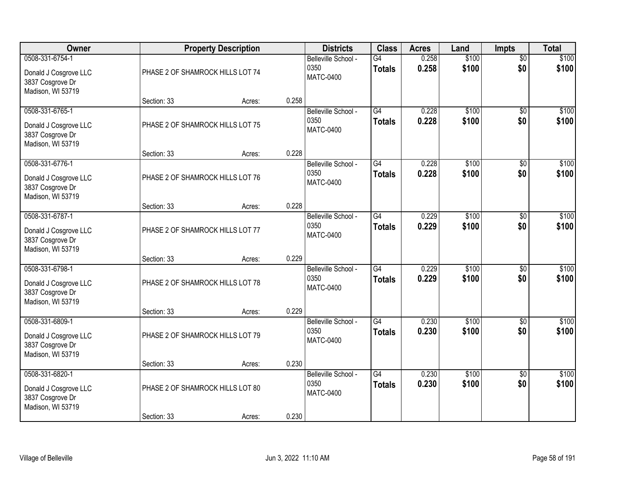| Owner                                                                             |                                                 | <b>Property Description</b> |       | <b>Districts</b>                                | <b>Class</b>                     | <b>Acres</b>   | Land           | Impts                  | <b>Total</b>   |
|-----------------------------------------------------------------------------------|-------------------------------------------------|-----------------------------|-------|-------------------------------------------------|----------------------------------|----------------|----------------|------------------------|----------------|
| 0508-331-6754-1<br>Donald J Cosgrove LLC<br>3837 Cosgrove Dr<br>Madison, WI 53719 | PHASE 2 OF SHAMROCK HILLS LOT 74                |                             |       | Belleville School -<br>0350<br><b>MATC-0400</b> | G4<br><b>Totals</b>              | 0.258<br>0.258 | \$100<br>\$100 | $\overline{50}$<br>\$0 | \$100<br>\$100 |
|                                                                                   | Section: 33                                     | Acres:                      | 0.258 |                                                 |                                  |                |                |                        |                |
| 0508-331-6765-1<br>Donald J Cosgrove LLC<br>3837 Cosgrove Dr<br>Madison, WI 53719 | PHASE 2 OF SHAMROCK HILLS LOT 75                |                             |       | Belleville School -<br>0350<br><b>MATC-0400</b> | G4<br><b>Totals</b>              | 0.228<br>0.228 | \$100<br>\$100 | $\overline{50}$<br>\$0 | \$100<br>\$100 |
| 0508-331-6776-1                                                                   | Section: 33                                     | Acres:                      | 0.228 |                                                 | G4                               | 0.228          | \$100          |                        | \$100          |
| Donald J Cosgrove LLC<br>3837 Cosgrove Dr<br>Madison, WI 53719                    | PHASE 2 OF SHAMROCK HILLS LOT 76                |                             |       | Belleville School -<br>0350<br><b>MATC-0400</b> | <b>Totals</b>                    | 0.228          | \$100          | $\overline{50}$<br>\$0 | \$100          |
|                                                                                   | Section: 33                                     | Acres:                      | 0.228 |                                                 |                                  |                |                |                        |                |
| 0508-331-6787-1<br>Donald J Cosgrove LLC<br>3837 Cosgrove Dr<br>Madison, WI 53719 | PHASE 2 OF SHAMROCK HILLS LOT 77                |                             |       | Belleville School -<br>0350<br><b>MATC-0400</b> | $\overline{G4}$<br><b>Totals</b> | 0.229<br>0.229 | \$100<br>\$100 | \$0<br>\$0             | \$100<br>\$100 |
|                                                                                   | Section: 33                                     | Acres:                      | 0.229 |                                                 |                                  |                |                |                        |                |
| 0508-331-6798-1<br>Donald J Cosgrove LLC<br>3837 Cosgrove Dr<br>Madison, WI 53719 | PHASE 2 OF SHAMROCK HILLS LOT 78                |                             |       | Belleville School -<br>0350<br><b>MATC-0400</b> | $\overline{G4}$<br><b>Totals</b> | 0.229<br>0.229 | \$100<br>\$100 | \$0<br>\$0             | \$100<br>\$100 |
| 0508-331-6809-1                                                                   | Section: 33                                     | Acres:                      | 0.229 | Belleville School -                             | $\overline{G4}$                  | 0.230          | \$100          | $\sqrt{6}$             | \$100          |
| Donald J Cosgrove LLC<br>3837 Cosgrove Dr<br>Madison, WI 53719                    | PHASE 2 OF SHAMROCK HILLS LOT 79                |                             |       | 0350<br><b>MATC-0400</b>                        | <b>Totals</b>                    | 0.230          | \$100          | \$0                    | \$100          |
|                                                                                   | Section: 33                                     | Acres:                      | 0.230 |                                                 |                                  |                |                |                        |                |
| 0508-331-6820-1<br>Donald J Cosgrove LLC<br>3837 Cosgrove Dr<br>Madison, WI 53719 | PHASE 2 OF SHAMROCK HILLS LOT 80<br>Section: 33 | Acres:                      | 0.230 | Belleville School -<br>0350<br><b>MATC-0400</b> | $\overline{G4}$<br><b>Totals</b> | 0.230<br>0.230 | \$100<br>\$100 | $\overline{50}$<br>\$0 | \$100<br>\$100 |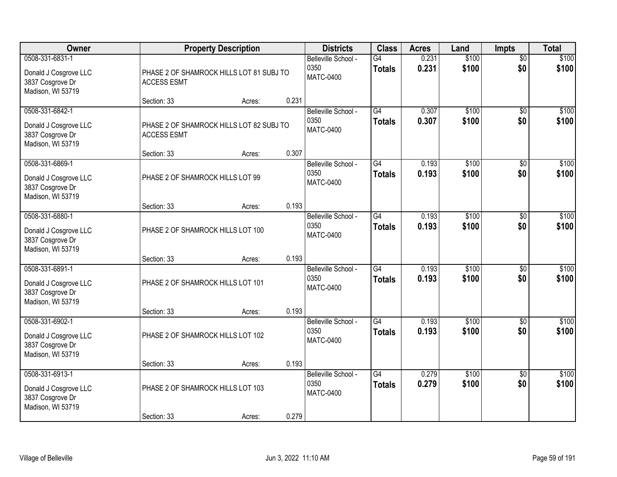| Owner                                                                             |                                   | <b>Property Description</b>              |       | <b>Districts</b>                                | <b>Class</b>                     | <b>Acres</b>   | Land           | <b>Impts</b>           | <b>Total</b>   |
|-----------------------------------------------------------------------------------|-----------------------------------|------------------------------------------|-------|-------------------------------------------------|----------------------------------|----------------|----------------|------------------------|----------------|
| 0508-331-6831-1<br>Donald J Cosgrove LLC<br>3837 Cosgrove Dr<br>Madison, WI 53719 | <b>ACCESS ESMT</b>                | PHASE 2 OF SHAMROCK HILLS LOT 81 SUBJ TO |       | Belleville School -<br>0350<br><b>MATC-0400</b> | G4<br><b>Totals</b>              | 0.231<br>0.231 | \$100<br>\$100 | $\overline{50}$<br>\$0 | \$100<br>\$100 |
|                                                                                   | Section: 33                       | Acres:                                   | 0.231 |                                                 |                                  |                |                |                        |                |
| 0508-331-6842-1<br>Donald J Cosgrove LLC<br>3837 Cosgrove Dr<br>Madison, WI 53719 | <b>ACCESS ESMT</b>                | PHASE 2 OF SHAMROCK HILLS LOT 82 SUBJ TO |       | Belleville School -<br>0350<br><b>MATC-0400</b> | G4<br>Totals                     | 0.307<br>0.307 | \$100<br>\$100 | \$0<br>\$0             | \$100<br>\$100 |
| 0508-331-6869-1                                                                   | Section: 33                       | Acres:                                   | 0.307 | Belleville School -                             | G4                               | 0.193          | \$100          | \$0                    | \$100          |
| Donald J Cosgrove LLC<br>3837 Cosgrove Dr<br>Madison, WI 53719                    | PHASE 2 OF SHAMROCK HILLS LOT 99  |                                          |       | 0350<br><b>MATC-0400</b>                        | <b>Totals</b>                    | 0.193          | \$100          | \$0                    | \$100          |
|                                                                                   | Section: 33                       | Acres:                                   | 0.193 |                                                 |                                  |                |                |                        |                |
| 0508-331-6880-1<br>Donald J Cosgrove LLC<br>3837 Cosgrove Dr<br>Madison, WI 53719 | PHASE 2 OF SHAMROCK HILLS LOT 100 |                                          |       | Belleville School -<br>0350<br><b>MATC-0400</b> | $\overline{G4}$<br><b>Totals</b> | 0.193<br>0.193 | \$100<br>\$100 | \$0<br>\$0             | \$100<br>\$100 |
|                                                                                   | Section: 33                       | Acres:                                   | 0.193 |                                                 |                                  |                |                |                        |                |
| 0508-331-6891-1<br>Donald J Cosgrove LLC<br>3837 Cosgrove Dr<br>Madison, WI 53719 | PHASE 2 OF SHAMROCK HILLS LOT 101 |                                          |       | Belleville School -<br>0350<br><b>MATC-0400</b> | $\overline{G4}$<br><b>Totals</b> | 0.193<br>0.193 | \$100<br>\$100 | \$0<br>\$0             | \$100<br>\$100 |
| 0508-331-6902-1                                                                   | Section: 33                       | Acres:                                   | 0.193 | Belleville School -                             | G4                               | 0.193          | \$100          | \$0                    | \$100          |
| Donald J Cosgrove LLC<br>3837 Cosgrove Dr<br>Madison, WI 53719                    | PHASE 2 OF SHAMROCK HILLS LOT 102 |                                          |       | 0350<br><b>MATC-0400</b>                        | <b>Totals</b>                    | 0.193          | \$100          | \$0                    | \$100          |
|                                                                                   | Section: 33                       | Acres:                                   | 0.193 |                                                 |                                  |                |                |                        |                |
| 0508-331-6913-1<br>Donald J Cosgrove LLC<br>3837 Cosgrove Dr<br>Madison, WI 53719 | PHASE 2 OF SHAMROCK HILLS LOT 103 |                                          | 0.279 | Belleville School -<br>0350<br><b>MATC-0400</b> | G4<br><b>Totals</b>              | 0.279<br>0.279 | \$100<br>\$100 | $\overline{50}$<br>\$0 | \$100<br>\$100 |
|                                                                                   | Section: 33                       | Acres:                                   |       |                                                 |                                  |                |                |                        |                |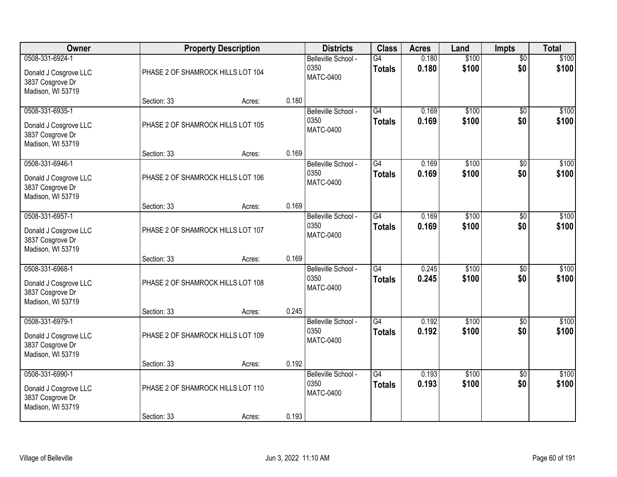| Owner                                                                             |                                                  | <b>Property Description</b> |       | <b>Districts</b>                                | <b>Class</b>                     | <b>Acres</b>   | Land           | Impts                  | <b>Total</b>   |
|-----------------------------------------------------------------------------------|--------------------------------------------------|-----------------------------|-------|-------------------------------------------------|----------------------------------|----------------|----------------|------------------------|----------------|
| 0508-331-6924-1<br>Donald J Cosgrove LLC<br>3837 Cosgrove Dr<br>Madison, WI 53719 | PHASE 2 OF SHAMROCK HILLS LOT 104                |                             |       | Belleville School -<br>0350<br><b>MATC-0400</b> | G4<br><b>Totals</b>              | 0.180<br>0.180 | \$100<br>\$100 | $\overline{50}$<br>\$0 | \$100<br>\$100 |
|                                                                                   | Section: 33                                      | Acres:                      | 0.180 |                                                 |                                  |                |                |                        |                |
| 0508-331-6935-1<br>Donald J Cosgrove LLC<br>3837 Cosgrove Dr<br>Madison, WI 53719 | PHASE 2 OF SHAMROCK HILLS LOT 105                |                             |       | Belleville School -<br>0350<br><b>MATC-0400</b> | G4<br><b>Totals</b>              | 0.169<br>0.169 | \$100<br>\$100 | $\overline{50}$<br>\$0 | \$100<br>\$100 |
| 0508-331-6946-1                                                                   | Section: 33                                      | Acres:                      | 0.169 |                                                 | G4                               | 0.169          | \$100          |                        | \$100          |
| Donald J Cosgrove LLC<br>3837 Cosgrove Dr<br>Madison, WI 53719                    | PHASE 2 OF SHAMROCK HILLS LOT 106                |                             |       | Belleville School -<br>0350<br><b>MATC-0400</b> | <b>Totals</b>                    | 0.169          | \$100          | $\overline{50}$<br>\$0 | \$100          |
|                                                                                   | Section: 33                                      | Acres:                      | 0.169 |                                                 |                                  |                |                |                        |                |
| 0508-331-6957-1<br>Donald J Cosgrove LLC<br>3837 Cosgrove Dr<br>Madison, WI 53719 | PHASE 2 OF SHAMROCK HILLS LOT 107                |                             |       | Belleville School -<br>0350<br><b>MATC-0400</b> | $\overline{G4}$<br><b>Totals</b> | 0.169<br>0.169 | \$100<br>\$100 | \$0<br>\$0             | \$100<br>\$100 |
|                                                                                   | Section: 33                                      | Acres:                      | 0.169 |                                                 |                                  |                |                |                        |                |
| 0508-331-6968-1<br>Donald J Cosgrove LLC<br>3837 Cosgrove Dr<br>Madison, WI 53719 | PHASE 2 OF SHAMROCK HILLS LOT 108                |                             |       | Belleville School -<br>0350<br><b>MATC-0400</b> | $\overline{G4}$<br><b>Totals</b> | 0.245<br>0.245 | \$100<br>\$100 | \$0<br>\$0             | \$100<br>\$100 |
| 0508-331-6979-1                                                                   | Section: 33                                      | Acres:                      | 0.245 | Belleville School -                             | $\overline{G4}$                  | 0.192          | \$100          | $\sqrt{6}$             | \$100          |
| Donald J Cosgrove LLC<br>3837 Cosgrove Dr<br>Madison, WI 53719                    | PHASE 2 OF SHAMROCK HILLS LOT 109                |                             |       | 0350<br><b>MATC-0400</b>                        | <b>Totals</b>                    | 0.192          | \$100          | \$0                    | \$100          |
|                                                                                   | Section: 33                                      | Acres:                      | 0.192 |                                                 |                                  |                |                |                        |                |
| 0508-331-6990-1<br>Donald J Cosgrove LLC<br>3837 Cosgrove Dr<br>Madison, WI 53719 | PHASE 2 OF SHAMROCK HILLS LOT 110<br>Section: 33 | Acres:                      | 0.193 | Belleville School -<br>0350<br><b>MATC-0400</b> | $\overline{G4}$<br><b>Totals</b> | 0.193<br>0.193 | \$100<br>\$100 | $\overline{50}$<br>\$0 | \$100<br>\$100 |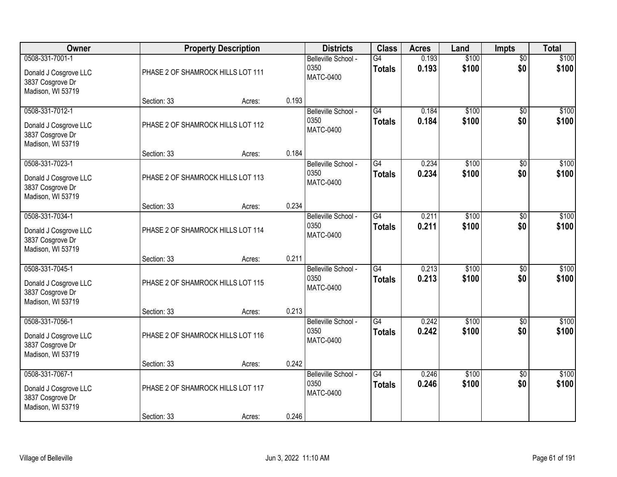| Owner                                                                             |                                   | <b>Property Description</b> |       | <b>Districts</b>                                | <b>Class</b>                     | <b>Acres</b>   | Land           | <b>Impts</b>           | <b>Total</b>   |
|-----------------------------------------------------------------------------------|-----------------------------------|-----------------------------|-------|-------------------------------------------------|----------------------------------|----------------|----------------|------------------------|----------------|
| 0508-331-7001-1<br>Donald J Cosgrove LLC<br>3837 Cosgrove Dr<br>Madison, WI 53719 | PHASE 2 OF SHAMROCK HILLS LOT 111 |                             |       | Belleville School -<br>0350<br><b>MATC-0400</b> | G4<br><b>Totals</b>              | 0.193<br>0.193 | \$100<br>\$100 | $\overline{50}$<br>\$0 | \$100<br>\$100 |
|                                                                                   | Section: 33                       | Acres:                      | 0.193 |                                                 |                                  |                |                |                        |                |
| 0508-331-7012-1<br>Donald J Cosgrove LLC<br>3837 Cosgrove Dr<br>Madison, WI 53719 | PHASE 2 OF SHAMROCK HILLS LOT 112 |                             |       | Belleville School -<br>0350<br><b>MATC-0400</b> | G4<br><b>Totals</b>              | 0.184<br>0.184 | \$100<br>\$100 | $\overline{30}$<br>\$0 | \$100<br>\$100 |
| 0508-331-7023-1                                                                   | Section: 33                       | Acres:                      | 0.184 | Belleville School -                             | G4                               | 0.234          | \$100          | \$0                    | \$100          |
| Donald J Cosgrove LLC<br>3837 Cosgrove Dr<br>Madison, WI 53719                    | PHASE 2 OF SHAMROCK HILLS LOT 113 |                             |       | 0350<br><b>MATC-0400</b>                        | <b>Totals</b>                    | 0.234          | \$100          | \$0                    | \$100          |
|                                                                                   | Section: 33                       | Acres:                      | 0.234 |                                                 |                                  |                |                |                        |                |
| 0508-331-7034-1<br>Donald J Cosgrove LLC<br>3837 Cosgrove Dr<br>Madison, WI 53719 | PHASE 2 OF SHAMROCK HILLS LOT 114 |                             |       | Belleville School -<br>0350<br><b>MATC-0400</b> | $\overline{G4}$<br><b>Totals</b> | 0.211<br>0.211 | \$100<br>\$100 | \$0<br>\$0             | \$100<br>\$100 |
|                                                                                   | Section: 33                       | Acres:                      | 0.211 |                                                 |                                  |                |                |                        |                |
| 0508-331-7045-1<br>Donald J Cosgrove LLC<br>3837 Cosgrove Dr<br>Madison, WI 53719 | PHASE 2 OF SHAMROCK HILLS LOT 115 |                             |       | Belleville School -<br>0350<br><b>MATC-0400</b> | $\overline{G4}$<br><b>Totals</b> | 0.213<br>0.213 | \$100<br>\$100 | $\overline{30}$<br>\$0 | \$100<br>\$100 |
| 0508-331-7056-1                                                                   | Section: 33                       | Acres:                      | 0.213 | Belleville School -                             | $\overline{G4}$                  | 0.242          | \$100          | $\overline{50}$        | \$100          |
| Donald J Cosgrove LLC<br>3837 Cosgrove Dr<br>Madison, WI 53719                    | PHASE 2 OF SHAMROCK HILLS LOT 116 |                             |       | 0350<br><b>MATC-0400</b>                        | <b>Totals</b>                    | 0.242          | \$100          | \$0                    | \$100          |
|                                                                                   | Section: 33                       | Acres:                      | 0.242 |                                                 |                                  |                |                |                        |                |
| 0508-331-7067-1<br>Donald J Cosgrove LLC<br>3837 Cosgrove Dr<br>Madison, WI 53719 | PHASE 2 OF SHAMROCK HILLS LOT 117 |                             |       | Belleville School -<br>0350<br><b>MATC-0400</b> | $\overline{G4}$<br><b>Totals</b> | 0.246<br>0.246 | \$100<br>\$100 | $\overline{50}$<br>\$0 | \$100<br>\$100 |
|                                                                                   | Section: 33                       | Acres:                      | 0.246 |                                                 |                                  |                |                |                        |                |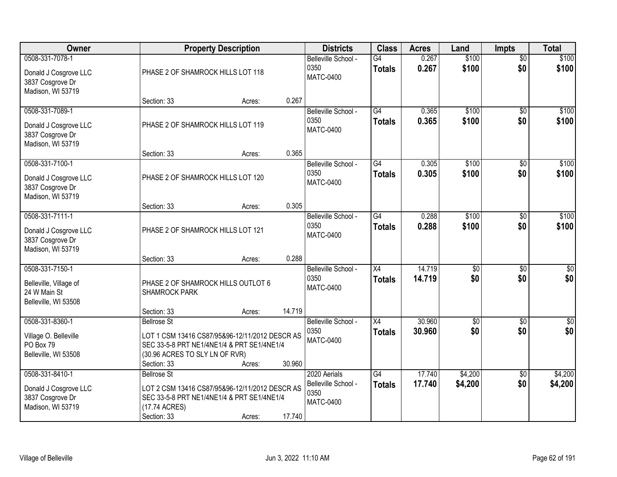| Owner                                                                             |                                                                     | <b>Property Description</b>                                                                            |        | <b>Districts</b>                                                | <b>Class</b>                     | <b>Acres</b>     | Land                   | <b>Impts</b>           | <b>Total</b>            |
|-----------------------------------------------------------------------------------|---------------------------------------------------------------------|--------------------------------------------------------------------------------------------------------|--------|-----------------------------------------------------------------|----------------------------------|------------------|------------------------|------------------------|-------------------------|
| 0508-331-7078-1<br>Donald J Cosgrove LLC<br>3837 Cosgrove Dr<br>Madison, WI 53719 | PHASE 2 OF SHAMROCK HILLS LOT 118                                   |                                                                                                        |        | Belleville School -<br>0350<br><b>MATC-0400</b>                 | G4<br><b>Totals</b>              | 0.267<br>0.267   | \$100<br>\$100         | $\overline{50}$<br>\$0 | \$100<br>\$100          |
|                                                                                   | Section: 33                                                         | Acres:                                                                                                 | 0.267  |                                                                 |                                  |                  |                        |                        |                         |
| 0508-331-7089-1<br>Donald J Cosgrove LLC<br>3837 Cosgrove Dr<br>Madison, WI 53719 | PHASE 2 OF SHAMROCK HILLS LOT 119                                   |                                                                                                        |        | Belleville School -<br>0350<br><b>MATC-0400</b>                 | G4<br><b>Totals</b>              | 0.365<br>0.365   | \$100<br>\$100         | $\overline{50}$<br>\$0 | \$100<br>\$100          |
| 0508-331-7100-1                                                                   | Section: 33                                                         | Acres:                                                                                                 | 0.365  | Belleville School -                                             | G4                               | 0.305            | \$100                  | \$0                    | \$100                   |
| Donald J Cosgrove LLC<br>3837 Cosgrove Dr<br>Madison, WI 53719                    | PHASE 2 OF SHAMROCK HILLS LOT 120                                   |                                                                                                        |        | 0350<br><b>MATC-0400</b>                                        | <b>Totals</b>                    | 0.305            | \$100                  | \$0                    | \$100                   |
|                                                                                   | Section: 33                                                         | Acres:                                                                                                 | 0.305  |                                                                 |                                  |                  |                        |                        |                         |
| 0508-331-7111-1<br>Donald J Cosgrove LLC<br>3837 Cosgrove Dr<br>Madison, WI 53719 | PHASE 2 OF SHAMROCK HILLS LOT 121                                   |                                                                                                        |        | Belleville School -<br>0350<br><b>MATC-0400</b>                 | $\overline{G4}$<br><b>Totals</b> | 0.288<br>0.288   | \$100<br>\$100         | $\sqrt[6]{3}$<br>\$0   | \$100<br>\$100          |
|                                                                                   | Section: 33                                                         | Acres:                                                                                                 | 0.288  |                                                                 |                                  |                  |                        |                        |                         |
| 0508-331-7150-1<br>Belleville, Village of<br>24 W Main St<br>Belleville, WI 53508 | PHASE 2 OF SHAMROCK HILLS OUTLOT 6<br><b>SHAMROCK PARK</b>          |                                                                                                        |        | Belleville School -<br>0350<br><b>MATC-0400</b>                 | $\overline{X4}$<br><b>Totals</b> | 14.719<br>14.719 | $\overline{50}$<br>\$0 | $\overline{50}$<br>\$0 | $\overline{50}$<br>\$0  |
|                                                                                   | Section: 33                                                         | Acres:                                                                                                 | 14.719 |                                                                 |                                  |                  |                        |                        |                         |
| 0508-331-8360-1<br>Village O. Belleville<br>PO Box 79<br>Belleville, WI 53508     | <b>Bellrose St</b><br>(30.96 ACRES TO SLY LN OF RVR)<br>Section: 33 | LOT 1 CSM 13416 CS87/95&96-12/11/2012 DESCR AS<br>SEC 33-5-8 PRT NE1/4NE1/4 & PRT SE1/4NE1/4<br>Acres: | 30.960 | Belleville School -<br>0350<br><b>MATC-0400</b>                 | $\overline{X4}$<br><b>Totals</b> | 30.960<br>30.960 | $\overline{50}$<br>\$0 | $\overline{50}$<br>\$0 | $\overline{\$0}$<br>\$0 |
| 0508-331-8410-1<br>Donald J Cosgrove LLC<br>3837 Cosgrove Dr<br>Madison, WI 53719 | <b>Bellrose St</b><br>(17.74 ACRES)<br>Section: 33                  | LOT 2 CSM 13416 CS87/95&96-12/11/2012 DESCR AS<br>SEC 33-5-8 PRT NE1/4NE1/4 & PRT SE1/4NE1/4<br>Acres: | 17.740 | 2020 Aerials<br>Belleville School -<br>0350<br><b>MATC-0400</b> | G4<br><b>Totals</b>              | 17.740<br>17.740 | \$4,200<br>\$4,200     | $\overline{50}$<br>\$0 | \$4,200<br>\$4,200      |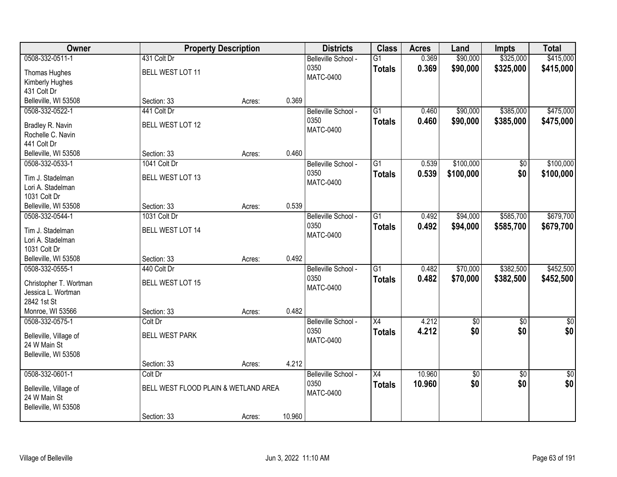| Owner                             |                                      | <b>Property Description</b> |        | <b>Districts</b>         | <b>Class</b>    | <b>Acres</b> | Land            | <b>Impts</b>    | <b>Total</b>     |
|-----------------------------------|--------------------------------------|-----------------------------|--------|--------------------------|-----------------|--------------|-----------------|-----------------|------------------|
| 0508-332-0511-1                   | 431 Colt Dr                          |                             |        | Belleville School -      | $\overline{G1}$ | 0.369        | \$90,000        | \$325,000       | \$415,000        |
| Thomas Hughes                     | BELL WEST LOT 11                     |                             |        | 0350                     | <b>Totals</b>   | 0.369        | \$90,000        | \$325,000       | \$415,000        |
| Kimberly Hughes                   |                                      |                             |        | <b>MATC-0400</b>         |                 |              |                 |                 |                  |
| 431 Colt Dr                       |                                      |                             |        |                          |                 |              |                 |                 |                  |
| Belleville, WI 53508              | Section: 33                          | Acres:                      | 0.369  |                          |                 |              |                 |                 |                  |
| 0508-332-0522-1                   | 441 Colt Dr                          |                             |        | Belleville School -      | $\overline{G1}$ | 0.460        | \$90,000        | \$385,000       | \$475,000        |
| Bradley R. Navin                  | BELL WEST LOT 12                     |                             |        | 0350                     | <b>Totals</b>   | 0.460        | \$90,000        | \$385,000       | \$475,000        |
| Rochelle C. Navin                 |                                      |                             |        | <b>MATC-0400</b>         |                 |              |                 |                 |                  |
| 441 Colt Dr                       |                                      |                             |        |                          |                 |              |                 |                 |                  |
| Belleville, WI 53508              | Section: 33                          | Acres:                      | 0.460  |                          |                 |              |                 |                 |                  |
| 0508-332-0533-1                   | 1041 Colt Dr                         |                             |        | Belleville School -      | G1              | 0.539        | \$100,000       | \$0             | \$100,000        |
|                                   |                                      |                             |        | 0350                     | <b>Totals</b>   | 0.539        | \$100,000       | \$0             | \$100,000        |
| Tim J. Stadelman                  | <b>BELL WEST LOT 13</b>              |                             |        | <b>MATC-0400</b>         |                 |              |                 |                 |                  |
| Lori A. Stadelman<br>1031 Colt Dr |                                      |                             |        |                          |                 |              |                 |                 |                  |
| Belleville, WI 53508              | Section: 33                          | Acres:                      | 0.539  |                          |                 |              |                 |                 |                  |
| 0508-332-0544-1                   | 1031 Colt Dr                         |                             |        | Belleville School -      | G1              | 0.492        | \$94,000        | \$585,700       | \$679,700        |
|                                   |                                      |                             |        | 0350                     | <b>Totals</b>   | 0.492        | \$94,000        | \$585,700       | \$679,700        |
| Tim J. Stadelman                  | BELL WEST LOT 14                     |                             |        | <b>MATC-0400</b>         |                 |              |                 |                 |                  |
| Lori A. Stadelman                 |                                      |                             |        |                          |                 |              |                 |                 |                  |
| 1031 Colt Dr                      |                                      |                             |        |                          |                 |              |                 |                 |                  |
| Belleville, WI 53508              | Section: 33                          | Acres:                      | 0.492  |                          |                 |              |                 |                 |                  |
| 0508-332-0555-1                   | 440 Colt Dr                          |                             |        | Belleville School -      | $\overline{G1}$ | 0.482        | \$70,000        | \$382,500       | \$452,500        |
| Christopher T. Wortman            | BELL WEST LOT 15                     |                             |        | 0350<br><b>MATC-0400</b> | <b>Totals</b>   | 0.482        | \$70,000        | \$382,500       | \$452,500        |
| Jessica L. Wortman                |                                      |                             |        |                          |                 |              |                 |                 |                  |
| 2842 1st St                       |                                      |                             |        |                          |                 |              |                 |                 |                  |
| Monroe, WI 53566                  | Section: 33                          | Acres:                      | 0.482  |                          |                 |              |                 |                 |                  |
| 0508-332-0575-1                   | Colt Dr                              |                             |        | Belleville School -      | $\overline{X4}$ | 4.212        | $\overline{50}$ | $\overline{50}$ | $\overline{\$0}$ |
| Belleville, Village of            | <b>BELL WEST PARK</b>                |                             |        | 0350                     | <b>Totals</b>   | 4.212        | \$0             | \$0             | \$0              |
| 24 W Main St                      |                                      |                             |        | <b>MATC-0400</b>         |                 |              |                 |                 |                  |
| Belleville, WI 53508              |                                      |                             |        |                          |                 |              |                 |                 |                  |
|                                   | Section: 33                          | Acres:                      | 4.212  |                          |                 |              |                 |                 |                  |
| 0508-332-0601-1                   | Colt Dr                              |                             |        | Belleville School -      | $\overline{X4}$ | 10.960       | \$0             | $\overline{50}$ | $\overline{50}$  |
| Belleville, Village of            | BELL WEST FLOOD PLAIN & WETLAND AREA |                             |        | 0350                     | <b>Totals</b>   | 10.960       | \$0             | \$0             | \$0              |
| 24 W Main St                      |                                      |                             |        | <b>MATC-0400</b>         |                 |              |                 |                 |                  |
| Belleville, WI 53508              |                                      |                             |        |                          |                 |              |                 |                 |                  |
|                                   | Section: 33                          | Acres:                      | 10.960 |                          |                 |              |                 |                 |                  |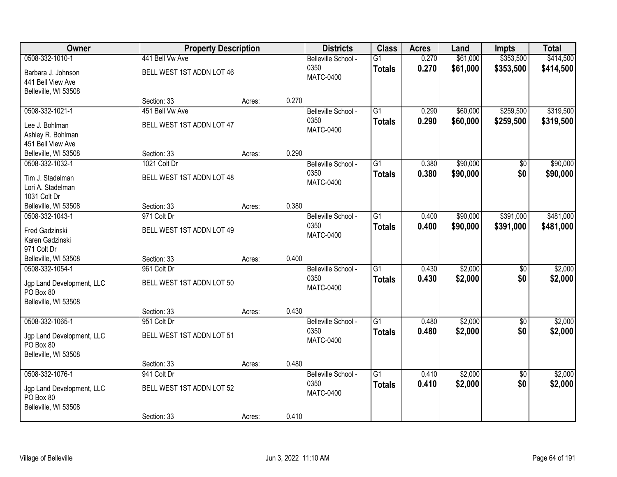| Owner                     | <b>Property Description</b> |        |       | <b>Districts</b>         | <b>Class</b>    | <b>Acres</b> | Land     | <b>Impts</b>    | <b>Total</b> |
|---------------------------|-----------------------------|--------|-------|--------------------------|-----------------|--------------|----------|-----------------|--------------|
| 0508-332-1010-1           | 441 Bell Vw Ave             |        |       | Belleville School -      | $\overline{G1}$ | 0.270        | \$61,000 | \$353,500       | \$414,500    |
| Barbara J. Johnson        | BELL WEST 1ST ADDN LOT 46   |        |       | 0350                     | <b>Totals</b>   | 0.270        | \$61,000 | \$353,500       | \$414,500    |
| 441 Bell View Ave         |                             |        |       | <b>MATC-0400</b>         |                 |              |          |                 |              |
| Belleville, WI 53508      |                             |        |       |                          |                 |              |          |                 |              |
|                           | Section: 33                 | Acres: | 0.270 |                          |                 |              |          |                 |              |
| 0508-332-1021-1           | 451 Bell Vw Ave             |        |       | Belleville School -      | $\overline{G1}$ | 0.290        | \$60,000 | \$259,500       | \$319,500    |
| Lee J. Bohlman            | BELL WEST 1ST ADDN LOT 47   |        |       | 0350<br><b>MATC-0400</b> | <b>Totals</b>   | 0.290        | \$60,000 | \$259,500       | \$319,500    |
| Ashley R. Bohlman         |                             |        |       |                          |                 |              |          |                 |              |
| 451 Bell View Ave         |                             |        |       |                          |                 |              |          |                 |              |
| Belleville, WI 53508      | Section: 33                 | Acres: | 0.290 |                          |                 |              |          |                 |              |
| 0508-332-1032-1           | 1021 Colt Dr                |        |       | Belleville School -      | G1              | 0.380        | \$90,000 | \$0             | \$90,000     |
| Tim J. Stadelman          | BELL WEST 1ST ADDN LOT 48   |        |       | 0350                     | <b>Totals</b>   | 0.380        | \$90,000 | \$0             | \$90,000     |
| Lori A. Stadelman         |                             |        |       | <b>MATC-0400</b>         |                 |              |          |                 |              |
| 1031 Colt Dr              |                             |        |       |                          |                 |              |          |                 |              |
| Belleville, WI 53508      | Section: 33                 | Acres: | 0.380 |                          |                 |              |          |                 |              |
| 0508-332-1043-1           | 971 Colt Dr                 |        |       | Belleville School -      | $\overline{G1}$ | 0.400        | \$90,000 | \$391,000       | \$481,000    |
| Fred Gadzinski            | BELL WEST 1ST ADDN LOT 49   |        |       | 0350<br><b>MATC-0400</b> | <b>Totals</b>   | 0.400        | \$90,000 | \$391,000       | \$481,000    |
| Karen Gadzinski           |                             |        |       |                          |                 |              |          |                 |              |
| 971 Colt Dr               |                             |        |       |                          |                 |              |          |                 |              |
| Belleville, WI 53508      | Section: 33                 | Acres: | 0.400 |                          |                 |              |          |                 |              |
| 0508-332-1054-1           | 961 Colt Dr                 |        |       | Belleville School -      | $\overline{G1}$ | 0.430        | \$2,000  | $\overline{50}$ | \$2,000      |
| Jgp Land Development, LLC | BELL WEST 1ST ADDN LOT 50   |        |       | 0350<br><b>MATC-0400</b> | <b>Totals</b>   | 0.430        | \$2,000  | \$0             | \$2,000      |
| PO Box 80                 |                             |        |       |                          |                 |              |          |                 |              |
| Belleville, WI 53508      |                             |        |       |                          |                 |              |          |                 |              |
|                           | Section: 33                 | Acres: | 0.430 |                          |                 |              |          |                 |              |
| 0508-332-1065-1           | 951 Colt Dr                 |        |       | Belleville School -      | $\overline{G1}$ | 0.480        | \$2,000  | $\overline{50}$ | \$2,000      |
| Jgp Land Development, LLC | BELL WEST 1ST ADDN LOT 51   |        |       | 0350<br><b>MATC-0400</b> | <b>Totals</b>   | 0.480        | \$2,000  | \$0             | \$2,000      |
| PO Box 80                 |                             |        |       |                          |                 |              |          |                 |              |
| Belleville, WI 53508      |                             |        |       |                          |                 |              |          |                 |              |
|                           | Section: 33                 | Acres: | 0.480 |                          |                 |              |          |                 |              |
| 0508-332-1076-1           | 941 Colt Dr                 |        |       | Belleville School -      | $\overline{G1}$ | 0.410        | \$2,000  | $\overline{50}$ | \$2,000      |
| Jgp Land Development, LLC | BELL WEST 1ST ADDN LOT 52   |        |       | 0350<br><b>MATC-0400</b> | <b>Totals</b>   | 0.410        | \$2,000  | \$0             | \$2,000      |
| PO Box 80                 |                             |        |       |                          |                 |              |          |                 |              |
| Belleville, WI 53508      |                             |        |       |                          |                 |              |          |                 |              |
|                           | Section: 33                 | Acres: | 0.410 |                          |                 |              |          |                 |              |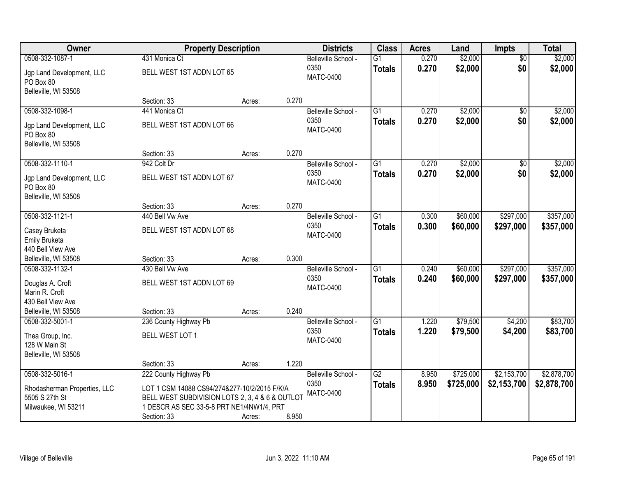| Owner                                  | <b>Property Description</b>                     |        |       | <b>Districts</b>         | <b>Class</b>    | <b>Acres</b> | Land      | <b>Impts</b>    | <b>Total</b> |
|----------------------------------------|-------------------------------------------------|--------|-------|--------------------------|-----------------|--------------|-----------|-----------------|--------------|
| 0508-332-1087-1                        | 431 Monica Ct                                   |        |       | Belleville School -      | $\overline{G1}$ | 0.270        | \$2,000   | $\overline{50}$ | \$2,000      |
| Jgp Land Development, LLC<br>PO Box 80 | BELL WEST 1ST ADDN LOT 65                       |        |       | 0350<br><b>MATC-0400</b> | <b>Totals</b>   | 0.270        | \$2,000   | \$0             | \$2,000      |
| Belleville, WI 53508                   |                                                 |        |       |                          |                 |              |           |                 |              |
|                                        | Section: 33                                     | Acres: | 0.270 |                          |                 |              |           |                 |              |
| 0508-332-1098-1                        | 441 Monica Ct                                   |        |       | Belleville School -      | $\overline{G1}$ | 0.270        | \$2,000   | $\overline{50}$ | \$2,000      |
| Jgp Land Development, LLC<br>PO Box 80 | BELL WEST 1ST ADDN LOT 66                       |        |       | 0350<br><b>MATC-0400</b> | <b>Totals</b>   | 0.270        | \$2,000   | \$0             | \$2,000      |
| Belleville, WI 53508                   |                                                 |        | 0.270 |                          |                 |              |           |                 |              |
| 0508-332-1110-1                        | Section: 33<br>942 Colt Dr                      | Acres: |       | Belleville School -      | G1              | 0.270        | \$2,000   |                 | \$2,000      |
|                                        |                                                 |        |       | 0350                     |                 | 0.270        |           | \$0<br>\$0      |              |
| Jgp Land Development, LLC<br>PO Box 80 | BELL WEST 1ST ADDN LOT 67                       |        |       | <b>MATC-0400</b>         | <b>Totals</b>   |              | \$2,000   |                 | \$2,000      |
| Belleville, WI 53508                   |                                                 |        |       |                          |                 |              |           |                 |              |
|                                        | Section: 33                                     | Acres: | 0.270 |                          |                 |              |           |                 |              |
| 0508-332-1121-1                        | 440 Bell Vw Ave                                 |        |       | Belleville School -      | G1              | 0.300        | \$60,000  | \$297,000       | \$357,000    |
| Casey Bruketa                          | BELL WEST 1ST ADDN LOT 68                       |        |       | 0350<br><b>MATC-0400</b> | <b>Totals</b>   | 0.300        | \$60,000  | \$297,000       | \$357,000    |
| Emily Bruketa                          |                                                 |        |       |                          |                 |              |           |                 |              |
| 440 Bell View Ave                      |                                                 |        |       |                          |                 |              |           |                 |              |
| Belleville, WI 53508                   | Section: 33                                     | Acres: | 0.300 |                          |                 |              |           |                 |              |
| 0508-332-1132-1                        | 430 Bell Vw Ave                                 |        |       | Belleville School -      | $\overline{G1}$ | 0.240        | \$60,000  | \$297,000       | \$357,000    |
| Douglas A. Croft                       | BELL WEST 1ST ADDN LOT 69                       |        |       | 0350                     | <b>Totals</b>   | 0.240        | \$60,000  | \$297,000       | \$357,000    |
| Marin R. Croft                         |                                                 |        |       | <b>MATC-0400</b>         |                 |              |           |                 |              |
| 430 Bell View Ave                      |                                                 |        |       |                          |                 |              |           |                 |              |
| Belleville, WI 53508                   | Section: 33                                     | Acres: | 0.240 |                          |                 |              |           |                 |              |
| 0508-332-5001-1                        | 236 County Highway Pb                           |        |       | Belleville School -      | $\overline{G1}$ | 1.220        | \$79,500  | \$4,200         | \$83,700     |
| Thea Group, Inc.                       | BELL WEST LOT 1                                 |        |       | 0350                     | <b>Totals</b>   | 1.220        | \$79,500  | \$4,200         | \$83,700     |
| 128 W Main St                          |                                                 |        |       | <b>MATC-0400</b>         |                 |              |           |                 |              |
| Belleville, WI 53508                   |                                                 |        |       |                          |                 |              |           |                 |              |
|                                        | Section: 33                                     | Acres: | 1.220 |                          |                 |              |           |                 |              |
| 0508-332-5016-1                        | 222 County Highway Pb                           |        |       | Belleville School -      | $\overline{G2}$ | 8.950        | \$725,000 | \$2,153,700     | \$2,878,700  |
| Rhodasherman Properties, LLC           | LOT 1 CSM 14088 CS94/274&277-10/2/2015 F/K/A    |        |       | 0350                     | <b>Totals</b>   | 8.950        | \$725,000 | \$2,153,700     | \$2,878,700  |
| 5505 S 27th St                         | BELL WEST SUBDIVISION LOTS 2, 3, 4 & 6 & OUTLOT |        |       | <b>MATC-0400</b>         |                 |              |           |                 |              |
| Milwaukee, WI 53211                    | 1 DESCR AS SEC 33-5-8 PRT NE1/4NW1/4, PRT       |        |       |                          |                 |              |           |                 |              |
|                                        | Section: 33                                     | Acres: | 8.950 |                          |                 |              |           |                 |              |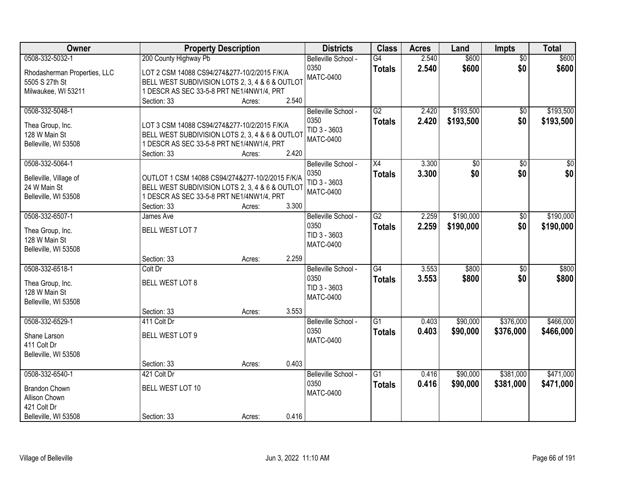| Owner                        |                                                          | <b>Property Description</b> |       | <b>Districts</b>            | <b>Class</b>    | <b>Acres</b> | Land      | <b>Impts</b>    | <b>Total</b> |
|------------------------------|----------------------------------------------------------|-----------------------------|-------|-----------------------------|-----------------|--------------|-----------|-----------------|--------------|
| 0508-332-5032-1              | 200 County Highway Pb                                    |                             |       | Belleville School -         | G4              | 2.540        | \$600     | $\overline{50}$ | \$600        |
| Rhodasherman Properties, LLC | LOT 2 CSM 14088 CS94/274&277-10/2/2015 F/K/A             |                             |       | 0350                        | <b>Totals</b>   | 2.540        | \$600     | \$0             | \$600        |
| 5505 S 27th St               | BELL WEST SUBDIVISION LOTS 2, 3, 4 & 6 & OUTLOT          |                             |       | <b>MATC-0400</b>            |                 |              |           |                 |              |
| Milwaukee, WI 53211          | 1 DESCR AS SEC 33-5-8 PRT NE1/4NW1/4, PRT                |                             |       |                             |                 |              |           |                 |              |
|                              | Section: 33                                              | Acres:                      | 2.540 |                             |                 |              |           |                 |              |
| 0508-332-5048-1              |                                                          |                             |       | Belleville School -         | G2              | 2.420        | \$193,500 | $\overline{50}$ | \$193,500    |
|                              |                                                          |                             |       | 0350                        | <b>Totals</b>   | 2.420        | \$193,500 | \$0             | \$193,500    |
| Thea Group, Inc.             | LOT 3 CSM 14088 CS94/274&277-10/2/2015 F/K/A             |                             |       | TID 3 - 3603                |                 |              |           |                 |              |
| 128 W Main St                | BELL WEST SUBDIVISION LOTS 2, 3, 4 & 6 & OUTLOT          |                             |       | <b>MATC-0400</b>            |                 |              |           |                 |              |
| Belleville, WI 53508         | 1 DESCR AS SEC 33-5-8 PRT NE1/4NW1/4, PRT<br>Section: 33 | Acres:                      | 2.420 |                             |                 |              |           |                 |              |
| 0508-332-5064-1              |                                                          |                             |       | Belleville School -         | X4              | 3.300        | \$0       | \$0             | \$0          |
|                              |                                                          |                             |       | 0350                        | <b>Totals</b>   | 3.300        | \$0       | \$0             | \$0          |
| Belleville, Village of       | OUTLOT 1 CSM 14088 CS94/274&277-10/2/2015 F/K/A          |                             |       | TID 3 - 3603                |                 |              |           |                 |              |
| 24 W Main St                 | BELL WEST SUBDIVISION LOTS 2, 3, 4 & 6 & OUTLOT          |                             |       | <b>MATC-0400</b>            |                 |              |           |                 |              |
| Belleville, WI 53508         | 1 DESCR AS SEC 33-5-8 PRT NE1/4NW1/4, PRT                |                             |       |                             |                 |              |           |                 |              |
|                              | Section: 33                                              | Acres:                      | 3.300 |                             |                 |              |           |                 |              |
| 0508-332-6507-1              | James Ave                                                |                             |       | Belleville School -         | $\overline{G2}$ | 2.259        | \$190,000 | $\sqrt[6]{}$    | \$190,000    |
| Thea Group, Inc.             | BELL WEST LOT 7                                          |                             |       | 0350                        | <b>Totals</b>   | 2.259        | \$190,000 | \$0             | \$190,000    |
| 128 W Main St                |                                                          |                             |       | TID 3 - 3603                |                 |              |           |                 |              |
| Belleville, WI 53508         |                                                          |                             |       | <b>MATC-0400</b>            |                 |              |           |                 |              |
|                              | Section: 33                                              | Acres:                      | 2.259 |                             |                 |              |           |                 |              |
| 0508-332-6518-1              | Colt Dr                                                  |                             |       | Belleville School -         | $\overline{G4}$ | 3.553        | \$800     | $\overline{30}$ | \$800        |
|                              |                                                          |                             |       | 0350                        | <b>Totals</b>   | 3.553        | \$800     | \$0             | \$800        |
| Thea Group, Inc.             | BELL WEST LOT 8                                          |                             |       | TID 3 - 3603                |                 |              |           |                 |              |
| 128 W Main St                |                                                          |                             |       | <b>MATC-0400</b>            |                 |              |           |                 |              |
| Belleville, WI 53508         |                                                          |                             | 3.553 |                             |                 |              |           |                 |              |
| 0508-332-6529-1              | Section: 33                                              | Acres:                      |       |                             | $\overline{G1}$ | 0.403        |           | \$376,000       | \$466,000    |
|                              | 411 Colt Dr                                              |                             |       | Belleville School -<br>0350 |                 |              | \$90,000  |                 |              |
| Shane Larson                 | BELL WEST LOT 9                                          |                             |       | <b>MATC-0400</b>            | <b>Totals</b>   | 0.403        | \$90,000  | \$376,000       | \$466,000    |
| 411 Colt Dr                  |                                                          |                             |       |                             |                 |              |           |                 |              |
| Belleville, WI 53508         |                                                          |                             |       |                             |                 |              |           |                 |              |
|                              | Section: 33                                              | Acres:                      | 0.403 |                             |                 |              |           |                 |              |
| 0508-332-6540-1              | 421 Colt Dr                                              |                             |       | Belleville School -         | $\overline{G1}$ | 0.416        | \$90,000  | \$381,000       | \$471,000    |
| <b>Brandon Chown</b>         | BELL WEST LOT 10                                         |                             |       | 0350                        | <b>Totals</b>   | 0.416        | \$90,000  | \$381,000       | \$471,000    |
| Allison Chown                |                                                          |                             |       | <b>MATC-0400</b>            |                 |              |           |                 |              |
| 421 Colt Dr                  |                                                          |                             |       |                             |                 |              |           |                 |              |
| Belleville, WI 53508         | Section: 33                                              | Acres:                      | 0.416 |                             |                 |              |           |                 |              |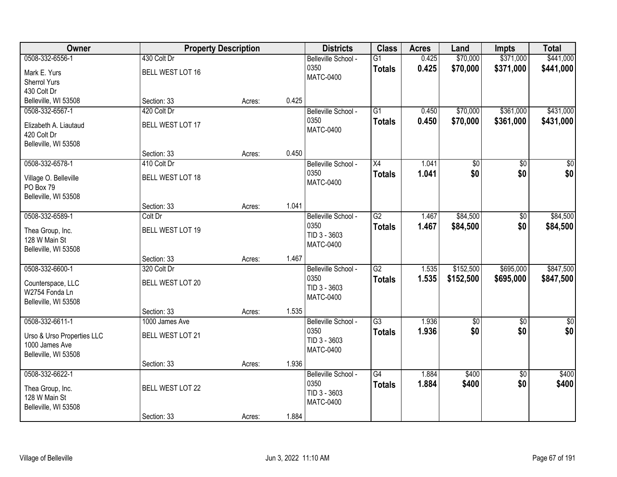| \$70,000<br>\$371,000<br>\$441,000<br>0508-332-6556-1<br>430 Colt Dr<br>0.425<br>Belleville School -<br>$\overline{G1}$<br>0350<br>0.425<br>\$70,000<br>\$371,000<br>\$441,000<br><b>Totals</b><br>BELL WEST LOT 16<br>Mark E. Yurs<br><b>MATC-0400</b><br><b>Sherrol Yurs</b><br>430 Colt Dr<br>0.425<br>Belleville, WI 53508<br>Section: 33<br>Acres:<br>420 Colt Dr<br>$\overline{G1}$<br>\$70,000<br>\$361,000<br>0508-332-6567-1<br>0.450<br>Belleville School -<br>0350<br>0.450<br>\$70,000<br>\$361,000<br><b>Totals</b><br>BELL WEST LOT 17<br>Elizabeth A. Liautaud<br><b>MATC-0400</b><br>420 Colt Dr<br>Belleville, WI 53508<br>Section: 33<br>0.450<br>Acres:<br>0508-332-6578-1<br>410 Colt Dr<br>X4<br>1.041<br>\$0<br>\$0<br>Belleville School -<br>\$0<br>0350<br>\$0<br>1.041<br><b>Totals</b><br><b>BELL WEST LOT 18</b><br>Village O. Belleville<br><b>MATC-0400</b><br>PO Box 79<br>Belleville, WI 53508<br>1.041<br>Section: 33<br>Acres:<br>0508-332-6589-1<br>$\overline{G2}$<br>\$84,500<br>1.467<br>\$0<br>Colt Dr<br>Belleville School -<br>0350<br>1.467<br>\$0<br>\$84,500<br><b>Totals</b><br>BELL WEST LOT 19<br>Thea Group, Inc.<br>TID 3 - 3603<br>128 W Main St<br><b>MATC-0400</b><br>Belleville, WI 53508<br>1.467<br>Section: 33<br>Acres:<br>$\overline{G2}$<br>\$152,500<br>\$695,000<br>0508-332-6600-1<br>320 Colt Dr<br>1.535<br>Belleville School -<br>0350<br>1.535<br>\$152,500<br>\$695,000<br><b>Totals</b><br>BELL WEST LOT 20<br>Counterspace, LLC<br>TID 3 - 3603<br>W2754 Fonda Ln<br><b>MATC-0400</b><br>Belleville, WI 53508<br>Section: 33<br>1.535<br>Acres:<br>0508-332-6611-1<br>$\overline{G3}$<br>1.936<br>Belleville School -<br>$\overline{50}$<br>$\overline{50}$<br>1000 James Ave<br>\$0<br>0350<br>\$0<br>1.936<br><b>Totals</b><br><b>BELL WEST LOT 21</b><br>Urso & Urso Properties LLC<br>TID 3 - 3603<br>1000 James Ave<br><b>MATC-0400</b><br>Belleville, WI 53508<br>1.936<br>Section: 33<br>Acres:<br>0508-332-6622-1<br>$\overline{G4}$<br>\$400<br>$\overline{50}$<br>1.884<br>Belleville School -<br>0350<br>1.884<br>\$400<br>\$0<br><b>Totals</b><br><b>BELL WEST LOT 22</b><br>Thea Group, Inc. | Owner | <b>Property Description</b> | <b>Districts</b> | <b>Class</b> | <b>Acres</b> | Land | <b>Impts</b> | <b>Total</b> |
|-------------------------------------------------------------------------------------------------------------------------------------------------------------------------------------------------------------------------------------------------------------------------------------------------------------------------------------------------------------------------------------------------------------------------------------------------------------------------------------------------------------------------------------------------------------------------------------------------------------------------------------------------------------------------------------------------------------------------------------------------------------------------------------------------------------------------------------------------------------------------------------------------------------------------------------------------------------------------------------------------------------------------------------------------------------------------------------------------------------------------------------------------------------------------------------------------------------------------------------------------------------------------------------------------------------------------------------------------------------------------------------------------------------------------------------------------------------------------------------------------------------------------------------------------------------------------------------------------------------------------------------------------------------------------------------------------------------------------------------------------------------------------------------------------------------------------------------------------------------------------------------------------------------------------------------------------------------------------------------------------------------------------------------------------------------------------------------------------------------------------------------------------------------------------------|-------|-----------------------------|------------------|--------------|--------------|------|--------------|--------------|
|                                                                                                                                                                                                                                                                                                                                                                                                                                                                                                                                                                                                                                                                                                                                                                                                                                                                                                                                                                                                                                                                                                                                                                                                                                                                                                                                                                                                                                                                                                                                                                                                                                                                                                                                                                                                                                                                                                                                                                                                                                                                                                                                                                               |       |                             |                  |              |              |      |              |              |
|                                                                                                                                                                                                                                                                                                                                                                                                                                                                                                                                                                                                                                                                                                                                                                                                                                                                                                                                                                                                                                                                                                                                                                                                                                                                                                                                                                                                                                                                                                                                                                                                                                                                                                                                                                                                                                                                                                                                                                                                                                                                                                                                                                               |       |                             |                  |              |              |      |              |              |
|                                                                                                                                                                                                                                                                                                                                                                                                                                                                                                                                                                                                                                                                                                                                                                                                                                                                                                                                                                                                                                                                                                                                                                                                                                                                                                                                                                                                                                                                                                                                                                                                                                                                                                                                                                                                                                                                                                                                                                                                                                                                                                                                                                               |       |                             |                  |              |              |      |              |              |
|                                                                                                                                                                                                                                                                                                                                                                                                                                                                                                                                                                                                                                                                                                                                                                                                                                                                                                                                                                                                                                                                                                                                                                                                                                                                                                                                                                                                                                                                                                                                                                                                                                                                                                                                                                                                                                                                                                                                                                                                                                                                                                                                                                               |       |                             |                  |              |              |      |              |              |
| \$431,000<br>\$431,000<br>\$0<br>\$0 <br>\$84,500<br>\$84,500<br>\$847,500<br>\$847,500<br>$\overline{\$0}$<br>\$0<br>\$400<br>\$400                                                                                                                                                                                                                                                                                                                                                                                                                                                                                                                                                                                                                                                                                                                                                                                                                                                                                                                                                                                                                                                                                                                                                                                                                                                                                                                                                                                                                                                                                                                                                                                                                                                                                                                                                                                                                                                                                                                                                                                                                                          |       |                             |                  |              |              |      |              |              |
|                                                                                                                                                                                                                                                                                                                                                                                                                                                                                                                                                                                                                                                                                                                                                                                                                                                                                                                                                                                                                                                                                                                                                                                                                                                                                                                                                                                                                                                                                                                                                                                                                                                                                                                                                                                                                                                                                                                                                                                                                                                                                                                                                                               |       |                             |                  |              |              |      |              |              |
|                                                                                                                                                                                                                                                                                                                                                                                                                                                                                                                                                                                                                                                                                                                                                                                                                                                                                                                                                                                                                                                                                                                                                                                                                                                                                                                                                                                                                                                                                                                                                                                                                                                                                                                                                                                                                                                                                                                                                                                                                                                                                                                                                                               |       |                             |                  |              |              |      |              |              |
|                                                                                                                                                                                                                                                                                                                                                                                                                                                                                                                                                                                                                                                                                                                                                                                                                                                                                                                                                                                                                                                                                                                                                                                                                                                                                                                                                                                                                                                                                                                                                                                                                                                                                                                                                                                                                                                                                                                                                                                                                                                                                                                                                                               |       |                             |                  |              |              |      |              |              |
|                                                                                                                                                                                                                                                                                                                                                                                                                                                                                                                                                                                                                                                                                                                                                                                                                                                                                                                                                                                                                                                                                                                                                                                                                                                                                                                                                                                                                                                                                                                                                                                                                                                                                                                                                                                                                                                                                                                                                                                                                                                                                                                                                                               |       |                             |                  |              |              |      |              |              |
|                                                                                                                                                                                                                                                                                                                                                                                                                                                                                                                                                                                                                                                                                                                                                                                                                                                                                                                                                                                                                                                                                                                                                                                                                                                                                                                                                                                                                                                                                                                                                                                                                                                                                                                                                                                                                                                                                                                                                                                                                                                                                                                                                                               |       |                             |                  |              |              |      |              |              |
|                                                                                                                                                                                                                                                                                                                                                                                                                                                                                                                                                                                                                                                                                                                                                                                                                                                                                                                                                                                                                                                                                                                                                                                                                                                                                                                                                                                                                                                                                                                                                                                                                                                                                                                                                                                                                                                                                                                                                                                                                                                                                                                                                                               |       |                             |                  |              |              |      |              |              |
|                                                                                                                                                                                                                                                                                                                                                                                                                                                                                                                                                                                                                                                                                                                                                                                                                                                                                                                                                                                                                                                                                                                                                                                                                                                                                                                                                                                                                                                                                                                                                                                                                                                                                                                                                                                                                                                                                                                                                                                                                                                                                                                                                                               |       |                             |                  |              |              |      |              |              |
|                                                                                                                                                                                                                                                                                                                                                                                                                                                                                                                                                                                                                                                                                                                                                                                                                                                                                                                                                                                                                                                                                                                                                                                                                                                                                                                                                                                                                                                                                                                                                                                                                                                                                                                                                                                                                                                                                                                                                                                                                                                                                                                                                                               |       |                             |                  |              |              |      |              |              |
|                                                                                                                                                                                                                                                                                                                                                                                                                                                                                                                                                                                                                                                                                                                                                                                                                                                                                                                                                                                                                                                                                                                                                                                                                                                                                                                                                                                                                                                                                                                                                                                                                                                                                                                                                                                                                                                                                                                                                                                                                                                                                                                                                                               |       |                             |                  |              |              |      |              |              |
|                                                                                                                                                                                                                                                                                                                                                                                                                                                                                                                                                                                                                                                                                                                                                                                                                                                                                                                                                                                                                                                                                                                                                                                                                                                                                                                                                                                                                                                                                                                                                                                                                                                                                                                                                                                                                                                                                                                                                                                                                                                                                                                                                                               |       |                             |                  |              |              |      |              |              |
|                                                                                                                                                                                                                                                                                                                                                                                                                                                                                                                                                                                                                                                                                                                                                                                                                                                                                                                                                                                                                                                                                                                                                                                                                                                                                                                                                                                                                                                                                                                                                                                                                                                                                                                                                                                                                                                                                                                                                                                                                                                                                                                                                                               |       |                             |                  |              |              |      |              |              |
|                                                                                                                                                                                                                                                                                                                                                                                                                                                                                                                                                                                                                                                                                                                                                                                                                                                                                                                                                                                                                                                                                                                                                                                                                                                                                                                                                                                                                                                                                                                                                                                                                                                                                                                                                                                                                                                                                                                                                                                                                                                                                                                                                                               |       |                             |                  |              |              |      |              |              |
|                                                                                                                                                                                                                                                                                                                                                                                                                                                                                                                                                                                                                                                                                                                                                                                                                                                                                                                                                                                                                                                                                                                                                                                                                                                                                                                                                                                                                                                                                                                                                                                                                                                                                                                                                                                                                                                                                                                                                                                                                                                                                                                                                                               |       |                             |                  |              |              |      |              |              |
|                                                                                                                                                                                                                                                                                                                                                                                                                                                                                                                                                                                                                                                                                                                                                                                                                                                                                                                                                                                                                                                                                                                                                                                                                                                                                                                                                                                                                                                                                                                                                                                                                                                                                                                                                                                                                                                                                                                                                                                                                                                                                                                                                                               |       |                             |                  |              |              |      |              |              |
|                                                                                                                                                                                                                                                                                                                                                                                                                                                                                                                                                                                                                                                                                                                                                                                                                                                                                                                                                                                                                                                                                                                                                                                                                                                                                                                                                                                                                                                                                                                                                                                                                                                                                                                                                                                                                                                                                                                                                                                                                                                                                                                                                                               |       |                             |                  |              |              |      |              |              |
|                                                                                                                                                                                                                                                                                                                                                                                                                                                                                                                                                                                                                                                                                                                                                                                                                                                                                                                                                                                                                                                                                                                                                                                                                                                                                                                                                                                                                                                                                                                                                                                                                                                                                                                                                                                                                                                                                                                                                                                                                                                                                                                                                                               |       |                             |                  |              |              |      |              |              |
|                                                                                                                                                                                                                                                                                                                                                                                                                                                                                                                                                                                                                                                                                                                                                                                                                                                                                                                                                                                                                                                                                                                                                                                                                                                                                                                                                                                                                                                                                                                                                                                                                                                                                                                                                                                                                                                                                                                                                                                                                                                                                                                                                                               |       |                             |                  |              |              |      |              |              |
|                                                                                                                                                                                                                                                                                                                                                                                                                                                                                                                                                                                                                                                                                                                                                                                                                                                                                                                                                                                                                                                                                                                                                                                                                                                                                                                                                                                                                                                                                                                                                                                                                                                                                                                                                                                                                                                                                                                                                                                                                                                                                                                                                                               |       |                             |                  |              |              |      |              |              |
|                                                                                                                                                                                                                                                                                                                                                                                                                                                                                                                                                                                                                                                                                                                                                                                                                                                                                                                                                                                                                                                                                                                                                                                                                                                                                                                                                                                                                                                                                                                                                                                                                                                                                                                                                                                                                                                                                                                                                                                                                                                                                                                                                                               |       |                             |                  |              |              |      |              |              |
|                                                                                                                                                                                                                                                                                                                                                                                                                                                                                                                                                                                                                                                                                                                                                                                                                                                                                                                                                                                                                                                                                                                                                                                                                                                                                                                                                                                                                                                                                                                                                                                                                                                                                                                                                                                                                                                                                                                                                                                                                                                                                                                                                                               |       |                             |                  |              |              |      |              |              |
|                                                                                                                                                                                                                                                                                                                                                                                                                                                                                                                                                                                                                                                                                                                                                                                                                                                                                                                                                                                                                                                                                                                                                                                                                                                                                                                                                                                                                                                                                                                                                                                                                                                                                                                                                                                                                                                                                                                                                                                                                                                                                                                                                                               |       |                             |                  |              |              |      |              |              |
|                                                                                                                                                                                                                                                                                                                                                                                                                                                                                                                                                                                                                                                                                                                                                                                                                                                                                                                                                                                                                                                                                                                                                                                                                                                                                                                                                                                                                                                                                                                                                                                                                                                                                                                                                                                                                                                                                                                                                                                                                                                                                                                                                                               |       |                             |                  |              |              |      |              |              |
|                                                                                                                                                                                                                                                                                                                                                                                                                                                                                                                                                                                                                                                                                                                                                                                                                                                                                                                                                                                                                                                                                                                                                                                                                                                                                                                                                                                                                                                                                                                                                                                                                                                                                                                                                                                                                                                                                                                                                                                                                                                                                                                                                                               |       |                             |                  |              |              |      |              |              |
|                                                                                                                                                                                                                                                                                                                                                                                                                                                                                                                                                                                                                                                                                                                                                                                                                                                                                                                                                                                                                                                                                                                                                                                                                                                                                                                                                                                                                                                                                                                                                                                                                                                                                                                                                                                                                                                                                                                                                                                                                                                                                                                                                                               |       |                             |                  |              |              |      |              |              |
|                                                                                                                                                                                                                                                                                                                                                                                                                                                                                                                                                                                                                                                                                                                                                                                                                                                                                                                                                                                                                                                                                                                                                                                                                                                                                                                                                                                                                                                                                                                                                                                                                                                                                                                                                                                                                                                                                                                                                                                                                                                                                                                                                                               |       |                             |                  |              |              |      |              |              |
|                                                                                                                                                                                                                                                                                                                                                                                                                                                                                                                                                                                                                                                                                                                                                                                                                                                                                                                                                                                                                                                                                                                                                                                                                                                                                                                                                                                                                                                                                                                                                                                                                                                                                                                                                                                                                                                                                                                                                                                                                                                                                                                                                                               |       |                             |                  |              |              |      |              |              |
|                                                                                                                                                                                                                                                                                                                                                                                                                                                                                                                                                                                                                                                                                                                                                                                                                                                                                                                                                                                                                                                                                                                                                                                                                                                                                                                                                                                                                                                                                                                                                                                                                                                                                                                                                                                                                                                                                                                                                                                                                                                                                                                                                                               |       |                             |                  |              |              |      |              |              |
|                                                                                                                                                                                                                                                                                                                                                                                                                                                                                                                                                                                                                                                                                                                                                                                                                                                                                                                                                                                                                                                                                                                                                                                                                                                                                                                                                                                                                                                                                                                                                                                                                                                                                                                                                                                                                                                                                                                                                                                                                                                                                                                                                                               |       |                             | TID 3 - 3603     |              |              |      |              |              |
| 128 W Main St<br><b>MATC-0400</b>                                                                                                                                                                                                                                                                                                                                                                                                                                                                                                                                                                                                                                                                                                                                                                                                                                                                                                                                                                                                                                                                                                                                                                                                                                                                                                                                                                                                                                                                                                                                                                                                                                                                                                                                                                                                                                                                                                                                                                                                                                                                                                                                             |       |                             |                  |              |              |      |              |              |
| Belleville, WI 53508<br>1.884<br>Section: 33<br>Acres:                                                                                                                                                                                                                                                                                                                                                                                                                                                                                                                                                                                                                                                                                                                                                                                                                                                                                                                                                                                                                                                                                                                                                                                                                                                                                                                                                                                                                                                                                                                                                                                                                                                                                                                                                                                                                                                                                                                                                                                                                                                                                                                        |       |                             |                  |              |              |      |              |              |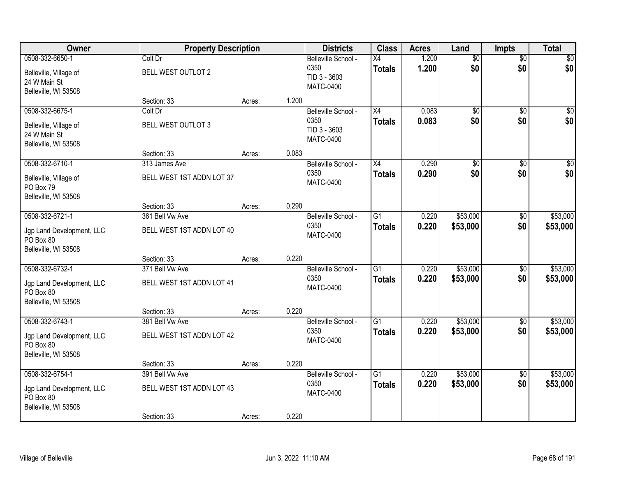| Owner                                                                             | <b>Property Description</b>                                 |        |       | <b>Districts</b>                                                | <b>Class</b>                     | <b>Acres</b>   | Land                   | <b>Impts</b>           | <b>Total</b>            |
|-----------------------------------------------------------------------------------|-------------------------------------------------------------|--------|-------|-----------------------------------------------------------------|----------------------------------|----------------|------------------------|------------------------|-------------------------|
| 0508-332-6650-1<br>Belleville, Village of<br>24 W Main St                         | Colt Dr<br>BELL WEST OUTLOT 2                               |        |       | Belleville School -<br>0350<br>TID 3 - 3603                     | X4<br><b>Totals</b>              | 1.200<br>1.200 | $\overline{50}$<br>\$0 | $\overline{50}$<br>\$0 | \$0<br>\$0              |
| Belleville, WI 53508                                                              | Section: 33                                                 | Acres: | 1.200 | <b>MATC-0400</b>                                                |                                  |                |                        |                        |                         |
| 0508-332-6675-1<br>Belleville, Village of<br>24 W Main St<br>Belleville, WI 53508 | Colt Dr<br>BELL WEST OUTLOT 3                               |        |       | Belleville School -<br>0350<br>TID 3 - 3603<br><b>MATC-0400</b> | X4<br><b>Totals</b>              | 0.083<br>0.083 | $\overline{50}$<br>\$0 | $\overline{50}$<br>\$0 | \$0<br>\$0              |
|                                                                                   | Section: 33                                                 | Acres: | 0.083 |                                                                 |                                  |                |                        |                        |                         |
| 0508-332-6710-1<br>Belleville, Village of<br>PO Box 79<br>Belleville, WI 53508    | 313 James Ave<br>BELL WEST 1ST ADDN LOT 37                  |        |       | Belleville School -<br>0350<br><b>MATC-0400</b>                 | X4<br><b>Totals</b>              | 0.290<br>0.290 | $\overline{50}$<br>\$0 | \$0<br>\$0             | $\overline{\$0}$<br>\$0 |
|                                                                                   | Section: 33                                                 | Acres: | 0.290 |                                                                 |                                  |                |                        |                        |                         |
| 0508-332-6721-1<br>Jgp Land Development, LLC<br>PO Box 80<br>Belleville, WI 53508 | 361 Bell Vw Ave<br>BELL WEST 1ST ADDN LOT 40                |        |       | Belleville School -<br>0350<br><b>MATC-0400</b>                 | $\overline{G1}$<br><b>Totals</b> | 0.220<br>0.220 | \$53,000<br>\$53,000   | \$0<br>\$0             | \$53,000<br>\$53,000    |
|                                                                                   | Section: 33                                                 | Acres: | 0.220 |                                                                 |                                  |                |                        |                        |                         |
| 0508-332-6732-1<br>Jgp Land Development, LLC<br>PO Box 80<br>Belleville, WI 53508 | 371 Bell Vw Ave<br>BELL WEST 1ST ADDN LOT 41                |        |       | Belleville School -<br>0350<br><b>MATC-0400</b>                 | $\overline{G1}$<br><b>Totals</b> | 0.220<br>0.220 | \$53,000<br>\$53,000   | \$0<br>\$0             | \$53,000<br>\$53,000    |
|                                                                                   | Section: 33                                                 | Acres: | 0.220 |                                                                 |                                  |                |                        |                        |                         |
| 0508-332-6743-1<br>Jgp Land Development, LLC<br>PO Box 80<br>Belleville, WI 53508 | 381 Bell Vw Ave<br>BELL WEST 1ST ADDN LOT 42                |        |       | Belleville School -<br>0350<br><b>MATC-0400</b>                 | $\overline{G1}$<br><b>Totals</b> | 0.220<br>0.220 | \$53,000<br>\$53,000   | \$0<br>\$0             | \$53,000<br>\$53,000    |
|                                                                                   | Section: 33                                                 | Acres: | 0.220 |                                                                 |                                  |                |                        |                        |                         |
| 0508-332-6754-1<br>Jgp Land Development, LLC<br>PO Box 80<br>Belleville, WI 53508 | 391 Bell Vw Ave<br>BELL WEST 1ST ADDN LOT 43<br>Section: 33 | Acres: | 0.220 | Belleville School -<br>0350<br><b>MATC-0400</b>                 | $\overline{G1}$<br><b>Totals</b> | 0.220<br>0.220 | \$53,000<br>\$53,000   | $\sqrt{6}$<br>\$0      | \$53,000<br>\$53,000    |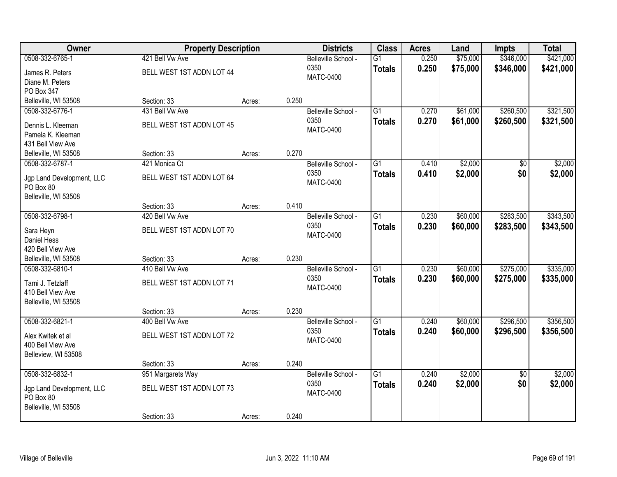| Owner                                                                             | <b>Property Description</b>                                   |        |       | <b>Districts</b>                                | <b>Class</b>                     | <b>Acres</b>   | Land                 | <b>Impts</b>           | <b>Total</b>           |
|-----------------------------------------------------------------------------------|---------------------------------------------------------------|--------|-------|-------------------------------------------------|----------------------------------|----------------|----------------------|------------------------|------------------------|
| 0508-332-6765-1<br>James R. Peters<br>Diane M. Peters<br>PO Box 347               | 421 Bell Vw Ave<br>BELL WEST 1ST ADDN LOT 44                  |        |       | Belleville School -<br>0350<br><b>MATC-0400</b> | $\overline{G1}$<br><b>Totals</b> | 0.250<br>0.250 | \$75,000<br>\$75,000 | \$346,000<br>\$346,000 | \$421,000<br>\$421,000 |
| Belleville, WI 53508                                                              | Section: 33                                                   | Acres: | 0.250 |                                                 |                                  |                |                      |                        |                        |
| 0508-332-6776-1<br>Dennis L. Kleeman<br>Pamela K. Kleeman<br>431 Bell View Ave    | 431 Bell Vw Ave<br>BELL WEST 1ST ADDN LOT 45                  |        |       | Belleville School -<br>0350<br><b>MATC-0400</b> | $\overline{G1}$<br><b>Totals</b> | 0.270<br>0.270 | \$61,000<br>\$61,000 | \$260,500<br>\$260,500 | \$321,500<br>\$321,500 |
| Belleville, WI 53508                                                              | Section: 33                                                   | Acres: | 0.270 |                                                 |                                  |                |                      |                        |                        |
| 0508-332-6787-1<br>Jgp Land Development, LLC<br>PO Box 80<br>Belleville, WI 53508 | 421 Monica Ct<br>BELL WEST 1ST ADDN LOT 64                    |        |       | Belleville School -<br>0350<br><b>MATC-0400</b> | $\overline{G1}$<br><b>Totals</b> | 0.410<br>0.410 | \$2,000<br>\$2,000   | \$0<br>\$0             | \$2,000<br>\$2,000     |
|                                                                                   | Section: 33                                                   | Acres: | 0.410 |                                                 |                                  |                |                      |                        |                        |
| 0508-332-6798-1<br>Sara Heyn<br>Daniel Hess<br>420 Bell View Ave                  | 420 Bell Vw Ave<br>BELL WEST 1ST ADDN LOT 70                  |        |       | Belleville School -<br>0350<br><b>MATC-0400</b> | $\overline{G1}$<br><b>Totals</b> | 0.230<br>0.230 | \$60,000<br>\$60,000 | \$283,500<br>\$283,500 | \$343,500<br>\$343,500 |
| Belleville, WI 53508                                                              | Section: 33                                                   | Acres: | 0.230 |                                                 |                                  |                |                      |                        |                        |
| 0508-332-6810-1<br>Tami J. Tetzlaff<br>410 Bell View Ave<br>Belleville, WI 53508  | 410 Bell Vw Ave<br>BELL WEST 1ST ADDN LOT 71                  |        |       | Belleville School -<br>0350<br><b>MATC-0400</b> | $\overline{G1}$<br><b>Totals</b> | 0.230<br>0.230 | \$60,000<br>\$60,000 | \$275,000<br>\$275,000 | \$335,000<br>\$335,000 |
| 0508-332-6821-1                                                                   | Section: 33<br>400 Bell Vw Ave                                | Acres: | 0.230 | Belleville School -                             | $\overline{G1}$                  | 0.240          | \$60,000             | \$296,500              | \$356,500              |
| Alex Kwitek et al<br>400 Bell View Ave<br>Belleview, WI 53508                     | BELL WEST 1ST ADDN LOT 72                                     |        |       | 0350<br>MATC-0400                               | <b>Totals</b>                    | 0.240          | \$60,000             | \$296,500              | \$356,500              |
|                                                                                   | Section: 33                                                   | Acres: | 0.240 |                                                 |                                  |                |                      |                        |                        |
| 0508-332-6832-1<br>Jgp Land Development, LLC<br>PO Box 80<br>Belleville, WI 53508 | 951 Margarets Way<br>BELL WEST 1ST ADDN LOT 73<br>Section: 33 | Acres: | 0.240 | Belleville School -<br>0350<br><b>MATC-0400</b> | $\overline{G1}$<br><b>Totals</b> | 0.240<br>0.240 | \$2,000<br>\$2,000   | $\overline{50}$<br>\$0 | \$2,000<br>\$2,000     |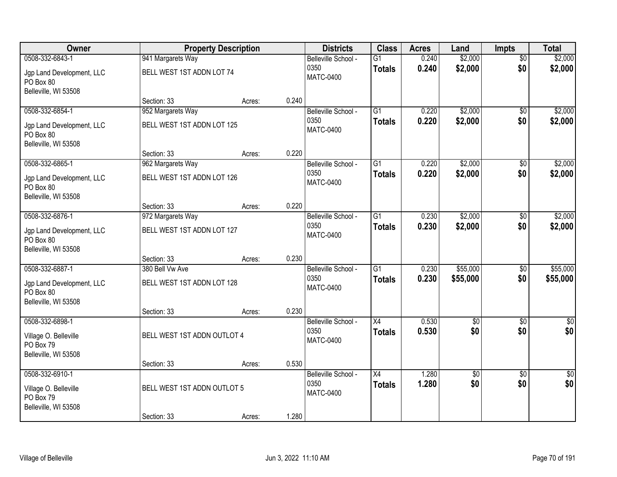| Owner                                                                         |                             | <b>Property Description</b> |       | <b>Districts</b>                                | <b>Class</b>                     | <b>Acres</b>   | Land              | <b>Impts</b>           | <b>Total</b>       |
|-------------------------------------------------------------------------------|-----------------------------|-----------------------------|-------|-------------------------------------------------|----------------------------------|----------------|-------------------|------------------------|--------------------|
| 0508-332-6843-1                                                               | 941 Margarets Way           |                             |       | Belleville School -                             | $\overline{G1}$                  | 0.240          | \$2,000           | $\overline{50}$        | \$2,000            |
| Jgp Land Development, LLC<br>PO Box 80                                        | BELL WEST 1ST ADDN LOT 74   |                             |       | 0350<br><b>MATC-0400</b>                        | <b>Totals</b>                    | 0.240          | \$2,000           | \$0                    | \$2,000            |
| Belleville, WI 53508                                                          |                             |                             |       |                                                 |                                  |                |                   |                        |                    |
|                                                                               | Section: 33                 | Acres:                      | 0.240 |                                                 |                                  |                |                   |                        |                    |
| 0508-332-6854-1                                                               | 952 Margarets Way           |                             |       | Belleville School -<br>0350                     | $\overline{G1}$                  | 0.220          | \$2,000           | $\overline{50}$        | \$2,000            |
| Jgp Land Development, LLC<br>PO Box 80<br>Belleville, WI 53508                | BELL WEST 1ST ADDN LOT 125  |                             |       | <b>MATC-0400</b>                                | <b>Totals</b>                    | 0.220          | \$2,000           | \$0                    | \$2,000            |
|                                                                               | Section: 33                 | Acres:                      | 0.220 |                                                 |                                  |                |                   |                        |                    |
| 0508-332-6865-1                                                               | 962 Margarets Way           |                             |       | Belleville School -                             | G1                               | 0.220          | \$2,000           | $\overline{50}$        | \$2,000            |
| Jgp Land Development, LLC<br>PO Box 80<br>Belleville, WI 53508                | BELL WEST 1ST ADDN LOT 126  |                             |       | 0350<br><b>MATC-0400</b>                        | <b>Totals</b>                    | 0.220          | \$2,000           | \$0                    | \$2,000            |
|                                                                               | Section: 33                 | Acres:                      | 0.220 |                                                 |                                  |                |                   |                        |                    |
| 0508-332-6876-1                                                               | 972 Margarets Way           |                             |       | Belleville School -                             | $\overline{G1}$                  | 0.230          | \$2,000           | $\overline{30}$        | \$2,000            |
| Jgp Land Development, LLC<br>PO Box 80                                        | BELL WEST 1ST ADDN LOT 127  |                             |       | 0350<br><b>MATC-0400</b>                        | <b>Totals</b>                    | 0.230          | \$2,000           | \$0                    | \$2,000            |
| Belleville, WI 53508                                                          | Section: 33                 | Acres:                      | 0.230 |                                                 |                                  |                |                   |                        |                    |
| 0508-332-6887-1                                                               | 380 Bell Vw Ave             |                             |       | Belleville School -                             | $\overline{G1}$                  | 0.230          | \$55,000          | \$0                    | \$55,000           |
|                                                                               |                             |                             |       | 0350                                            | <b>Totals</b>                    | 0.230          | \$55,000          | \$0                    | \$55,000           |
| Jgp Land Development, LLC<br>PO Box 80                                        | BELL WEST 1ST ADDN LOT 128  |                             |       | <b>MATC-0400</b>                                |                                  |                |                   |                        |                    |
| Belleville, WI 53508                                                          | Section: 33                 | Acres:                      | 0.230 |                                                 |                                  |                |                   |                        |                    |
| 0508-332-6898-1                                                               |                             |                             |       | Belleville School -                             | X4                               | 0.530          | $\sqrt{6}$        | $\sqrt{6}$             | $\frac{1}{6}$      |
| Village O. Belleville<br>PO Box 79                                            | BELL WEST 1ST ADDN OUTLOT 4 |                             |       | 0350<br><b>MATC-0400</b>                        | <b>Totals</b>                    | 0.530          | \$0               | \$0                    | \$0                |
| Belleville, WI 53508                                                          |                             |                             |       |                                                 |                                  |                |                   |                        |                    |
|                                                                               | Section: 33                 | Acres:                      | 0.530 |                                                 |                                  |                |                   |                        |                    |
| 0508-332-6910-1<br>Village O. Belleville<br>PO Box 79<br>Belleville, WI 53508 | BELL WEST 1ST ADDN OUTLOT 5 |                             |       | Belleville School -<br>0350<br><b>MATC-0400</b> | $\overline{X4}$<br><b>Totals</b> | 1.280<br>1.280 | $\sqrt{6}$<br>\$0 | $\overline{50}$<br>\$0 | $\sqrt{60}$<br>\$0 |
|                                                                               | Section: 33                 | Acres:                      | 1.280 |                                                 |                                  |                |                   |                        |                    |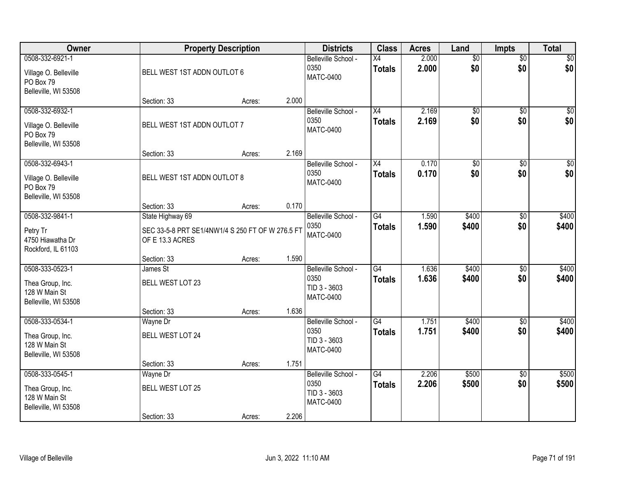| Owner                                                                         |                                                                                         | <b>Property Description</b> |       | <b>Districts</b>                                                | <b>Class</b>                     | <b>Acres</b>   | Land                   | <b>Impts</b>           | <b>Total</b>           |
|-------------------------------------------------------------------------------|-----------------------------------------------------------------------------------------|-----------------------------|-------|-----------------------------------------------------------------|----------------------------------|----------------|------------------------|------------------------|------------------------|
| 0508-332-6921-1<br>Village O. Belleville<br>PO Box 79<br>Belleville, WI 53508 | BELL WEST 1ST ADDN OUTLOT 6                                                             |                             |       | Belleville School -<br>0350<br><b>MATC-0400</b>                 | X4<br><b>Totals</b>              | 2.000<br>2.000 | $\overline{50}$<br>\$0 | $\overline{50}$<br>\$0 | \$0<br>\$0             |
|                                                                               | Section: 33                                                                             | Acres:                      | 2.000 |                                                                 |                                  |                |                        |                        |                        |
| 0508-332-6932-1<br>Village O. Belleville<br>PO Box 79<br>Belleville, WI 53508 | BELL WEST 1ST ADDN OUTLOT 7                                                             |                             |       | Belleville School -<br>0350<br><b>MATC-0400</b>                 | X4<br><b>Totals</b>              | 2.169<br>2.169 | $\overline{50}$<br>\$0 | $\overline{50}$<br>\$0 | $\overline{50}$<br>\$0 |
|                                                                               | Section: 33                                                                             | Acres:                      | 2.169 |                                                                 |                                  |                |                        |                        |                        |
| 0508-332-6943-1<br>Village O. Belleville<br>PO Box 79<br>Belleville, WI 53508 | BELL WEST 1ST ADDN OUTLOT 8                                                             |                             |       | Belleville School -<br>0350<br><b>MATC-0400</b>                 | X4<br><b>Totals</b>              | 0.170<br>0.170 | \$0<br>\$0             | \$0<br>\$0             | $\overline{50}$<br>\$0 |
|                                                                               | Section: 33                                                                             | Acres:                      | 0.170 |                                                                 |                                  |                |                        |                        |                        |
| 0508-332-9841-1<br>Petry Tr<br>4750 Hiawatha Dr<br>Rockford, IL 61103         | State Highway 69<br>SEC 33-5-8 PRT SE1/4NW1/4 S 250 FT OF W 276.5 FT<br>OF E 13.3 ACRES |                             |       | Belleville School -<br>0350<br><b>MATC-0400</b>                 | G4<br><b>Totals</b>              | 1.590<br>1.590 | \$400<br>\$400         | $\frac{1}{20}$<br>\$0  | \$400<br>\$400         |
|                                                                               | Section: 33                                                                             | Acres:                      | 1.590 |                                                                 |                                  |                |                        |                        |                        |
| 0508-333-0523-1<br>Thea Group, Inc.<br>128 W Main St<br>Belleville, WI 53508  | James St<br>BELL WEST LOT 23                                                            |                             |       | Belleville School -<br>0350<br>TID 3 - 3603<br><b>MATC-0400</b> | G4<br><b>Totals</b>              | 1.636<br>1.636 | \$400<br>\$400         | $\overline{50}$<br>\$0 | \$400<br>\$400         |
|                                                                               | Section: 33                                                                             | Acres:                      | 1.636 |                                                                 |                                  |                |                        |                        |                        |
| 0508-333-0534-1<br>Thea Group, Inc.<br>128 W Main St<br>Belleville, WI 53508  | Wayne Dr<br><b>BELL WEST LOT 24</b>                                                     |                             |       | Belleville School -<br>0350<br>TID 3 - 3603<br><b>MATC-0400</b> | $\overline{G4}$<br><b>Totals</b> | 1.751<br>1.751 | \$400<br>\$400         | $\overline{30}$<br>\$0 | \$400<br>\$400         |
|                                                                               | Section: 33                                                                             | Acres:                      | 1.751 |                                                                 |                                  |                |                        |                        |                        |
| 0508-333-0545-1<br>Thea Group, Inc.<br>128 W Main St<br>Belleville, WI 53508  | Wayne Dr<br><b>BELL WEST LOT 25</b><br>Section: 33                                      | Acres:                      | 2.206 | Belleville School -<br>0350<br>TID 3 - 3603<br><b>MATC-0400</b> | G4<br><b>Totals</b>              | 2.206<br>2.206 | \$500<br>\$500         | $\overline{50}$<br>\$0 | \$500<br>\$500         |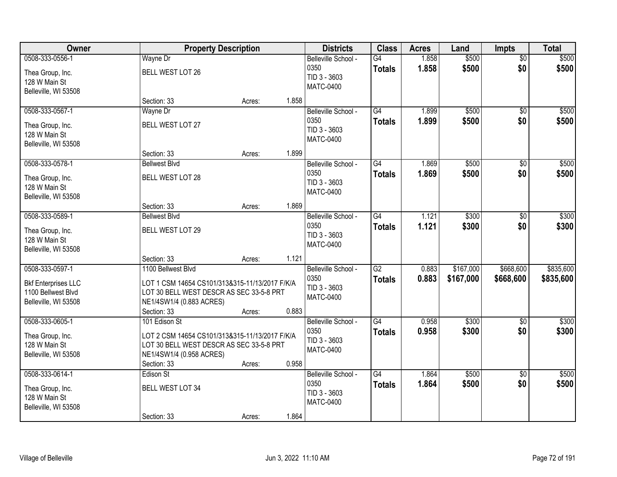| Owner                                                                                       |                                                                                                                                                        | <b>Property Description</b> |       | <b>Districts</b>                                                | <b>Class</b>                     | <b>Acres</b>   | Land                   | <b>Impts</b>           | <b>Total</b>           |
|---------------------------------------------------------------------------------------------|--------------------------------------------------------------------------------------------------------------------------------------------------------|-----------------------------|-------|-----------------------------------------------------------------|----------------------------------|----------------|------------------------|------------------------|------------------------|
| 0508-333-0556-1<br>Thea Group, Inc.<br>128 W Main St<br>Belleville, WI 53508                | Wayne Dr<br>BELL WEST LOT 26                                                                                                                           |                             |       | Belleville School -<br>0350<br>TID 3 - 3603<br><b>MATC-0400</b> | G4<br><b>Totals</b>              | 1.858<br>1.858 | \$500<br>\$500         | $\overline{50}$<br>\$0 | \$500<br>\$500         |
|                                                                                             | Section: 33                                                                                                                                            | Acres:                      | 1.858 |                                                                 |                                  |                |                        |                        |                        |
| 0508-333-0567-1<br>Thea Group, Inc.<br>128 W Main St<br>Belleville, WI 53508                | Wayne Dr<br>BELL WEST LOT 27                                                                                                                           |                             |       | Belleville School -<br>0350<br>TID 3 - 3603<br><b>MATC-0400</b> | G4<br><b>Totals</b>              | 1.899<br>1.899 | \$500<br>\$500         | $\overline{50}$<br>\$0 | \$500<br>\$500         |
|                                                                                             | Section: 33                                                                                                                                            | Acres:                      | 1.899 |                                                                 |                                  |                |                        |                        |                        |
| 0508-333-0578-1<br>Thea Group, Inc.<br>128 W Main St<br>Belleville, WI 53508                | <b>Bellwest Blvd</b><br>BELL WEST LOT 28                                                                                                               |                             |       | Belleville School -<br>0350<br>TID 3 - 3603<br><b>MATC-0400</b> | G4<br><b>Totals</b>              | 1.869<br>1.869 | \$500<br>\$500         | \$0<br>\$0             | \$500<br>\$500         |
|                                                                                             | Section: 33                                                                                                                                            | Acres:                      | 1.869 |                                                                 |                                  |                |                        |                        |                        |
| 0508-333-0589-1<br>Thea Group, Inc.<br>128 W Main St<br>Belleville, WI 53508                | <b>Bellwest Blvd</b><br>BELL WEST LOT 29                                                                                                               |                             |       | Belleville School -<br>0350<br>TID 3 - 3603<br><b>MATC-0400</b> | $\overline{G4}$<br><b>Totals</b> | 1.121<br>1.121 | \$300<br>\$300         | \$0<br>\$0             | \$300<br>\$300         |
|                                                                                             | Section: 33                                                                                                                                            | Acres:                      | 1.121 |                                                                 |                                  |                |                        |                        |                        |
| 0508-333-0597-1<br><b>Bkf Enterprises LLC</b><br>1100 Bellwest Blvd<br>Belleville, WI 53508 | 1100 Bellwest Blvd<br>LOT 1 CSM 14654 CS101/313&315-11/13/2017 F/K/A<br>LOT 30 BELL WEST DESCR AS SEC 33-5-8 PRT<br>NE1/4SW1/4 (0.883 ACRES)           |                             |       | Belleville School -<br>0350<br>TID 3 - 3603<br><b>MATC-0400</b> | $\overline{G2}$<br><b>Totals</b> | 0.883<br>0.883 | \$167,000<br>\$167,000 | \$668,600<br>\$668,600 | \$835,600<br>\$835,600 |
|                                                                                             | Section: 33                                                                                                                                            | Acres:                      | 0.883 |                                                                 |                                  |                |                        |                        |                        |
| 0508-333-0605-1<br>Thea Group, Inc.<br>128 W Main St<br>Belleville, WI 53508                | 101 Edison St<br>LOT 2 CSM 14654 CS101/313&315-11/13/2017 F/K/A<br>LOT 30 BELL WEST DESCR AS SEC 33-5-8 PRT<br>NE1/4SW1/4 (0.958 ACRES)<br>Section: 33 | Acres:                      | 0.958 | Belleville School -<br>0350<br>TID 3 - 3603<br><b>MATC-0400</b> | $\overline{G4}$<br><b>Totals</b> | 0.958<br>0.958 | \$300<br>\$300         | \$0<br>\$0             | \$300<br>\$300         |
| 0508-333-0614-1<br>Thea Group, Inc.<br>128 W Main St<br>Belleville, WI 53508                | Edison St<br>BELL WEST LOT 34<br>Section: 33                                                                                                           | Acres:                      | 1.864 | Belleville School -<br>0350<br>TID 3 - 3603<br><b>MATC-0400</b> | G4<br><b>Totals</b>              | 1.864<br>1.864 | \$500<br>\$500         | $\overline{50}$<br>\$0 | \$500<br>\$500         |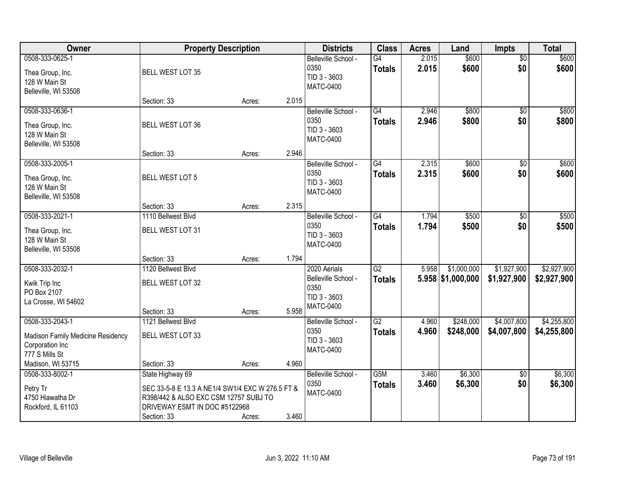| Owner                                                                                                          | <b>Property Description</b>                                                                                                               |        |       | <b>Districts</b>                                                                | <b>Class</b>                     | <b>Acres</b>   | Land                               | <b>Impts</b>               | <b>Total</b>               |
|----------------------------------------------------------------------------------------------------------------|-------------------------------------------------------------------------------------------------------------------------------------------|--------|-------|---------------------------------------------------------------------------------|----------------------------------|----------------|------------------------------------|----------------------------|----------------------------|
| 0508-333-0625-1<br>Thea Group, Inc.<br>128 W Main St<br>Belleville, WI 53508                                   | BELL WEST LOT 35                                                                                                                          |        |       | Belleville School -<br>0350<br>TID 3 - 3603<br><b>MATC-0400</b>                 | G4<br><b>Totals</b>              | 2.015<br>2.015 | \$600<br>\$600                     | $\overline{50}$<br>\$0     | \$600<br>\$600             |
|                                                                                                                | Section: 33                                                                                                                               | Acres: | 2.015 |                                                                                 |                                  |                |                                    |                            |                            |
| 0508-333-0636-1<br>Thea Group, Inc.<br>128 W Main St<br>Belleville, WI 53508                                   | BELL WEST LOT 36                                                                                                                          |        |       | Belleville School -<br>0350<br>TID 3 - 3603<br><b>MATC-0400</b>                 | G4<br><b>Totals</b>              | 2.946<br>2.946 | \$800<br>\$800                     | $\overline{50}$<br>\$0     | \$800<br>\$800             |
|                                                                                                                | Section: 33                                                                                                                               | Acres: | 2.946 |                                                                                 |                                  |                |                                    |                            |                            |
| 0508-333-2005-1<br>Thea Group, Inc.<br>128 W Main St<br>Belleville, WI 53508                                   | <b>BELL WEST LOT 5</b>                                                                                                                    |        |       | Belleville School -<br>0350<br>TID 3 - 3603<br><b>MATC-0400</b>                 | G4<br><b>Totals</b>              | 2.315<br>2.315 | \$600<br>\$600                     | \$0<br>\$0                 | \$600<br>\$600             |
|                                                                                                                | Section: 33                                                                                                                               | Acres: | 2.315 |                                                                                 |                                  |                |                                    |                            |                            |
| 0508-333-2021-1<br>Thea Group, Inc.<br>128 W Main St<br>Belleville, WI 53508                                   | 1110 Bellwest Blvd<br>BELL WEST LOT 31                                                                                                    |        |       | Belleville School -<br>0350<br>TID 3 - 3603<br><b>MATC-0400</b>                 | G4<br><b>Totals</b>              | 1.794<br>1.794 | \$500<br>\$500                     | $\frac{1}{20}$<br>\$0      | \$500<br>\$500             |
|                                                                                                                | Section: 33                                                                                                                               | Acres: | 1.794 |                                                                                 |                                  |                |                                    |                            |                            |
| 0508-333-2032-1<br>Kwik Trip Inc<br>PO Box 2107<br>La Crosse, WI 54602                                         | 1120 Bellwest Blvd<br>BELL WEST LOT 32<br>Section: 33                                                                                     | Acres: | 5.958 | 2020 Aerials<br>Belleville School -<br>0350<br>TID 3 - 3603<br><b>MATC-0400</b> | $\overline{G2}$<br><b>Totals</b> | 5.958          | \$1,000,000<br>$5.958$ \$1,000,000 | \$1,927,900<br>\$1,927,900 | \$2,927,900<br>\$2,927,900 |
| 0508-333-2043-1<br>Madison Family Medicine Residency<br>Corporation Inc<br>777 S Mills St<br>Madison, WI 53715 | 1121 Bellwest Blvd<br>BELL WEST LOT 33<br>Section: 33                                                                                     | Acres: | 4.960 | Belleville School -<br>0350<br>TID 3 - 3603<br><b>MATC-0400</b>                 | G2<br><b>Totals</b>              | 4.960<br>4.960 | \$248,000<br>\$248,000             | \$4,007,800<br>\$4,007,800 | \$4,255,800<br>\$4,255,800 |
| 0508-333-8002-1                                                                                                | State Highway 69                                                                                                                          |        |       | Belleville School -                                                             | G5M                              | 3.460          | \$6,300                            | $\overline{30}$            | \$6,300                    |
| Petry Tr<br>4750 Hiawatha Dr<br>Rockford, IL 61103                                                             | SEC 33-5-8 E 13.3 A NE1/4 SW1/4 EXC W 276.5 FT &<br>R398/442 & ALSO EXC CSM 12757 SUBJ TO<br>DRIVEWAY ESMT IN DOC #5122968<br>Section: 33 | Acres: | 3.460 | 0350<br><b>MATC-0400</b>                                                        | <b>Totals</b>                    | 3.460          | \$6,300                            | \$0                        | \$6,300                    |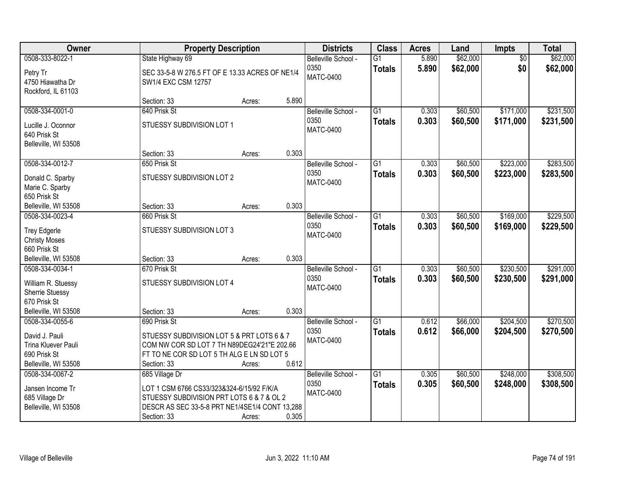| Owner                                                                                                   |                                                                                                                                                                           | <b>Property Description</b> |       | <b>Districts</b>                                | <b>Class</b>                     | <b>Acres</b>   | Land                 | Impts                  | <b>Total</b>           |
|---------------------------------------------------------------------------------------------------------|---------------------------------------------------------------------------------------------------------------------------------------------------------------------------|-----------------------------|-------|-------------------------------------------------|----------------------------------|----------------|----------------------|------------------------|------------------------|
| 0508-333-8022-1<br>Petry Tr<br>4750 Hiawatha Dr<br>Rockford, IL 61103                                   | State Highway 69<br>SEC 33-5-8 W 276.5 FT OF E 13.33 ACRES OF NE1/4<br>SW1/4 EXC CSM 12757                                                                                |                             |       | Belleville School -<br>0350<br><b>MATC-0400</b> | $\overline{G1}$<br><b>Totals</b> | 5.890<br>5.890 | \$62,000<br>\$62,000 | $\overline{60}$<br>\$0 | \$62,000<br>\$62,000   |
|                                                                                                         | Section: 33                                                                                                                                                               | Acres:                      | 5.890 |                                                 |                                  |                |                      |                        |                        |
| 0508-334-0001-0<br>Lucille J. Oconnor<br>640 Prisk St<br>Belleville, WI 53508                           | 640 Prisk St<br>STUESSY SUBDIVISION LOT 1                                                                                                                                 |                             |       | Belleville School -<br>0350<br><b>MATC-0400</b> | $\overline{G1}$<br><b>Totals</b> | 0.303<br>0.303 | \$60,500<br>\$60,500 | \$171,000<br>\$171,000 | \$231,500<br>\$231,500 |
|                                                                                                         | Section: 33                                                                                                                                                               | Acres:                      | 0.303 |                                                 |                                  |                |                      |                        |                        |
| 0508-334-0012-7<br>Donald C. Sparby<br>Marie C. Sparby<br>650 Prisk St                                  | 650 Prisk St<br><b>STUESSY SUBDIVISION LOT 2</b>                                                                                                                          |                             |       | Belleville School -<br>0350<br><b>MATC-0400</b> | G1<br><b>Totals</b>              | 0.303<br>0.303 | \$60,500<br>\$60,500 | \$223,000<br>\$223,000 | \$283,500<br>\$283,500 |
| Belleville, WI 53508                                                                                    | Section: 33                                                                                                                                                               | Acres:                      | 0.303 |                                                 |                                  |                |                      |                        |                        |
| 0508-334-0023-4<br><b>Trey Edgerle</b><br><b>Christy Moses</b><br>660 Prisk St                          | 660 Prisk St<br>STUESSY SUBDIVISION LOT 3                                                                                                                                 |                             |       | Belleville School -<br>0350<br>MATC-0400        | G1<br><b>Totals</b>              | 0.303<br>0.303 | \$60,500<br>\$60,500 | \$169,000<br>\$169,000 | \$229,500<br>\$229,500 |
| Belleville, WI 53508                                                                                    | Section: 33                                                                                                                                                               | Acres:                      | 0.303 |                                                 |                                  |                |                      |                        |                        |
| 0508-334-0034-1<br>William R. Stuessy<br><b>Sherrie Stuessy</b><br>670 Prisk St<br>Belleville, WI 53508 | 670 Prisk St<br>STUESSY SUBDIVISION LOT 4<br>Section: 33                                                                                                                  | Acres:                      | 0.303 | Belleville School -<br>0350<br><b>MATC-0400</b> | $\overline{G1}$<br><b>Totals</b> | 0.303<br>0.303 | \$60,500<br>\$60,500 | \$230,500<br>\$230,500 | \$291,000<br>\$291,000 |
| 0508-334-0055-6                                                                                         | 690 Prisk St                                                                                                                                                              |                             |       | Belleville School -                             | $\overline{G1}$                  | 0.612          | \$66,000             | \$204,500              | \$270,500              |
| David J. Pauli<br>Trina Kluever Pauli<br>690 Prisk St<br>Belleville, WI 53508                           | STUESSY SUBDIVISION LOT 5 & PRT LOTS 6 & 7<br>COM NW COR SD LOT 7 TH N89DEG24'21"E 202.66<br>FT TO NE COR SD LOT 5 TH ALG E LN SD LOT 5<br>Section: 33                    | Acres:                      | 0.612 | 0350<br><b>MATC-0400</b>                        | <b>Totals</b>                    | 0.612          | \$66,000             | \$204,500              | \$270,500              |
| 0508-334-0067-2<br>Jansen Income Tr<br>685 Village Dr<br>Belleville, WI 53508                           | 685 Village Dr<br>LOT 1 CSM 6766 CS33/323&324-6/15/92 F/K/A<br>STUESSY SUBDIVISION PRT LOTS 6 & 7 & OL 2<br>DESCR AS SEC 33-5-8 PRT NE1/4SE1/4 CONT 13,288<br>Section: 33 | Acres:                      | 0.305 | Belleville School -<br>0350<br><b>MATC-0400</b> | $\overline{G1}$<br><b>Totals</b> | 0.305<br>0.305 | \$60,500<br>\$60,500 | \$248,000<br>\$248,000 | \$308,500<br>\$308,500 |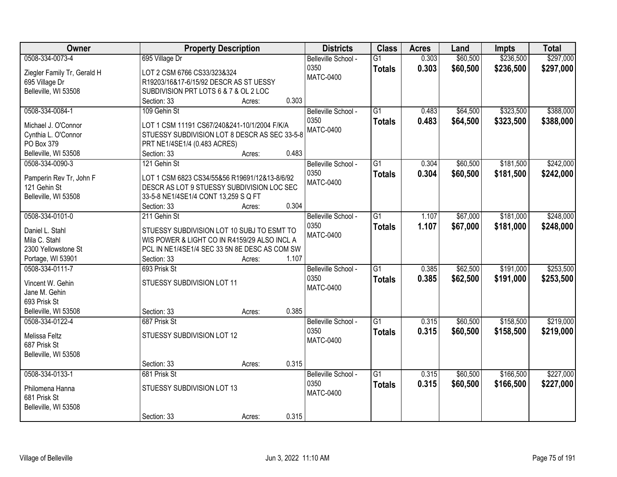| Owner                       | <b>Property Description</b>                   |        |       | <b>Districts</b>    | <b>Class</b>    | <b>Acres</b> | Land     | <b>Impts</b> | <b>Total</b> |
|-----------------------------|-----------------------------------------------|--------|-------|---------------------|-----------------|--------------|----------|--------------|--------------|
| 0508-334-0073-4             | 695 Village Dr                                |        |       | Belleville School - | $\overline{G1}$ | 0.303        | \$60,500 | \$236,500    | \$297,000    |
| Ziegler Family Tr, Gerald H | LOT 2 CSM 6766 CS33/323&324                   |        |       | 0350                | <b>Totals</b>   | 0.303        | \$60,500 | \$236,500    | \$297,000    |
| 695 Village Dr              | R19203/16&17-6/15/92 DESCR AS ST UESSY        |        |       | <b>MATC-0400</b>    |                 |              |          |              |              |
| Belleville, WI 53508        | SUBDIVISION PRT LOTS 6 & 7 & OL 2 LOC         |        |       |                     |                 |              |          |              |              |
|                             | Section: 33                                   | Acres: | 0.303 |                     |                 |              |          |              |              |
| 0508-334-0084-1             | 109 Gehin St                                  |        |       | Belleville School - | $\overline{G1}$ | 0.483        | \$64,500 | \$323,500    | \$388,000    |
|                             |                                               |        |       | 0350                | <b>Totals</b>   | 0.483        | \$64,500 | \$323,500    | \$388,000    |
| Michael J. O'Connor         | LOT 1 CSM 11191 CS67/240&241-10/1/2004 F/K/A  |        |       | <b>MATC-0400</b>    |                 |              |          |              |              |
| Cynthia L. O'Connor         | STUESSY SUBDIVISION LOT 8 DESCR AS SEC 33-5-8 |        |       |                     |                 |              |          |              |              |
| PO Box 379                  | PRT NE1/4SE1/4 (0.483 ACRES)                  |        |       |                     |                 |              |          |              |              |
| Belleville, WI 53508        | Section: 33                                   | Acres: | 0.483 |                     |                 |              |          |              |              |
| 0508-334-0090-3             | 121 Gehin St                                  |        |       | Belleville School - | G1              | 0.304        | \$60,500 | \$181,500    | \$242,000    |
| Pamperin Rev Tr, John F     | LOT 1 CSM 6823 CS34/55&56 R19691/12&13-8/6/92 |        |       | 0350                | <b>Totals</b>   | 0.304        | \$60,500 | \$181,500    | \$242,000    |
| 121 Gehin St                | DESCR AS LOT 9 STUESSY SUBDIVISION LOC SEC    |        |       | <b>MATC-0400</b>    |                 |              |          |              |              |
| Belleville, WI 53508        | 33-5-8 NE1/4SE1/4 CONT 13,259 S Q FT          |        |       |                     |                 |              |          |              |              |
|                             | Section: 33                                   | Acres: | 0.304 |                     |                 |              |          |              |              |
| 0508-334-0101-0             | 211 Gehin St                                  |        |       | Belleville School - | G1              | 1.107        | \$67,000 | \$181,000    | \$248,000    |
|                             |                                               |        |       | 0350                |                 | 1.107        | \$67,000 | \$181,000    |              |
| Daniel L. Stahl             | STUESSY SUBDIVISION LOT 10 SUBJ TO ESMT TO    |        |       | <b>MATC-0400</b>    | <b>Totals</b>   |              |          |              | \$248,000    |
| Mila C. Stahl               | WIS POWER & LIGHT CO IN R4159/29 ALSO INCL A  |        |       |                     |                 |              |          |              |              |
| 2300 Yellowstone St         | PCL IN NE1/4SE1/4 SEC 33 5N 8E DESC AS COM SW |        |       |                     |                 |              |          |              |              |
| Portage, WI 53901           | Section: 33                                   | Acres: | 1.107 |                     |                 |              |          |              |              |
| 0508-334-0111-7             | 693 Prisk St                                  |        |       | Belleville School - | $\overline{G1}$ | 0.385        | \$62,500 | \$191,000    | \$253,500    |
|                             |                                               |        |       | 0350                | <b>Totals</b>   | 0.385        | \$62,500 | \$191,000    | \$253,500    |
| Vincent W. Gehin            | STUESSY SUBDIVISION LOT 11                    |        |       | <b>MATC-0400</b>    |                 |              |          |              |              |
| Jane M. Gehin               |                                               |        |       |                     |                 |              |          |              |              |
| 693 Prisk St                |                                               |        |       |                     |                 |              |          |              |              |
| Belleville, WI 53508        | Section: 33                                   | Acres: | 0.385 |                     |                 |              |          |              |              |
| 0508-334-0122-4             | 687 Prisk St                                  |        |       | Belleville School - | G1              | 0.315        | \$60,500 | \$158,500    | \$219,000    |
| Melissa Feltz               | STUESSY SUBDIVISION LOT 12                    |        |       | 0350                | <b>Totals</b>   | 0.315        | \$60,500 | \$158,500    | \$219,000    |
| 687 Prisk St                |                                               |        |       | <b>MATC-0400</b>    |                 |              |          |              |              |
| Belleville, WI 53508        |                                               |        |       |                     |                 |              |          |              |              |
|                             | Section: 33                                   | Acres: | 0.315 |                     |                 |              |          |              |              |
| 0508-334-0133-1             | 681 Prisk St                                  |        |       | Belleville School - | $\overline{G1}$ | 0.315        | \$60,500 | \$166,500    | \$227,000    |
|                             |                                               |        |       | 0350                | <b>Totals</b>   | 0.315        | \$60,500 | \$166,500    | \$227,000    |
| Philomena Hanna             | STUESSY SUBDIVISION LOT 13                    |        |       | <b>MATC-0400</b>    |                 |              |          |              |              |
| 681 Prisk St                |                                               |        |       |                     |                 |              |          |              |              |
| Belleville, WI 53508        |                                               |        |       |                     |                 |              |          |              |              |
|                             | Section: 33                                   | Acres: | 0.315 |                     |                 |              |          |              |              |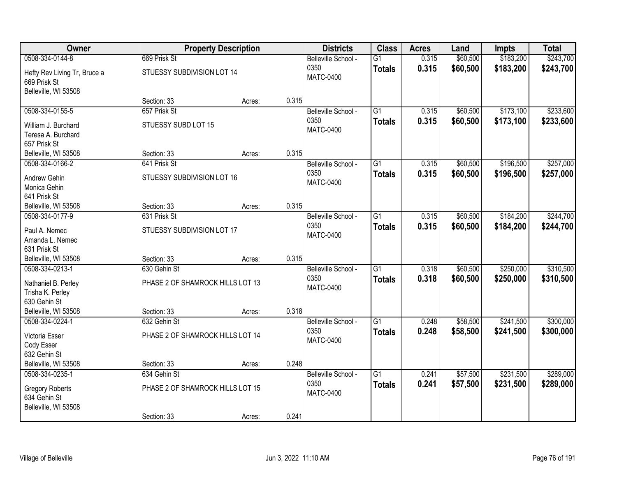| <b>Owner</b>                                                    |                                            | <b>Property Description</b> |       | <b>Districts</b>                                | <b>Class</b>                     | <b>Acres</b>   | Land                 | <b>Impts</b>           | <b>Total</b>           |
|-----------------------------------------------------------------|--------------------------------------------|-----------------------------|-------|-------------------------------------------------|----------------------------------|----------------|----------------------|------------------------|------------------------|
| 0508-334-0144-8<br>Hefty Rev Living Tr, Bruce a<br>669 Prisk St | 669 Prisk St<br>STUESSY SUBDIVISION LOT 14 |                             |       | Belleville School -<br>0350<br><b>MATC-0400</b> | $\overline{G1}$<br><b>Totals</b> | 0.315<br>0.315 | \$60,500<br>\$60,500 | \$183,200<br>\$183,200 | \$243,700<br>\$243,700 |
| Belleville, WI 53508                                            | Section: 33                                | Acres:                      | 0.315 |                                                 |                                  |                |                      |                        |                        |
| 0508-334-0155-5                                                 | 657 Prisk St                               |                             |       | Belleville School -                             | $\overline{G1}$                  | 0.315          | \$60,500             | \$173,100              | \$233,600              |
| William J. Burchard<br>Teresa A. Burchard<br>657 Prisk St       | STUESSY SUBD LOT 15                        |                             |       | 0350<br><b>MATC-0400</b>                        | <b>Totals</b>                    | 0.315          | \$60,500             | \$173,100              | \$233,600              |
| Belleville, WI 53508                                            | Section: 33                                | Acres:                      | 0.315 |                                                 |                                  |                |                      |                        |                        |
| 0508-334-0166-2                                                 | 641 Prisk St                               |                             |       | Belleville School -                             | G1                               | 0.315          | \$60,500             | \$196,500              | \$257,000              |
| Andrew Gehin<br>Monica Gehin<br>641 Prisk St                    | STUESSY SUBDIVISION LOT 16                 |                             |       | 0350<br><b>MATC-0400</b>                        | <b>Totals</b>                    | 0.315          | \$60,500             | \$196,500              | \$257,000              |
| Belleville, WI 53508                                            | Section: 33                                | Acres:                      | 0.315 |                                                 |                                  |                |                      |                        |                        |
| 0508-334-0177-9                                                 | 631 Prisk St                               |                             |       | Belleville School -                             | $\overline{G1}$                  | 0.315          | \$60,500             | \$184,200              | \$244,700              |
| Paul A. Nemec<br>Amanda L. Nemec<br>631 Prisk St                | STUESSY SUBDIVISION LOT 17                 |                             |       | 0350<br><b>MATC-0400</b>                        | <b>Totals</b>                    | 0.315          | \$60,500             | \$184,200              | \$244,700              |
| Belleville, WI 53508                                            | Section: 33                                | Acres:                      | 0.315 |                                                 |                                  |                |                      |                        |                        |
| 0508-334-0213-1                                                 | 630 Gehin St                               |                             |       | Belleville School -                             | $\overline{G1}$                  | 0.318          | \$60,500             | \$250,000              | \$310,500              |
| Nathaniel B. Perley<br>Trisha K. Perley<br>630 Gehin St         | PHASE 2 OF SHAMROCK HILLS LOT 13           |                             |       | 0350<br><b>MATC-0400</b>                        | <b>Totals</b>                    | 0.318          | \$60,500             | \$250,000              | \$310,500              |
| Belleville, WI 53508                                            | Section: 33                                | Acres:                      | 0.318 |                                                 |                                  |                |                      |                        |                        |
| 0508-334-0224-1                                                 | 632 Gehin St                               |                             |       | Belleville School -                             | $\overline{G1}$                  | 0.248          | \$58,500             | \$241,500              | \$300,000              |
| Victoria Esser<br>Cody Esser<br>632 Gehin St                    | PHASE 2 OF SHAMROCK HILLS LOT 14           |                             |       | 0350<br><b>MATC-0400</b>                        | <b>Totals</b>                    | 0.248          | \$58,500             | \$241,500              | \$300,000              |
| Belleville, WI 53508                                            | Section: 33                                | Acres:                      | 0.248 |                                                 |                                  |                |                      |                        |                        |
| 0508-334-0235-1                                                 | 634 Gehin St                               |                             |       | Belleville School -                             | $\overline{G1}$                  | 0.241          | \$57,500             | \$231,500              | \$289,000              |
| <b>Gregory Roberts</b><br>634 Gehin St<br>Belleville, WI 53508  | PHASE 2 OF SHAMROCK HILLS LOT 15           |                             |       | 0350<br><b>MATC-0400</b>                        | <b>Totals</b>                    | 0.241          | \$57,500             | \$231,500              | \$289,000              |
|                                                                 | Section: 33                                | Acres:                      | 0.241 |                                                 |                                  |                |                      |                        |                        |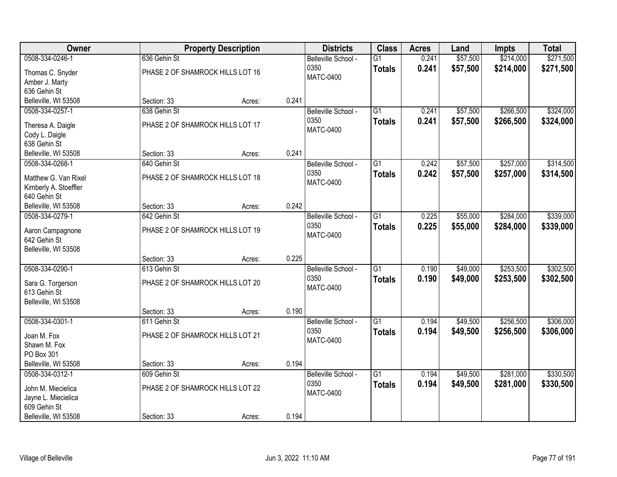| Owner                      |                                  | <b>Property Description</b> |       | <b>Districts</b>            | <b>Class</b>    | <b>Acres</b> | Land     | <b>Impts</b> | <b>Total</b> |
|----------------------------|----------------------------------|-----------------------------|-------|-----------------------------|-----------------|--------------|----------|--------------|--------------|
| 0508-334-0246-1            | 636 Gehin St                     |                             |       | Belleville School -         | $\overline{G1}$ | 0.241        | \$57,500 | \$214,000    | \$271,500    |
| Thomas C. Snyder           | PHASE 2 OF SHAMROCK HILLS LOT 16 |                             |       | 0350                        | <b>Totals</b>   | 0.241        | \$57,500 | \$214,000    | \$271,500    |
| Amber J. Marty             |                                  |                             |       | <b>MATC-0400</b>            |                 |              |          |              |              |
| 636 Gehin St               |                                  |                             |       |                             |                 |              |          |              |              |
| Belleville, WI 53508       | Section: 33                      | Acres:                      | 0.241 |                             |                 |              |          |              |              |
| 0508-334-0257-1            | 638 Gehin St                     |                             |       | Belleville School -         | $\overline{G1}$ | 0.241        | \$57,500 | \$266,500    | \$324,000    |
| Theresa A. Daigle          | PHASE 2 OF SHAMROCK HILLS LOT 17 |                             |       | 0350                        | <b>Totals</b>   | 0.241        | \$57,500 | \$266,500    | \$324,000    |
| Cody L. Daigle             |                                  |                             |       | <b>MATC-0400</b>            |                 |              |          |              |              |
| 638 Gehin St               |                                  |                             |       |                             |                 |              |          |              |              |
| Belleville, WI 53508       | Section: 33                      | Acres:                      | 0.241 |                             |                 |              |          |              |              |
| 0508-334-0268-1            | 640 Gehin St                     |                             |       | Belleville School -         | G1              | 0.242        | \$57,500 | \$257,000    | \$314,500    |
|                            |                                  |                             |       | 0350                        | <b>Totals</b>   | 0.242        | \$57,500 | \$257,000    | \$314,500    |
| Matthew G. Van Rixel       | PHASE 2 OF SHAMROCK HILLS LOT 18 |                             |       | <b>MATC-0400</b>            |                 |              |          |              |              |
| Kimberly A. Stoeffler      |                                  |                             |       |                             |                 |              |          |              |              |
| 640 Gehin St               |                                  |                             |       |                             |                 |              |          |              |              |
| Belleville, WI 53508       | Section: 33                      | Acres:                      | 0.242 |                             |                 |              |          |              |              |
| 0508-334-0279-1            | 642 Gehin St                     |                             |       | Belleville School -         | G1              | 0.225        | \$55,000 | \$284,000    | \$339,000    |
| Aaron Campagnone           | PHASE 2 OF SHAMROCK HILLS LOT 19 |                             |       | 0350                        | <b>Totals</b>   | 0.225        | \$55,000 | \$284,000    | \$339,000    |
| 642 Gehin St               |                                  |                             |       | <b>MATC-0400</b>            |                 |              |          |              |              |
| Belleville, WI 53508       |                                  |                             |       |                             |                 |              |          |              |              |
|                            | Section: 33                      | Acres:                      | 0.225 |                             |                 |              |          |              |              |
| 0508-334-0290-1            | 613 Gehin St                     |                             |       | Belleville School -         | $\overline{G1}$ | 0.190        | \$49,000 | \$253,500    | \$302,500    |
| Sara G. Torgerson          | PHASE 2 OF SHAMROCK HILLS LOT 20 |                             |       | 0350                        | <b>Totals</b>   | 0.190        | \$49,000 | \$253,500    | \$302,500    |
| 613 Gehin St               |                                  |                             |       | <b>MATC-0400</b>            |                 |              |          |              |              |
| Belleville, WI 53508       |                                  |                             |       |                             |                 |              |          |              |              |
|                            | Section: 33                      | Acres:                      | 0.190 |                             |                 |              |          |              |              |
| 0508-334-0301-1            | 611 Gehin St                     |                             |       | Belleville School -         | $\overline{G1}$ | 0.194        | \$49,500 | \$256,500    | \$306,000    |
|                            |                                  |                             |       | 0350                        | <b>Totals</b>   | 0.194        | \$49,500 | \$256,500    | \$306,000    |
| Joan M. Fox                | PHASE 2 OF SHAMROCK HILLS LOT 21 |                             |       | <b>MATC-0400</b>            |                 |              |          |              |              |
| Shawn M. Fox<br>PO Box 301 |                                  |                             |       |                             |                 |              |          |              |              |
| Belleville, WI 53508       | Section: 33                      | Acres:                      | 0.194 |                             |                 |              |          |              |              |
| 0508-334-0312-1            | 609 Gehin St                     |                             |       |                             | $\overline{G1}$ | 0.194        | \$49,500 | \$281,000    | \$330,500    |
|                            |                                  |                             |       | Belleville School -<br>0350 |                 |              |          |              |              |
| John M. Miecielica         | PHASE 2 OF SHAMROCK HILLS LOT 22 |                             |       | <b>MATC-0400</b>            | <b>Totals</b>   | 0.194        | \$49,500 | \$281,000    | \$330,500    |
| Jayne L. Miecielica        |                                  |                             |       |                             |                 |              |          |              |              |
| 609 Gehin St               |                                  |                             |       |                             |                 |              |          |              |              |
| Belleville, WI 53508       | Section: 33                      | Acres:                      | 0.194 |                             |                 |              |          |              |              |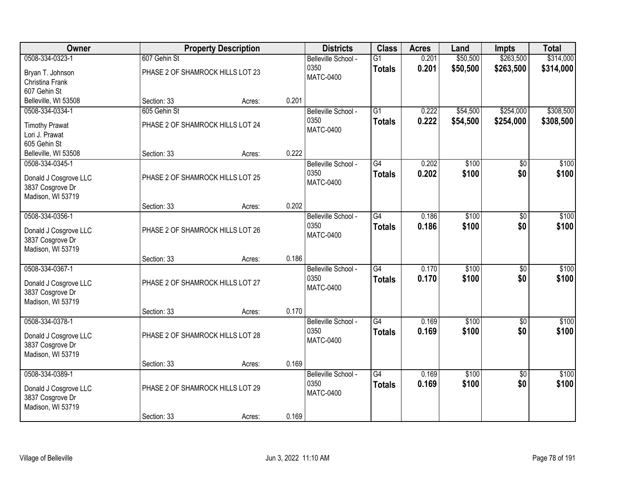| Owner                 |                                  | <b>Property Description</b> |       | <b>Districts</b>    | <b>Class</b>    | <b>Acres</b> | Land     | <b>Impts</b>    | <b>Total</b> |
|-----------------------|----------------------------------|-----------------------------|-------|---------------------|-----------------|--------------|----------|-----------------|--------------|
| 0508-334-0323-1       | 607 Gehin St                     |                             |       | Belleville School - | $\overline{G1}$ | 0.201        | \$50,500 | \$263,500       | \$314,000    |
| Bryan T. Johnson      | PHASE 2 OF SHAMROCK HILLS LOT 23 |                             |       | 0350                | <b>Totals</b>   | 0.201        | \$50,500 | \$263,500       | \$314,000    |
| Christina Frank       |                                  |                             |       | <b>MATC-0400</b>    |                 |              |          |                 |              |
| 607 Gehin St          |                                  |                             |       |                     |                 |              |          |                 |              |
| Belleville, WI 53508  | Section: 33                      | Acres:                      | 0.201 |                     |                 |              |          |                 |              |
| 0508-334-0334-1       | 605 Gehin St                     |                             |       | Belleville School - | $\overline{G1}$ | 0.222        | \$54,500 | \$254,000       | \$308,500    |
| <b>Timothy Prawat</b> | PHASE 2 OF SHAMROCK HILLS LOT 24 |                             |       | 0350                | <b>Totals</b>   | 0.222        | \$54,500 | \$254,000       | \$308,500    |
| Lori J. Prawat        |                                  |                             |       | <b>MATC-0400</b>    |                 |              |          |                 |              |
| 605 Gehin St          |                                  |                             |       |                     |                 |              |          |                 |              |
| Belleville, WI 53508  | Section: 33                      | Acres:                      | 0.222 |                     |                 |              |          |                 |              |
| 0508-334-0345-1       |                                  |                             |       | Belleville School - | G4              | 0.202        | \$100    | \$0             | \$100        |
| Donald J Cosgrove LLC | PHASE 2 OF SHAMROCK HILLS LOT 25 |                             |       | 0350                | <b>Totals</b>   | 0.202        | \$100    | \$0             | \$100        |
| 3837 Cosgrove Dr      |                                  |                             |       | <b>MATC-0400</b>    |                 |              |          |                 |              |
| Madison, WI 53719     |                                  |                             |       |                     |                 |              |          |                 |              |
|                       | Section: 33                      | Acres:                      | 0.202 |                     |                 |              |          |                 |              |
| 0508-334-0356-1       |                                  |                             |       | Belleville School - | $\overline{G4}$ | 0.186        | \$100    | \$0             | \$100        |
| Donald J Cosgrove LLC | PHASE 2 OF SHAMROCK HILLS LOT 26 |                             |       | 0350                | <b>Totals</b>   | 0.186        | \$100    | \$0             | \$100        |
| 3837 Cosgrove Dr      |                                  |                             |       | <b>MATC-0400</b>    |                 |              |          |                 |              |
| Madison, WI 53719     |                                  |                             |       |                     |                 |              |          |                 |              |
|                       | Section: 33                      | Acres:                      | 0.186 |                     |                 |              |          |                 |              |
| 0508-334-0367-1       |                                  |                             |       | Belleville School - | $\overline{G4}$ | 0.170        | \$100    | $\overline{60}$ | \$100        |
| Donald J Cosgrove LLC | PHASE 2 OF SHAMROCK HILLS LOT 27 |                             |       | 0350                | <b>Totals</b>   | 0.170        | \$100    | \$0             | \$100        |
| 3837 Cosgrove Dr      |                                  |                             |       | <b>MATC-0400</b>    |                 |              |          |                 |              |
| Madison, WI 53719     |                                  |                             |       |                     |                 |              |          |                 |              |
|                       | Section: 33                      | Acres:                      | 0.170 |                     |                 |              |          |                 |              |
| 0508-334-0378-1       |                                  |                             |       | Belleville School - | $\overline{G4}$ | 0.169        | \$100    | $\sqrt{6}$      | \$100        |
| Donald J Cosgrove LLC | PHASE 2 OF SHAMROCK HILLS LOT 28 |                             |       | 0350                | <b>Totals</b>   | 0.169        | \$100    | \$0             | \$100        |
| 3837 Cosgrove Dr      |                                  |                             |       | <b>MATC-0400</b>    |                 |              |          |                 |              |
| Madison, WI 53719     |                                  |                             |       |                     |                 |              |          |                 |              |
|                       | Section: 33                      | Acres:                      | 0.169 |                     |                 |              |          |                 |              |
| 0508-334-0389-1       |                                  |                             |       | Belleville School - | $\overline{G4}$ | 0.169        | \$100    | $\overline{50}$ | \$100        |
| Donald J Cosgrove LLC | PHASE 2 OF SHAMROCK HILLS LOT 29 |                             |       | 0350                | <b>Totals</b>   | 0.169        | \$100    | \$0             | \$100        |
| 3837 Cosgrove Dr      |                                  |                             |       | <b>MATC-0400</b>    |                 |              |          |                 |              |
| Madison, WI 53719     |                                  |                             |       |                     |                 |              |          |                 |              |
|                       | Section: 33                      | Acres:                      | 0.169 |                     |                 |              |          |                 |              |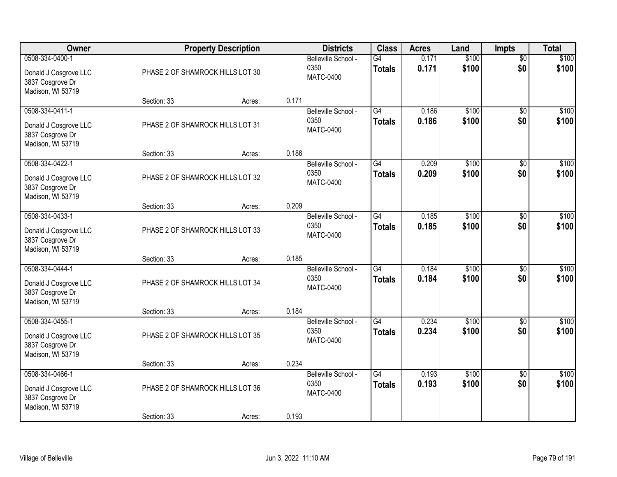| Owner                                                                             |                                                 | <b>Property Description</b> |       | <b>Districts</b>                                | <b>Class</b>                     | <b>Acres</b>   | Land           | <b>Impts</b>           | <b>Total</b>   |
|-----------------------------------------------------------------------------------|-------------------------------------------------|-----------------------------|-------|-------------------------------------------------|----------------------------------|----------------|----------------|------------------------|----------------|
| 0508-334-0400-1<br>Donald J Cosgrove LLC<br>3837 Cosgrove Dr<br>Madison, WI 53719 | PHASE 2 OF SHAMROCK HILLS LOT 30                |                             |       | Belleville School -<br>0350<br><b>MATC-0400</b> | $\overline{G4}$<br><b>Totals</b> | 0.171<br>0.171 | \$100<br>\$100 | $\overline{50}$<br>\$0 | \$100<br>\$100 |
|                                                                                   | Section: 33                                     | Acres:                      | 0.171 |                                                 |                                  |                |                |                        |                |
| 0508-334-0411-1<br>Donald J Cosgrove LLC<br>3837 Cosgrove Dr<br>Madison, WI 53719 | PHASE 2 OF SHAMROCK HILLS LOT 31                |                             |       | Belleville School -<br>0350<br><b>MATC-0400</b> | G4<br><b>Totals</b>              | 0.186<br>0.186 | \$100<br>\$100 | $\overline{50}$<br>\$0 | \$100<br>\$100 |
| 0508-334-0422-1                                                                   | Section: 33                                     | Acres:                      | 0.186 | Belleville School -                             | G4                               | 0.209          | \$100          | \$0                    | \$100          |
| Donald J Cosgrove LLC<br>3837 Cosgrove Dr<br>Madison, WI 53719                    | PHASE 2 OF SHAMROCK HILLS LOT 32                |                             |       | 0350<br><b>MATC-0400</b>                        | <b>Totals</b>                    | 0.209          | \$100          | \$0                    | \$100          |
|                                                                                   | Section: 33                                     | Acres:                      | 0.209 |                                                 |                                  |                |                |                        |                |
| 0508-334-0433-1<br>Donald J Cosgrove LLC<br>3837 Cosgrove Dr<br>Madison, WI 53719 | PHASE 2 OF SHAMROCK HILLS LOT 33                |                             |       | Belleville School -<br>0350<br><b>MATC-0400</b> | $\overline{G4}$<br><b>Totals</b> | 0.185<br>0.185 | \$100<br>\$100 | \$0<br>\$0             | \$100<br>\$100 |
|                                                                                   | Section: 33                                     | Acres:                      | 0.185 |                                                 |                                  |                |                |                        |                |
| 0508-334-0444-1<br>Donald J Cosgrove LLC<br>3837 Cosgrove Dr<br>Madison, WI 53719 | PHASE 2 OF SHAMROCK HILLS LOT 34                |                             |       | Belleville School -<br>0350<br><b>MATC-0400</b> | $\overline{G4}$<br><b>Totals</b> | 0.184<br>0.184 | \$100<br>\$100 | $\overline{50}$<br>\$0 | \$100<br>\$100 |
| 0508-334-0455-1                                                                   | Section: 33                                     | Acres:                      | 0.184 | Belleville School -                             | $\overline{G4}$                  | 0.234          | \$100          | \$0                    | \$100          |
| Donald J Cosgrove LLC<br>3837 Cosgrove Dr<br>Madison, WI 53719                    | PHASE 2 OF SHAMROCK HILLS LOT 35                |                             |       | 0350<br><b>MATC-0400</b>                        | <b>Totals</b>                    | 0.234          | \$100          | \$0                    | \$100          |
|                                                                                   | Section: 33                                     | Acres:                      | 0.234 |                                                 |                                  |                |                |                        |                |
| 0508-334-0466-1<br>Donald J Cosgrove LLC<br>3837 Cosgrove Dr<br>Madison, WI 53719 | PHASE 2 OF SHAMROCK HILLS LOT 36<br>Section: 33 |                             | 0.193 | Belleville School -<br>0350<br><b>MATC-0400</b> | G4<br><b>Totals</b>              | 0.193<br>0.193 | \$100<br>\$100 | $\overline{50}$<br>\$0 | \$100<br>\$100 |
|                                                                                   |                                                 | Acres:                      |       |                                                 |                                  |                |                |                        |                |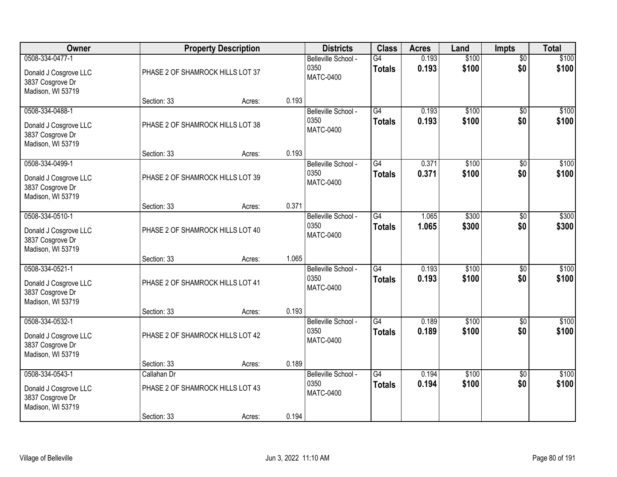| Owner                                                                             |                                                                | <b>Property Description</b> |       | <b>Districts</b>                                | <b>Class</b>                     | <b>Acres</b>   | Land           | Impts                  | <b>Total</b>   |
|-----------------------------------------------------------------------------------|----------------------------------------------------------------|-----------------------------|-------|-------------------------------------------------|----------------------------------|----------------|----------------|------------------------|----------------|
| 0508-334-0477-1<br>Donald J Cosgrove LLC<br>3837 Cosgrove Dr<br>Madison, WI 53719 | PHASE 2 OF SHAMROCK HILLS LOT 37                               |                             |       | Belleville School -<br>0350<br><b>MATC-0400</b> | G4<br><b>Totals</b>              | 0.193<br>0.193 | \$100<br>\$100 | $\overline{50}$<br>\$0 | \$100<br>\$100 |
|                                                                                   | Section: 33                                                    | Acres:                      | 0.193 |                                                 |                                  |                |                |                        |                |
| 0508-334-0488-1<br>Donald J Cosgrove LLC<br>3837 Cosgrove Dr<br>Madison, WI 53719 | PHASE 2 OF SHAMROCK HILLS LOT 38                               |                             |       | Belleville School -<br>0350<br><b>MATC-0400</b> | G4<br><b>Totals</b>              | 0.193<br>0.193 | \$100<br>\$100 | $\overline{50}$<br>\$0 | \$100<br>\$100 |
| 0508-334-0499-1                                                                   | Section: 33                                                    | Acres:                      | 0.193 | Belleville School -                             | G4                               | 0.371          | \$100          | \$0                    | \$100          |
| Donald J Cosgrove LLC<br>3837 Cosgrove Dr<br>Madison, WI 53719                    | PHASE 2 OF SHAMROCK HILLS LOT 39                               |                             |       | 0350<br>MATC-0400                               | <b>Totals</b>                    | 0.371          | \$100          | \$0                    | \$100          |
|                                                                                   | Section: 33                                                    | Acres:                      | 0.371 |                                                 |                                  |                |                |                        |                |
| 0508-334-0510-1<br>Donald J Cosgrove LLC<br>3837 Cosgrove Dr<br>Madison, WI 53719 | PHASE 2 OF SHAMROCK HILLS LOT 40                               |                             |       | Belleville School -<br>0350<br><b>MATC-0400</b> | $\overline{G4}$<br><b>Totals</b> | 1.065<br>1.065 | \$300<br>\$300 | \$0<br>\$0             | \$300<br>\$300 |
|                                                                                   | Section: 33                                                    | Acres:                      | 1.065 |                                                 |                                  |                |                |                        |                |
| 0508-334-0521-1<br>Donald J Cosgrove LLC<br>3837 Cosgrove Dr<br>Madison, WI 53719 | PHASE 2 OF SHAMROCK HILLS LOT 41                               |                             |       | Belleville School -<br>0350<br>MATC-0400        | $\overline{G4}$<br><b>Totals</b> | 0.193<br>0.193 | \$100<br>\$100 | $\overline{50}$<br>\$0 | \$100<br>\$100 |
| 0508-334-0532-1                                                                   | Section: 33                                                    | Acres:                      | 0.193 | Belleville School -                             | $\overline{G4}$                  | 0.189          | \$100          | $\overline{50}$        | \$100          |
| Donald J Cosgrove LLC<br>3837 Cosgrove Dr<br>Madison, WI 53719                    | PHASE 2 OF SHAMROCK HILLS LOT 42                               |                             |       | 0350<br><b>MATC-0400</b>                        | <b>Totals</b>                    | 0.189          | \$100          | \$0                    | \$100          |
|                                                                                   | Section: 33                                                    | Acres:                      | 0.189 |                                                 |                                  |                |                |                        |                |
| 0508-334-0543-1<br>Donald J Cosgrove LLC<br>3837 Cosgrove Dr<br>Madison, WI 53719 | Callahan Dr<br>PHASE 2 OF SHAMROCK HILLS LOT 43<br>Section: 33 | Acres:                      | 0.194 | Belleville School -<br>0350<br><b>MATC-0400</b> | $\overline{G4}$<br><b>Totals</b> | 0.194<br>0.194 | \$100<br>\$100 | $\overline{50}$<br>\$0 | \$100<br>\$100 |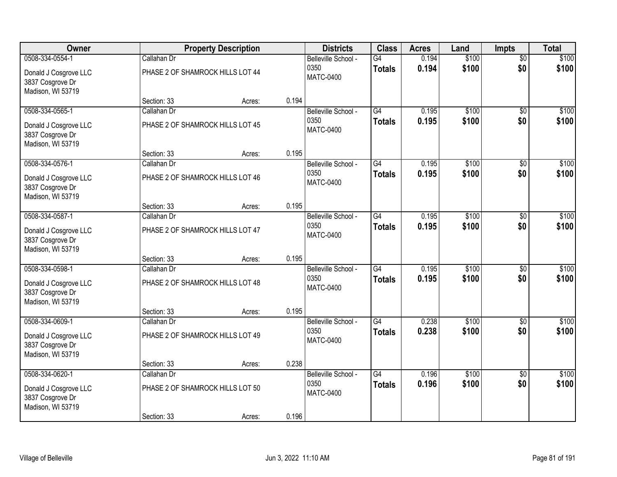| Owner                                                          |                                  | <b>Property Description</b> |       | <b>Districts</b>         | <b>Class</b>    | <b>Acres</b> | Land  | <b>Impts</b>    | <b>Total</b> |
|----------------------------------------------------------------|----------------------------------|-----------------------------|-------|--------------------------|-----------------|--------------|-------|-----------------|--------------|
| 0508-334-0554-1                                                | Callahan Dr                      |                             |       | Belleville School -      | G4              | 0.194        | \$100 | $\overline{50}$ | \$100        |
| Donald J Cosgrove LLC<br>3837 Cosgrove Dr<br>Madison, WI 53719 | PHASE 2 OF SHAMROCK HILLS LOT 44 |                             |       | 0350<br><b>MATC-0400</b> | <b>Totals</b>   | 0.194        | \$100 | \$0             | \$100        |
|                                                                | Section: 33                      | Acres:                      | 0.194 |                          |                 |              |       |                 |              |
| 0508-334-0565-1                                                | Callahan Dr                      |                             |       | Belleville School -      | $\overline{G4}$ | 0.195        | \$100 | $\overline{50}$ | \$100        |
| Donald J Cosgrove LLC<br>3837 Cosgrove Dr<br>Madison, WI 53719 | PHASE 2 OF SHAMROCK HILLS LOT 45 |                             |       | 0350<br><b>MATC-0400</b> | <b>Totals</b>   | 0.195        | \$100 | \$0             | \$100        |
|                                                                | Section: 33                      | Acres:                      | 0.195 |                          |                 |              |       |                 |              |
| 0508-334-0576-1                                                | Callahan Dr                      |                             |       | Belleville School -      | $\overline{G4}$ | 0.195        | \$100 | \$0             | \$100        |
| Donald J Cosgrove LLC<br>3837 Cosgrove Dr<br>Madison, WI 53719 | PHASE 2 OF SHAMROCK HILLS LOT 46 |                             |       | 0350<br><b>MATC-0400</b> | <b>Totals</b>   | 0.195        | \$100 | \$0             | \$100        |
|                                                                | Section: 33                      | Acres:                      | 0.195 |                          |                 |              |       |                 |              |
| 0508-334-0587-1                                                | Callahan Dr                      |                             |       | Belleville School -      | $\overline{G4}$ | 0.195        | \$100 | \$0             | \$100        |
| Donald J Cosgrove LLC<br>3837 Cosgrove Dr<br>Madison, WI 53719 | PHASE 2 OF SHAMROCK HILLS LOT 47 |                             |       | 0350<br><b>MATC-0400</b> | <b>Totals</b>   | 0.195        | \$100 | \$0             | \$100        |
|                                                                | Section: 33                      | Acres:                      | 0.195 |                          |                 |              |       |                 |              |
| 0508-334-0598-1                                                | Callahan Dr                      |                             |       | Belleville School -      | $\overline{G4}$ | 0.195        | \$100 | \$0             | \$100        |
| Donald J Cosgrove LLC<br>3837 Cosgrove Dr<br>Madison, WI 53719 | PHASE 2 OF SHAMROCK HILLS LOT 48 |                             |       | 0350<br><b>MATC-0400</b> | <b>Totals</b>   | 0.195        | \$100 | \$0             | \$100        |
|                                                                | Section: 33                      | Acres:                      | 0.195 |                          |                 |              |       |                 |              |
| 0508-334-0609-1                                                | Callahan Dr                      |                             |       | Belleville School -      | $\overline{G4}$ | 0.238        | \$100 | $\overline{30}$ | \$100        |
| Donald J Cosgrove LLC<br>3837 Cosgrove Dr<br>Madison, WI 53719 | PHASE 2 OF SHAMROCK HILLS LOT 49 |                             |       | 0350<br><b>MATC-0400</b> | <b>Totals</b>   | 0.238        | \$100 | \$0             | \$100        |
|                                                                | Section: 33                      | Acres:                      | 0.238 |                          |                 |              |       |                 |              |
| 0508-334-0620-1                                                | Callahan Dr                      |                             |       | Belleville School -      | $\overline{G4}$ | 0.196        | \$100 | $\overline{50}$ | \$100        |
| Donald J Cosgrove LLC<br>3837 Cosgrove Dr<br>Madison, WI 53719 | PHASE 2 OF SHAMROCK HILLS LOT 50 |                             |       | 0350<br><b>MATC-0400</b> | <b>Totals</b>   | 0.196        | \$100 | \$0             | \$100        |
|                                                                | Section: 33                      | Acres:                      | 0.196 |                          |                 |              |       |                 |              |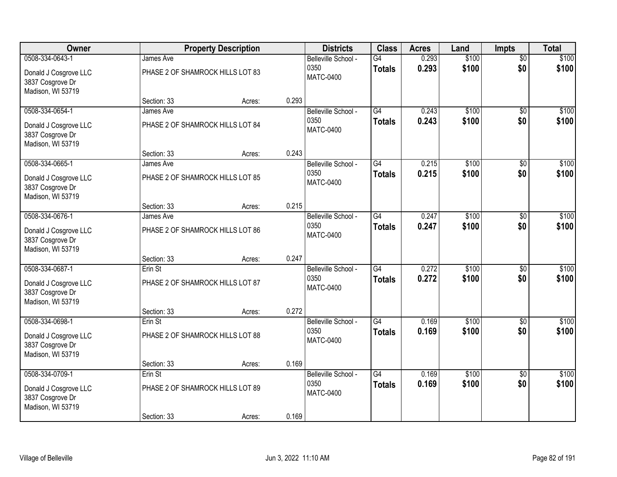| Owner                                                          |                                               | <b>Property Description</b> |       | <b>Districts</b>            | <b>Class</b>                     | <b>Acres</b>   | Land           | <b>Impts</b>           | <b>Total</b>   |
|----------------------------------------------------------------|-----------------------------------------------|-----------------------------|-------|-----------------------------|----------------------------------|----------------|----------------|------------------------|----------------|
| 0508-334-0643-1<br>Donald J Cosgrove LLC                       | James Ave<br>PHASE 2 OF SHAMROCK HILLS LOT 83 |                             |       | Belleville School -<br>0350 | $\overline{G4}$<br><b>Totals</b> | 0.293<br>0.293 | \$100<br>\$100 | $\overline{50}$<br>\$0 | \$100<br>\$100 |
| 3837 Cosgrove Dr<br>Madison, WI 53719                          |                                               |                             |       | <b>MATC-0400</b>            |                                  |                |                |                        |                |
|                                                                | Section: 33                                   | Acres:                      | 0.293 |                             |                                  |                |                |                        |                |
| 0508-334-0654-1                                                | James Ave                                     |                             |       | Belleville School -         | G4                               | 0.243          | \$100          | $\overline{50}$        | \$100          |
| Donald J Cosgrove LLC<br>3837 Cosgrove Dr<br>Madison, WI 53719 | PHASE 2 OF SHAMROCK HILLS LOT 84              |                             |       | 0350<br><b>MATC-0400</b>    | <b>Totals</b>                    | 0.243          | \$100          | \$0                    | \$100          |
|                                                                | Section: 33                                   | Acres:                      | 0.243 |                             |                                  |                |                |                        |                |
| 0508-334-0665-1                                                | James Ave                                     |                             |       | Belleville School -         | G4                               | 0.215          | \$100          | \$0                    | \$100          |
| Donald J Cosgrove LLC<br>3837 Cosgrove Dr<br>Madison, WI 53719 | PHASE 2 OF SHAMROCK HILLS LOT 85              |                             |       | 0350<br><b>MATC-0400</b>    | <b>Totals</b>                    | 0.215          | \$100          | \$0                    | \$100          |
|                                                                | Section: 33                                   | Acres:                      | 0.215 |                             |                                  |                |                |                        |                |
| 0508-334-0676-1                                                | James Ave                                     |                             |       | Belleville School -         | $\overline{G4}$                  | 0.247          | \$100          | \$0                    | \$100          |
| Donald J Cosgrove LLC<br>3837 Cosgrove Dr<br>Madison, WI 53719 | PHASE 2 OF SHAMROCK HILLS LOT 86              |                             |       | 0350<br><b>MATC-0400</b>    | <b>Totals</b>                    | 0.247          | \$100          | \$0                    | \$100          |
|                                                                | Section: 33                                   | Acres:                      | 0.247 |                             |                                  |                |                |                        |                |
| 0508-334-0687-1                                                | Erin St                                       |                             |       | Belleville School -         | $\overline{G4}$                  | 0.272          | \$100          | $\overline{30}$        | \$100          |
| Donald J Cosgrove LLC                                          | PHASE 2 OF SHAMROCK HILLS LOT 87              |                             |       | 0350                        | <b>Totals</b>                    | 0.272          | \$100          | \$0                    | \$100          |
| 3837 Cosgrove Dr                                               |                                               |                             |       | <b>MATC-0400</b>            |                                  |                |                |                        |                |
| Madison, WI 53719                                              |                                               |                             |       |                             |                                  |                |                |                        |                |
|                                                                | Section: 33                                   | Acres:                      | 0.272 |                             |                                  |                |                |                        |                |
| 0508-334-0698-1                                                | Erin St                                       |                             |       | Belleville School -         | G4                               | 0.169          | \$100          | $\overline{50}$        | \$100          |
| Donald J Cosgrove LLC<br>3837 Cosgrove Dr<br>Madison, WI 53719 | PHASE 2 OF SHAMROCK HILLS LOT 88              |                             |       | 0350<br><b>MATC-0400</b>    | <b>Totals</b>                    | 0.169          | \$100          | \$0                    | \$100          |
|                                                                | Section: 33                                   | Acres:                      | 0.169 |                             |                                  |                |                |                        |                |
| 0508-334-0709-1                                                | Erin St                                       |                             |       | Belleville School -         | $\overline{G4}$                  | 0.169          | \$100          | $\overline{50}$        | \$100          |
| Donald J Cosgrove LLC<br>3837 Cosgrove Dr<br>Madison, WI 53719 | PHASE 2 OF SHAMROCK HILLS LOT 89              |                             |       | 0350<br><b>MATC-0400</b>    | <b>Totals</b>                    | 0.169          | \$100          | \$0                    | \$100          |
|                                                                | Section: 33                                   | Acres:                      | 0.169 |                             |                                  |                |                |                        |                |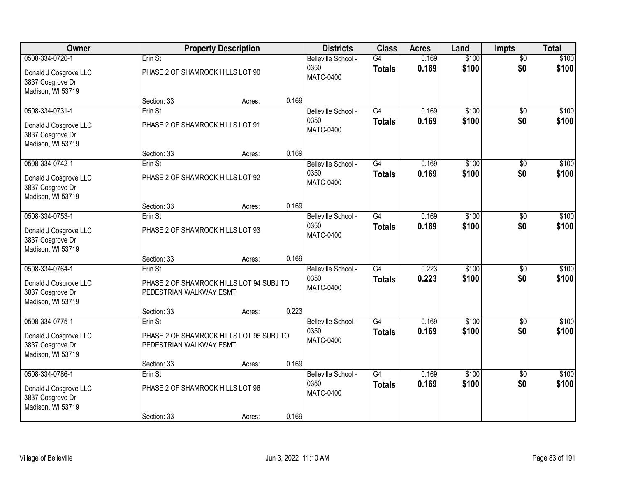| Owner                                                          |                                  | <b>Property Description</b>              |       | <b>Districts</b>            | <b>Class</b>        | <b>Acres</b>   | Land           | <b>Impts</b>           | <b>Total</b>   |
|----------------------------------------------------------------|----------------------------------|------------------------------------------|-------|-----------------------------|---------------------|----------------|----------------|------------------------|----------------|
| 0508-334-0720-1                                                | Erin St                          |                                          |       | Belleville School -<br>0350 | G4<br><b>Totals</b> | 0.169<br>0.169 | \$100<br>\$100 | $\overline{50}$<br>\$0 | \$100<br>\$100 |
| Donald J Cosgrove LLC<br>3837 Cosgrove Dr<br>Madison, WI 53719 | PHASE 2 OF SHAMROCK HILLS LOT 90 |                                          |       | <b>MATC-0400</b>            |                     |                |                |                        |                |
|                                                                | Section: 33                      | Acres:                                   | 0.169 |                             |                     |                |                |                        |                |
| 0508-334-0731-1                                                | Erin St                          |                                          |       | Belleville School -         | G4                  | 0.169          | \$100          | \$0                    | \$100          |
| Donald J Cosgrove LLC<br>3837 Cosgrove Dr<br>Madison, WI 53719 | PHASE 2 OF SHAMROCK HILLS LOT 91 |                                          |       | 0350<br><b>MATC-0400</b>    | <b>Totals</b>       | 0.169          | \$100          | \$0                    | \$100          |
|                                                                | Section: 33                      | Acres:                                   | 0.169 |                             |                     |                |                |                        |                |
| 0508-334-0742-1                                                | Erin St                          |                                          |       | Belleville School -         | $\overline{G4}$     | 0.169          | \$100          | \$0                    | \$100          |
| Donald J Cosgrove LLC<br>3837 Cosgrove Dr<br>Madison, WI 53719 | PHASE 2 OF SHAMROCK HILLS LOT 92 |                                          |       | 0350<br><b>MATC-0400</b>    | <b>Totals</b>       | 0.169          | \$100          | \$0                    | \$100          |
|                                                                | Section: 33                      | Acres:                                   | 0.169 |                             |                     |                |                |                        |                |
| 0508-334-0753-1                                                | Erin St                          |                                          |       | Belleville School -         | $\overline{G4}$     | 0.169          | \$100          | \$0                    | \$100          |
| Donald J Cosgrove LLC<br>3837 Cosgrove Dr<br>Madison, WI 53719 | PHASE 2 OF SHAMROCK HILLS LOT 93 |                                          |       | 0350<br><b>MATC-0400</b>    | <b>Totals</b>       | 0.169          | \$100          | \$0                    | \$100          |
|                                                                | Section: 33                      | Acres:                                   | 0.169 |                             |                     |                |                |                        |                |
| 0508-334-0764-1                                                | Erin St                          |                                          |       | Belleville School -         | $\overline{G4}$     | 0.223          | \$100          | \$0                    | \$100          |
| Donald J Cosgrove LLC                                          |                                  | PHASE 2 OF SHAMROCK HILLS LOT 94 SUBJ TO |       | 0350<br><b>MATC-0400</b>    | <b>Totals</b>       | 0.223          | \$100          | \$0                    | \$100          |
| 3837 Cosgrove Dr<br>Madison, WI 53719                          | PEDESTRIAN WALKWAY ESMT          |                                          |       |                             |                     |                |                |                        |                |
|                                                                | Section: 33                      | Acres:                                   | 0.223 |                             |                     |                |                |                        |                |
| 0508-334-0775-1                                                | Erin St                          |                                          |       | Belleville School -         | G4                  | 0.169          | \$100          | \$0                    | \$100          |
| Donald J Cosgrove LLC<br>3837 Cosgrove Dr<br>Madison, WI 53719 | PEDESTRIAN WALKWAY ESMT          | PHASE 2 OF SHAMROCK HILLS LOT 95 SUBJ TO |       | 0350<br><b>MATC-0400</b>    | <b>Totals</b>       | 0.169          | \$100          | \$0                    | \$100          |
|                                                                | Section: 33                      | Acres:                                   | 0.169 |                             |                     |                |                |                        |                |
| 0508-334-0786-1                                                | Erin St                          |                                          |       | Belleville School -         | G4                  | 0.169          | \$100          | $\overline{50}$        | \$100          |
| Donald J Cosgrove LLC<br>3837 Cosgrove Dr<br>Madison, WI 53719 | PHASE 2 OF SHAMROCK HILLS LOT 96 |                                          |       | 0350<br><b>MATC-0400</b>    | <b>Totals</b>       | 0.169          | \$100          | \$0                    | \$100          |
|                                                                | Section: 33                      | Acres:                                   | 0.169 |                             |                     |                |                |                        |                |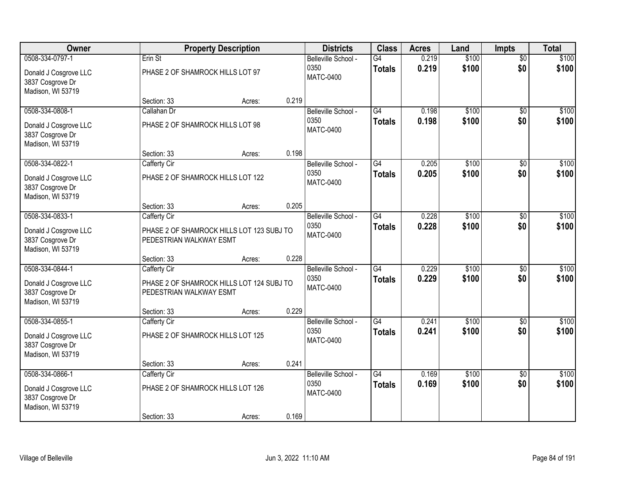| Owner                                                          |                                   | <b>Property Description</b>               |       | <b>Districts</b>            | <b>Class</b>        | <b>Acres</b>   | Land           | <b>Impts</b>           | <b>Total</b>   |
|----------------------------------------------------------------|-----------------------------------|-------------------------------------------|-------|-----------------------------|---------------------|----------------|----------------|------------------------|----------------|
| 0508-334-0797-1                                                | Erin St                           |                                           |       | Belleville School -<br>0350 | G4<br><b>Totals</b> | 0.219<br>0.219 | \$100<br>\$100 | $\overline{50}$<br>\$0 | \$100<br>\$100 |
| Donald J Cosgrove LLC<br>3837 Cosgrove Dr<br>Madison, WI 53719 | PHASE 2 OF SHAMROCK HILLS LOT 97  |                                           |       | <b>MATC-0400</b>            |                     |                |                |                        |                |
|                                                                | Section: 33                       | Acres:                                    | 0.219 |                             |                     |                |                |                        |                |
| 0508-334-0808-1                                                | Callahan Dr                       |                                           |       | Belleville School -         | G4                  | 0.198          | \$100          | $\overline{30}$        | \$100          |
| Donald J Cosgrove LLC<br>3837 Cosgrove Dr<br>Madison, WI 53719 | PHASE 2 OF SHAMROCK HILLS LOT 98  |                                           |       | 0350<br><b>MATC-0400</b>    | <b>Totals</b>       | 0.198          | \$100          | \$0                    | \$100          |
|                                                                | Section: 33                       | Acres:                                    | 0.198 |                             |                     |                |                |                        |                |
| 0508-334-0822-1                                                | Cafferty Cir                      |                                           |       | Belleville School -         | G4                  | 0.205          | \$100          | \$0                    | \$100          |
| Donald J Cosgrove LLC<br>3837 Cosgrove Dr<br>Madison, WI 53719 | PHASE 2 OF SHAMROCK HILLS LOT 122 |                                           |       | 0350<br><b>MATC-0400</b>    | <b>Totals</b>       | 0.205          | \$100          | \$0                    | \$100          |
|                                                                | Section: 33                       | Acres:                                    | 0.205 |                             |                     |                |                |                        |                |
| 0508-334-0833-1                                                | Cafferty Cir                      |                                           |       | Belleville School -         | $\overline{G4}$     | 0.228          | \$100          | \$0                    | \$100          |
| Donald J Cosgrove LLC<br>3837 Cosgrove Dr<br>Madison, WI 53719 | PEDESTRIAN WALKWAY ESMT           | PHASE 2 OF SHAMROCK HILLS LOT 123 SUBJ TO |       | 0350<br><b>MATC-0400</b>    | <b>Totals</b>       | 0.228          | \$100          | \$0                    | \$100          |
|                                                                | Section: 33                       | Acres:                                    | 0.228 |                             |                     |                |                |                        |                |
| 0508-334-0844-1                                                | Cafferty Cir                      |                                           |       | Belleville School -         | $\overline{G4}$     | 0.229          | \$100          | $\overline{30}$        | \$100          |
| Donald J Cosgrove LLC                                          |                                   | PHASE 2 OF SHAMROCK HILLS LOT 124 SUBJ TO |       | 0350                        | <b>Totals</b>       | 0.229          | \$100          | \$0                    | \$100          |
| 3837 Cosgrove Dr<br>Madison, WI 53719                          | PEDESTRIAN WALKWAY ESMT           |                                           |       | <b>MATC-0400</b>            |                     |                |                |                        |                |
|                                                                | Section: 33                       | Acres:                                    | 0.229 |                             |                     |                |                |                        |                |
| 0508-334-0855-1                                                | Cafferty Cir                      |                                           |       | Belleville School -         | $\overline{G4}$     | 0.241          | \$100          | $\overline{50}$        | \$100          |
| Donald J Cosgrove LLC<br>3837 Cosgrove Dr<br>Madison, WI 53719 | PHASE 2 OF SHAMROCK HILLS LOT 125 |                                           |       | 0350<br><b>MATC-0400</b>    | <b>Totals</b>       | 0.241          | \$100          | \$0                    | \$100          |
|                                                                | Section: 33                       | Acres:                                    | 0.241 |                             |                     |                |                |                        |                |
| 0508-334-0866-1                                                | Cafferty Cir                      |                                           |       | Belleville School -         | $\overline{G4}$     | 0.169          | \$100          | $\overline{50}$        | \$100          |
| Donald J Cosgrove LLC<br>3837 Cosgrove Dr<br>Madison, WI 53719 | PHASE 2 OF SHAMROCK HILLS LOT 126 |                                           |       | 0350<br><b>MATC-0400</b>    | <b>Totals</b>       | 0.169          | \$100          | \$0                    | \$100          |
|                                                                | Section: 33                       | Acres:                                    | 0.169 |                             |                     |                |                |                        |                |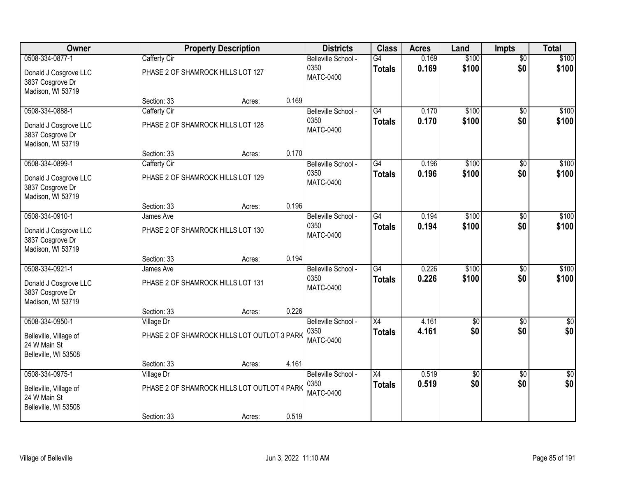| Owner                                                          |                                                   | <b>Property Description</b>                 |       | <b>Districts</b>                                | <b>Class</b>        | <b>Acres</b>   | Land            | <b>Impts</b>           | <b>Total</b>     |
|----------------------------------------------------------------|---------------------------------------------------|---------------------------------------------|-------|-------------------------------------------------|---------------------|----------------|-----------------|------------------------|------------------|
| 0508-334-0877-1<br>Donald J Cosgrove LLC                       | Cafferty Cir<br>PHASE 2 OF SHAMROCK HILLS LOT 127 |                                             |       | Belleville School -<br>0350<br><b>MATC-0400</b> | G4<br><b>Totals</b> | 0.169<br>0.169 | \$100<br>\$100  | $\overline{50}$<br>\$0 | \$100<br>\$100   |
| 3837 Cosgrove Dr<br>Madison, WI 53719                          | Section: 33                                       | Acres:                                      | 0.169 |                                                 |                     |                |                 |                        |                  |
| 0508-334-0888-1                                                | Cafferty Cir                                      |                                             |       | Belleville School -                             | G4                  | 0.170          | \$100           | $\overline{50}$        | \$100            |
| Donald J Cosgrove LLC<br>3837 Cosgrove Dr<br>Madison, WI 53719 | PHASE 2 OF SHAMROCK HILLS LOT 128                 |                                             |       | 0350<br><b>MATC-0400</b>                        | <b>Totals</b>       | 0.170          | \$100           | \$0                    | \$100            |
|                                                                | Section: 33                                       | Acres:                                      | 0.170 |                                                 |                     |                |                 |                        |                  |
| 0508-334-0899-1                                                | Cafferty Cir                                      |                                             |       | Belleville School -                             | $\overline{G4}$     | 0.196          | \$100           | \$0                    | \$100            |
| Donald J Cosgrove LLC<br>3837 Cosgrove Dr<br>Madison, WI 53719 | PHASE 2 OF SHAMROCK HILLS LOT 129                 |                                             |       | 0350<br><b>MATC-0400</b>                        | <b>Totals</b>       | 0.196          | \$100           | \$0                    | \$100            |
|                                                                | Section: 33                                       | Acres:                                      | 0.196 |                                                 |                     |                |                 |                        |                  |
| 0508-334-0910-1                                                | James Ave                                         |                                             |       | Belleville School -                             | $\overline{G4}$     | 0.194          | \$100           | \$0                    | \$100            |
| Donald J Cosgrove LLC<br>3837 Cosgrove Dr<br>Madison, WI 53719 | PHASE 2 OF SHAMROCK HILLS LOT 130                 |                                             |       | 0350<br><b>MATC-0400</b>                        | <b>Totals</b>       | 0.194          | \$100           | \$0                    | \$100            |
|                                                                | Section: 33                                       | Acres:                                      | 0.194 |                                                 |                     |                |                 |                        |                  |
| 0508-334-0921-1                                                | James Ave                                         |                                             |       | Belleville School -                             | $\overline{G4}$     | 0.226          | \$100           | \$0                    | \$100            |
| Donald J Cosgrove LLC<br>3837 Cosgrove Dr<br>Madison, WI 53719 | PHASE 2 OF SHAMROCK HILLS LOT 131                 |                                             |       | 0350<br><b>MATC-0400</b>                        | <b>Totals</b>       | 0.226          | \$100           | \$0                    | \$100            |
|                                                                | Section: 33                                       | Acres:                                      | 0.226 |                                                 |                     |                |                 |                        |                  |
| 0508-334-0950-1                                                | Village Dr                                        |                                             |       | Belleville School -                             | X4                  | 4.161          | $\overline{50}$ | \$0                    | $\overline{\$0}$ |
| Belleville, Village of<br>24 W Main St<br>Belleville, WI 53508 |                                                   | PHASE 2 OF SHAMROCK HILLS LOT OUTLOT 3 PARK |       | 0350<br><b>MATC-0400</b>                        | <b>Totals</b>       | 4.161          | \$0             | \$0                    | \$0              |
|                                                                | Section: 33                                       | Acres:                                      | 4.161 |                                                 |                     |                |                 |                        |                  |
| 0508-334-0975-1                                                | Village Dr                                        |                                             |       | Belleville School -                             | $\overline{X4}$     | 0.519          | $\overline{50}$ | $\overline{50}$        | $\overline{50}$  |
| Belleville, Village of<br>24 W Main St<br>Belleville, WI 53508 |                                                   | PHASE 2 OF SHAMROCK HILLS LOT OUTLOT 4 PARK |       | 0350<br><b>MATC-0400</b>                        | Totals              | 0.519          | \$0             | \$0                    | \$0              |
|                                                                | Section: 33                                       | Acres:                                      | 0.519 |                                                 |                     |                |                 |                        |                  |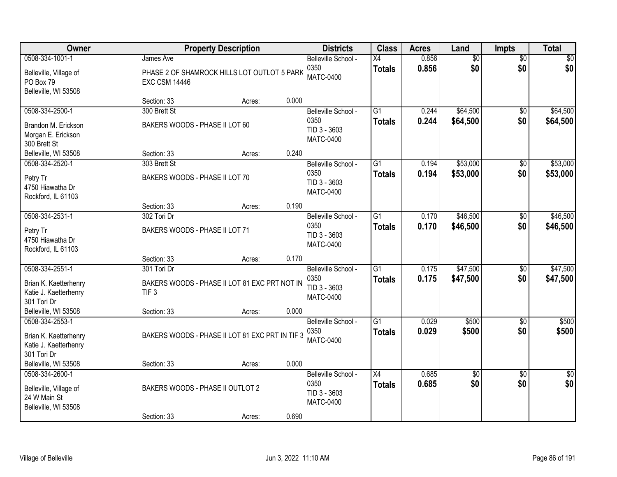| <b>Owner</b>                                                                      |                                                                                  | <b>Property Description</b> |       | <b>Districts</b>                                                | <b>Class</b>                     | <b>Acres</b>   | Land                   | Impts                  | <b>Total</b>           |
|-----------------------------------------------------------------------------------|----------------------------------------------------------------------------------|-----------------------------|-------|-----------------------------------------------------------------|----------------------------------|----------------|------------------------|------------------------|------------------------|
| 0508-334-1001-1<br>Belleville, Village of<br>PO Box 79<br>Belleville, WI 53508    | James Ave<br>PHASE 2 OF SHAMROCK HILLS LOT OUTLOT 5 PARK<br><b>EXC CSM 14446</b> |                             |       | Belleville School -<br>0350<br><b>MATC-0400</b>                 | X4<br><b>Totals</b>              | 0.856<br>0.856 | $\overline{50}$<br>\$0 | $\overline{50}$<br>\$0 | \$0<br>\$0             |
|                                                                                   | Section: 33                                                                      | Acres:                      | 0.000 |                                                                 |                                  |                |                        |                        |                        |
| 0508-334-2500-1<br>Brandon M. Erickson<br>Morgan E. Erickson<br>300 Brett St      | 300 Brett St<br>BAKERS WOODS - PHASE II LOT 60                                   |                             |       | Belleville School -<br>0350<br>TID 3 - 3603<br><b>MATC-0400</b> | $\overline{G1}$<br><b>Totals</b> | 0.244<br>0.244 | \$64,500<br>\$64,500   | \$0<br>\$0             | \$64,500<br>\$64,500   |
| Belleville, WI 53508                                                              | Section: 33                                                                      | Acres:                      | 0.240 |                                                                 |                                  |                |                        |                        |                        |
| 0508-334-2520-1<br>Petry Tr<br>4750 Hiawatha Dr<br>Rockford, IL 61103             | 303 Brett St<br>BAKERS WOODS - PHASE II LOT 70                                   |                             |       | Belleville School -<br>0350<br>TID 3 - 3603<br><b>MATC-0400</b> | G1<br><b>Totals</b>              | 0.194<br>0.194 | \$53,000<br>\$53,000   | $\overline{50}$<br>\$0 | \$53,000<br>\$53,000   |
|                                                                                   | Section: 33                                                                      | Acres:                      | 0.190 |                                                                 |                                  |                |                        |                        |                        |
| 0508-334-2531-1<br>Petry Tr<br>4750 Hiawatha Dr<br>Rockford, IL 61103             | 302 Tori Dr<br>BAKERS WOODS - PHASE II LOT 71                                    |                             |       | Belleville School -<br>0350<br>TID 3 - 3603<br><b>MATC-0400</b> | $\overline{G1}$<br><b>Totals</b> | 0.170<br>0.170 | \$46,500<br>\$46,500   | \$0<br>\$0             | \$46,500<br>\$46,500   |
|                                                                                   | Section: 33                                                                      | Acres:                      | 0.170 |                                                                 |                                  |                |                        |                        |                        |
| 0508-334-2551-1<br>Brian K. Kaetterhenry<br>Katie J. Kaetterhenry<br>301 Tori Dr  | 301 Tori Dr<br>BAKERS WOODS - PHASE II LOT 81 EXC PRT NOT IN<br>TIF <sub>3</sub> |                             |       | Belleville School -<br>0350<br>TID 3 - 3603<br><b>MATC-0400</b> | $\overline{G1}$<br><b>Totals</b> | 0.175<br>0.175 | \$47,500<br>\$47,500   | $\overline{50}$<br>\$0 | \$47,500<br>\$47,500   |
| Belleville, WI 53508                                                              | Section: 33                                                                      | Acres:                      | 0.000 |                                                                 |                                  |                |                        |                        |                        |
| 0508-334-2553-1<br>Brian K. Kaetterhenry<br>Katie J. Kaetterhenry<br>301 Tori Dr  | BAKERS WOODS - PHASE II LOT 81 EXC PRT IN TIF 3                                  |                             |       | Belleville School -<br>0350<br><b>MATC-0400</b>                 | $\overline{G1}$<br><b>Totals</b> | 0.029<br>0.029 | \$500<br>\$500         | $\overline{60}$<br>\$0 | \$500<br>\$500         |
| Belleville, WI 53508                                                              | Section: 33                                                                      | Acres:                      | 0.000 |                                                                 |                                  |                |                        |                        |                        |
| 0508-334-2600-1<br>Belleville, Village of<br>24 W Main St<br>Belleville, WI 53508 | BAKERS WOODS - PHASE II OUTLOT 2                                                 |                             |       | Belleville School -<br>0350<br>TID 3 - 3603<br><b>MATC-0400</b> | $\overline{X4}$<br><b>Totals</b> | 0.685<br>0.685 | \$0<br>\$0             | $\overline{30}$<br>\$0 | $\overline{50}$<br>\$0 |
|                                                                                   | Section: 33                                                                      | Acres:                      | 0.690 |                                                                 |                                  |                |                        |                        |                        |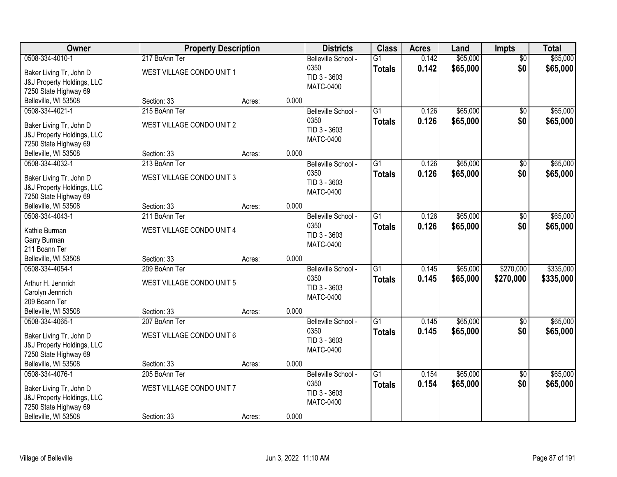| Owner                                                                                                                     | <b>Property Description</b>                               |        |       | <b>Districts</b>                                                | <b>Class</b>                     | <b>Acres</b>   | Land                 | <b>Impts</b>           | <b>Total</b>           |
|---------------------------------------------------------------------------------------------------------------------------|-----------------------------------------------------------|--------|-------|-----------------------------------------------------------------|----------------------------------|----------------|----------------------|------------------------|------------------------|
| 0508-334-4010-1<br>Baker Living Tr, John D<br>J&J Property Holdings, LLC<br>7250 State Highway 69                         | 217 BoAnn Ter<br>WEST VILLAGE CONDO UNIT 1                |        |       | Belleville School -<br>0350<br>TID 3 - 3603<br><b>MATC-0400</b> | $\overline{G1}$<br><b>Totals</b> | 0.142<br>0.142 | \$65,000<br>\$65,000 | $\overline{50}$<br>\$0 | \$65,000<br>\$65,000   |
| Belleville, WI 53508                                                                                                      | Section: 33                                               | Acres: | 0.000 |                                                                 |                                  |                |                      |                        |                        |
| 0508-334-4021-1<br>Baker Living Tr, John D<br>J&J Property Holdings, LLC<br>7250 State Highway 69                         | 215 BoAnn Ter<br>WEST VILLAGE CONDO UNIT 2                |        |       | Belleville School -<br>0350<br>TID 3 - 3603<br><b>MATC-0400</b> | $\overline{G1}$<br><b>Totals</b> | 0.126<br>0.126 | \$65,000<br>\$65,000 | $\overline{50}$<br>\$0 | \$65,000<br>\$65,000   |
| Belleville, WI 53508                                                                                                      | Section: 33                                               | Acres: | 0.000 |                                                                 |                                  |                |                      |                        |                        |
| 0508-334-4032-1<br>Baker Living Tr, John D<br>J&J Property Holdings, LLC<br>7250 State Highway 69                         | 213 BoAnn Ter<br>WEST VILLAGE CONDO UNIT 3                |        |       | Belleville School -<br>0350<br>TID 3 - 3603<br><b>MATC-0400</b> | $\overline{G1}$<br><b>Totals</b> | 0.126<br>0.126 | \$65,000<br>\$65,000 | $\overline{50}$<br>\$0 | \$65,000<br>\$65,000   |
| Belleville, WI 53508                                                                                                      | Section: 33                                               | Acres: | 0.000 |                                                                 |                                  |                |                      |                        |                        |
| 0508-334-4043-1<br>Kathie Burman<br>Garry Burman<br>211 Boann Ter                                                         | 211 BoAnn Ter<br>WEST VILLAGE CONDO UNIT 4                |        |       | Belleville School -<br>0350<br>TID 3 - 3603<br><b>MATC-0400</b> | $\overline{G1}$<br><b>Totals</b> | 0.126<br>0.126 | \$65,000<br>\$65,000 | \$0<br>\$0             | \$65,000<br>\$65,000   |
| Belleville, WI 53508                                                                                                      | Section: 33                                               | Acres: | 0.000 |                                                                 |                                  |                |                      |                        |                        |
| 0508-334-4054-1<br>Arthur H. Jennrich<br>Carolyn Jennrich<br>209 Boann Ter                                                | 209 BoAnn Ter<br>WEST VILLAGE CONDO UNIT 5                |        |       | Belleville School -<br>0350<br>TID 3 - 3603<br><b>MATC-0400</b> | $\overline{G1}$<br><b>Totals</b> | 0.145<br>0.145 | \$65,000<br>\$65,000 | \$270,000<br>\$270,000 | \$335,000<br>\$335,000 |
| Belleville, WI 53508                                                                                                      | Section: 33                                               | Acres: | 0.000 |                                                                 |                                  |                |                      |                        |                        |
| 0508-334-4065-1<br>Baker Living Tr, John D<br>J&J Property Holdings, LLC<br>7250 State Highway 69                         | 207 BoAnn Ter<br>WEST VILLAGE CONDO UNIT 6                |        |       | Belleville School -<br>0350<br>TID 3 - 3603<br><b>MATC-0400</b> | $\overline{G1}$<br><b>Totals</b> | 0.145<br>0.145 | \$65,000<br>\$65,000 | $\sqrt{6}$<br>\$0      | \$65,000<br>\$65,000   |
| Belleville, WI 53508                                                                                                      | Section: 33                                               | Acres: | 0.000 |                                                                 |                                  |                |                      |                        |                        |
| 0508-334-4076-1<br>Baker Living Tr, John D<br>J&J Property Holdings, LLC<br>7250 State Highway 69<br>Belleville, WI 53508 | 205 BoAnn Ter<br>WEST VILLAGE CONDO UNIT 7<br>Section: 33 | Acres: | 0.000 | Belleville School -<br>0350<br>TID 3 - 3603<br><b>MATC-0400</b> | $\overline{G1}$<br><b>Totals</b> | 0.154<br>0.154 | \$65,000<br>\$65,000 | $\overline{50}$<br>\$0 | \$65,000<br>\$65,000   |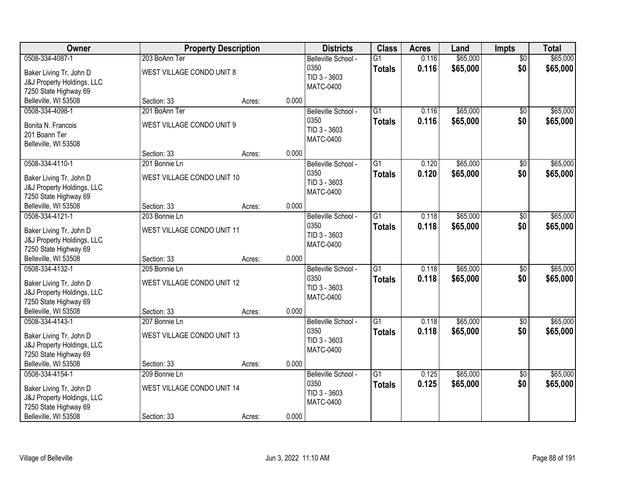| Owner                                                                                                                                |                                                            | <b>Property Description</b> |       | <b>Districts</b>                                                | <b>Class</b>                     | <b>Acres</b>   | Land                 | <b>Impts</b>           | <b>Total</b>         |
|--------------------------------------------------------------------------------------------------------------------------------------|------------------------------------------------------------|-----------------------------|-------|-----------------------------------------------------------------|----------------------------------|----------------|----------------------|------------------------|----------------------|
| 0508-334-4087-1<br>Baker Living Tr, John D<br>J&J Property Holdings, LLC<br>7250 State Highway 69                                    | 203 BoAnn Ter<br>WEST VILLAGE CONDO UNIT 8                 |                             |       | Belleville School -<br>0350<br>TID 3 - 3603<br><b>MATC-0400</b> | $\overline{G1}$<br><b>Totals</b> | 0.116<br>0.116 | \$65,000<br>\$65,000 | $\overline{50}$<br>\$0 | \$65,000<br>\$65,000 |
| Belleville, WI 53508                                                                                                                 | Section: 33                                                | Acres:                      | 0.000 |                                                                 |                                  |                |                      |                        |                      |
| 0508-334-4098-1<br>Bonita N. Francois<br>201 Boann Ter<br>Belleville, WI 53508                                                       | 201 BoAnn Ter<br>WEST VILLAGE CONDO UNIT 9                 |                             |       | Belleville School -<br>0350<br>TID 3 - 3603<br><b>MATC-0400</b> | $\overline{G1}$<br><b>Totals</b> | 0.116<br>0.116 | \$65,000<br>\$65,000 | $\overline{50}$<br>\$0 | \$65,000<br>\$65,000 |
|                                                                                                                                      | Section: 33                                                | Acres:                      | 0.000 |                                                                 |                                  |                |                      |                        |                      |
| 0508-334-4110-1<br>Baker Living Tr, John D<br>J&J Property Holdings, LLC<br>7250 State Highway 69                                    | 201 Bonnie Ln<br>WEST VILLAGE CONDO UNIT 10                |                             |       | Belleville School -<br>0350<br>TID 3 - 3603<br><b>MATC-0400</b> | G1<br><b>Totals</b>              | 0.120<br>0.120 | \$65,000<br>\$65,000 | \$0<br>\$0             | \$65,000<br>\$65,000 |
| Belleville, WI 53508                                                                                                                 | Section: 33                                                | Acres:                      | 0.000 |                                                                 |                                  |                |                      |                        |                      |
| 0508-334-4121-1<br>Baker Living Tr, John D<br><b>J&amp;J Property Holdings, LLC</b><br>7250 State Highway 69                         | 203 Bonnie Ln<br>WEST VILLAGE CONDO UNIT 11                |                             |       | Belleville School -<br>0350<br>TID 3 - 3603<br><b>MATC-0400</b> | $\overline{G1}$<br><b>Totals</b> | 0.118<br>0.118 | \$65,000<br>\$65,000 | \$0<br>\$0             | \$65,000<br>\$65,000 |
| Belleville, WI 53508                                                                                                                 | Section: 33                                                | Acres:                      | 0.000 |                                                                 |                                  |                |                      |                        |                      |
| 0508-334-4132-1<br>Baker Living Tr, John D<br>J&J Property Holdings, LLC<br>7250 State Highway 69                                    | 205 Bonnie Ln<br>WEST VILLAGE CONDO UNIT 12                |                             |       | Belleville School -<br>0350<br>TID 3 - 3603<br><b>MATC-0400</b> | $\overline{G1}$<br><b>Totals</b> | 0.118<br>0.118 | \$65,000<br>\$65,000 | $\overline{30}$<br>\$0 | \$65,000<br>\$65,000 |
| Belleville, WI 53508                                                                                                                 | Section: 33                                                | Acres:                      | 0.000 |                                                                 |                                  |                |                      |                        |                      |
| 0508-334-4143-1<br>Baker Living Tr, John D<br><b>J&amp;J Property Holdings, LLC</b><br>7250 State Highway 69                         | 207 Bonnie Ln<br>WEST VILLAGE CONDO UNIT 13                |                             |       | Belleville School -<br>0350<br>TID 3 - 3603<br><b>MATC-0400</b> | $\overline{G1}$<br><b>Totals</b> | 0.118<br>0.118 | \$65,000<br>\$65,000 | $\overline{60}$<br>\$0 | \$65,000<br>\$65,000 |
| Belleville, WI 53508                                                                                                                 | Section: 33                                                | Acres:                      | 0.000 |                                                                 |                                  |                |                      |                        |                      |
| 0508-334-4154-1<br>Baker Living Tr, John D<br><b>J&amp;J Property Holdings, LLC</b><br>7250 State Highway 69<br>Belleville, WI 53508 | 209 Bonnie Ln<br>WEST VILLAGE CONDO UNIT 14<br>Section: 33 | Acres:                      | 0.000 | Belleville School -<br>0350<br>TID 3 - 3603<br><b>MATC-0400</b> | $\overline{G1}$<br><b>Totals</b> | 0.125<br>0.125 | \$65,000<br>\$65,000 | $\overline{50}$<br>\$0 | \$65,000<br>\$65,000 |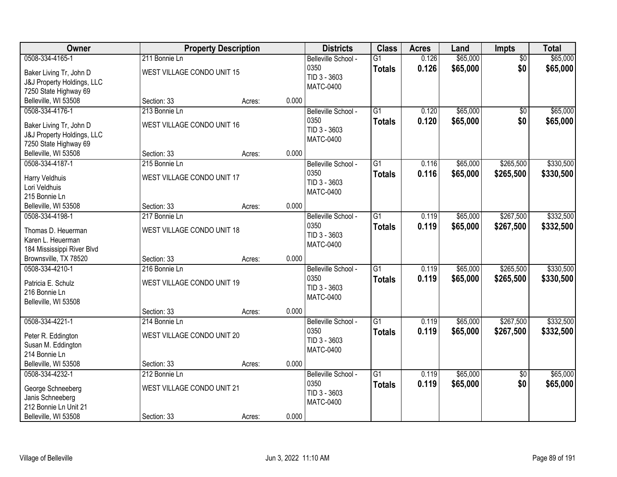| Owner                                                                                                        |                                                            | <b>Property Description</b> |       | <b>Districts</b>                                                | <b>Class</b>                     | <b>Acres</b>   | Land                 | Impts                  | <b>Total</b>           |
|--------------------------------------------------------------------------------------------------------------|------------------------------------------------------------|-----------------------------|-------|-----------------------------------------------------------------|----------------------------------|----------------|----------------------|------------------------|------------------------|
| 0508-334-4165-1<br>Baker Living Tr, John D<br>J&J Property Holdings, LLC<br>7250 State Highway 69            | 211 Bonnie Ln<br>WEST VILLAGE CONDO UNIT 15                |                             |       | Belleville School -<br>0350<br>TID 3 - 3603<br><b>MATC-0400</b> | $\overline{G1}$<br><b>Totals</b> | 0.126<br>0.126 | \$65,000<br>\$65,000 | $\overline{50}$<br>\$0 | \$65,000<br>\$65,000   |
| Belleville, WI 53508                                                                                         | Section: 33                                                | Acres:                      | 0.000 |                                                                 |                                  |                |                      |                        |                        |
| 0508-334-4176-1<br>Baker Living Tr, John D<br><b>J&amp;J Property Holdings, LLC</b><br>7250 State Highway 69 | 213 Bonnie Ln<br>WEST VILLAGE CONDO UNIT 16                |                             |       | Belleville School -<br>0350<br>TID 3 - 3603<br><b>MATC-0400</b> | $\overline{G1}$<br><b>Totals</b> | 0.120<br>0.120 | \$65,000<br>\$65,000 | \$0<br>\$0             | \$65,000<br>\$65,000   |
| Belleville, WI 53508                                                                                         | Section: 33                                                | Acres:                      | 0.000 |                                                                 |                                  |                |                      |                        |                        |
| 0508-334-4187-1<br>Harry Veldhuis<br>Lori Veldhuis<br>215 Bonnie Ln                                          | 215 Bonnie Ln<br>WEST VILLAGE CONDO UNIT 17                |                             |       | Belleville School -<br>0350<br>TID 3 - 3603<br><b>MATC-0400</b> | $\overline{G1}$<br><b>Totals</b> | 0.116<br>0.116 | \$65,000<br>\$65,000 | \$265,500<br>\$265,500 | \$330,500<br>\$330,500 |
| Belleville, WI 53508                                                                                         | Section: 33                                                | Acres:                      | 0.000 |                                                                 |                                  |                |                      |                        |                        |
| 0508-334-4198-1<br>Thomas D. Heuerman<br>Karen L. Heuerman<br>184 Mississippi River Blvd                     | 217 Bonnie Ln<br>WEST VILLAGE CONDO UNIT 18                |                             |       | Belleville School -<br>0350<br>TID 3 - 3603<br><b>MATC-0400</b> | $\overline{G1}$<br><b>Totals</b> | 0.119<br>0.119 | \$65,000<br>\$65,000 | \$267,500<br>\$267,500 | \$332,500<br>\$332,500 |
| Brownsville, TX 78520                                                                                        | Section: 33                                                | Acres:                      | 0.000 |                                                                 |                                  |                |                      |                        |                        |
| 0508-334-4210-1<br>Patricia E. Schulz<br>216 Bonnie Ln<br>Belleville, WI 53508                               | 216 Bonnie Ln<br>WEST VILLAGE CONDO UNIT 19                |                             |       | Belleville School -<br>0350<br>TID 3 - 3603<br><b>MATC-0400</b> | $\overline{G1}$<br><b>Totals</b> | 0.119<br>0.119 | \$65,000<br>\$65,000 | \$265,500<br>\$265,500 | \$330,500<br>\$330,500 |
|                                                                                                              | Section: 33                                                | Acres:                      | 0.000 |                                                                 |                                  |                |                      |                        |                        |
| 0508-334-4221-1<br>Peter R. Eddington<br>Susan M. Eddington<br>214 Bonnie Ln<br>Belleville, WI 53508         | 214 Bonnie Ln<br>WEST VILLAGE CONDO UNIT 20<br>Section: 33 | Acres:                      | 0.000 | Belleville School -<br>0350<br>TID 3 - 3603<br><b>MATC-0400</b> | $\overline{G1}$<br><b>Totals</b> | 0.119<br>0.119 | \$65,000<br>\$65,000 | \$267,500<br>\$267,500 | \$332,500<br>\$332,500 |
| 0508-334-4232-1                                                                                              | 212 Bonnie Ln                                              |                             |       | Belleville School -                                             | $\overline{G1}$                  | 0.119          | \$65,000             | $\overline{50}$        | \$65,000               |
| George Schneeberg<br>Janis Schneeberg<br>212 Bonnie Ln Unit 21<br>Belleville, WI 53508                       | WEST VILLAGE CONDO UNIT 21<br>Section: 33                  | Acres:                      | 0.000 | 0350<br>TID 3 - 3603<br>MATC-0400                               | <b>Totals</b>                    | 0.119          | \$65,000             | \$0                    | \$65,000               |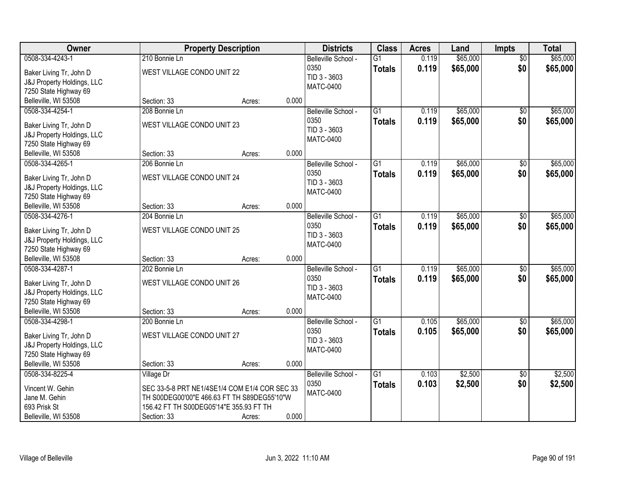| Owner                                               |                                                                                              | <b>Property Description</b> |       | <b>Districts</b>     | <b>Class</b>    | <b>Acres</b> | Land     | <b>Impts</b>    | <b>Total</b> |
|-----------------------------------------------------|----------------------------------------------------------------------------------------------|-----------------------------|-------|----------------------|-----------------|--------------|----------|-----------------|--------------|
| 0508-334-4243-1                                     | 210 Bonnie Ln                                                                                |                             |       | Belleville School -  | $\overline{G1}$ | 0.119        | \$65,000 | $\overline{50}$ | \$65,000     |
| Baker Living Tr, John D                             | WEST VILLAGE CONDO UNIT 22                                                                   |                             |       | 0350<br>TID 3 - 3603 | <b>Totals</b>   | 0.119        | \$65,000 | \$0             | \$65,000     |
| J&J Property Holdings, LLC                          |                                                                                              |                             |       | <b>MATC-0400</b>     |                 |              |          |                 |              |
| 7250 State Highway 69                               |                                                                                              |                             |       |                      |                 |              |          |                 |              |
| Belleville, WI 53508                                | Section: 33                                                                                  | Acres:                      | 0.000 |                      |                 |              |          |                 |              |
| 0508-334-4254-1                                     | 208 Bonnie Ln                                                                                |                             |       | Belleville School -  | $\overline{G1}$ | 0.119        | \$65,000 | $\overline{50}$ | \$65,000     |
| Baker Living Tr, John D                             | WEST VILLAGE CONDO UNIT 23                                                                   |                             |       | 0350                 | <b>Totals</b>   | 0.119        | \$65,000 | \$0             | \$65,000     |
| J&J Property Holdings, LLC                          |                                                                                              |                             |       | TID 3 - 3603         |                 |              |          |                 |              |
| 7250 State Highway 69                               |                                                                                              |                             |       | <b>MATC-0400</b>     |                 |              |          |                 |              |
| Belleville, WI 53508                                | Section: 33                                                                                  | Acres:                      | 0.000 |                      |                 |              |          |                 |              |
| 0508-334-4265-1                                     | 206 Bonnie Ln                                                                                |                             |       | Belleville School -  | $\overline{G1}$ | 0.119        | \$65,000 | \$0             | \$65,000     |
|                                                     |                                                                                              |                             |       | 0350                 | <b>Totals</b>   | 0.119        | \$65,000 | \$0             | \$65,000     |
| Baker Living Tr, John D                             | WEST VILLAGE CONDO UNIT 24                                                                   |                             |       | TID 3 - 3603         |                 |              |          |                 |              |
| J&J Property Holdings, LLC<br>7250 State Highway 69 |                                                                                              |                             |       | <b>MATC-0400</b>     |                 |              |          |                 |              |
| Belleville, WI 53508                                | Section: 33                                                                                  | Acres:                      | 0.000 |                      |                 |              |          |                 |              |
| 0508-334-4276-1                                     | 204 Bonnie Ln                                                                                |                             |       | Belleville School -  | $\overline{G1}$ | 0.119        | \$65,000 | \$0             | \$65,000     |
|                                                     |                                                                                              |                             |       | 0350                 | <b>Totals</b>   | 0.119        | \$65,000 | \$0             | \$65,000     |
| Baker Living Tr, John D                             | WEST VILLAGE CONDO UNIT 25                                                                   |                             |       | TID 3 - 3603         |                 |              |          |                 |              |
| <b>J&amp;J Property Holdings, LLC</b>               |                                                                                              |                             |       | <b>MATC-0400</b>     |                 |              |          |                 |              |
| 7250 State Highway 69                               |                                                                                              |                             |       |                      |                 |              |          |                 |              |
| Belleville, WI 53508                                | Section: 33                                                                                  | Acres:                      | 0.000 |                      |                 |              |          |                 |              |
| 0508-334-4287-1                                     | 202 Bonnie Ln                                                                                |                             |       | Belleville School -  | $\overline{G1}$ | 0.119        | \$65,000 | \$0             | \$65,000     |
| Baker Living Tr, John D                             | WEST VILLAGE CONDO UNIT 26                                                                   |                             |       | 0350                 | <b>Totals</b>   | 0.119        | \$65,000 | \$0             | \$65,000     |
| J&J Property Holdings, LLC                          |                                                                                              |                             |       | TID 3 - 3603         |                 |              |          |                 |              |
| 7250 State Highway 69                               |                                                                                              |                             |       | <b>MATC-0400</b>     |                 |              |          |                 |              |
| Belleville, WI 53508                                | Section: 33                                                                                  | Acres:                      | 0.000 |                      |                 |              |          |                 |              |
| 0508-334-4298-1                                     | 200 Bonnie Ln                                                                                |                             |       | Belleville School -  | $\overline{G1}$ | 0.105        | \$65,000 | $\sqrt{6}$      | \$65,000     |
| Baker Living Tr, John D                             | WEST VILLAGE CONDO UNIT 27                                                                   |                             |       | 0350                 | <b>Totals</b>   | 0.105        | \$65,000 | \$0             | \$65,000     |
| J&J Property Holdings, LLC                          |                                                                                              |                             |       | TID 3 - 3603         |                 |              |          |                 |              |
| 7250 State Highway 69                               |                                                                                              |                             |       | <b>MATC-0400</b>     |                 |              |          |                 |              |
| Belleville, WI 53508                                | Section: 33                                                                                  | Acres:                      | 0.000 |                      |                 |              |          |                 |              |
| 0508-334-8225-4                                     | Village Dr                                                                                   |                             |       | Belleville School -  | $\overline{G1}$ | 0.103        | \$2,500  | $\overline{50}$ | \$2,500      |
|                                                     |                                                                                              |                             |       | 0350                 | <b>Totals</b>   | 0.103        | \$2,500  | \$0             | \$2,500      |
| Vincent W. Gehin<br>Jane M. Gehin                   | SEC 33-5-8 PRT NE1/4SE1/4 COM E1/4 COR SEC 33<br>TH S00DEG00'00"E 466.63 FT TH S89DEG55'10"W |                             |       | <b>MATC-0400</b>     |                 |              |          |                 |              |
| 693 Prisk St                                        | 156.42 FT TH S00DEG05'14"E 355.93 FT TH                                                      |                             |       |                      |                 |              |          |                 |              |
| Belleville, WI 53508                                | Section: 33                                                                                  | Acres:                      | 0.000 |                      |                 |              |          |                 |              |
|                                                     |                                                                                              |                             |       |                      |                 |              |          |                 |              |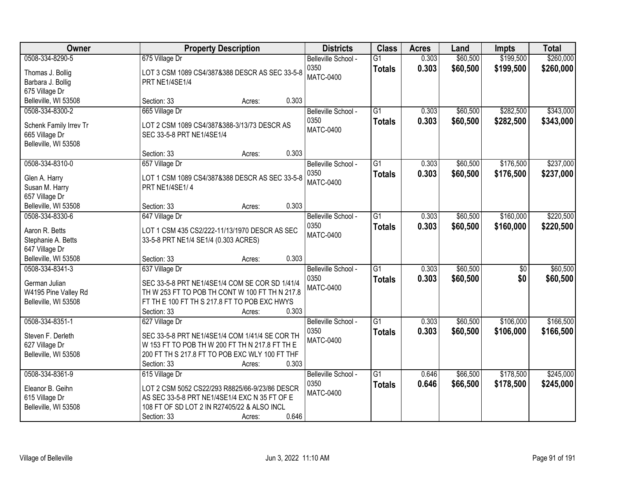| Owner                                                                               | <b>Property Description</b>                                                                                                                                                                            | <b>Districts</b>                                | <b>Class</b>                     | <b>Acres</b>   | Land                 | <b>Impts</b>           | <b>Total</b>           |
|-------------------------------------------------------------------------------------|--------------------------------------------------------------------------------------------------------------------------------------------------------------------------------------------------------|-------------------------------------------------|----------------------------------|----------------|----------------------|------------------------|------------------------|
| 0508-334-8290-5<br>Thomas J. Bollig<br>Barbara J. Bollig<br>675 Village Dr          | 675 Village Dr<br>LOT 3 CSM 1089 CS4/387&388 DESCR AS SEC 33-5-8<br>PRT NE1/4SE1/4                                                                                                                     | Belleville School -<br>0350<br><b>MATC-0400</b> | $\overline{G1}$<br><b>Totals</b> | 0.303<br>0.303 | \$60,500<br>\$60,500 | \$199,500<br>\$199,500 | \$260,000<br>\$260,000 |
| Belleville, WI 53508                                                                | 0.303<br>Section: 33<br>Acres:                                                                                                                                                                         |                                                 |                                  |                |                      |                        |                        |
| 0508-334-8300-2<br>Schenk Family Irrev Tr<br>665 Village Dr<br>Belleville, WI 53508 | 665 Village Dr<br>LOT 2 CSM 1089 CS4/387&388-3/13/73 DESCR AS<br>SEC 33-5-8 PRT NE1/4SE1/4                                                                                                             | Belleville School -<br>0350<br><b>MATC-0400</b> | $\overline{G1}$<br><b>Totals</b> | 0.303<br>0.303 | \$60,500<br>\$60,500 | \$282,500<br>\$282,500 | \$343,000<br>\$343,000 |
|                                                                                     | 0.303<br>Section: 33<br>Acres:                                                                                                                                                                         |                                                 |                                  |                |                      |                        |                        |
| 0508-334-8310-0<br>Glen A. Harry<br>Susan M. Harry<br>657 Village Dr                | 657 Village Dr<br>LOT 1 CSM 1089 CS4/387&388 DESCR AS SEC 33-5-8<br>PRT NE1/4SE1/4                                                                                                                     | Belleville School -<br>0350<br><b>MATC-0400</b> | $\overline{G1}$<br><b>Totals</b> | 0.303<br>0.303 | \$60,500<br>\$60,500 | \$176,500<br>\$176,500 | \$237,000<br>\$237,000 |
| Belleville, WI 53508                                                                | 0.303<br>Section: 33<br>Acres:                                                                                                                                                                         |                                                 |                                  |                |                      |                        |                        |
| 0508-334-8330-6<br>Aaron R. Betts<br>Stephanie A. Betts<br>647 Village Dr           | 647 Village Dr<br>LOT 1 CSM 435 CS2/222-11/13/1970 DESCR AS SEC<br>33-5-8 PRT NE1/4 SE1/4 (0.303 ACRES)                                                                                                | Belleville School -<br>0350<br><b>MATC-0400</b> | $\overline{G1}$<br><b>Totals</b> | 0.303<br>0.303 | \$60,500<br>\$60,500 | \$160,000<br>\$160,000 | \$220,500<br>\$220,500 |
| Belleville, WI 53508                                                                | 0.303<br>Section: 33<br>Acres:                                                                                                                                                                         |                                                 |                                  |                |                      |                        |                        |
| 0508-334-8341-3<br>German Julian<br>W4195 Pine Valley Rd<br>Belleville, WI 53508    | 637 Village Dr<br>SEC 33-5-8 PRT NE1/4SE1/4 COM SE COR SD 1/41/4<br>TH W 253 FT TO POB TH CONT W 100 FT TH N 217.8<br>FT TH E 100 FT TH S 217.8 FT TO POB EXC HWYS<br>0.303<br>Section: 33<br>Acres:   | Belleville School -<br>0350<br><b>MATC-0400</b> | $\overline{G1}$<br><b>Totals</b> | 0.303<br>0.303 | \$60,500<br>\$60,500 | $\overline{50}$<br>\$0 | \$60,500<br>\$60,500   |
| 0508-334-8351-1<br>Steven F. Derleth<br>627 Village Dr<br>Belleville, WI 53508      | 627 Village Dr<br>SEC 33-5-8 PRT NE1/4SE1/4 COM 1/41/4 SE COR TH<br>W 153 FT TO POB TH W 200 FT TH N 217.8 FT TH E<br>200 FT TH S 217.8 FT TO POB EXC WLY 100 FT THF<br>0.303<br>Section: 33<br>Acres: | Belleville School -<br>0350<br><b>MATC-0400</b> | $\overline{G1}$<br><b>Totals</b> | 0.303<br>0.303 | \$60,500<br>\$60,500 | \$106,000<br>\$106,000 | \$166,500<br>\$166,500 |
| 0508-334-8361-9<br>Eleanor B. Geihn<br>615 Village Dr<br>Belleville, WI 53508       | 615 Village Dr<br>LOT 2 CSM 5052 CS22/293 R8825/66-9/23/86 DESCR<br>AS SEC 33-5-8 PRT NE1/4SE1/4 EXC N 35 FT OF E<br>108 FT OF SD LOT 2 IN R27405/22 & ALSO INCL<br>0.646<br>Section: 33<br>Acres:     | Belleville School -<br>0350<br><b>MATC-0400</b> | $\overline{G1}$<br><b>Totals</b> | 0.646<br>0.646 | \$66,500<br>\$66,500 | \$178,500<br>\$178,500 | \$245,000<br>\$245,000 |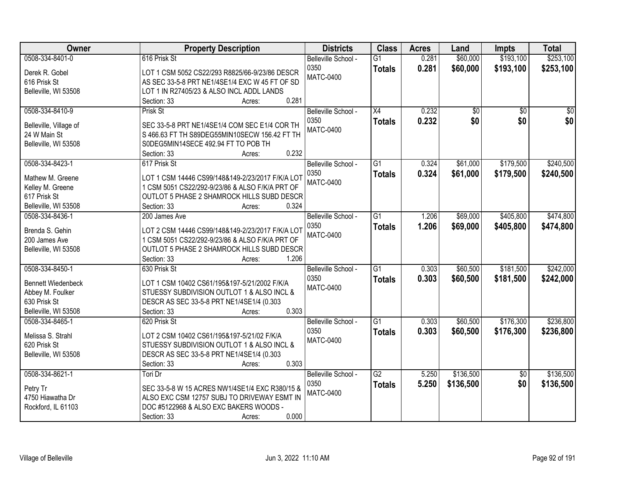| Owner                     | <b>Property Description</b>                      | <b>Districts</b>    | <b>Class</b>    | <b>Acres</b> | Land      | <b>Impts</b>    | <b>Total</b>    |
|---------------------------|--------------------------------------------------|---------------------|-----------------|--------------|-----------|-----------------|-----------------|
| 0508-334-8401-0           | 616 Prisk St                                     | Belleville School - | $\overline{G1}$ | 0.281        | \$60,000  | \$193,100       | \$253,100       |
| Derek R. Gobel            | LOT 1 CSM 5052 CS22/293 R8825/66-9/23/86 DESCR   | 0350                | <b>Totals</b>   | 0.281        | \$60,000  | \$193,100       | \$253,100       |
| 616 Prisk St              | AS SEC 33-5-8 PRT NE1/4SE1/4 EXC W 45 FT OF SD   | <b>MATC-0400</b>    |                 |              |           |                 |                 |
| Belleville, WI 53508      | LOT 1 IN R27405/23 & ALSO INCL ADDL LANDS        |                     |                 |              |           |                 |                 |
|                           | 0.281<br>Section: 33<br>Acres:                   |                     |                 |              |           |                 |                 |
| 0508-334-8410-9           | Prisk St                                         | Belleville School - | X4              | 0.232        | \$0       | $\overline{50}$ | $\overline{50}$ |
|                           |                                                  | 0350                | <b>Totals</b>   | 0.232        | \$0       | \$0             | \$0             |
| Belleville, Village of    | SEC 33-5-8 PRT NE1/4SE1/4 COM SEC E1/4 COR TH    | <b>MATC-0400</b>    |                 |              |           |                 |                 |
| 24 W Main St              | S 466.63 FT TH S89DEG55MIN10SECW 156.42 FT TH    |                     |                 |              |           |                 |                 |
| Belleville, WI 53508      | S0DEG5MIN14SECE 492.94 FT TO POB TH              |                     |                 |              |           |                 |                 |
|                           | 0.232<br>Section: 33<br>Acres:                   |                     |                 |              |           |                 |                 |
| 0508-334-8423-1           | 617 Prisk St                                     | Belleville School - | $\overline{G1}$ | 0.324        | \$61,000  | \$179,500       | \$240,500       |
| Mathew M. Greene          | LOT 1 CSM 14446 CS99/148&149-2/23/2017 F/K/A LOT | 0350                | <b>Totals</b>   | 0.324        | \$61,000  | \$179,500       | \$240,500       |
| Kelley M. Greene          | 1 CSM 5051 CS22/292-9/23/86 & ALSO F/K/A PRT OF  | <b>MATC-0400</b>    |                 |              |           |                 |                 |
| 617 Prisk St              | OUTLOT 5 PHASE 2 SHAMROCK HILLS SUBD DESCR       |                     |                 |              |           |                 |                 |
| Belleville, WI 53508      | Section: 33<br>0.324<br>Acres:                   |                     |                 |              |           |                 |                 |
| 0508-334-8436-1           | 200 James Ave                                    | Belleville School - | $\overline{G1}$ | 1.206        | \$69,000  | \$405,800       | \$474,800       |
|                           |                                                  | 0350                | <b>Totals</b>   | 1.206        | \$69,000  | \$405,800       | \$474,800       |
| Brenda S. Gehin           | LOT 2 CSM 14446 CS99/148&149-2/23/2017 F/K/A LOT | <b>MATC-0400</b>    |                 |              |           |                 |                 |
| 200 James Ave             | 1 CSM 5051 CS22/292-9/23/86 & ALSO F/K/A PRT OF  |                     |                 |              |           |                 |                 |
| Belleville, WI 53508      | OUTLOT 5 PHASE 2 SHAMROCK HILLS SUBD DESCR       |                     |                 |              |           |                 |                 |
|                           | 1.206<br>Section: 33<br>Acres:                   |                     |                 |              |           |                 |                 |
| 0508-334-8450-1           | 630 Prisk St                                     | Belleville School - | $\overline{G1}$ | 0.303        | \$60,500  | \$181,500       | \$242,000       |
| <b>Bennett Wiedenbeck</b> | LOT 1 CSM 10402 CS61/195&197-5/21/2002 F/K/A     | 0350                | <b>Totals</b>   | 0.303        | \$60,500  | \$181,500       | \$242,000       |
| Abbey M. Foulker          | STUESSY SUBDIVISION OUTLOT 1 & ALSO INCL &       | <b>MATC-0400</b>    |                 |              |           |                 |                 |
| 630 Prisk St              | DESCR AS SEC 33-5-8 PRT NE1/4SE1/4 (0.303        |                     |                 |              |           |                 |                 |
| Belleville, WI 53508      | Section: 33<br>0.303<br>Acres:                   |                     |                 |              |           |                 |                 |
| 0508-334-8465-1           | 620 Prisk St                                     | Belleville School - | G1              | 0.303        | \$60,500  | \$176,300       | \$236,800       |
|                           |                                                  | 0350                | <b>Totals</b>   | 0.303        | \$60,500  | \$176,300       | \$236,800       |
| Melissa S. Strahl         | LOT 2 CSM 10402 CS61/195&197-5/21/02 F/K/A       | <b>MATC-0400</b>    |                 |              |           |                 |                 |
| 620 Prisk St              | STUESSY SUBDIVISION OUTLOT 1 & ALSO INCL &       |                     |                 |              |           |                 |                 |
| Belleville, WI 53508      | DESCR AS SEC 33-5-8 PRT NE1/4SE1/4 (0.303        |                     |                 |              |           |                 |                 |
|                           | 0.303<br>Section: 33<br>Acres:                   |                     |                 |              |           |                 |                 |
| 0508-334-8621-1           | Tori Dr                                          | Belleville School - | $\overline{G2}$ | 5.250        | \$136,500 | $\overline{50}$ | \$136,500       |
| Petry Tr                  | SEC 33-5-8 W 15 ACRES NW1/4SE1/4 EXC R380/15 &   | 0350                | <b>Totals</b>   | 5.250        | \$136,500 | \$0             | \$136,500       |
| 4750 Hiawatha Dr          | ALSO EXC CSM 12757 SUBJ TO DRIVEWAY ESMT IN      | <b>MATC-0400</b>    |                 |              |           |                 |                 |
| Rockford, IL 61103        | DOC #5122968 & ALSO EXC BAKERS WOODS -           |                     |                 |              |           |                 |                 |
|                           | 0.000<br>Section: 33<br>Acres:                   |                     |                 |              |           |                 |                 |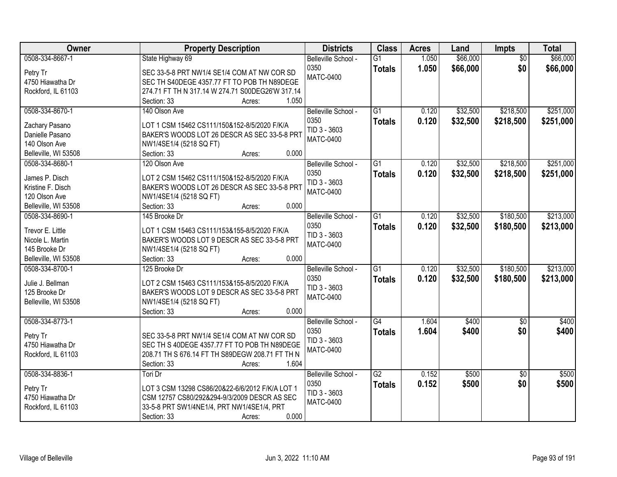| Owner                | <b>Property Description</b>                      | <b>Districts</b>    | <b>Class</b>    | <b>Acres</b> | Land     | Impts           | <b>Total</b> |
|----------------------|--------------------------------------------------|---------------------|-----------------|--------------|----------|-----------------|--------------|
| 0508-334-8667-1      | State Highway 69                                 | Belleville School - | $\overline{G1}$ | 1.050        | \$66,000 | $\overline{50}$ | \$66,000     |
| Petry Tr             | SEC 33-5-8 PRT NW1/4 SE1/4 COM AT NW COR SD      | 0350                | <b>Totals</b>   | 1.050        | \$66,000 | \$0             | \$66,000     |
| 4750 Hiawatha Dr     | SEC TH S40DEGE 4357.77 FT TO POB TH N89DEGE      | <b>MATC-0400</b>    |                 |              |          |                 |              |
| Rockford, IL 61103   | 274.71 FT TH N 317.14 W 274.71 S00DEG26'W 317.14 |                     |                 |              |          |                 |              |
|                      | 1.050<br>Section: 33<br>Acres:                   |                     |                 |              |          |                 |              |
| 0508-334-8670-1      | 140 Olson Ave                                    | Belleville School - | $\overline{G1}$ | 0.120        | \$32,500 | \$218,500       | \$251,000    |
|                      |                                                  | 0350                | <b>Totals</b>   | 0.120        | \$32,500 | \$218,500       | \$251,000    |
| Zachary Pasano       | LOT 1 CSM 15462 CS111/150&152-8/5/2020 F/K/A     | TID 3 - 3603        |                 |              |          |                 |              |
| Danielle Pasano      | BAKER'S WOODS LOT 26 DESCR AS SEC 33-5-8 PRT     | <b>MATC-0400</b>    |                 |              |          |                 |              |
| 140 Olson Ave        | NW1/4SE1/4 (5218 SQ FT)                          |                     |                 |              |          |                 |              |
| Belleville, WI 53508 | 0.000<br>Section: 33<br>Acres:                   |                     |                 |              |          |                 |              |
| 0508-334-8680-1      | 120 Olson Ave                                    | Belleville School - | G1              | 0.120        | \$32,500 | \$218,500       | \$251,000    |
| James P. Disch       | LOT 2 CSM 15462 CS111/150&152-8/5/2020 F/K/A     | 0350                | <b>Totals</b>   | 0.120        | \$32,500 | \$218,500       | \$251,000    |
| Kristine F. Disch    | BAKER'S WOODS LOT 26 DESCR AS SEC 33-5-8 PRT     | TID 3 - 3603        |                 |              |          |                 |              |
| 120 Olson Ave        | NW1/4SE1/4 (5218 SQ FT)                          | <b>MATC-0400</b>    |                 |              |          |                 |              |
| Belleville, WI 53508 | 0.000<br>Section: 33<br>Acres:                   |                     |                 |              |          |                 |              |
| 0508-334-8690-1      | 145 Brooke Dr                                    | Belleville School - | $\overline{G1}$ | 0.120        | \$32,500 | \$180,500       | \$213,000    |
|                      |                                                  | 0350                | <b>Totals</b>   | 0.120        | \$32,500 | \$180,500       | \$213,000    |
| Trevor E. Little     | LOT 1 CSM 15463 CS111/153&155-8/5/2020 F/K/A     | TID 3 - 3603        |                 |              |          |                 |              |
| Nicole L. Martin     | BAKER'S WOODS LOT 9 DESCR AS SEC 33-5-8 PRT      | <b>MATC-0400</b>    |                 |              |          |                 |              |
| 145 Brooke Dr        | NW1/4SE1/4 (5218 SQ FT)                          |                     |                 |              |          |                 |              |
| Belleville, WI 53508 | 0.000<br>Section: 33<br>Acres:                   |                     |                 |              |          |                 |              |
| 0508-334-8700-1      | 125 Brooke Dr                                    | Belleville School - | $\overline{G1}$ | 0.120        | \$32,500 | \$180,500       | \$213,000    |
| Julie J. Bellman     | LOT 2 CSM 15463 CS111/153&155-8/5/2020 F/K/A     | 0350                | <b>Totals</b>   | 0.120        | \$32,500 | \$180,500       | \$213,000    |
| 125 Brooke Dr        | BAKER'S WOODS LOT 9 DESCR AS SEC 33-5-8 PRT      | TID 3 - 3603        |                 |              |          |                 |              |
| Belleville, WI 53508 | NW1/4SE1/4 (5218 SQ FT)                          | <b>MATC-0400</b>    |                 |              |          |                 |              |
|                      | 0.000<br>Section: 33<br>Acres:                   |                     |                 |              |          |                 |              |
| 0508-334-8773-1      |                                                  | Belleville School - | $\overline{G4}$ | 1.604        | \$400    | $\overline{50}$ | \$400        |
|                      |                                                  | 0350                | <b>Totals</b>   | 1.604        | \$400    | \$0             | \$400        |
| Petry Tr             | SEC 33-5-8 PRT NW1/4 SE1/4 COM AT NW COR SD      | TID 3 - 3603        |                 |              |          |                 |              |
| 4750 Hiawatha Dr     | SEC TH S 40DEGE 4357.77 FT TO POB TH N89DEGE     | <b>MATC-0400</b>    |                 |              |          |                 |              |
| Rockford, IL 61103   | 208.71 TH S 676.14 FT TH S89DEGW 208.71 FT TH N  |                     |                 |              |          |                 |              |
|                      | Section: 33<br>1.604<br>Acres:                   |                     |                 |              |          |                 |              |
| 0508-334-8836-1      | Tori Dr                                          | Belleville School - | $\overline{G2}$ | 0.152        | \$500    | $\overline{50}$ | \$500        |
| Petry Tr             | LOT 3 CSM 13298 CS86/20&22-6/6/2012 F/K/A LOT 1  | 0350                | <b>Totals</b>   | 0.152        | \$500    | \$0             | \$500        |
| 4750 Hiawatha Dr     | CSM 12757 CS80/292&294-9/3/2009 DESCR AS SEC     | TID 3 - 3603        |                 |              |          |                 |              |
| Rockford, IL 61103   | 33-5-8 PRT SW1/4NE1/4, PRT NW1/4SE1/4, PRT       | <b>MATC-0400</b>    |                 |              |          |                 |              |
|                      | 0.000<br>Section: 33<br>Acres:                   |                     |                 |              |          |                 |              |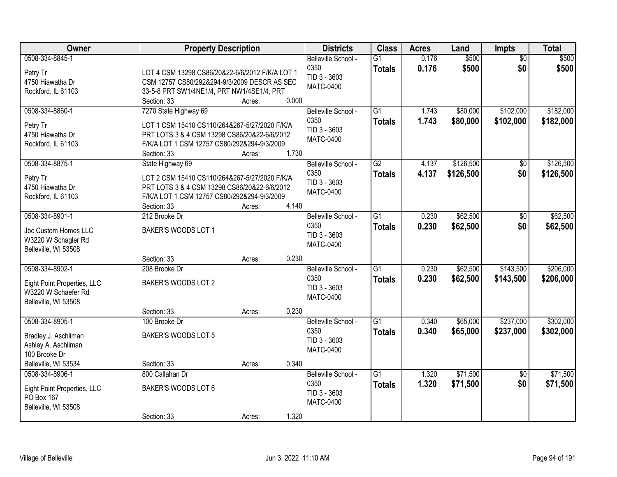| Owner                                                                                                   | <b>Property Description</b>                                                                                                                                                          |                                    | <b>Districts</b>                                                | <b>Class</b>                     | <b>Acres</b>   | Land                   | Impts                  | <b>Total</b>           |
|---------------------------------------------------------------------------------------------------------|--------------------------------------------------------------------------------------------------------------------------------------------------------------------------------------|------------------------------------|-----------------------------------------------------------------|----------------------------------|----------------|------------------------|------------------------|------------------------|
| 0508-334-8845-1<br>Petry Tr<br>4750 Hiawatha Dr<br>Rockford, IL 61103                                   | LOT 4 CSM 13298 CS86/20&22-6/6/2012 F/K/A LOT 1<br>CSM 12757 CS80/292&294-9/3/2009 DESCR AS SEC<br>33-5-8 PRT SW1/4NE1/4, PRT NW1/4SE1/4, PRT<br>Section: 33                         | 0.000<br>Acres:                    | Belleville School -<br>0350<br>TID 3 - 3603<br><b>MATC-0400</b> | $\overline{G1}$<br><b>Totals</b> | 0.176<br>0.176 | \$500<br>\$500         | $\overline{50}$<br>\$0 | \$500<br>\$500         |
| 0508-334-8860-1<br>Petry Tr<br>4750 Hiawatha Dr<br>Rockford, IL 61103                                   | 7270 State Highway 69<br>LOT 1 CSM 15410 CS110/264&267-5/27/2020 F/K/A<br>PRT LOTS 3 & 4 CSM 13298 CS86/20&22-6/6/2012<br>F/K/A LOT 1 CSM 12757 CS80/292&294-9/3/2009<br>Section: 33 | 1.730<br>Acres:                    | Belleville School -<br>0350<br>TID 3 - 3603<br><b>MATC-0400</b> | $\overline{G1}$<br><b>Totals</b> | 1.743<br>1.743 | \$80,000<br>\$80,000   | \$102,000<br>\$102,000 | \$182,000<br>\$182,000 |
| 0508-334-8875-1<br>Petry Tr<br>4750 Hiawatha Dr<br>Rockford, IL 61103                                   | State Highway 69<br>LOT 2 CSM 15410 CS110/264&267-5/27/2020 F/K/A<br>PRT LOTS 3 & 4 CSM 13298 CS86/20&22-6/6/2012<br>F/K/A LOT 1 CSM 12757 CS80/292&294-9/3/2009<br>Section: 33      | 4.140<br>Acres:                    | Belleville School -<br>0350<br>TID 3 - 3603<br><b>MATC-0400</b> | $\overline{G2}$<br><b>Totals</b> | 4.137<br>4.137 | \$126,500<br>\$126,500 | $\overline{50}$<br>\$0 | \$126,500<br>\$126,500 |
| 0508-334-8901-1<br>Jbc Custom Homes LLC<br>W3220 W Schagler Rd<br>Belleville, WI 53508                  | 212 Brooke Dr<br>BAKER'S WOODS LOT 1                                                                                                                                                 |                                    | Belleville School -<br>0350<br>TID 3 - 3603<br><b>MATC-0400</b> | $\overline{G1}$<br><b>Totals</b> | 0.230<br>0.230 | \$62,500<br>\$62,500   | \$0<br>\$0             | \$62,500<br>\$62,500   |
| 0508-334-8902-1<br>Eight Point Properties, LLC<br>W3220 W Schaefer Rd<br>Belleville, WI 53508           | Section: 33<br>208 Brooke Dr<br>BAKER'S WOODS LOT 2<br>Section: 33                                                                                                                   | 0.230<br>Acres:<br>0.230<br>Acres: | Belleville School -<br>0350<br>TID 3 - 3603<br><b>MATC-0400</b> | $\overline{G1}$<br><b>Totals</b> | 0.230<br>0.230 | \$62,500<br>\$62,500   | \$143,500<br>\$143,500 | \$206,000<br>\$206,000 |
| 0508-334-8905-1<br>Bradley J. Aschliman<br>Ashley A. Aschliman<br>100 Brooke Dr<br>Belleville, WI 53534 | 100 Brooke Dr<br>BAKER'S WOODS LOT 5<br>Section: 33                                                                                                                                  | 0.340<br>Acres:                    | Belleville School -<br>0350<br>TID 3 - 3603<br><b>MATC-0400</b> | $\overline{G1}$<br><b>Totals</b> | 0.340<br>0.340 | \$65,000<br>\$65,000   | \$237,000<br>\$237,000 | \$302,000<br>\$302,000 |
| 0508-334-8906-1<br>Eight Point Properties, LLC<br>PO Box 167<br>Belleville, WI 53508                    | 800 Callahan Dr<br>BAKER'S WOODS LOT 6<br>Section: 33                                                                                                                                | 1.320<br>Acres:                    | Belleville School -<br>0350<br>TID 3 - 3603<br><b>MATC-0400</b> | $\overline{G1}$<br><b>Totals</b> | 1.320<br>1.320 | \$71,500<br>\$71,500   | $\overline{50}$<br>\$0 | \$71,500<br>\$71,500   |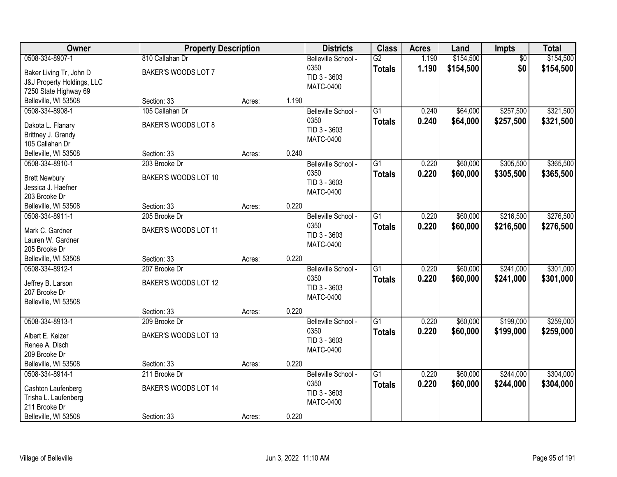| Owner                                                                                                  | <b>Property Description</b>                          |        |       | <b>Districts</b>                                                | <b>Class</b>                     | <b>Acres</b>   | Land                   | <b>Impts</b>           | <b>Total</b>           |
|--------------------------------------------------------------------------------------------------------|------------------------------------------------------|--------|-------|-----------------------------------------------------------------|----------------------------------|----------------|------------------------|------------------------|------------------------|
| 0508-334-8907-1<br>Baker Living Tr, John D<br>J&J Property Holdings, LLC                               | 810 Callahan Dr<br>BAKER'S WOODS LOT 7               |        |       | Belleville School -<br>0350<br>TID 3 - 3603<br><b>MATC-0400</b> | $\overline{G2}$<br><b>Totals</b> | 1.190<br>1.190 | \$154,500<br>\$154,500 | \$0<br>\$0             | \$154,500<br>\$154,500 |
| 7250 State Highway 69<br>Belleville, WI 53508                                                          | Section: 33                                          | Acres: | 1.190 |                                                                 |                                  |                |                        |                        |                        |
| 0508-334-8908-1<br>Dakota L. Flanary<br>Brittney J. Grandy<br>105 Callahan Dr                          | 105 Callahan Dr<br>BAKER'S WOODS LOT 8               |        |       | Belleville School -<br>0350<br>TID 3 - 3603<br><b>MATC-0400</b> | $\overline{G1}$<br><b>Totals</b> | 0.240<br>0.240 | \$64,000<br>\$64,000   | \$257,500<br>\$257,500 | \$321,500<br>\$321,500 |
| Belleville, WI 53508                                                                                   | Section: 33                                          | Acres: | 0.240 |                                                                 |                                  |                |                        |                        |                        |
| 0508-334-8910-1<br><b>Brett Newbury</b><br>Jessica J. Haefner<br>203 Brooke Dr                         | 203 Brooke Dr<br>BAKER'S WOODS LOT 10                |        |       | Belleville School -<br>0350<br>TID 3 - 3603<br><b>MATC-0400</b> | G1<br><b>Totals</b>              | 0.220<br>0.220 | \$60,000<br>\$60,000   | \$305,500<br>\$305,500 | \$365,500<br>\$365,500 |
| Belleville, WI 53508                                                                                   | Section: 33                                          | Acres: | 0.220 |                                                                 |                                  |                |                        |                        |                        |
| 0508-334-8911-1<br>Mark C. Gardner<br>Lauren W. Gardner<br>205 Brooke Dr                               | 205 Brooke Dr<br>BAKER'S WOODS LOT 11                |        |       | Belleville School -<br>0350<br>TID 3 - 3603<br><b>MATC-0400</b> | $\overline{G1}$<br><b>Totals</b> | 0.220<br>0.220 | \$60,000<br>\$60,000   | \$216,500<br>\$216,500 | \$276,500<br>\$276,500 |
| Belleville, WI 53508                                                                                   | Section: 33                                          | Acres: | 0.220 |                                                                 |                                  |                |                        |                        |                        |
| 0508-334-8912-1<br>Jeffrey B. Larson<br>207 Brooke Dr<br>Belleville, WI 53508                          | 207 Brooke Dr<br>BAKER'S WOODS LOT 12                |        |       | Belleville School -<br>0350<br>TID 3 - 3603<br><b>MATC-0400</b> | $\overline{G1}$<br><b>Totals</b> | 0.220<br>0.220 | \$60,000<br>\$60,000   | \$241,000<br>\$241,000 | \$301,000<br>\$301,000 |
|                                                                                                        | Section: 33                                          | Acres: | 0.220 |                                                                 |                                  |                |                        |                        |                        |
| 0508-334-8913-1<br>Albert E. Keizer<br>Renee A. Disch<br>209 Brooke Dr                                 | 209 Brooke Dr<br>BAKER'S WOODS LOT 13                |        |       | Belleville School -<br>0350<br>TID 3 - 3603<br>MATC-0400        | $\overline{G1}$<br><b>Totals</b> | 0.220<br>0.220 | \$60,000<br>\$60,000   | \$199,000<br>\$199,000 | \$259,000<br>\$259,000 |
| Belleville, WI 53508                                                                                   | Section: 33                                          | Acres: | 0.220 |                                                                 |                                  |                |                        |                        |                        |
| 0508-334-8914-1<br>Cashton Laufenberg<br>Trisha L. Laufenberg<br>211 Brooke Dr<br>Belleville, WI 53508 | 211 Brooke Dr<br>BAKER'S WOODS LOT 14<br>Section: 33 | Acres: | 0.220 | Belleville School -<br>0350<br>TID 3 - 3603<br><b>MATC-0400</b> | $\overline{G1}$<br><b>Totals</b> | 0.220<br>0.220 | \$60,000<br>\$60,000   | \$244,000<br>\$244,000 | \$304,000<br>\$304,000 |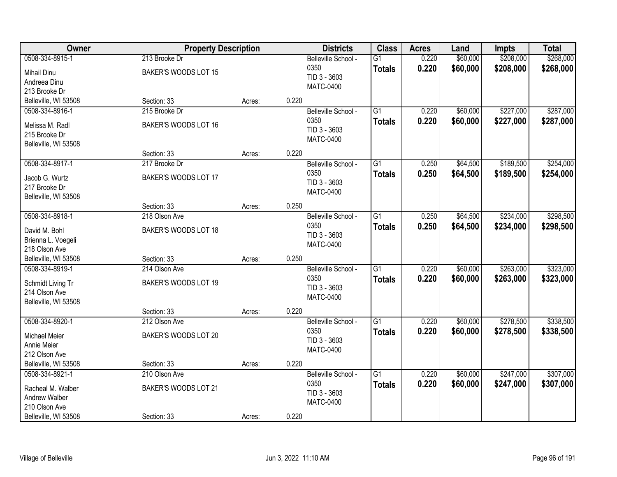| Owner                                                                                          | <b>Property Description</b>                          |        | <b>Districts</b> | <b>Class</b>                                                    | <b>Acres</b>                     | Land           | <b>Impts</b>         | <b>Total</b>           |                        |
|------------------------------------------------------------------------------------------------|------------------------------------------------------|--------|------------------|-----------------------------------------------------------------|----------------------------------|----------------|----------------------|------------------------|------------------------|
| 0508-334-8915-1<br><b>Mihail Dinu</b><br>Andreea Dinu<br>213 Brooke Dr                         | 213 Brooke Dr<br>BAKER'S WOODS LOT 15                |        |                  | Belleville School -<br>0350<br>TID 3 - 3603<br><b>MATC-0400</b> | $\overline{G1}$<br><b>Totals</b> | 0.220<br>0.220 | \$60,000<br>\$60,000 | \$208,000<br>\$208,000 | \$268,000<br>\$268,000 |
| Belleville, WI 53508                                                                           | Section: 33                                          | Acres: | 0.220            |                                                                 |                                  |                |                      |                        |                        |
| 0508-334-8916-1<br>Melissa M. Radl<br>215 Brooke Dr<br>Belleville, WI 53508                    | 215 Brooke Dr<br>BAKER'S WOODS LOT 16                |        |                  | Belleville School -<br>0350<br>TID 3 - 3603<br><b>MATC-0400</b> | $\overline{G1}$<br><b>Totals</b> | 0.220<br>0.220 | \$60,000<br>\$60,000 | \$227,000<br>\$227,000 | \$287,000<br>\$287,000 |
|                                                                                                | Section: 33                                          | Acres: | 0.220            |                                                                 |                                  |                |                      |                        |                        |
| 0508-334-8917-1<br>Jacob G. Wurtz<br>217 Brooke Dr<br>Belleville, WI 53508                     | 217 Brooke Dr<br>BAKER'S WOODS LOT 17                |        |                  | Belleville School -<br>0350<br>TID 3 - 3603<br><b>MATC-0400</b> | $\overline{G1}$<br><b>Totals</b> | 0.250<br>0.250 | \$64,500<br>\$64,500 | \$189,500<br>\$189,500 | \$254,000<br>\$254,000 |
|                                                                                                | Section: 33                                          | Acres: | 0.250            |                                                                 |                                  |                |                      |                        |                        |
| 0508-334-8918-1<br>David M. Bohl<br>Brienna L. Voegeli<br>218 Olson Ave                        | 218 Olson Ave<br>BAKER'S WOODS LOT 18                |        |                  | Belleville School -<br>0350<br>TID 3 - 3603<br><b>MATC-0400</b> | $\overline{G1}$<br><b>Totals</b> | 0.250<br>0.250 | \$64,500<br>\$64,500 | \$234,000<br>\$234,000 | \$298,500<br>\$298,500 |
| Belleville, WI 53508                                                                           | Section: 33                                          | Acres: | 0.250            |                                                                 |                                  |                |                      |                        |                        |
| 0508-334-8919-1<br>Schmidt Living Tr<br>214 Olson Ave<br>Belleville, WI 53508                  | 214 Olson Ave<br>BAKER'S WOODS LOT 19                |        |                  | Belleville School -<br>0350<br>TID 3 - 3603<br><b>MATC-0400</b> | $\overline{G1}$<br><b>Totals</b> | 0.220<br>0.220 | \$60,000<br>\$60,000 | \$263,000<br>\$263,000 | \$323,000<br>\$323,000 |
| 0508-334-8920-1                                                                                | Section: 33<br>212 Olson Ave                         | Acres: | 0.220            | Belleville School -                                             | $\overline{G1}$                  | 0.220          | \$60,000             | \$278,500              | \$338,500              |
| <b>Michael Meier</b><br>Annie Meier<br>212 Olson Ave                                           | BAKER'S WOODS LOT 20                                 |        |                  | 0350<br>TID 3 - 3603<br><b>MATC-0400</b>                        | <b>Totals</b>                    | 0.220          | \$60,000             | \$278,500              | \$338,500              |
| Belleville, WI 53508                                                                           | Section: 33                                          | Acres: | 0.220            |                                                                 |                                  |                |                      |                        |                        |
| 0508-334-8921-1<br>Racheal M. Walber<br>Andrew Walber<br>210 Olson Ave<br>Belleville, WI 53508 | 210 Olson Ave<br>BAKER'S WOODS LOT 21<br>Section: 33 | Acres: | 0.220            | Belleville School -<br>0350<br>TID 3 - 3603<br>MATC-0400        | $\overline{G1}$<br><b>Totals</b> | 0.220<br>0.220 | \$60,000<br>\$60,000 | \$247,000<br>\$247,000 | \$307,000<br>\$307,000 |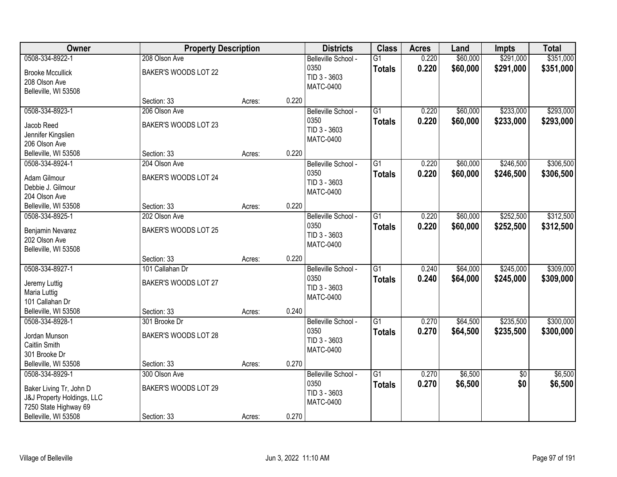| Owner                                               | <b>Property Description</b> |        |       | <b>Districts</b>    | <b>Class</b>    | <b>Acres</b> | Land     | <b>Impts</b>    | <b>Total</b> |
|-----------------------------------------------------|-----------------------------|--------|-------|---------------------|-----------------|--------------|----------|-----------------|--------------|
| 0508-334-8922-1                                     | 208 Olson Ave               |        |       | Belleville School - | $\overline{G1}$ | 0.220        | \$60,000 | \$291,000       | \$351,000    |
| <b>Brooke Mccullick</b>                             | BAKER'S WOODS LOT 22        |        |       | 0350                | <b>Totals</b>   | 0.220        | \$60,000 | \$291,000       | \$351,000    |
| 208 Olson Ave                                       |                             |        |       | TID 3 - 3603        |                 |              |          |                 |              |
| Belleville, WI 53508                                |                             |        |       | <b>MATC-0400</b>    |                 |              |          |                 |              |
|                                                     | Section: 33                 | Acres: | 0.220 |                     |                 |              |          |                 |              |
| 0508-334-8923-1                                     | 206 Olson Ave               |        |       | Belleville School - | $\overline{G1}$ | 0.220        | \$60,000 | \$233,000       | \$293,000    |
| Jacob Reed                                          | BAKER'S WOODS LOT 23        |        |       | 0350                | <b>Totals</b>   | 0.220        | \$60,000 | \$233,000       | \$293,000    |
| Jennifer Kingslien                                  |                             |        |       | TID 3 - 3603        |                 |              |          |                 |              |
| 206 Olson Ave                                       |                             |        |       | <b>MATC-0400</b>    |                 |              |          |                 |              |
| Belleville, WI 53508                                | Section: 33                 | Acres: | 0.220 |                     |                 |              |          |                 |              |
| 0508-334-8924-1                                     | 204 Olson Ave               |        |       | Belleville School - | G1              | 0.220        | \$60,000 | \$246,500       | \$306,500    |
| Adam Gilmour                                        | BAKER'S WOODS LOT 24        |        |       | 0350                | <b>Totals</b>   | 0.220        | \$60,000 | \$246,500       | \$306,500    |
| Debbie J. Gilmour                                   |                             |        |       | TID 3 - 3603        |                 |              |          |                 |              |
| 204 Olson Ave                                       |                             |        |       | <b>MATC-0400</b>    |                 |              |          |                 |              |
| Belleville, WI 53508                                | Section: 33                 | Acres: | 0.220 |                     |                 |              |          |                 |              |
| 0508-334-8925-1                                     | 202 Olson Ave               |        |       | Belleville School - | $\overline{G1}$ | 0.220        | \$60,000 | \$252,500       | \$312,500    |
| Benjamin Nevarez                                    | BAKER'S WOODS LOT 25        |        |       | 0350                | <b>Totals</b>   | 0.220        | \$60,000 | \$252,500       | \$312,500    |
| 202 Olson Ave                                       |                             |        |       | TID 3 - 3603        |                 |              |          |                 |              |
| Belleville, WI 53508                                |                             |        |       | <b>MATC-0400</b>    |                 |              |          |                 |              |
|                                                     | Section: 33                 | Acres: | 0.220 |                     |                 |              |          |                 |              |
| 0508-334-8927-1                                     | 101 Callahan Dr             |        |       | Belleville School - | $\overline{G1}$ | 0.240        | \$64,000 | \$245,000       | \$309,000    |
|                                                     | BAKER'S WOODS LOT 27        |        |       | 0350                | <b>Totals</b>   | 0.240        | \$64,000 | \$245,000       | \$309,000    |
| Jeremy Luttig<br>Maria Luttig                       |                             |        |       | TID 3 - 3603        |                 |              |          |                 |              |
| 101 Callahan Dr                                     |                             |        |       | <b>MATC-0400</b>    |                 |              |          |                 |              |
| Belleville, WI 53508                                | Section: 33                 | Acres: | 0.240 |                     |                 |              |          |                 |              |
| 0508-334-8928-1                                     | 301 Brooke Dr               |        |       | Belleville School - | $\overline{G1}$ | 0.270        | \$64,500 | \$235,500       | \$300,000    |
|                                                     |                             |        |       | 0350                | <b>Totals</b>   | 0.270        | \$64,500 | \$235,500       | \$300,000    |
| Jordan Munson<br>Caitlin Smith                      | BAKER'S WOODS LOT 28        |        |       | TID 3 - 3603        |                 |              |          |                 |              |
| 301 Brooke Dr                                       |                             |        |       | <b>MATC-0400</b>    |                 |              |          |                 |              |
| Belleville, WI 53508                                | Section: 33                 | Acres: | 0.270 |                     |                 |              |          |                 |              |
| 0508-334-8929-1                                     | 300 Olson Ave               |        |       | Belleville School - | $\overline{G1}$ | 0.270        | \$6,500  | $\overline{50}$ | \$6,500      |
|                                                     |                             |        |       | 0350                | <b>Totals</b>   | 0.270        | \$6,500  | \$0             | \$6,500      |
| Baker Living Tr, John D                             | BAKER'S WOODS LOT 29        |        |       | TID 3 - 3603        |                 |              |          |                 |              |
| J&J Property Holdings, LLC<br>7250 State Highway 69 |                             |        |       | MATC-0400           |                 |              |          |                 |              |
| Belleville, WI 53508                                | Section: 33                 | Acres: | 0.270 |                     |                 |              |          |                 |              |
|                                                     |                             |        |       |                     |                 |              |          |                 |              |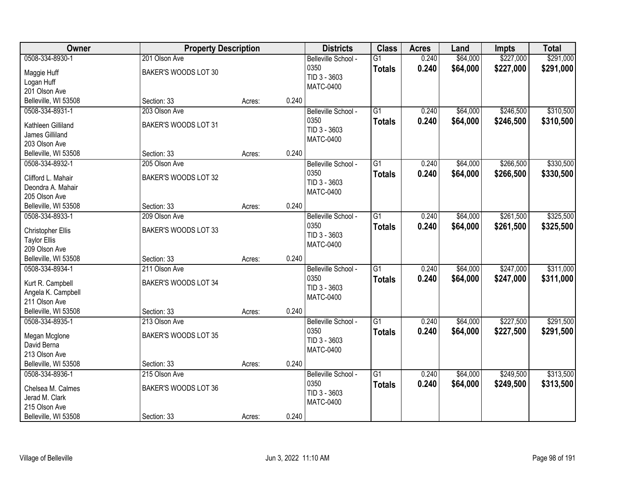| Owner                                                                                              | <b>Property Description</b>                          |        |       | <b>Districts</b>                                                | <b>Class</b>                     | <b>Acres</b>   | Land                 | <b>Impts</b>           | <b>Total</b>           |
|----------------------------------------------------------------------------------------------------|------------------------------------------------------|--------|-------|-----------------------------------------------------------------|----------------------------------|----------------|----------------------|------------------------|------------------------|
| 0508-334-8930-1<br>Maggie Huff<br>Logan Huff<br>201 Olson Ave                                      | 201 Olson Ave<br>BAKER'S WOODS LOT 30                |        |       | Belleville School -<br>0350<br>TID 3 - 3603<br><b>MATC-0400</b> | $\overline{G1}$<br><b>Totals</b> | 0.240<br>0.240 | \$64,000<br>\$64,000 | \$227,000<br>\$227,000 | \$291,000<br>\$291,000 |
| Belleville, WI 53508                                                                               | Section: 33                                          | Acres: | 0.240 |                                                                 |                                  |                |                      |                        |                        |
| 0508-334-8931-1<br>Kathleen Gilliland<br>James Gilliland<br>203 Olson Ave                          | 203 Olson Ave<br>BAKER'S WOODS LOT 31                |        |       | Belleville School -<br>0350<br>TID 3 - 3603<br><b>MATC-0400</b> | $\overline{G1}$<br><b>Totals</b> | 0.240<br>0.240 | \$64,000<br>\$64,000 | \$246,500<br>\$246,500 | \$310,500<br>\$310,500 |
| Belleville, WI 53508                                                                               | Section: 33                                          | Acres: | 0.240 |                                                                 |                                  |                |                      |                        |                        |
| 0508-334-8932-1<br>Clifford L. Mahair<br>Deondra A. Mahair<br>205 Olson Ave                        | 205 Olson Ave<br>BAKER'S WOODS LOT 32                |        |       | Belleville School -<br>0350<br>TID 3 - 3603<br>MATC-0400        | G1<br><b>Totals</b>              | 0.240<br>0.240 | \$64,000<br>\$64,000 | \$266,500<br>\$266,500 | \$330,500<br>\$330,500 |
| Belleville, WI 53508                                                                               | Section: 33                                          | Acres: | 0.240 |                                                                 |                                  |                |                      |                        |                        |
| 0508-334-8933-1<br>Christopher Ellis<br><b>Taylor Ellis</b><br>209 Olson Ave                       | 209 Olson Ave<br>BAKER'S WOODS LOT 33                |        |       | Belleville School -<br>0350<br>TID 3 - 3603<br><b>MATC-0400</b> | G1<br><b>Totals</b>              | 0.240<br>0.240 | \$64,000<br>\$64,000 | \$261,500<br>\$261,500 | \$325,500<br>\$325,500 |
| Belleville, WI 53508                                                                               | Section: 33                                          | Acres: | 0.240 |                                                                 |                                  |                |                      |                        |                        |
| 0508-334-8934-1<br>Kurt R. Campbell<br>Angela K. Campbell<br>211 Olson Ave<br>Belleville, WI 53508 | 211 Olson Ave<br>BAKER'S WOODS LOT 34<br>Section: 33 | Acres: | 0.240 | Belleville School -<br>0350<br>TID 3 - 3603<br><b>MATC-0400</b> | $\overline{G1}$<br><b>Totals</b> | 0.240<br>0.240 | \$64,000<br>\$64,000 | \$247,000<br>\$247,000 | \$311,000<br>\$311,000 |
| 0508-334-8935-1                                                                                    | 213 Olson Ave                                        |        |       | Belleville School -                                             | $\overline{G1}$                  | 0.240          | \$64,000             | \$227,500              | \$291,500              |
| Megan Mcglone<br>David Berna<br>213 Olson Ave                                                      | BAKER'S WOODS LOT 35                                 |        |       | 0350<br>TID 3 - 3603<br><b>MATC-0400</b>                        | <b>Totals</b>                    | 0.240          | \$64,000             | \$227,500              | \$291,500              |
| Belleville, WI 53508                                                                               | Section: 33                                          | Acres: | 0.240 |                                                                 |                                  |                |                      |                        |                        |
| 0508-334-8936-1<br>Chelsea M. Calmes<br>Jerad M. Clark<br>215 Olson Ave<br>Belleville, WI 53508    | 215 Olson Ave<br>BAKER'S WOODS LOT 36<br>Section: 33 | Acres: | 0.240 | Belleville School -<br>0350<br>TID 3 - 3603<br>MATC-0400        | $\overline{G1}$<br><b>Totals</b> | 0.240<br>0.240 | \$64,000<br>\$64,000 | \$249,500<br>\$249,500 | \$313,500<br>\$313,500 |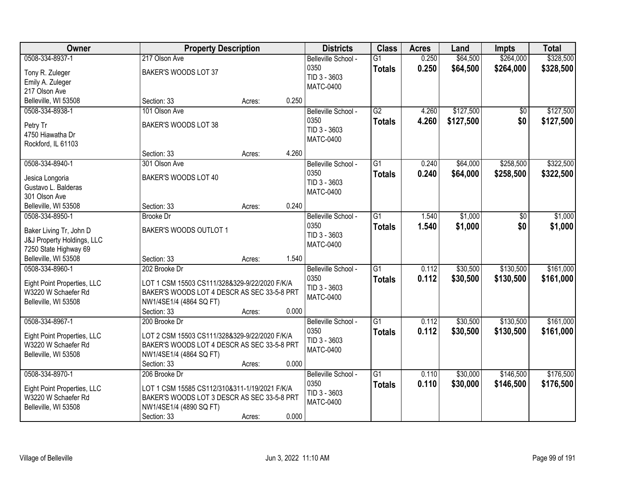| Owner                                   |                                               | <b>Property Description</b> |       | <b>Districts</b>            | <b>Class</b>    | <b>Acres</b> | Land      | <b>Impts</b> | <b>Total</b> |
|-----------------------------------------|-----------------------------------------------|-----------------------------|-------|-----------------------------|-----------------|--------------|-----------|--------------|--------------|
| 0508-334-8937-1                         | 217 Olson Ave                                 |                             |       | Belleville School -         | $\overline{G1}$ | 0.250        | \$64,500  | \$264,000    | \$328,500    |
| Tony R. Zuleger                         | BAKER'S WOODS LOT 37                          |                             |       | 0350<br>TID 3 - 3603        | <b>Totals</b>   | 0.250        | \$64,500  | \$264,000    | \$328,500    |
| Emily A. Zuleger                        |                                               |                             |       | <b>MATC-0400</b>            |                 |              |           |              |              |
| 217 Olson Ave                           |                                               |                             |       |                             |                 |              |           |              |              |
| Belleville, WI 53508                    | Section: 33                                   | Acres:                      | 0.250 |                             |                 |              |           |              |              |
| 0508-334-8938-1                         | 101 Olson Ave                                 |                             |       | Belleville School -         | G2              | 4.260        | \$127,500 | \$0          | \$127,500    |
| Petry Tr                                | BAKER'S WOODS LOT 38                          |                             |       | 0350                        | <b>Totals</b>   | 4.260        | \$127,500 | \$0          | \$127,500    |
| 4750 Hiawatha Dr                        |                                               |                             |       | TID 3 - 3603                |                 |              |           |              |              |
| Rockford, IL 61103                      |                                               |                             |       | <b>MATC-0400</b>            |                 |              |           |              |              |
|                                         | Section: 33                                   | Acres:                      | 4.260 |                             |                 |              |           |              |              |
| 0508-334-8940-1                         | 301 Olson Ave                                 |                             |       | Belleville School -         | $\overline{G1}$ | 0.240        | \$64,000  | \$258,500    | \$322,500    |
| Jesica Longoria                         | BAKER'S WOODS LOT 40                          |                             |       | 0350                        | <b>Totals</b>   | 0.240        | \$64,000  | \$258,500    | \$322,500    |
| Gustavo L. Balderas                     |                                               |                             |       | TID 3 - 3603                |                 |              |           |              |              |
| 301 Olson Ave                           |                                               |                             |       | <b>MATC-0400</b>            |                 |              |           |              |              |
| Belleville, WI 53508                    | Section: 33                                   | Acres:                      | 0.240 |                             |                 |              |           |              |              |
| 0508-334-8950-1                         | <b>Brooke Dr</b>                              |                             |       | Belleville School -         | $\overline{G1}$ | 1.540        | \$1,000   | \$0          | \$1,000      |
|                                         |                                               |                             |       | 0350                        | <b>Totals</b>   | 1.540        | \$1,000   | \$0          | \$1,000      |
| Baker Living Tr, John D                 | BAKER'S WOODS OUTLOT 1                        |                             |       | TID 3 - 3603                |                 |              |           |              |              |
| J&J Property Holdings, LLC              |                                               |                             |       | <b>MATC-0400</b>            |                 |              |           |              |              |
| 7250 State Highway 69                   |                                               |                             | 1.540 |                             |                 |              |           |              |              |
| Belleville, WI 53508<br>0508-334-8960-1 | Section: 33<br>202 Brooke Dr                  | Acres:                      |       |                             | $\overline{G1}$ | 0.112        | \$30,500  | \$130,500    | \$161,000    |
|                                         |                                               |                             |       | Belleville School -<br>0350 |                 |              |           |              |              |
| Eight Point Properties, LLC             | LOT 1 CSM 15503 CS111/328&329-9/22/2020 F/K/A |                             |       | TID 3 - 3603                | <b>Totals</b>   | 0.112        | \$30,500  | \$130,500    | \$161,000    |
| W3220 W Schaefer Rd                     | BAKER'S WOODS LOT 4 DESCR AS SEC 33-5-8 PRT   |                             |       | <b>MATC-0400</b>            |                 |              |           |              |              |
| Belleville, WI 53508                    | NW1/4SE1/4 (4864 SQ FT)                       |                             |       |                             |                 |              |           |              |              |
|                                         | Section: 33                                   | Acres:                      | 0.000 |                             |                 |              |           |              |              |
| 0508-334-8967-1                         | 200 Brooke Dr                                 |                             |       | Belleville School -         | $\overline{G1}$ | 0.112        | \$30,500  | \$130,500    | \$161,000    |
| Eight Point Properties, LLC             | LOT 2 CSM 15503 CS111/328&329-9/22/2020 F/K/A |                             |       | 0350                        | <b>Totals</b>   | 0.112        | \$30,500  | \$130,500    | \$161,000    |
| W3220 W Schaefer Rd                     | BAKER'S WOODS LOT 4 DESCR AS SEC 33-5-8 PRT   |                             |       | TID 3 - 3603                |                 |              |           |              |              |
| Belleville, WI 53508                    | NW1/4SE1/4 (4864 SQ FT)                       |                             |       | <b>MATC-0400</b>            |                 |              |           |              |              |
|                                         | Section: 33                                   | Acres:                      | 0.000 |                             |                 |              |           |              |              |
| 0508-334-8970-1                         | 206 Brooke Dr                                 |                             |       | Belleville School -         | $\overline{G1}$ | 0.110        | \$30,000  | \$146,500    | \$176,500    |
| Eight Point Properties, LLC             | LOT 1 CSM 15585 CS112/310&311-1/19/2021 F/K/A |                             |       | 0350                        | <b>Totals</b>   | 0.110        | \$30,000  | \$146,500    | \$176,500    |
| W3220 W Schaefer Rd                     | BAKER'S WOODS LOT 3 DESCR AS SEC 33-5-8 PRT   |                             |       | TID 3 - 3603                |                 |              |           |              |              |
| Belleville, WI 53508                    | NW1/4SE1/4 (4890 SQ FT)                       |                             |       | <b>MATC-0400</b>            |                 |              |           |              |              |
|                                         | Section: 33                                   | Acres:                      | 0.000 |                             |                 |              |           |              |              |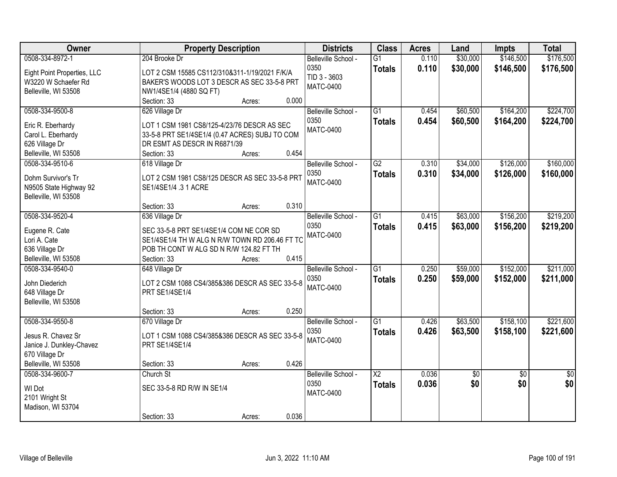| <b>Owner</b>                           | <b>Property Description</b>                                                    | <b>Districts</b>    | <b>Class</b>           | <b>Acres</b> | Land       | <b>Impts</b>    | <b>Total</b>    |
|----------------------------------------|--------------------------------------------------------------------------------|---------------------|------------------------|--------------|------------|-----------------|-----------------|
| 0508-334-8972-1                        | 204 Brooke Dr                                                                  | Belleville School - | $\overline{G1}$        | 0.110        | \$30,000   | \$146,500       | \$176,500       |
| Eight Point Properties, LLC            | LOT 2 CSM 15585 CS112/310&311-1/19/2021 F/K/A                                  | 0350                | <b>Totals</b>          | 0.110        | \$30,000   | \$146,500       | \$176,500       |
| W3220 W Schaefer Rd                    | BAKER'S WOODS LOT 3 DESCR AS SEC 33-5-8 PRT                                    | TID 3 - 3603        |                        |              |            |                 |                 |
| Belleville, WI 53508                   | NW1/4SE1/4 (4880 SQ FT)                                                        | <b>MATC-0400</b>    |                        |              |            |                 |                 |
|                                        | 0.000<br>Section: 33<br>Acres:                                                 |                     |                        |              |            |                 |                 |
| 0508-334-9500-8                        | 626 Village Dr                                                                 | Belleville School - | $\overline{G1}$        | 0.454        | \$60,500   | \$164,200       | \$224,700       |
|                                        | LOT 1 CSM 1981 CS8/125-4/23/76 DESCR AS SEC                                    | 0350                | <b>Totals</b>          | 0.454        | \$60,500   | \$164,200       | \$224,700       |
| Eric R. Eberhardy                      |                                                                                | MATC-0400           |                        |              |            |                 |                 |
| Carol L. Eberhardy<br>626 Village Dr   | 33-5-8 PRT SE1/4SE1/4 (0.47 ACRES) SUBJ TO COM<br>DR ESMT AS DESCR IN R6871/39 |                     |                        |              |            |                 |                 |
| Belleville, WI 53508                   | 0.454<br>Section: 33<br>Acres:                                                 |                     |                        |              |            |                 |                 |
| 0508-334-9510-6                        | 618 Village Dr                                                                 | Belleville School - | $\overline{G2}$        | 0.310        | \$34,000   | \$126,000       | \$160,000       |
|                                        |                                                                                | 0350                | <b>Totals</b>          | 0.310        | \$34,000   | \$126,000       | \$160,000       |
| Dohm Survivor's Tr                     | LOT 2 CSM 1981 CS8/125 DESCR AS SEC 33-5-8 PRT                                 | <b>MATC-0400</b>    |                        |              |            |                 |                 |
| N9505 State Highway 92                 | SE1/4SE1/4.31 ACRE                                                             |                     |                        |              |            |                 |                 |
| Belleville, WI 53508                   |                                                                                |                     |                        |              |            |                 |                 |
|                                        | 0.310<br>Section: 33<br>Acres:                                                 |                     |                        |              |            |                 |                 |
| 0508-334-9520-4                        | 636 Village Dr                                                                 | Belleville School - | $\overline{G1}$        | 0.415        | \$63,000   | \$156,200       | \$219,200       |
| Eugene R. Cate                         | SEC 33-5-8 PRT SE1/4SE1/4 COM NE COR SD                                        | 0350                | <b>Totals</b>          | 0.415        | \$63,000   | \$156,200       | \$219,200       |
| Lori A. Cate                           | SE1/4SE1/4 TH W ALG N R/W TOWN RD 206.46 FT TC                                 | <b>MATC-0400</b>    |                        |              |            |                 |                 |
| 636 Village Dr                         | POB TH CONT W ALG SD N R/W 124.82 FT TH                                        |                     |                        |              |            |                 |                 |
| Belleville, WI 53508                   | 0.415<br>Section: 33<br>Acres:                                                 |                     |                        |              |            |                 |                 |
| 0508-334-9540-0                        | 648 Village Dr                                                                 | Belleville School - | $\overline{G1}$        | 0.250        | \$59,000   | \$152,000       | \$211,000       |
|                                        |                                                                                | 0350                | <b>Totals</b>          | 0.250        | \$59,000   | \$152,000       | \$211,000       |
| John Diederich                         | LOT 2 CSM 1088 CS4/385&386 DESCR AS SEC 33-5-8                                 | <b>MATC-0400</b>    |                        |              |            |                 |                 |
| 648 Village Dr<br>Belleville, WI 53508 | PRT SE1/4SE1/4                                                                 |                     |                        |              |            |                 |                 |
|                                        | 0.250<br>Section: 33<br>Acres:                                                 |                     |                        |              |            |                 |                 |
| 0508-334-9550-8                        |                                                                                | Belleville School - | G1                     | 0.426        | \$63,500   | \$158,100       | \$221,600       |
|                                        | 670 Village Dr                                                                 | 0350                |                        | 0.426        | \$63,500   | \$158,100       | \$221,600       |
| Jesus R. Chavez Sr                     | LOT 1 CSM 1088 CS4/385&386 DESCR AS SEC 33-5-8                                 | <b>MATC-0400</b>    | <b>Totals</b>          |              |            |                 |                 |
| Janice J. Dunkley-Chavez               | PRT SE1/4SE1/4                                                                 |                     |                        |              |            |                 |                 |
| 670 Village Dr                         |                                                                                |                     |                        |              |            |                 |                 |
| Belleville, WI 53508                   | 0.426<br>Section: 33<br>Acres:                                                 |                     |                        |              |            |                 |                 |
| 0508-334-9600-7                        | Church St                                                                      | Belleville School - | $\overline{\text{X2}}$ | 0.036        | $\sqrt{6}$ | $\overline{30}$ | $\overline{50}$ |
| WI Dot                                 | SEC 33-5-8 RD R/W IN SE1/4                                                     | 0350                | <b>Totals</b>          | 0.036        | \$0        | \$0             | \$0             |
| 2101 Wright St                         |                                                                                | <b>MATC-0400</b>    |                        |              |            |                 |                 |
| Madison, WI 53704                      |                                                                                |                     |                        |              |            |                 |                 |
|                                        | 0.036<br>Section: 33<br>Acres:                                                 |                     |                        |              |            |                 |                 |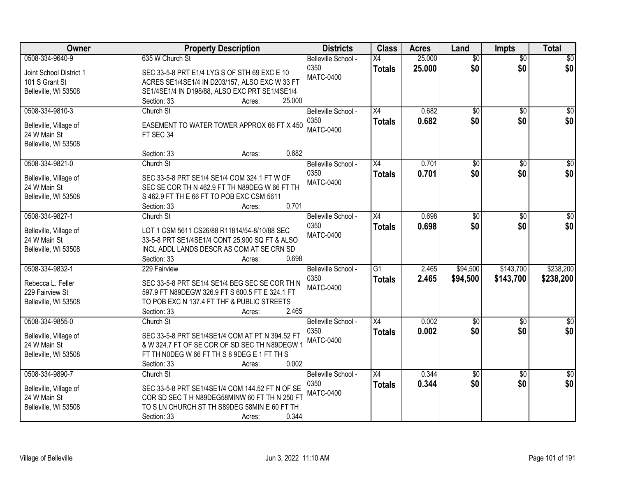| Owner                                | <b>Property Description</b>                                                                | <b>Districts</b>    | <b>Class</b>    | <b>Acres</b> | Land            | <b>Impts</b>    | <b>Total</b>    |
|--------------------------------------|--------------------------------------------------------------------------------------------|---------------------|-----------------|--------------|-----------------|-----------------|-----------------|
| 0508-334-9640-9                      | 635 W Church St                                                                            | Belleville School - | X4              | 25.000       | $\overline{50}$ | $\overline{50}$ | $\sqrt{50}$     |
| Joint School District 1              | SEC 33-5-8 PRT E1/4 LYG S OF STH 69 EXC E 10                                               | 0350                | <b>Totals</b>   | 25.000       | \$0             | \$0             | \$0             |
| 101 S Grant St                       | ACRES SE1/4SE1/4 IN D203/157, ALSO EXC W 33 FT                                             | <b>MATC-0400</b>    |                 |              |                 |                 |                 |
| Belleville, WI 53508                 | SE1/4SE1/4 IN D198/88, ALSO EXC PRT SE1/4SE1/4                                             |                     |                 |              |                 |                 |                 |
|                                      | 25.000<br>Section: 33<br>Acres:                                                            |                     |                 |              |                 |                 |                 |
| 0508-334-9810-3                      | Church St                                                                                  | Belleville School - | $\overline{X4}$ | 0.682        | $\overline{50}$ | $\overline{50}$ | $\sqrt{50}$     |
| Belleville, Village of               | EASEMENT TO WATER TOWER APPROX 66 FT X 450                                                 | 0350                | <b>Totals</b>   | 0.682        | \$0             | \$0             | \$0             |
| 24 W Main St                         | FT SEC 34                                                                                  | <b>MATC-0400</b>    |                 |              |                 |                 |                 |
| Belleville, WI 53508                 |                                                                                            |                     |                 |              |                 |                 |                 |
|                                      | 0.682<br>Section: 33<br>Acres:                                                             |                     |                 |              |                 |                 |                 |
| 0508-334-9821-0                      | Church St                                                                                  | Belleville School - | X4              | 0.701        | $\overline{50}$ | $\overline{50}$ | $\overline{30}$ |
|                                      |                                                                                            | 0350                | <b>Totals</b>   | 0.701        | \$0             | \$0             | \$0             |
| Belleville, Village of               | SEC 33-5-8 PRT SE1/4 SE1/4 COM 324.1 FT W OF                                               | <b>MATC-0400</b>    |                 |              |                 |                 |                 |
| 24 W Main St<br>Belleville, WI 53508 | SEC SE COR TH N 462.9 FT TH N89DEG W 66 FT TH<br>S 462.9 FT TH E 66 FT TO POB EXC CSM 5611 |                     |                 |              |                 |                 |                 |
|                                      | 0.701<br>Section: 33<br>Acres:                                                             |                     |                 |              |                 |                 |                 |
| 0508-334-9827-1                      | Church St                                                                                  | Belleville School - | X4              | 0.698        | \$0             | \$0             | \$0             |
|                                      |                                                                                            | 0350                |                 | 0.698        | \$0             | \$0             | \$0             |
| Belleville, Village of               | LOT 1 CSM 5611 CS26/88 R11814/54-8/10/88 SEC                                               | <b>MATC-0400</b>    | <b>Totals</b>   |              |                 |                 |                 |
| 24 W Main St                         | 33-5-8 PRT SE1/4SE1/4 CONT 25,900 SQ FT & ALSO                                             |                     |                 |              |                 |                 |                 |
| Belleville, WI 53508                 | INCL ADDL LANDS DESCR AS COM AT SE CRN SD                                                  |                     |                 |              |                 |                 |                 |
|                                      | Section: 33<br>0.698<br>Acres:                                                             |                     |                 |              |                 |                 |                 |
| 0508-334-9832-1                      | 229 Fairview                                                                               | Belleville School - | $\overline{G1}$ | 2.465        | \$94,500        | \$143,700       | \$238,200       |
| Rebecca L. Feller                    | SEC 33-5-8 PRT SE1/4 SE1/4 BEG SEC SE COR TH N                                             | 0350                | <b>Totals</b>   | 2.465        | \$94,500        | \$143,700       | \$238,200       |
| 229 Fairview St                      | 597.9 FT N89DEGW 326.9 FT S 600.5 FT E 324.1 FT                                            | <b>MATC-0400</b>    |                 |              |                 |                 |                 |
| Belleville, WI 53508                 | TO POB EXC N 137.4 FT THF & PUBLIC STREETS                                                 |                     |                 |              |                 |                 |                 |
|                                      | 2.465<br>Section: 33<br>Acres:                                                             |                     |                 |              |                 |                 |                 |
| 0508-334-9855-0                      | Church St                                                                                  | Belleville School - | $\overline{X4}$ | 0.002        | $\sqrt{$0}$     | \$0             | $\frac{1}{6}$   |
| Belleville, Village of               | SEC 33-5-8 PRT SE1/4SE1/4 COM AT PT N 394.52 FT                                            | 0350                | <b>Totals</b>   | 0.002        | \$0             | \$0             | \$0             |
| 24 W Main St                         | & W 324.7 FT OF SE COR OF SD SEC TH N89DEGW                                                | <b>MATC-0400</b>    |                 |              |                 |                 |                 |
| Belleville, WI 53508                 | FT TH NODEG W 66 FT TH S 8 9DEG E 1 FT TH S                                                |                     |                 |              |                 |                 |                 |
|                                      | 0.002<br>Section: 33<br>Acres:                                                             |                     |                 |              |                 |                 |                 |
| 0508-334-9890-7                      | Church St                                                                                  | Belleville School - | $\overline{X4}$ | 0.344        | $\overline{50}$ | $\overline{50}$ | $\frac{1}{2}$   |
|                                      |                                                                                            | 0350                | <b>Totals</b>   | 0.344        | \$0             | \$0             | \$0             |
| Belleville, Village of               | SEC 33-5-8 PRT SE1/4SE1/4 COM 144.52 FT N OF SE                                            | <b>MATC-0400</b>    |                 |              |                 |                 |                 |
| 24 W Main St                         | COR SD SEC TH N89DEG58MINW 60 FT TH N 250 FT                                               |                     |                 |              |                 |                 |                 |
| Belleville, WI 53508                 | TO S LN CHURCH ST TH S89DEG 58MIN E 60 FT TH                                               |                     |                 |              |                 |                 |                 |
|                                      | 0.344<br>Section: 33<br>Acres:                                                             |                     |                 |              |                 |                 |                 |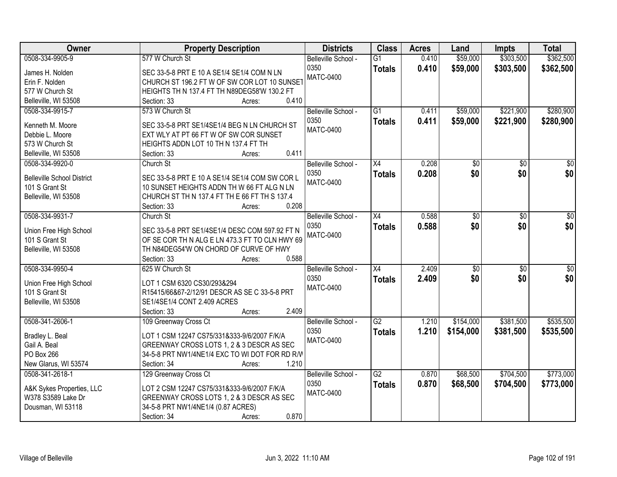| <b>Districts</b><br><b>Class</b><br><b>Owner</b><br><b>Property Description</b><br><b>Acres</b><br>Land                      | <b>Total</b><br><b>Impts</b>       |
|------------------------------------------------------------------------------------------------------------------------------|------------------------------------|
| 0508-334-9905-9<br>577 W Church St<br>\$59,000<br>$\overline{G1}$<br>0.410<br>Belleville School -                            | \$303,500<br>\$362,500             |
| 0350<br>0.410<br>\$59,000<br><b>Totals</b><br>SEC 33-5-8 PRT E 10 A SE1/4 SE1/4 COM N LN<br>James H. Nolden                  | \$303,500<br>\$362,500             |
| <b>MATC-0400</b><br>CHURCH ST 196.2 FT W OF SW COR LOT 10 SUNSET<br>Erin F. Nolden                                           |                                    |
| 577 W Church St<br>HEIGHTS TH N 137.4 FT TH N89DEG58'W 130.2 FT                                                              |                                    |
| 0.410<br>Belleville, WI 53508<br>Section: 33<br>Acres:                                                                       |                                    |
| 573 W Church St<br>$\overline{G1}$<br>\$59,000<br>0508-334-9915-7<br>0.411<br>Belleville School -                            | \$221,900<br>\$280,900             |
| 0350<br>0.411<br>\$59,000<br><b>Totals</b>                                                                                   | \$221,900<br>\$280,900             |
| SEC 33-5-8 PRT SE1/4SE1/4 BEG N LN CHURCH ST<br>Kenneth M. Moore<br><b>MATC-0400</b>                                         |                                    |
| EXT WLY AT PT 66 FT W OF SW COR SUNSET<br>Debbie L. Moore                                                                    |                                    |
| 573 W Church St<br>HEIGHTS ADDN LOT 10 TH N 137.4 FT TH                                                                      |                                    |
| 0.411<br>Belleville, WI 53508<br>Section: 33<br>Acres:                                                                       |                                    |
| $\overline{X4}$<br>0.208<br>0508-334-9920-0<br>Church St<br>Belleville School -<br>\$0                                       | $\overline{50}$<br>$\overline{50}$ |
| \$0<br>0350<br>0.208<br><b>Totals</b><br>SEC 33-5-8 PRT E 10 A SE1/4 SE1/4 COM SW COR L<br><b>Belleville School District</b> | \$0 <br>\$0                        |
| <b>MATC-0400</b><br>10 SUNSET HEIGHTS ADDN TH W 66 FT ALG N LN<br>101 S Grant St                                             |                                    |
| CHURCH ST TH N 137.4 FT TH E 66 FT TH S 137.4<br>Belleville, WI 53508                                                        |                                    |
| 0.208<br>Section: 33<br>Acres:                                                                                               |                                    |
| 0508-334-9931-7<br>Church St<br>$\overline{X4}$<br>0.588<br>Belleville School -<br>\$0                                       | \$0<br>\$0                         |
| \$0<br>0350<br>0.588                                                                                                         | \$0<br>\$0                         |
| <b>Totals</b><br>SEC 33-5-8 PRT SE1/4SE1/4 DESC COM 597.92 FT N<br>Union Free High School<br><b>MATC-0400</b>                |                                    |
| 101 S Grant St<br>OF SE COR TH N ALG E LN 473.3 FT TO CLN HWY 69                                                             |                                    |
| Belleville, WI 53508<br>TH N84DEG54'W ON CHORD OF CURVE OF HWY                                                               |                                    |
| 0.588<br>Section: 33<br>Acres:                                                                                               |                                    |
| 0508-334-9950-4<br>$\overline{X4}$<br>2.409<br>$\overline{50}$<br>625 W Church St<br>Belleville School -                     | $\overline{30}$<br>\$0             |
| \$0<br>2.409<br>0350<br><b>Totals</b><br>Union Free High School<br>LOT 1 CSM 6320 CS30/293&294                               | \$0<br>\$0                         |
| <b>MATC-0400</b><br>101 S Grant St<br>R15415/66&67-2/12/91 DESCR AS SE C 33-5-8 PRT                                          |                                    |
| SE1/4SE1/4 CONT 2.409 ACRES<br>Belleville, WI 53508                                                                          |                                    |
| 2.409<br>Section: 33<br>Acres:                                                                                               |                                    |
| $\overline{G2}$<br>0508-341-2606-1<br>109 Greenway Cross Ct<br>\$154,000<br>Belleville School -<br>1.210                     | \$381,500<br>\$535,500             |
| 0350<br>1.210<br>\$154,000<br><b>Totals</b>                                                                                  | \$381,500<br>\$535,500             |
| Bradley L. Beal<br>LOT 1 CSM 12247 CS75/331&333-9/6/2007 F/K/A<br><b>MATC-0400</b>                                           |                                    |
| GREENWAY CROSS LOTS 1, 2 & 3 DESCR AS SEC<br>Gail A. Beal                                                                    |                                    |
| PO Box 266<br>34-5-8 PRT NW1/4NE1/4 EXC TO WI DOT FOR RD R/W                                                                 |                                    |
| New Glarus, WI 53574<br>1.210<br>Section: 34<br>Acres:                                                                       |                                    |
| 0508-341-2618-1<br>129 Greenway Cross Ct<br>$\overline{G2}$<br>\$68,500<br>Belleville School -<br>0.870                      | \$704,500<br>\$773,000             |
| 0.870<br>0350<br>\$68,500<br><b>Totals</b><br>A&K Sykes Properties, LLC<br>LOT 2 CSM 12247 CS75/331&333-9/6/2007 F/K/A       | \$704,500<br>\$773,000             |
| <b>MATC-0400</b><br>W378 S3589 Lake Dr<br>GREENWAY CROSS LOTS 1, 2 & 3 DESCR AS SEC                                          |                                    |
| 34-5-8 PRT NW1/4NE1/4 (0.87 ACRES)<br>Dousman, WI 53118                                                                      |                                    |
| 0.870<br>Section: 34<br>Acres:                                                                                               |                                    |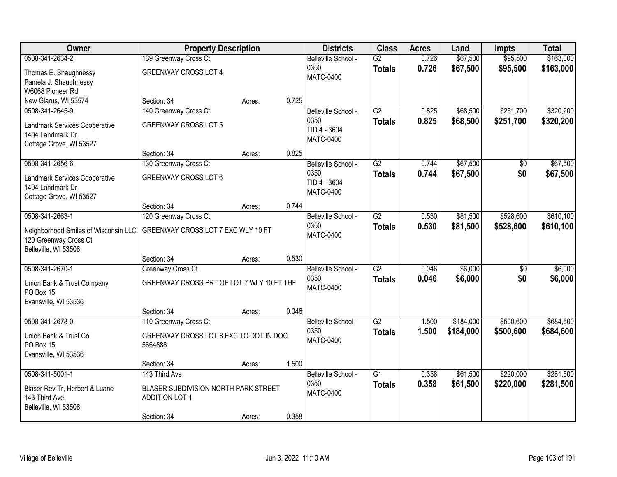| Owner                                | <b>Property Description</b>               |        |       | <b>Districts</b>     | <b>Class</b>    | <b>Acres</b> | Land      | <b>Impts</b> | <b>Total</b> |
|--------------------------------------|-------------------------------------------|--------|-------|----------------------|-----------------|--------------|-----------|--------------|--------------|
| 0508-341-2634-2                      | 139 Greenway Cross Ct                     |        |       | Belleville School -  | $\overline{G2}$ | 0.726        | \$67,500  | \$95,500     | \$163,000    |
| Thomas E. Shaughnessy                | <b>GREENWAY CROSS LOT 4</b>               |        |       | 0350                 | <b>Totals</b>   | 0.726        | \$67,500  | \$95,500     | \$163,000    |
| Pamela J. Shaughnessy                |                                           |        |       | <b>MATC-0400</b>     |                 |              |           |              |              |
| W6068 Pioneer Rd                     |                                           |        |       |                      |                 |              |           |              |              |
| New Glarus, WI 53574                 | Section: 34                               | Acres: | 0.725 |                      |                 |              |           |              |              |
| 0508-341-2645-9                      | 140 Greenway Cross Ct                     |        |       | Belleville School -  | $\overline{G2}$ | 0.825        | \$68,500  | \$251,700    | \$320,200    |
| Landmark Services Cooperative        | <b>GREENWAY CROSS LOT 5</b>               |        |       | 0350<br>TID 4 - 3604 | <b>Totals</b>   | 0.825        | \$68,500  | \$251,700    | \$320,200    |
| 1404 Landmark Dr                     |                                           |        |       | <b>MATC-0400</b>     |                 |              |           |              |              |
| Cottage Grove, WI 53527              |                                           |        |       |                      |                 |              |           |              |              |
|                                      | Section: 34                               | Acres: | 0.825 |                      |                 |              |           |              |              |
| 0508-341-2656-6                      | 130 Greenway Cross Ct                     |        |       | Belleville School -  | $\overline{G2}$ | 0.744        | \$67,500  | \$0          | \$67,500     |
| Landmark Services Cooperative        | <b>GREENWAY CROSS LOT 6</b>               |        |       | 0350<br>TID 4 - 3604 | <b>Totals</b>   | 0.744        | \$67,500  | \$0          | \$67,500     |
| 1404 Landmark Dr                     |                                           |        |       | <b>MATC-0400</b>     |                 |              |           |              |              |
| Cottage Grove, WI 53527              |                                           |        |       |                      |                 |              |           |              |              |
| 0508-341-2663-1                      | Section: 34<br>120 Greenway Cross Ct      | Acres: | 0.744 | Belleville School -  | $\overline{G2}$ | 0.530        | \$81,500  | \$528,600    | \$610,100    |
|                                      |                                           |        |       | 0350                 | <b>Totals</b>   | 0.530        | \$81,500  | \$528,600    | \$610,100    |
| Neighborhood Smiles of Wisconsin LLC | GREENWAY CROSS LOT 7 EXC WLY 10 FT        |        |       | <b>MATC-0400</b>     |                 |              |           |              |              |
| 120 Greenway Cross Ct                |                                           |        |       |                      |                 |              |           |              |              |
| Belleville, WI 53508                 | Section: 34                               | Acres: | 0.530 |                      |                 |              |           |              |              |
| 0508-341-2670-1                      | Greenway Cross Ct                         |        |       | Belleville School -  | $\overline{G2}$ | 0.046        | \$6,000   | \$0          | \$6,000      |
|                                      |                                           |        |       | 0350                 | <b>Totals</b>   | 0.046        | \$6,000   | \$0          | \$6,000      |
| Union Bank & Trust Company           | GREENWAY CROSS PRT OF LOT 7 WLY 10 FT THF |        |       | <b>MATC-0400</b>     |                 |              |           |              |              |
| PO Box 15<br>Evansville, WI 53536    |                                           |        |       |                      |                 |              |           |              |              |
|                                      | Section: 34                               | Acres: | 0.046 |                      |                 |              |           |              |              |
| 0508-341-2678-0                      | 110 Greenway Cross Ct                     |        |       | Belleville School -  | $\overline{G2}$ | 1.500        | \$184,000 | \$500,600    | \$684,600    |
| Union Bank & Trust Co                | GREENWAY CROSS LOT 8 EXC TO DOT IN DOC    |        |       | 0350                 | <b>Totals</b>   | 1.500        | \$184,000 | \$500,600    | \$684,600    |
| PO Box 15                            | 5664888                                   |        |       | <b>MATC-0400</b>     |                 |              |           |              |              |
| Evansville, WI 53536                 |                                           |        |       |                      |                 |              |           |              |              |
|                                      | Section: 34                               | Acres: | 1.500 |                      |                 |              |           |              |              |
| 0508-341-5001-1                      | 143 Third Ave                             |        |       | Belleville School -  | $\overline{G1}$ | 0.358        | \$61,500  | \$220,000    | \$281,500    |
| Blaser Rev Tr, Herbert & Luane       | BLASER SUBDIVISION NORTH PARK STREET      |        |       | 0350                 | <b>Totals</b>   | 0.358        | \$61,500  | \$220,000    | \$281,500    |
| 143 Third Ave                        | <b>ADDITION LOT 1</b>                     |        |       | <b>MATC-0400</b>     |                 |              |           |              |              |
| Belleville, WI 53508                 |                                           |        |       |                      |                 |              |           |              |              |
|                                      | Section: 34                               | Acres: | 0.358 |                      |                 |              |           |              |              |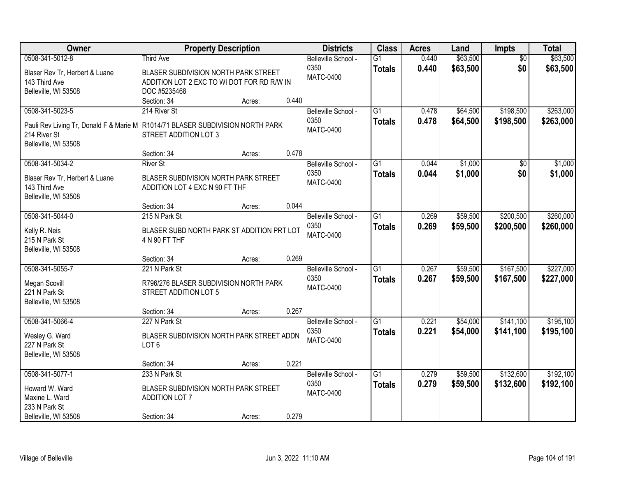| <b>Owner</b>                                                                     | <b>Property Description</b>                |        |       | <b>Districts</b>    | <b>Class</b>    | <b>Acres</b> | Land     | <b>Impts</b>    | <b>Total</b> |
|----------------------------------------------------------------------------------|--------------------------------------------|--------|-------|---------------------|-----------------|--------------|----------|-----------------|--------------|
| 0508-341-5012-8                                                                  | <b>Third Ave</b>                           |        |       | Belleville School - | $\overline{G1}$ | 0.440        | \$63,500 | $\overline{50}$ | \$63,500     |
| Blaser Rev Tr, Herbert & Luane                                                   | BLASER SUBDIVISION NORTH PARK STREET       |        |       | 0350                | <b>Totals</b>   | 0.440        | \$63,500 | \$0             | \$63,500     |
| 143 Third Ave                                                                    | ADDITION LOT 2 EXC TO WI DOT FOR RD R/W IN |        |       | <b>MATC-0400</b>    |                 |              |          |                 |              |
| Belleville, WI 53508                                                             | DOC #5235468                               |        |       |                     |                 |              |          |                 |              |
|                                                                                  | Section: 34                                | Acres: | 0.440 |                     |                 |              |          |                 |              |
| 0508-341-5023-5                                                                  | 214 River St                               |        |       | Belleville School - | $\overline{G1}$ | 0.478        | \$64,500 | \$198,500       | \$263,000    |
| Pauli Rev Living Tr, Donald F & Marie M   R1014/71 BLASER SUBDIVISION NORTH PARK |                                            |        |       | 0350                | <b>Totals</b>   | 0.478        | \$64,500 | \$198,500       | \$263,000    |
| 214 River St                                                                     | STREET ADDITION LOT 3                      |        |       | <b>MATC-0400</b>    |                 |              |          |                 |              |
| Belleville, WI 53508                                                             |                                            |        |       |                     |                 |              |          |                 |              |
|                                                                                  | Section: 34                                | Acres: | 0.478 |                     |                 |              |          |                 |              |
| 0508-341-5034-2                                                                  | <b>River St</b>                            |        |       | Belleville School - | $\overline{G1}$ | 0.044        | \$1,000  | \$0             | \$1,000      |
| Blaser Rev Tr, Herbert & Luane                                                   | BLASER SUBDIVISION NORTH PARK STREET       |        |       | 0350                | <b>Totals</b>   | 0.044        | \$1,000  | \$0             | \$1,000      |
| 143 Third Ave                                                                    | ADDITION LOT 4 EXC N 90 FT THF             |        |       | <b>MATC-0400</b>    |                 |              |          |                 |              |
| Belleville, WI 53508                                                             |                                            |        |       |                     |                 |              |          |                 |              |
|                                                                                  | Section: 34                                | Acres: | 0.044 |                     |                 |              |          |                 |              |
| 0508-341-5044-0                                                                  | 215 N Park St                              |        |       | Belleville School - | G1              | 0.269        | \$59,500 | \$200,500       | \$260,000    |
| Kelly R. Neis                                                                    | BLASER SUBD NORTH PARK ST ADDITION PRT LOT |        |       | 0350                | <b>Totals</b>   | 0.269        | \$59,500 | \$200,500       | \$260,000    |
| 215 N Park St                                                                    | 4 N 90 FT THF                              |        |       | <b>MATC-0400</b>    |                 |              |          |                 |              |
| Belleville, WI 53508                                                             |                                            |        |       |                     |                 |              |          |                 |              |
|                                                                                  | Section: 34                                | Acres: | 0.269 |                     |                 |              |          |                 |              |
| 0508-341-5055-7                                                                  | 221 N Park St                              |        |       | Belleville School - | $\overline{G1}$ | 0.267        | \$59,500 | \$167,500       | \$227,000    |
| Megan Scovill                                                                    | R796/276 BLASER SUBDIVISION NORTH PARK     |        |       | 0350                | <b>Totals</b>   | 0.267        | \$59,500 | \$167,500       | \$227,000    |
| 221 N Park St                                                                    | STREET ADDITION LOT 5                      |        |       | <b>MATC-0400</b>    |                 |              |          |                 |              |
| Belleville, WI 53508                                                             |                                            |        |       |                     |                 |              |          |                 |              |
|                                                                                  | Section: 34                                | Acres: | 0.267 |                     |                 |              |          |                 |              |
| 0508-341-5066-4                                                                  | 227 N Park St                              |        |       | Belleville School - | $\overline{G1}$ | 0.221        | \$54,000 | \$141,100       | \$195,100    |
| Wesley G. Ward                                                                   | BLASER SUBDIVISION NORTH PARK STREET ADDN  |        |       | 0350                | <b>Totals</b>   | 0.221        | \$54,000 | \$141,100       | \$195,100    |
| 227 N Park St                                                                    | LOT <sub>6</sub>                           |        |       | <b>MATC-0400</b>    |                 |              |          |                 |              |
| Belleville, WI 53508                                                             |                                            |        |       |                     |                 |              |          |                 |              |
|                                                                                  | Section: 34                                | Acres: | 0.221 |                     |                 |              |          |                 |              |
| 0508-341-5077-1                                                                  | 233 N Park St                              |        |       | Belleville School - | $\overline{G1}$ | 0.279        | \$59,500 | \$132,600       | \$192,100    |
| Howard W. Ward                                                                   | BLASER SUBDIVISION NORTH PARK STREET       |        |       | 0350                | <b>Totals</b>   | 0.279        | \$59,500 | \$132,600       | \$192,100    |
| Maxine L. Ward                                                                   | <b>ADDITION LOT 7</b>                      |        |       | <b>MATC-0400</b>    |                 |              |          |                 |              |
| 233 N Park St                                                                    |                                            |        |       |                     |                 |              |          |                 |              |
| Belleville, WI 53508                                                             | Section: 34                                | Acres: | 0.279 |                     |                 |              |          |                 |              |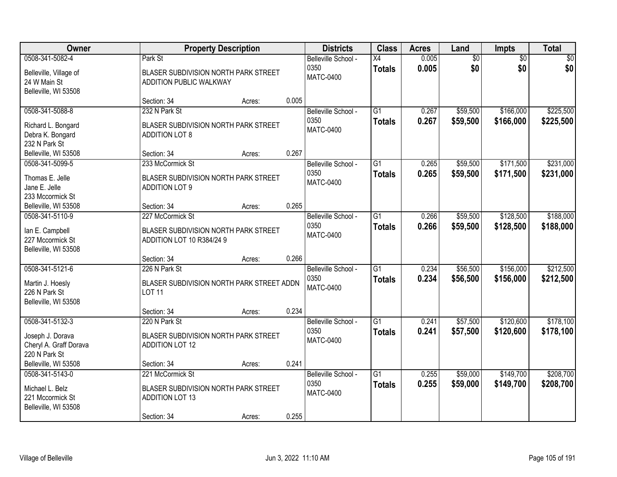| Owner                                                                             |                                                                                                   | <b>Property Description</b> |       | <b>Districts</b>                                | <b>Class</b>                     | <b>Acres</b>   | Land                   | <b>Impts</b>           | <b>Total</b>           |
|-----------------------------------------------------------------------------------|---------------------------------------------------------------------------------------------------|-----------------------------|-------|-------------------------------------------------|----------------------------------|----------------|------------------------|------------------------|------------------------|
| 0508-341-5082-4<br>Belleville, Village of<br>24 W Main St<br>Belleville, WI 53508 | Park St<br>BLASER SUBDIVISION NORTH PARK STREET<br>ADDITION PUBLIC WALKWAY                        |                             |       | Belleville School -<br>0350<br><b>MATC-0400</b> | X4<br><b>Totals</b>              | 0.005<br>0.005 | $\overline{60}$<br>\$0 | $\overline{50}$<br>\$0 | \$0<br>\$0             |
|                                                                                   | Section: 34                                                                                       | Acres:                      | 0.005 |                                                 |                                  |                |                        |                        |                        |
| 0508-341-5088-8<br>Richard L. Bongard<br>Debra K. Bongard<br>232 N Park St        | 232 N Park St<br>BLASER SUBDIVISION NORTH PARK STREET<br><b>ADDITION LOT 8</b>                    |                             |       | Belleville School -<br>0350<br><b>MATC-0400</b> | $\overline{G1}$<br><b>Totals</b> | 0.267<br>0.267 | \$59,500<br>\$59,500   | \$166,000<br>\$166,000 | \$225,500<br>\$225,500 |
| Belleville, WI 53508                                                              | Section: 34                                                                                       | Acres:                      | 0.267 |                                                 |                                  |                |                        |                        |                        |
| 0508-341-5099-5<br>Thomas E. Jelle<br>Jane E. Jelle<br>233 Mccormick St           | 233 McCormick St<br>BLASER SUBDIVISION NORTH PARK STREET<br><b>ADDITION LOT 9</b>                 |                             |       | Belleville School -<br>0350<br><b>MATC-0400</b> | $\overline{G1}$<br><b>Totals</b> | 0.265<br>0.265 | \$59,500<br>\$59,500   | \$171,500<br>\$171,500 | \$231,000<br>\$231,000 |
| Belleville, WI 53508                                                              | Section: 34                                                                                       | Acres:                      | 0.265 |                                                 |                                  |                |                        |                        |                        |
| 0508-341-5110-9<br>lan E. Campbell<br>227 Mccormick St<br>Belleville, WI 53508    | 227 McCormick St<br>BLASER SUBDIVISION NORTH PARK STREET<br>ADDITION LOT 10 R384/24 9             |                             |       | Belleville School -<br>0350<br><b>MATC-0400</b> | $\overline{G1}$<br><b>Totals</b> | 0.266<br>0.266 | \$59,500<br>\$59,500   | \$128,500<br>\$128,500 | \$188,000<br>\$188,000 |
|                                                                                   | Section: 34                                                                                       | Acres:                      | 0.266 |                                                 |                                  |                |                        |                        |                        |
| 0508-341-5121-6<br>Martin J. Hoesly<br>226 N Park St<br>Belleville, WI 53508      | 226 N Park St<br>BLASER SUBDIVISION NORTH PARK STREET ADDN<br><b>LOT 11</b>                       |                             |       | Belleville School -<br>0350<br><b>MATC-0400</b> | $\overline{G1}$<br><b>Totals</b> | 0.234<br>0.234 | \$56,500<br>\$56,500   | \$156,000<br>\$156,000 | \$212,500<br>\$212,500 |
|                                                                                   | Section: 34                                                                                       | Acres:                      | 0.234 |                                                 |                                  |                |                        |                        |                        |
| 0508-341-5132-3<br>Joseph J. Dorava<br>Cheryl A. Graff Dorava<br>220 N Park St    | 220 N Park St<br>BLASER SUBDIVISION NORTH PARK STREET<br><b>ADDITION LOT 12</b>                   |                             |       | Belleville School -<br>0350<br><b>MATC-0400</b> | $\overline{G1}$<br><b>Totals</b> | 0.241<br>0.241 | \$57,500<br>\$57,500   | \$120,600<br>\$120,600 | \$178,100<br>\$178,100 |
| Belleville, WI 53508                                                              | Section: 34                                                                                       | Acres:                      | 0.241 |                                                 |                                  |                |                        |                        |                        |
| 0508-341-5143-0<br>Michael L. Belz<br>221 Mccormick St<br>Belleville, WI 53508    | 221 McCormick St<br>BLASER SUBDIVISION NORTH PARK STREET<br><b>ADDITION LOT 13</b><br>Section: 34 | Acres:                      | 0.255 | Belleville School -<br>0350<br><b>MATC-0400</b> | $\overline{G1}$<br><b>Totals</b> | 0.255<br>0.255 | \$59,000<br>\$59,000   | \$149,700<br>\$149,700 | \$208,700<br>\$208,700 |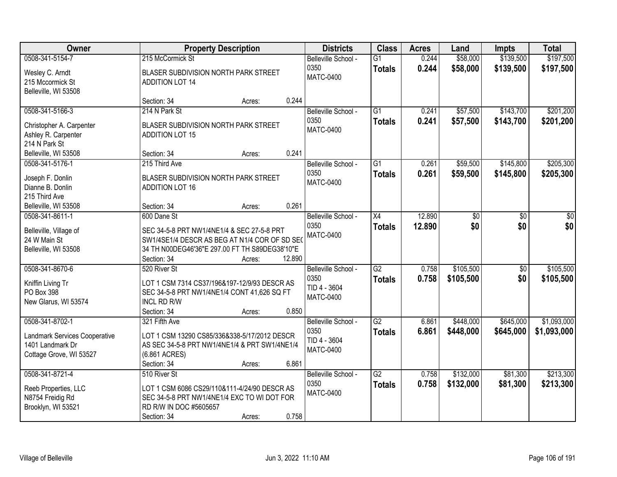| <b>Owner</b>                                                                        |                                                                                                                                                  | <b>Property Description</b> |        | <b>Districts</b>                                                | <b>Class</b>                     | <b>Acres</b>     | Land                   | <b>Impts</b>           | <b>Total</b>           |
|-------------------------------------------------------------------------------------|--------------------------------------------------------------------------------------------------------------------------------------------------|-----------------------------|--------|-----------------------------------------------------------------|----------------------------------|------------------|------------------------|------------------------|------------------------|
| 0508-341-5154-7                                                                     | 215 McCormick St                                                                                                                                 |                             |        | Belleville School -                                             | $\overline{G1}$                  | 0.244            | \$58,000               | \$139,500              | \$197,500              |
| Wesley C. Arndt<br>215 Mccormick St<br>Belleville, WI 53508                         | BLASER SUBDIVISION NORTH PARK STREET<br><b>ADDITION LOT 14</b>                                                                                   |                             |        | 0350<br><b>MATC-0400</b>                                        | <b>Totals</b>                    | 0.244            | \$58,000               | \$139,500              | \$197,500              |
|                                                                                     | Section: 34                                                                                                                                      | Acres:                      | 0.244  |                                                                 |                                  |                  |                        |                        |                        |
| 0508-341-5166-3<br>Christopher A. Carpenter<br>Ashley R. Carpenter<br>214 N Park St | 214 N Park St<br>BLASER SUBDIVISION NORTH PARK STREET<br><b>ADDITION LOT 15</b>                                                                  |                             |        | Belleville School -<br>0350<br><b>MATC-0400</b>                 | $\overline{G1}$<br><b>Totals</b> | 0.241<br>0.241   | \$57,500<br>\$57,500   | \$143,700<br>\$143,700 | \$201,200<br>\$201,200 |
| Belleville, WI 53508                                                                | Section: 34                                                                                                                                      | Acres:                      | 0.241  |                                                                 |                                  |                  |                        |                        |                        |
| 0508-341-5176-1                                                                     | 215 Third Ave                                                                                                                                    |                             |        | Belleville School -                                             | G1                               | 0.261            | \$59,500               | \$145,800              | \$205,300              |
| Joseph F. Donlin<br>Dianne B. Donlin<br>215 Third Ave                               | BLASER SUBDIVISION NORTH PARK STREET<br><b>ADDITION LOT 16</b>                                                                                   |                             |        | 0350<br><b>MATC-0400</b>                                        | <b>Totals</b>                    | 0.261            | \$59,500               | \$145,800              | \$205,300              |
| Belleville, WI 53508                                                                | Section: 34                                                                                                                                      | Acres:                      | 0.261  |                                                                 |                                  |                  |                        |                        |                        |
| 0508-341-8611-1<br>Belleville, Village of                                           | 600 Dane St<br>SEC 34-5-8 PRT NW1/4NE1/4 & SEC 27-5-8 PRT                                                                                        |                             |        | Belleville School -<br>0350<br><b>MATC-0400</b>                 | X4<br><b>Totals</b>              | 12.890<br>12.890 | \$0<br>\$0             | \$0<br>\$0             | \$0<br>\$0             |
| 24 W Main St<br>Belleville, WI 53508                                                | SW1/4SE1/4 DESCR AS BEG AT N1/4 COR OF SD SEO<br>34 TH N00DEG46'36"E 297.00 FT TH S89DEG38'10"E<br>Section: 34                                   | Acres:                      | 12.890 |                                                                 |                                  |                  |                        |                        |                        |
| 0508-341-8670-6<br>Kniffin Living Tr<br>PO Box 398<br>New Glarus, WI 53574          | 520 River St<br>LOT 1 CSM 7314 CS37/196&197-12/9/93 DESCR AS<br>SEC 34-5-8 PRT NW1/4NE1/4 CONT 41,626 SQ FT<br><b>INCL RD R/W</b><br>Section: 34 | Acres:                      | 0.850  | Belleville School -<br>0350<br>TID 4 - 3604<br><b>MATC-0400</b> | $\overline{G2}$<br><b>Totals</b> | 0.758<br>0.758   | \$105,500<br>\$105,500 | $\overline{50}$<br>\$0 | \$105,500<br>\$105,500 |
| 0508-341-8702-1                                                                     | 321 Fifth Ave                                                                                                                                    |                             |        | Belleville School -                                             | $\overline{G2}$                  | 6.861            | \$448,000              | \$645,000              | \$1,093,000            |
| Landmark Services Cooperative<br>1401 Landmark Dr<br>Cottage Grove, WI 53527        | LOT 1 CSM 13290 CS85/336&338-5/17/2012 DESCR<br>AS SEC 34-5-8 PRT NW1/4NE1/4 & PRT SW1/4NE1/4<br>(6.861 ACRES)<br>Section: 34                    | Acres:                      | 6.861  | 0350<br>TID 4 - 3604<br><b>MATC-0400</b>                        | <b>Totals</b>                    | 6.861            | \$448,000              | \$645,000              | \$1,093,000            |
| 0508-341-8721-4                                                                     | 510 River St                                                                                                                                     |                             |        | Belleville School -                                             | $\overline{G2}$                  | 0.758            | \$132,000              | \$81,300               | \$213,300              |
| Reeb Properties, LLC<br>N8754 Freidig Rd<br>Brooklyn, WI 53521                      | LOT 1 CSM 6086 CS29/110&111-4/24/90 DESCR AS<br>SEC 34-5-8 PRT NW1/4NE1/4 EXC TO WI DOT FOR<br>RD R/W IN DOC #5605657<br>Section: 34             | Acres:                      | 0.758  | 0350<br><b>MATC-0400</b>                                        | <b>Totals</b>                    | 0.758            | \$132,000              | \$81,300               | \$213,300              |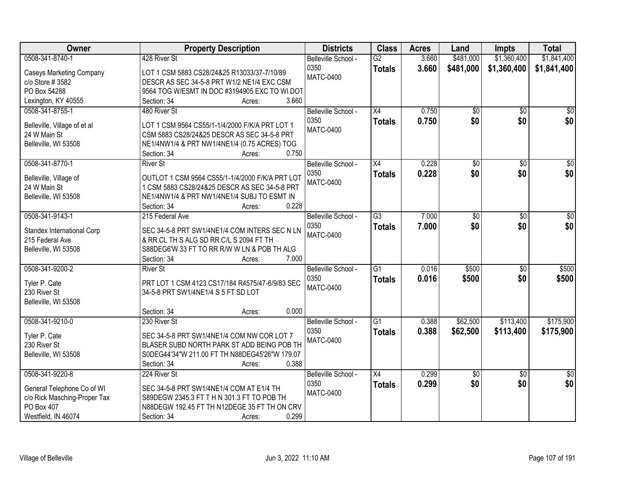| \$1,360,400<br>\$1,841,400<br>0508-341-8740-1<br>428 River St<br>$\overline{G2}$<br>3.660<br>\$481,000<br>Belleville School -<br>3.660<br>0350<br>\$481,000<br>\$1,841,400<br>\$1,360,400<br><b>Totals</b><br><b>Caseys Marketing Company</b><br>LOT 1 CSM 5883 CS28/24&25 R13033/37-7/10/89<br><b>MATC-0400</b><br>c/o Store # 3582<br>DESCR AS SEC 34-5-8 PRT W1/2 NE1/4 EXC CSM<br>PO Box 54288<br>9564 TOG W/ESMT IN DOC #3194905 EXC TO WI DOT<br>3.660<br>Lexington, KY 40555<br>Section: 34<br>Acres:<br>$\overline{X4}$<br>0.750<br>$\overline{30}$<br>$\overline{50}$<br>0508-341-8755-1<br>480 River St<br>\$0<br>Belleville School -<br>\$0<br>\$0<br>0350<br>0.750<br>\$0<br><b>Totals</b><br>Belleville, Village of et al<br>LOT 1 CSM 9564 CS55/1-1/4/2000 F/K/A PRT LOT 1<br><b>MATC-0400</b><br>24 W Main St<br>CSM 5883 CS28/24&25 DESCR AS SEC 34-5-8 PRT<br>Belleville, WI 53508<br>NE1/4NW1/4 & PRT NW1/4NE1/4 (0.75 ACRES) TOG<br>0.750<br>Section: 34<br>Acres:<br>0508-341-8770-1<br><b>River St</b><br>$\overline{X4}$<br>0.228<br>$\overline{50}$<br>$\overline{50}$<br>$\overline{50}$<br>Belleville School -<br>\$0 <br>\$0<br>\$0<br>0350<br>0.228<br><b>Totals</b><br>OUTLOT 1 CSM 9564 CS55/1-1/4/2000 F/K/A PRT LOT<br>Belleville, Village of<br><b>MATC-0400</b><br>24 W Main St<br>1 CSM 5883 CS28/24&25 DESCR AS SEC 34-5-8 PRT<br>Belleville, WI 53508<br>NE1/4NW1/4 & PRT NW1/4NE1/4 SUBJ TO ESMT IN<br>0.228<br>Section: 34<br>Acres:<br>0508-341-9143-1<br>$\overline{G3}$<br>7.000<br>215 Federal Ave<br>Belleville School -<br>\$0<br>\$0<br>\$0<br>7.000<br>\$0<br>0350<br><b>Totals</b><br>SEC 34-5-8 PRT SW1/4NE1/4 COM INTERS SEC N LN<br>Standex International Corp<br><b>MATC-0400</b><br>215 Federal Ave<br>& RR CL TH S ALG SD RR C/L S 2094 FT TH<br>Belleville, WI 53508<br>S88DEG6'W 33 FT TO RR R/W W LN & POB TH ALG<br>7.000<br>Section: 34<br>Acres:<br>$\overline{G1}$<br>0.016<br>\$500<br>0508-341-9200-2<br>$\overline{50}$<br><b>River St</b><br>Belleville School -<br>0.016<br>0350<br>\$500<br>\$0<br><b>Totals</b><br>Tyler P. Cate<br>PRT LOT 1 CSM 4123 CS17/184 R4575/47-6/9/83 SEC<br><b>MATC-0400</b><br>230 River St<br>34-5-8 PRT SW1/4NE1/4 S 5 FT SD LOT<br>Belleville, WI 53508<br>0.000<br>Section: 34<br>Acres:<br>G1<br>\$62,500<br>\$113,400<br>0508-341-9210-0<br>230 River St<br>Belleville School -<br>0.388<br>0350<br>\$62,500<br>0.388<br>\$113,400<br><b>Totals</b><br>Tyler P. Cate<br>SEC 34-5-8 PRT SW1/4NE1/4 COM NW COR LOT 7<br><b>MATC-0400</b><br>BLASER SUBD NORTH PARK ST ADD BEING POB TH<br>230 River St<br>Belleville, WI 53508<br>S0DEG44'34"W 211.00 FT TH N88DEG45'26"W 179.07<br>0.388<br>Section: 34<br>Acres: | Owner | <b>Property Description</b> | <b>Districts</b> | <b>Class</b> | <b>Acres</b> | Land | <b>Impts</b> | <b>Total</b> |
|-----------------------------------------------------------------------------------------------------------------------------------------------------------------------------------------------------------------------------------------------------------------------------------------------------------------------------------------------------------------------------------------------------------------------------------------------------------------------------------------------------------------------------------------------------------------------------------------------------------------------------------------------------------------------------------------------------------------------------------------------------------------------------------------------------------------------------------------------------------------------------------------------------------------------------------------------------------------------------------------------------------------------------------------------------------------------------------------------------------------------------------------------------------------------------------------------------------------------------------------------------------------------------------------------------------------------------------------------------------------------------------------------------------------------------------------------------------------------------------------------------------------------------------------------------------------------------------------------------------------------------------------------------------------------------------------------------------------------------------------------------------------------------------------------------------------------------------------------------------------------------------------------------------------------------------------------------------------------------------------------------------------------------------------------------------------------------------------------------------------------------------------------------------------------------------------------------------------------------------------------------------------------------------------------------------------------------------------------------------------------------------------------------------------------------------------------------------------------------------------------------------------------------------------------------------------------------------------------------------------------------------------------------------------------------------------------------------------------|-------|-----------------------------|------------------|--------------|--------------|------|--------------|--------------|
|                                                                                                                                                                                                                                                                                                                                                                                                                                                                                                                                                                                                                                                                                                                                                                                                                                                                                                                                                                                                                                                                                                                                                                                                                                                                                                                                                                                                                                                                                                                                                                                                                                                                                                                                                                                                                                                                                                                                                                                                                                                                                                                                                                                                                                                                                                                                                                                                                                                                                                                                                                                                                                                                                                                       |       |                             |                  |              |              |      |              |              |
|                                                                                                                                                                                                                                                                                                                                                                                                                                                                                                                                                                                                                                                                                                                                                                                                                                                                                                                                                                                                                                                                                                                                                                                                                                                                                                                                                                                                                                                                                                                                                                                                                                                                                                                                                                                                                                                                                                                                                                                                                                                                                                                                                                                                                                                                                                                                                                                                                                                                                                                                                                                                                                                                                                                       |       |                             |                  |              |              |      |              |              |
|                                                                                                                                                                                                                                                                                                                                                                                                                                                                                                                                                                                                                                                                                                                                                                                                                                                                                                                                                                                                                                                                                                                                                                                                                                                                                                                                                                                                                                                                                                                                                                                                                                                                                                                                                                                                                                                                                                                                                                                                                                                                                                                                                                                                                                                                                                                                                                                                                                                                                                                                                                                                                                                                                                                       |       |                             |                  |              |              |      |              |              |
|                                                                                                                                                                                                                                                                                                                                                                                                                                                                                                                                                                                                                                                                                                                                                                                                                                                                                                                                                                                                                                                                                                                                                                                                                                                                                                                                                                                                                                                                                                                                                                                                                                                                                                                                                                                                                                                                                                                                                                                                                                                                                                                                                                                                                                                                                                                                                                                                                                                                                                                                                                                                                                                                                                                       |       |                             |                  |              |              |      |              |              |
|                                                                                                                                                                                                                                                                                                                                                                                                                                                                                                                                                                                                                                                                                                                                                                                                                                                                                                                                                                                                                                                                                                                                                                                                                                                                                                                                                                                                                                                                                                                                                                                                                                                                                                                                                                                                                                                                                                                                                                                                                                                                                                                                                                                                                                                                                                                                                                                                                                                                                                                                                                                                                                                                                                                       |       |                             |                  |              |              |      |              |              |
|                                                                                                                                                                                                                                                                                                                                                                                                                                                                                                                                                                                                                                                                                                                                                                                                                                                                                                                                                                                                                                                                                                                                                                                                                                                                                                                                                                                                                                                                                                                                                                                                                                                                                                                                                                                                                                                                                                                                                                                                                                                                                                                                                                                                                                                                                                                                                                                                                                                                                                                                                                                                                                                                                                                       |       |                             |                  |              |              |      |              |              |
|                                                                                                                                                                                                                                                                                                                                                                                                                                                                                                                                                                                                                                                                                                                                                                                                                                                                                                                                                                                                                                                                                                                                                                                                                                                                                                                                                                                                                                                                                                                                                                                                                                                                                                                                                                                                                                                                                                                                                                                                                                                                                                                                                                                                                                                                                                                                                                                                                                                                                                                                                                                                                                                                                                                       |       |                             |                  |              |              |      |              |              |
|                                                                                                                                                                                                                                                                                                                                                                                                                                                                                                                                                                                                                                                                                                                                                                                                                                                                                                                                                                                                                                                                                                                                                                                                                                                                                                                                                                                                                                                                                                                                                                                                                                                                                                                                                                                                                                                                                                                                                                                                                                                                                                                                                                                                                                                                                                                                                                                                                                                                                                                                                                                                                                                                                                                       |       |                             |                  |              |              |      |              |              |
|                                                                                                                                                                                                                                                                                                                                                                                                                                                                                                                                                                                                                                                                                                                                                                                                                                                                                                                                                                                                                                                                                                                                                                                                                                                                                                                                                                                                                                                                                                                                                                                                                                                                                                                                                                                                                                                                                                                                                                                                                                                                                                                                                                                                                                                                                                                                                                                                                                                                                                                                                                                                                                                                                                                       |       |                             |                  |              |              |      |              |              |
|                                                                                                                                                                                                                                                                                                                                                                                                                                                                                                                                                                                                                                                                                                                                                                                                                                                                                                                                                                                                                                                                                                                                                                                                                                                                                                                                                                                                                                                                                                                                                                                                                                                                                                                                                                                                                                                                                                                                                                                                                                                                                                                                                                                                                                                                                                                                                                                                                                                                                                                                                                                                                                                                                                                       |       |                             |                  |              |              |      |              |              |
|                                                                                                                                                                                                                                                                                                                                                                                                                                                                                                                                                                                                                                                                                                                                                                                                                                                                                                                                                                                                                                                                                                                                                                                                                                                                                                                                                                                                                                                                                                                                                                                                                                                                                                                                                                                                                                                                                                                                                                                                                                                                                                                                                                                                                                                                                                                                                                                                                                                                                                                                                                                                                                                                                                                       |       |                             |                  |              |              |      |              |              |
|                                                                                                                                                                                                                                                                                                                                                                                                                                                                                                                                                                                                                                                                                                                                                                                                                                                                                                                                                                                                                                                                                                                                                                                                                                                                                                                                                                                                                                                                                                                                                                                                                                                                                                                                                                                                                                                                                                                                                                                                                                                                                                                                                                                                                                                                                                                                                                                                                                                                                                                                                                                                                                                                                                                       |       |                             |                  |              |              |      |              |              |
|                                                                                                                                                                                                                                                                                                                                                                                                                                                                                                                                                                                                                                                                                                                                                                                                                                                                                                                                                                                                                                                                                                                                                                                                                                                                                                                                                                                                                                                                                                                                                                                                                                                                                                                                                                                                                                                                                                                                                                                                                                                                                                                                                                                                                                                                                                                                                                                                                                                                                                                                                                                                                                                                                                                       |       |                             |                  |              |              |      |              |              |
| \$0<br>\$0<br>\$500<br>\$500<br>\$175,900<br>\$175,900                                                                                                                                                                                                                                                                                                                                                                                                                                                                                                                                                                                                                                                                                                                                                                                                                                                                                                                                                                                                                                                                                                                                                                                                                                                                                                                                                                                                                                                                                                                                                                                                                                                                                                                                                                                                                                                                                                                                                                                                                                                                                                                                                                                                                                                                                                                                                                                                                                                                                                                                                                                                                                                                |       |                             |                  |              |              |      |              |              |
|                                                                                                                                                                                                                                                                                                                                                                                                                                                                                                                                                                                                                                                                                                                                                                                                                                                                                                                                                                                                                                                                                                                                                                                                                                                                                                                                                                                                                                                                                                                                                                                                                                                                                                                                                                                                                                                                                                                                                                                                                                                                                                                                                                                                                                                                                                                                                                                                                                                                                                                                                                                                                                                                                                                       |       |                             |                  |              |              |      |              |              |
|                                                                                                                                                                                                                                                                                                                                                                                                                                                                                                                                                                                                                                                                                                                                                                                                                                                                                                                                                                                                                                                                                                                                                                                                                                                                                                                                                                                                                                                                                                                                                                                                                                                                                                                                                                                                                                                                                                                                                                                                                                                                                                                                                                                                                                                                                                                                                                                                                                                                                                                                                                                                                                                                                                                       |       |                             |                  |              |              |      |              |              |
|                                                                                                                                                                                                                                                                                                                                                                                                                                                                                                                                                                                                                                                                                                                                                                                                                                                                                                                                                                                                                                                                                                                                                                                                                                                                                                                                                                                                                                                                                                                                                                                                                                                                                                                                                                                                                                                                                                                                                                                                                                                                                                                                                                                                                                                                                                                                                                                                                                                                                                                                                                                                                                                                                                                       |       |                             |                  |              |              |      |              |              |
|                                                                                                                                                                                                                                                                                                                                                                                                                                                                                                                                                                                                                                                                                                                                                                                                                                                                                                                                                                                                                                                                                                                                                                                                                                                                                                                                                                                                                                                                                                                                                                                                                                                                                                                                                                                                                                                                                                                                                                                                                                                                                                                                                                                                                                                                                                                                                                                                                                                                                                                                                                                                                                                                                                                       |       |                             |                  |              |              |      |              |              |
|                                                                                                                                                                                                                                                                                                                                                                                                                                                                                                                                                                                                                                                                                                                                                                                                                                                                                                                                                                                                                                                                                                                                                                                                                                                                                                                                                                                                                                                                                                                                                                                                                                                                                                                                                                                                                                                                                                                                                                                                                                                                                                                                                                                                                                                                                                                                                                                                                                                                                                                                                                                                                                                                                                                       |       |                             |                  |              |              |      |              |              |
|                                                                                                                                                                                                                                                                                                                                                                                                                                                                                                                                                                                                                                                                                                                                                                                                                                                                                                                                                                                                                                                                                                                                                                                                                                                                                                                                                                                                                                                                                                                                                                                                                                                                                                                                                                                                                                                                                                                                                                                                                                                                                                                                                                                                                                                                                                                                                                                                                                                                                                                                                                                                                                                                                                                       |       |                             |                  |              |              |      |              |              |
|                                                                                                                                                                                                                                                                                                                                                                                                                                                                                                                                                                                                                                                                                                                                                                                                                                                                                                                                                                                                                                                                                                                                                                                                                                                                                                                                                                                                                                                                                                                                                                                                                                                                                                                                                                                                                                                                                                                                                                                                                                                                                                                                                                                                                                                                                                                                                                                                                                                                                                                                                                                                                                                                                                                       |       |                             |                  |              |              |      |              |              |
|                                                                                                                                                                                                                                                                                                                                                                                                                                                                                                                                                                                                                                                                                                                                                                                                                                                                                                                                                                                                                                                                                                                                                                                                                                                                                                                                                                                                                                                                                                                                                                                                                                                                                                                                                                                                                                                                                                                                                                                                                                                                                                                                                                                                                                                                                                                                                                                                                                                                                                                                                                                                                                                                                                                       |       |                             |                  |              |              |      |              |              |
|                                                                                                                                                                                                                                                                                                                                                                                                                                                                                                                                                                                                                                                                                                                                                                                                                                                                                                                                                                                                                                                                                                                                                                                                                                                                                                                                                                                                                                                                                                                                                                                                                                                                                                                                                                                                                                                                                                                                                                                                                                                                                                                                                                                                                                                                                                                                                                                                                                                                                                                                                                                                                                                                                                                       |       |                             |                  |              |              |      |              |              |
|                                                                                                                                                                                                                                                                                                                                                                                                                                                                                                                                                                                                                                                                                                                                                                                                                                                                                                                                                                                                                                                                                                                                                                                                                                                                                                                                                                                                                                                                                                                                                                                                                                                                                                                                                                                                                                                                                                                                                                                                                                                                                                                                                                                                                                                                                                                                                                                                                                                                                                                                                                                                                                                                                                                       |       |                             |                  |              |              |      |              |              |
|                                                                                                                                                                                                                                                                                                                                                                                                                                                                                                                                                                                                                                                                                                                                                                                                                                                                                                                                                                                                                                                                                                                                                                                                                                                                                                                                                                                                                                                                                                                                                                                                                                                                                                                                                                                                                                                                                                                                                                                                                                                                                                                                                                                                                                                                                                                                                                                                                                                                                                                                                                                                                                                                                                                       |       |                             |                  |              |              |      |              |              |
|                                                                                                                                                                                                                                                                                                                                                                                                                                                                                                                                                                                                                                                                                                                                                                                                                                                                                                                                                                                                                                                                                                                                                                                                                                                                                                                                                                                                                                                                                                                                                                                                                                                                                                                                                                                                                                                                                                                                                                                                                                                                                                                                                                                                                                                                                                                                                                                                                                                                                                                                                                                                                                                                                                                       |       |                             |                  |              |              |      |              |              |
|                                                                                                                                                                                                                                                                                                                                                                                                                                                                                                                                                                                                                                                                                                                                                                                                                                                                                                                                                                                                                                                                                                                                                                                                                                                                                                                                                                                                                                                                                                                                                                                                                                                                                                                                                                                                                                                                                                                                                                                                                                                                                                                                                                                                                                                                                                                                                                                                                                                                                                                                                                                                                                                                                                                       |       |                             |                  |              |              |      |              |              |
|                                                                                                                                                                                                                                                                                                                                                                                                                                                                                                                                                                                                                                                                                                                                                                                                                                                                                                                                                                                                                                                                                                                                                                                                                                                                                                                                                                                                                                                                                                                                                                                                                                                                                                                                                                                                                                                                                                                                                                                                                                                                                                                                                                                                                                                                                                                                                                                                                                                                                                                                                                                                                                                                                                                       |       |                             |                  |              |              |      |              |              |
|                                                                                                                                                                                                                                                                                                                                                                                                                                                                                                                                                                                                                                                                                                                                                                                                                                                                                                                                                                                                                                                                                                                                                                                                                                                                                                                                                                                                                                                                                                                                                                                                                                                                                                                                                                                                                                                                                                                                                                                                                                                                                                                                                                                                                                                                                                                                                                                                                                                                                                                                                                                                                                                                                                                       |       |                             |                  |              |              |      |              |              |
|                                                                                                                                                                                                                                                                                                                                                                                                                                                                                                                                                                                                                                                                                                                                                                                                                                                                                                                                                                                                                                                                                                                                                                                                                                                                                                                                                                                                                                                                                                                                                                                                                                                                                                                                                                                                                                                                                                                                                                                                                                                                                                                                                                                                                                                                                                                                                                                                                                                                                                                                                                                                                                                                                                                       |       |                             |                  |              |              |      |              |              |
|                                                                                                                                                                                                                                                                                                                                                                                                                                                                                                                                                                                                                                                                                                                                                                                                                                                                                                                                                                                                                                                                                                                                                                                                                                                                                                                                                                                                                                                                                                                                                                                                                                                                                                                                                                                                                                                                                                                                                                                                                                                                                                                                                                                                                                                                                                                                                                                                                                                                                                                                                                                                                                                                                                                       |       |                             |                  |              |              |      |              |              |
|                                                                                                                                                                                                                                                                                                                                                                                                                                                                                                                                                                                                                                                                                                                                                                                                                                                                                                                                                                                                                                                                                                                                                                                                                                                                                                                                                                                                                                                                                                                                                                                                                                                                                                                                                                                                                                                                                                                                                                                                                                                                                                                                                                                                                                                                                                                                                                                                                                                                                                                                                                                                                                                                                                                       |       |                             |                  |              |              |      |              |              |
| 0508-341-9220-8<br>0.299<br>224 River St<br>Belleville School -<br>$\overline{X4}$<br>$\sqrt{6}$<br>$\overline{50}$<br>$\overline{50}$                                                                                                                                                                                                                                                                                                                                                                                                                                                                                                                                                                                                                                                                                                                                                                                                                                                                                                                                                                                                                                                                                                                                                                                                                                                                                                                                                                                                                                                                                                                                                                                                                                                                                                                                                                                                                                                                                                                                                                                                                                                                                                                                                                                                                                                                                                                                                                                                                                                                                                                                                                                |       |                             |                  |              |              |      |              |              |
| \$0<br>\$0<br>0.299<br>\$0<br>0350<br><b>Totals</b><br>SEC 34-5-8 PRT SW1/4NE1/4 COM AT E1/4 TH                                                                                                                                                                                                                                                                                                                                                                                                                                                                                                                                                                                                                                                                                                                                                                                                                                                                                                                                                                                                                                                                                                                                                                                                                                                                                                                                                                                                                                                                                                                                                                                                                                                                                                                                                                                                                                                                                                                                                                                                                                                                                                                                                                                                                                                                                                                                                                                                                                                                                                                                                                                                                       |       |                             |                  |              |              |      |              |              |
| General Telephone Co of WI<br><b>MATC-0400</b><br>c/o Rick Masching-Proper Tax<br>S89DEGW 2345.3 FT T H N 301.3 FT TO POB TH                                                                                                                                                                                                                                                                                                                                                                                                                                                                                                                                                                                                                                                                                                                                                                                                                                                                                                                                                                                                                                                                                                                                                                                                                                                                                                                                                                                                                                                                                                                                                                                                                                                                                                                                                                                                                                                                                                                                                                                                                                                                                                                                                                                                                                                                                                                                                                                                                                                                                                                                                                                          |       |                             |                  |              |              |      |              |              |
| PO Box 407<br>N88DEGW 192.45 FT TH N12DEGE 35 FT TH ON CRV                                                                                                                                                                                                                                                                                                                                                                                                                                                                                                                                                                                                                                                                                                                                                                                                                                                                                                                                                                                                                                                                                                                                                                                                                                                                                                                                                                                                                                                                                                                                                                                                                                                                                                                                                                                                                                                                                                                                                                                                                                                                                                                                                                                                                                                                                                                                                                                                                                                                                                                                                                                                                                                            |       |                             |                  |              |              |      |              |              |
| 0.299<br>Westfield, IN 46074<br>Section: 34<br>Acres:                                                                                                                                                                                                                                                                                                                                                                                                                                                                                                                                                                                                                                                                                                                                                                                                                                                                                                                                                                                                                                                                                                                                                                                                                                                                                                                                                                                                                                                                                                                                                                                                                                                                                                                                                                                                                                                                                                                                                                                                                                                                                                                                                                                                                                                                                                                                                                                                                                                                                                                                                                                                                                                                 |       |                             |                  |              |              |      |              |              |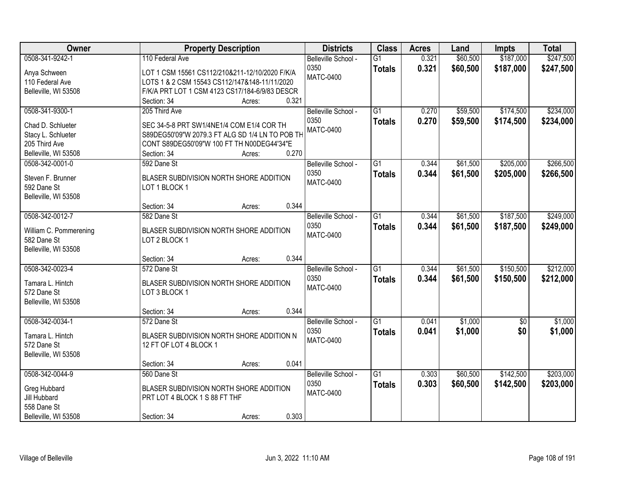| <b>Owner</b>           | <b>Property Description</b>                     | <b>Districts</b>    | <b>Class</b>    | <b>Acres</b> | Land     | <b>Impts</b>    | <b>Total</b> |
|------------------------|-------------------------------------------------|---------------------|-----------------|--------------|----------|-----------------|--------------|
| 0508-341-9242-1        | 110 Federal Ave                                 | Belleville School - | $\overline{G1}$ | 0.321        | \$60,500 | \$187,000       | \$247,500    |
| Anya Schween           | LOT 1 CSM 15561 CS112/210&211-12/10/2020 F/K/A  | 0350                | <b>Totals</b>   | 0.321        | \$60,500 | \$187,000       | \$247,500    |
| 110 Federal Ave        | LOTS 1 & 2 CSM 15543 CS112/147&148-11/11/2020   | <b>MATC-0400</b>    |                 |              |          |                 |              |
| Belleville, WI 53508   | F/K/A PRT LOT 1 CSM 4123 CS17/184-6/9/83 DESCR  |                     |                 |              |          |                 |              |
|                        | 0.321<br>Section: 34<br>Acres:                  |                     |                 |              |          |                 |              |
| 0508-341-9300-1        | 205 Third Ave                                   | Belleville School - | $\overline{G1}$ | 0.270        | \$59,500 | \$174,500       | \$234,000    |
|                        |                                                 | 0350                | <b>Totals</b>   | 0.270        | \$59,500 | \$174,500       | \$234,000    |
| Chad D. Schlueter      | SEC 34-5-8 PRT SW1/4NE1/4 COM E1/4 COR TH       | <b>MATC-0400</b>    |                 |              |          |                 |              |
| Stacy L. Schlueter     | S89DEG50'09"W 2079.3 FT ALG SD 1/4 LN TO POB TH |                     |                 |              |          |                 |              |
| 205 Third Ave          | CONT S89DEG50'09"W 100 FT TH N00DEG44'34"E      |                     |                 |              |          |                 |              |
| Belleville, WI 53508   | 0.270<br>Section: 34<br>Acres:                  |                     |                 |              |          |                 |              |
| 0508-342-0001-0        | 592 Dane St                                     | Belleville School - | G1              | 0.344        | \$61,500 | \$205,000       | \$266,500    |
| Steven F. Brunner      | BLASER SUBDIVISION NORTH SHORE ADDITION         | 0350                | <b>Totals</b>   | 0.344        | \$61,500 | \$205,000       | \$266,500    |
| 592 Dane St            | LOT 1 BLOCK 1                                   | <b>MATC-0400</b>    |                 |              |          |                 |              |
| Belleville, WI 53508   |                                                 |                     |                 |              |          |                 |              |
|                        | 0.344<br>Section: 34<br>Acres:                  |                     |                 |              |          |                 |              |
| 0508-342-0012-7        | 582 Dane St                                     | Belleville School - | G1              | 0.344        | \$61,500 | \$187,500       | \$249,000    |
|                        |                                                 | 0350                | <b>Totals</b>   | 0.344        | \$61,500 | \$187,500       | \$249,000    |
| William C. Pommerening | BLASER SUBDIVISION NORTH SHORE ADDITION         | <b>MATC-0400</b>    |                 |              |          |                 |              |
| 582 Dane St            | LOT 2 BLOCK 1                                   |                     |                 |              |          |                 |              |
| Belleville, WI 53508   |                                                 |                     |                 |              |          |                 |              |
|                        | 0.344<br>Section: 34<br>Acres:                  |                     |                 |              |          |                 |              |
| 0508-342-0023-4        | 572 Dane St                                     | Belleville School - | $\overline{G1}$ | 0.344        | \$61,500 | \$150,500       | \$212,000    |
| Tamara L. Hintch       | BLASER SUBDIVISION NORTH SHORE ADDITION         | 0350                | <b>Totals</b>   | 0.344        | \$61,500 | \$150,500       | \$212,000    |
| 572 Dane St            | LOT 3 BLOCK 1                                   | <b>MATC-0400</b>    |                 |              |          |                 |              |
|                        |                                                 |                     |                 |              |          |                 |              |
| Belleville, WI 53508   | 0.344                                           |                     |                 |              |          |                 |              |
| 0508-342-0034-1        | Section: 34<br>Acres:                           |                     |                 |              |          |                 |              |
|                        | 572 Dane St                                     | Belleville School - | $\overline{G1}$ | 0.041        | \$1,000  | $\overline{50}$ | \$1,000      |
| Tamara L. Hintch       | BLASER SUBDIVISION NORTH SHORE ADDITION N       | 0350                | <b>Totals</b>   | 0.041        | \$1,000  | \$0             | \$1,000      |
| 572 Dane St            | 12 FT OF LOT 4 BLOCK 1                          | <b>MATC-0400</b>    |                 |              |          |                 |              |
| Belleville, WI 53508   |                                                 |                     |                 |              |          |                 |              |
|                        | 0.041<br>Section: 34<br>Acres:                  |                     |                 |              |          |                 |              |
| 0508-342-0044-9        | 560 Dane St                                     | Belleville School - | $\overline{G1}$ | 0.303        | \$60,500 | \$142,500       | \$203,000    |
|                        |                                                 | 0350                | <b>Totals</b>   | 0.303        | \$60,500 | \$142,500       | \$203,000    |
| Greg Hubbard           | BLASER SUBDIVISION NORTH SHORE ADDITION         | <b>MATC-0400</b>    |                 |              |          |                 |              |
| Jill Hubbard           | PRT LOT 4 BLOCK 1 S 88 FT THF                   |                     |                 |              |          |                 |              |
| 558 Dane St            |                                                 |                     |                 |              |          |                 |              |
| Belleville, WI 53508   | 0.303<br>Section: 34<br>Acres:                  |                     |                 |              |          |                 |              |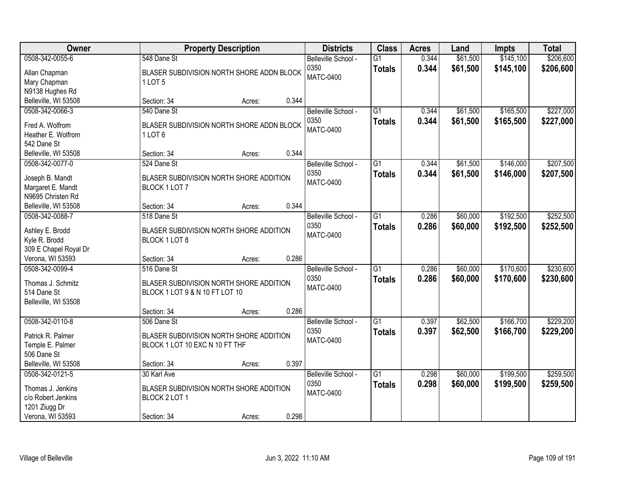| Owner                                                                                           | <b>Property Description</b>                                                              |        |       | <b>Districts</b>                                | <b>Class</b>                     | <b>Acres</b>   | Land                 | <b>Impts</b>           | <b>Total</b>           |
|-------------------------------------------------------------------------------------------------|------------------------------------------------------------------------------------------|--------|-------|-------------------------------------------------|----------------------------------|----------------|----------------------|------------------------|------------------------|
| 0508-342-0055-6<br>Allan Chapman<br>Mary Chapman<br>N9138 Hughes Rd                             | 548 Dane St<br>BLASER SUBDIVISION NORTH SHORE ADDN BLOCK<br>1 LOT 5                      |        |       | Belleville School -<br>0350<br><b>MATC-0400</b> | $\overline{G1}$<br><b>Totals</b> | 0.344<br>0.344 | \$61,500<br>\$61,500 | \$145,100<br>\$145,100 | \$206,600<br>\$206,600 |
| Belleville, WI 53508                                                                            | Section: 34                                                                              | Acres: | 0.344 |                                                 |                                  |                |                      |                        |                        |
| 0508-342-0066-3<br>Fred A. Wolfrom<br>Heather E. Wolfrom<br>542 Dane St                         | 540 Dane St<br>BLASER SUBDIVISION NORTH SHORE ADDN BLOCK<br>1LOT <sub>6</sub>            |        |       | Belleville School -<br>0350<br><b>MATC-0400</b> | $\overline{G1}$<br><b>Totals</b> | 0.344<br>0.344 | \$61,500<br>\$61,500 | \$165,500<br>\$165,500 | \$227,000<br>\$227,000 |
| Belleville, WI 53508                                                                            | Section: 34                                                                              | Acres: | 0.344 |                                                 |                                  |                |                      |                        |                        |
| 0508-342-0077-0<br>Joseph B. Mandt<br>Margaret E. Mandt<br>N9695 Christen Rd                    | 524 Dane St<br>BLASER SUBDIVISION NORTH SHORE ADDITION<br>BLOCK 1 LOT 7                  |        |       | Belleville School -<br>0350<br><b>MATC-0400</b> | $\overline{G1}$<br><b>Totals</b> | 0.344<br>0.344 | \$61,500<br>\$61,500 | \$146,000<br>\$146,000 | \$207,500<br>\$207,500 |
| Belleville, WI 53508                                                                            | Section: 34                                                                              | Acres: | 0.344 |                                                 |                                  |                |                      |                        |                        |
| 0508-342-0088-7<br>Ashley E. Brodd<br>Kyle R. Brodd<br>309 E Chapel Royal Dr                    | 518 Dane St<br>BLASER SUBDIVISION NORTH SHORE ADDITION<br>BLOCK 1 LOT 8                  |        |       | Belleville School -<br>0350<br><b>MATC-0400</b> | $\overline{G1}$<br><b>Totals</b> | 0.286<br>0.286 | \$60,000<br>\$60,000 | \$192,500<br>\$192,500 | \$252,500<br>\$252,500 |
| Verona, WI 53593                                                                                | Section: 34                                                                              | Acres: | 0.286 |                                                 |                                  |                |                      |                        |                        |
| 0508-342-0099-4<br>Thomas J. Schmitz<br>514 Dane St<br>Belleville, WI 53508                     | 516 Dane St<br>BLASER SUBDIVISION NORTH SHORE ADDITION<br>BLOCK 1 LOT 9 & N 10 FT LOT 10 |        |       | Belleville School -<br>0350<br><b>MATC-0400</b> | $\overline{G1}$<br><b>Totals</b> | 0.286<br>0.286 | \$60,000<br>\$60,000 | \$170,600<br>\$170,600 | \$230,600<br>\$230,600 |
|                                                                                                 | Section: 34                                                                              | Acres: | 0.286 |                                                 |                                  |                |                      |                        |                        |
| 0508-342-0110-8<br>Patrick R. Palmer<br>Temple E. Palmer<br>506 Dane St                         | 506 Dane St<br>BLASER SUBDIVISION NORTH SHORE ADDITION<br>BLOCK 1 LOT 10 EXC N 10 FT THF |        |       | Belleville School -<br>0350<br><b>MATC-0400</b> | $\overline{G1}$<br><b>Totals</b> | 0.397<br>0.397 | \$62,500<br>\$62,500 | \$166,700<br>\$166,700 | \$229,200<br>\$229,200 |
| Belleville, WI 53508                                                                            | Section: 34                                                                              | Acres: | 0.397 |                                                 |                                  |                |                      |                        |                        |
| 0508-342-0121-5<br>Thomas J. Jenkins<br>c/o Robert Jenkins<br>1201 Ziugg Dr<br>Verona, WI 53593 | 30 Karl Ave<br>BLASER SUBDIVISION NORTH SHORE ADDITION<br>BLOCK 2 LOT 1<br>Section: 34   | Acres: | 0.298 | Belleville School -<br>0350<br><b>MATC-0400</b> | $\overline{G1}$<br><b>Totals</b> | 0.298<br>0.298 | \$60,000<br>\$60,000 | \$199,500<br>\$199,500 | \$259,500<br>\$259,500 |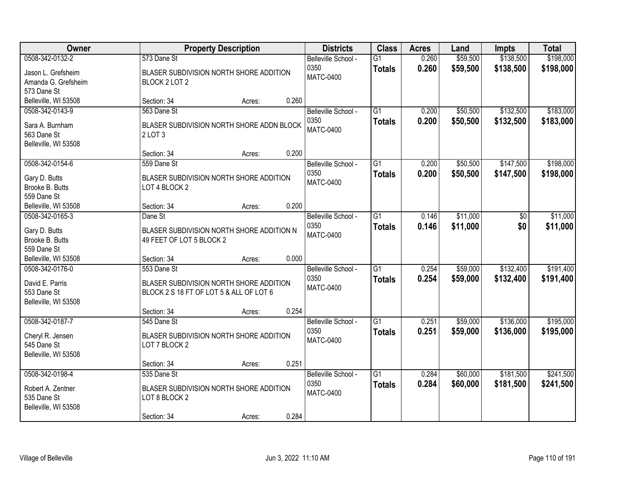| Owner                                     | <b>Property Description</b>                              |        | <b>Districts</b>            | <b>Class</b>                     | <b>Acres</b>   | Land                 | <b>Impts</b>           | <b>Total</b>           |
|-------------------------------------------|----------------------------------------------------------|--------|-----------------------------|----------------------------------|----------------|----------------------|------------------------|------------------------|
| 0508-342-0132-2                           | 573 Dane St                                              |        | Belleville School -<br>0350 | $\overline{G1}$<br><b>Totals</b> | 0.260<br>0.260 | \$59,500<br>\$59,500 | \$138,500<br>\$138,500 | \$198,000<br>\$198,000 |
| Jason L. Grefsheim<br>Amanda G. Grefsheim | BLASER SUBDIVISION NORTH SHORE ADDITION<br>BLOCK 2 LOT 2 |        | <b>MATC-0400</b>            |                                  |                |                      |                        |                        |
| 573 Dane St                               |                                                          |        |                             |                                  |                |                      |                        |                        |
| Belleville, WI 53508                      | Section: 34                                              | Acres: | 0.260                       |                                  |                |                      |                        |                        |
| 0508-342-0143-9                           | 563 Dane St                                              |        | Belleville School -         | $\overline{G1}$                  | 0.200          | \$50,500             | \$132,500              | \$183,000              |
| Sara A. Burnham                           | BLASER SUBDIVISION NORTH SHORE ADDN BLOCK                |        | 0350<br><b>MATC-0400</b>    | <b>Totals</b>                    | 0.200          | \$50,500             | \$132,500              | \$183,000              |
| 563 Dane St                               | 2LOT <sub>3</sub>                                        |        |                             |                                  |                |                      |                        |                        |
| Belleville, WI 53508                      | Section: 34                                              | Acres: | 0.200                       |                                  |                |                      |                        |                        |
| 0508-342-0154-6                           | 559 Dane St                                              |        | Belleville School -         | G1                               | 0.200          | \$50,500             | \$147,500              | \$198,000              |
| Gary D. Butts                             | BLASER SUBDIVISION NORTH SHORE ADDITION                  |        | 0350                        | <b>Totals</b>                    | 0.200          | \$50,500             | \$147,500              | \$198,000              |
| Brooke B. Butts                           | LOT 4 BLOCK 2                                            |        | <b>MATC-0400</b>            |                                  |                |                      |                        |                        |
| 559 Dane St                               |                                                          |        |                             |                                  |                |                      |                        |                        |
| Belleville, WI 53508                      | Section: 34                                              | Acres: | 0.200                       |                                  |                |                      |                        |                        |
| 0508-342-0165-3                           | Dane St                                                  |        | Belleville School -         | G1                               | 0.146          | \$11,000             | \$0                    | \$11,000               |
| Gary D. Butts                             | BLASER SUBDIVISION NORTH SHORE ADDITION N                |        | 0350                        | <b>Totals</b>                    | 0.146          | \$11,000             | \$0                    | \$11,000               |
| Brooke B. Butts                           | 49 FEET OF LOT 5 BLOCK 2                                 |        | <b>MATC-0400</b>            |                                  |                |                      |                        |                        |
| 559 Dane St                               |                                                          |        |                             |                                  |                |                      |                        |                        |
| Belleville, WI 53508                      | Section: 34                                              | Acres: | 0.000                       |                                  |                |                      |                        |                        |
| 0508-342-0176-0                           | 553 Dane St                                              |        | Belleville School -         | $\overline{G1}$                  | 0.254          | \$59,000             | \$132,400              | \$191,400              |
| David E. Parris                           | BLASER SUBDIVISION NORTH SHORE ADDITION                  |        | 0350                        | <b>Totals</b>                    | 0.254          | \$59,000             | \$132,400              | \$191,400              |
| 553 Dane St                               | BLOCK 2 S 18 FT OF LOT 5 & ALL OF LOT 6                  |        | <b>MATC-0400</b>            |                                  |                |                      |                        |                        |
| Belleville, WI 53508                      |                                                          |        |                             |                                  |                |                      |                        |                        |
|                                           | Section: 34                                              | Acres: | 0.254                       |                                  |                |                      |                        |                        |
| 0508-342-0187-7                           | 545 Dane St                                              |        | Belleville School -         | $\overline{G1}$                  | 0.251          | \$59,000             | \$136,000              | \$195,000              |
| Cheryl R. Jensen                          | BLASER SUBDIVISION NORTH SHORE ADDITION                  |        | 0350                        | <b>Totals</b>                    | 0.251          | \$59,000             | \$136,000              | \$195,000              |
| 545 Dane St                               | LOT 7 BLOCK 2                                            |        | <b>MATC-0400</b>            |                                  |                |                      |                        |                        |
| Belleville, WI 53508                      |                                                          |        |                             |                                  |                |                      |                        |                        |
|                                           | Section: 34                                              | Acres: | 0.251                       |                                  |                |                      |                        |                        |
| 0508-342-0198-4                           | 535 Dane St                                              |        | Belleville School -         | $\overline{G1}$                  | 0.284          | \$60,000             | \$181,500              | \$241,500              |
| Robert A. Zentner                         | BLASER SUBDIVISION NORTH SHORE ADDITION                  |        | 0350                        | <b>Totals</b>                    | 0.284          | \$60,000             | \$181,500              | \$241,500              |
| 535 Dane St                               | LOT 8 BLOCK 2                                            |        | <b>MATC-0400</b>            |                                  |                |                      |                        |                        |
| Belleville, WI 53508                      |                                                          |        |                             |                                  |                |                      |                        |                        |
|                                           | Section: 34                                              | Acres: | 0.284                       |                                  |                |                      |                        |                        |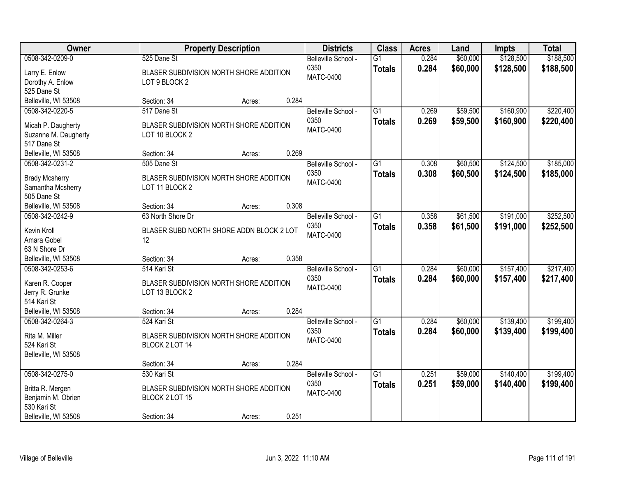| Owner                                                                                            |                                                                                         | <b>Property Description</b> |       | <b>Districts</b>                                | <b>Class</b>                     | <b>Acres</b>   | Land                 | <b>Impts</b>           | <b>Total</b>           |
|--------------------------------------------------------------------------------------------------|-----------------------------------------------------------------------------------------|-----------------------------|-------|-------------------------------------------------|----------------------------------|----------------|----------------------|------------------------|------------------------|
| 0508-342-0209-0<br>Larry E. Enlow<br>Dorothy A. Enlow<br>525 Dane St                             | 525 Dane St<br>BLASER SUBDIVISION NORTH SHORE ADDITION<br>LOT 9 BLOCK 2                 |                             |       | Belleville School -<br>0350<br>MATC-0400        | $\overline{G1}$<br><b>Totals</b> | 0.284<br>0.284 | \$60,000<br>\$60,000 | \$128,500<br>\$128,500 | \$188,500<br>\$188,500 |
| Belleville, WI 53508                                                                             | Section: 34                                                                             | Acres:                      | 0.284 |                                                 |                                  |                |                      |                        |                        |
| 0508-342-0220-5<br>Micah P. Daugherty<br>Suzanne M. Daugherty<br>517 Dane St                     | 517 Dane St<br>BLASER SUBDIVISION NORTH SHORE ADDITION<br>LOT 10 BLOCK 2                |                             |       | Belleville School -<br>0350<br><b>MATC-0400</b> | $\overline{G1}$<br><b>Totals</b> | 0.269<br>0.269 | \$59,500<br>\$59,500 | \$160,900<br>\$160,900 | \$220,400<br>\$220,400 |
| Belleville, WI 53508                                                                             | Section: 34                                                                             | Acres:                      | 0.269 |                                                 |                                  |                |                      |                        |                        |
| 0508-342-0231-2<br><b>Brady Mcsherry</b><br>Samantha Mcsherry<br>505 Dane St                     | 505 Dane St<br>BLASER SUBDIVISION NORTH SHORE ADDITION<br>LOT 11 BLOCK 2                |                             |       | Belleville School -<br>0350<br><b>MATC-0400</b> | G1<br><b>Totals</b>              | 0.308<br>0.308 | \$60,500<br>\$60,500 | \$124,500<br>\$124,500 | \$185,000<br>\$185,000 |
| Belleville, WI 53508                                                                             | Section: 34                                                                             | Acres:                      | 0.308 |                                                 |                                  |                |                      |                        |                        |
| 0508-342-0242-9<br>Kevin Kroll<br>Amara Gobel<br>63 N Shore Dr                                   | 63 North Shore Dr<br>BLASER SUBD NORTH SHORE ADDN BLOCK 2 LOT<br>12                     |                             |       | Belleville School -<br>0350<br><b>MATC-0400</b> | G1<br><b>Totals</b>              | 0.358<br>0.358 | \$61,500<br>\$61,500 | \$191,000<br>\$191,000 | \$252,500<br>\$252,500 |
| Belleville, WI 53508                                                                             | Section: 34                                                                             | Acres:                      | 0.358 |                                                 |                                  |                |                      |                        |                        |
| 0508-342-0253-6<br>Karen R. Cooper<br>Jerry R. Grunke<br>514 Kari St<br>Belleville, WI 53508     | 514 Kari St<br>BLASER SUBDIVISION NORTH SHORE ADDITION<br>LOT 13 BLOCK 2<br>Section: 34 | Acres:                      | 0.284 | Belleville School -<br>0350<br><b>MATC-0400</b> | $\overline{G1}$<br><b>Totals</b> | 0.284<br>0.284 | \$60,000<br>\$60,000 | \$157,400<br>\$157,400 | \$217,400<br>\$217,400 |
| 0508-342-0264-3                                                                                  | 524 Kari St                                                                             |                             |       | Belleville School -                             | $\overline{G1}$                  | 0.284          | \$60,000             | \$139,400              | \$199,400              |
| Rita M. Miller<br>524 Kari St<br>Belleville, WI 53508                                            | BLASER SUBDIVISION NORTH SHORE ADDITION<br>BLOCK 2 LOT 14                               |                             |       | 0350<br><b>MATC-0400</b>                        | <b>Totals</b>                    | 0.284          | \$60,000             | \$139,400              | \$199,400              |
|                                                                                                  | Section: 34                                                                             | Acres:                      | 0.284 |                                                 |                                  |                |                      |                        |                        |
| 0508-342-0275-0<br>Britta R. Mergen<br>Benjamin M. Obrien<br>530 Kari St<br>Belleville, WI 53508 | 530 Kari St<br>BLASER SUBDIVISION NORTH SHORE ADDITION<br>BLOCK 2 LOT 15<br>Section: 34 | Acres:                      | 0.251 | Belleville School -<br>0350<br><b>MATC-0400</b> | $\overline{G1}$<br><b>Totals</b> | 0.251<br>0.251 | \$59,000<br>\$59,000 | \$140,400<br>\$140,400 | \$199,400<br>\$199,400 |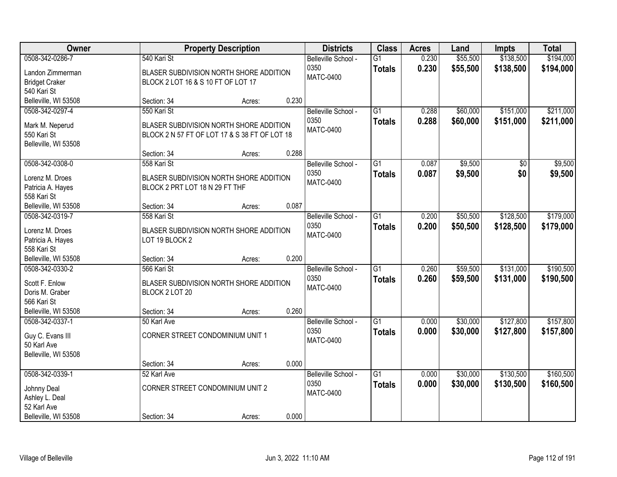| Owner                                                                                              |                                                                                                         | <b>Property Description</b> |                | <b>Districts</b>                                | <b>Class</b>                     | <b>Acres</b>   | Land                 | <b>Impts</b>           | <b>Total</b>           |
|----------------------------------------------------------------------------------------------------|---------------------------------------------------------------------------------------------------------|-----------------------------|----------------|-------------------------------------------------|----------------------------------|----------------|----------------------|------------------------|------------------------|
| 0508-342-0286-7<br>Landon Zimmerman<br><b>Bridget Craker</b>                                       | 540 Kari St<br>BLASER SUBDIVISION NORTH SHORE ADDITION<br>BLOCK 2 LOT 16 & S 10 FT OF LOT 17            |                             |                | Belleville School -<br>0350<br>MATC-0400        | $\overline{G1}$<br><b>Totals</b> | 0.230<br>0.230 | \$55,500<br>\$55,500 | \$138,500<br>\$138,500 | \$194,000<br>\$194,000 |
| 540 Kari St<br>Belleville, WI 53508                                                                | Section: 34                                                                                             | Acres:                      | 0.230          |                                                 |                                  |                |                      |                        |                        |
| 0508-342-0297-4<br>Mark M. Neperud<br>550 Kari St<br>Belleville, WI 53508                          | 550 Kari St<br>BLASER SUBDIVISION NORTH SHORE ADDITION<br>BLOCK 2 N 57 FT OF LOT 17 & S 38 FT OF LOT 18 |                             |                | Belleville School -<br>0350<br><b>MATC-0400</b> | $\overline{G1}$<br><b>Totals</b> | 0.288<br>0.288 | \$60,000<br>\$60,000 | \$151,000<br>\$151,000 | \$211,000<br>\$211,000 |
| 0508-342-0308-0<br>Lorenz M. Droes<br>Patricia A. Hayes<br>558 Kari St                             | Section: 34<br>558 Kari St<br>BLASER SUBDIVISION NORTH SHORE ADDITION<br>BLOCK 2 PRT LOT 18 N 29 FT THF | Acres:                      | 0.288          | Belleville School -<br>0350<br><b>MATC-0400</b> | $\overline{G1}$<br><b>Totals</b> | 0.087<br>0.087 | \$9,500<br>\$9,500   | \$0<br>\$0             | \$9,500<br>\$9,500     |
| Belleville, WI 53508<br>0508-342-0319-7<br>Lorenz M. Droes<br>Patricia A. Hayes<br>558 Kari St     | Section: 34<br>558 Kari St<br>BLASER SUBDIVISION NORTH SHORE ADDITION<br>LOT 19 BLOCK 2                 | Acres:                      | 0.087          | Belleville School -<br>0350<br>MATC-0400        | $\overline{G1}$<br><b>Totals</b> | 0.200<br>0.200 | \$50,500<br>\$50,500 | \$128,500<br>\$128,500 | \$179,000<br>\$179,000 |
| Belleville, WI 53508<br>0508-342-0330-2<br>Scott F. Enlow<br>Doris M. Graber<br>566 Kari St        | Section: 34<br>566 Kari St<br>BLASER SUBDIVISION NORTH SHORE ADDITION<br>BLOCK 2 LOT 20                 | Acres:                      | 0.200          | Belleville School -<br>0350<br><b>MATC-0400</b> | $\overline{G1}$<br><b>Totals</b> | 0.260<br>0.260 | \$59,500<br>\$59,500 | \$131,000<br>\$131,000 | \$190,500<br>\$190,500 |
| Belleville, WI 53508<br>0508-342-0337-1<br>Guy C. Evans III<br>50 Karl Ave<br>Belleville, WI 53508 | Section: 34<br>50 Karl Ave<br>CORNER STREET CONDOMINIUM UNIT 1<br>Section: 34                           | Acres:<br>Acres:            | 0.260<br>0.000 | Belleville School -<br>0350<br>MATC-0400        | $\overline{G1}$<br><b>Totals</b> | 0.000<br>0.000 | \$30,000<br>\$30,000 | \$127,800<br>\$127,800 | \$157,800<br>\$157,800 |
| 0508-342-0339-1<br>Johnny Deal<br>Ashley L. Deal<br>52 Karl Ave<br>Belleville, WI 53508            | 52 Karl Ave<br>CORNER STREET CONDOMINIUM UNIT 2<br>Section: 34                                          | Acres:                      | 0.000          | Belleville School -<br>0350<br><b>MATC-0400</b> | $\overline{G1}$<br><b>Totals</b> | 0.000<br>0.000 | \$30,000<br>\$30,000 | \$130,500<br>\$130,500 | \$160,500<br>\$160,500 |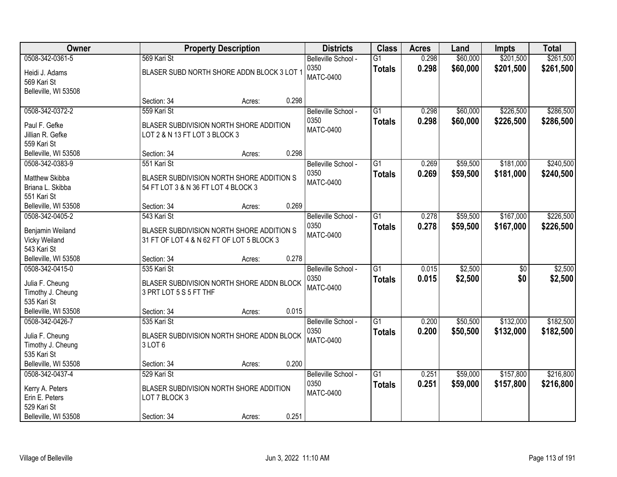| <b>Owner</b>                                                                                   |                                                                                                       | <b>Property Description</b> |       | <b>Districts</b>                                | <b>Class</b>                     | <b>Acres</b>   | Land                 | <b>Impts</b>           | <b>Total</b>           |
|------------------------------------------------------------------------------------------------|-------------------------------------------------------------------------------------------------------|-----------------------------|-------|-------------------------------------------------|----------------------------------|----------------|----------------------|------------------------|------------------------|
| 0508-342-0361-5<br>Heidi J. Adams<br>569 Kari St<br>Belleville, WI 53508                       | 569 Kari St<br>BLASER SUBD NORTH SHORE ADDN BLOCK 3 LOT 1                                             |                             |       | Belleville School -<br>0350<br>MATC-0400        | $\overline{G1}$<br><b>Totals</b> | 0.298<br>0.298 | \$60,000<br>\$60,000 | \$201,500<br>\$201,500 | \$261,500<br>\$261,500 |
|                                                                                                | Section: 34                                                                                           | Acres:                      | 0.298 |                                                 |                                  |                |                      |                        |                        |
| 0508-342-0372-2<br>Paul F. Gefke<br>Jillian R. Gefke<br>559 Kari St                            | 559 Kari St<br>BLASER SUBDIVISION NORTH SHORE ADDITION<br>LOT 2 & N 13 FT LOT 3 BLOCK 3               |                             |       | Belleville School -<br>0350<br><b>MATC-0400</b> | $\overline{G1}$<br><b>Totals</b> | 0.298<br>0.298 | \$60,000<br>\$60,000 | \$226,500<br>\$226,500 | \$286,500<br>\$286,500 |
| Belleville, WI 53508                                                                           | Section: 34                                                                                           | Acres:                      | 0.298 |                                                 |                                  |                |                      |                        |                        |
| 0508-342-0383-9<br>Matthew Skibba<br>Briana L. Skibba<br>551 Kari St                           | 551 Kari St<br>BLASER SUBDIVISION NORTH SHORE ADDITION S<br>54 FT LOT 3 & N 36 FT LOT 4 BLOCK 3       |                             |       | Belleville School -<br>0350<br><b>MATC-0400</b> | G1<br><b>Totals</b>              | 0.269<br>0.269 | \$59,500<br>\$59,500 | \$181,000<br>\$181,000 | \$240,500<br>\$240,500 |
| Belleville, WI 53508                                                                           | Section: 34                                                                                           | Acres:                      | 0.269 |                                                 |                                  |                |                      |                        |                        |
| 0508-342-0405-2<br>Benjamin Weiland<br>Vicky Weiland<br>543 Kari St                            | 543 Kari St<br>BLASER SUBDIVISION NORTH SHORE ADDITION S<br>31 FT OF LOT 4 & N 62 FT OF LOT 5 BLOCK 3 |                             |       | Belleville School -<br>0350<br>MATC-0400        | G1<br><b>Totals</b>              | 0.278<br>0.278 | \$59,500<br>\$59,500 | \$167,000<br>\$167,000 | \$226,500<br>\$226,500 |
| Belleville, WI 53508                                                                           | Section: 34                                                                                           | Acres:                      | 0.278 |                                                 |                                  |                |                      |                        |                        |
| 0508-342-0415-0<br>Julia F. Cheung<br>Timothy J. Cheung<br>535 Kari St<br>Belleville, WI 53508 | 535 Kari St<br>BLASER SUBDIVISION NORTH SHORE ADDN BLOCK<br>3 PRT LOT 5 S 5 FT THF<br>Section: 34     | Acres:                      | 0.015 | Belleville School -<br>0350<br><b>MATC-0400</b> | $\overline{G1}$<br><b>Totals</b> | 0.015<br>0.015 | \$2,500<br>\$2,500   | $\overline{50}$<br>\$0 | \$2,500<br>\$2,500     |
| 0508-342-0426-7                                                                                | 535 Kari St                                                                                           |                             |       | Belleville School -                             | $\overline{G1}$                  | 0.200          | \$50,500             | \$132,000              | \$182,500              |
| Julia F. Cheung<br>Timothy J. Cheung<br>535 Kari St                                            | BLASER SUBDIVISION NORTH SHORE ADDN BLOCK<br>3LOT6                                                    |                             |       | 0350<br><b>MATC-0400</b>                        | <b>Totals</b>                    | 0.200          | \$50,500             | \$132,000              | \$182,500              |
| Belleville, WI 53508                                                                           | Section: 34                                                                                           | Acres:                      | 0.200 |                                                 |                                  |                |                      |                        |                        |
| 0508-342-0437-4<br>Kerry A. Peters<br>Erin E. Peters<br>529 Kari St<br>Belleville, WI 53508    | 529 Kari St<br>BLASER SUBDIVISION NORTH SHORE ADDITION<br>LOT 7 BLOCK 3<br>Section: 34                | Acres:                      | 0.251 | Belleville School -<br>0350<br><b>MATC-0400</b> | $\overline{G1}$<br><b>Totals</b> | 0.251<br>0.251 | \$59,000<br>\$59,000 | \$157,800<br>\$157,800 | \$216,800<br>\$216,800 |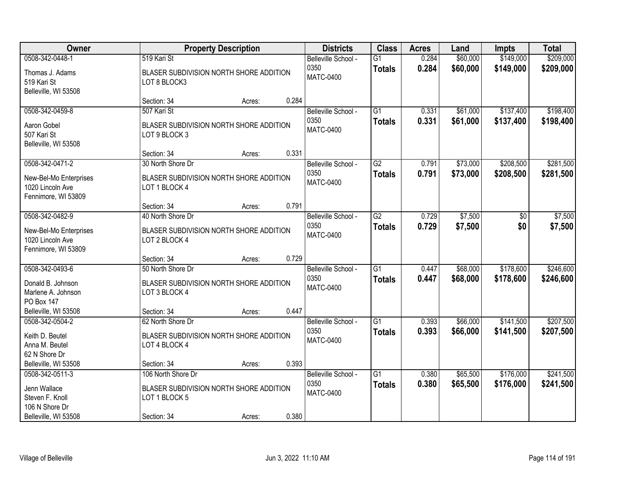| Owner                                                                                        |                                                                                               | <b>Property Description</b> |       | <b>Districts</b>                                | <b>Class</b>                     | <b>Acres</b>   | Land                 | <b>Impts</b>           | <b>Total</b>           |
|----------------------------------------------------------------------------------------------|-----------------------------------------------------------------------------------------------|-----------------------------|-------|-------------------------------------------------|----------------------------------|----------------|----------------------|------------------------|------------------------|
| 0508-342-0448-1<br>Thomas J. Adams<br>519 Kari St<br>Belleville, WI 53508                    | 519 Kari St<br>BLASER SUBDIVISION NORTH SHORE ADDITION<br>LOT 8 BLOCK3                        |                             |       | Belleville School -<br>0350<br><b>MATC-0400</b> | $\overline{G1}$<br><b>Totals</b> | 0.284<br>0.284 | \$60,000<br>\$60,000 | \$149,000<br>\$149,000 | \$209,000<br>\$209,000 |
|                                                                                              | Section: 34                                                                                   | Acres:                      | 0.284 |                                                 |                                  |                |                      |                        |                        |
| 0508-342-0459-8<br>Aaron Gobel<br>507 Kari St<br>Belleville, WI 53508                        | 507 Kari St<br>BLASER SUBDIVISION NORTH SHORE ADDITION<br>LOT 9 BLOCK 3                       |                             |       | Belleville School -<br>0350<br><b>MATC-0400</b> | $\overline{G1}$<br><b>Totals</b> | 0.331<br>0.331 | \$61,000<br>\$61,000 | \$137,400<br>\$137,400 | \$198,400<br>\$198,400 |
| 0508-342-0471-2                                                                              | Section: 34<br>30 North Shore Dr                                                              | Acres:                      | 0.331 | Belleville School -                             | G2                               | 0.791          | \$73,000             | \$208,500              | \$281,500              |
| New-Bel-Mo Enterprises<br>1020 Lincoln Ave<br>Fennimore, WI 53809                            | BLASER SUBDIVISION NORTH SHORE ADDITION<br>LOT 1 BLOCK 4                                      |                             |       | 0350<br><b>MATC-0400</b>                        | <b>Totals</b>                    | 0.791          | \$73,000             | \$208,500              | \$281,500              |
|                                                                                              | Section: 34                                                                                   | Acres:                      | 0.791 |                                                 |                                  |                |                      |                        |                        |
| 0508-342-0482-9<br>New-Bel-Mo Enterprises<br>1020 Lincoln Ave<br>Fennimore, WI 53809         | 40 North Shore Dr<br>BLASER SUBDIVISION NORTH SHORE ADDITION<br>LOT 2 BLOCK 4                 |                             |       | Belleville School -<br>0350<br><b>MATC-0400</b> | $\overline{G2}$<br><b>Totals</b> | 0.729<br>0.729 | \$7,500<br>\$7,500   | \$0<br>\$0             | \$7,500<br>\$7,500     |
|                                                                                              | Section: 34                                                                                   | Acres:                      | 0.729 |                                                 |                                  |                |                      |                        |                        |
| 0508-342-0493-6<br>Donald B. Johnson<br>Marlene A. Johnson<br>PO Box 147                     | 50 North Shore Dr<br>BLASER SUBDIVISION NORTH SHORE ADDITION<br>LOT 3 BLOCK 4                 |                             |       | Belleville School -<br>0350<br><b>MATC-0400</b> | $\overline{G1}$<br><b>Totals</b> | 0.447<br>0.447 | \$68,000<br>\$68,000 | \$178,600<br>\$178,600 | \$246,600<br>\$246,600 |
| Belleville, WI 53508                                                                         | Section: 34                                                                                   | Acres:                      | 0.447 |                                                 |                                  |                |                      |                        |                        |
| 0508-342-0504-2<br>Keith D. Beutel<br>Anna M. Beutel<br>62 N Shore Dr                        | 62 North Shore Dr<br>BLASER SUBDIVISION NORTH SHORE ADDITION<br>LOT 4 BLOCK 4                 |                             |       | Belleville School -<br>0350<br><b>MATC-0400</b> | $\overline{G1}$<br><b>Totals</b> | 0.393<br>0.393 | \$66,000<br>\$66,000 | \$141,500<br>\$141,500 | \$207,500<br>\$207,500 |
| Belleville, WI 53508                                                                         | Section: 34                                                                                   | Acres:                      | 0.393 |                                                 |                                  |                |                      |                        |                        |
| 0508-342-0511-3<br>Jenn Wallace<br>Steven F. Knoll<br>106 N Shore Dr<br>Belleville, WI 53508 | 106 North Shore Dr<br>BLASER SUBDIVISION NORTH SHORE ADDITION<br>LOT 1 BLOCK 5<br>Section: 34 | Acres:                      | 0.380 | Belleville School -<br>0350<br><b>MATC-0400</b> | $\overline{G1}$<br><b>Totals</b> | 0.380<br>0.380 | \$65,500<br>\$65,500 | \$176,000<br>\$176,000 | \$241,500<br>\$241,500 |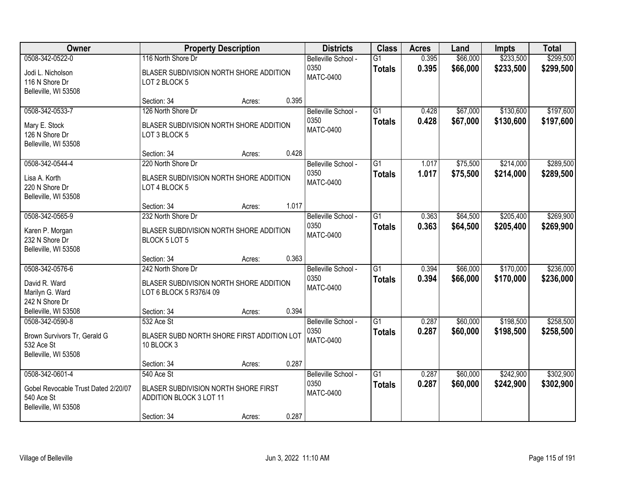| Owner                                                                     |                                                                 | <b>Property Description</b> |       | <b>Districts</b>         | <b>Class</b>    | <b>Acres</b> | Land     | <b>Impts</b> | <b>Total</b> |
|---------------------------------------------------------------------------|-----------------------------------------------------------------|-----------------------------|-------|--------------------------|-----------------|--------------|----------|--------------|--------------|
| 0508-342-0522-0                                                           | 116 North Shore Dr                                              |                             |       | Belleville School -      | $\overline{G1}$ | 0.395        | \$66,000 | \$233,500    | \$299,500    |
| Jodi L. Nicholson<br>116 N Shore Dr<br>Belleville, WI 53508               | BLASER SUBDIVISION NORTH SHORE ADDITION<br>LOT 2 BLOCK 5        |                             |       | 0350<br><b>MATC-0400</b> | <b>Totals</b>   | 0.395        | \$66,000 | \$233,500    | \$299,500    |
|                                                                           | Section: 34                                                     | Acres:                      | 0.395 |                          |                 |              |          |              |              |
| 0508-342-0533-7                                                           | 126 North Shore Dr                                              |                             |       | Belleville School -      | G1              | 0.428        | \$67,000 | \$130,600    | \$197,600    |
| Mary E. Stock<br>126 N Shore Dr<br>Belleville, WI 53508                   | BLASER SUBDIVISION NORTH SHORE ADDITION<br>LOT 3 BLOCK 5        |                             |       | 0350<br><b>MATC-0400</b> | <b>Totals</b>   | 0.428        | \$67,000 | \$130,600    | \$197,600    |
|                                                                           | Section: 34                                                     | Acres:                      | 0.428 |                          |                 |              |          |              |              |
| 0508-342-0544-4                                                           | 220 North Shore Dr                                              |                             |       | Belleville School -      | $\overline{G1}$ | 1.017        | \$75,500 | \$214,000    | \$289,500    |
| Lisa A. Korth<br>220 N Shore Dr<br>Belleville, WI 53508                   | BLASER SUBDIVISION NORTH SHORE ADDITION<br>LOT 4 BLOCK 5        |                             |       | 0350<br><b>MATC-0400</b> | <b>Totals</b>   | 1.017        | \$75,500 | \$214,000    | \$289,500    |
|                                                                           | Section: 34                                                     | Acres:                      | 1.017 |                          |                 |              |          |              |              |
| 0508-342-0565-9                                                           | 232 North Shore Dr                                              |                             |       | Belleville School -      | $\overline{G1}$ | 0.363        | \$64,500 | \$205,400    | \$269,900    |
| Karen P. Morgan<br>232 N Shore Dr<br>Belleville, WI 53508                 | BLASER SUBDIVISION NORTH SHORE ADDITION<br>BLOCK 5 LOT 5        |                             |       | 0350<br><b>MATC-0400</b> | <b>Totals</b>   | 0.363        | \$64,500 | \$205,400    | \$269,900    |
|                                                                           | Section: 34                                                     | Acres:                      | 0.363 |                          |                 |              |          |              |              |
| 0508-342-0576-6                                                           | 242 North Shore Dr                                              |                             |       | Belleville School -      | $\overline{G1}$ | 0.394        | \$66,000 | \$170,000    | \$236,000    |
| David R. Ward                                                             | BLASER SUBDIVISION NORTH SHORE ADDITION                         |                             |       | 0350                     | <b>Totals</b>   | 0.394        | \$66,000 | \$170,000    | \$236,000    |
| Marilyn G. Ward                                                           | LOT 6 BLOCK 5 R376/4 09                                         |                             |       | <b>MATC-0400</b>         |                 |              |          |              |              |
| 242 N Shore Dr                                                            |                                                                 |                             |       |                          |                 |              |          |              |              |
| Belleville, WI 53508                                                      | Section: 34                                                     | Acres:                      | 0.394 |                          |                 |              |          |              |              |
| 0508-342-0590-8                                                           | 532 Ace St                                                      |                             |       | Belleville School -      | $\overline{G1}$ | 0.287        | \$60,000 | \$198,500    | \$258,500    |
| Brown Survivors Tr, Gerald G<br>532 Ace St<br>Belleville, WI 53508        | BLASER SUBD NORTH SHORE FIRST ADDITION LOT<br>10 BLOCK 3        |                             |       | 0350<br>MATC-0400        | <b>Totals</b>   | 0.287        | \$60,000 | \$198,500    | \$258,500    |
|                                                                           | Section: 34                                                     | Acres:                      | 0.287 |                          |                 |              |          |              |              |
| 0508-342-0601-4                                                           | 540 Ace St                                                      |                             |       | Belleville School -      | $\overline{G1}$ | 0.287        | \$60,000 | \$242,900    | \$302,900    |
| Gobel Revocable Trust Dated 2/20/07<br>540 Ace St<br>Belleville, WI 53508 | BLASER SUBDIVISION NORTH SHORE FIRST<br>ADDITION BLOCK 3 LOT 11 |                             |       | 0350<br><b>MATC-0400</b> | <b>Totals</b>   | 0.287        | \$60,000 | \$242,900    | \$302,900    |
|                                                                           | Section: 34                                                     | Acres:                      | 0.287 |                          |                 |              |          |              |              |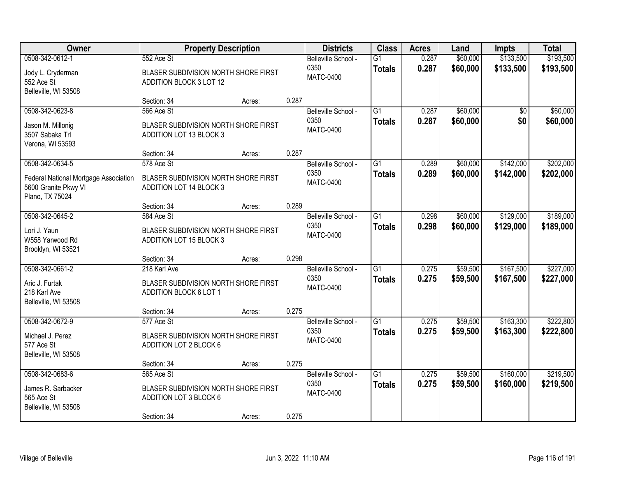| Owner                                                                                               |                                                                                             | <b>Property Description</b> |       | <b>Districts</b>                                | <b>Class</b>                     | <b>Acres</b>   | Land                 | <b>Impts</b>           | <b>Total</b>           |
|-----------------------------------------------------------------------------------------------------|---------------------------------------------------------------------------------------------|-----------------------------|-------|-------------------------------------------------|----------------------------------|----------------|----------------------|------------------------|------------------------|
| 0508-342-0612-1<br>Jody L. Cryderman<br>552 Ace St<br>Belleville, WI 53508                          | 552 Ace St<br>BLASER SUBDIVISION NORTH SHORE FIRST<br>ADDITION BLOCK 3 LOT 12               |                             |       | Belleville School -<br>0350<br><b>MATC-0400</b> | $\overline{G1}$<br><b>Totals</b> | 0.287<br>0.287 | \$60,000<br>\$60,000 | \$133,500<br>\$133,500 | \$193,500<br>\$193,500 |
|                                                                                                     | Section: 34                                                                                 | Acres:                      | 0.287 |                                                 |                                  |                |                      |                        |                        |
| 0508-342-0623-8<br>Jason M. Millonig<br>3507 Sabaka Trl<br>Verona, WI 53593                         | 566 Ace St<br>BLASER SUBDIVISION NORTH SHORE FIRST<br>ADDITION LOT 13 BLOCK 3               |                             |       | Belleville School -<br>0350<br><b>MATC-0400</b> | $\overline{G1}$<br><b>Totals</b> | 0.287<br>0.287 | \$60,000<br>\$60,000 | \$0<br>\$0             | \$60,000<br>\$60,000   |
|                                                                                                     | Section: 34                                                                                 | Acres:                      | 0.287 |                                                 |                                  |                |                      |                        |                        |
| 0508-342-0634-5<br>Federal National Mortgage Association<br>5600 Granite Pkwy VI<br>Plano, TX 75024 | 578 Ace St<br>BLASER SUBDIVISION NORTH SHORE FIRST<br><b>ADDITION LOT 14 BLOCK 3</b>        |                             |       | Belleville School -<br>0350<br><b>MATC-0400</b> | $\overline{G1}$<br><b>Totals</b> | 0.289<br>0.289 | \$60,000<br>\$60,000 | \$142,000<br>\$142,000 | \$202,000<br>\$202,000 |
|                                                                                                     | Section: 34                                                                                 | Acres:                      | 0.289 |                                                 |                                  |                |                      |                        |                        |
| 0508-342-0645-2<br>Lori J. Yaun<br>W558 Yarwood Rd<br>Brooklyn, WI 53521                            | 584 Ace St<br>BLASER SUBDIVISION NORTH SHORE FIRST<br>ADDITION LOT 15 BLOCK 3               |                             |       | Belleville School -<br>0350<br><b>MATC-0400</b> | $\overline{G1}$<br><b>Totals</b> | 0.298<br>0.298 | \$60,000<br>\$60,000 | \$129,000<br>\$129,000 | \$189,000<br>\$189,000 |
|                                                                                                     | Section: 34                                                                                 | Acres:                      | 0.298 |                                                 |                                  |                |                      |                        |                        |
| 0508-342-0661-2<br>Aric J. Furtak<br>218 Karl Ave<br>Belleville, WI 53508                           | 218 Karl Ave<br>BLASER SUBDIVISION NORTH SHORE FIRST<br>ADDITION BLOCK 6 LOT 1              |                             |       | Belleville School -<br>0350<br><b>MATC-0400</b> | $\overline{G1}$<br><b>Totals</b> | 0.275<br>0.275 | \$59,500<br>\$59,500 | \$167,500<br>\$167,500 | \$227,000<br>\$227,000 |
|                                                                                                     | Section: 34                                                                                 | Acres:                      | 0.275 |                                                 |                                  |                |                      |                        |                        |
| 0508-342-0672-9<br>Michael J. Perez<br>577 Ace St<br>Belleville, WI 53508                           | 577 Ace St<br>BLASER SUBDIVISION NORTH SHORE FIRST<br>ADDITION LOT 2 BLOCK 6                |                             |       | Belleville School -<br>0350<br>MATC-0400        | $\overline{G1}$<br><b>Totals</b> | 0.275<br>0.275 | \$59,500<br>\$59,500 | \$163,300<br>\$163,300 | \$222,800<br>\$222,800 |
|                                                                                                     | Section: 34                                                                                 | Acres:                      | 0.275 |                                                 |                                  |                |                      |                        |                        |
| 0508-342-0683-6<br>James R. Sarbacker<br>565 Ace St<br>Belleville, WI 53508                         | 565 Ace St<br>BLASER SUBDIVISION NORTH SHORE FIRST<br>ADDITION LOT 3 BLOCK 6<br>Section: 34 | Acres:                      | 0.275 | Belleville School -<br>0350<br><b>MATC-0400</b> | $\overline{G1}$<br><b>Totals</b> | 0.275<br>0.275 | \$59,500<br>\$59,500 | \$160,000<br>\$160,000 | \$219,500<br>\$219,500 |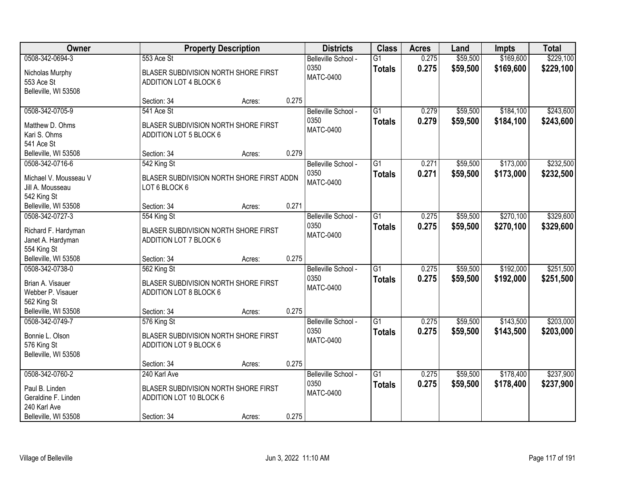| Owner                                                                                            |                                                                                                | <b>Property Description</b> |       | <b>Districts</b>                                | <b>Class</b>                     | <b>Acres</b>   | Land                 | <b>Impts</b>           | <b>Total</b>           |
|--------------------------------------------------------------------------------------------------|------------------------------------------------------------------------------------------------|-----------------------------|-------|-------------------------------------------------|----------------------------------|----------------|----------------------|------------------------|------------------------|
| 0508-342-0694-3<br>Nicholas Murphy<br>553 Ace St<br>Belleville, WI 53508                         | 553 Ace St<br>BLASER SUBDIVISION NORTH SHORE FIRST<br>ADDITION LOT 4 BLOCK 6                   |                             |       | Belleville School -<br>0350<br><b>MATC-0400</b> | $\overline{G1}$<br><b>Totals</b> | 0.275<br>0.275 | \$59,500<br>\$59,500 | \$169,600<br>\$169,600 | \$229,100<br>\$229,100 |
|                                                                                                  | Section: 34                                                                                    | Acres:                      | 0.275 |                                                 |                                  |                |                      |                        |                        |
| 0508-342-0705-9<br>Matthew D. Ohms<br>Kari S. Ohms<br>541 Ace St                                 | 541 Ace St<br>BLASER SUBDIVISION NORTH SHORE FIRST<br>ADDITION LOT 5 BLOCK 6                   |                             |       | Belleville School -<br>0350<br><b>MATC-0400</b> | $\overline{G1}$<br><b>Totals</b> | 0.279<br>0.279 | \$59,500<br>\$59,500 | \$184,100<br>\$184,100 | \$243,600<br>\$243,600 |
| Belleville, WI 53508                                                                             | Section: 34                                                                                    | Acres:                      | 0.279 |                                                 |                                  |                |                      |                        |                        |
| 0508-342-0716-6<br>Michael V. Mousseau V<br>Jill A. Mousseau<br>542 King St                      | 542 King St<br>BLASER SUBDIVISION NORTH SHORE FIRST ADDN<br>LOT 6 BLOCK 6                      |                             |       | Belleville School -<br>0350<br><b>MATC-0400</b> | $\overline{G1}$<br><b>Totals</b> | 0.271<br>0.271 | \$59,500<br>\$59,500 | \$173,000<br>\$173,000 | \$232,500<br>\$232,500 |
| Belleville, WI 53508                                                                             | Section: 34                                                                                    | Acres:                      | 0.271 |                                                 |                                  |                |                      |                        |                        |
| 0508-342-0727-3<br>Richard F. Hardyman<br>Janet A. Hardyman<br>554 King St                       | 554 King St<br>BLASER SUBDIVISION NORTH SHORE FIRST<br>ADDITION LOT 7 BLOCK 6                  |                             |       | Belleville School -<br>0350<br><b>MATC-0400</b> | $\overline{G1}$<br><b>Totals</b> | 0.275<br>0.275 | \$59,500<br>\$59,500 | \$270,100<br>\$270,100 | \$329,600<br>\$329,600 |
| Belleville, WI 53508                                                                             | Section: 34                                                                                    | Acres:                      | 0.275 |                                                 |                                  |                |                      |                        |                        |
| 0508-342-0738-0<br>Brian A. Visauer<br>Webber P. Visauer<br>562 King St<br>Belleville, WI 53508  | 562 King St<br>BLASER SUBDIVISION NORTH SHORE FIRST<br>ADDITION LOT 8 BLOCK 6<br>Section: 34   | Acres:                      | 0.275 | Belleville School -<br>0350<br><b>MATC-0400</b> | $\overline{G1}$<br><b>Totals</b> | 0.275<br>0.275 | \$59,500<br>\$59,500 | \$192,000<br>\$192,000 | \$251,500<br>\$251,500 |
| 0508-342-0749-7                                                                                  | 576 King St                                                                                    |                             |       | Belleville School -                             | $\overline{G1}$                  | 0.275          | \$59,500             | \$143,500              | \$203,000              |
| Bonnie L. Olson<br>576 King St<br>Belleville, WI 53508                                           | <b>BLASER SUBDIVISION NORTH SHORE FIRST</b><br>ADDITION LOT 9 BLOCK 6                          |                             |       | 0350<br><b>MATC-0400</b>                        | <b>Totals</b>                    | 0.275          | \$59,500             | \$143,500              | \$203,000              |
|                                                                                                  | Section: 34                                                                                    | Acres:                      | 0.275 |                                                 |                                  |                |                      |                        |                        |
| 0508-342-0760-2<br>Paul B. Linden<br>Geraldine F. Linden<br>240 Karl Ave<br>Belleville, WI 53508 | 240 Karl Ave<br>BLASER SUBDIVISION NORTH SHORE FIRST<br>ADDITION LOT 10 BLOCK 6<br>Section: 34 | Acres:                      | 0.275 | Belleville School -<br>0350<br><b>MATC-0400</b> | $\overline{G1}$<br><b>Totals</b> | 0.275<br>0.275 | \$59,500<br>\$59,500 | \$178,400<br>\$178,400 | \$237,900<br>\$237,900 |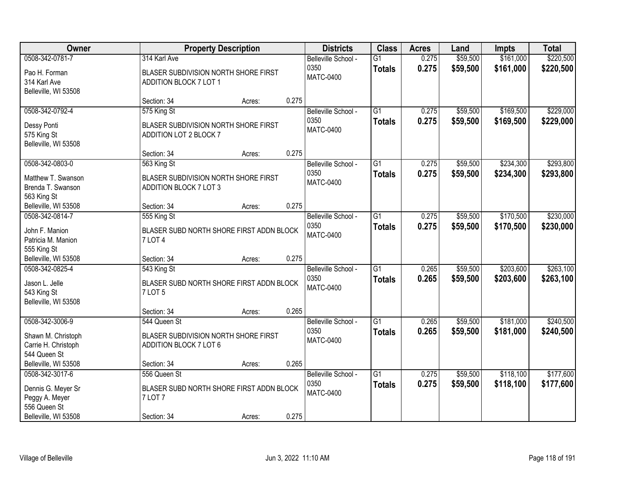| <b>Owner</b>                                                                                    | <b>Property Description</b>                                                                  | <b>Districts</b> | <b>Class</b> | <b>Acres</b>                                    | Land                             | <b>Impts</b>   | <b>Total</b>         |                        |                        |
|-------------------------------------------------------------------------------------------------|----------------------------------------------------------------------------------------------|------------------|--------------|-------------------------------------------------|----------------------------------|----------------|----------------------|------------------------|------------------------|
| 0508-342-0781-7<br>Pao H. Forman<br>314 Karl Ave                                                | 314 Karl Ave<br>BLASER SUBDIVISION NORTH SHORE FIRST<br>ADDITION BLOCK 7 LOT 1               |                  |              | Belleville School -<br>0350<br><b>MATC-0400</b> | $\overline{G1}$<br><b>Totals</b> | 0.275<br>0.275 | \$59,500<br>\$59,500 | \$161,000<br>\$161,000 | \$220,500<br>\$220,500 |
| Belleville, WI 53508                                                                            | Section: 34                                                                                  | Acres:           | 0.275        |                                                 |                                  |                |                      |                        |                        |
| 0508-342-0792-4<br>Dessy Ponti<br>575 King St<br>Belleville, WI 53508                           | 575 King St<br>BLASER SUBDIVISION NORTH SHORE FIRST<br>ADDITION LOT 2 BLOCK 7                |                  |              | Belleville School -<br>0350<br><b>MATC-0400</b> | $\overline{G1}$<br><b>Totals</b> | 0.275<br>0.275 | \$59,500<br>\$59,500 | \$169,500<br>\$169,500 | \$229,000<br>\$229,000 |
| 0508-342-0803-0<br>Matthew T. Swanson<br>Brenda T. Swanson<br>563 King St                       | Section: 34<br>563 King St<br>BLASER SUBDIVISION NORTH SHORE FIRST<br>ADDITION BLOCK 7 LOT 3 | Acres:           | 0.275        | Belleville School -<br>0350<br><b>MATC-0400</b> | G1<br><b>Totals</b>              | 0.275<br>0.275 | \$59,500<br>\$59,500 | \$234,300<br>\$234,300 | \$293,800<br>\$293,800 |
| Belleville, WI 53508                                                                            | Section: 34                                                                                  | Acres:           | 0.275        |                                                 |                                  |                |                      |                        |                        |
| 0508-342-0814-7<br>John F. Manion<br>Patricia M. Manion<br>555 King St                          | 555 King St<br>BLASER SUBD NORTH SHORE FIRST ADDN BLOCK<br><b>7 LOT 4</b>                    |                  |              | Belleville School -<br>0350<br><b>MATC-0400</b> | $\overline{G1}$<br><b>Totals</b> | 0.275<br>0.275 | \$59,500<br>\$59,500 | \$170,500<br>\$170,500 | \$230,000<br>\$230,000 |
| Belleville, WI 53508                                                                            | Section: 34                                                                                  | Acres:           | 0.275        |                                                 |                                  |                |                      |                        |                        |
| 0508-342-0825-4<br>Jason L. Jelle<br>543 King St<br>Belleville, WI 53508                        | 543 King St<br>BLASER SUBD NORTH SHORE FIRST ADDN BLOCK<br>7 LOT 5                           |                  |              | Belleville School -<br>0350<br><b>MATC-0400</b> | $\overline{G1}$<br><b>Totals</b> | 0.265<br>0.265 | \$59,500<br>\$59,500 | \$203,600<br>\$203,600 | \$263,100<br>\$263,100 |
|                                                                                                 | Section: 34                                                                                  | Acres:           | 0.265        |                                                 |                                  |                |                      |                        |                        |
| 0508-342-3006-9<br>Shawn M. Christoph<br>Carrie H. Christoph<br>544 Queen St                    | 544 Queen St<br>BLASER SUBDIVISION NORTH SHORE FIRST<br>ADDITION BLOCK 7 LOT 6               |                  |              | Belleville School -<br>0350<br><b>MATC-0400</b> | $\overline{G1}$<br><b>Totals</b> | 0.265<br>0.265 | \$59,500<br>\$59,500 | \$181,000<br>\$181,000 | \$240,500<br>\$240,500 |
| Belleville, WI 53508                                                                            | Section: 34                                                                                  | Acres:           | 0.265        |                                                 |                                  |                |                      |                        |                        |
| 0508-342-3017-6<br>Dennis G. Meyer Sr<br>Peggy A. Meyer<br>556 Queen St<br>Belleville, WI 53508 | 556 Queen St<br>BLASER SUBD NORTH SHORE FIRST ADDN BLOCK<br>7 LOT 7<br>Section: 34           | Acres:           | 0.275        | Belleville School -<br>0350<br><b>MATC-0400</b> | $\overline{G1}$<br><b>Totals</b> | 0.275<br>0.275 | \$59,500<br>\$59,500 | \$118,100<br>\$118,100 | \$177,600<br>\$177,600 |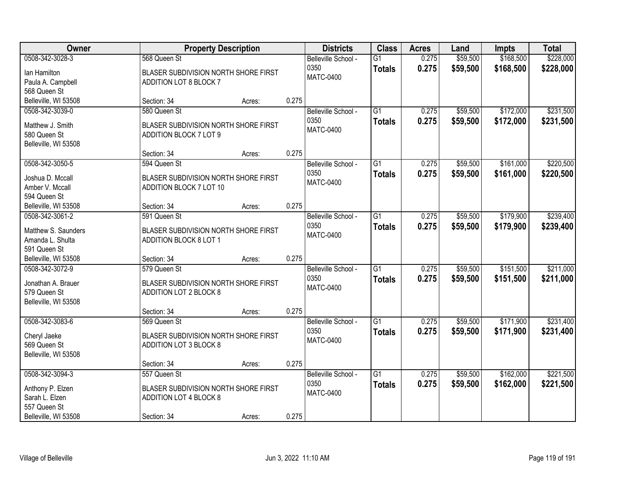| Owner                                                    |                                                                 | <b>Property Description</b> |       | <b>Districts</b>                                | <b>Class</b>                     | <b>Acres</b>   | Land                 | <b>Impts</b>           | <b>Total</b>           |
|----------------------------------------------------------|-----------------------------------------------------------------|-----------------------------|-------|-------------------------------------------------|----------------------------------|----------------|----------------------|------------------------|------------------------|
| 0508-342-3028-3<br>Ian Hamilton                          | 568 Queen St<br>BLASER SUBDIVISION NORTH SHORE FIRST            |                             |       | Belleville School -<br>0350<br><b>MATC-0400</b> | $\overline{G1}$<br><b>Totals</b> | 0.275<br>0.275 | \$59,500<br>\$59,500 | \$168,500<br>\$168,500 | \$228,000<br>\$228,000 |
| Paula A. Campbell<br>568 Queen St                        | ADDITION LOT 8 BLOCK 7                                          |                             |       |                                                 |                                  |                |                      |                        |                        |
| Belleville, WI 53508                                     | Section: 34                                                     | Acres:                      | 0.275 |                                                 |                                  |                |                      |                        |                        |
| 0508-342-3039-0                                          | 580 Queen St                                                    |                             |       | Belleville School -                             | $\overline{G1}$                  | 0.275          | \$59,500             | \$172,000              | \$231,500              |
| Matthew J. Smith<br>580 Queen St<br>Belleville, WI 53508 | BLASER SUBDIVISION NORTH SHORE FIRST<br>ADDITION BLOCK 7 LOT 9  |                             |       | 0350<br><b>MATC-0400</b>                        | <b>Totals</b>                    | 0.275          | \$59,500             | \$172,000              | \$231,500              |
|                                                          | Section: 34                                                     | Acres:                      | 0.275 |                                                 |                                  |                |                      |                        |                        |
| 0508-342-3050-5                                          | 594 Queen St                                                    |                             |       | Belleville School -                             | G1                               | 0.275          | \$59,500             | \$161,000              | \$220,500              |
| Joshua D. Mccall<br>Amber V. Mccall<br>594 Queen St      | BLASER SUBDIVISION NORTH SHORE FIRST<br>ADDITION BLOCK 7 LOT 10 |                             |       | 0350<br><b>MATC-0400</b>                        | <b>Totals</b>                    | 0.275          | \$59,500             | \$161,000              | \$220,500              |
| Belleville, WI 53508                                     | Section: 34                                                     | Acres:                      | 0.275 |                                                 |                                  |                |                      |                        |                        |
| 0508-342-3061-2                                          | 591 Queen St                                                    |                             |       | Belleville School -                             | G1                               | 0.275          | \$59,500             | \$179,900              | \$239,400              |
| Matthew S. Saunders<br>Amanda L. Shulta<br>591 Queen St  | BLASER SUBDIVISION NORTH SHORE FIRST<br>ADDITION BLOCK 8 LOT 1  |                             |       | 0350<br><b>MATC-0400</b>                        | <b>Totals</b>                    | 0.275          | \$59,500             | \$179,900              | \$239,400              |
| Belleville, WI 53508                                     | Section: 34                                                     | Acres:                      | 0.275 |                                                 |                                  |                |                      |                        |                        |
| 0508-342-3072-9                                          | 579 Queen St                                                    |                             |       | Belleville School -                             | $\overline{G1}$                  | 0.275          | \$59,500             | \$151,500              | \$211,000              |
| Jonathan A. Brauer<br>579 Queen St                       | BLASER SUBDIVISION NORTH SHORE FIRST<br>ADDITION LOT 2 BLOCK 8  |                             |       | 0350<br><b>MATC-0400</b>                        | <b>Totals</b>                    | 0.275          | \$59,500             | \$151,500              | \$211,000              |
| Belleville, WI 53508                                     |                                                                 |                             |       |                                                 |                                  |                |                      |                        |                        |
|                                                          | Section: 34                                                     | Acres:                      | 0.275 |                                                 |                                  |                |                      |                        |                        |
| 0508-342-3083-6                                          | 569 Queen St                                                    |                             |       | Belleville School -                             | $\overline{G1}$                  | 0.275          | \$59,500             | \$171,900              | \$231,400              |
| Cheryl Jaeke<br>569 Queen St<br>Belleville, WI 53508     | BLASER SUBDIVISION NORTH SHORE FIRST<br>ADDITION LOT 3 BLOCK 8  |                             |       | 0350<br><b>MATC-0400</b>                        | <b>Totals</b>                    | 0.275          | \$59,500             | \$171,900              | \$231,400              |
|                                                          | Section: 34                                                     | Acres:                      | 0.275 |                                                 |                                  |                |                      |                        |                        |
| 0508-342-3094-3                                          | 557 Queen St                                                    |                             |       | Belleville School -                             | $\overline{G1}$                  | 0.275          | \$59,500             | \$162,000              | \$221,500              |
| Anthony P. Elzen<br>Sarah L. Elzen<br>557 Queen St       | BLASER SUBDIVISION NORTH SHORE FIRST<br>ADDITION LOT 4 BLOCK 8  |                             |       | 0350<br><b>MATC-0400</b>                        | <b>Totals</b>                    | 0.275          | \$59,500             | \$162,000              | \$221,500              |
| Belleville, WI 53508                                     | Section: 34                                                     | Acres:                      | 0.275 |                                                 |                                  |                |                      |                        |                        |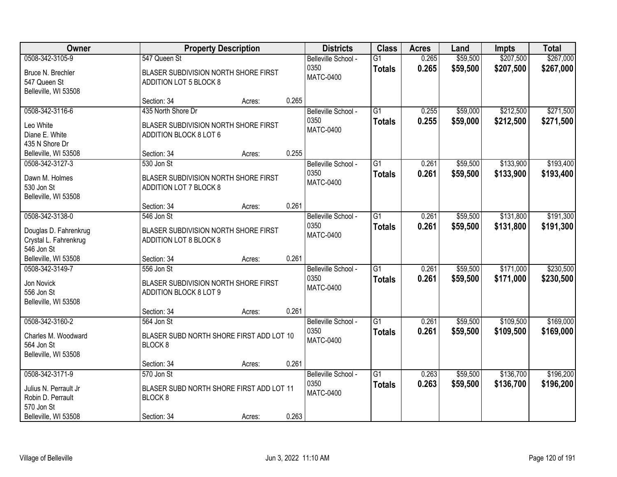| <b>Owner</b>                                                                                        | <b>Property Description</b>                                                                 | <b>Districts</b> | <b>Class</b> | <b>Acres</b>                                    | Land                             | <b>Impts</b>   | <b>Total</b>         |                        |                        |
|-----------------------------------------------------------------------------------------------------|---------------------------------------------------------------------------------------------|------------------|--------------|-------------------------------------------------|----------------------------------|----------------|----------------------|------------------------|------------------------|
| 0508-342-3105-9<br>Bruce N. Brechler<br>547 Queen St<br>Belleville, WI 53508                        | 547 Queen St<br>BLASER SUBDIVISION NORTH SHORE FIRST<br>ADDITION LOT 5 BLOCK 8              |                  |              | Belleville School -<br>0350<br><b>MATC-0400</b> | $\overline{G1}$<br><b>Totals</b> | 0.265<br>0.265 | \$59,500<br>\$59,500 | \$207,500<br>\$207,500 | \$267,000<br>\$267,000 |
|                                                                                                     | Section: 34                                                                                 | Acres:           | 0.265        |                                                 |                                  |                |                      |                        |                        |
| 0508-342-3116-6<br>Leo White<br>Diane E. White<br>435 N Shore Dr                                    | 435 North Shore Dr<br>BLASER SUBDIVISION NORTH SHORE FIRST<br>ADDITION BLOCK 8 LOT 6        |                  |              | Belleville School -<br>0350<br><b>MATC-0400</b> | $\overline{G1}$<br><b>Totals</b> | 0.255<br>0.255 | \$59,000<br>\$59,000 | \$212,500<br>\$212,500 | \$271,500<br>\$271,500 |
| Belleville, WI 53508                                                                                | Section: 34                                                                                 | Acres:           | 0.255        |                                                 |                                  |                |                      |                        |                        |
| 0508-342-3127-3<br>Dawn M. Holmes<br>530 Jon St<br>Belleville, WI 53508                             | 530 Jon St<br>BLASER SUBDIVISION NORTH SHORE FIRST<br>ADDITION LOT 7 BLOCK 8                |                  |              | Belleville School -<br>0350<br><b>MATC-0400</b> | G1<br><b>Totals</b>              | 0.261<br>0.261 | \$59,500<br>\$59,500 | \$133,900<br>\$133,900 | \$193,400<br>\$193,400 |
|                                                                                                     | Section: 34                                                                                 | Acres:           | 0.261        |                                                 |                                  |                |                      |                        |                        |
| 0508-342-3138-0<br>Douglas D. Fahrenkrug<br>Crystal L. Fahrenkrug<br>546 Jon St                     | 546 Jon St<br>BLASER SUBDIVISION NORTH SHORE FIRST<br>ADDITION LOT 8 BLOCK 8                |                  |              | Belleville School -<br>0350<br><b>MATC-0400</b> | G1<br><b>Totals</b>              | 0.261<br>0.261 | \$59,500<br>\$59,500 | \$131,800<br>\$131,800 | \$191,300<br>\$191,300 |
| Belleville, WI 53508                                                                                | Section: 34                                                                                 | Acres:           | 0.261        |                                                 |                                  |                |                      |                        |                        |
| 0508-342-3149-7<br>Jon Novick<br>556 Jon St<br>Belleville, WI 53508                                 | 556 Jon St<br>BLASER SUBDIVISION NORTH SHORE FIRST<br>ADDITION BLOCK 8 LOT 9                |                  |              | Belleville School -<br>0350<br><b>MATC-0400</b> | $\overline{G1}$<br><b>Totals</b> | 0.261<br>0.261 | \$59,500<br>\$59,500 | \$171,000<br>\$171,000 | \$230,500<br>\$230,500 |
|                                                                                                     | Section: 34                                                                                 | Acres:           | 0.261        |                                                 |                                  |                |                      |                        |                        |
| 0508-342-3160-2<br>Charles M. Woodward<br>564 Jon St<br>Belleville, WI 53508                        | 564 Jon St<br>BLASER SUBD NORTH SHORE FIRST ADD LOT 10<br>BLOCK <sub>8</sub>                |                  |              | Belleville School -<br>0350<br><b>MATC-0400</b> | $\overline{G1}$<br><b>Totals</b> | 0.261<br>0.261 | \$59,500<br>\$59,500 | \$109,500<br>\$109,500 | \$169,000<br>\$169,000 |
|                                                                                                     | Section: 34                                                                                 | Acres:           | 0.261        |                                                 |                                  |                |                      |                        |                        |
| 0508-342-3171-9<br>Julius N. Perrault Jr<br>Robin D. Perrault<br>570 Jon St<br>Belleville, WI 53508 | 570 Jon St<br>BLASER SUBD NORTH SHORE FIRST ADD LOT 11<br>BLOCK <sub>8</sub><br>Section: 34 | Acres:           | 0.263        | Belleville School -<br>0350<br><b>MATC-0400</b> | $\overline{G1}$<br><b>Totals</b> | 0.263<br>0.263 | \$59,500<br>\$59,500 | \$136,700<br>\$136,700 | \$196,200<br>\$196,200 |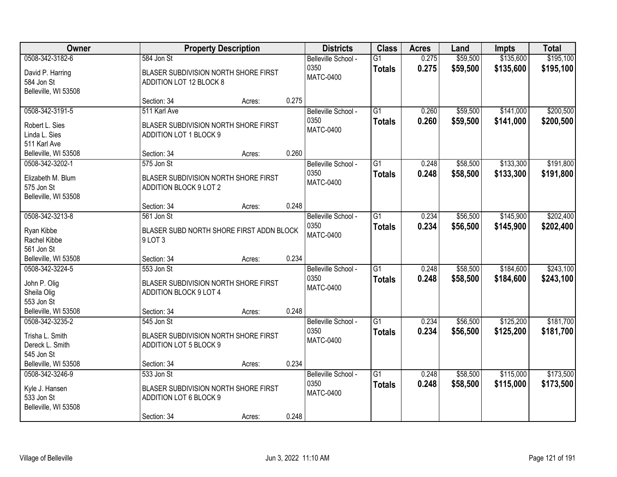| Owner                                                                      |                                                                                             | <b>Property Description</b> |       | <b>Districts</b>                                | <b>Class</b>                     | <b>Acres</b>   | Land                 | <b>Impts</b>           | <b>Total</b>           |
|----------------------------------------------------------------------------|---------------------------------------------------------------------------------------------|-----------------------------|-------|-------------------------------------------------|----------------------------------|----------------|----------------------|------------------------|------------------------|
| 0508-342-3182-6<br>David P. Harring<br>584 Jon St<br>Belleville, WI 53508  | 584 Jon St<br>BLASER SUBDIVISION NORTH SHORE FIRST<br>ADDITION LOT 12 BLOCK 8               |                             |       | Belleville School -<br>0350<br><b>MATC-0400</b> | $\overline{G1}$<br><b>Totals</b> | 0.275<br>0.275 | \$59,500<br>\$59,500 | \$135,600<br>\$135,600 | \$195,100<br>\$195,100 |
|                                                                            | Section: 34                                                                                 | Acres:                      | 0.275 |                                                 |                                  |                |                      |                        |                        |
| 0508-342-3191-5<br>Robert L. Sies<br>Linda L. Sies<br>511 Karl Ave         | 511 Karl Ave<br>BLASER SUBDIVISION NORTH SHORE FIRST<br>ADDITION LOT 1 BLOCK 9              |                             |       | Belleville School -<br>0350<br><b>MATC-0400</b> | $\overline{G1}$<br><b>Totals</b> | 0.260<br>0.260 | \$59,500<br>\$59,500 | \$141,000<br>\$141,000 | \$200,500<br>\$200,500 |
| Belleville, WI 53508                                                       | Section: 34                                                                                 | Acres:                      | 0.260 |                                                 |                                  |                |                      |                        |                        |
| 0508-342-3202-1<br>Elizabeth M. Blum<br>575 Jon St<br>Belleville, WI 53508 | 575 Jon St<br>BLASER SUBDIVISION NORTH SHORE FIRST<br>ADDITION BLOCK 9 LOT 2                |                             |       | Belleville School -<br>0350<br><b>MATC-0400</b> | G1<br><b>Totals</b>              | 0.248<br>0.248 | \$58,500<br>\$58,500 | \$133,300<br>\$133,300 | \$191,800<br>\$191,800 |
|                                                                            | Section: 34                                                                                 | Acres:                      | 0.248 |                                                 |                                  |                |                      |                        |                        |
| 0508-342-3213-8<br>Ryan Kibbe<br>Rachel Kibbe<br>561 Jon St                | 561 Jon St<br>BLASER SUBD NORTH SHORE FIRST ADDN BLOCK<br>9 LOT 3                           |                             |       | Belleville School -<br>0350<br><b>MATC-0400</b> | $\overline{G1}$<br><b>Totals</b> | 0.234<br>0.234 | \$56,500<br>\$56,500 | \$145,900<br>\$145,900 | \$202,400<br>\$202,400 |
| Belleville, WI 53508                                                       | Section: 34                                                                                 | Acres:                      | 0.234 |                                                 |                                  |                |                      |                        |                        |
| 0508-342-3224-5<br>John P. Olig<br>Sheila Olig<br>553 Jon St               | 553 Jon St<br>BLASER SUBDIVISION NORTH SHORE FIRST<br>ADDITION BLOCK 9 LOT 4                |                             | 0.248 | Belleville School -<br>0350<br><b>MATC-0400</b> | $\overline{G1}$<br><b>Totals</b> | 0.248<br>0.248 | \$58,500<br>\$58,500 | \$184,600<br>\$184,600 | \$243,100<br>\$243,100 |
| Belleville, WI 53508<br>0508-342-3235-2                                    | Section: 34<br>545 Jon St                                                                   | Acres:                      |       | Belleville School -                             | G1                               | 0.234          | \$56,500             | \$125,200              | \$181,700              |
| Trisha L. Smith<br>Dereck L. Smith<br>545 Jon St                           | BLASER SUBDIVISION NORTH SHORE FIRST<br>ADDITION LOT 5 BLOCK 9                              |                             |       | 0350<br><b>MATC-0400</b>                        | <b>Totals</b>                    | 0.234          | \$56,500             | \$125,200              | \$181,700              |
| Belleville, WI 53508                                                       | Section: 34                                                                                 | Acres:                      | 0.234 |                                                 |                                  |                |                      |                        |                        |
| 0508-342-3246-9<br>Kyle J. Hansen<br>533 Jon St<br>Belleville, WI 53508    | 533 Jon St<br>BLASER SUBDIVISION NORTH SHORE FIRST<br>ADDITION LOT 6 BLOCK 9<br>Section: 34 | Acres:                      | 0.248 | Belleville School -<br>0350<br><b>MATC-0400</b> | $\overline{G1}$<br><b>Totals</b> | 0.248<br>0.248 | \$58,500<br>\$58,500 | \$115,000<br>\$115,000 | \$173,500<br>\$173,500 |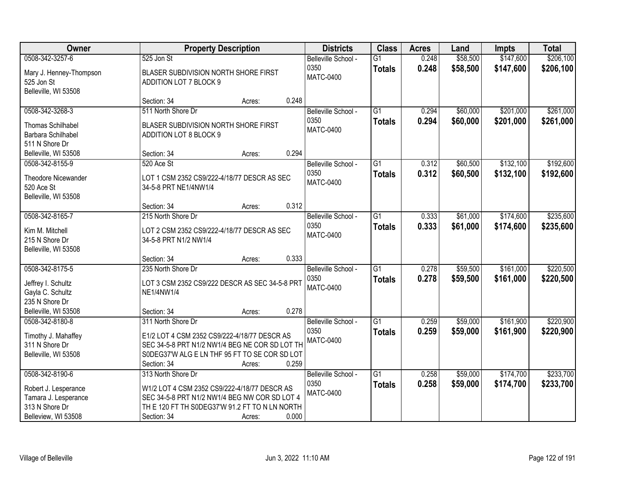| Owner                                                            |                                                                                                                                                 | <b>Property Description</b> |       | <b>Districts</b>                                | <b>Class</b>                     | <b>Acres</b>   | Land                 | <b>Impts</b>           | <b>Total</b>           |
|------------------------------------------------------------------|-------------------------------------------------------------------------------------------------------------------------------------------------|-----------------------------|-------|-------------------------------------------------|----------------------------------|----------------|----------------------|------------------------|------------------------|
| 0508-342-3257-6                                                  | 525 Jon St                                                                                                                                      |                             |       | Belleville School -                             | $\overline{G1}$                  | 0.248          | \$58,500             | \$147,600              | \$206,100              |
| Mary J. Henney-Thompson<br>525 Jon St<br>Belleville, WI 53508    | BLASER SUBDIVISION NORTH SHORE FIRST<br>ADDITION LOT 7 BLOCK 9                                                                                  |                             |       | 0350<br><b>MATC-0400</b>                        | <b>Totals</b>                    | 0.248          | \$58,500             | \$147,600              | \$206,100              |
|                                                                  | Section: 34                                                                                                                                     | Acres:                      | 0.248 |                                                 |                                  |                |                      |                        |                        |
| 0508-342-3268-3<br><b>Thomas Schilhabel</b>                      | 511 North Shore Dr<br>BLASER SUBDIVISION NORTH SHORE FIRST                                                                                      |                             |       | Belleville School -<br>0350<br><b>MATC-0400</b> | $\overline{G1}$<br><b>Totals</b> | 0.294<br>0.294 | \$60,000<br>\$60,000 | \$201,000<br>\$201,000 | \$261,000<br>\$261,000 |
| Barbara Schilhabel<br>511 N Shore Dr                             | ADDITION LOT 8 BLOCK 9                                                                                                                          |                             |       |                                                 |                                  |                |                      |                        |                        |
| Belleville, WI 53508                                             | Section: 34                                                                                                                                     | Acres:                      | 0.294 |                                                 |                                  |                |                      |                        |                        |
| 0508-342-8155-9                                                  | 520 Ace St                                                                                                                                      |                             |       | Belleville School -                             | G1                               | 0.312          | \$60,500             | \$132,100              | \$192,600              |
| <b>Theodore Nicewander</b><br>520 Ace St<br>Belleville, WI 53508 | LOT 1 CSM 2352 CS9/222-4/18/77 DESCR AS SEC<br>34-5-8 PRT NE1/4NW1/4                                                                            |                             |       | 0350<br><b>MATC-0400</b>                        | <b>Totals</b>                    | 0.312          | \$60,500             | \$132,100              | \$192,600              |
|                                                                  | Section: 34                                                                                                                                     | Acres:                      | 0.312 |                                                 |                                  |                |                      |                        |                        |
| 0508-342-8165-7                                                  | 215 North Shore Dr                                                                                                                              |                             |       | Belleville School -                             | $\overline{G1}$                  | 0.333          | \$61,000             | \$174,600              | \$235,600              |
| Kim M. Mitchell<br>215 N Shore Dr<br>Belleville, WI 53508        | LOT 2 CSM 2352 CS9/222-4/18/77 DESCR AS SEC<br>34-5-8 PRT N1/2 NW1/4                                                                            |                             |       | 0350<br><b>MATC-0400</b>                        | <b>Totals</b>                    | 0.333          | \$61,000             | \$174,600              | \$235,600              |
|                                                                  | Section: 34                                                                                                                                     | Acres:                      | 0.333 |                                                 |                                  |                |                      |                        |                        |
| 0508-342-8175-5                                                  | 235 North Shore Dr                                                                                                                              |                             |       | Belleville School -<br>0350                     | $\overline{G1}$<br><b>Totals</b> | 0.278<br>0.278 | \$59,500<br>\$59,500 | \$161,000<br>\$161,000 | \$220,500<br>\$220,500 |
| Jeffrey I. Schultz<br>Gayla C. Schultz<br>235 N Shore Dr         | LOT 3 CSM 2352 CS9/222 DESCR AS SEC 34-5-8 PRT<br>NE1/4NW1/4                                                                                    |                             |       | <b>MATC-0400</b>                                |                                  |                |                      |                        |                        |
| Belleville, WI 53508                                             | Section: 34                                                                                                                                     | Acres:                      | 0.278 |                                                 |                                  |                |                      |                        |                        |
| 0508-342-8180-8                                                  | 311 North Shore Dr                                                                                                                              |                             |       | Belleville School -                             | $\overline{G1}$                  | 0.259          | \$59,000             | \$161,900              | \$220,900              |
| Timothy J. Mahaffey<br>311 N Shore Dr<br>Belleville, WI 53508    | E1/2 LOT 4 CSM 2352 CS9/222-4/18/77 DESCR AS<br>SEC 34-5-8 PRT N1/2 NW1/4 BEG NE COR SD LOT TH<br>S0DEG37'W ALG E LN THF 95 FT TO SE COR SD LOT |                             |       | 0350<br><b>MATC-0400</b>                        | <b>Totals</b>                    | 0.259          | \$59,000             | \$161,900              | \$220,900              |
| 0508-342-8190-6                                                  | Section: 34<br>313 North Shore Dr                                                                                                               | Acres:                      | 0.259 | Belleville School -                             | $\overline{G1}$                  | 0.258          | \$59,000             | \$174,700              | \$233,700              |
|                                                                  |                                                                                                                                                 |                             |       | 0350                                            | <b>Totals</b>                    | 0.258          | \$59,000             | \$174,700              | \$233,700              |
| Robert J. Lesperance                                             | W1/2 LOT 4 CSM 2352 CS9/222-4/18/77 DESCR AS                                                                                                    |                             |       | <b>MATC-0400</b>                                |                                  |                |                      |                        |                        |
| Tamara J. Lesperance<br>313 N Shore Dr                           | SEC 34-5-8 PRT N1/2 NW1/4 BEG NW COR SD LOT 4<br>TH E 120 FT TH SODEG37'W 91.2 FT TO N LN NORTH                                                 |                             |       |                                                 |                                  |                |                      |                        |                        |
| Belleview, WI 53508                                              | Section: 34                                                                                                                                     | Acres:                      | 0.000 |                                                 |                                  |                |                      |                        |                        |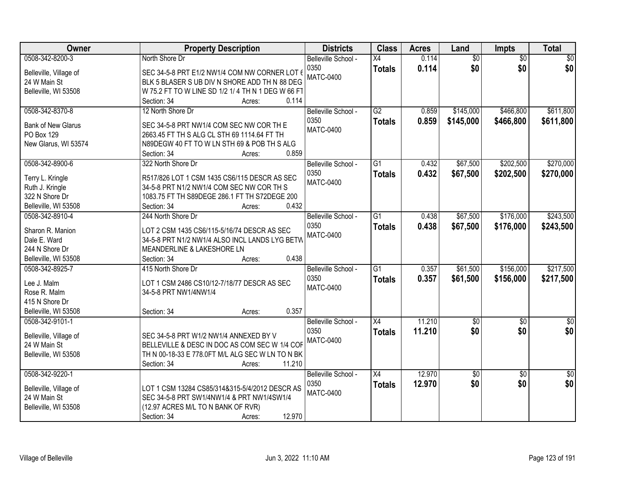| Owner                     | <b>Property Description</b>                                         | <b>Districts</b>    | <b>Class</b>    | <b>Acres</b> | Land            | Impts           | <b>Total</b>    |
|---------------------------|---------------------------------------------------------------------|---------------------|-----------------|--------------|-----------------|-----------------|-----------------|
| 0508-342-8200-3           | North Shore Dr                                                      | Belleville School - | $\overline{X4}$ | 0.114        | $\overline{60}$ | $\overline{50}$ | $\overline{50}$ |
| Belleville, Village of    | SEC 34-5-8 PRT E1/2 NW1/4 COM NW CORNER LOT 6                       | 0350                | <b>Totals</b>   | 0.114        | \$0             | \$0             | \$0             |
| 24 W Main St              | BLK 5 BLASER S UB DIV N SHORE ADD TH N 88 DEG                       | <b>MATC-0400</b>    |                 |              |                 |                 |                 |
| Belleville, WI 53508      | W 75.2 FT TO W LINE SD 1/2 1/4 TH N 1 DEG W 66 FT                   |                     |                 |              |                 |                 |                 |
|                           | 0.114<br>Section: 34<br>Acres:                                      |                     |                 |              |                 |                 |                 |
| 0508-342-8370-8           | 12 North Shore Dr                                                   | Belleville School - | $\overline{G2}$ | 0.859        | \$145,000       | \$466,800       | \$611,800       |
|                           |                                                                     | 0350                | <b>Totals</b>   | 0.859        | \$145,000       | \$466,800       | \$611,800       |
| <b>Bank of New Glarus</b> | SEC 34-5-8 PRT NW1/4 COM SEC NW COR TH E                            | <b>MATC-0400</b>    |                 |              |                 |                 |                 |
| PO Box 129                | 2663.45 FT TH S ALG CL STH 69 1114.64 FT TH                         |                     |                 |              |                 |                 |                 |
| New Glarus, WI 53574      | N89DEGW 40 FT TO W LN STH 69 & POB TH S ALG<br>0.859<br>Section: 34 |                     |                 |              |                 |                 |                 |
| 0508-342-8900-6           | Acres:<br>322 North Shore Dr                                        | Belleville School - | G1              | 0.432        | \$67,500        | \$202,500       | \$270,000       |
|                           |                                                                     | 0350                |                 |              |                 |                 |                 |
| Terry L. Kringle          | R517/826 LOT 1 CSM 1435 CS6/115 DESCR AS SEC                        | <b>MATC-0400</b>    | <b>Totals</b>   | 0.432        | \$67,500        | \$202,500       | \$270,000       |
| Ruth J. Kringle           | 34-5-8 PRT N1/2 NW1/4 COM SEC NW COR TH S                           |                     |                 |              |                 |                 |                 |
| 322 N Shore Dr            | 1083.75 FT TH S89DEGE 286.1 FT TH S72DEGE 200                       |                     |                 |              |                 |                 |                 |
| Belleville, WI 53508      | 0.432<br>Section: 34<br>Acres:                                      |                     |                 |              |                 |                 |                 |
| 0508-342-8910-4           | 244 North Shore Dr                                                  | Belleville School - | $\overline{G1}$ | 0.438        | \$67,500        | \$176,000       | \$243,500       |
| Sharon R. Manion          | LOT 2 CSM 1435 CS6/115-5/16/74 DESCR AS SEC                         | 0350                | <b>Totals</b>   | 0.438        | \$67,500        | \$176,000       | \$243,500       |
| Dale E. Ward              | 34-5-8 PRT N1/2 NW1/4 ALSO INCL LANDS LYG BETW                      | <b>MATC-0400</b>    |                 |              |                 |                 |                 |
| 244 N Shore Dr            | MEANDERLINE & LAKESHORE LN                                          |                     |                 |              |                 |                 |                 |
| Belleville, WI 53508      | 0.438<br>Section: 34<br>Acres:                                      |                     |                 |              |                 |                 |                 |
| 0508-342-8925-7           | 415 North Shore Dr                                                  | Belleville School - | $\overline{G1}$ | 0.357        | \$61,500        | \$156,000       | \$217,500       |
|                           |                                                                     | 0350                | <b>Totals</b>   | 0.357        | \$61,500        | \$156,000       | \$217,500       |
| Lee J. Malm               | LOT 1 CSM 2486 CS10/12-7/18/77 DESCR AS SEC                         | <b>MATC-0400</b>    |                 |              |                 |                 |                 |
| Rose R. Malm              | 34-5-8 PRT NW1/4NW1/4                                               |                     |                 |              |                 |                 |                 |
| 415 N Shore Dr            |                                                                     |                     |                 |              |                 |                 |                 |
| Belleville, WI 53508      | 0.357<br>Section: 34<br>Acres:                                      |                     |                 |              |                 |                 |                 |
| 0508-342-9101-1           |                                                                     | Belleville School - | $\overline{X4}$ | 11.210       | $\sqrt{50}$     | $\sqrt{6}$      | $\sqrt{60}$     |
| Belleville, Village of    | SEC 34-5-8 PRT W1/2 NW1/4 ANNEXED BY V                              | 0350                | <b>Totals</b>   | 11.210       | \$0             | \$0             | \$0             |
| 24 W Main St              | BELLEVILLE & DESC IN DOC AS COM SEC W 1/4 COF                       | <b>MATC-0400</b>    |                 |              |                 |                 |                 |
| Belleville, WI 53508      | TH N 00-18-33 E 778.0FT M/L ALG SEC W LN TO N BK                    |                     |                 |              |                 |                 |                 |
|                           | 11.210<br>Section: 34<br>Acres:                                     |                     |                 |              |                 |                 |                 |
| 0508-342-9220-1           |                                                                     | Belleville School - | $\overline{X4}$ | 12.970       | \$0             | $\overline{50}$ | $\sqrt{50}$     |
|                           |                                                                     | 0350                | <b>Totals</b>   | 12.970       | \$0             | \$0             | \$0             |
| Belleville, Village of    | LOT 1 CSM 13284 CS85/314&315-5/4/2012 DESCR AS                      | MATC-0400           |                 |              |                 |                 |                 |
| 24 W Main St              | SEC 34-5-8 PRT SW1/4NW1/4 & PRT NW1/4SW1/4                          |                     |                 |              |                 |                 |                 |
| Belleville, WI 53508      | (12.97 ACRES M/L TO N BANK OF RVR)                                  |                     |                 |              |                 |                 |                 |
|                           | 12.970<br>Section: 34<br>Acres:                                     |                     |                 |              |                 |                 |                 |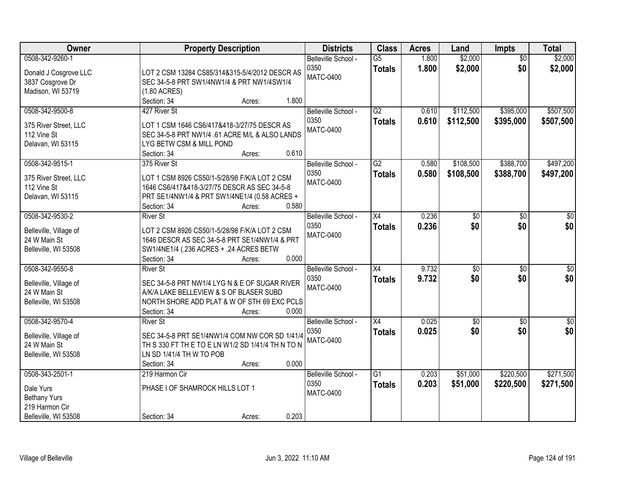| Owner                                                                                         |                                                                                                                                                                               | <b>Property Description</b> |                | <b>Districts</b>                                | <b>Class</b>                     | <b>Acres</b>   | Land                   | Impts                  | <b>Total</b>            |
|-----------------------------------------------------------------------------------------------|-------------------------------------------------------------------------------------------------------------------------------------------------------------------------------|-----------------------------|----------------|-------------------------------------------------|----------------------------------|----------------|------------------------|------------------------|-------------------------|
| 0508-342-9260-1<br>Donald J Cosgrove LLC<br>3837 Cosgrove Dr<br>Madison, WI 53719             | LOT 2 CSM 13284 CS85/314&315-5/4/2012 DESCR AS<br>SEC 34-5-8 PRT SW1/4NW1/4 & PRT NW1/4SW1/4<br>(1.80 ACRES)                                                                  |                             |                | Belleville School -<br>0350<br><b>MATC-0400</b> | $\overline{G5}$<br><b>Totals</b> | 1.800<br>1.800 | \$2,000<br>\$2,000     | $\overline{50}$<br>\$0 | \$2,000<br>\$2,000      |
| 0508-342-9500-8<br>375 River Street, LLC<br>112 Vine St<br>Delavan, WI 53115                  | Section: 34<br>427 River St<br>LOT 1 CSM 1646 CS6/417&418-3/27/75 DESCR AS<br>SEC 34-5-8 PRT NW1/4 .61 ACRE M/L & ALSO LANDS<br>LYG BETW CSM & MILL POND<br>Section: 34       | Acres:<br>Acres:            | 1.800<br>0.610 | Belleville School -<br>0350<br><b>MATC-0400</b> | G2<br><b>Totals</b>              | 0.610<br>0.610 | \$112,500<br>\$112,500 | \$395,000<br>\$395,000 | \$507,500<br>\$507,500  |
| 0508-342-9515-1<br>375 River Street, LLC<br>112 Vine St<br>Delavan, WI 53115                  | 375 River St<br>LOT 1 CSM 8926 CS50/1-5/28/98 F/K/A LOT 2 CSM<br>1646 CS6/417&418-3/27/75 DESCR AS SEC 34-5-8<br>PRT SE1/4NW1/4 & PRT SW1/4NE1/4 (0.58 ACRES +<br>Section: 34 | Acres:                      | 0.580          | Belleville School -<br>0350<br><b>MATC-0400</b> | G2<br><b>Totals</b>              | 0.580<br>0.580 | \$108,500<br>\$108,500 | \$388,700<br>\$388,700 | \$497,200<br>\$497,200  |
| 0508-342-9530-2<br>Belleville, Village of<br>24 W Main St<br>Belleville, WI 53508             | <b>River St</b><br>LOT 2 CSM 8926 CS50/1-5/28/98 F/K/A LOT 2 CSM<br>1646 DESCR AS SEC 34-5-8 PRT SE1/4NW1/4 & PRT<br>SW1/4NE1/4 (.236 ACRES + .24 ACRES BETW<br>Section: 34   | Acres:                      | 0.000          | Belleville School -<br>0350<br><b>MATC-0400</b> | X4<br><b>Totals</b>              | 0.236<br>0.236 | \$0<br>\$0             | \$0<br>\$0             | \$0<br>\$0              |
| 0508-342-9550-8<br>Belleville, Village of<br>24 W Main St<br>Belleville, WI 53508             | <b>River St</b><br>SEC 34-5-8 PRT NW1/4 LYG N & E OF SUGAR RIVER<br>A/K/A LAKE BELLEVIEW & S OF BLASER SUBD<br>NORTH SHORE ADD PLAT & W OF STH 69 EXC PCLS<br>Section: 34     | Acres:                      | 0.000          | Belleville School -<br>0350<br><b>MATC-0400</b> | $\overline{X4}$<br><b>Totals</b> | 9.732<br>9.732 | $\sqrt{30}$<br>\$0     | $\overline{50}$<br>\$0 | $\overline{\$0}$<br>\$0 |
| 0508-342-9570-4<br>Belleville, Village of<br>24 W Main St<br>Belleville, WI 53508             | <b>River St</b><br>SEC 34-5-8 PRT SE1/4NW1/4 COM NW COR SD 1/41/4<br>TH S 330 FT TH E TO E LN W1/2 SD 1/41/4 TH N TO N<br>LN SD 1/41/4 TH W TO POB<br>Section: 34             | Acres:                      | 0.000          | Belleville School -<br>0350<br><b>MATC-0400</b> | $\overline{X4}$<br><b>Totals</b> | 0.025<br>0.025 | $\overline{60}$<br>\$0 | $\overline{50}$<br>\$0 | $\overline{50}$<br>\$0  |
| 0508-343-2501-1<br>Dale Yurs<br><b>Bethany Yurs</b><br>219 Harmon Cir<br>Belleville, WI 53508 | 219 Harmon Cir<br>PHASE I OF SHAMROCK HILLS LOT 1<br>Section: 34                                                                                                              | Acres:                      | 0.203          | Belleville School -<br>0350<br><b>MATC-0400</b> | $\overline{G1}$<br><b>Totals</b> | 0.203<br>0.203 | \$51,000<br>\$51,000   | \$220,500<br>\$220,500 | \$271,500<br>\$271,500  |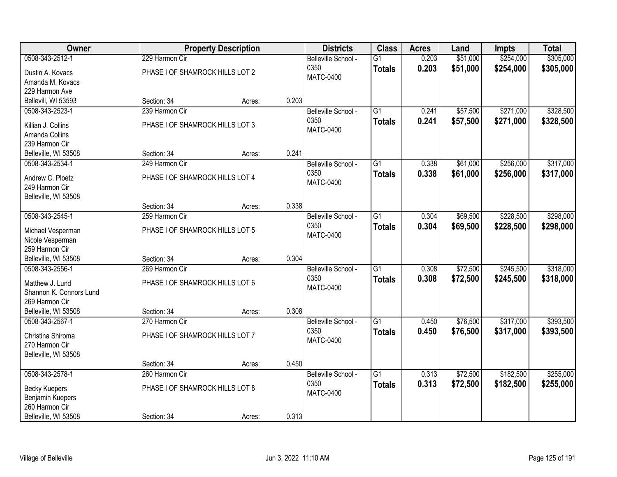| Owner                                  |                                 | <b>Property Description</b> |       | <b>Districts</b>    | <b>Class</b>    | <b>Acres</b> | Land     | <b>Impts</b> | <b>Total</b> |
|----------------------------------------|---------------------------------|-----------------------------|-------|---------------------|-----------------|--------------|----------|--------------|--------------|
| 0508-343-2512-1                        | 229 Harmon Cir                  |                             |       | Belleville School - | $\overline{G1}$ | 0.203        | \$51,000 | \$254,000    | \$305,000    |
| Dustin A. Kovacs                       | PHASE I OF SHAMROCK HILLS LOT 2 |                             |       | 0350                | <b>Totals</b>   | 0.203        | \$51,000 | \$254,000    | \$305,000    |
| Amanda M. Kovacs                       |                                 |                             |       | MATC-0400           |                 |              |          |              |              |
| 229 Harmon Ave                         |                                 |                             |       |                     |                 |              |          |              |              |
| Bellevill, WI 53593                    | Section: 34                     | Acres:                      | 0.203 |                     |                 |              |          |              |              |
| 0508-343-2523-1                        | 239 Harmon Cir                  |                             |       | Belleville School - | $\overline{G1}$ | 0.241        | \$57,500 | \$271,000    | \$328,500    |
| Killian J. Collins                     | PHASE I OF SHAMROCK HILLS LOT 3 |                             |       | 0350                | <b>Totals</b>   | 0.241        | \$57,500 | \$271,000    | \$328,500    |
| Amanda Collins                         |                                 |                             |       | <b>MATC-0400</b>    |                 |              |          |              |              |
| 239 Harmon Cir                         |                                 |                             |       |                     |                 |              |          |              |              |
| Belleville, WI 53508                   | Section: 34                     | Acres:                      | 0.241 |                     |                 |              |          |              |              |
| 0508-343-2534-1                        | 249 Harmon Cir                  |                             |       | Belleville School - | $\overline{G1}$ | 0.338        | \$61,000 | \$256,000    | \$317,000    |
|                                        |                                 |                             |       | 0350                | <b>Totals</b>   | 0.338        | \$61,000 | \$256,000    | \$317,000    |
| Andrew C. Ploetz                       | PHASE I OF SHAMROCK HILLS LOT 4 |                             |       | <b>MATC-0400</b>    |                 |              |          |              |              |
| 249 Harmon Cir<br>Belleville, WI 53508 |                                 |                             |       |                     |                 |              |          |              |              |
|                                        | Section: 34                     | Acres:                      | 0.338 |                     |                 |              |          |              |              |
| 0508-343-2545-1                        | 259 Harmon Cir                  |                             |       | Belleville School - | $\overline{G1}$ | 0.304        | \$69,500 | \$228,500    | \$298,000    |
|                                        |                                 |                             |       | 0350                | <b>Totals</b>   | 0.304        | \$69,500 | \$228,500    | \$298,000    |
| Michael Vesperman                      | PHASE I OF SHAMROCK HILLS LOT 5 |                             |       | <b>MATC-0400</b>    |                 |              |          |              |              |
| Nicole Vesperman                       |                                 |                             |       |                     |                 |              |          |              |              |
| 259 Harmon Cir<br>Belleville, WI 53508 |                                 |                             | 0.304 |                     |                 |              |          |              |              |
| 0508-343-2556-1                        | Section: 34<br>269 Harmon Cir   | Acres:                      |       | Belleville School - | $\overline{G1}$ | 0.308        | \$72,500 | \$245,500    | \$318,000    |
|                                        |                                 |                             |       | 0350                |                 | 0.308        |          |              |              |
| Matthew J. Lund                        | PHASE I OF SHAMROCK HILLS LOT 6 |                             |       | <b>MATC-0400</b>    | <b>Totals</b>   |              | \$72,500 | \$245,500    | \$318,000    |
| Shannon K. Connors Lund                |                                 |                             |       |                     |                 |              |          |              |              |
| 269 Harmon Cir                         |                                 |                             |       |                     |                 |              |          |              |              |
| Belleville, WI 53508                   | Section: 34                     | Acres:                      | 0.308 |                     |                 |              |          |              |              |
| 0508-343-2567-1                        | 270 Harmon Cir                  |                             |       | Belleville School - | $\overline{G1}$ | 0.450        | \$76,500 | \$317,000    | \$393,500    |
| Christina Shiroma                      | PHASE I OF SHAMROCK HILLS LOT 7 |                             |       | 0350                | <b>Totals</b>   | 0.450        | \$76,500 | \$317,000    | \$393,500    |
| 270 Harmon Cir                         |                                 |                             |       | MATC-0400           |                 |              |          |              |              |
| Belleville, WI 53508                   |                                 |                             |       |                     |                 |              |          |              |              |
|                                        | Section: 34                     | Acres:                      | 0.450 |                     |                 |              |          |              |              |
| 0508-343-2578-1                        | 260 Harmon Cir                  |                             |       | Belleville School - | $\overline{G1}$ | 0.313        | \$72,500 | \$182,500    | \$255,000    |
| <b>Becky Kuepers</b>                   | PHASE I OF SHAMROCK HILLS LOT 8 |                             |       | 0350                | <b>Totals</b>   | 0.313        | \$72,500 | \$182,500    | \$255,000    |
| Benjamin Kuepers                       |                                 |                             |       | <b>MATC-0400</b>    |                 |              |          |              |              |
| 260 Harmon Cir                         |                                 |                             |       |                     |                 |              |          |              |              |
| Belleville, WI 53508                   | Section: 34                     | Acres:                      | 0.313 |                     |                 |              |          |              |              |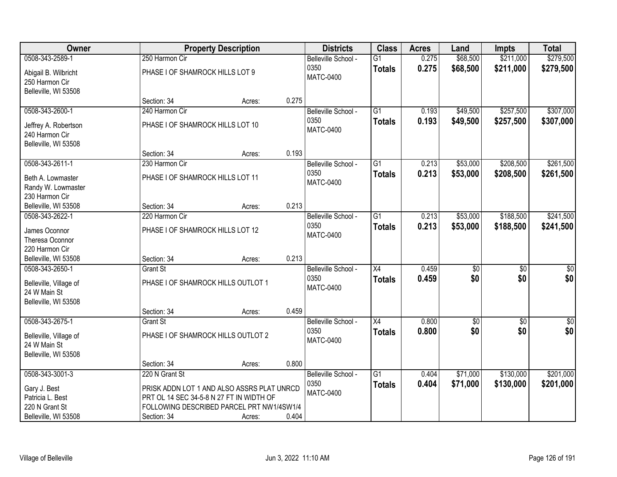| Owner                                                          |                                                                                        | <b>Property Description</b> |       | <b>Districts</b>         | <b>Class</b>    | <b>Acres</b> | Land            | <b>Impts</b>    | <b>Total</b>     |
|----------------------------------------------------------------|----------------------------------------------------------------------------------------|-----------------------------|-------|--------------------------|-----------------|--------------|-----------------|-----------------|------------------|
| 0508-343-2589-1                                                | 250 Harmon Cir                                                                         |                             |       | Belleville School -      | $\overline{G1}$ | 0.275        | \$68,500        | \$211,000       | \$279,500        |
| Abigail B. Wilbricht<br>250 Harmon Cir<br>Belleville, WI 53508 | PHASE I OF SHAMROCK HILLS LOT 9                                                        |                             |       | 0350<br><b>MATC-0400</b> | <b>Totals</b>   | 0.275        | \$68,500        | \$211,000       | \$279,500        |
|                                                                | Section: 34                                                                            | Acres:                      | 0.275 |                          |                 |              |                 |                 |                  |
| 0508-343-2600-1                                                | 240 Harmon Cir                                                                         |                             |       | Belleville School -      | $\overline{G1}$ | 0.193        | \$49,500        | \$257,500       | \$307,000        |
| Jeffrey A. Robertson<br>240 Harmon Cir<br>Belleville, WI 53508 | PHASE I OF SHAMROCK HILLS LOT 10                                                       |                             |       | 0350<br><b>MATC-0400</b> | <b>Totals</b>   | 0.193        | \$49,500        | \$257,500       | \$307,000        |
|                                                                | Section: 34                                                                            | Acres:                      | 0.193 |                          |                 |              |                 |                 |                  |
| 0508-343-2611-1                                                | 230 Harmon Cir                                                                         |                             |       | Belleville School -      | G1              | 0.213        | \$53,000        | \$208,500       | \$261,500        |
| Beth A. Lowmaster<br>Randy W. Lowmaster<br>230 Harmon Cir      | PHASE I OF SHAMROCK HILLS LOT 11                                                       |                             |       | 0350<br><b>MATC-0400</b> | <b>Totals</b>   | 0.213        | \$53,000        | \$208,500       | \$261,500        |
| Belleville, WI 53508                                           | Section: 34                                                                            | Acres:                      | 0.213 |                          |                 |              |                 |                 |                  |
| 0508-343-2622-1                                                | 220 Harmon Cir                                                                         |                             |       | Belleville School -      | G1              | 0.213        | \$53,000        | \$188,500       | \$241,500        |
| James Oconnor<br>Theresa Oconnor<br>220 Harmon Cir             | PHASE I OF SHAMROCK HILLS LOT 12                                                       |                             |       | 0350<br><b>MATC-0400</b> | <b>Totals</b>   | 0.213        | \$53,000        | \$188,500       | \$241,500        |
| Belleville, WI 53508                                           | Section: 34                                                                            | Acres:                      | 0.213 |                          |                 |              |                 |                 |                  |
| 0508-343-2650-1                                                | <b>Grant St</b>                                                                        |                             |       | Belleville School -      | $\overline{X4}$ | 0.459        | $\overline{50}$ | $\overline{50}$ | $\overline{\$0}$ |
| Belleville, Village of<br>24 W Main St<br>Belleville, WI 53508 | PHASE I OF SHAMROCK HILLS OUTLOT 1                                                     |                             |       | 0350<br><b>MATC-0400</b> | <b>Totals</b>   | 0.459        | \$0             | \$0             | \$0              |
|                                                                | Section: 34                                                                            | Acres:                      | 0.459 |                          |                 |              |                 |                 |                  |
| 0508-343-2675-1                                                | <b>Grant St</b>                                                                        |                             |       | Belleville School -      | $\overline{X4}$ | 0.800        | $\sqrt{30}$     | $\sqrt{6}$      | $\frac{6}{3}$    |
| Belleville, Village of<br>24 W Main St<br>Belleville, WI 53508 | PHASE I OF SHAMROCK HILLS OUTLOT 2                                                     |                             |       | 0350<br><b>MATC-0400</b> | <b>Totals</b>   | 0.800        | \$0             | \$0             | \$0              |
|                                                                | Section: 34                                                                            | Acres:                      | 0.800 |                          |                 |              |                 |                 |                  |
| 0508-343-3001-3                                                | 220 N Grant St                                                                         |                             |       | Belleville School -      | $\overline{G1}$ | 0.404        | \$71,000        | \$130,000       | \$201,000        |
| Gary J. Best<br>Patricia L. Best                               | PRISK ADDN LOT 1 AND ALSO ASSRS PLAT UNRCD<br>PRT OL 14 SEC 34-5-8 N 27 FT IN WIDTH OF |                             |       | 0350<br>MATC-0400        | <b>Totals</b>   | 0.404        | \$71,000        | \$130,000       | \$201,000        |
| 220 N Grant St<br>Belleville, WI 53508                         | FOLLOWING DESCRIBED PARCEL PRT NW1/4SW1/4                                              |                             | 0.404 |                          |                 |              |                 |                 |                  |
|                                                                | Section: 34                                                                            | Acres:                      |       |                          |                 |              |                 |                 |                  |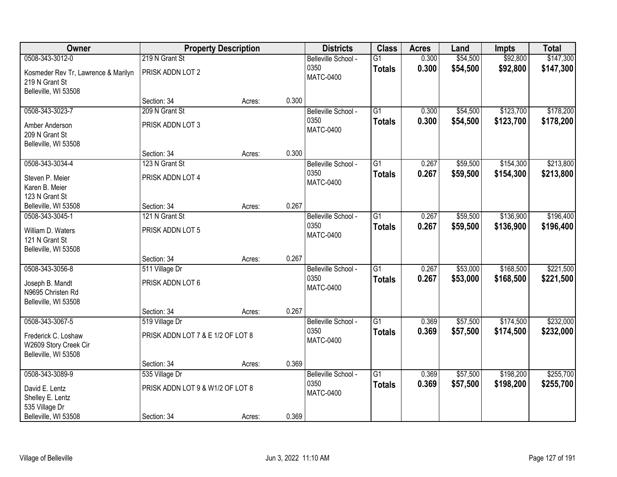| Owner                               |                                   | <b>Property Description</b> |       | <b>Districts</b>    | <b>Class</b>    | <b>Acres</b> | Land     | <b>Impts</b> | <b>Total</b> |
|-------------------------------------|-----------------------------------|-----------------------------|-------|---------------------|-----------------|--------------|----------|--------------|--------------|
| 0508-343-3012-0                     | 219 N Grant St                    |                             |       | Belleville School - | $\overline{G1}$ | 0.300        | \$54,500 | \$92,800     | \$147,300    |
| Kosmeder Rev Tr, Lawrence & Marilyn | PRISK ADDN LOT 2                  |                             |       | 0350                | <b>Totals</b>   | 0.300        | \$54,500 | \$92,800     | \$147,300    |
| 219 N Grant St                      |                                   |                             |       | <b>MATC-0400</b>    |                 |              |          |              |              |
| Belleville, WI 53508                |                                   |                             |       |                     |                 |              |          |              |              |
|                                     | Section: 34                       | Acres:                      | 0.300 |                     |                 |              |          |              |              |
| 0508-343-3023-7                     | 209 N Grant St                    |                             |       | Belleville School - | $\overline{G1}$ | 0.300        | \$54,500 | \$123,700    | \$178,200    |
| Amber Anderson                      | PRISK ADDN LOT 3                  |                             |       | 0350                | <b>Totals</b>   | 0.300        | \$54,500 | \$123,700    | \$178,200    |
| 209 N Grant St                      |                                   |                             |       | <b>MATC-0400</b>    |                 |              |          |              |              |
| Belleville, WI 53508                |                                   |                             |       |                     |                 |              |          |              |              |
|                                     | Section: 34                       | Acres:                      | 0.300 |                     |                 |              |          |              |              |
| 0508-343-3034-4                     | 123 N Grant St                    |                             |       | Belleville School - | G1              | 0.267        | \$59,500 | \$154,300    | \$213,800    |
| Steven P. Meier                     | PRISK ADDN LOT 4                  |                             |       | 0350                | <b>Totals</b>   | 0.267        | \$59,500 | \$154,300    | \$213,800    |
| Karen B. Meier                      |                                   |                             |       | <b>MATC-0400</b>    |                 |              |          |              |              |
| 123 N Grant St                      |                                   |                             |       |                     |                 |              |          |              |              |
| Belleville, WI 53508                | Section: 34                       | Acres:                      | 0.267 |                     |                 |              |          |              |              |
| 0508-343-3045-1                     | 121 N Grant St                    |                             |       | Belleville School - | G1              | 0.267        | \$59,500 | \$136,900    | \$196,400    |
| William D. Waters                   | PRISK ADDN LOT 5                  |                             |       | 0350                | <b>Totals</b>   | 0.267        | \$59,500 | \$136,900    | \$196,400    |
| 121 N Grant St                      |                                   |                             |       | MATC-0400           |                 |              |          |              |              |
| Belleville, WI 53508                |                                   |                             |       |                     |                 |              |          |              |              |
|                                     | Section: 34                       | Acres:                      | 0.267 |                     |                 |              |          |              |              |
| 0508-343-3056-8                     | 511 Village Dr                    |                             |       | Belleville School - | $\overline{G1}$ | 0.267        | \$53,000 | \$168,500    | \$221,500    |
| Joseph B. Mandt                     | PRISK ADDN LOT 6                  |                             |       | 0350                | <b>Totals</b>   | 0.267        | \$53,000 | \$168,500    | \$221,500    |
| N9695 Christen Rd                   |                                   |                             |       | <b>MATC-0400</b>    |                 |              |          |              |              |
| Belleville, WI 53508                |                                   |                             |       |                     |                 |              |          |              |              |
|                                     | Section: 34                       | Acres:                      | 0.267 |                     |                 |              |          |              |              |
| 0508-343-3067-5                     | 519 Village Dr                    |                             |       | Belleville School - | $\overline{G1}$ | 0.369        | \$57,500 | \$174,500    | \$232,000    |
| Frederick C. Loshaw                 | PRISK ADDN LOT 7 & E 1/2 OF LOT 8 |                             |       | 0350                | <b>Totals</b>   | 0.369        | \$57,500 | \$174,500    | \$232,000    |
| W2609 Story Creek Cir               |                                   |                             |       | <b>MATC-0400</b>    |                 |              |          |              |              |
| Belleville, WI 53508                |                                   |                             |       |                     |                 |              |          |              |              |
|                                     | Section: 34                       | Acres:                      | 0.369 |                     |                 |              |          |              |              |
| 0508-343-3089-9                     | 535 Village Dr                    |                             |       | Belleville School - | $\overline{G1}$ | 0.369        | \$57,500 | \$198,200    | \$255,700    |
| David E. Lentz                      | PRISK ADDN LOT 9 & W1/2 OF LOT 8  |                             |       | 0350                | <b>Totals</b>   | 0.369        | \$57,500 | \$198,200    | \$255,700    |
| Shelley E. Lentz                    |                                   |                             |       | <b>MATC-0400</b>    |                 |              |          |              |              |
| 535 Village Dr                      |                                   |                             |       |                     |                 |              |          |              |              |
| Belleville, WI 53508                | Section: 34                       | Acres:                      | 0.369 |                     |                 |              |          |              |              |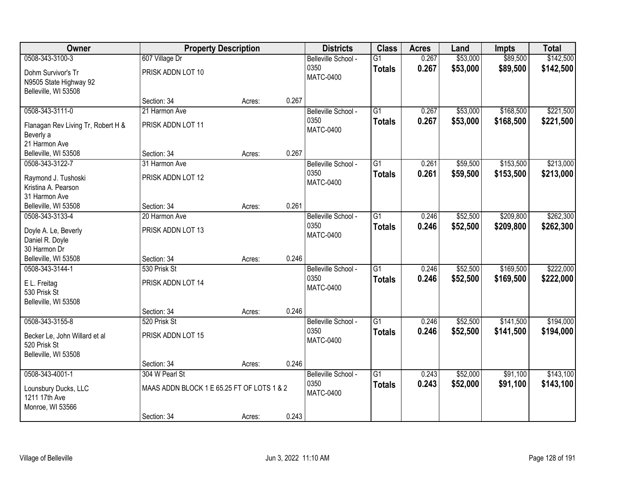| Owner                                                                          | <b>Property Description</b>                                                 |        |       | <b>Districts</b>                                | <b>Class</b>                     | <b>Acres</b>   | Land                 | <b>Impts</b>           | <b>Total</b>           |
|--------------------------------------------------------------------------------|-----------------------------------------------------------------------------|--------|-------|-------------------------------------------------|----------------------------------|----------------|----------------------|------------------------|------------------------|
| 0508-343-3100-3<br>Dohm Survivor's Tr<br>N9505 State Highway 92                | 607 Village Dr<br>PRISK ADDN LOT 10                                         |        |       | Belleville School -<br>0350<br><b>MATC-0400</b> | $\overline{G1}$<br><b>Totals</b> | 0.267<br>0.267 | \$53,000<br>\$53,000 | \$89,500<br>\$89,500   | \$142,500<br>\$142,500 |
| Belleville, WI 53508                                                           | Section: 34                                                                 | Acres: | 0.267 |                                                 |                                  |                |                      |                        |                        |
| 0508-343-3111-0<br>Flanagan Rev Living Tr, Robert H &<br>Beverly a             | 21 Harmon Ave<br>PRISK ADDN LOT 11                                          |        |       | Belleville School -<br>0350<br><b>MATC-0400</b> | $\overline{G1}$<br><b>Totals</b> | 0.267<br>0.267 | \$53,000<br>\$53,000 | \$168,500<br>\$168,500 | \$221,500<br>\$221,500 |
| 21 Harmon Ave<br>Belleville, WI 53508                                          | Section: 34                                                                 | Acres: | 0.267 |                                                 |                                  |                |                      |                        |                        |
| 0508-343-3122-7<br>Raymond J. Tushoski<br>Kristina A. Pearson<br>31 Harmon Ave | 31 Harmon Ave<br>PRISK ADDN LOT 12                                          |        |       | Belleville School -<br>0350<br><b>MATC-0400</b> | $\overline{G1}$<br><b>Totals</b> | 0.261<br>0.261 | \$59,500<br>\$59,500 | \$153,500<br>\$153,500 | \$213,000<br>\$213,000 |
| Belleville, WI 53508                                                           | Section: 34                                                                 | Acres: | 0.261 |                                                 |                                  |                |                      |                        |                        |
| 0508-343-3133-4<br>Doyle A. Le, Beverly<br>Daniel R. Doyle<br>30 Harmon Dr     | 20 Harmon Ave<br>PRISK ADDN LOT 13                                          |        |       | Belleville School -<br>0350<br><b>MATC-0400</b> | $\overline{G1}$<br><b>Totals</b> | 0.246<br>0.246 | \$52,500<br>\$52,500 | \$209,800<br>\$209,800 | \$262,300<br>\$262,300 |
| Belleville, WI 53508                                                           | Section: 34                                                                 | Acres: | 0.246 |                                                 |                                  |                |                      |                        |                        |
| 0508-343-3144-1<br>E L. Freitag<br>530 Prisk St<br>Belleville, WI 53508        | 530 Prisk St<br>PRISK ADDN LOT 14<br>Section: 34                            | Acres: | 0.246 | Belleville School -<br>0350<br><b>MATC-0400</b> | $\overline{G1}$<br><b>Totals</b> | 0.246<br>0.246 | \$52,500<br>\$52,500 | \$169,500<br>\$169,500 | \$222,000<br>\$222,000 |
| 0508-343-3155-8                                                                | 520 Prisk St                                                                |        |       | Belleville School -                             | $\overline{G1}$                  | 0.246          | \$52,500             | \$141,500              | \$194,000              |
| Becker Le, John Willard et al<br>520 Prisk St<br>Belleville, WI 53508          | PRISK ADDN LOT 15                                                           |        |       | 0350<br><b>MATC-0400</b>                        | <b>Totals</b>                    | 0.246          | \$52,500             | \$141,500              | \$194,000              |
|                                                                                | Section: 34                                                                 | Acres: | 0.246 |                                                 |                                  |                |                      |                        |                        |
| 0508-343-4001-1<br>Lounsbury Ducks, LLC<br>1211 17th Ave<br>Monroe, WI 53566   | 304 W Pearl St<br>MAAS ADDN BLOCK 1 E 65.25 FT OF LOTS 1 & 2<br>Section: 34 | Acres: | 0.243 | Belleville School -<br>0350<br><b>MATC-0400</b> | $\overline{G1}$<br><b>Totals</b> | 0.243<br>0.243 | \$52,000<br>\$52,000 | \$91,100<br>\$91,100   | \$143,100<br>\$143,100 |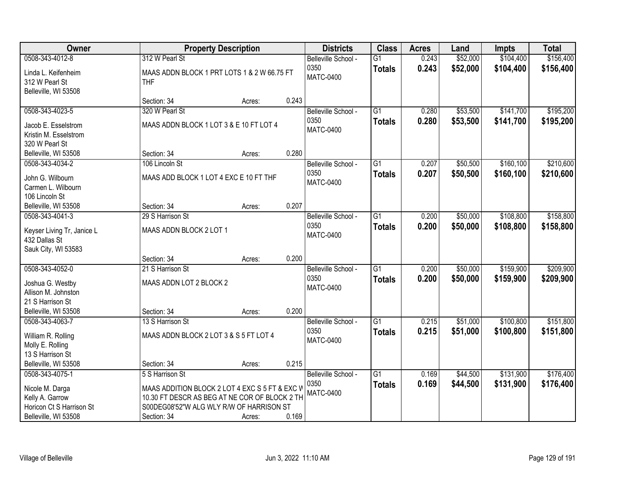| <b>Owner</b>                            |                                                           | <b>Property Description</b> |       | <b>Districts</b>         | <b>Class</b>    | <b>Acres</b> | Land     | <b>Impts</b> | <b>Total</b> |
|-----------------------------------------|-----------------------------------------------------------|-----------------------------|-------|--------------------------|-----------------|--------------|----------|--------------|--------------|
| 0508-343-4012-8                         | 312 W Pearl St                                            |                             |       | Belleville School -      | $\overline{G1}$ | 0.243        | \$52,000 | \$104,400    | \$156,400    |
| Linda L. Keifenheim<br>312 W Pearl St   | MAAS ADDN BLOCK 1 PRT LOTS 1 & 2 W 66.75 FT<br><b>THF</b> |                             |       | 0350<br><b>MATC-0400</b> | <b>Totals</b>   | 0.243        | \$52,000 | \$104,400    | \$156,400    |
| Belleville, WI 53508                    | Section: 34                                               | Acres:                      | 0.243 |                          |                 |              |          |              |              |
| 0508-343-4023-5                         | 320 W Pearl St                                            |                             |       | Belleville School -      | $\overline{G1}$ | 0.280        | \$53,500 | \$141,700    | \$195,200    |
|                                         |                                                           |                             |       | 0350                     | <b>Totals</b>   | 0.280        | \$53,500 | \$141,700    | \$195,200    |
| Jacob E. Esselstrom                     | MAAS ADDN BLOCK 1 LOT 3 & E 10 FT LOT 4                   |                             |       | <b>MATC-0400</b>         |                 |              |          |              |              |
| Kristin M. Esselstrom                   |                                                           |                             |       |                          |                 |              |          |              |              |
| 320 W Pearl St<br>Belleville, WI 53508  | Section: 34                                               | Acres:                      | 0.280 |                          |                 |              |          |              |              |
| 0508-343-4034-2                         | 106 Lincoln St                                            |                             |       | Belleville School -      | $\overline{G1}$ | 0.207        | \$50,500 | \$160,100    | \$210,600    |
|                                         |                                                           |                             |       | 0350                     | <b>Totals</b>   | 0.207        | \$50,500 | \$160,100    | \$210,600    |
| John G. Wilbourn                        | MAAS ADD BLOCK 1 LOT 4 EXC E 10 FT THF                    |                             |       | <b>MATC-0400</b>         |                 |              |          |              |              |
| Carmen L. Wilbourn                      |                                                           |                             |       |                          |                 |              |          |              |              |
| 106 Lincoln St                          |                                                           |                             | 0.207 |                          |                 |              |          |              |              |
| Belleville, WI 53508<br>0508-343-4041-3 | Section: 34<br>29 S Harrison St                           | Acres:                      |       | Belleville School -      | G1              | 0.200        | \$50,000 | \$108,800    | \$158,800    |
|                                         |                                                           |                             |       | 0350                     |                 | 0.200        | \$50,000 |              |              |
| Keyser Living Tr, Janice L              | MAAS ADDN BLOCK 2 LOT 1                                   |                             |       | <b>MATC-0400</b>         | <b>Totals</b>   |              |          | \$108,800    | \$158,800    |
| 432 Dallas St                           |                                                           |                             |       |                          |                 |              |          |              |              |
| Sauk City, WI 53583                     |                                                           |                             |       |                          |                 |              |          |              |              |
|                                         | Section: 34                                               | Acres:                      | 0.200 |                          |                 |              |          |              |              |
| 0508-343-4052-0                         | 21 S Harrison St                                          |                             |       | Belleville School -      | $\overline{G1}$ | 0.200        | \$50,000 | \$159,900    | \$209,900    |
| Joshua G. Westby                        | MAAS ADDN LOT 2 BLOCK 2                                   |                             |       | 0350<br><b>MATC-0400</b> | <b>Totals</b>   | 0.200        | \$50,000 | \$159,900    | \$209,900    |
| Allison M. Johnston                     |                                                           |                             |       |                          |                 |              |          |              |              |
| 21 S Harrison St                        |                                                           |                             |       |                          |                 |              |          |              |              |
| Belleville, WI 53508                    | Section: 34                                               | Acres:                      | 0.200 |                          |                 |              |          |              |              |
| 0508-343-4063-7                         | 13 S Harrison St                                          |                             |       | Belleville School -      | $\overline{G1}$ | 0.215        | \$51,000 | \$100,800    | \$151,800    |
| William R. Rolling                      | MAAS ADDN BLOCK 2 LOT 3 & S 5 FT LOT 4                    |                             |       | 0350                     | <b>Totals</b>   | 0.215        | \$51,000 | \$100,800    | \$151,800    |
| Molly E. Rolling                        |                                                           |                             |       | <b>MATC-0400</b>         |                 |              |          |              |              |
| 13 S Harrison St                        |                                                           |                             |       |                          |                 |              |          |              |              |
| Belleville, WI 53508                    | Section: 34                                               | Acres:                      | 0.215 |                          |                 |              |          |              |              |
| 0508-343-4075-1                         | 5 S Harrison St                                           |                             |       | Belleville School -      | $\overline{G1}$ | 0.169        | \$44,500 | \$131,900    | \$176,400    |
| Nicole M. Darga                         | MAAS ADDITION BLOCK 2 LOT 4 EXC S 5 FT & EXC V            |                             |       | 0350                     | <b>Totals</b>   | 0.169        | \$44,500 | \$131,900    | \$176,400    |
| Kelly A. Garrow                         | 10.30 FT DESCR AS BEG AT NE COR OF BLOCK 2 TH             |                             |       | <b>MATC-0400</b>         |                 |              |          |              |              |
| Horicon Ct S Harrison St                | S00DEG08'52"W ALG WLY R/W OF HARRISON ST                  |                             |       |                          |                 |              |          |              |              |
| Belleville, WI 53508                    | Section: 34                                               | Acres:                      | 0.169 |                          |                 |              |          |              |              |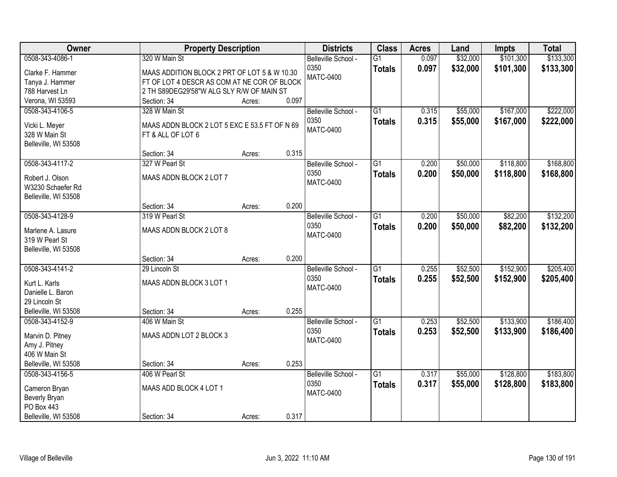| Owner                           | <b>Property Description</b>                   |        |       | <b>Districts</b>    | <b>Class</b>    | <b>Acres</b> | Land     | <b>Impts</b> | <b>Total</b> |
|---------------------------------|-----------------------------------------------|--------|-------|---------------------|-----------------|--------------|----------|--------------|--------------|
| 0508-343-4086-1                 | 320 W Main St                                 |        |       | Belleville School - | $\overline{G1}$ | 0.097        | \$32,000 | \$101,300    | \$133,300    |
| Clarke F. Hammer                | MAAS ADDITION BLOCK 2 PRT OF LOT 5 & W 10.30  |        |       | 0350                | <b>Totals</b>   | 0.097        | \$32,000 | \$101,300    | \$133,300    |
| Tanya J. Hammer                 | FT OF LOT 4 DESCR AS COM AT NE COR OF BLOCK   |        |       | <b>MATC-0400</b>    |                 |              |          |              |              |
| 788 Harvest Ln                  | 2 TH S89DEG29'58"W ALG SLY R/W OF MAIN ST     |        |       |                     |                 |              |          |              |              |
| Verona, WI 53593                | Section: 34                                   | Acres: | 0.097 |                     |                 |              |          |              |              |
| 0508-343-4106-5                 | 328 W Main St                                 |        |       | Belleville School - | $\overline{G1}$ | 0.315        | \$55,000 | \$167,000    | \$222,000    |
|                                 |                                               |        |       | 0350                | <b>Totals</b>   | 0.315        | \$55,000 | \$167,000    | \$222,000    |
| Vicki L. Meyer<br>328 W Main St | MAAS ADDN BLOCK 2 LOT 5 EXC E 53.5 FT OF N 69 |        |       | <b>MATC-0400</b>    |                 |              |          |              |              |
| Belleville, WI 53508            | FT & ALL OF LOT 6                             |        |       |                     |                 |              |          |              |              |
|                                 | Section: 34                                   | Acres: | 0.315 |                     |                 |              |          |              |              |
| 0508-343-4117-2                 | 327 W Pearl St                                |        |       | Belleville School - | G1              | 0.200        | \$50,000 | \$118,800    | \$168,800    |
|                                 |                                               |        |       | 0350                | <b>Totals</b>   | 0.200        | \$50,000 | \$118,800    | \$168,800    |
| Robert J. Olson                 | MAAS ADDN BLOCK 2 LOT 7                       |        |       | <b>MATC-0400</b>    |                 |              |          |              |              |
| W3230 Schaefer Rd               |                                               |        |       |                     |                 |              |          |              |              |
| Belleville, WI 53508            |                                               |        |       |                     |                 |              |          |              |              |
|                                 | Section: 34                                   | Acres: | 0.200 |                     |                 |              |          |              |              |
| 0508-343-4128-9                 | 319 W Pearl St                                |        |       | Belleville School - | G1              | 0.200        | \$50,000 | \$82,200     | \$132,200    |
| Marlene A. Lasure               | MAAS ADDN BLOCK 2 LOT 8                       |        |       | 0350                | <b>Totals</b>   | 0.200        | \$50,000 | \$82,200     | \$132,200    |
| 319 W Pearl St                  |                                               |        |       | <b>MATC-0400</b>    |                 |              |          |              |              |
| Belleville, WI 53508            |                                               |        |       |                     |                 |              |          |              |              |
|                                 | Section: 34                                   | Acres: | 0.200 |                     |                 |              |          |              |              |
| 0508-343-4141-2                 | 29 Lincoln St                                 |        |       | Belleville School - | $\overline{G1}$ | 0.255        | \$52,500 | \$152,900    | \$205,400    |
| Kurt L. Karls                   | MAAS ADDN BLOCK 3 LOT 1                       |        |       | 0350                | <b>Totals</b>   | 0.255        | \$52,500 | \$152,900    | \$205,400    |
| Danielle L. Baron               |                                               |        |       | <b>MATC-0400</b>    |                 |              |          |              |              |
| 29 Lincoln St                   |                                               |        |       |                     |                 |              |          |              |              |
| Belleville, WI 53508            | Section: 34                                   | Acres: | 0.255 |                     |                 |              |          |              |              |
| 0508-343-4152-9                 | 406 W Main St                                 |        |       | Belleville School - | $\overline{G1}$ | 0.253        | \$52,500 | \$133,900    | \$186,400    |
|                                 |                                               |        |       | 0350                | <b>Totals</b>   | 0.253        | \$52,500 | \$133,900    | \$186,400    |
| Marvin D. Pitney                | MAAS ADDN LOT 2 BLOCK 3                       |        |       | <b>MATC-0400</b>    |                 |              |          |              |              |
| Amy J. Pitney                   |                                               |        |       |                     |                 |              |          |              |              |
| 406 W Main St                   |                                               |        |       |                     |                 |              |          |              |              |
| Belleville, WI 53508            | Section: 34                                   | Acres: | 0.253 |                     |                 |              |          |              |              |
| 0508-343-4156-5                 | 406 W Pearl St                                |        |       | Belleville School - | $\overline{G1}$ | 0.317        | \$55,000 | \$128,800    | \$183,800    |
| Cameron Bryan                   | MAAS ADD BLOCK 4 LOT 1                        |        |       | 0350                | <b>Totals</b>   | 0.317        | \$55,000 | \$128,800    | \$183,800    |
| Beverly Bryan                   |                                               |        |       | <b>MATC-0400</b>    |                 |              |          |              |              |
| PO Box 443                      |                                               |        |       |                     |                 |              |          |              |              |
| Belleville, WI 53508            | Section: 34                                   | Acres: | 0.317 |                     |                 |              |          |              |              |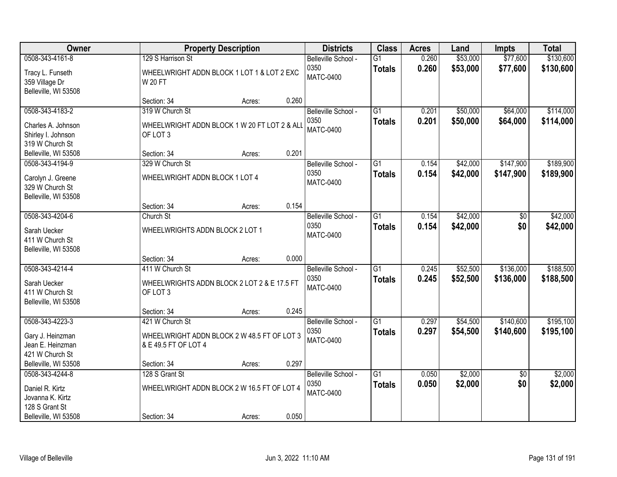| Owner                                                                                            |                                                                                           | <b>Property Description</b> |       | <b>Districts</b>                                | <b>Class</b>                     | <b>Acres</b>   | Land                 | <b>Impts</b>           | <b>Total</b>           |
|--------------------------------------------------------------------------------------------------|-------------------------------------------------------------------------------------------|-----------------------------|-------|-------------------------------------------------|----------------------------------|----------------|----------------------|------------------------|------------------------|
| 0508-343-4161-8<br>Tracy L. Funseth<br>359 Village Dr<br>Belleville, WI 53508                    | 129 S Harrison St<br>WHEELWRIGHT ADDN BLOCK 1 LOT 1 & LOT 2 EXC<br><b>W20FT</b>           |                             |       | Belleville School -<br>0350<br><b>MATC-0400</b> | $\overline{G1}$<br><b>Totals</b> | 0.260<br>0.260 | \$53,000<br>\$53,000 | \$77,600<br>\$77,600   | \$130,600<br>\$130,600 |
|                                                                                                  | Section: 34                                                                               | Acres:                      | 0.260 |                                                 |                                  |                |                      |                        |                        |
| 0508-343-4183-2<br>Charles A. Johnson<br>Shirley I. Johnson<br>319 W Church St                   | 319 W Church St<br>WHEELWRIGHT ADDN BLOCK 1 W 20 FT LOT 2 & ALL<br>OF LOT 3               |                             |       | Belleville School -<br>0350<br><b>MATC-0400</b> | $\overline{G1}$<br><b>Totals</b> | 0.201<br>0.201 | \$50,000<br>\$50,000 | \$64,000<br>\$64,000   | \$114,000<br>\$114,000 |
| Belleville, WI 53508                                                                             | Section: 34                                                                               | Acres:                      | 0.201 |                                                 |                                  |                |                      |                        |                        |
| 0508-343-4194-9<br>Carolyn J. Greene<br>329 W Church St<br>Belleville, WI 53508                  | 329 W Church St<br>WHEELWRIGHT ADDN BLOCK 1 LOT 4                                         |                             |       | Belleville School -<br>0350<br><b>MATC-0400</b> | G1<br><b>Totals</b>              | 0.154<br>0.154 | \$42,000<br>\$42,000 | \$147,900<br>\$147,900 | \$189,900<br>\$189,900 |
|                                                                                                  | Section: 34                                                                               | Acres:                      | 0.154 |                                                 |                                  |                |                      |                        |                        |
| 0508-343-4204-6<br>Sarah Uecker<br>411 W Church St<br>Belleville, WI 53508                       | Church St<br>WHEELWRIGHTS ADDN BLOCK 2 LOT 1                                              |                             |       | Belleville School -<br>0350<br><b>MATC-0400</b> | $\overline{G1}$<br><b>Totals</b> | 0.154<br>0.154 | \$42,000<br>\$42,000 | \$0<br>\$0             | \$42,000<br>\$42,000   |
|                                                                                                  | Section: 34                                                                               | Acres:                      | 0.000 |                                                 |                                  |                |                      |                        |                        |
| 0508-343-4214-4<br>Sarah Uecker<br>411 W Church St<br>Belleville, WI 53508                       | 411 W Church St<br>WHEELWRIGHTS ADDN BLOCK 2 LOT 2 & E 17.5 FT<br>OF LOT 3<br>Section: 34 | Acres:                      | 0.245 | Belleville School -<br>0350<br><b>MATC-0400</b> | $\overline{G1}$<br><b>Totals</b> | 0.245<br>0.245 | \$52,500<br>\$52,500 | \$136,000<br>\$136,000 | \$188,500<br>\$188,500 |
| 0508-343-4223-3                                                                                  | 421 W Church St                                                                           |                             |       | Belleville School -                             | $\overline{G1}$                  | 0.297          | \$54,500             | \$140,600              | \$195,100              |
| Gary J. Heinzman<br>Jean E. Heinzman<br>421 W Church St                                          | WHEELWRIGHT ADDN BLOCK 2 W 48.5 FT OF LOT 3<br>& E 49.5 FT OF LOT 4                       |                             |       | 0350<br><b>MATC-0400</b>                        | <b>Totals</b>                    | 0.297          | \$54,500             | \$140,600              | \$195,100              |
| Belleville, WI 53508                                                                             | Section: 34                                                                               | Acres:                      | 0.297 |                                                 |                                  |                |                      |                        |                        |
| 0508-343-4244-8<br>Daniel R. Kirtz<br>Jovanna K. Kirtz<br>128 S Grant St<br>Belleville, WI 53508 | 128 S Grant St<br>WHEELWRIGHT ADDN BLOCK 2 W 16.5 FT OF LOT 4<br>Section: 34              | Acres:                      | 0.050 | Belleville School -<br>0350<br><b>MATC-0400</b> | $\overline{G1}$<br><b>Totals</b> | 0.050<br>0.050 | \$2,000<br>\$2,000   | $\overline{50}$<br>\$0 | \$2,000<br>\$2,000     |
|                                                                                                  |                                                                                           |                             |       |                                                 |                                  |                |                      |                        |                        |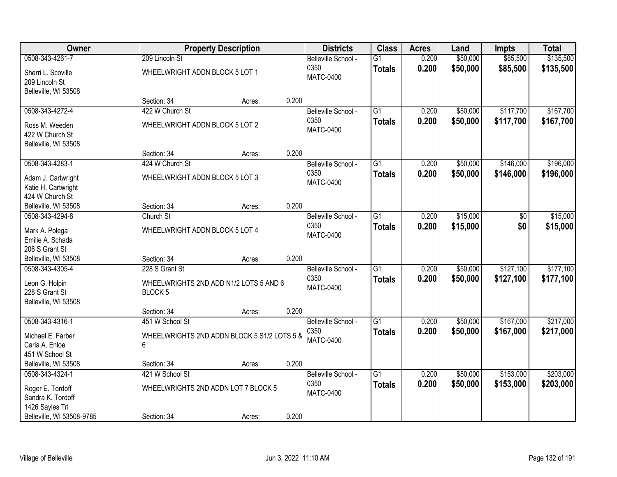| Owner                                |                                             | <b>Property Description</b> |       | <b>Districts</b>            | <b>Class</b>    | <b>Acres</b>   | Land     | Impts           | <b>Total</b> |
|--------------------------------------|---------------------------------------------|-----------------------------|-------|-----------------------------|-----------------|----------------|----------|-----------------|--------------|
| 0508-343-4261-7                      | 209 Lincoln St                              |                             |       | Belleville School -         | $\overline{G1}$ | 0.200          | \$50,000 | \$85,500        | \$135,500    |
| Sherri L. Scoville<br>209 Lincoln St | WHEELWRIGHT ADDN BLOCK 5 LOT 1              |                             |       | 0350<br><b>MATC-0400</b>    | <b>Totals</b>   | 0.200          | \$50,000 | \$85,500        | \$135,500    |
| Belleville, WI 53508                 |                                             |                             |       |                             |                 |                |          |                 |              |
|                                      | Section: 34                                 | Acres:                      | 0.200 |                             |                 |                |          |                 |              |
| 0508-343-4272-4                      | 422 W Church St                             |                             |       | Belleville School -         | $\overline{G1}$ | 0.200          | \$50,000 | \$117,700       | \$167,700    |
| Ross M. Weeden                       | WHEELWRIGHT ADDN BLOCK 5 LOT 2              |                             |       | 0350                        | <b>Totals</b>   | 0.200          | \$50,000 | \$117,700       | \$167,700    |
| 422 W Church St                      |                                             |                             |       | MATC-0400                   |                 |                |          |                 |              |
| Belleville, WI 53508                 |                                             |                             |       |                             |                 |                |          |                 |              |
|                                      | Section: 34                                 | Acres:                      | 0.200 |                             |                 |                |          |                 |              |
| 0508-343-4283-1                      | 424 W Church St                             |                             |       | Belleville School -         | $\overline{G1}$ | 0.200          | \$50,000 | \$146,000       | \$196,000    |
| Adam J. Cartwright                   | WHEELWRIGHT ADDN BLOCK 5 LOT 3              |                             |       | 0350                        | <b>Totals</b>   | 0.200          | \$50,000 | \$146,000       | \$196,000    |
| Katie H. Cartwright                  |                                             |                             |       | <b>MATC-0400</b>            |                 |                |          |                 |              |
| 424 W Church St                      |                                             |                             |       |                             |                 |                |          |                 |              |
| Belleville, WI 53508                 | Section: 34                                 | Acres:                      | 0.200 |                             |                 |                |          |                 |              |
| 0508-343-4294-8                      | Church St                                   |                             |       | Belleville School -         | $\overline{G1}$ | 0.200          | \$15,000 | $\overline{50}$ | \$15,000     |
|                                      |                                             |                             |       | 0350                        | <b>Totals</b>   | 0.200          | \$15,000 | \$0             | \$15,000     |
| Mark A. Polega<br>Emilie A. Schada   | WHEELWRIGHT ADDN BLOCK 5 LOT 4              |                             |       | <b>MATC-0400</b>            |                 |                |          |                 |              |
| 206 S Grant St                       |                                             |                             |       |                             |                 |                |          |                 |              |
| Belleville, WI 53508                 | Section: 34                                 | Acres:                      | 0.200 |                             |                 |                |          |                 |              |
| 0508-343-4305-4                      | 228 S Grant St                              |                             |       | Belleville School -         | $\overline{G1}$ | 0.200          | \$50,000 | \$127,100       | \$177,100    |
|                                      |                                             |                             |       | 0350                        | <b>Totals</b>   | 0.200          | \$50,000 | \$127,100       | \$177,100    |
| Leon G. Holpin                       | WHEELWRIGHTS 2ND ADD N1/2 LOTS 5 AND 6      |                             |       | <b>MATC-0400</b>            |                 |                |          |                 |              |
| 228 S Grant St                       | <b>BLOCK5</b>                               |                             |       |                             |                 |                |          |                 |              |
| Belleville, WI 53508                 | Section: 34                                 | Acres:                      | 0.200 |                             |                 |                |          |                 |              |
| 0508-343-4316-1                      | 451 W School St                             |                             |       | Belleville School -         | $\overline{G1}$ | 0.200          | \$50,000 | \$167,000       | \$217,000    |
|                                      |                                             |                             |       | 0350                        | <b>Totals</b>   | 0.200          | \$50,000 | \$167,000       | \$217,000    |
| Michael E. Farber                    | WHEELWRIGHTS 2ND ADDN BLOCK 5 S1/2 LOTS 5 & |                             |       | <b>MATC-0400</b>            |                 |                |          |                 |              |
| Carla A. Enloe                       | 6                                           |                             |       |                             |                 |                |          |                 |              |
| 451 W School St                      |                                             |                             |       |                             |                 |                |          |                 |              |
| Belleville, WI 53508                 | Section: 34                                 | Acres:                      | 0.200 |                             |                 |                |          |                 | \$203,000    |
| 0508-343-4324-1                      | 421 W School St                             |                             |       | Belleville School -<br>0350 | $\overline{G1}$ | 0.200<br>0.200 | \$50,000 | \$153,000       |              |
| Roger E. Tordoff                     | WHEELWRIGHTS 2ND ADDN LOT 7 BLOCK 5         |                             |       | <b>MATC-0400</b>            | <b>Totals</b>   |                | \$50,000 | \$153,000       | \$203,000    |
| Sandra K. Tordoff                    |                                             |                             |       |                             |                 |                |          |                 |              |
| 1426 Sayles Trl                      |                                             |                             |       |                             |                 |                |          |                 |              |
| Belleville, WI 53508-9785            | Section: 34                                 | Acres:                      | 0.200 |                             |                 |                |          |                 |              |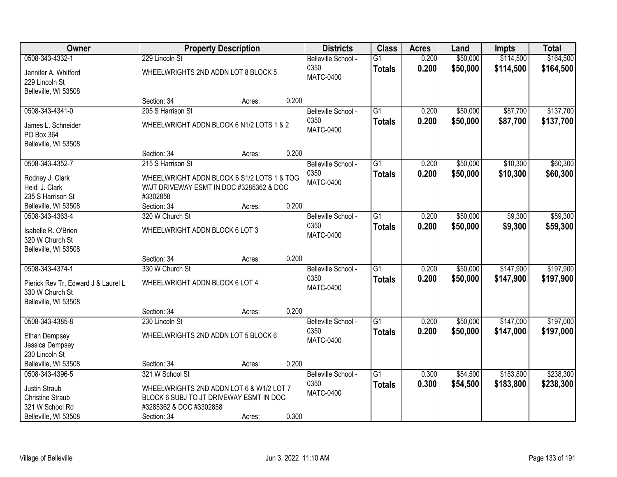| Owner                                   |                                            | <b>Property Description</b> |       | <b>Districts</b>    | <b>Class</b>    | <b>Acres</b> | Land     | <b>Impts</b> | <b>Total</b> |
|-----------------------------------------|--------------------------------------------|-----------------------------|-------|---------------------|-----------------|--------------|----------|--------------|--------------|
| 0508-343-4332-1                         | 229 Lincoln St                             |                             |       | Belleville School - | $\overline{G1}$ | 0.200        | \$50,000 | \$114,500    | \$164,500    |
| Jennifer A. Whitford                    | WHEELWRIGHTS 2ND ADDN LOT 8 BLOCK 5        |                             |       | 0350                | <b>Totals</b>   | 0.200        | \$50,000 | \$114,500    | \$164,500    |
| 229 Lincoln St                          |                                            |                             |       | <b>MATC-0400</b>    |                 |              |          |              |              |
| Belleville, WI 53508                    |                                            |                             |       |                     |                 |              |          |              |              |
|                                         | Section: 34                                | Acres:                      | 0.200 |                     |                 |              |          |              |              |
| 0508-343-4341-0                         | 205 S Harrison St                          |                             |       | Belleville School - | $\overline{G1}$ | 0.200        | \$50,000 | \$87,700     | \$137,700    |
| James L. Schneider                      | WHEELWRIGHT ADDN BLOCK 6 N1/2 LOTS 1 & 2   |                             |       | 0350                | <b>Totals</b>   | 0.200        | \$50,000 | \$87,700     | \$137,700    |
| PO Box 364                              |                                            |                             |       | <b>MATC-0400</b>    |                 |              |          |              |              |
| Belleville, WI 53508                    |                                            |                             |       |                     |                 |              |          |              |              |
|                                         | Section: 34                                | Acres:                      | 0.200 |                     |                 |              |          |              |              |
| 0508-343-4352-7                         | 215 S Harrison St                          |                             |       | Belleville School - | G1              | 0.200        | \$50,000 | \$10,300     | \$60,300     |
|                                         | WHEELWRIGHT ADDN BLOCK 6 S1/2 LOTS 1 & TOG |                             |       | 0350                | <b>Totals</b>   | 0.200        | \$50,000 | \$10,300     | \$60,300     |
| Rodney J. Clark<br>Heidi J. Clark       | W/JT DRIVEWAY ESMT IN DOC #3285362 & DOC   |                             |       | <b>MATC-0400</b>    |                 |              |          |              |              |
| 235 S Harrison St                       | #3302858                                   |                             |       |                     |                 |              |          |              |              |
| Belleville, WI 53508                    | Section: 34                                | Acres:                      | 0.200 |                     |                 |              |          |              |              |
| 0508-343-4363-4                         | 320 W Church St                            |                             |       | Belleville School - | G1              | 0.200        | \$50,000 | \$9,300      | \$59,300     |
|                                         |                                            |                             |       | 0350                | <b>Totals</b>   | 0.200        | \$50,000 | \$9,300      | \$59,300     |
| Isabelle R. O'Brien<br>320 W Church St  | WHEELWRIGHT ADDN BLOCK 6 LOT 3             |                             |       | <b>MATC-0400</b>    |                 |              |          |              |              |
| Belleville, WI 53508                    |                                            |                             |       |                     |                 |              |          |              |              |
|                                         | Section: 34                                | Acres:                      | 0.200 |                     |                 |              |          |              |              |
| 0508-343-4374-1                         | 330 W Church St                            |                             |       | Belleville School - | $\overline{G1}$ | 0.200        | \$50,000 | \$147,900    | \$197,900    |
|                                         |                                            |                             |       | 0350                | <b>Totals</b>   | 0.200        | \$50,000 | \$147,900    | \$197,900    |
| Pierick Rev Tr, Edward J & Laurel L     | WHEELWRIGHT ADDN BLOCK 6 LOT 4             |                             |       | <b>MATC-0400</b>    |                 |              |          |              |              |
| 330 W Church St<br>Belleville, WI 53508 |                                            |                             |       |                     |                 |              |          |              |              |
|                                         | Section: 34                                | Acres:                      | 0.200 |                     |                 |              |          |              |              |
| 0508-343-4385-8                         | 230 Lincoln St                             |                             |       | Belleville School - | $\overline{G1}$ | 0.200        | \$50,000 | \$147,000    | \$197,000    |
|                                         |                                            |                             |       | 0350                | <b>Totals</b>   | 0.200        | \$50,000 | \$147,000    | \$197,000    |
| Ethan Dempsey                           | WHEELWRIGHTS 2ND ADDN LOT 5 BLOCK 6        |                             |       | <b>MATC-0400</b>    |                 |              |          |              |              |
| Jessica Dempsey                         |                                            |                             |       |                     |                 |              |          |              |              |
| 230 Lincoln St<br>Belleville, WI 53508  | Section: 34                                |                             | 0.200 |                     |                 |              |          |              |              |
| 0508-343-4396-5                         | 321 W School St                            | Acres:                      |       | Belleville School - | $\overline{G1}$ | 0.300        | \$54,500 | \$183,800    | \$238,300    |
|                                         |                                            |                             |       | 0350                | <b>Totals</b>   | 0.300        | \$54,500 | \$183,800    | \$238,300    |
| Justin Straub                           | WHEELWRIGHTS 2ND ADDN LOT 6 & W1/2 LOT 7   |                             |       | <b>MATC-0400</b>    |                 |              |          |              |              |
| <b>Christine Straub</b>                 | BLOCK 6 SUBJ TO JT DRIVEWAY ESMT IN DOC    |                             |       |                     |                 |              |          |              |              |
| 321 W School Rd                         | #3285362 & DOC #3302858                    |                             |       |                     |                 |              |          |              |              |
| Belleville, WI 53508                    | Section: 34                                | Acres:                      | 0.300 |                     |                 |              |          |              |              |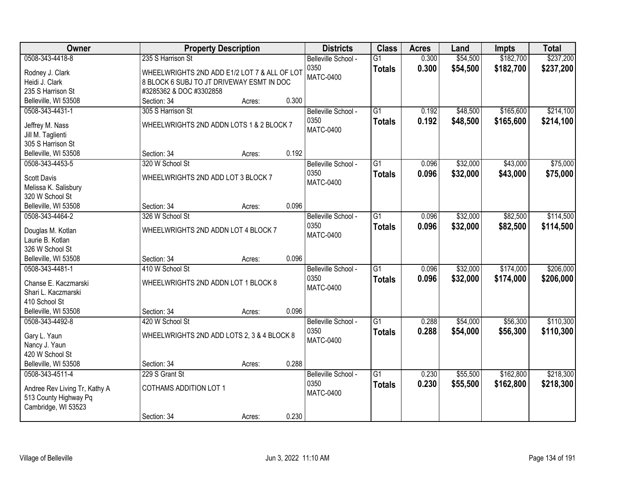| Owner                                 |                                              | <b>Property Description</b> |       | <b>Districts</b>    | <b>Class</b>    | <b>Acres</b> | Land     | <b>Impts</b> | <b>Total</b> |
|---------------------------------------|----------------------------------------------|-----------------------------|-------|---------------------|-----------------|--------------|----------|--------------|--------------|
| 0508-343-4418-8                       | 235 S Harrison St                            |                             |       | Belleville School - | $\overline{G1}$ | 0.300        | \$54,500 | \$182,700    | \$237,200    |
| Rodney J. Clark                       | WHEELWRIGHTS 2ND ADD E1/2 LOT 7 & ALL OF LOT |                             |       | 0350                | <b>Totals</b>   | 0.300        | \$54,500 | \$182,700    | \$237,200    |
| Heidi J. Clark                        | 8 BLOCK 6 SUBJ TO JT DRIVEWAY ESMT IN DOC    |                             |       | <b>MATC-0400</b>    |                 |              |          |              |              |
| 235 S Harrison St                     | #3285362 & DOC #3302858                      |                             |       |                     |                 |              |          |              |              |
| Belleville, WI 53508                  | Section: 34                                  | Acres:                      | 0.300 |                     |                 |              |          |              |              |
| 0508-343-4431-1                       | 305 S Harrison St                            |                             |       | Belleville School - | $\overline{G1}$ | 0.192        | \$48,500 | \$165,600    | \$214,100    |
|                                       |                                              |                             |       | 0350                | <b>Totals</b>   | 0.192        | \$48,500 | \$165,600    | \$214,100    |
| Jeffrey M. Nass                       | WHEELWRIGHTS 2ND ADDN LOTS 1 & 2 BLOCK 7     |                             |       | <b>MATC-0400</b>    |                 |              |          |              |              |
| Jill M. Taglienti                     |                                              |                             |       |                     |                 |              |          |              |              |
| 305 S Harrison St                     |                                              |                             |       |                     |                 |              |          |              |              |
| Belleville, WI 53508                  | Section: 34                                  | Acres:                      | 0.192 |                     |                 |              |          |              |              |
| 0508-343-4453-5                       | 320 W School St                              |                             |       | Belleville School - | $\overline{G1}$ | 0.096        | \$32,000 | \$43,000     | \$75,000     |
| <b>Scott Davis</b>                    | WHEELWRIGHTS 2ND ADD LOT 3 BLOCK 7           |                             |       | 0350                | <b>Totals</b>   | 0.096        | \$32,000 | \$43,000     | \$75,000     |
| Melissa K. Salisbury                  |                                              |                             |       | <b>MATC-0400</b>    |                 |              |          |              |              |
| 320 W School St                       |                                              |                             |       |                     |                 |              |          |              |              |
| Belleville, WI 53508                  | Section: 34                                  | Acres:                      | 0.096 |                     |                 |              |          |              |              |
| 0508-343-4464-2                       | 326 W School St                              |                             |       | Belleville School - | $\overline{G1}$ | 0.096        | \$32,000 | \$82,500     | \$114,500    |
|                                       | WHEELWRIGHTS 2ND ADDN LOT 4 BLOCK 7          |                             |       | 0350                | <b>Totals</b>   | 0.096        | \$32,000 | \$82,500     | \$114,500    |
| Douglas M. Kotlan<br>Laurie B. Kotlan |                                              |                             |       | <b>MATC-0400</b>    |                 |              |          |              |              |
| 326 W School St                       |                                              |                             |       |                     |                 |              |          |              |              |
| Belleville, WI 53508                  | Section: 34                                  | Acres:                      | 0.096 |                     |                 |              |          |              |              |
| 0508-343-4481-1                       | 410 W School St                              |                             |       | Belleville School - | $\overline{G1}$ | 0.096        | \$32,000 | \$174,000    | \$206,000    |
|                                       |                                              |                             |       | 0350                |                 | 0.096        |          | \$174,000    |              |
| Chanse E. Kaczmarski                  | WHEELWRIGHTS 2ND ADDN LOT 1 BLOCK 8          |                             |       | <b>MATC-0400</b>    | <b>Totals</b>   |              | \$32,000 |              | \$206,000    |
| Shari L. Kaczmarski                   |                                              |                             |       |                     |                 |              |          |              |              |
| 410 School St                         |                                              |                             |       |                     |                 |              |          |              |              |
| Belleville, WI 53508                  | Section: 34                                  | Acres:                      | 0.096 |                     |                 |              |          |              |              |
| 0508-343-4492-8                       | 420 W School St                              |                             |       | Belleville School - | $\overline{G1}$ | 0.288        | \$54,000 | \$56,300     | \$110,300    |
| Gary L. Yaun                          | WHEELWRIGHTS 2ND ADD LOTS 2, 3 & 4 BLOCK 8   |                             |       | 0350                | <b>Totals</b>   | 0.288        | \$54,000 | \$56,300     | \$110,300    |
| Nancy J. Yaun                         |                                              |                             |       | <b>MATC-0400</b>    |                 |              |          |              |              |
| 420 W School St                       |                                              |                             |       |                     |                 |              |          |              |              |
| Belleville, WI 53508                  | Section: 34                                  | Acres:                      | 0.288 |                     |                 |              |          |              |              |
| 0508-343-4511-4                       | 229 S Grant St                               |                             |       | Belleville School - | $\overline{G1}$ | 0.230        | \$55,500 | \$162,800    | \$218,300    |
|                                       |                                              |                             |       | 0350                | <b>Totals</b>   | 0.230        | \$55,500 | \$162,800    | \$218,300    |
| Andree Rev Living Tr, Kathy A         | <b>COTHAMS ADDITION LOT 1</b>                |                             |       | <b>MATC-0400</b>    |                 |              |          |              |              |
| 513 County Highway Pq                 |                                              |                             |       |                     |                 |              |          |              |              |
| Cambridge, WI 53523                   |                                              |                             |       |                     |                 |              |          |              |              |
|                                       | Section: 34                                  | Acres:                      | 0.230 |                     |                 |              |          |              |              |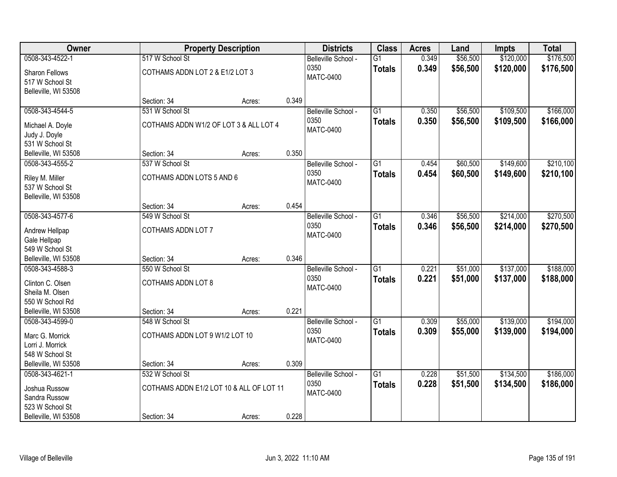| Owner                                   |                                          | <b>Property Description</b> |       | <b>Districts</b>            | <b>Class</b>    | <b>Acres</b> | Land     | <b>Impts</b> | <b>Total</b> |
|-----------------------------------------|------------------------------------------|-----------------------------|-------|-----------------------------|-----------------|--------------|----------|--------------|--------------|
| 0508-343-4522-1                         | 517 W School St                          |                             |       | Belleville School -         | $\overline{G1}$ | 0.349        | \$56,500 | \$120,000    | \$176,500    |
| Sharon Fellows                          | COTHAMS ADDN LOT 2 & E1/2 LOT 3          |                             |       | 0350<br><b>MATC-0400</b>    | <b>Totals</b>   | 0.349        | \$56,500 | \$120,000    | \$176,500    |
| 517 W School St                         |                                          |                             |       |                             |                 |              |          |              |              |
| Belleville, WI 53508                    | Section: 34                              | Acres:                      | 0.349 |                             |                 |              |          |              |              |
| 0508-343-4544-5                         | 531 W School St                          |                             |       | Belleville School -         | $\overline{G1}$ | 0.350        | \$56,500 | \$109,500    | \$166,000    |
|                                         |                                          |                             |       | 0350                        | <b>Totals</b>   | 0.350        | \$56,500 | \$109,500    | \$166,000    |
| Michael A. Doyle                        | COTHAMS ADDN W1/2 OF LOT 3 & ALL LOT 4   |                             |       | <b>MATC-0400</b>            |                 |              |          |              |              |
| Judy J. Doyle                           |                                          |                             |       |                             |                 |              |          |              |              |
| 531 W School St                         |                                          |                             | 0.350 |                             |                 |              |          |              |              |
| Belleville, WI 53508<br>0508-343-4555-2 | Section: 34<br>537 W School St           | Acres:                      |       |                             | $\overline{G1}$ | 0.454        | \$60,500 | \$149,600    | \$210,100    |
|                                         |                                          |                             |       | Belleville School -<br>0350 |                 |              |          |              |              |
| Riley M. Miller                         | COTHAMS ADDN LOTS 5 AND 6                |                             |       | <b>MATC-0400</b>            | <b>Totals</b>   | 0.454        | \$60,500 | \$149,600    | \$210,100    |
| 537 W School St                         |                                          |                             |       |                             |                 |              |          |              |              |
| Belleville, WI 53508                    |                                          |                             |       |                             |                 |              |          |              |              |
|                                         | Section: 34                              | Acres:                      | 0.454 |                             |                 |              |          |              |              |
| 0508-343-4577-6                         | 549 W School St                          |                             |       | Belleville School -         | $\overline{G1}$ | 0.346        | \$56,500 | \$214,000    | \$270,500    |
| Andrew Hellpap                          | COTHAMS ADDN LOT 7                       |                             |       | 0350<br><b>MATC-0400</b>    | <b>Totals</b>   | 0.346        | \$56,500 | \$214,000    | \$270,500    |
| Gale Hellpap                            |                                          |                             |       |                             |                 |              |          |              |              |
| 549 W School St                         |                                          |                             |       |                             |                 |              |          |              |              |
| Belleville, WI 53508                    | Section: 34                              | Acres:                      | 0.346 |                             |                 |              |          |              |              |
| 0508-343-4588-3                         | 550 W School St                          |                             |       | Belleville School -         | $\overline{G1}$ | 0.221        | \$51,000 | \$137,000    | \$188,000    |
| Clinton C. Olsen                        | <b>COTHAMS ADDN LOT 8</b>                |                             |       | 0350                        | <b>Totals</b>   | 0.221        | \$51,000 | \$137,000    | \$188,000    |
| Sheila M. Olsen                         |                                          |                             |       | <b>MATC-0400</b>            |                 |              |          |              |              |
| 550 W School Rd                         |                                          |                             |       |                             |                 |              |          |              |              |
| Belleville, WI 53508                    | Section: 34                              | Acres:                      | 0.221 |                             |                 |              |          |              |              |
| 0508-343-4599-0                         | 548 W School St                          |                             |       | Belleville School -         | $\overline{G1}$ | 0.309        | \$55,000 | \$139,000    | \$194,000    |
| Marc G. Morrick                         | COTHAMS ADDN LOT 9 W1/2 LOT 10           |                             |       | 0350                        | <b>Totals</b>   | 0.309        | \$55,000 | \$139,000    | \$194,000    |
| Lorri J. Morrick                        |                                          |                             |       | <b>MATC-0400</b>            |                 |              |          |              |              |
| 548 W School St                         |                                          |                             |       |                             |                 |              |          |              |              |
| Belleville, WI 53508                    | Section: 34                              | Acres:                      | 0.309 |                             |                 |              |          |              |              |
| 0508-343-4621-1                         | 532 W School St                          |                             |       | Belleville School -         | $\overline{G1}$ | 0.228        | \$51,500 | \$134,500    | \$186,000    |
| Joshua Russow                           | COTHAMS ADDN E1/2 LOT 10 & ALL OF LOT 11 |                             |       | 0350                        | <b>Totals</b>   | 0.228        | \$51,500 | \$134,500    | \$186,000    |
| Sandra Russow                           |                                          |                             |       | <b>MATC-0400</b>            |                 |              |          |              |              |
| 523 W School St                         |                                          |                             |       |                             |                 |              |          |              |              |
| Belleville, WI 53508                    | Section: 34                              | Acres:                      | 0.228 |                             |                 |              |          |              |              |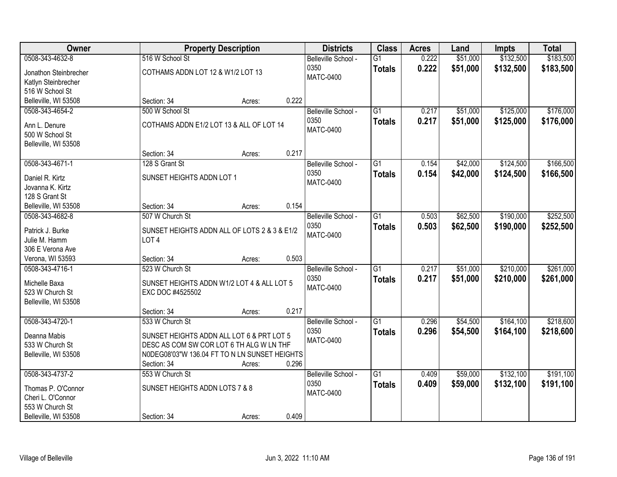| Owner                             |                                                                  | <b>Property Description</b> |       | <b>Districts</b>            | <b>Class</b>    | <b>Acres</b>   | Land     | Impts     | <b>Total</b> |
|-----------------------------------|------------------------------------------------------------------|-----------------------------|-------|-----------------------------|-----------------|----------------|----------|-----------|--------------|
| 0508-343-4632-8                   | 516 W School St                                                  |                             |       | Belleville School -         | $\overline{G1}$ | 0.222          | \$51,000 | \$132,500 | \$183,500    |
| Jonathon Steinbrecher             | COTHAMS ADDN LOT 12 & W1/2 LOT 13                                |                             |       | 0350                        | <b>Totals</b>   | 0.222          | \$51,000 | \$132,500 | \$183,500    |
| Katlyn Steinbrecher               |                                                                  |                             |       | MATC-0400                   |                 |                |          |           |              |
| 516 W School St                   |                                                                  |                             |       |                             |                 |                |          |           |              |
| Belleville, WI 53508              | Section: 34                                                      | Acres:                      | 0.222 |                             |                 |                |          |           |              |
| 0508-343-4654-2                   | 500 W School St                                                  |                             |       | Belleville School -         | $\overline{G1}$ | 0.217          | \$51,000 | \$125,000 | \$176,000    |
| Ann L. Denure                     | COTHAMS ADDN E1/2 LOT 13 & ALL OF LOT 14                         |                             |       | 0350                        | <b>Totals</b>   | 0.217          | \$51,000 | \$125,000 | \$176,000    |
| 500 W School St                   |                                                                  |                             |       | <b>MATC-0400</b>            |                 |                |          |           |              |
| Belleville, WI 53508              |                                                                  |                             |       |                             |                 |                |          |           |              |
|                                   | Section: 34                                                      | Acres:                      | 0.217 |                             |                 |                |          |           |              |
| 0508-343-4671-1                   | 128 S Grant St                                                   |                             |       | Belleville School -         | $\overline{G1}$ | 0.154          | \$42,000 | \$124,500 | \$166,500    |
| Daniel R. Kirtz                   | SUNSET HEIGHTS ADDN LOT 1                                        |                             |       | 0350                        | <b>Totals</b>   | 0.154          | \$42,000 | \$124,500 | \$166,500    |
| Jovanna K. Kirtz                  |                                                                  |                             |       | <b>MATC-0400</b>            |                 |                |          |           |              |
| 128 S Grant St                    |                                                                  |                             |       |                             |                 |                |          |           |              |
| Belleville, WI 53508              | Section: 34                                                      | Acres:                      | 0.154 |                             |                 |                |          |           |              |
| 0508-343-4682-8                   | 507 W Church St                                                  |                             |       | Belleville School -         | $\overline{G1}$ | 0.503          | \$62,500 | \$190,000 | \$252,500    |
|                                   |                                                                  |                             |       | 0350                        | <b>Totals</b>   | 0.503          | \$62,500 | \$190,000 | \$252,500    |
| Patrick J. Burke                  | SUNSET HEIGHTS ADDN ALL OF LOTS 2 & 3 & E1/2<br>LOT <sub>4</sub> |                             |       | <b>MATC-0400</b>            |                 |                |          |           |              |
| Julie M. Hamm<br>306 E Verona Ave |                                                                  |                             |       |                             |                 |                |          |           |              |
| Verona, WI 53593                  | Section: 34                                                      | Acres:                      | 0.503 |                             |                 |                |          |           |              |
| 0508-343-4716-1                   | 523 W Church St                                                  |                             |       | Belleville School -         | $\overline{G1}$ | 0.217          | \$51,000 | \$210,000 | \$261,000    |
|                                   |                                                                  |                             |       | 0350                        | <b>Totals</b>   | 0.217          | \$51,000 | \$210,000 | \$261,000    |
| Michelle Baxa                     | SUNSET HEIGHTS ADDN W1/2 LOT 4 & ALL LOT 5                       |                             |       | <b>MATC-0400</b>            |                 |                |          |           |              |
| 523 W Church St                   | EXC DOC #4525502                                                 |                             |       |                             |                 |                |          |           |              |
| Belleville, WI 53508              | Section: 34                                                      | Acres:                      | 0.217 |                             |                 |                |          |           |              |
| 0508-343-4720-1                   | 533 W Church St                                                  |                             |       | Belleville School -         | $\overline{G1}$ | 0.296          | \$54,500 | \$164,100 | \$218,600    |
|                                   |                                                                  |                             |       | 0350                        | <b>Totals</b>   | 0.296          | \$54,500 | \$164,100 | \$218,600    |
| Deanna Mabis                      | SUNSET HEIGHTS ADDN ALL LOT 6 & PRT LOT 5                        |                             |       | <b>MATC-0400</b>            |                 |                |          |           |              |
| 533 W Church St                   | DESC AS COM SW COR LOT 6 TH ALG W LN THF                         |                             |       |                             |                 |                |          |           |              |
| Belleville, WI 53508              | N0DEG08'03"W 136.04 FT TO N LN SUNSET HEIGHTS                    |                             |       |                             |                 |                |          |           |              |
|                                   | Section: 34                                                      | Acres:                      | 0.296 |                             |                 |                |          |           |              |
| 0508-343-4737-2                   | 553 W Church St                                                  |                             |       | Belleville School -<br>0350 | $\overline{G1}$ | 0.409<br>0.409 | \$59,000 | \$132,100 | \$191,100    |
| Thomas P. O'Connor                | SUNSET HEIGHTS ADDN LOTS 7 & 8                                   |                             |       | <b>MATC-0400</b>            | <b>Totals</b>   |                | \$59,000 | \$132,100 | \$191,100    |
| Cheri L. O'Connor                 |                                                                  |                             |       |                             |                 |                |          |           |              |
| 553 W Church St                   |                                                                  |                             |       |                             |                 |                |          |           |              |
| Belleville, WI 53508              | Section: 34                                                      | Acres:                      | 0.409 |                             |                 |                |          |           |              |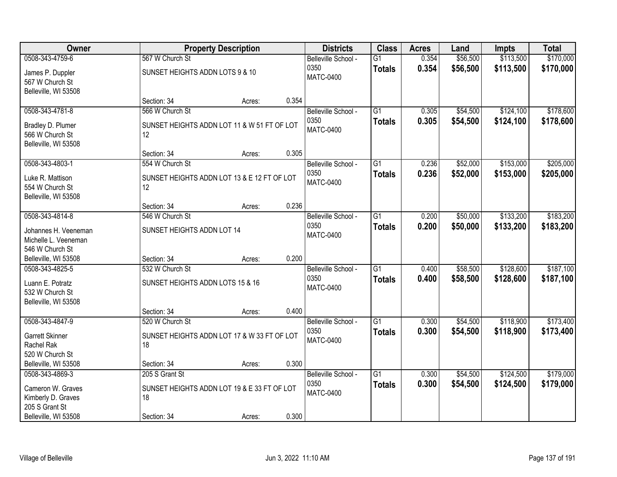| Owner                                                           |                                                                | <b>Property Description</b> |       | <b>Districts</b>            | <b>Class</b>                     | <b>Acres</b>   | Land                 | <b>Impts</b>           | <b>Total</b>           |
|-----------------------------------------------------------------|----------------------------------------------------------------|-----------------------------|-------|-----------------------------|----------------------------------|----------------|----------------------|------------------------|------------------------|
| 0508-343-4759-6                                                 | 567 W Church St                                                |                             |       | Belleville School -         | $\overline{G1}$                  | 0.354          | \$56,500             | \$113,500              | \$170,000              |
| James P. Duppler<br>567 W Church St<br>Belleville, WI 53508     | SUNSET HEIGHTS ADDN LOTS 9 & 10                                |                             |       | 0350<br><b>MATC-0400</b>    | <b>Totals</b>                    | 0.354          | \$56,500             | \$113,500              | \$170,000              |
|                                                                 | Section: 34                                                    | Acres:                      | 0.354 |                             |                                  |                |                      |                        |                        |
| 0508-343-4781-8<br>Bradley D. Plumer                            | 566 W Church St<br>SUNSET HEIGHTS ADDN LOT 11 & W 51 FT OF LOT |                             |       | Belleville School -<br>0350 | $\overline{G1}$<br><b>Totals</b> | 0.305<br>0.305 | \$54,500<br>\$54,500 | \$124,100<br>\$124,100 | \$178,600<br>\$178,600 |
| 566 W Church St<br>Belleville, WI 53508                         | 12                                                             |                             |       | <b>MATC-0400</b>            |                                  |                |                      |                        |                        |
|                                                                 | Section: 34                                                    | Acres:                      | 0.305 |                             |                                  |                |                      |                        |                        |
| 0508-343-4803-1                                                 | 554 W Church St                                                |                             |       | Belleville School -         | G1                               | 0.236          | \$52,000             | \$153,000              | \$205,000              |
| Luke R. Mattison<br>554 W Church St<br>Belleville, WI 53508     | SUNSET HEIGHTS ADDN LOT 13 & E 12 FT OF LOT<br>12              |                             |       | 0350<br><b>MATC-0400</b>    | <b>Totals</b>                    | 0.236          | \$52,000             | \$153,000              | \$205,000              |
|                                                                 | Section: 34                                                    | Acres:                      | 0.236 |                             |                                  |                |                      |                        |                        |
| 0508-343-4814-8                                                 | 546 W Church St                                                |                             |       | Belleville School -         | G1                               | 0.200          | \$50,000             | \$133,200              | \$183,200              |
| Johannes H. Veeneman<br>Michelle L. Veeneman<br>546 W Church St | SUNSET HEIGHTS ADDN LOT 14                                     |                             |       | 0350<br><b>MATC-0400</b>    | <b>Totals</b>                    | 0.200          | \$50,000             | \$133,200              | \$183,200              |
| Belleville, WI 53508                                            | Section: 34                                                    | Acres:                      | 0.200 |                             |                                  |                |                      |                        |                        |
| 0508-343-4825-5                                                 | 532 W Church St                                                |                             |       | Belleville School -<br>0350 | $\overline{G1}$<br><b>Totals</b> | 0.400<br>0.400 | \$58,500<br>\$58,500 | \$128,600<br>\$128,600 | \$187,100<br>\$187,100 |
| Luann E. Potratz<br>532 W Church St<br>Belleville, WI 53508     | SUNSET HEIGHTS ADDN LOTS 15 & 16                               |                             |       | <b>MATC-0400</b>            |                                  |                |                      |                        |                        |
|                                                                 | Section: 34                                                    | Acres:                      | 0.400 |                             |                                  |                |                      |                        |                        |
| 0508-343-4847-9                                                 | 520 W Church St                                                |                             |       | Belleville School -         | $\overline{G1}$                  | 0.300          | \$54,500             | \$118,900              | \$173,400              |
| Garrett Skinner<br>Rachel Rak<br>520 W Church St                | SUNSET HEIGHTS ADDN LOT 17 & W 33 FT OF LOT<br>18              |                             |       | 0350<br><b>MATC-0400</b>    | <b>Totals</b>                    | 0.300          | \$54,500             | \$118,900              | \$173,400              |
| Belleville, WI 53508                                            | Section: 34                                                    | Acres:                      | 0.300 |                             |                                  |                |                      |                        |                        |
| 0508-343-4869-3                                                 | 205 S Grant St                                                 |                             |       | Belleville School -         | $\overline{G1}$                  | 0.300          | \$54,500             | \$124,500              | \$179,000              |
| Cameron W. Graves<br>Kimberly D. Graves<br>205 S Grant St       | SUNSET HEIGHTS ADDN LOT 19 & E 33 FT OF LOT<br>18              |                             |       | 0350<br><b>MATC-0400</b>    | <b>Totals</b>                    | 0.300          | \$54,500             | \$124,500              | \$179,000              |
| Belleville, WI 53508                                            | Section: 34                                                    | Acres:                      | 0.300 |                             |                                  |                |                      |                        |                        |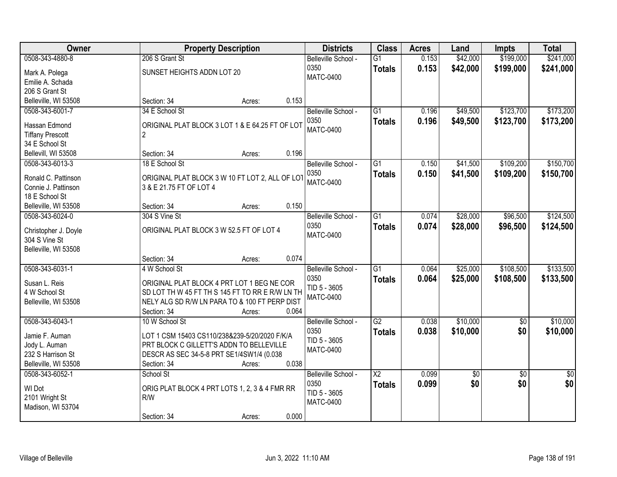| Owner                           |                                               | <b>Property Description</b>                     | <b>Districts</b>    | <b>Class</b>           | <b>Acres</b> | Land     | <b>Impts</b>    | <b>Total</b>    |
|---------------------------------|-----------------------------------------------|-------------------------------------------------|---------------------|------------------------|--------------|----------|-----------------|-----------------|
| 0508-343-4880-8                 | 206 S Grant St                                |                                                 | Belleville School - | $\overline{G1}$        | 0.153        | \$42,000 | \$199,000       | \$241,000       |
| Mark A. Polega                  | SUNSET HEIGHTS ADDN LOT 20                    |                                                 | 0350                | <b>Totals</b>          | 0.153        | \$42,000 | \$199,000       | \$241,000       |
| Emilie A. Schada                |                                               |                                                 | MATC-0400           |                        |              |          |                 |                 |
| 206 S Grant St                  |                                               |                                                 |                     |                        |              |          |                 |                 |
| Belleville, WI 53508            | Section: 34                                   | 0.153<br>Acres:                                 |                     |                        |              |          |                 |                 |
| 0508-343-6001-7                 | 34 E School St                                |                                                 | Belleville School - | $\overline{G1}$        | 0.196        | \$49,500 | \$123,700       | \$173,200       |
| Hassan Edmond                   |                                               | ORIGINAL PLAT BLOCK 3 LOT 1 & E 64.25 FT OF LOT | 0350                | <b>Totals</b>          | 0.196        | \$49,500 | \$123,700       | \$173,200       |
| <b>Tiffany Prescott</b>         | $\overline{2}$                                |                                                 | <b>MATC-0400</b>    |                        |              |          |                 |                 |
| 34 E School St                  |                                               |                                                 |                     |                        |              |          |                 |                 |
| Bellevill, WI 53508             | Section: 34                                   | 0.196<br>Acres:                                 |                     |                        |              |          |                 |                 |
| 0508-343-6013-3                 | 18 E School St                                |                                                 | Belleville School - | G1                     | 0.150        | \$41,500 | \$109,200       | \$150,700       |
|                                 |                                               |                                                 | 0350                | <b>Totals</b>          | 0.150        | \$41,500 | \$109,200       | \$150,700       |
| Ronald C. Pattinson             |                                               | ORIGINAL PLAT BLOCK 3 W 10 FT LOT 2, ALL OF LOT | MATC-0400           |                        |              |          |                 |                 |
| Connie J. Pattinson             | 3 & E 21.75 FT OF LOT 4                       |                                                 |                     |                        |              |          |                 |                 |
| 18 E School St                  |                                               |                                                 |                     |                        |              |          |                 |                 |
| Belleville, WI 53508            | Section: 34                                   | 0.150<br>Acres:                                 |                     |                        |              |          |                 |                 |
| 0508-343-6024-0                 | 304 S Vine St                                 |                                                 | Belleville School - | G1                     | 0.074        | \$28,000 | \$96,500        | \$124,500       |
| Christopher J. Doyle            | ORIGINAL PLAT BLOCK 3 W 52.5 FT OF LOT 4      |                                                 | 0350                | <b>Totals</b>          | 0.074        | \$28,000 | \$96,500        | \$124,500       |
| 304 S Vine St                   |                                               |                                                 | <b>MATC-0400</b>    |                        |              |          |                 |                 |
| Belleville, WI 53508            |                                               |                                                 |                     |                        |              |          |                 |                 |
|                                 | Section: 34                                   | 0.074<br>Acres:                                 |                     |                        |              |          |                 |                 |
| 0508-343-6031-1                 | 4 W School St                                 |                                                 | Belleville School - | $\overline{G1}$        | 0.064        | \$25,000 | \$108,500       | \$133,500       |
| Susan L. Reis                   |                                               | ORIGINAL PLAT BLOCK 4 PRT LOT 1 BEG NE COR      | 0350                | <b>Totals</b>          | 0.064        | \$25,000 | \$108,500       | \$133,500       |
| 4 W School St                   |                                               | SD LOT TH W 45 FT TH S 145 FT TO RR E R/W LN TH | TID 5 - 3605        |                        |              |          |                 |                 |
| Belleville, WI 53508            |                                               | NELY ALG SD R/W LN PARA TO & 100 FT PERP DIST   | <b>MATC-0400</b>    |                        |              |          |                 |                 |
|                                 | Section: 34                                   | 0.064<br>Acres:                                 |                     |                        |              |          |                 |                 |
| 0508-343-6043-1                 | 10 W School St                                |                                                 | Belleville School - | $\overline{G2}$        | 0.038        | \$10,000 | $\overline{60}$ | \$10,000        |
|                                 | LOT 1 CSM 15403 CS110/238&239-5/20/2020 F/K/A |                                                 | 0350                | <b>Totals</b>          | 0.038        | \$10,000 | \$0             | \$10,000        |
| Jamie F. Auman<br>Jody L. Auman | PRT BLOCK C GILLETT'S ADDN TO BELLEVILLE      |                                                 | TID 5 - 3605        |                        |              |          |                 |                 |
| 232 S Harrison St               | DESCR AS SEC 34-5-8 PRT SE1/4SW1/4 (0.038     |                                                 | <b>MATC-0400</b>    |                        |              |          |                 |                 |
| Belleville, WI 53508            | Section: 34                                   | 0.038<br>Acres:                                 |                     |                        |              |          |                 |                 |
| 0508-343-6052-1                 | School St                                     |                                                 | Belleville School - | $\overline{\text{X2}}$ | 0.099        | \$0      | $\overline{30}$ | $\overline{50}$ |
|                                 |                                               |                                                 | 0350                | <b>Totals</b>          | 0.099        | \$0      | \$0             | \$0             |
| WI Dot                          |                                               | ORIG PLAT BLOCK 4 PRT LOTS 1, 2, 3 & 4 FMR RR   | TID 5 - 3605        |                        |              |          |                 |                 |
| 2101 Wright St                  | R/W                                           |                                                 | <b>MATC-0400</b>    |                        |              |          |                 |                 |
| Madison, WI 53704               |                                               |                                                 |                     |                        |              |          |                 |                 |
|                                 | Section: 34                                   | 0.000<br>Acres:                                 |                     |                        |              |          |                 |                 |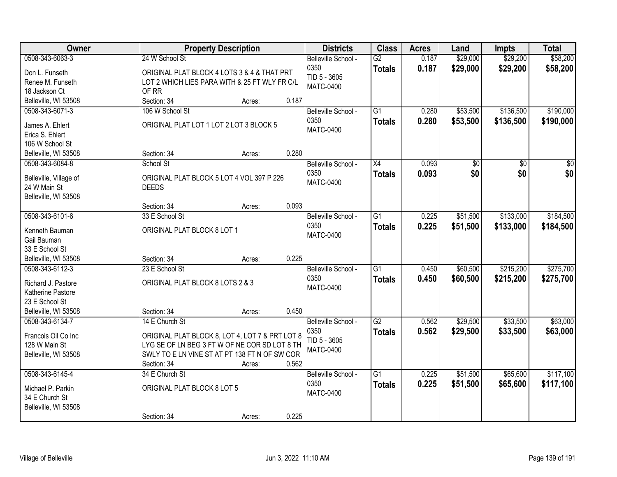| Owner                  |                                                 | <b>Property Description</b> |       | <b>Districts</b>         | <b>Class</b>    | <b>Acres</b> | Land     | <b>Impts</b> | <b>Total</b> |
|------------------------|-------------------------------------------------|-----------------------------|-------|--------------------------|-----------------|--------------|----------|--------------|--------------|
| 0508-343-6063-3        | 24 W School St                                  |                             |       | Belleville School -      | $\overline{G2}$ | 0.187        | \$29,000 | \$29,200     | \$58,200     |
| Don L. Funseth         | ORIGINAL PLAT BLOCK 4 LOTS 3 & 4 & THAT PRT     |                             |       | 0350                     | <b>Totals</b>   | 0.187        | \$29,000 | \$29,200     | \$58,200     |
| Renee M. Funseth       | LOT 2 WHICH LIES PARA WITH & 25 FT WLY FR C/L   |                             |       | TID 5 - 3605             |                 |              |          |              |              |
| 18 Jackson Ct          | OF RR                                           |                             |       | <b>MATC-0400</b>         |                 |              |          |              |              |
| Belleville, WI 53508   | Section: 34                                     | Acres:                      | 0.187 |                          |                 |              |          |              |              |
| 0508-343-6071-3        | 106 W School St                                 |                             |       | Belleville School -      | $\overline{G1}$ | 0.280        | \$53,500 | \$136,500    | \$190,000    |
|                        |                                                 |                             |       | 0350                     | <b>Totals</b>   | 0.280        | \$53,500 | \$136,500    | \$190,000    |
| James A. Ehlert        | ORIGINAL PLAT LOT 1 LOT 2 LOT 3 BLOCK 5         |                             |       | <b>MATC-0400</b>         |                 |              |          |              |              |
| Erica S. Ehlert        |                                                 |                             |       |                          |                 |              |          |              |              |
| 106 W School St        |                                                 |                             |       |                          |                 |              |          |              |              |
| Belleville, WI 53508   | Section: 34                                     | Acres:                      | 0.280 |                          |                 |              |          |              |              |
| 0508-343-6084-8        | School St                                       |                             |       | Belleville School -      | X4              | 0.093        | \$0      | \$0          | \$0          |
| Belleville, Village of | ORIGINAL PLAT BLOCK 5 LOT 4 VOL 397 P 226       |                             |       | 0350<br><b>MATC-0400</b> | <b>Totals</b>   | 0.093        | \$0      | \$0          | \$0          |
| 24 W Main St           | <b>DEEDS</b>                                    |                             |       |                          |                 |              |          |              |              |
| Belleville, WI 53508   |                                                 |                             |       |                          |                 |              |          |              |              |
|                        | Section: 34                                     | Acres:                      | 0.093 |                          |                 |              |          |              |              |
| 0508-343-6101-6        | 33 E School St                                  |                             |       | Belleville School -      | G1              | 0.225        | \$51,500 | \$133,000    | \$184,500    |
| Kenneth Bauman         | ORIGINAL PLAT BLOCK 8 LOT 1                     |                             |       | 0350                     | <b>Totals</b>   | 0.225        | \$51,500 | \$133,000    | \$184,500    |
| Gail Bauman            |                                                 |                             |       | <b>MATC-0400</b>         |                 |              |          |              |              |
| 33 E School St         |                                                 |                             |       |                          |                 |              |          |              |              |
| Belleville, WI 53508   | Section: 34                                     | Acres:                      | 0.225 |                          |                 |              |          |              |              |
| 0508-343-6112-3        | 23 E School St                                  |                             |       | Belleville School -      | $\overline{G1}$ | 0.450        | \$60,500 | \$215,200    | \$275,700    |
|                        |                                                 |                             |       | 0350                     | <b>Totals</b>   | 0.450        | \$60,500 | \$215,200    | \$275,700    |
| Richard J. Pastore     | ORIGINAL PLAT BLOCK 8 LOTS 2 & 3                |                             |       | <b>MATC-0400</b>         |                 |              |          |              |              |
| Katherine Pastore      |                                                 |                             |       |                          |                 |              |          |              |              |
| 23 E School St         |                                                 |                             |       |                          |                 |              |          |              |              |
| Belleville, WI 53508   | Section: 34                                     | Acres:                      | 0.450 |                          |                 |              |          |              |              |
| 0508-343-6134-7        | 14 E Church St                                  |                             |       | Belleville School -      | $\overline{G2}$ | 0.562        | \$29,500 | \$33,500     | \$63,000     |
| Francois Oil Co Inc    | ORIGINAL PLAT BLOCK 8, LOT 4, LOT 7 & PRT LOT 8 |                             |       | 0350<br>TID 5 - 3605     | <b>Totals</b>   | 0.562        | \$29,500 | \$33,500     | \$63,000     |
| 128 W Main St          | LYG SE OF LN BEG 3 FT W OF NE COR SD LOT 8 TH   |                             |       | <b>MATC-0400</b>         |                 |              |          |              |              |
| Belleville, WI 53508   | SWLY TO E LN VINE ST AT PT 138 FT N OF SW COR   |                             |       |                          |                 |              |          |              |              |
|                        | Section: 34                                     | Acres:                      | 0.562 |                          |                 |              |          |              |              |
| 0508-343-6145-4        | 34 E Church St                                  |                             |       | Belleville School -      | $\overline{G1}$ | 0.225        | \$51,500 | \$65,600     | \$117,100    |
| Michael P. Parkin      | ORIGINAL PLAT BLOCK 8 LOT 5                     |                             |       | 0350                     | <b>Totals</b>   | 0.225        | \$51,500 | \$65,600     | \$117,100    |
| 34 E Church St         |                                                 |                             |       | <b>MATC-0400</b>         |                 |              |          |              |              |
| Belleville, WI 53508   |                                                 |                             |       |                          |                 |              |          |              |              |
|                        | Section: 34                                     | Acres:                      | 0.225 |                          |                 |              |          |              |              |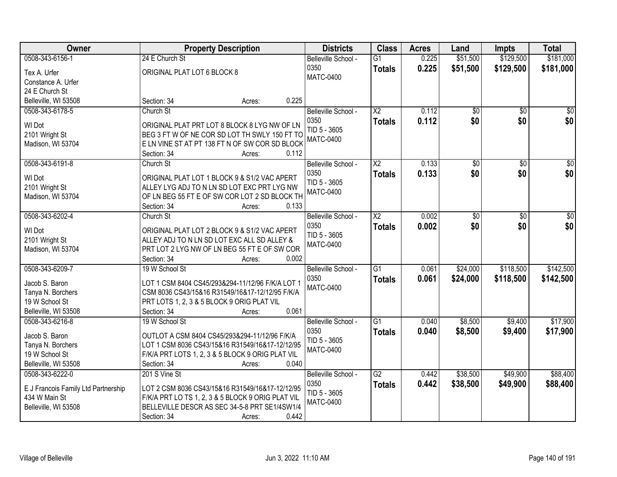| Owner                                                | <b>Property Description</b>                                                                        | <b>Districts</b>                 | <b>Class</b>    | <b>Acres</b> | Land            | <b>Impts</b>    | <b>Total</b>    |
|------------------------------------------------------|----------------------------------------------------------------------------------------------------|----------------------------------|-----------------|--------------|-----------------|-----------------|-----------------|
| 0508-343-6156-1                                      | 24 E Church St                                                                                     | Belleville School -              | $\overline{G1}$ | 0.225        | \$51,500        | \$129,500       | \$181,000       |
| Tex A. Urfer                                         | ORIGINAL PLAT LOT 6 BLOCK 8                                                                        | 0350                             | <b>Totals</b>   | 0.225        | \$51,500        | \$129,500       | \$181,000       |
| Constance A. Urfer                                   |                                                                                                    | <b>MATC-0400</b>                 |                 |              |                 |                 |                 |
| 24 E Church St                                       |                                                                                                    |                                  |                 |              |                 |                 |                 |
| Belleville, WI 53508                                 | 0.225<br>Section: 34<br>Acres:                                                                     |                                  |                 |              |                 |                 |                 |
| 0508-343-6178-5                                      | Church St                                                                                          | Belleville School -              | $\overline{X2}$ | 0.112        | $\overline{50}$ | $\overline{50}$ | $\sqrt{50}$     |
|                                                      |                                                                                                    | 0350                             | <b>Totals</b>   | 0.112        | \$0             | \$0             | \$0             |
| WI Dot                                               | ORIGINAL PLAT PRT LOT 8 BLOCK 8 LYG NW OF LN                                                       | TID 5 - 3605                     |                 |              |                 |                 |                 |
| 2101 Wright St                                       | BEG 3 FT W OF NE COR SD LOT TH SWLY 150 FT TO                                                      | <b>MATC-0400</b>                 |                 |              |                 |                 |                 |
| Madison, WI 53704                                    | E LN VINE ST AT PT 138 FT N OF SW COR SD BLOCK                                                     |                                  |                 |              |                 |                 |                 |
|                                                      | 0.112<br>Section: 34<br>Acres:                                                                     |                                  |                 |              |                 |                 |                 |
| 0508-343-6191-8                                      | Church St                                                                                          | Belleville School -              | X <sub>2</sub>  | 0.133        | \$0             | \$0             | $\overline{50}$ |
| WI Dot                                               | ORIGINAL PLAT LOT 1 BLOCK 9 & S1/2 VAC APERT                                                       | 0350                             | <b>Totals</b>   | 0.133        | \$0             | \$0             | \$0             |
| 2101 Wright St                                       | ALLEY LYG ADJ TO N LN SD LOT EXC PRT LYG NW                                                        | TID 5 - 3605<br><b>MATC-0400</b> |                 |              |                 |                 |                 |
| Madison, WI 53704                                    | OF LN BEG 55 FT E OF SW COR LOT 2 SD BLOCK TH                                                      |                                  |                 |              |                 |                 |                 |
|                                                      | Section: 34<br>0.133<br>Acres:                                                                     |                                  |                 |              |                 |                 |                 |
| 0508-343-6202-4                                      | Church St                                                                                          | Belleville School -              | $\overline{X2}$ | 0.002        | \$0             | \$0             | \$0             |
| WI Dot                                               | ORIGINAL PLAT LOT 2 BLOCK 9 & S1/2 VAC APERT                                                       | 0350                             | <b>Totals</b>   | 0.002        | \$0             | \$0             | \$0             |
| 2101 Wright St                                       | ALLEY ADJ TO N LN SD LOT EXC ALL SD ALLEY &                                                        | TID 5 - 3605                     |                 |              |                 |                 |                 |
| Madison, WI 53704                                    | PRT LOT 2 LYG NW OF LN BEG 55 FT E OF SW COR                                                       | <b>MATC-0400</b>                 |                 |              |                 |                 |                 |
|                                                      | Section: 34<br>0.002<br>Acres:                                                                     |                                  |                 |              |                 |                 |                 |
| 0508-343-6209-7                                      | 19 W School St                                                                                     | Belleville School -              | $\overline{G1}$ | 0.061        | \$24,000        | \$118,500       | \$142,500       |
|                                                      |                                                                                                    | 0350                             | <b>Totals</b>   | 0.061        | \$24,000        | \$118,500       | \$142,500       |
| Jacob S. Baron                                       | LOT 1 CSM 8404 CS45/293&294-11/12/96 F/K/A LOT 1                                                   | <b>MATC-0400</b>                 |                 |              |                 |                 |                 |
| Tanya N. Borchers                                    | CSM 8036 CS43/15&16 R31549/16&17-12/12/95 F/K/A                                                    |                                  |                 |              |                 |                 |                 |
| 19 W School St                                       | PRT LOTS 1, 2, 3 & 5 BLOCK 9 ORIG PLAT VIL                                                         |                                  |                 |              |                 |                 |                 |
| Belleville, WI 53508                                 | 0.061<br>Section: 34<br>Acres:                                                                     |                                  |                 |              |                 |                 |                 |
| 0508-343-6216-8                                      | 19 W School St                                                                                     | Belleville School -              | $\overline{G1}$ | 0.040        | \$8,500         | \$9,400         | \$17,900        |
| Jacob S. Baron                                       | OUTLOT A CSM 8404 CS45/293&294-11/12/96 F/K/A                                                      | 0350                             | <b>Totals</b>   | 0.040        | \$8,500         | \$9,400         | \$17,900        |
| Tanya N. Borchers                                    | LOT 1 CSM 8036 CS43/15&16 R31549/16&17-12/12/95                                                    | TID 5 - 3605                     |                 |              |                 |                 |                 |
| 19 W School St                                       | F/K/A PRT LOTS 1, 2, 3 & 5 BLOCK 9 ORIG PLAT VIL                                                   | <b>MATC-0400</b>                 |                 |              |                 |                 |                 |
| Belleville, WI 53508                                 | 0.040<br>Section: 34<br>Acres:                                                                     |                                  |                 |              |                 |                 |                 |
| 0508-343-6222-0                                      | 201 S Vine St                                                                                      | Belleville School -              | $\overline{G2}$ | 0.442        | \$38,500        | \$49,900        | \$88,400        |
|                                                      |                                                                                                    | 0350                             | <b>Totals</b>   | 0.442        | \$38,500        | \$49,900        | \$88,400        |
| E J Francois Family Ltd Partnership<br>434 W Main St | LOT 2 CSM 8036 CS43/15&16 R31549/16&17-12/12/95                                                    | TID 5 - 3605                     |                 |              |                 |                 |                 |
| Belleville, WI 53508                                 | F/K/A PRT LO TS 1, 2, 3 & 5 BLOCK 9 ORIG PLAT VIL<br>BELLEVILLE DESCR AS SEC 34-5-8 PRT SE1/4SW1/4 | <b>MATC-0400</b>                 |                 |              |                 |                 |                 |
|                                                      | 0.442<br>Section: 34                                                                               |                                  |                 |              |                 |                 |                 |
|                                                      | Acres:                                                                                             |                                  |                 |              |                 |                 |                 |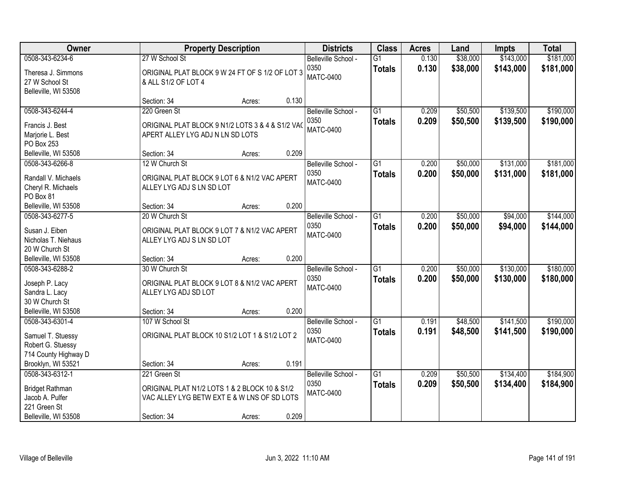| Owner                  |                                                  | <b>Property Description</b> |       | <b>Districts</b>         | <b>Class</b>    | <b>Acres</b> | Land     | <b>Impts</b> | <b>Total</b> |
|------------------------|--------------------------------------------------|-----------------------------|-------|--------------------------|-----------------|--------------|----------|--------------|--------------|
| 0508-343-6234-6        | 27 W School St                                   |                             |       | Belleville School -      | $\overline{G1}$ | 0.130        | \$38,000 | \$143,000    | \$181,000    |
| Theresa J. Simmons     | ORIGINAL PLAT BLOCK 9 W 24 FT OF S 1/2 OF LOT 3  |                             |       | 0350<br><b>MATC-0400</b> | <b>Totals</b>   | 0.130        | \$38,000 | \$143,000    | \$181,000    |
| 27 W School St         | & ALL S1/2 OF LOT 4                              |                             |       |                          |                 |              |          |              |              |
| Belleville, WI 53508   |                                                  |                             |       |                          |                 |              |          |              |              |
|                        | Section: 34                                      | Acres:                      | 0.130 |                          |                 |              |          |              |              |
| 0508-343-6244-4        | 220 Green St                                     |                             |       | Belleville School -      | $\overline{G1}$ | 0.209        | \$50,500 | \$139,500    | \$190,000    |
| Francis J. Best        | ORIGINAL PLAT BLOCK 9 N1/2 LOTS 3 & 4 & S1/2 VAC |                             |       | 0350                     | <b>Totals</b>   | 0.209        | \$50,500 | \$139,500    | \$190,000    |
| Marjorie L. Best       | APERT ALLEY LYG ADJ N LN SD LOTS                 |                             |       | <b>MATC-0400</b>         |                 |              |          |              |              |
| PO Box 253             |                                                  |                             |       |                          |                 |              |          |              |              |
| Belleville, WI 53508   | Section: 34                                      | Acres:                      | 0.209 |                          |                 |              |          |              |              |
| 0508-343-6266-8        | 12 W Church St                                   |                             |       | Belleville School -      | $\overline{G1}$ | 0.200        | \$50,000 | \$131,000    | \$181,000    |
| Randall V. Michaels    | ORIGINAL PLAT BLOCK 9 LOT 6 & N1/2 VAC APERT     |                             |       | 0350                     | <b>Totals</b>   | 0.200        | \$50,000 | \$131,000    | \$181,000    |
| Cheryl R. Michaels     | ALLEY LYG ADJ S LN SD LOT                        |                             |       | <b>MATC-0400</b>         |                 |              |          |              |              |
| PO Box 81              |                                                  |                             |       |                          |                 |              |          |              |              |
| Belleville, WI 53508   | Section: 34                                      | Acres:                      | 0.200 |                          |                 |              |          |              |              |
| 0508-343-6277-5        | 20 W Church St                                   |                             |       | Belleville School -      | $\overline{G1}$ | 0.200        | \$50,000 | \$94,000     | \$144,000    |
|                        |                                                  |                             |       | 0350                     | <b>Totals</b>   | 0.200        | \$50,000 | \$94,000     | \$144,000    |
| Susan J. Eiben         | ORIGINAL PLAT BLOCK 9 LOT 7 & N1/2 VAC APERT     |                             |       | <b>MATC-0400</b>         |                 |              |          |              |              |
| Nicholas T. Niehaus    | ALLEY LYG ADJ S LN SD LOT                        |                             |       |                          |                 |              |          |              |              |
| 20 W Church St         |                                                  |                             |       |                          |                 |              |          |              |              |
| Belleville, WI 53508   | Section: 34                                      | Acres:                      | 0.200 |                          |                 |              |          |              |              |
| 0508-343-6288-2        | 30 W Church St                                   |                             |       | Belleville School -      | $\overline{G1}$ | 0.200        | \$50,000 | \$130,000    | \$180,000    |
| Joseph P. Lacy         | ORIGINAL PLAT BLOCK 9 LOT 8 & N1/2 VAC APERT     |                             |       | 0350<br><b>MATC-0400</b> | <b>Totals</b>   | 0.200        | \$50,000 | \$130,000    | \$180,000    |
| Sandra L. Lacy         | ALLEY LYG ADJ SD LOT                             |                             |       |                          |                 |              |          |              |              |
| 30 W Church St         |                                                  |                             |       |                          |                 |              |          |              |              |
| Belleville, WI 53508   | Section: 34                                      | Acres:                      | 0.200 |                          |                 |              |          |              |              |
| 0508-343-6301-4        | 107 W School St                                  |                             |       | Belleville School -      | $\overline{G1}$ | 0.191        | \$48,500 | \$141,500    | \$190,000    |
| Samuel T. Stuessy      | ORIGINAL PLAT BLOCK 10 S1/2 LOT 1 & S1/2 LOT 2   |                             |       | 0350                     | <b>Totals</b>   | 0.191        | \$48,500 | \$141,500    | \$190,000    |
| Robert G. Stuessy      |                                                  |                             |       | <b>MATC-0400</b>         |                 |              |          |              |              |
| 714 County Highway D   |                                                  |                             |       |                          |                 |              |          |              |              |
| Brooklyn, WI 53521     | Section: 34                                      | Acres:                      | 0.191 |                          |                 |              |          |              |              |
| 0508-343-6312-1        | 221 Green St                                     |                             |       | Belleville School -      | $\overline{G1}$ | 0.209        | \$50,500 | \$134,400    | \$184,900    |
| <b>Bridget Rathman</b> | ORIGINAL PLAT N1/2 LOTS 1 & 2 BLOCK 10 & S1/2    |                             |       | 0350                     | <b>Totals</b>   | 0.209        | \$50,500 | \$134,400    | \$184,900    |
| Jacob A. Pulfer        | VAC ALLEY LYG BETW EXT E & W LNS OF SD LOTS      |                             |       | <b>MATC-0400</b>         |                 |              |          |              |              |
| 221 Green St           |                                                  |                             |       |                          |                 |              |          |              |              |
| Belleville, WI 53508   | Section: 34                                      | Acres:                      | 0.209 |                          |                 |              |          |              |              |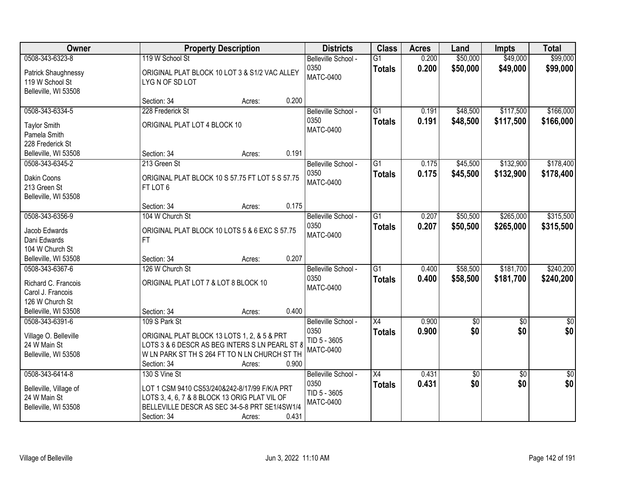| Owner                                                                                                  | <b>Property Description</b>                                                                                                                                                     |                 | <b>Districts</b>                                                | <b>Class</b>                     | <b>Acres</b>   | Land                   | <b>Impts</b>           | <b>Total</b>            |
|--------------------------------------------------------------------------------------------------------|---------------------------------------------------------------------------------------------------------------------------------------------------------------------------------|-----------------|-----------------------------------------------------------------|----------------------------------|----------------|------------------------|------------------------|-------------------------|
| 0508-343-6323-8<br>Patrick Shaughnessy<br>119 W School St<br>Belleville, WI 53508                      | 119 W School St<br>ORIGINAL PLAT BLOCK 10 LOT 3 & S1/2 VAC ALLEY<br>LYGN OF SD LOT                                                                                              |                 | Belleville School -<br>0350<br><b>MATC-0400</b>                 | $\overline{G1}$<br><b>Totals</b> | 0.200<br>0.200 | \$50,000<br>\$50,000   | \$49,000<br>\$49,000   | \$99,000<br>\$99,000    |
|                                                                                                        | Section: 34                                                                                                                                                                     | 0.200<br>Acres: |                                                                 |                                  |                |                        |                        |                         |
| 0508-343-6334-5<br><b>Taylor Smith</b><br>Pamela Smith<br>228 Frederick St                             | 228 Frederick St<br>ORIGINAL PLAT LOT 4 BLOCK 10                                                                                                                                |                 | Belleville School -<br>0350<br><b>MATC-0400</b>                 | $\overline{G1}$<br><b>Totals</b> | 0.191<br>0.191 | \$48,500<br>\$48,500   | \$117,500<br>\$117,500 | \$166,000<br>\$166,000  |
| Belleville, WI 53508                                                                                   | Section: 34                                                                                                                                                                     | 0.191<br>Acres: |                                                                 |                                  |                |                        |                        |                         |
| 0508-343-6345-2<br>Dakin Coons<br>213 Green St<br>Belleville, WI 53508                                 | 213 Green St<br>ORIGINAL PLAT BLOCK 10 S 57.75 FT LOT 5 S 57.75<br>FT LOT 6                                                                                                     |                 | Belleville School -<br>0350<br><b>MATC-0400</b>                 | G1<br><b>Totals</b>              | 0.175<br>0.175 | \$45,500<br>\$45,500   | \$132,900<br>\$132,900 | \$178,400<br>\$178,400  |
|                                                                                                        | Section: 34                                                                                                                                                                     | 0.175<br>Acres: |                                                                 |                                  |                |                        |                        |                         |
| 0508-343-6356-9<br>Jacob Edwards<br>Dani Edwards<br>104 W Church St                                    | 104 W Church St<br>ORIGINAL PLAT BLOCK 10 LOTS 5 & 6 EXC S 57.75<br><b>FT</b>                                                                                                   |                 | Belleville School -<br>0350<br>MATC-0400                        | G1<br><b>Totals</b>              | 0.207<br>0.207 | \$50,500<br>\$50,500   | \$265,000<br>\$265,000 | \$315,500<br>\$315,500  |
| Belleville, WI 53508                                                                                   | Section: 34                                                                                                                                                                     | 0.207<br>Acres: |                                                                 |                                  |                |                        |                        |                         |
| 0508-343-6367-6<br>Richard C. Francois<br>Carol J. Francois<br>126 W Church St<br>Belleville, WI 53508 | 126 W Church St<br>ORIGINAL PLAT LOT 7 & LOT 8 BLOCK 10<br>Section: 34                                                                                                          | 0.400<br>Acres: | Belleville School -<br>0350<br><b>MATC-0400</b>                 | $\overline{G1}$<br><b>Totals</b> | 0.400<br>0.400 | \$58,500<br>\$58,500   | \$181,700<br>\$181,700 | \$240,200<br>\$240,200  |
| 0508-343-6391-6<br>Village O. Belleville<br>24 W Main St<br>Belleville, WI 53508                       | 109 S Park St<br>ORIGINAL PLAT BLOCK 13 LOTS 1, 2, & 5 & PRT<br>LOTS 3 & 6 DESCR AS BEG INTERS S LN PEARL ST 8<br>W LN PARK ST TH S 264 FT TO N LN CHURCH ST TH<br>Section: 34  | 0.900<br>Acres: | Belleville School -<br>0350<br>TID 5 - 3605<br><b>MATC-0400</b> | $\overline{X4}$<br><b>Totals</b> | 0.900<br>0.900 | $\overline{50}$<br>\$0 | $\overline{50}$<br>\$0 | $\overline{\$0}$<br>\$0 |
| 0508-343-6414-8<br>Belleville, Village of<br>24 W Main St<br>Belleville, WI 53508                      | 130 S Vine St<br>LOT 1 CSM 9410 CS53/240&242-8/17/99 F/K/A PRT<br>LOTS 3, 4, 6, 7 & 8 BLOCK 13 ORIG PLAT VIL OF<br>BELLEVILLE DESCR AS SEC 34-5-8 PRT SE1/4SW1/4<br>Section: 34 | 0.431<br>Acres: | Belleville School -<br>0350<br>TID 5 - 3605<br><b>MATC-0400</b> | $\overline{X4}$<br><b>Totals</b> | 0.431<br>0.431 | \$0<br>\$0             | $\overline{30}$<br>\$0 | $\overline{50}$<br>\$0  |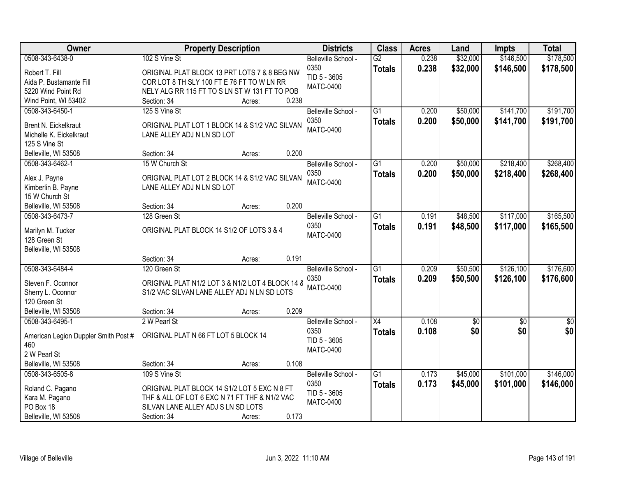| Owner                                   | <b>Property Description</b>                      |                 | <b>Districts</b>         | <b>Class</b>    | <b>Acres</b> | Land        | <b>Impts</b> | <b>Total</b>  |
|-----------------------------------------|--------------------------------------------------|-----------------|--------------------------|-----------------|--------------|-------------|--------------|---------------|
| 0508-343-6438-0                         | 102 S Vine St                                    |                 | Belleville School -      | $\overline{G2}$ | 0.238        | \$32,000    | \$146,500    | \$178,500     |
| Robert T. Fill                          | ORIGINAL PLAT BLOCK 13 PRT LOTS 7 & 8 BEG NW     |                 | 0350                     | <b>Totals</b>   | 0.238        | \$32,000    | \$146,500    | \$178,500     |
| Aida P. Bustamante Fill                 | COR LOT 8 TH SLY 100 FT E 76 FT TO W LN RR       |                 | TID 5 - 3605             |                 |              |             |              |               |
| 5220 Wind Point Rd                      | NELY ALG RR 115 FT TO S LN ST W 131 FT TO POB    |                 | <b>MATC-0400</b>         |                 |              |             |              |               |
| Wind Point, WI 53402                    | Section: 34                                      | 0.238<br>Acres: |                          |                 |              |             |              |               |
| 0508-343-6450-1                         | 125 S Vine St                                    |                 | Belleville School -      | $\overline{G1}$ | 0.200        | \$50,000    | \$141,700    | \$191,700     |
|                                         |                                                  |                 | 0350                     | <b>Totals</b>   | 0.200        | \$50,000    | \$141,700    | \$191,700     |
| <b>Brent N. Eickelkraut</b>             | ORIGINAL PLAT LOT 1 BLOCK 14 & S1/2 VAC SILVAN   |                 | <b>MATC-0400</b>         |                 |              |             |              |               |
| Michelle K. Eickelkraut                 | LANE ALLEY ADJ N LN SD LOT                       |                 |                          |                 |              |             |              |               |
| 125 S Vine St                           | Section: 34                                      | 0.200           |                          |                 |              |             |              |               |
| Belleville, WI 53508<br>0508-343-6462-1 | 15 W Church St                                   | Acres:          |                          | $\overline{G1}$ | 0.200        | \$50,000    | \$218,400    | \$268,400     |
|                                         |                                                  |                 | Belleville School -      |                 |              |             |              |               |
| Alex J. Payne                           | ORIGINAL PLAT LOT 2 BLOCK 14 & S1/2 VAC SILVAN   |                 | 0350<br><b>MATC-0400</b> | <b>Totals</b>   | 0.200        | \$50,000    | \$218,400    | \$268,400     |
| Kimberlin B. Payne                      | LANE ALLEY ADJ N LN SD LOT                       |                 |                          |                 |              |             |              |               |
| 15 W Church St                          |                                                  |                 |                          |                 |              |             |              |               |
| Belleville, WI 53508                    | Section: 34                                      | 0.200<br>Acres: |                          |                 |              |             |              |               |
| 0508-343-6473-7                         | 128 Green St                                     |                 | Belleville School -      | G1              | 0.191        | \$48,500    | \$117,000    | \$165,500     |
| Marilyn M. Tucker                       | ORIGINAL PLAT BLOCK 14 S1/2 OF LOTS 3 & 4        |                 | 0350                     | <b>Totals</b>   | 0.191        | \$48,500    | \$117,000    | \$165,500     |
| 128 Green St                            |                                                  |                 | <b>MATC-0400</b>         |                 |              |             |              |               |
| Belleville, WI 53508                    |                                                  |                 |                          |                 |              |             |              |               |
|                                         | Section: 34                                      | 0.191<br>Acres: |                          |                 |              |             |              |               |
| 0508-343-6484-4                         | 120 Green St                                     |                 | Belleville School -      | $\overline{G1}$ | 0.209        | \$50,500    | \$126,100    | \$176,600     |
|                                         |                                                  |                 | 0350                     | <b>Totals</b>   | 0.209        | \$50,500    | \$126,100    | \$176,600     |
| Steven F. Oconnor                       | ORIGINAL PLAT N1/2 LOT 3 & N1/2 LOT 4 BLOCK 14 8 |                 | <b>MATC-0400</b>         |                 |              |             |              |               |
| Sherry L. Oconnor                       | S1/2 VAC SILVAN LANE ALLEY ADJ N LN SD LOTS      |                 |                          |                 |              |             |              |               |
| 120 Green St                            |                                                  |                 |                          |                 |              |             |              |               |
| Belleville, WI 53508                    | Section: 34                                      | 0.209<br>Acres: |                          |                 |              |             |              |               |
| 0508-343-6495-1                         | 2 W Pearl St                                     |                 | Belleville School -      | $\overline{X4}$ | 0.108        | $\sqrt{30}$ | $\sqrt{6}$   | $\frac{6}{3}$ |
| American Legion Duppler Smith Post #    | ORIGINAL PLAT N 66 FT LOT 5 BLOCK 14             |                 | 0350                     | <b>Totals</b>   | 0.108        | \$0         | \$0          | \$0           |
| 460                                     |                                                  |                 | TID 5 - 3605             |                 |              |             |              |               |
| 2 W Pearl St                            |                                                  |                 | <b>MATC-0400</b>         |                 |              |             |              |               |
| Belleville, WI 53508                    | Section: 34                                      | 0.108<br>Acres: |                          |                 |              |             |              |               |
| 0508-343-6505-8                         | 109 S Vine St                                    |                 | Belleville School -      | $\overline{G1}$ | 0.173        | \$45,000    | \$101,000    | \$146,000     |
|                                         |                                                  |                 | 0350                     | <b>Totals</b>   | 0.173        | \$45,000    | \$101,000    | \$146,000     |
| Roland C. Pagano                        | ORIGINAL PLAT BLOCK 14 S1/2 LOT 5 EXC N 8 FT     |                 | TID 5 - 3605             |                 |              |             |              |               |
| Kara M. Pagano                          | THF & ALL OF LOT 6 EXC N 71 FT THF & N1/2 VAC    |                 | <b>MATC-0400</b>         |                 |              |             |              |               |
| PO Box 18                               | SILVAN LANE ALLEY ADJ S LN SD LOTS               |                 |                          |                 |              |             |              |               |
| Belleville, WI 53508                    | Section: 34                                      | 0.173<br>Acres: |                          |                 |              |             |              |               |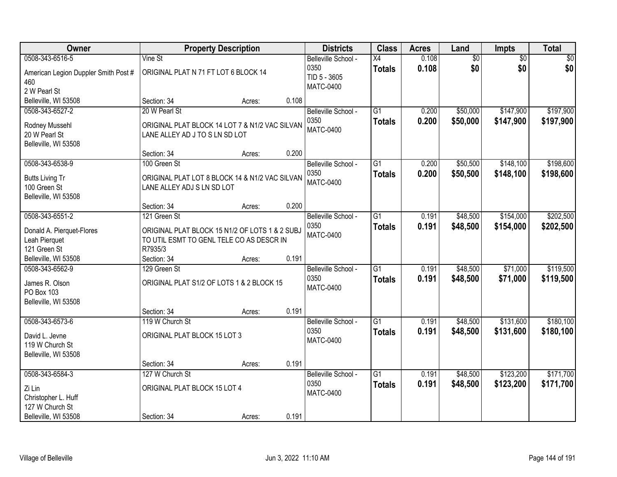| Owner                                                                                       |                                                                                                                       | <b>Property Description</b> |       | <b>Districts</b>                                                | <b>Class</b>                     | <b>Acres</b>   | Land                   | <b>Impts</b>           | <b>Total</b>           |
|---------------------------------------------------------------------------------------------|-----------------------------------------------------------------------------------------------------------------------|-----------------------------|-------|-----------------------------------------------------------------|----------------------------------|----------------|------------------------|------------------------|------------------------|
| 0508-343-6516-5<br>American Legion Duppler Smith Post #<br>460<br>2 W Pearl St              | Vine St<br>ORIGINAL PLAT N 71 FT LOT 6 BLOCK 14                                                                       |                             |       | Belleville School -<br>0350<br>TID 5 - 3605<br><b>MATC-0400</b> | X4<br><b>Totals</b>              | 0.108<br>0.108 | $\overline{60}$<br>\$0 | $\overline{50}$<br>\$0 | \$0<br>\$0             |
| Belleville, WI 53508                                                                        | Section: 34                                                                                                           | Acres:                      | 0.108 |                                                                 |                                  |                |                        |                        |                        |
| 0508-343-6527-2<br>Rodney Mussehl<br>20 W Pearl St<br>Belleville, WI 53508                  | 20 W Pearl St<br>ORIGINAL PLAT BLOCK 14 LOT 7 & N1/2 VAC SILVAN<br>LANE ALLEY AD J TO S LN SD LOT                     |                             |       | Belleville School -<br>0350<br>MATC-0400                        | $\overline{G1}$<br><b>Totals</b> | 0.200<br>0.200 | \$50,000<br>\$50,000   | \$147,900<br>\$147,900 | \$197,900<br>\$197,900 |
|                                                                                             | Section: 34                                                                                                           | Acres:                      | 0.200 |                                                                 |                                  |                |                        |                        |                        |
| 0508-343-6538-9<br><b>Butts Living Tr</b><br>100 Green St<br>Belleville, WI 53508           | 100 Green St<br>ORIGINAL PLAT LOT 8 BLOCK 14 & N1/2 VAC SILVAN<br>LANE ALLEY ADJ S LN SD LOT                          |                             |       | Belleville School -<br>0350<br>MATC-0400                        | $\overline{G1}$<br><b>Totals</b> | 0.200<br>0.200 | \$50,500<br>\$50,500   | \$148,100<br>\$148,100 | \$198,600<br>\$198,600 |
|                                                                                             | Section: 34                                                                                                           | Acres:                      | 0.200 |                                                                 |                                  |                |                        |                        |                        |
| 0508-343-6551-2<br>Donald A. Pierquet-Flores<br>Leah Pierquet<br>121 Green St               | 121 Green St<br>ORIGINAL PLAT BLOCK 15 N1/2 OF LOTS 1 & 2 SUBJ<br>TO UTIL ESMT TO GENL TELE CO AS DESCR IN<br>R7935/3 |                             |       | Belleville School -<br>0350<br>MATC-0400                        | $\overline{G1}$<br><b>Totals</b> | 0.191<br>0.191 | \$48,500<br>\$48,500   | \$154,000<br>\$154,000 | \$202,500<br>\$202,500 |
| Belleville, WI 53508                                                                        | Section: 34                                                                                                           | Acres:                      | 0.191 |                                                                 |                                  |                |                        |                        |                        |
| 0508-343-6562-9<br>James R. Olson<br>PO Box 103<br>Belleville, WI 53508                     | 129 Green St<br>ORIGINAL PLAT S1/2 OF LOTS 1 & 2 BLOCK 15                                                             |                             |       | Belleville School -<br>0350<br><b>MATC-0400</b>                 | $\overline{G1}$<br><b>Totals</b> | 0.191<br>0.191 | \$48,500<br>\$48,500   | \$71,000<br>\$71,000   | \$119,500<br>\$119,500 |
|                                                                                             | Section: 34                                                                                                           | Acres:                      | 0.191 |                                                                 |                                  |                |                        |                        |                        |
| 0508-343-6573-6<br>David L. Jevne<br>119 W Church St<br>Belleville, WI 53508                | 119 W Church St<br>ORIGINAL PLAT BLOCK 15 LOT 3                                                                       |                             |       | Belleville School -<br>0350<br>MATC-0400                        | $\overline{G1}$<br><b>Totals</b> | 0.191<br>0.191 | \$48,500<br>\$48,500   | \$131,600<br>\$131,600 | \$180,100<br>\$180,100 |
|                                                                                             | Section: 34                                                                                                           | Acres:                      | 0.191 |                                                                 |                                  |                |                        |                        |                        |
| 0508-343-6584-3<br>Zi Lin<br>Christopher L. Huff<br>127 W Church St<br>Belleville, WI 53508 | 127 W Church St<br>ORIGINAL PLAT BLOCK 15 LOT 4<br>Section: 34                                                        | Acres:                      | 0.191 | Belleville School -<br>0350<br><b>MATC-0400</b>                 | $\overline{G1}$<br><b>Totals</b> | 0.191<br>0.191 | \$48,500<br>\$48,500   | \$123,200<br>\$123,200 | \$171,700<br>\$171,700 |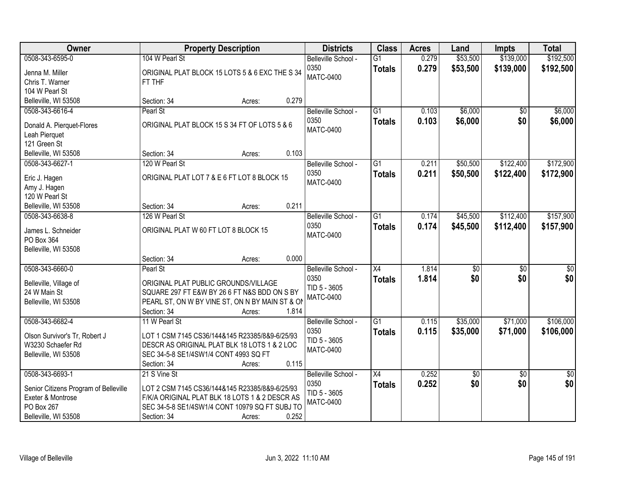| Owner                                                                                                               | <b>Property Description</b>                                                                                                                                                                          | <b>Districts</b>                                                | <b>Class</b>                     | <b>Acres</b>   | Land                   | <b>Impts</b>           | <b>Total</b>           |
|---------------------------------------------------------------------------------------------------------------------|------------------------------------------------------------------------------------------------------------------------------------------------------------------------------------------------------|-----------------------------------------------------------------|----------------------------------|----------------|------------------------|------------------------|------------------------|
| 0508-343-6595-0<br>Jenna M. Miller<br>Chris T. Warner<br>104 W Pearl St                                             | 104 W Pearl St<br>ORIGINAL PLAT BLOCK 15 LOTS 5 & 6 EXC THE S 34<br>FT THF                                                                                                                           | Belleville School -<br>0350<br><b>MATC-0400</b>                 | $\overline{G1}$<br><b>Totals</b> | 0.279<br>0.279 | \$53,500<br>\$53,500   | \$139,000<br>\$139,000 | \$192,500<br>\$192,500 |
| Belleville, WI 53508                                                                                                | 0.279<br>Section: 34<br>Acres:                                                                                                                                                                       |                                                                 |                                  |                |                        |                        |                        |
| 0508-343-6616-4<br>Donald A. Pierquet-Flores<br>Leah Pierquet<br>121 Green St                                       | Pearl St<br>ORIGINAL PLAT BLOCK 15 S 34 FT OF LOTS 5 & 6                                                                                                                                             | Belleville School -<br>0350<br><b>MATC-0400</b>                 | $\overline{G1}$<br><b>Totals</b> | 0.103<br>0.103 | \$6,000<br>\$6,000     | \$0<br>\$0             | \$6,000<br>\$6,000     |
| Belleville, WI 53508                                                                                                | Section: 34<br>0.103<br>Acres:                                                                                                                                                                       |                                                                 |                                  |                |                        |                        |                        |
| 0508-343-6627-1<br>Eric J. Hagen<br>Amy J. Hagen<br>120 W Pearl St                                                  | 120 W Pearl St<br>ORIGINAL PLAT LOT 7 & E 6 FT LOT 8 BLOCK 15                                                                                                                                        | Belleville School -<br>0350<br><b>MATC-0400</b>                 | $\overline{G1}$<br><b>Totals</b> | 0.211<br>0.211 | \$50,500<br>\$50,500   | \$122,400<br>\$122,400 | \$172,900<br>\$172,900 |
| Belleville, WI 53508                                                                                                | 0.211<br>Section: 34<br>Acres:                                                                                                                                                                       |                                                                 |                                  |                |                        |                        |                        |
| 0508-343-6638-8<br>James L. Schneider<br>PO Box 364<br>Belleville, WI 53508                                         | 126 W Pearl St<br>ORIGINAL PLAT W 60 FT LOT 8 BLOCK 15                                                                                                                                               | Belleville School -<br>0350<br><b>MATC-0400</b>                 | $\overline{G1}$<br><b>Totals</b> | 0.174<br>0.174 | \$45,500<br>\$45,500   | \$112,400<br>\$112,400 | \$157,900<br>\$157,900 |
|                                                                                                                     | 0.000<br>Section: 34<br>Acres:                                                                                                                                                                       |                                                                 |                                  |                |                        |                        |                        |
| 0508-343-6660-0<br>Belleville, Village of<br>24 W Main St<br>Belleville, WI 53508                                   | Pearl St<br>ORIGINAL PLAT PUBLIC GROUNDS/VILLAGE<br>SQUARE 297 FT E&W BY 26 6 FT N&S BDD ON S BY<br>PEARL ST, ON W BY VINE ST, ON N BY MAIN ST & ON<br>Section: 34<br>1.814<br>Acres:                | Belleville School -<br>0350<br>TID 5 - 3605<br><b>MATC-0400</b> | $\overline{X4}$<br><b>Totals</b> | 1.814<br>1.814 | $\overline{50}$<br>\$0 | $\overline{50}$<br>\$0 | \$0<br>\$0             |
| 0508-343-6682-4<br>Olson Survivor's Tr, Robert J<br>W3230 Schaefer Rd<br>Belleville, WI 53508                       | 11 W Pearl St<br>LOT 1 CSM 7145 CS36/144&145 R23385/8&9-6/25/93<br>DESCR AS ORIGINAL PLAT BLK 18 LOTS 1 & 2 LOC<br>SEC 34-5-8 SE1/4SW1/4 CONT 4993 SQ FT<br>0.115<br>Section: 34<br>Acres:           | Belleville School -<br>0350<br>TID 5 - 3605<br><b>MATC-0400</b> | $\overline{G1}$<br><b>Totals</b> | 0.115<br>0.115 | \$35,000<br>\$35,000   | \$71,000<br>\$71,000   | \$106,000<br>\$106,000 |
| 0508-343-6693-1<br>Senior Citizens Program of Belleville<br>Exeter & Montrose<br>PO Box 267<br>Belleville, WI 53508 | 21 S Vine St<br>LOT 2 CSM 7145 CS36/144&145 R23385/8&9-6/25/93<br>F/K/A ORIGINAL PLAT BLK 18 LOTS 1 & 2 DESCR AS<br>SEC 34-5-8 SE1/4SW1/4 CONT 10979 SQ FT SUBJ TO<br>0.252<br>Section: 34<br>Acres: | Belleville School -<br>0350<br>TID 5 - 3605<br><b>MATC-0400</b> | $\overline{X4}$<br><b>Totals</b> | 0.252<br>0.252 | $\sqrt{6}$<br>\$0      | $\overline{30}$<br>\$0 | $\overline{50}$<br>\$0 |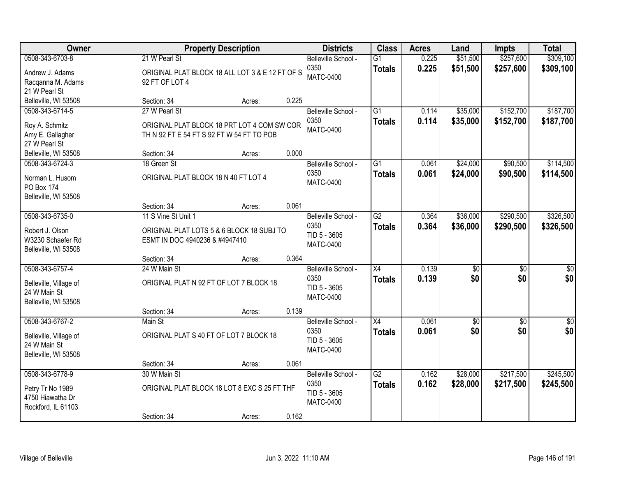| Owner                                                                             |                                                                                                           | <b>Property Description</b> |       | <b>Districts</b>                                                | <b>Class</b>                     | <b>Acres</b>   | Land                 | <b>Impts</b>           | <b>Total</b>            |
|-----------------------------------------------------------------------------------|-----------------------------------------------------------------------------------------------------------|-----------------------------|-------|-----------------------------------------------------------------|----------------------------------|----------------|----------------------|------------------------|-------------------------|
| 0508-343-6703-8<br>Andrew J. Adams<br>Racqanna M. Adams<br>21 W Pearl St          | 21 W Pearl St<br>ORIGINAL PLAT BLOCK 18 ALL LOT 3 & E 12 FT OF S<br>92 FT OF LOT 4                        |                             |       | Belleville School -<br>0350<br><b>MATC-0400</b>                 | $\overline{G1}$<br><b>Totals</b> | 0.225<br>0.225 | \$51,500<br>\$51,500 | \$257,600<br>\$257,600 | \$309,100<br>\$309,100  |
| Belleville, WI 53508                                                              | Section: 34                                                                                               | Acres:                      | 0.225 |                                                                 |                                  |                |                      |                        |                         |
| 0508-343-6714-5<br>Roy A. Schmitz<br>Amy E. Gallagher<br>27 W Pearl St            | 27 W Pearl St<br>ORIGINAL PLAT BLOCK 18 PRT LOT 4 COM SW COR<br>TH N 92 FT E 54 FT S 92 FT W 54 FT TO POB |                             |       | Belleville School -<br>0350<br><b>MATC-0400</b>                 | $\overline{G1}$<br><b>Totals</b> | 0.114<br>0.114 | \$35,000<br>\$35,000 | \$152,700<br>\$152,700 | \$187,700<br>\$187,700  |
| Belleville, WI 53508                                                              | Section: 34                                                                                               | Acres:                      | 0.000 |                                                                 |                                  |                |                      |                        |                         |
| 0508-343-6724-3<br>Norman L. Husom<br><b>PO Box 174</b><br>Belleville, WI 53508   | 18 Green St<br>ORIGINAL PLAT BLOCK 18 N 40 FT LOT 4                                                       |                             |       | Belleville School -<br>0350<br><b>MATC-0400</b>                 | $\overline{G1}$<br><b>Totals</b> | 0.061<br>0.061 | \$24,000<br>\$24,000 | \$90,500<br>\$90,500   | \$114,500<br>\$114,500  |
|                                                                                   | Section: 34                                                                                               | Acres:                      | 0.061 |                                                                 |                                  |                |                      |                        |                         |
| 0508-343-6735-0<br>Robert J. Olson<br>W3230 Schaefer Rd<br>Belleville, WI 53508   | 11 S Vine St Unit 1<br>ORIGINAL PLAT LOTS 5 & 6 BLOCK 18 SUBJ TO<br>ESMT IN DOC 4940236 & #4947410        |                             |       | Belleville School -<br>0350<br>TID 5 - 3605<br><b>MATC-0400</b> | $\overline{G2}$<br><b>Totals</b> | 0.364<br>0.364 | \$36,000<br>\$36,000 | \$290,500<br>\$290,500 | \$326,500<br>\$326,500  |
|                                                                                   | Section: 34                                                                                               | Acres:                      | 0.364 |                                                                 |                                  |                |                      |                        |                         |
| 0508-343-6757-4<br>Belleville, Village of<br>24 W Main St<br>Belleville, WI 53508 | 24 W Main St<br>ORIGINAL PLAT N 92 FT OF LOT 7 BLOCK 18                                                   |                             |       | Belleville School -<br>0350<br>TID 5 - 3605<br><b>MATC-0400</b> | $\overline{X4}$<br><b>Totals</b> | 0.139<br>0.139 | $\sqrt{30}$<br>\$0   | $\overline{50}$<br>\$0 | $\overline{\$0}$<br>\$0 |
|                                                                                   | Section: 34                                                                                               | Acres:                      | 0.139 |                                                                 |                                  |                |                      |                        |                         |
| 0508-343-6767-2<br>Belleville, Village of<br>24 W Main St<br>Belleville, WI 53508 | Main St<br>ORIGINAL PLAT S 40 FT OF LOT 7 BLOCK 18                                                        |                             |       | Belleville School -<br>0350<br>TID 5 - 3605<br><b>MATC-0400</b> | $\overline{X4}$<br><b>Totals</b> | 0.061<br>0.061 | $\sqrt{50}$<br>\$0   | $\sqrt{6}$<br>\$0      | $\overline{\$0}$<br>\$0 |
|                                                                                   | Section: 34                                                                                               | Acres:                      | 0.061 |                                                                 |                                  |                |                      |                        |                         |
| 0508-343-6778-9<br>Petry Tr No 1989<br>4750 Hiawatha Dr<br>Rockford, IL 61103     | 30 W Main St<br>ORIGINAL PLAT BLOCK 18 LOT 8 EXC S 25 FT THF<br>Section: 34                               | Acres:                      | 0.162 | Belleville School -<br>0350<br>TID 5 - 3605<br><b>MATC-0400</b> | $\overline{G2}$<br><b>Totals</b> | 0.162<br>0.162 | \$28,000<br>\$28,000 | \$217,500<br>\$217,500 | \$245,500<br>\$245,500  |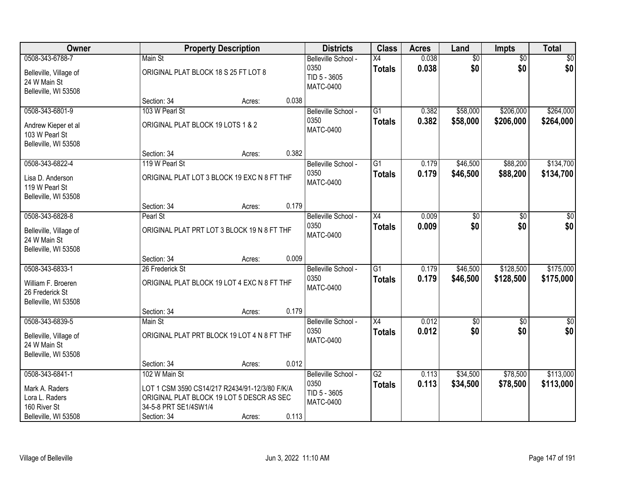| Owner                                                                                       |                                                                                                                                                      | <b>Property Description</b> |       | <b>Districts</b>                                                | <b>Class</b>                     | <b>Acres</b>   | Land                   | Impts                  | <b>Total</b>           |
|---------------------------------------------------------------------------------------------|------------------------------------------------------------------------------------------------------------------------------------------------------|-----------------------------|-------|-----------------------------------------------------------------|----------------------------------|----------------|------------------------|------------------------|------------------------|
| 0508-343-6788-7<br>Belleville, Village of<br>24 W Main St<br>Belleville, WI 53508           | Main St<br>ORIGINAL PLAT BLOCK 18 S 25 FT LOT 8                                                                                                      |                             |       | Belleville School -<br>0350<br>TID 5 - 3605<br><b>MATC-0400</b> | X4<br><b>Totals</b>              | 0.038<br>0.038 | $\overline{60}$<br>\$0 | $\overline{50}$<br>\$0 | \$0<br>\$0             |
|                                                                                             | Section: 34                                                                                                                                          | Acres:                      | 0.038 |                                                                 |                                  |                |                        |                        |                        |
| 0508-343-6801-9<br>Andrew Kieper et al<br>103 W Pearl St<br>Belleville, WI 53508            | 103 W Pearl St<br>ORIGINAL PLAT BLOCK 19 LOTS 1 & 2<br>Section: 34                                                                                   |                             | 0.382 | Belleville School -<br>0350<br><b>MATC-0400</b>                 | $\overline{G1}$<br><b>Totals</b> | 0.382<br>0.382 | \$58,000<br>\$58,000   | \$206,000<br>\$206,000 | \$264,000<br>\$264,000 |
| 0508-343-6822-4                                                                             | 119 W Pearl St                                                                                                                                       | Acres:                      |       | Belleville School -                                             | G1                               | 0.179          | \$46,500               | \$88,200               | \$134,700              |
| Lisa D. Anderson<br>119 W Pearl St<br>Belleville, WI 53508                                  | ORIGINAL PLAT LOT 3 BLOCK 19 EXC N 8 FT THF                                                                                                          |                             |       | 0350<br><b>MATC-0400</b>                                        | <b>Totals</b>                    | 0.179          | \$46,500               | \$88,200               | \$134,700              |
|                                                                                             | Section: 34                                                                                                                                          | Acres:                      | 0.179 |                                                                 |                                  |                |                        |                        |                        |
| 0508-343-6828-8<br>Belleville, Village of<br>24 W Main St<br>Belleville, WI 53508           | Pearl St<br>ORIGINAL PLAT PRT LOT 3 BLOCK 19 N 8 FT THF                                                                                              |                             |       | Belleville School -<br>0350<br>MATC-0400                        | X4<br><b>Totals</b>              | 0.009<br>0.009 | \$0<br>\$0             | \$0<br>\$0             | \$0<br>\$0             |
|                                                                                             | Section: 34                                                                                                                                          | Acres:                      | 0.009 |                                                                 |                                  |                |                        |                        |                        |
| 0508-343-6833-1<br>William F. Broeren<br>26 Frederick St<br>Belleville, WI 53508            | 26 Frederick St<br>ORIGINAL PLAT BLOCK 19 LOT 4 EXC N 8 FT THF                                                                                       |                             |       | Belleville School -<br>0350<br><b>MATC-0400</b>                 | $\overline{G1}$<br><b>Totals</b> | 0.179<br>0.179 | \$46,500<br>\$46,500   | \$128,500<br>\$128,500 | \$175,000<br>\$175,000 |
| 0508-343-6839-5                                                                             | Section: 34<br>Main St                                                                                                                               | Acres:                      | 0.179 | Belleville School -                                             | $\overline{X4}$                  | 0.012          | $\sqrt{50}$            | $\overline{50}$        | $\overline{\$0}$       |
| Belleville, Village of<br>24 W Main St<br>Belleville, WI 53508                              | ORIGINAL PLAT PRT BLOCK 19 LOT 4 N 8 FT THF                                                                                                          |                             |       | 0350<br><b>MATC-0400</b>                                        | <b>Totals</b>                    | 0.012          | \$0                    | \$0                    | \$0                    |
|                                                                                             | Section: 34                                                                                                                                          | Acres:                      | 0.012 |                                                                 |                                  |                |                        |                        |                        |
| 0508-343-6841-1<br>Mark A. Raders<br>Lora L. Raders<br>160 River St<br>Belleville, WI 53508 | 102 W Main St<br>LOT 1 CSM 3590 CS14/217 R2434/91-12/3/80 F/K/A<br>ORIGINAL PLAT BLOCK 19 LOT 5 DESCR AS SEC<br>34-5-8 PRT SE1/4SW1/4<br>Section: 34 | Acres:                      | 0.113 | Belleville School -<br>0350<br>TID 5 - 3605<br><b>MATC-0400</b> | $\overline{G2}$<br><b>Totals</b> | 0.113<br>0.113 | \$34,500<br>\$34,500   | \$78,500<br>\$78,500   | \$113,000<br>\$113,000 |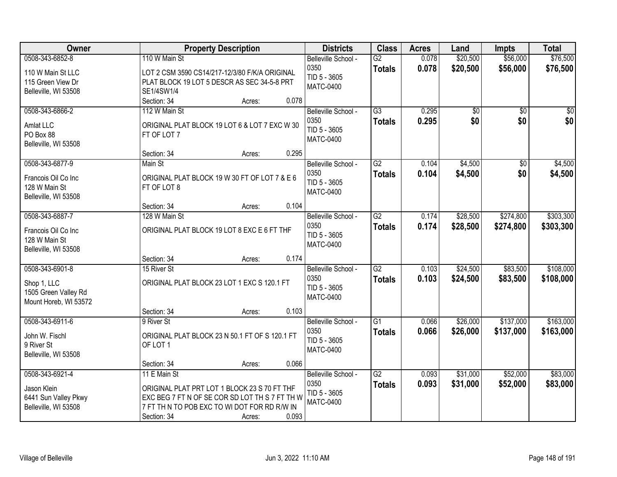| Owner                 |                                                | <b>Property Description</b> |       | <b>Districts</b>    | <b>Class</b>    | <b>Acres</b> | Land            | <b>Impts</b>    | <b>Total</b> |
|-----------------------|------------------------------------------------|-----------------------------|-------|---------------------|-----------------|--------------|-----------------|-----------------|--------------|
| 0508-343-6852-8       | 110 W Main St                                  |                             |       | Belleville School - | $\overline{G2}$ | 0.078        | \$20,500        | \$56,000        | \$76,500     |
| 110 W Main St LLC     | LOT 2 CSM 3590 CS14/217-12/3/80 F/K/A ORIGINAL |                             |       | 0350                | <b>Totals</b>   | 0.078        | \$20,500        | \$56,000        | \$76,500     |
| 115 Green View Dr     | PLAT BLOCK 19 LOT 5 DESCR AS SEC 34-5-8 PRT    |                             |       | TID 5 - 3605        |                 |              |                 |                 |              |
| Belleville, WI 53508  | SE1/4SW1/4                                     |                             |       | <b>MATC-0400</b>    |                 |              |                 |                 |              |
|                       | Section: 34                                    | Acres:                      | 0.078 |                     |                 |              |                 |                 |              |
| 0508-343-6866-2       | 112 W Main St                                  |                             |       | Belleville School - | $\overline{G3}$ | 0.295        | $\overline{50}$ | $\overline{50}$ | $\sqrt{50}$  |
| Amlat LLC             | ORIGINAL PLAT BLOCK 19 LOT 6 & LOT 7 EXC W 30  |                             |       | 0350                | <b>Totals</b>   | 0.295        | \$0             | \$0             | \$0          |
| PO Box 88             | FT OF LOT 7                                    |                             |       | TID 5 - 3605        |                 |              |                 |                 |              |
| Belleville, WI 53508  |                                                |                             |       | <b>MATC-0400</b>    |                 |              |                 |                 |              |
|                       | Section: 34                                    | Acres:                      | 0.295 |                     |                 |              |                 |                 |              |
| 0508-343-6877-9       | Main St                                        |                             |       | Belleville School - | G2              | 0.104        | \$4,500         | \$0             | \$4,500      |
| Francois Oil Co Inc   | ORIGINAL PLAT BLOCK 19 W 30 FT OF LOT 7 & E 6  |                             |       | 0350                | <b>Totals</b>   | 0.104        | \$4,500         | \$0             | \$4,500      |
| 128 W Main St         | FT OF LOT 8                                    |                             |       | TID 5 - 3605        |                 |              |                 |                 |              |
| Belleville, WI 53508  |                                                |                             |       | <b>MATC-0400</b>    |                 |              |                 |                 |              |
|                       | Section: 34                                    | Acres:                      | 0.104 |                     |                 |              |                 |                 |              |
| 0508-343-6887-7       | 128 W Main St                                  |                             |       | Belleville School - | $\overline{G2}$ | 0.174        | \$28,500        | \$274,800       | \$303,300    |
| Francois Oil Co Inc   | ORIGINAL PLAT BLOCK 19 LOT 8 EXC E 6 FT THF    |                             |       | 0350                | <b>Totals</b>   | 0.174        | \$28,500        | \$274,800       | \$303,300    |
| 128 W Main St         |                                                |                             |       | TID 5 - 3605        |                 |              |                 |                 |              |
| Belleville, WI 53508  |                                                |                             |       | <b>MATC-0400</b>    |                 |              |                 |                 |              |
|                       | Section: 34                                    | Acres:                      | 0.174 |                     |                 |              |                 |                 |              |
| 0508-343-6901-8       | 15 River St                                    |                             |       | Belleville School - | $\overline{G2}$ | 0.103        | \$24,500        | \$83,500        | \$108,000    |
| Shop 1, LLC           | ORIGINAL PLAT BLOCK 23 LOT 1 EXC S 120.1 FT    |                             |       | 0350                | <b>Totals</b>   | 0.103        | \$24,500        | \$83,500        | \$108,000    |
| 1505 Green Valley Rd  |                                                |                             |       | TID 5 - 3605        |                 |              |                 |                 |              |
| Mount Horeb, WI 53572 |                                                |                             |       | <b>MATC-0400</b>    |                 |              |                 |                 |              |
|                       | Section: 34                                    | Acres:                      | 0.103 |                     |                 |              |                 |                 |              |
| 0508-343-6911-6       | 9 River St                                     |                             |       | Belleville School - | $\overline{G1}$ | 0.066        | \$26,000        | \$137,000       | \$163,000    |
| John W. Fischl        | ORIGINAL PLAT BLOCK 23 N 50.1 FT OF S 120.1 FT |                             |       | 0350                | <b>Totals</b>   | 0.066        | \$26,000        | \$137,000       | \$163,000    |
| 9 River St            | OF LOT 1                                       |                             |       | TID 5 - 3605        |                 |              |                 |                 |              |
| Belleville, WI 53508  |                                                |                             |       | <b>MATC-0400</b>    |                 |              |                 |                 |              |
|                       | Section: 34                                    | Acres:                      | 0.066 |                     |                 |              |                 |                 |              |
| 0508-343-6921-4       | 11 E Main St                                   |                             |       | Belleville School - | $\overline{G2}$ | 0.093        | \$31,000        | \$52,000        | \$83,000     |
| Jason Klein           | ORIGINAL PLAT PRT LOT 1 BLOCK 23 S 70 FT THF   |                             |       | 0350                | <b>Totals</b>   | 0.093        | \$31,000        | \$52,000        | \$83,000     |
| 6441 Sun Valley Pkwy  | EXC BEG 7 FT N OF SE COR SD LOT TH S 7 FT TH W |                             |       | TID 5 - 3605        |                 |              |                 |                 |              |
| Belleville, WI 53508  | 7 FT TH N TO POB EXC TO WI DOT FOR RD R/W IN   |                             |       | MATC-0400           |                 |              |                 |                 |              |
|                       | Section: 34                                    | Acres:                      | 0.093 |                     |                 |              |                 |                 |              |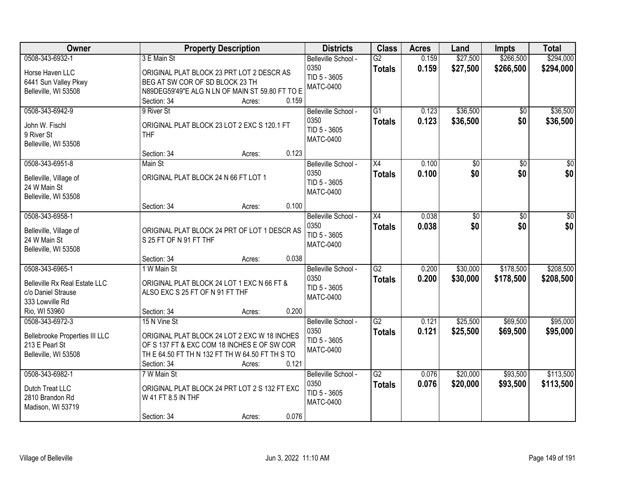| Owner                                                                                                             | <b>Property Description</b>                                                                                                                                                                      | <b>Districts</b>                                                | <b>Class</b>                     | <b>Acres</b>   | Land                   | <b>Impts</b>           | <b>Total</b>            |
|-------------------------------------------------------------------------------------------------------------------|--------------------------------------------------------------------------------------------------------------------------------------------------------------------------------------------------|-----------------------------------------------------------------|----------------------------------|----------------|------------------------|------------------------|-------------------------|
| 0508-343-6932-1<br>Horse Haven LLC<br>6441 Sun Valley Pkwy<br>Belleville, WI 53508                                | 3 E Main St<br>ORIGINAL PLAT BLOCK 23 PRT LOT 2 DESCR AS<br>BEG AT SW COR OF SD BLOCK 23 TH<br>N89DEG59'49"E ALG N LN OF MAIN ST 59.80 FT TO E                                                   | Belleville School -<br>0350<br>TID 5 - 3605<br><b>MATC-0400</b> | $\overline{G2}$<br><b>Totals</b> | 0.159<br>0.159 | \$27,500<br>\$27,500   | \$266,500<br>\$266,500 | \$294,000<br>\$294,000  |
| 0508-343-6942-9<br>John W. Fischl<br>9 River St<br>Belleville, WI 53508                                           | 0.159<br>Section: 34<br>Acres:<br>9 River St<br>ORIGINAL PLAT BLOCK 23 LOT 2 EXC S 120.1 FT<br><b>THF</b><br>0.123<br>Section: 34<br>Acres:                                                      | Belleville School -<br>0350<br>TID 5 - 3605<br><b>MATC-0400</b> | $\overline{G1}$<br><b>Totals</b> | 0.123<br>0.123 | \$36,500<br>\$36,500   | $\overline{50}$<br>\$0 | \$36,500<br>\$36,500    |
| 0508-343-6951-8<br>Belleville, Village of<br>24 W Main St<br>Belleville, WI 53508                                 | Main St<br>ORIGINAL PLAT BLOCK 24 N 66 FT LOT 1<br>0.100<br>Section: 34<br>Acres:                                                                                                                | Belleville School -<br>0350<br>TID 5 - 3605<br><b>MATC-0400</b> | X4<br><b>Totals</b>              | 0.100<br>0.100 | \$0<br>\$0             | $\overline{50}$<br>\$0 | $\overline{\$0}$<br>\$0 |
| 0508-343-6958-1<br>Belleville, Village of<br>24 W Main St<br>Belleville, WI 53508                                 | ORIGINAL PLAT BLOCK 24 PRT OF LOT 1 DESCR AS<br>S 25 FT OF N 91 FT THF<br>0.038<br>Section: 34<br>Acres:                                                                                         | Belleville School -<br>0350<br>TID 5 - 3605<br><b>MATC-0400</b> | X4<br><b>Totals</b>              | 0.038<br>0.038 | $\overline{50}$<br>\$0 | \$0<br>\$0             | $\overline{50}$<br>\$0  |
| 0508-343-6965-1<br><b>Belleville Rx Real Estate LLC</b><br>c/o Daniel Strause<br>333 Lowville Rd<br>Rio, WI 53960 | 1 W Main St<br>ORIGINAL PLAT BLOCK 24 LOT 1 EXC N 66 FT &<br>ALSO EXC S 25 FT OF N 91 FT THF<br>0.200<br>Section: 34<br>Acres:                                                                   | Belleville School -<br>0350<br>TID 5 - 3605<br><b>MATC-0400</b> | $\overline{G2}$<br>Totals        | 0.200<br>0.200 | \$30,000<br>\$30,000   | \$178,500<br>\$178,500 | \$208,500<br>\$208,500  |
| 0508-343-6972-3<br>Bellebrooke Properties III LLC<br>213 E Pearl St<br>Belleville, WI 53508                       | 15 N Vine St<br>ORIGINAL PLAT BLOCK 24 LOT 2 EXC W 18 INCHES<br>OF S 137 FT & EXC COM 18 INCHES E OF SW COR<br>TH E 64.50 FT TH N 132 FT TH W 64.50 FT TH S TO<br>0.121<br>Section: 34<br>Acres: | Belleville School -<br>0350<br>TID 5 - 3605<br><b>MATC-0400</b> | G2<br><b>Totals</b>              | 0.121<br>0.121 | \$25,500<br>\$25,500   | \$69,500<br>\$69,500   | \$95,000<br>\$95,000    |
| 0508-343-6982-1<br>Dutch Treat LLC<br>2810 Brandon Rd<br>Madison, WI 53719                                        | 7 W Main St<br>ORIGINAL PLAT BLOCK 24 PRT LOT 2 S 132 FT EXC<br>W 41 FT 8.5 IN THF<br>0.076<br>Section: 34<br>Acres:                                                                             | Belleville School -<br>0350<br>TID 5 - 3605<br><b>MATC-0400</b> | $\overline{G2}$<br><b>Totals</b> | 0.076<br>0.076 | \$20,000<br>\$20,000   | \$93,500<br>\$93,500   | \$113,500<br>\$113,500  |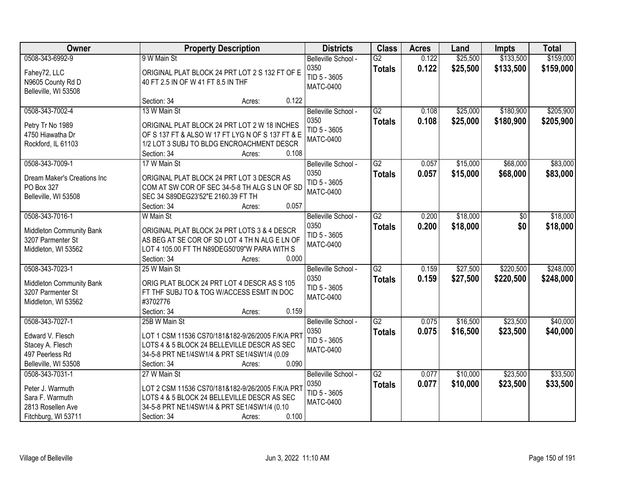| Owner                                | <b>Property Description</b>                           | <b>Districts</b>     | <b>Class</b>    | <b>Acres</b> | Land     | <b>Impts</b> | <b>Total</b> |
|--------------------------------------|-------------------------------------------------------|----------------------|-----------------|--------------|----------|--------------|--------------|
| 0508-343-6992-9                      | 9 W Main St                                           | Belleville School -  | $\overline{G2}$ | 0.122        | \$25,500 | \$133,500    | \$159,000    |
| Fahey72, LLC                         | ORIGINAL PLAT BLOCK 24 PRT LOT 2 S 132 FT OF E        | 0350                 | <b>Totals</b>   | 0.122        | \$25,500 | \$133,500    | \$159,000    |
| N9605 County Rd D                    | 40 FT 2.5 IN OF W 41 FT 8.5 IN THF                    | TID 5 - 3605         |                 |              |          |              |              |
| Belleville, WI 53508                 |                                                       | <b>MATC-0400</b>     |                 |              |          |              |              |
|                                      | 0.122<br>Section: 34<br>Acres:                        |                      |                 |              |          |              |              |
| 0508-343-7002-4                      | 13 W Main St                                          | Belleville School -  | $\overline{G2}$ | 0.108        | \$25,000 | \$180,900    | \$205,900    |
|                                      | ORIGINAL PLAT BLOCK 24 PRT LOT 2 W 18 INCHES          | 0350                 | <b>Totals</b>   | 0.108        | \$25,000 | \$180,900    | \$205,900    |
| Petry Tr No 1989<br>4750 Hiawatha Dr | OF S 137 FT & ALSO W 17 FT LYG N OF S 137 FT & E      | TID 5 - 3605         |                 |              |          |              |              |
| Rockford, IL 61103                   | 1/2 LOT 3 SUBJ TO BLDG ENCROACHMENT DESCR             | <b>MATC-0400</b>     |                 |              |          |              |              |
|                                      | 0.108<br>Section: 34<br>Acres:                        |                      |                 |              |          |              |              |
| 0508-343-7009-1                      | 17 W Main St                                          | Belleville School -  | $\overline{G2}$ | 0.057        | \$15,000 | \$68,000     | \$83,000     |
|                                      |                                                       | 0350                 | <b>Totals</b>   | 0.057        | \$15,000 | \$68,000     | \$83,000     |
| Dream Maker's Creations Inc          | ORIGINAL PLAT BLOCK 24 PRT LOT 3 DESCR AS             | TID 5 - 3605         |                 |              |          |              |              |
| PO Box 327                           | COM AT SW COR OF SEC 34-5-8 TH ALG S LN OF SD         | <b>MATC-0400</b>     |                 |              |          |              |              |
| Belleville, WI 53508                 | SEC 34 S89DEG23'52"E 2160.39 FT TH                    |                      |                 |              |          |              |              |
|                                      | 0.057<br>Section: 34<br>Acres:                        |                      |                 |              |          |              |              |
| 0508-343-7016-1                      | W Main St                                             | Belleville School -  | $\overline{G2}$ | 0.200        | \$18,000 | \$0          | \$18,000     |
| Middleton Community Bank             | ORIGINAL PLAT BLOCK 24 PRT LOTS 3 & 4 DESCR           | 0350<br>TID 5 - 3605 | <b>Totals</b>   | 0.200        | \$18,000 | \$0          | \$18,000     |
| 3207 Parmenter St                    | AS BEG AT SE COR OF SD LOT 4 TH N ALG E LN OF         | <b>MATC-0400</b>     |                 |              |          |              |              |
| Middleton, WI 53562                  | LOT 4 105.00 FT TH N89DEG50'09"W PARA WITH S          |                      |                 |              |          |              |              |
|                                      | 0.000<br>Section: 34<br>Acres:                        |                      |                 |              |          |              |              |
| 0508-343-7023-1                      | 25 W Main St                                          | Belleville School -  | $\overline{G2}$ | 0.159        | \$27,500 | \$220,500    | \$248,000    |
| Middleton Community Bank             | ORIG PLAT BLOCK 24 PRT LOT 4 DESCR AS S 105           | 0350                 | <b>Totals</b>   | 0.159        | \$27,500 | \$220,500    | \$248,000    |
| 3207 Parmenter St                    | FT THE SUBJ TO & TOG W/ACCESS ESMT IN DOC             | TID 5 - 3605         |                 |              |          |              |              |
| Middleton, WI 53562                  | #3702776                                              | <b>MATC-0400</b>     |                 |              |          |              |              |
|                                      | 0.159<br>Section: 34<br>Acres:                        |                      |                 |              |          |              |              |
| 0508-343-7027-1                      | 25B W Main St                                         | Belleville School -  | $\overline{G2}$ | 0.075        | \$16,500 | \$23,500     | \$40,000     |
| Edward V. Flesch                     | LOT 1 CSM 11536 CS70/181&182-9/26/2005 F/K/A PRT      | 0350                 | <b>Totals</b>   | 0.075        | \$16,500 | \$23,500     | \$40,000     |
| Stacey A. Flesch                     | LOTS 4 & 5 BLOCK 24 BELLEVILLE DESCR AS SEC           | TID 5 - 3605         |                 |              |          |              |              |
| 497 Peerless Rd                      | 34-5-8 PRT NE1/4SW1/4 & PRT SE1/4SW1/4 (0.09          | <b>MATC-0400</b>     |                 |              |          |              |              |
| Belleville, WI 53508                 | 0.090<br>Section: 34<br>Acres:                        |                      |                 |              |          |              |              |
| 0508-343-7031-1                      | 27 W Main St                                          | Belleville School -  | $\overline{G2}$ | 0.077        | \$10,000 | \$23,500     | \$33,500     |
|                                      |                                                       | 0350                 | <b>Totals</b>   | 0.077        | \$10,000 | \$23,500     | \$33,500     |
| Peter J. Warmuth                     | LOT 2 CSM 11536 CS70/181&182-9/26/2005 F/K/A PRT      | TID 5 - 3605         |                 |              |          |              |              |
| Sara F. Warmuth                      | LOTS 4 & 5 BLOCK 24 BELLEVILLE DESCR AS SEC           | <b>MATC-0400</b>     |                 |              |          |              |              |
| 2813 Rosellen Ave                    | 34-5-8 PRT NE1/4SW1/4 & PRT SE1/4SW1/4 (0.10<br>0.100 |                      |                 |              |          |              |              |
| Fitchburg, WI 53711                  | Section: 34<br>Acres:                                 |                      |                 |              |          |              |              |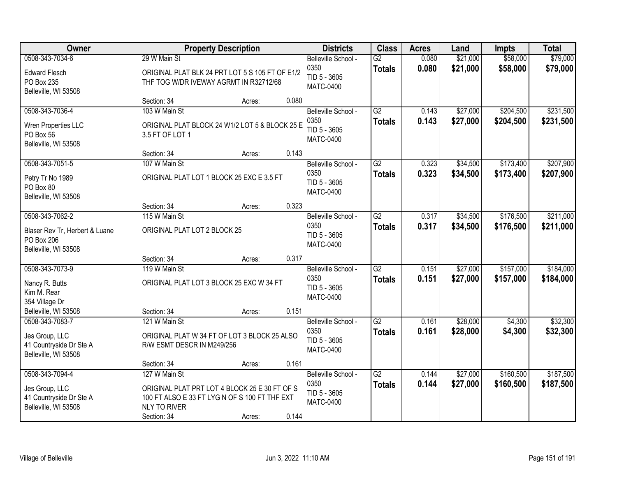| <b>Owner</b>                                                                                   |                                                                                                                                                       | <b>Property Description</b> |       | <b>Districts</b>                                                | <b>Class</b>                     | <b>Acres</b>   | Land                 | <b>Impts</b>           | <b>Total</b>           |
|------------------------------------------------------------------------------------------------|-------------------------------------------------------------------------------------------------------------------------------------------------------|-----------------------------|-------|-----------------------------------------------------------------|----------------------------------|----------------|----------------------|------------------------|------------------------|
| 0508-343-7034-6<br><b>Edward Flesch</b><br>PO Box 235<br>Belleville, WI 53508                  | 29 W Main St<br>ORIGINAL PLAT BLK 24 PRT LOT 5 S 105 FT OF E1/2<br>THF TOG W/DR IVEWAY AGRMT IN R32712/68                                             |                             |       | Belleville School -<br>0350<br>TID 5 - 3605<br><b>MATC-0400</b> | $\overline{G2}$<br><b>Totals</b> | 0.080<br>0.080 | \$21,000<br>\$21,000 | \$58,000<br>\$58,000   | \$79,000<br>\$79,000   |
|                                                                                                | Section: 34                                                                                                                                           | Acres:                      | 0.080 |                                                                 |                                  |                |                      |                        |                        |
| 0508-343-7036-4<br>Wren Properties LLC<br>PO Box 56<br>Belleville, WI 53508                    | 103 W Main St<br>ORIGINAL PLAT BLOCK 24 W1/2 LOT 5 & BLOCK 25 E<br>3.5 FT OF LOT 1                                                                    |                             |       | Belleville School -<br>0350<br>TID 5 - 3605<br><b>MATC-0400</b> | G2<br><b>Totals</b>              | 0.143<br>0.143 | \$27,000<br>\$27,000 | \$204,500<br>\$204,500 | \$231,500<br>\$231,500 |
|                                                                                                | Section: 34                                                                                                                                           | Acres:                      | 0.143 |                                                                 |                                  |                |                      |                        |                        |
| 0508-343-7051-5<br>Petry Tr No 1989<br>PO Box 80<br>Belleville, WI 53508                       | 107 W Main St<br>ORIGINAL PLAT LOT 1 BLOCK 25 EXC E 3.5 FT                                                                                            |                             |       | Belleville School -<br>0350<br>TID 5 - 3605<br>MATC-0400        | G2<br><b>Totals</b>              | 0.323<br>0.323 | \$34,500<br>\$34,500 | \$173,400<br>\$173,400 | \$207,900<br>\$207,900 |
|                                                                                                | Section: 34                                                                                                                                           | Acres:                      | 0.323 |                                                                 |                                  |                |                      |                        |                        |
| 0508-343-7062-2<br>Blaser Rev Tr, Herbert & Luane<br><b>PO Box 206</b><br>Belleville, WI 53508 | 115 W Main St<br>ORIGINAL PLAT LOT 2 BLOCK 25                                                                                                         |                             |       | Belleville School -<br>0350<br>TID 5 - 3605<br><b>MATC-0400</b> | $\overline{G2}$<br><b>Totals</b> | 0.317<br>0.317 | \$34,500<br>\$34,500 | \$176,500<br>\$176,500 | \$211,000<br>\$211,000 |
|                                                                                                | Section: 34                                                                                                                                           | Acres:                      | 0.317 |                                                                 |                                  |                |                      |                        |                        |
| 0508-343-7073-9<br>Nancy R. Butts<br>Kim M. Rear<br>354 Village Dr                             | 119 W Main St<br>ORIGINAL PLAT LOT 3 BLOCK 25 EXC W 34 FT                                                                                             |                             |       | Belleville School -<br>0350<br>TID 5 - 3605<br><b>MATC-0400</b> | $\overline{G2}$<br><b>Totals</b> | 0.151<br>0.151 | \$27,000<br>\$27,000 | \$157,000<br>\$157,000 | \$184,000<br>\$184,000 |
| Belleville, WI 53508                                                                           | Section: 34                                                                                                                                           | Acres:                      | 0.151 |                                                                 |                                  |                |                      |                        |                        |
| 0508-343-7083-7<br>Jes Group, LLC<br>41 Countryside Dr Ste A<br>Belleville, WI 53508           | 121 W Main St<br>ORIGINAL PLAT W 34 FT OF LOT 3 BLOCK 25 ALSO<br>R/W ESMT DESCR IN M249/256                                                           |                             |       | Belleville School -<br>0350<br>TID 5 - 3605<br><b>MATC-0400</b> | G2<br><b>Totals</b>              | 0.161<br>0.161 | \$28,000<br>\$28,000 | \$4,300<br>\$4,300     | \$32,300<br>\$32,300   |
|                                                                                                | Section: 34                                                                                                                                           | Acres:                      | 0.161 |                                                                 |                                  |                |                      |                        |                        |
| 0508-343-7094-4<br>Jes Group, LLC<br>41 Countryside Dr Ste A<br>Belleville, WI 53508           | 127 W Main St<br>ORIGINAL PLAT PRT LOT 4 BLOCK 25 E 30 FT OF S<br>100 FT ALSO E 33 FT LYG N OF S 100 FT THF EXT<br><b>NLY TO RIVER</b><br>Section: 34 | Acres:                      | 0.144 | Belleville School -<br>0350<br>TID 5 - 3605<br>MATC-0400        | $\overline{G2}$<br><b>Totals</b> | 0.144<br>0.144 | \$27,000<br>\$27,000 | \$160,500<br>\$160,500 | \$187,500<br>\$187,500 |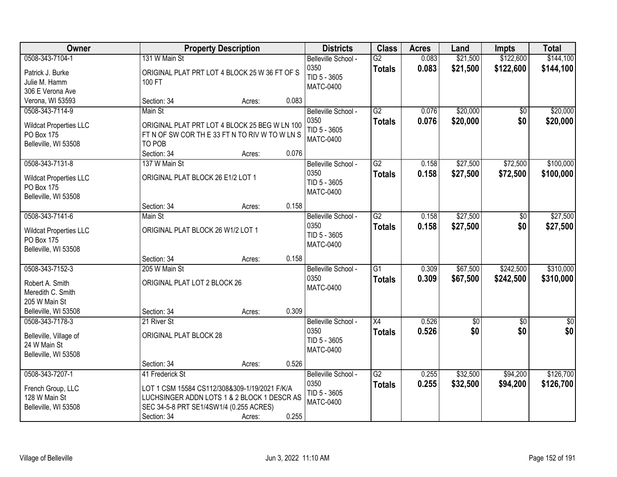| Owner                                                                                            |                                                                                                                                                                           | <b>Property Description</b> |                | <b>Districts</b>                                                | <b>Class</b>                     | <b>Acres</b>   | Land                 | <b>Impts</b>           | <b>Total</b>           |
|--------------------------------------------------------------------------------------------------|---------------------------------------------------------------------------------------------------------------------------------------------------------------------------|-----------------------------|----------------|-----------------------------------------------------------------|----------------------------------|----------------|----------------------|------------------------|------------------------|
| 0508-343-7104-1<br>Patrick J. Burke<br>Julie M. Hamm<br>306 E Verona Ave                         | 131 W Main St<br>ORIGINAL PLAT PRT LOT 4 BLOCK 25 W 36 FT OF S<br>100 FT                                                                                                  |                             |                | Belleville School -<br>0350<br>TID 5 - 3605<br><b>MATC-0400</b> | $\overline{G2}$<br><b>Totals</b> | 0.083<br>0.083 | \$21,500<br>\$21,500 | \$122,600<br>\$122,600 | \$144,100<br>\$144,100 |
| Verona, WI 53593                                                                                 | Section: 34                                                                                                                                                               | Acres:                      | 0.083          |                                                                 |                                  |                |                      |                        |                        |
| 0508-343-7114-9<br><b>Wildcat Properties LLC</b><br>PO Box 175<br>Belleville, WI 53508           | Main St<br>ORIGINAL PLAT PRT LOT 4 BLOCK 25 BEG W LN 100<br>FT N OF SW COR THE 33 FT N TO RIV W TO W LN S<br>TO POB<br>Section: 34                                        | Acres:                      | 0.076          | Belleville School -<br>0350<br>TID 5 - 3605<br><b>MATC-0400</b> | $\overline{G2}$<br><b>Totals</b> | 0.076<br>0.076 | \$20,000<br>\$20,000 | \$0<br>\$0             | \$20,000<br>\$20,000   |
| 0508-343-7131-8<br><b>Wildcat Properties LLC</b><br>PO Box 175<br>Belleville, WI 53508           | 137 W Main St<br>ORIGINAL PLAT BLOCK 26 E1/2 LOT 1<br>Section: 34                                                                                                         | Acres:                      | 0.158          | Belleville School -<br>0350<br>TID 5 - 3605<br><b>MATC-0400</b> | $\overline{G2}$<br><b>Totals</b> | 0.158<br>0.158 | \$27,500<br>\$27,500 | \$72,500<br>\$72,500   | \$100,000<br>\$100,000 |
| 0508-343-7141-6<br><b>Wildcat Properties LLC</b><br>PO Box 175<br>Belleville, WI 53508           | Main St<br>ORIGINAL PLAT BLOCK 26 W1/2 LOT 1                                                                                                                              |                             |                | Belleville School -<br>0350<br>TID 5 - 3605<br><b>MATC-0400</b> | $\overline{G2}$<br><b>Totals</b> | 0.158<br>0.158 | \$27,500<br>\$27,500 | \$0<br>\$0             | \$27,500<br>\$27,500   |
| 0508-343-7152-3<br>Robert A. Smith<br>Meredith C. Smith<br>205 W Main St<br>Belleville, WI 53508 | Section: 34<br>205 W Main St<br>ORIGINAL PLAT LOT 2 BLOCK 26<br>Section: 34                                                                                               | Acres:<br>Acres:            | 0.158<br>0.309 | Belleville School -<br>0350<br><b>MATC-0400</b>                 | $\overline{G1}$<br><b>Totals</b> | 0.309<br>0.309 | \$67,500<br>\$67,500 | \$242,500<br>\$242,500 | \$310,000<br>\$310,000 |
| 0508-343-7178-3<br>Belleville, Village of<br>24 W Main St<br>Belleville, WI 53508                | 21 River St<br>ORIGINAL PLAT BLOCK 28<br>Section: 34                                                                                                                      | Acres:                      | 0.526          | Belleville School -<br>0350<br>TID 5 - 3605<br><b>MATC-0400</b> | X4<br><b>Totals</b>              | 0.526<br>0.526 | $\sqrt{30}$<br>\$0   | $\sqrt{6}$<br>\$0      | $\frac{6}{3}$<br>\$0   |
| 0508-343-7207-1<br>French Group, LLC<br>128 W Main St<br>Belleville, WI 53508                    | 41 Frederick St<br>LOT 1 CSM 15584 CS112/308&309-1/19/2021 F/K/A<br>LUCHSINGER ADDN LOTS 1 & 2 BLOCK 1 DESCR AS<br>SEC 34-5-8 PRT SE1/4SW1/4 (0.255 ACRES)<br>Section: 34 | Acres:                      | 0.255          | Belleville School -<br>0350<br>TID 5 - 3605<br><b>MATC-0400</b> | $\overline{G2}$<br><b>Totals</b> | 0.255<br>0.255 | \$32,500<br>\$32,500 | \$94,200<br>\$94,200   | \$126,700<br>\$126,700 |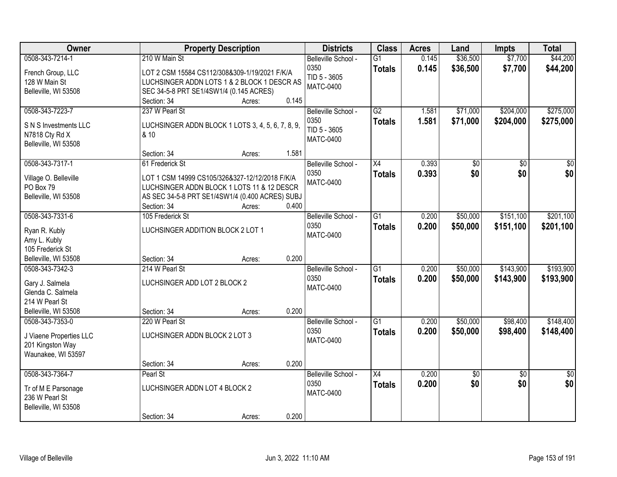| Owner                                    | <b>Property Description</b>                       |                 | <b>Districts</b>    | <b>Class</b>    | <b>Acres</b> | Land     | <b>Impts</b>    | <b>Total</b>    |
|------------------------------------------|---------------------------------------------------|-----------------|---------------------|-----------------|--------------|----------|-----------------|-----------------|
| 0508-343-7214-1                          | 210 W Main St                                     |                 | Belleville School - | $\overline{G1}$ | 0.145        | \$36,500 | \$7,700         | \$44,200        |
| French Group, LLC                        | LOT 2 CSM 15584 CS112/308&309-1/19/2021 F/K/A     |                 | 0350                | <b>Totals</b>   | 0.145        | \$36,500 | \$7,700         | \$44,200        |
| 128 W Main St                            | LUCHSINGER ADDN LOTS 1 & 2 BLOCK 1 DESCR AS       |                 | TID 5 - 3605        |                 |              |          |                 |                 |
| Belleville, WI 53508                     | SEC 34-5-8 PRT SE1/4SW1/4 (0.145 ACRES)           |                 | <b>MATC-0400</b>    |                 |              |          |                 |                 |
|                                          | Section: 34                                       | 0.145<br>Acres: |                     |                 |              |          |                 |                 |
| 0508-343-7223-7                          | 237 W Pearl St                                    |                 | Belleville School - | G2              | 1.581        | \$71,000 | \$204,000       | \$275,000       |
| S N S Investments LLC                    | LUCHSINGER ADDN BLOCK 1 LOTS 3, 4, 5, 6, 7, 8, 9, |                 | 0350                | <b>Totals</b>   | 1.581        | \$71,000 | \$204,000       | \$275,000       |
| N7818 Cty Rd X                           | & 10                                              |                 | TID 5 - 3605        |                 |              |          |                 |                 |
| Belleville, WI 53508                     |                                                   |                 | <b>MATC-0400</b>    |                 |              |          |                 |                 |
|                                          | Section: 34                                       | 1.581<br>Acres: |                     |                 |              |          |                 |                 |
| 0508-343-7317-1                          | 61 Frederick St                                   |                 | Belleville School - | X4              | 0.393        | \$0      | \$0             | \$0             |
|                                          | LOT 1 CSM 14999 CS105/326&327-12/12/2018 F/K/A    |                 | 0350                | <b>Totals</b>   | 0.393        | \$0      | \$0             | \$0             |
| Village O. Belleville<br>PO Box 79       | LUCHSINGER ADDN BLOCK 1 LOTS 11 & 12 DESCR        |                 | <b>MATC-0400</b>    |                 |              |          |                 |                 |
| Belleville, WI 53508                     | AS SEC 34-5-8 PRT SE1/4SW1/4 (0.400 ACRES) SUBJ   |                 |                     |                 |              |          |                 |                 |
|                                          | Section: 34                                       | 0.400<br>Acres: |                     |                 |              |          |                 |                 |
| 0508-343-7331-6                          | 105 Frederick St                                  |                 | Belleville School - | G1              | 0.200        | \$50,000 | \$151,100       | \$201,100       |
|                                          |                                                   |                 | 0350                | <b>Totals</b>   | 0.200        | \$50,000 | \$151,100       | \$201,100       |
| Ryan R. Kubly                            | LUCHSINGER ADDITION BLOCK 2 LOT 1                 |                 | <b>MATC-0400</b>    |                 |              |          |                 |                 |
| Amy L. Kubly                             |                                                   |                 |                     |                 |              |          |                 |                 |
| 105 Frederick St<br>Belleville, WI 53508 |                                                   | 0.200           |                     |                 |              |          |                 |                 |
| 0508-343-7342-3                          | Section: 34<br>214 W Pearl St                     | Acres:          | Belleville School - | $\overline{G1}$ | 0.200        | \$50,000 | \$143,900       | \$193,900       |
|                                          |                                                   |                 | 0350                |                 | 0.200        | \$50,000 | \$143,900       |                 |
| Gary J. Salmela                          | LUCHSINGER ADD LOT 2 BLOCK 2                      |                 | <b>MATC-0400</b>    | <b>Totals</b>   |              |          |                 | \$193,900       |
| Glenda C. Salmela                        |                                                   |                 |                     |                 |              |          |                 |                 |
| 214 W Pearl St                           |                                                   |                 |                     |                 |              |          |                 |                 |
| Belleville, WI 53508                     | Section: 34                                       | 0.200<br>Acres: |                     |                 |              |          |                 |                 |
| 0508-343-7353-0                          | 220 W Pearl St                                    |                 | Belleville School - | $\overline{G1}$ | 0.200        | \$50,000 | \$98,400        | \$148,400       |
| J Viaene Properties LLC                  | LUCHSINGER ADDN BLOCK 2 LOT 3                     |                 | 0350                | <b>Totals</b>   | 0.200        | \$50,000 | \$98,400        | \$148,400       |
| 201 Kingston Way                         |                                                   |                 | <b>MATC-0400</b>    |                 |              |          |                 |                 |
| Waunakee, WI 53597                       |                                                   |                 |                     |                 |              |          |                 |                 |
|                                          | Section: 34                                       | 0.200<br>Acres: |                     |                 |              |          |                 |                 |
| 0508-343-7364-7                          | Pearl St                                          |                 | Belleville School - | $\overline{X4}$ | 0.200        | \$0      | $\overline{50}$ | $\overline{50}$ |
| Tr of M E Parsonage                      | LUCHSINGER ADDN LOT 4 BLOCK 2                     |                 | 0350                | <b>Totals</b>   | 0.200        | \$0      | \$0             | \$0             |
| 236 W Pearl St                           |                                                   |                 | <b>MATC-0400</b>    |                 |              |          |                 |                 |
| Belleville, WI 53508                     |                                                   |                 |                     |                 |              |          |                 |                 |
|                                          | Section: 34                                       | 0.200<br>Acres: |                     |                 |              |          |                 |                 |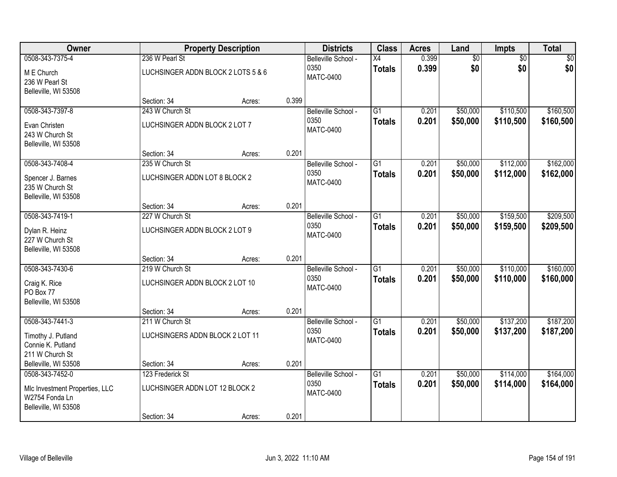| Owner                                                                                       |                                                                   | <b>Property Description</b> |                                                 | <b>Districts</b>                                | <b>Class</b>                     | <b>Acres</b>           | Land                   | Impts                  | <b>Total</b>           |
|---------------------------------------------------------------------------------------------|-------------------------------------------------------------------|-----------------------------|-------------------------------------------------|-------------------------------------------------|----------------------------------|------------------------|------------------------|------------------------|------------------------|
| 0508-343-7375-4<br>M E Church<br>236 W Pearl St<br>Belleville, WI 53508                     | 236 W Pearl St<br>LUCHSINGER ADDN BLOCK 2 LOTS 5 & 6              |                             | Belleville School -<br>0350<br><b>MATC-0400</b> | X4<br><b>Totals</b>                             | 0.399<br>0.399                   | $\overline{60}$<br>\$0 | $\overline{50}$<br>\$0 | \$0<br>\$0             |                        |
|                                                                                             | Section: 34                                                       | Acres:                      | 0.399                                           |                                                 |                                  |                        |                        |                        |                        |
| 0508-343-7397-8<br>Evan Christen<br>243 W Church St<br>Belleville, WI 53508                 | 243 W Church St<br>LUCHSINGER ADDN BLOCK 2 LOT 7                  |                             |                                                 | Belleville School -<br>0350<br><b>MATC-0400</b> | $\overline{G1}$<br><b>Totals</b> | 0.201<br>0.201         | \$50,000<br>\$50,000   | \$110,500<br>\$110,500 | \$160,500<br>\$160,500 |
|                                                                                             | Section: 34                                                       | Acres:                      | 0.201                                           |                                                 |                                  |                        |                        |                        |                        |
| 0508-343-7408-4<br>Spencer J. Barnes<br>235 W Church St<br>Belleville, WI 53508             | 235 W Church St<br>LUCHSINGER ADDN LOT 8 BLOCK 2                  |                             |                                                 | Belleville School -<br>0350<br><b>MATC-0400</b> | G1<br><b>Totals</b>              | 0.201<br>0.201         | \$50,000<br>\$50,000   | \$112,000<br>\$112,000 | \$162,000<br>\$162,000 |
|                                                                                             | Section: 34                                                       | Acres:                      | 0.201                                           |                                                 |                                  |                        |                        |                        |                        |
| 0508-343-7419-1<br>Dylan R. Heinz<br>227 W Church St<br>Belleville, WI 53508                | 227 W Church St<br>LUCHSINGER ADDN BLOCK 2 LOT 9                  |                             |                                                 | Belleville School -<br>0350<br><b>MATC-0400</b> | $\overline{G1}$<br><b>Totals</b> | 0.201<br>0.201         | \$50,000<br>\$50,000   | \$159,500<br>\$159,500 | \$209,500<br>\$209,500 |
|                                                                                             | Section: 34                                                       | Acres:                      | 0.201                                           |                                                 |                                  |                        |                        |                        |                        |
| 0508-343-7430-6<br>Craig K. Rice<br>PO Box 77<br>Belleville, WI 53508                       | 219 W Church St<br>LUCHSINGER ADDN BLOCK 2 LOT 10                 |                             |                                                 | Belleville School -<br>0350<br><b>MATC-0400</b> | $\overline{G1}$<br><b>Totals</b> | 0.201<br>0.201         | \$50,000<br>\$50,000   | \$110,000<br>\$110,000 | \$160,000<br>\$160,000 |
| 0508-343-7441-3                                                                             | Section: 34<br>211 W Church St                                    | Acres:                      | 0.201                                           | Belleville School -                             | G1                               | 0.201                  | \$50,000               | \$137,200              | \$187,200              |
| Timothy J. Putland<br>Connie K. Putland<br>211 W Church St                                  | LUCHSINGERS ADDN BLOCK 2 LOT 11                                   |                             |                                                 | 0350<br><b>MATC-0400</b>                        | <b>Totals</b>                    | 0.201                  | \$50,000               | \$137,200              | \$187,200              |
| Belleville, WI 53508                                                                        | Section: 34                                                       | Acres:                      | 0.201                                           |                                                 |                                  |                        |                        |                        |                        |
| 0508-343-7452-0<br>MIc Investment Properties, LLC<br>W2754 Fonda Ln<br>Belleville, WI 53508 | 123 Frederick St<br>LUCHSINGER ADDN LOT 12 BLOCK 2<br>Section: 34 | Acres:                      | 0.201                                           | Belleville School -<br>0350<br><b>MATC-0400</b> | $\overline{G1}$<br><b>Totals</b> | 0.201<br>0.201         | \$50,000<br>\$50,000   | \$114,000<br>\$114,000 | \$164,000<br>\$164,000 |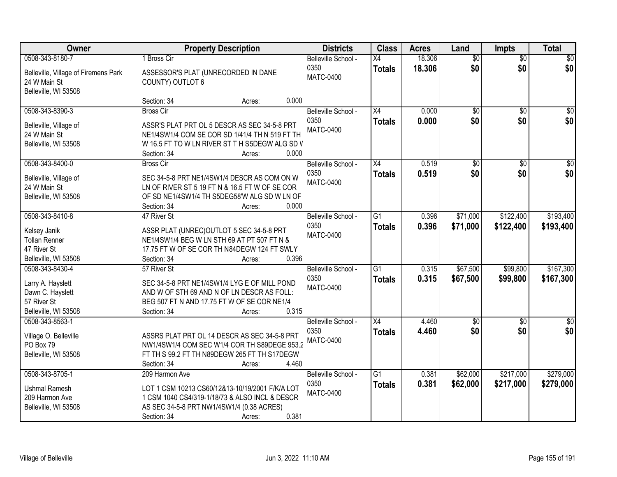| Owner                                | <b>Property Description</b>         | <b>Districts</b>                                                                         | <b>Class</b>                | <b>Acres</b>    | Land   | <b>Impts</b>           | <b>Total</b>    |                  |
|--------------------------------------|-------------------------------------|------------------------------------------------------------------------------------------|-----------------------------|-----------------|--------|------------------------|-----------------|------------------|
| 0508-343-8180-7                      | <b>Bross Cir</b>                    |                                                                                          | Belleville School -         | X4              | 18.306 | $\overline{50}$        | $\overline{50}$ | $\sqrt{50}$      |
| Belleville, Village of Firemens Park | ASSESSOR'S PLAT (UNRECORDED IN DANE |                                                                                          | 0350<br><b>MATC-0400</b>    | <b>Totals</b>   | 18.306 | \$0                    | \$0             | \$0              |
| 24 W Main St                         | <b>COUNTY) OUTLOT 6</b>             |                                                                                          |                             |                 |        |                        |                 |                  |
| Belleville, WI 53508                 |                                     |                                                                                          |                             |                 |        |                        |                 |                  |
|                                      | Section: 34                         | 0.000<br>Acres:                                                                          |                             |                 |        |                        |                 |                  |
| 0508-343-8390-3                      | <b>Bross Cir</b>                    |                                                                                          | Belleville School -         | X4              | 0.000  | $\overline{50}$        | $\overline{50}$ | \$0              |
| Belleville, Village of               |                                     | ASSR'S PLAT PRT OL 5 DESCR AS SEC 34-5-8 PRT                                             | 0350                        | <b>Totals</b>   | 0.000  | \$0                    | \$0             | \$0              |
| 24 W Main St                         |                                     | NE1/4SW1/4 COM SE COR SD 1/41/4 TH N 519 FT TH                                           | MATC-0400                   |                 |        |                        |                 |                  |
| Belleville, WI 53508                 |                                     | W 16.5 FT TO W LN RIVER ST T H S5DEGW ALG SD V                                           |                             |                 |        |                        |                 |                  |
|                                      | Section: 34                         | 0.000<br>Acres:                                                                          |                             |                 |        |                        |                 |                  |
| 0508-343-8400-0                      | <b>Bross Cir</b>                    |                                                                                          | Belleville School -         | X4              | 0.519  | $\overline{50}$        | \$0             | $\overline{\$0}$ |
| Belleville, Village of               |                                     | SEC 34-5-8 PRT NE1/4SW1/4 DESCR AS COM ON W                                              | 0350                        | <b>Totals</b>   | 0.519  | \$0                    | \$0             | \$0              |
| 24 W Main St                         |                                     | LN OF RIVER ST 5 19 FT N & 16.5 FT W OF SE COR                                           | <b>MATC-0400</b>            |                 |        |                        |                 |                  |
| Belleville, WI 53508                 |                                     | OF SD NE1/4SW1/4 TH S5DEG58'W ALG SD W LN OF                                             |                             |                 |        |                        |                 |                  |
|                                      | Section: 34                         | 0.000<br>Acres:                                                                          |                             |                 |        |                        |                 |                  |
| 0508-343-8410-8                      | 47 River St                         |                                                                                          | Belleville School -         | $\overline{G1}$ | 0.396  | \$71,000               | \$122,400       | \$193,400        |
|                                      |                                     |                                                                                          | 0350                        | <b>Totals</b>   | 0.396  | \$71,000               | \$122,400       | \$193,400        |
| Kelsey Janik<br><b>Tollan Renner</b> |                                     | ASSR PLAT (UNREC) OUTLOT 5 SEC 34-5-8 PRT<br>NE1/4SW1/4 BEG W LN STH 69 AT PT 507 FT N & | <b>MATC-0400</b>            |                 |        |                        |                 |                  |
| 47 River St                          |                                     | 17.75 FT W OF SE COR TH N84DEGW 124 FT SWLY                                              |                             |                 |        |                        |                 |                  |
| Belleville, WI 53508                 | Section: 34                         | 0.396<br>Acres:                                                                          |                             |                 |        |                        |                 |                  |
| 0508-343-8430-4                      | 57 River St                         |                                                                                          | Belleville School -         | $\overline{G1}$ | 0.315  | \$67,500               | \$99,800        | \$167,300        |
|                                      |                                     |                                                                                          | 0350                        | <b>Totals</b>   | 0.315  | \$67,500               | \$99,800        | \$167,300        |
| Larry A. Hayslett                    |                                     | SEC 34-5-8 PRT NE1/4SW1/4 LYG E OF MILL POND                                             | <b>MATC-0400</b>            |                 |        |                        |                 |                  |
| Dawn C. Hayslett                     |                                     | AND W OF STH 69 AND N OF LN DESCR AS FOLL:                                               |                             |                 |        |                        |                 |                  |
| 57 River St                          |                                     | BEG 507 FT N AND 17.75 FT W OF SE COR NE1/4                                              |                             |                 |        |                        |                 |                  |
| Belleville, WI 53508                 | Section: 34                         | 0.315<br>Acres:                                                                          |                             |                 |        |                        |                 |                  |
| 0508-343-8563-1                      |                                     |                                                                                          | Belleville School -<br>0350 | X4              | 4.460  | $\overline{50}$<br>\$0 | \$0<br>\$0      | \$0<br>\$0       |
| Village O. Belleville                |                                     | ASSRS PLAT PRT OL 14 DESCR AS SEC 34-5-8 PRT                                             | <b>MATC-0400</b>            | <b>Totals</b>   | 4.460  |                        |                 |                  |
| PO Box 79                            |                                     | NW1/4SW1/4 COM SEC W1/4 COR TH S89DEGE 953.2                                             |                             |                 |        |                        |                 |                  |
| Belleville, WI 53508                 |                                     | FT TH S 99.2 FT TH N89DEGW 265 FT TH S17DEGW                                             |                             |                 |        |                        |                 |                  |
|                                      | Section: 34                         | 4.460<br>Acres:                                                                          |                             |                 |        |                        |                 |                  |
| 0508-343-8705-1                      | 209 Harmon Ave                      |                                                                                          | Belleville School -         | $\overline{G1}$ | 0.381  | \$62,000               | \$217,000       | \$279,000        |
| <b>Ushmal Ramesh</b>                 |                                     | LOT 1 CSM 10213 CS60/12&13-10/19/2001 F/K/A LOT                                          | 0350                        | <b>Totals</b>   | 0.381  | \$62,000               | \$217,000       | \$279,000        |
| 209 Harmon Ave                       |                                     | 1 CSM 1040 CS4/319-1/18/73 & ALSO INCL & DESCR                                           | <b>MATC-0400</b>            |                 |        |                        |                 |                  |
| Belleville, WI 53508                 |                                     | AS SEC 34-5-8 PRT NW1/4SW1/4 (0.38 ACRES)                                                |                             |                 |        |                        |                 |                  |
|                                      | Section: 34                         | 0.381<br>Acres:                                                                          |                             |                 |        |                        |                 |                  |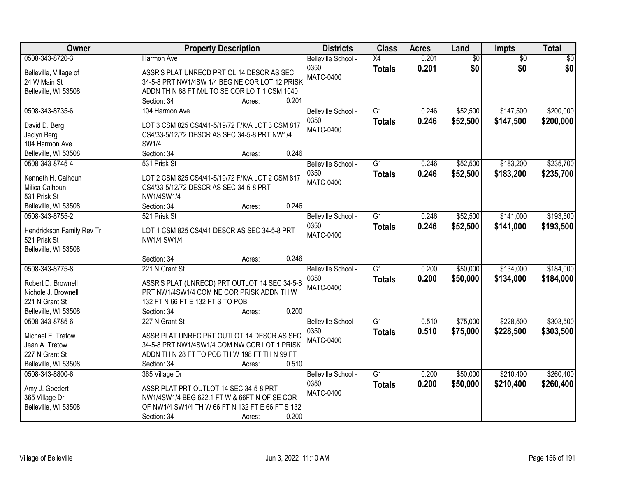| Owner                                     | <b>Property Description</b>                           | <b>Districts</b>    | <b>Class</b>    | <b>Acres</b> | Land            | Impts           | <b>Total</b>    |
|-------------------------------------------|-------------------------------------------------------|---------------------|-----------------|--------------|-----------------|-----------------|-----------------|
| 0508-343-8720-3                           | Harmon Ave                                            | Belleville School - | $\overline{X4}$ | 0.201        | $\overline{50}$ | $\overline{30}$ | $\overline{50}$ |
| Belleville, Village of                    | ASSR'S PLAT UNRECD PRT OL 14 DESCR AS SEC             | 0350                | <b>Totals</b>   | 0.201        | \$0             | \$0             | \$0             |
| 24 W Main St                              | 34-5-8 PRT NW1/4SW 1/4 BEG NE COR LOT 12 PRISK        | <b>MATC-0400</b>    |                 |              |                 |                 |                 |
| Belleville, WI 53508                      | ADDN TH N 68 FT M/L TO SE COR LO T 1 CSM 1040         |                     |                 |              |                 |                 |                 |
|                                           | 0.201<br>Section: 34<br>Acres:                        |                     |                 |              |                 |                 |                 |
| 0508-343-8735-6                           | 104 Harmon Ave                                        | Belleville School - | $\overline{G1}$ | 0.246        | \$52,500        | \$147,500       | \$200,000       |
|                                           |                                                       | 0350                | <b>Totals</b>   | 0.246        | \$52,500        | \$147,500       | \$200,000       |
| David D. Berg                             | LOT 3 CSM 825 CS4/41-5/19/72 F/K/A LOT 3 CSM 817      | <b>MATC-0400</b>    |                 |              |                 |                 |                 |
| Jaclyn Berg<br>104 Harmon Ave             | CS4/33-5/12/72 DESCR AS SEC 34-5-8 PRT NW1/4<br>SW1/4 |                     |                 |              |                 |                 |                 |
| Belleville, WI 53508                      | 0.246<br>Section: 34<br>Acres:                        |                     |                 |              |                 |                 |                 |
| 0508-343-8745-4                           | 531 Prisk St                                          | Belleville School - | G1              | 0.246        | \$52,500        | \$183,200       | \$235,700       |
|                                           |                                                       | 0350                |                 |              |                 |                 |                 |
| Kenneth H. Calhoun                        | LOT 2 CSM 825 CS4/41-5/19/72 F/K/A LOT 2 CSM 817      | <b>MATC-0400</b>    | <b>Totals</b>   | 0.246        | \$52,500        | \$183,200       | \$235,700       |
| Milica Calhoun                            | CS4/33-5/12/72 DESCR AS SEC 34-5-8 PRT                |                     |                 |              |                 |                 |                 |
| 531 Prisk St                              | NW1/4SW1/4                                            |                     |                 |              |                 |                 |                 |
| Belleville, WI 53508                      | 0.246<br>Section: 34<br>Acres:                        |                     |                 |              |                 |                 |                 |
| 0508-343-8755-2                           | 521 Prisk St                                          | Belleville School - | $\overline{G1}$ | 0.246        | \$52,500        | \$141,000       | \$193,500       |
|                                           | LOT 1 CSM 825 CS4/41 DESCR AS SEC 34-5-8 PRT          | 0350                | <b>Totals</b>   | 0.246        | \$52,500        | \$141,000       | \$193,500       |
| Hendrickson Family Rev Tr<br>521 Prisk St | NW1/4 SW1/4                                           | <b>MATC-0400</b>    |                 |              |                 |                 |                 |
| Belleville, WI 53508                      |                                                       |                     |                 |              |                 |                 |                 |
|                                           | 0.246<br>Section: 34<br>Acres:                        |                     |                 |              |                 |                 |                 |
| 0508-343-8775-8                           | 221 N Grant St                                        | Belleville School - | $\overline{G1}$ | 0.200        | \$50,000        | \$134,000       | \$184,000       |
|                                           |                                                       | 0350                |                 | 0.200        | \$50,000        | \$134,000       |                 |
| Robert D. Brownell                        | ASSR'S PLAT (UNRECD) PRT OUTLOT 14 SEC 34-5-8         | <b>MATC-0400</b>    | <b>Totals</b>   |              |                 |                 | \$184,000       |
| Nichole J. Brownell                       | PRT NW1/4SW1/4 COM NE COR PRISK ADDN TH W             |                     |                 |              |                 |                 |                 |
| 221 N Grant St                            | 132 FT N 66 FT E 132 FT S TO POB                      |                     |                 |              |                 |                 |                 |
| Belleville, WI 53508                      | 0.200<br>Section: 34<br>Acres:                        |                     |                 |              |                 |                 |                 |
| 0508-343-8785-6                           | 227 N Grant St                                        | Belleville School - | $\overline{G1}$ | 0.510        | \$75,000        | \$228,500       | \$303,500       |
| Michael E. Tretow                         | ASSR PLAT UNREC PRT OUTLOT 14 DESCR AS SEC            | 0350                | <b>Totals</b>   | 0.510        | \$75,000        | \$228,500       | \$303,500       |
| Jean A. Tretow                            | 34-5-8 PRT NW1/4SW1/4 COM NW COR LOT 1 PRISK          | <b>MATC-0400</b>    |                 |              |                 |                 |                 |
| 227 N Grant St                            | ADDN TH N 28 FT TO POB TH W 198 FT TH N 99 FT         |                     |                 |              |                 |                 |                 |
| Belleville, WI 53508                      | 0.510<br>Section: 34<br>Acres:                        |                     |                 |              |                 |                 |                 |
| 0508-343-8800-6                           | 365 Village Dr                                        | Belleville School - | $\overline{G1}$ | 0.200        | \$50,000        | \$210,400       | \$260,400       |
|                                           |                                                       | 0350                | <b>Totals</b>   | 0.200        | \$50,000        | \$210,400       | \$260,400       |
| Amy J. Goedert                            | ASSR PLAT PRT OUTLOT 14 SEC 34-5-8 PRT                | <b>MATC-0400</b>    |                 |              |                 |                 |                 |
| 365 Village Dr                            | NW1/4SW1/4 BEG 622.1 FT W & 66FT N OF SE COR          |                     |                 |              |                 |                 |                 |
| Belleville, WI 53508                      | OF NW1/4 SW1/4 TH W 66 FT N 132 FT E 66 FT S 132      |                     |                 |              |                 |                 |                 |
|                                           | 0.200<br>Section: 34<br>Acres:                        |                     |                 |              |                 |                 |                 |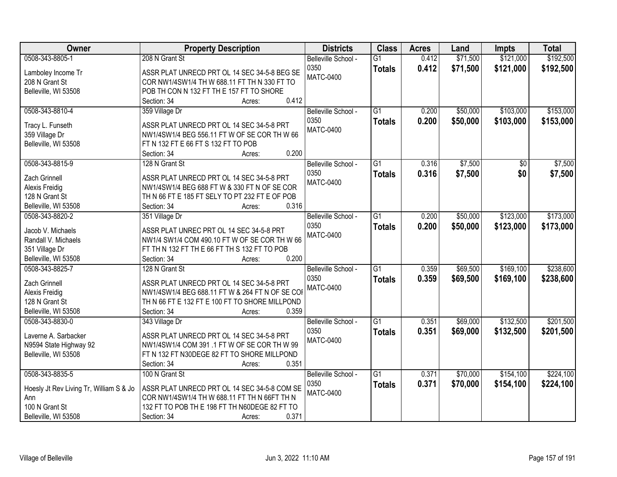| \$71,500<br>\$121,000<br>\$192,500<br>0508-343-8805-1<br>208 N Grant St<br>$\overline{G1}$<br>0.412<br>Belleville School -<br>0350<br>0.412<br>\$71,500<br>\$121,000<br>\$192,500<br><b>Totals</b><br>ASSR PLAT UNRECD PRT OL 14 SEC 34-5-8 BEG SE<br>Lamboley Income Tr<br><b>MATC-0400</b><br>COR NW1/4SW1/4 TH W 688.11 FT TH N 330 FT TO<br>208 N Grant St<br>POB TH CON N 132 FT TH E 157 FT TO SHORE<br>Belleville, WI 53508<br>0.412<br>Section: 34<br>Acres:<br>$\overline{G1}$<br>\$50,000<br>\$103,000<br>\$153,000<br>0508-343-8810-4<br>359 Village Dr<br>0.200<br>Belleville School -<br>0350<br>0.200<br>\$50,000<br>\$103,000<br>\$153,000<br><b>Totals</b><br>ASSR PLAT UNRECD PRT OL 14 SEC 34-5-8 PRT<br>Tracy L. Funseth<br><b>MATC-0400</b><br>359 Village Dr<br>NW1/4SW1/4 BEG 556.11 FT W OF SE COR TH W 66<br>Belleville, WI 53508<br>FT N 132 FT E 66 FT S 132 FT TO POB<br>0.200<br>Section: 34<br>Acres:<br>\$7,500<br>0508-343-8815-9<br>\$7,500<br>128 N Grant St<br>Belleville School -<br>G1<br>0.316<br>\$0<br>0350<br>0.316<br>\$7,500<br>\$0<br>\$7,500<br><b>Totals</b><br>Zach Grinnell<br>ASSR PLAT UNRECD PRT OL 14 SEC 34-5-8 PRT<br><b>MATC-0400</b><br>NW1/4SW1/4 BEG 688 FT W & 330 FT N OF SE COR<br>Alexis Freidig<br>128 N Grant St<br>TH N 66 FT E 185 FT SELY TO PT 232 FT E OF POB<br>Belleville, WI 53508<br>Section: 34<br>0.316<br>Acres:<br>\$123,000<br>\$173,000<br>0508-343-8820-2<br>351 Village Dr<br>$\overline{G1}$<br>\$50,000<br>Belleville School -<br>0.200<br>0350<br>0.200<br>\$50,000<br>\$123,000<br>\$173,000<br><b>Totals</b><br>ASSR PLAT UNREC PRT OL 14 SEC 34-5-8 PRT<br>Jacob V. Michaels<br><b>MATC-0400</b><br>Randall V. Michaels<br>NW1/4 SW1/4 COM 490.10 FT W OF SE COR TH W 66<br>351 Village Dr<br>FT TH N 132 FT TH E 66 FT TH S 132 FT TO POB<br>0.200<br>Belleville, WI 53508<br>Section: 34<br>Acres:<br>\$169,100<br>\$238,600<br>$\overline{G1}$<br>0.359<br>\$69,500<br>0508-343-8825-7<br>128 N Grant St<br>Belleville School -<br>0350<br>\$169,100<br>0.359<br>\$69,500<br>\$238,600<br><b>Totals</b><br>Zach Grinnell<br>ASSR PLAT UNRECD PRT OL 14 SEC 34-5-8 PRT<br><b>MATC-0400</b><br>NW1/4SW1/4 BEG 688.11 FT W & 264 FT N OF SE COI<br>Alexis Freidig<br>128 N Grant St<br>TH N 66 FT E 132 FT E 100 FT TO SHORE MILLPOND<br>0.359<br>Belleville, WI 53508<br>Section: 34<br>Acres:<br>$\overline{G1}$<br>\$69,000<br>\$132,500<br>\$201,500<br>0508-343-8830-0<br>Belleville School -<br>0.351<br>343 Village Dr<br>0350<br>0.351<br>\$69,000<br>\$132,500<br>\$201,500<br><b>Totals</b><br>Laverne A. Sarbacker<br>ASSR PLAT UNRECD PRT OL 14 SEC 34-5-8 PRT<br><b>MATC-0400</b><br>NW1/4SW1/4 COM 391 .1 FT W OF SE COR TH W 99<br>N9594 State Highway 92<br>FT N 132 FT N30DEGE 82 FT TO SHORE MILLPOND<br>Belleville, WI 53508<br>0.351<br>Section: 34<br>Acres:<br>\$70,000<br>\$154,100<br>\$224,100<br>0508-343-8835-5<br>$\overline{G1}$<br>100 N Grant St<br>Belleville School -<br>0.371<br>0.371<br>0350<br>\$70,000<br>\$154,100<br>\$224,100<br><b>Totals</b><br>Hoesly Jt Rev Living Tr, William S & Jo<br>ASSR PLAT UNRECD PRT OL 14 SEC 34-5-8 COM SE<br><b>MATC-0400</b><br>COR NW1/4SW1/4 TH W 688.11 FT TH N 66FT TH N<br>Ann | <b>Owner</b>   | <b>Property Description</b>                   | <b>Districts</b> | <b>Class</b> | <b>Acres</b> | Land | <b>Impts</b> | <b>Total</b> |
|-----------------------------------------------------------------------------------------------------------------------------------------------------------------------------------------------------------------------------------------------------------------------------------------------------------------------------------------------------------------------------------------------------------------------------------------------------------------------------------------------------------------------------------------------------------------------------------------------------------------------------------------------------------------------------------------------------------------------------------------------------------------------------------------------------------------------------------------------------------------------------------------------------------------------------------------------------------------------------------------------------------------------------------------------------------------------------------------------------------------------------------------------------------------------------------------------------------------------------------------------------------------------------------------------------------------------------------------------------------------------------------------------------------------------------------------------------------------------------------------------------------------------------------------------------------------------------------------------------------------------------------------------------------------------------------------------------------------------------------------------------------------------------------------------------------------------------------------------------------------------------------------------------------------------------------------------------------------------------------------------------------------------------------------------------------------------------------------------------------------------------------------------------------------------------------------------------------------------------------------------------------------------------------------------------------------------------------------------------------------------------------------------------------------------------------------------------------------------------------------------------------------------------------------------------------------------------------------------------------------------------------------------------------------------------------------------------------------------------------------------------------------------------------------------------------------------------------------------------------------------------------------------------------------------------------------------------------------------------------------------------------------------------------------------------------------------------------------------------------------------------------------------------------------------------------------------------------------------------------------------------|----------------|-----------------------------------------------|------------------|--------------|--------------|------|--------------|--------------|
|                                                                                                                                                                                                                                                                                                                                                                                                                                                                                                                                                                                                                                                                                                                                                                                                                                                                                                                                                                                                                                                                                                                                                                                                                                                                                                                                                                                                                                                                                                                                                                                                                                                                                                                                                                                                                                                                                                                                                                                                                                                                                                                                                                                                                                                                                                                                                                                                                                                                                                                                                                                                                                                                                                                                                                                                                                                                                                                                                                                                                                                                                                                                                                                                                                                     |                |                                               |                  |              |              |      |              |              |
|                                                                                                                                                                                                                                                                                                                                                                                                                                                                                                                                                                                                                                                                                                                                                                                                                                                                                                                                                                                                                                                                                                                                                                                                                                                                                                                                                                                                                                                                                                                                                                                                                                                                                                                                                                                                                                                                                                                                                                                                                                                                                                                                                                                                                                                                                                                                                                                                                                                                                                                                                                                                                                                                                                                                                                                                                                                                                                                                                                                                                                                                                                                                                                                                                                                     |                |                                               |                  |              |              |      |              |              |
|                                                                                                                                                                                                                                                                                                                                                                                                                                                                                                                                                                                                                                                                                                                                                                                                                                                                                                                                                                                                                                                                                                                                                                                                                                                                                                                                                                                                                                                                                                                                                                                                                                                                                                                                                                                                                                                                                                                                                                                                                                                                                                                                                                                                                                                                                                                                                                                                                                                                                                                                                                                                                                                                                                                                                                                                                                                                                                                                                                                                                                                                                                                                                                                                                                                     |                |                                               |                  |              |              |      |              |              |
|                                                                                                                                                                                                                                                                                                                                                                                                                                                                                                                                                                                                                                                                                                                                                                                                                                                                                                                                                                                                                                                                                                                                                                                                                                                                                                                                                                                                                                                                                                                                                                                                                                                                                                                                                                                                                                                                                                                                                                                                                                                                                                                                                                                                                                                                                                                                                                                                                                                                                                                                                                                                                                                                                                                                                                                                                                                                                                                                                                                                                                                                                                                                                                                                                                                     |                |                                               |                  |              |              |      |              |              |
|                                                                                                                                                                                                                                                                                                                                                                                                                                                                                                                                                                                                                                                                                                                                                                                                                                                                                                                                                                                                                                                                                                                                                                                                                                                                                                                                                                                                                                                                                                                                                                                                                                                                                                                                                                                                                                                                                                                                                                                                                                                                                                                                                                                                                                                                                                                                                                                                                                                                                                                                                                                                                                                                                                                                                                                                                                                                                                                                                                                                                                                                                                                                                                                                                                                     |                |                                               |                  |              |              |      |              |              |
|                                                                                                                                                                                                                                                                                                                                                                                                                                                                                                                                                                                                                                                                                                                                                                                                                                                                                                                                                                                                                                                                                                                                                                                                                                                                                                                                                                                                                                                                                                                                                                                                                                                                                                                                                                                                                                                                                                                                                                                                                                                                                                                                                                                                                                                                                                                                                                                                                                                                                                                                                                                                                                                                                                                                                                                                                                                                                                                                                                                                                                                                                                                                                                                                                                                     |                |                                               |                  |              |              |      |              |              |
|                                                                                                                                                                                                                                                                                                                                                                                                                                                                                                                                                                                                                                                                                                                                                                                                                                                                                                                                                                                                                                                                                                                                                                                                                                                                                                                                                                                                                                                                                                                                                                                                                                                                                                                                                                                                                                                                                                                                                                                                                                                                                                                                                                                                                                                                                                                                                                                                                                                                                                                                                                                                                                                                                                                                                                                                                                                                                                                                                                                                                                                                                                                                                                                                                                                     |                |                                               |                  |              |              |      |              |              |
|                                                                                                                                                                                                                                                                                                                                                                                                                                                                                                                                                                                                                                                                                                                                                                                                                                                                                                                                                                                                                                                                                                                                                                                                                                                                                                                                                                                                                                                                                                                                                                                                                                                                                                                                                                                                                                                                                                                                                                                                                                                                                                                                                                                                                                                                                                                                                                                                                                                                                                                                                                                                                                                                                                                                                                                                                                                                                                                                                                                                                                                                                                                                                                                                                                                     |                |                                               |                  |              |              |      |              |              |
|                                                                                                                                                                                                                                                                                                                                                                                                                                                                                                                                                                                                                                                                                                                                                                                                                                                                                                                                                                                                                                                                                                                                                                                                                                                                                                                                                                                                                                                                                                                                                                                                                                                                                                                                                                                                                                                                                                                                                                                                                                                                                                                                                                                                                                                                                                                                                                                                                                                                                                                                                                                                                                                                                                                                                                                                                                                                                                                                                                                                                                                                                                                                                                                                                                                     |                |                                               |                  |              |              |      |              |              |
|                                                                                                                                                                                                                                                                                                                                                                                                                                                                                                                                                                                                                                                                                                                                                                                                                                                                                                                                                                                                                                                                                                                                                                                                                                                                                                                                                                                                                                                                                                                                                                                                                                                                                                                                                                                                                                                                                                                                                                                                                                                                                                                                                                                                                                                                                                                                                                                                                                                                                                                                                                                                                                                                                                                                                                                                                                                                                                                                                                                                                                                                                                                                                                                                                                                     |                |                                               |                  |              |              |      |              |              |
|                                                                                                                                                                                                                                                                                                                                                                                                                                                                                                                                                                                                                                                                                                                                                                                                                                                                                                                                                                                                                                                                                                                                                                                                                                                                                                                                                                                                                                                                                                                                                                                                                                                                                                                                                                                                                                                                                                                                                                                                                                                                                                                                                                                                                                                                                                                                                                                                                                                                                                                                                                                                                                                                                                                                                                                                                                                                                                                                                                                                                                                                                                                                                                                                                                                     |                |                                               |                  |              |              |      |              |              |
|                                                                                                                                                                                                                                                                                                                                                                                                                                                                                                                                                                                                                                                                                                                                                                                                                                                                                                                                                                                                                                                                                                                                                                                                                                                                                                                                                                                                                                                                                                                                                                                                                                                                                                                                                                                                                                                                                                                                                                                                                                                                                                                                                                                                                                                                                                                                                                                                                                                                                                                                                                                                                                                                                                                                                                                                                                                                                                                                                                                                                                                                                                                                                                                                                                                     |                |                                               |                  |              |              |      |              |              |
|                                                                                                                                                                                                                                                                                                                                                                                                                                                                                                                                                                                                                                                                                                                                                                                                                                                                                                                                                                                                                                                                                                                                                                                                                                                                                                                                                                                                                                                                                                                                                                                                                                                                                                                                                                                                                                                                                                                                                                                                                                                                                                                                                                                                                                                                                                                                                                                                                                                                                                                                                                                                                                                                                                                                                                                                                                                                                                                                                                                                                                                                                                                                                                                                                                                     |                |                                               |                  |              |              |      |              |              |
|                                                                                                                                                                                                                                                                                                                                                                                                                                                                                                                                                                                                                                                                                                                                                                                                                                                                                                                                                                                                                                                                                                                                                                                                                                                                                                                                                                                                                                                                                                                                                                                                                                                                                                                                                                                                                                                                                                                                                                                                                                                                                                                                                                                                                                                                                                                                                                                                                                                                                                                                                                                                                                                                                                                                                                                                                                                                                                                                                                                                                                                                                                                                                                                                                                                     |                |                                               |                  |              |              |      |              |              |
|                                                                                                                                                                                                                                                                                                                                                                                                                                                                                                                                                                                                                                                                                                                                                                                                                                                                                                                                                                                                                                                                                                                                                                                                                                                                                                                                                                                                                                                                                                                                                                                                                                                                                                                                                                                                                                                                                                                                                                                                                                                                                                                                                                                                                                                                                                                                                                                                                                                                                                                                                                                                                                                                                                                                                                                                                                                                                                                                                                                                                                                                                                                                                                                                                                                     |                |                                               |                  |              |              |      |              |              |
|                                                                                                                                                                                                                                                                                                                                                                                                                                                                                                                                                                                                                                                                                                                                                                                                                                                                                                                                                                                                                                                                                                                                                                                                                                                                                                                                                                                                                                                                                                                                                                                                                                                                                                                                                                                                                                                                                                                                                                                                                                                                                                                                                                                                                                                                                                                                                                                                                                                                                                                                                                                                                                                                                                                                                                                                                                                                                                                                                                                                                                                                                                                                                                                                                                                     |                |                                               |                  |              |              |      |              |              |
|                                                                                                                                                                                                                                                                                                                                                                                                                                                                                                                                                                                                                                                                                                                                                                                                                                                                                                                                                                                                                                                                                                                                                                                                                                                                                                                                                                                                                                                                                                                                                                                                                                                                                                                                                                                                                                                                                                                                                                                                                                                                                                                                                                                                                                                                                                                                                                                                                                                                                                                                                                                                                                                                                                                                                                                                                                                                                                                                                                                                                                                                                                                                                                                                                                                     |                |                                               |                  |              |              |      |              |              |
|                                                                                                                                                                                                                                                                                                                                                                                                                                                                                                                                                                                                                                                                                                                                                                                                                                                                                                                                                                                                                                                                                                                                                                                                                                                                                                                                                                                                                                                                                                                                                                                                                                                                                                                                                                                                                                                                                                                                                                                                                                                                                                                                                                                                                                                                                                                                                                                                                                                                                                                                                                                                                                                                                                                                                                                                                                                                                                                                                                                                                                                                                                                                                                                                                                                     |                |                                               |                  |              |              |      |              |              |
|                                                                                                                                                                                                                                                                                                                                                                                                                                                                                                                                                                                                                                                                                                                                                                                                                                                                                                                                                                                                                                                                                                                                                                                                                                                                                                                                                                                                                                                                                                                                                                                                                                                                                                                                                                                                                                                                                                                                                                                                                                                                                                                                                                                                                                                                                                                                                                                                                                                                                                                                                                                                                                                                                                                                                                                                                                                                                                                                                                                                                                                                                                                                                                                                                                                     |                |                                               |                  |              |              |      |              |              |
|                                                                                                                                                                                                                                                                                                                                                                                                                                                                                                                                                                                                                                                                                                                                                                                                                                                                                                                                                                                                                                                                                                                                                                                                                                                                                                                                                                                                                                                                                                                                                                                                                                                                                                                                                                                                                                                                                                                                                                                                                                                                                                                                                                                                                                                                                                                                                                                                                                                                                                                                                                                                                                                                                                                                                                                                                                                                                                                                                                                                                                                                                                                                                                                                                                                     |                |                                               |                  |              |              |      |              |              |
|                                                                                                                                                                                                                                                                                                                                                                                                                                                                                                                                                                                                                                                                                                                                                                                                                                                                                                                                                                                                                                                                                                                                                                                                                                                                                                                                                                                                                                                                                                                                                                                                                                                                                                                                                                                                                                                                                                                                                                                                                                                                                                                                                                                                                                                                                                                                                                                                                                                                                                                                                                                                                                                                                                                                                                                                                                                                                                                                                                                                                                                                                                                                                                                                                                                     |                |                                               |                  |              |              |      |              |              |
|                                                                                                                                                                                                                                                                                                                                                                                                                                                                                                                                                                                                                                                                                                                                                                                                                                                                                                                                                                                                                                                                                                                                                                                                                                                                                                                                                                                                                                                                                                                                                                                                                                                                                                                                                                                                                                                                                                                                                                                                                                                                                                                                                                                                                                                                                                                                                                                                                                                                                                                                                                                                                                                                                                                                                                                                                                                                                                                                                                                                                                                                                                                                                                                                                                                     |                |                                               |                  |              |              |      |              |              |
|                                                                                                                                                                                                                                                                                                                                                                                                                                                                                                                                                                                                                                                                                                                                                                                                                                                                                                                                                                                                                                                                                                                                                                                                                                                                                                                                                                                                                                                                                                                                                                                                                                                                                                                                                                                                                                                                                                                                                                                                                                                                                                                                                                                                                                                                                                                                                                                                                                                                                                                                                                                                                                                                                                                                                                                                                                                                                                                                                                                                                                                                                                                                                                                                                                                     |                |                                               |                  |              |              |      |              |              |
|                                                                                                                                                                                                                                                                                                                                                                                                                                                                                                                                                                                                                                                                                                                                                                                                                                                                                                                                                                                                                                                                                                                                                                                                                                                                                                                                                                                                                                                                                                                                                                                                                                                                                                                                                                                                                                                                                                                                                                                                                                                                                                                                                                                                                                                                                                                                                                                                                                                                                                                                                                                                                                                                                                                                                                                                                                                                                                                                                                                                                                                                                                                                                                                                                                                     |                |                                               |                  |              |              |      |              |              |
|                                                                                                                                                                                                                                                                                                                                                                                                                                                                                                                                                                                                                                                                                                                                                                                                                                                                                                                                                                                                                                                                                                                                                                                                                                                                                                                                                                                                                                                                                                                                                                                                                                                                                                                                                                                                                                                                                                                                                                                                                                                                                                                                                                                                                                                                                                                                                                                                                                                                                                                                                                                                                                                                                                                                                                                                                                                                                                                                                                                                                                                                                                                                                                                                                                                     |                |                                               |                  |              |              |      |              |              |
|                                                                                                                                                                                                                                                                                                                                                                                                                                                                                                                                                                                                                                                                                                                                                                                                                                                                                                                                                                                                                                                                                                                                                                                                                                                                                                                                                                                                                                                                                                                                                                                                                                                                                                                                                                                                                                                                                                                                                                                                                                                                                                                                                                                                                                                                                                                                                                                                                                                                                                                                                                                                                                                                                                                                                                                                                                                                                                                                                                                                                                                                                                                                                                                                                                                     |                |                                               |                  |              |              |      |              |              |
|                                                                                                                                                                                                                                                                                                                                                                                                                                                                                                                                                                                                                                                                                                                                                                                                                                                                                                                                                                                                                                                                                                                                                                                                                                                                                                                                                                                                                                                                                                                                                                                                                                                                                                                                                                                                                                                                                                                                                                                                                                                                                                                                                                                                                                                                                                                                                                                                                                                                                                                                                                                                                                                                                                                                                                                                                                                                                                                                                                                                                                                                                                                                                                                                                                                     |                |                                               |                  |              |              |      |              |              |
|                                                                                                                                                                                                                                                                                                                                                                                                                                                                                                                                                                                                                                                                                                                                                                                                                                                                                                                                                                                                                                                                                                                                                                                                                                                                                                                                                                                                                                                                                                                                                                                                                                                                                                                                                                                                                                                                                                                                                                                                                                                                                                                                                                                                                                                                                                                                                                                                                                                                                                                                                                                                                                                                                                                                                                                                                                                                                                                                                                                                                                                                                                                                                                                                                                                     |                |                                               |                  |              |              |      |              |              |
|                                                                                                                                                                                                                                                                                                                                                                                                                                                                                                                                                                                                                                                                                                                                                                                                                                                                                                                                                                                                                                                                                                                                                                                                                                                                                                                                                                                                                                                                                                                                                                                                                                                                                                                                                                                                                                                                                                                                                                                                                                                                                                                                                                                                                                                                                                                                                                                                                                                                                                                                                                                                                                                                                                                                                                                                                                                                                                                                                                                                                                                                                                                                                                                                                                                     |                |                                               |                  |              |              |      |              |              |
|                                                                                                                                                                                                                                                                                                                                                                                                                                                                                                                                                                                                                                                                                                                                                                                                                                                                                                                                                                                                                                                                                                                                                                                                                                                                                                                                                                                                                                                                                                                                                                                                                                                                                                                                                                                                                                                                                                                                                                                                                                                                                                                                                                                                                                                                                                                                                                                                                                                                                                                                                                                                                                                                                                                                                                                                                                                                                                                                                                                                                                                                                                                                                                                                                                                     |                |                                               |                  |              |              |      |              |              |
|                                                                                                                                                                                                                                                                                                                                                                                                                                                                                                                                                                                                                                                                                                                                                                                                                                                                                                                                                                                                                                                                                                                                                                                                                                                                                                                                                                                                                                                                                                                                                                                                                                                                                                                                                                                                                                                                                                                                                                                                                                                                                                                                                                                                                                                                                                                                                                                                                                                                                                                                                                                                                                                                                                                                                                                                                                                                                                                                                                                                                                                                                                                                                                                                                                                     |                |                                               |                  |              |              |      |              |              |
|                                                                                                                                                                                                                                                                                                                                                                                                                                                                                                                                                                                                                                                                                                                                                                                                                                                                                                                                                                                                                                                                                                                                                                                                                                                                                                                                                                                                                                                                                                                                                                                                                                                                                                                                                                                                                                                                                                                                                                                                                                                                                                                                                                                                                                                                                                                                                                                                                                                                                                                                                                                                                                                                                                                                                                                                                                                                                                                                                                                                                                                                                                                                                                                                                                                     |                |                                               |                  |              |              |      |              |              |
|                                                                                                                                                                                                                                                                                                                                                                                                                                                                                                                                                                                                                                                                                                                                                                                                                                                                                                                                                                                                                                                                                                                                                                                                                                                                                                                                                                                                                                                                                                                                                                                                                                                                                                                                                                                                                                                                                                                                                                                                                                                                                                                                                                                                                                                                                                                                                                                                                                                                                                                                                                                                                                                                                                                                                                                                                                                                                                                                                                                                                                                                                                                                                                                                                                                     |                |                                               |                  |              |              |      |              |              |
|                                                                                                                                                                                                                                                                                                                                                                                                                                                                                                                                                                                                                                                                                                                                                                                                                                                                                                                                                                                                                                                                                                                                                                                                                                                                                                                                                                                                                                                                                                                                                                                                                                                                                                                                                                                                                                                                                                                                                                                                                                                                                                                                                                                                                                                                                                                                                                                                                                                                                                                                                                                                                                                                                                                                                                                                                                                                                                                                                                                                                                                                                                                                                                                                                                                     |                |                                               |                  |              |              |      |              |              |
|                                                                                                                                                                                                                                                                                                                                                                                                                                                                                                                                                                                                                                                                                                                                                                                                                                                                                                                                                                                                                                                                                                                                                                                                                                                                                                                                                                                                                                                                                                                                                                                                                                                                                                                                                                                                                                                                                                                                                                                                                                                                                                                                                                                                                                                                                                                                                                                                                                                                                                                                                                                                                                                                                                                                                                                                                                                                                                                                                                                                                                                                                                                                                                                                                                                     |                |                                               |                  |              |              |      |              |              |
|                                                                                                                                                                                                                                                                                                                                                                                                                                                                                                                                                                                                                                                                                                                                                                                                                                                                                                                                                                                                                                                                                                                                                                                                                                                                                                                                                                                                                                                                                                                                                                                                                                                                                                                                                                                                                                                                                                                                                                                                                                                                                                                                                                                                                                                                                                                                                                                                                                                                                                                                                                                                                                                                                                                                                                                                                                                                                                                                                                                                                                                                                                                                                                                                                                                     |                |                                               |                  |              |              |      |              |              |
|                                                                                                                                                                                                                                                                                                                                                                                                                                                                                                                                                                                                                                                                                                                                                                                                                                                                                                                                                                                                                                                                                                                                                                                                                                                                                                                                                                                                                                                                                                                                                                                                                                                                                                                                                                                                                                                                                                                                                                                                                                                                                                                                                                                                                                                                                                                                                                                                                                                                                                                                                                                                                                                                                                                                                                                                                                                                                                                                                                                                                                                                                                                                                                                                                                                     | 100 N Grant St | 132 FT TO POB TH E 198 FT TH N60DEGE 82 FT TO |                  |              |              |      |              |              |
| 0.371<br>Belleville, WI 53508<br>Section: 34<br>Acres:                                                                                                                                                                                                                                                                                                                                                                                                                                                                                                                                                                                                                                                                                                                                                                                                                                                                                                                                                                                                                                                                                                                                                                                                                                                                                                                                                                                                                                                                                                                                                                                                                                                                                                                                                                                                                                                                                                                                                                                                                                                                                                                                                                                                                                                                                                                                                                                                                                                                                                                                                                                                                                                                                                                                                                                                                                                                                                                                                                                                                                                                                                                                                                                              |                |                                               |                  |              |              |      |              |              |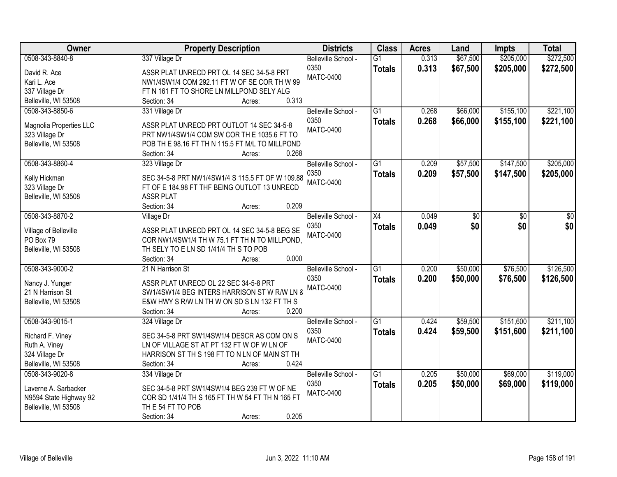| Owner                           | <b>Property Description</b>                      | <b>Districts</b>    | <b>Class</b>    | <b>Acres</b> | Land     | <b>Impts</b> | <b>Total</b> |
|---------------------------------|--------------------------------------------------|---------------------|-----------------|--------------|----------|--------------|--------------|
| 0508-343-8840-8                 | 337 Village Dr                                   | Belleville School - | $\overline{G1}$ | 0.313        | \$67,500 | \$205,000    | \$272,500    |
| David R. Ace                    | ASSR PLAT UNRECD PRT OL 14 SEC 34-5-8 PRT        | 0350                | <b>Totals</b>   | 0.313        | \$67,500 | \$205,000    | \$272,500    |
| Kari L. Ace                     | NW1/4SW1/4 COM 292.11 FT W OF SE COR TH W 99     | <b>MATC-0400</b>    |                 |              |          |              |              |
| 337 Village Dr                  | FT N 161 FT TO SHORE LN MILLPOND SELY ALG        |                     |                 |              |          |              |              |
| Belleville, WI 53508            | 0.313<br>Section: 34<br>Acres:                   |                     |                 |              |          |              |              |
| 0508-343-8850-6                 | 331 Village Dr                                   | Belleville School - | $\overline{G1}$ | 0.268        | \$66,000 | \$155,100    | \$221,100    |
|                                 |                                                  | 0350                | <b>Totals</b>   | 0.268        | \$66,000 | \$155,100    | \$221,100    |
| Magnolia Properties LLC         | ASSR PLAT UNRECD PRT OUTLOT 14 SEC 34-5-8        | <b>MATC-0400</b>    |                 |              |          |              |              |
| 323 Village Dr                  | PRT NW1/4SW1/4 COM SW COR TH E 1035.6 FT TO      |                     |                 |              |          |              |              |
| Belleville, WI 53508            | POB TH E 98.16 FT TH N 115.5 FT M/L TO MILLPOND  |                     |                 |              |          |              |              |
|                                 | 0.268<br>Section: 34<br>Acres:                   |                     |                 |              |          |              |              |
| 0508-343-8860-4                 | 323 Village Dr                                   | Belleville School - | G1              | 0.209        | \$57,500 | \$147,500    | \$205,000    |
| Kelly Hickman                   | SEC 34-5-8 PRT NW1/4SW1/4 S 115.5 FT OF W 109.88 | 0350                | <b>Totals</b>   | 0.209        | \$57,500 | \$147,500    | \$205,000    |
| 323 Village Dr                  | FT OF E 184.98 FT THF BEING OUTLOT 13 UNRECD     | <b>MATC-0400</b>    |                 |              |          |              |              |
| Belleville, WI 53508            | <b>ASSR PLAT</b>                                 |                     |                 |              |          |              |              |
|                                 | 0.209<br>Section: 34<br>Acres:                   |                     |                 |              |          |              |              |
| 0508-343-8870-2                 | <b>Village Dr</b>                                | Belleville School - | X4              | 0.049        | \$0      | \$0          | \$0          |
|                                 |                                                  | 0350                | <b>Totals</b>   | 0.049        | \$0      | \$0          | \$0          |
| Village of Belleville           | ASSR PLAT UNRECD PRT OL 14 SEC 34-5-8 BEG SE     | <b>MATC-0400</b>    |                 |              |          |              |              |
| PO Box 79                       | COR NW1/4SW1/4 TH W 75.1 FT TH N TO MILLPOND.    |                     |                 |              |          |              |              |
| Belleville, WI 53508            | TH SELY TO E LN SD 1/41/4 TH S TO POB            |                     |                 |              |          |              |              |
|                                 | 0.000<br>Section: 34<br>Acres:                   |                     |                 |              |          |              |              |
| 0508-343-9000-2                 | 21 N Harrison St                                 | Belleville School - | $\overline{G1}$ | 0.200        | \$50,000 | \$76,500     | \$126,500    |
| Nancy J. Yunger                 | ASSR PLAT UNRECD OL 22 SEC 34-5-8 PRT            | 0350                | <b>Totals</b>   | 0.200        | \$50,000 | \$76,500     | \$126,500    |
| 21 N Harrison St                | SW1/4SW1/4 BEG INTERS HARRISON ST W R/W LN 8     | MATC-0400           |                 |              |          |              |              |
| Belleville, WI 53508            | E&W HWY S R/W LN TH W ON SD S LN 132 FT TH S     |                     |                 |              |          |              |              |
|                                 | 0.200<br>Section: 34<br>Acres:                   |                     |                 |              |          |              |              |
| 0508-343-9015-1                 | 324 Village Dr                                   | Belleville School - | $\overline{G1}$ | 0.424        | \$59,500 | \$151,600    | \$211,100    |
| Richard F. Viney                | SEC 34-5-8 PRT SW1/4SW1/4 DESCR AS COM ON S      | 0350                | <b>Totals</b>   | 0.424        | \$59,500 | \$151,600    | \$211,100    |
|                                 | LN OF VILLAGE ST AT PT 132 FT W OF W LN OF       | <b>MATC-0400</b>    |                 |              |          |              |              |
| Ruth A. Viney<br>324 Village Dr | HARRISON ST TH S 198 FT TO N LN OF MAIN ST TH    |                     |                 |              |          |              |              |
| Belleville, WI 53508            | 0.424<br>Section: 34<br>Acres:                   |                     |                 |              |          |              |              |
| 0508-343-9020-8                 | 334 Village Dr                                   | Belleville School - | $\overline{G1}$ | 0.205        | \$50,000 | \$69,000     | \$119,000    |
|                                 |                                                  | 0350                |                 |              |          |              |              |
| Laverne A. Sarbacker            | SEC 34-5-8 PRT SW1/4SW1/4 BEG 239 FT W OF NE     | <b>MATC-0400</b>    | <b>Totals</b>   | 0.205        | \$50,000 | \$69,000     | \$119,000    |
| N9594 State Highway 92          | COR SD 1/41/4 TH S 165 FT TH W 54 FT TH N 165 FT |                     |                 |              |          |              |              |
| Belleville, WI 53508            | TH E 54 FT TO POB                                |                     |                 |              |          |              |              |
|                                 | 0.205<br>Section: 34<br>Acres:                   |                     |                 |              |          |              |              |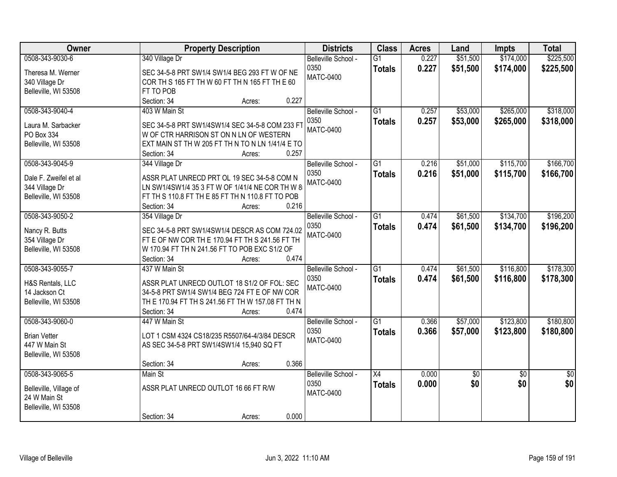| <b>Owner</b>           |                                           | <b>Property Description</b>                       | <b>Districts</b>    | <b>Class</b>    | <b>Acres</b> | Land       | <b>Impts</b>    | <b>Total</b> |
|------------------------|-------------------------------------------|---------------------------------------------------|---------------------|-----------------|--------------|------------|-----------------|--------------|
| 0508-343-9030-6        | 340 Village Dr                            |                                                   | Belleville School - | $\overline{G1}$ | 0.227        | \$51,500   | \$174,000       | \$225,500    |
| Theresa M. Werner      |                                           | SEC 34-5-8 PRT SW1/4 SW1/4 BEG 293 FT W OF NE     | 0350                | <b>Totals</b>   | 0.227        | \$51,500   | \$174,000       | \$225,500    |
| 340 Village Dr         |                                           | COR TH S 165 FT TH W 60 FT TH N 165 FT TH E 60    | <b>MATC-0400</b>    |                 |              |            |                 |              |
| Belleville, WI 53508   | FT TO POB                                 |                                                   |                     |                 |              |            |                 |              |
|                        | Section: 34                               | Acres:                                            | 0.227               |                 |              |            |                 |              |
| 0508-343-9040-4        | 403 W Main St                             |                                                   | Belleville School - | $\overline{G1}$ | 0.257        | \$53,000   | \$265,000       | \$318,000    |
|                        |                                           |                                                   | 0350                | <b>Totals</b>   | 0.257        | \$53,000   | \$265,000       | \$318,000    |
| Laura M. Sarbacker     |                                           | SEC 34-5-8 PRT SW1/4SW1/4 SEC 34-5-8 COM 233 FT   | <b>MATC-0400</b>    |                 |              |            |                 |              |
| PO Box 334             |                                           | W OF CTR HARRISON ST ON N LN OF WESTERN           |                     |                 |              |            |                 |              |
| Belleville, WI 53508   |                                           | EXT MAIN ST TH W 205 FT TH N TO N LN 1/41/4 E TO  |                     |                 |              |            |                 |              |
|                        | Section: 34                               | Acres:                                            | 0.257               |                 |              |            |                 |              |
| 0508-343-9045-9        | 344 Village Dr                            |                                                   | Belleville School - | $\overline{G1}$ | 0.216        | \$51,000   | \$115,700       | \$166,700    |
| Dale F. Zweifel et al  |                                           | ASSR PLAT UNRECD PRT OL 19 SEC 34-5-8 COM N       | 0350                | <b>Totals</b>   | 0.216        | \$51,000   | \$115,700       | \$166,700    |
| 344 Village Dr         |                                           | LN SW1/4SW1/4 35 3 FT W OF 1/41/4 NE COR TH W 8   | <b>MATC-0400</b>    |                 |              |            |                 |              |
| Belleville, WI 53508   |                                           | FT TH S 110.8 FT TH E 85 FT TH N 110.8 FT TO POB  |                     |                 |              |            |                 |              |
|                        | Section: 34                               | Acres:                                            | 0.216               |                 |              |            |                 |              |
| 0508-343-9050-2        | 354 Village Dr                            |                                                   | Belleville School - | $\overline{G1}$ | 0.474        | \$61,500   | \$134,700       | \$196,200    |
|                        |                                           |                                                   | 0350                | <b>Totals</b>   | 0.474        | \$61,500   | \$134,700       | \$196,200    |
| Nancy R. Butts         |                                           | SEC 34-5-8 PRT SW1/4SW1/4 DESCR AS COM 724.02     | <b>MATC-0400</b>    |                 |              |            |                 |              |
| 354 Village Dr         |                                           | FT E OF NW COR THE 170.94 FT TH S 241.56 FT TH    |                     |                 |              |            |                 |              |
| Belleville, WI 53508   |                                           | W 170.94 FT TH N 241.56 FT TO POB EXC S1/2 OF     |                     |                 |              |            |                 |              |
|                        | Section: 34                               | Acres:                                            | 0.474               |                 |              |            |                 |              |
| 0508-343-9055-7        | 437 W Main St                             |                                                   | Belleville School - | $\overline{G1}$ | 0.474        | \$61,500   | \$116,800       | \$178,300    |
| H&S Rentals, LLC       |                                           | ASSR PLAT UNRECD OUTLOT 18 S1/2 OF FOL: SEC       | 0350                | <b>Totals</b>   | 0.474        | \$61,500   | \$116,800       | \$178,300    |
| 14 Jackson Ct          |                                           | 34-5-8 PRT SW1/4 SW1/4 BEG 724 FT E OF NW COR     | <b>MATC-0400</b>    |                 |              |            |                 |              |
| Belleville, WI 53508   |                                           | TH E 170.94 FT TH S 241.56 FT TH W 157.08 FT TH N |                     |                 |              |            |                 |              |
|                        | Section: 34                               | Acres:                                            | 0.474               |                 |              |            |                 |              |
| 0508-343-9060-0        | 447 W Main St                             |                                                   | Belleville School - | $\overline{G1}$ | 0.366        | \$57,000   | \$123,800       | \$180,800    |
|                        |                                           |                                                   | 0350                |                 | 0.366        | \$57,000   | \$123,800       |              |
| <b>Brian Vetter</b>    |                                           | LOT 1 CSM 4324 CS18/235 R5507/64-4/3/84 DESCR     | <b>MATC-0400</b>    | <b>Totals</b>   |              |            |                 | \$180,800    |
| 447 W Main St          | AS SEC 34-5-8 PRT SW1/4SW1/4 15,940 SQ FT |                                                   |                     |                 |              |            |                 |              |
| Belleville, WI 53508   |                                           |                                                   |                     |                 |              |            |                 |              |
|                        | Section: 34                               | Acres:                                            | 0.366               |                 |              |            |                 |              |
| 0508-343-9065-5        | Main St                                   |                                                   | Belleville School - | $\overline{X4}$ | 0.000        | $\sqrt{6}$ | $\overline{30}$ | \$0          |
| Belleville, Village of | ASSR PLAT UNRECD OUTLOT 16 66 FT R/W      |                                                   | 0350                | <b>Totals</b>   | 0.000        | \$0        | \$0             | \$0          |
| 24 W Main St           |                                           |                                                   | <b>MATC-0400</b>    |                 |              |            |                 |              |
| Belleville, WI 53508   |                                           |                                                   |                     |                 |              |            |                 |              |
|                        | Section: 34                               | Acres:                                            | 0.000               |                 |              |            |                 |              |
|                        |                                           |                                                   |                     |                 |              |            |                 |              |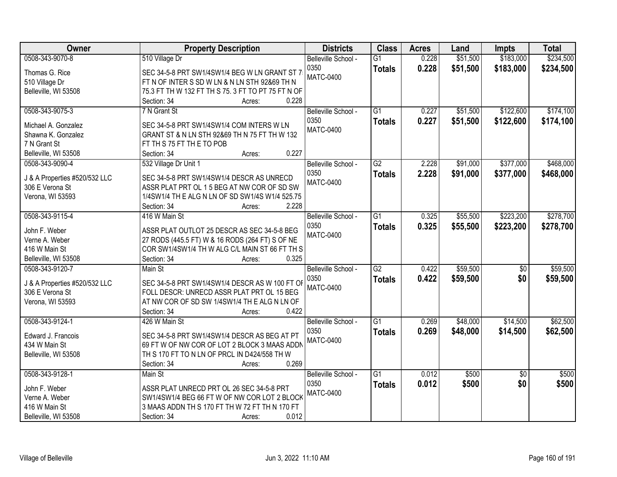| Owner                         | <b>Property Description</b>                           | <b>Districts</b>    | <b>Class</b>    | <b>Acres</b> | Land     | <b>Impts</b>    | <b>Total</b> |
|-------------------------------|-------------------------------------------------------|---------------------|-----------------|--------------|----------|-----------------|--------------|
| 0508-343-9070-8               | 510 Village Dr                                        | Belleville School - | $\overline{G1}$ | 0.228        | \$51,500 | \$183,000       | \$234,500    |
| Thomas G. Rice                | SEC 34-5-8 PRT SW1/4SW1/4 BEG W LN GRANT ST 7         | 0350                | <b>Totals</b>   | 0.228        | \$51,500 | \$183,000       | \$234,500    |
| 510 Village Dr                | FT N OF INTER S SD W LN & N LN STH 92&69 TH N         | <b>MATC-0400</b>    |                 |              |          |                 |              |
| Belleville, WI 53508          | 75.3 FT TH W 132 FT TH S 75. 3 FT TO PT 75 FT N OF    |                     |                 |              |          |                 |              |
|                               | 0.228<br>Section: 34<br>Acres:                        |                     |                 |              |          |                 |              |
| 0508-343-9075-3               | 7 N Grant St                                          | Belleville School - | $\overline{G1}$ | 0.227        | \$51,500 | \$122,600       | \$174,100    |
|                               |                                                       | 0350                | <b>Totals</b>   | 0.227        | \$51,500 | \$122,600       | \$174,100    |
| Michael A. Gonzalez           | SEC 34-5-8 PRT SW1/4SW1/4 COM INTERS W LN             | <b>MATC-0400</b>    |                 |              |          |                 |              |
| Shawna K. Gonzalez            | GRANT ST & N LN STH 92&69 TH N 75 FT TH W 132         |                     |                 |              |          |                 |              |
| 7 N Grant St                  | FT TH S 75 FT TH E TO POB                             |                     |                 |              |          |                 |              |
| Belleville, WI 53508          | 0.227<br>Section: 34<br>Acres:                        |                     |                 |              |          |                 |              |
| 0508-343-9090-4               | 532 Village Dr Unit 1                                 | Belleville School - | G2              | 2.228        | \$91,000 | \$377,000       | \$468,000    |
| J & A Properties #520/532 LLC | SEC 34-5-8 PRT SW1/4SW1/4 DESCR AS UNRECD             | 0350                | <b>Totals</b>   | 2.228        | \$91,000 | \$377,000       | \$468,000    |
| 306 E Verona St               | ASSR PLAT PRT OL 15 BEG AT NW COR OF SD SW            | <b>MATC-0400</b>    |                 |              |          |                 |              |
| Verona, WI 53593              | 1/4SW1/4 TH E ALG N LN OF SD SW1/4S W1/4 525.75       |                     |                 |              |          |                 |              |
|                               | 2.228<br>Section: 34<br>Acres:                        |                     |                 |              |          |                 |              |
| 0508-343-9115-4               | 416 W Main St                                         | Belleville School - | $\overline{G1}$ | 0.325        | \$55,500 | \$223,200       | \$278,700    |
|                               |                                                       | 0350                | <b>Totals</b>   | 0.325        | \$55,500 | \$223,200       | \$278,700    |
| John F. Weber                 | ASSR PLAT OUTLOT 25 DESCR AS SEC 34-5-8 BEG           | <b>MATC-0400</b>    |                 |              |          |                 |              |
| Verne A. Weber                | 27 RODS (445.5 FT) W & 16 RODS (264 FT) S OF NE       |                     |                 |              |          |                 |              |
| 416 W Main St                 | COR SW1/4SW1/4 TH W ALG C/L MAIN ST 66 FT TH S        |                     |                 |              |          |                 |              |
| Belleville, WI 53508          | 0.325<br>Section: 34<br>Acres:                        |                     |                 |              |          |                 |              |
| 0508-343-9120-7               | Main St                                               | Belleville School - | $\overline{G2}$ | 0.422        | \$59,500 | $\overline{50}$ | \$59,500     |
| J & A Properties #520/532 LLC | SEC 34-5-8 PRT SW1/4SW1/4 DESCR AS W 100 FT OF        | 0350                | <b>Totals</b>   | 0.422        | \$59,500 | \$0             | \$59,500     |
| 306 E Verona St               | FOLL DESCR: UNRECD ASSR PLAT PRT OL 15 BEG            | <b>MATC-0400</b>    |                 |              |          |                 |              |
| Verona, WI 53593              | AT NW COR OF SD SW 1/4SW1/4 TH E ALG N LN OF          |                     |                 |              |          |                 |              |
|                               | 0.422<br>Section: 34<br>Acres:                        |                     |                 |              |          |                 |              |
| 0508-343-9124-1               | 426 W Main St                                         | Belleville School - | G1              | 0.269        | \$48,000 | \$14,500        | \$62,500     |
|                               |                                                       | 0350                | <b>Totals</b>   | 0.269        | \$48,000 | \$14,500        | \$62,500     |
| Edward J. Francois            | SEC 34-5-8 PRT SW1/4SW1/4 DESCR AS BEG AT PT          | MATC-0400           |                 |              |          |                 |              |
| 434 W Main St                 | 69 FT W OF NW COR OF LOT 2 BLOCK 3 MAAS ADDN          |                     |                 |              |          |                 |              |
| Belleville, WI 53508          | TH S 170 FT TO N LN OF PRCL IN D424/558 TH W<br>0.269 |                     |                 |              |          |                 |              |
|                               | Section: 34<br>Acres:                                 |                     |                 |              |          |                 |              |
| 0508-343-9128-1               | Main St                                               | Belleville School - | $\overline{G1}$ | 0.012        | \$500    | $\overline{50}$ | \$500        |
| John F. Weber                 | ASSR PLAT UNRECD PRT OL 26 SEC 34-5-8 PRT             | 0350                | <b>Totals</b>   | 0.012        | \$500    | \$0             | \$500        |
| Verne A. Weber                | SW1/4SW1/4 BEG 66 FT W OF NW COR LOT 2 BLOCK          | <b>MATC-0400</b>    |                 |              |          |                 |              |
| 416 W Main St                 | 3 MAAS ADDN TH S 170 FT TH W 72 FT TH N 170 FT        |                     |                 |              |          |                 |              |
| Belleville, WI 53508          | 0.012<br>Section: 34<br>Acres:                        |                     |                 |              |          |                 |              |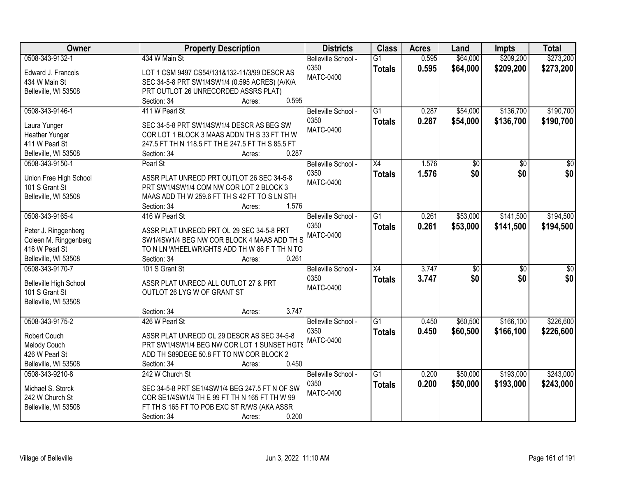| Owner                  | <b>Property Description</b>                       | <b>Districts</b>    | <b>Class</b>    | <b>Acres</b> | Land     | <b>Impts</b>    | <b>Total</b>    |
|------------------------|---------------------------------------------------|---------------------|-----------------|--------------|----------|-----------------|-----------------|
| 0508-343-9132-1        | 434 W Main St                                     | Belleville School - | $\overline{G1}$ | 0.595        | \$64,000 | \$209,200       | \$273,200       |
| Edward J. Francois     | LOT 1 CSM 9497 CS54/131&132-11/3/99 DESCR AS      | 0350                | <b>Totals</b>   | 0.595        | \$64,000 | \$209,200       | \$273,200       |
| 434 W Main St          | SEC 34-5-8 PRT SW1/4SW1/4 (0.595 ACRES) (A/K/A    | <b>MATC-0400</b>    |                 |              |          |                 |                 |
| Belleville, WI 53508   | PRT OUTLOT 26 UNRECORDED ASSRS PLAT)              |                     |                 |              |          |                 |                 |
|                        | 0.595<br>Section: 34<br>Acres:                    |                     |                 |              |          |                 |                 |
| 0508-343-9146-1        | 411 W Pearl St                                    | Belleville School - | $\overline{G1}$ | 0.287        | \$54,000 | \$136,700       | \$190,700       |
|                        |                                                   | 0350                | <b>Totals</b>   | 0.287        | \$54,000 | \$136,700       | \$190,700       |
| Laura Yunger           | SEC 34-5-8 PRT SW1/4SW1/4 DESCR AS BEG SW         | <b>MATC-0400</b>    |                 |              |          |                 |                 |
| Heather Yunger         | COR LOT 1 BLOCK 3 MAAS ADDN TH S 33 FT TH W       |                     |                 |              |          |                 |                 |
| 411 W Pearl St         | 247.5 FT TH N 118.5 FT TH E 247.5 FT TH S 85.5 FT |                     |                 |              |          |                 |                 |
| Belleville, WI 53508   | 0.287<br>Section: 34<br>Acres:                    |                     |                 |              |          |                 |                 |
| 0508-343-9150-1        | Pearl St                                          | Belleville School - | $\overline{X4}$ | 1.576        | \$0      | $\overline{50}$ | $\overline{50}$ |
| Union Free High School | ASSR PLAT UNRECD PRT OUTLOT 26 SEC 34-5-8         | 0350                | <b>Totals</b>   | 1.576        | \$0      | \$0             | \$0             |
| 101 S Grant St         | PRT SW1/4SW1/4 COM NW COR LOT 2 BLOCK 3           | <b>MATC-0400</b>    |                 |              |          |                 |                 |
| Belleville, WI 53508   | MAAS ADD TH W 259.6 FT TH S 42 FT TO S LN STH     |                     |                 |              |          |                 |                 |
|                        | 1.576<br>Section: 34<br>Acres:                    |                     |                 |              |          |                 |                 |
| 0508-343-9165-4        | 416 W Pearl St                                    | Belleville School - | $\overline{G1}$ | 0.261        | \$53,000 | \$141,500       | \$194,500       |
|                        |                                                   | 0350                | <b>Totals</b>   | 0.261        | \$53,000 | \$141,500       | \$194,500       |
| Peter J. Ringgenberg   | ASSR PLAT UNRECD PRT OL 29 SEC 34-5-8 PRT         | <b>MATC-0400</b>    |                 |              |          |                 |                 |
| Coleen M. Ringgenberg  | SW1/4SW1/4 BEG NW COR BLOCK 4 MAAS ADD TH S       |                     |                 |              |          |                 |                 |
| 416 W Pearl St         | TO N LN WHEELWRIGHTS ADD TH W 86 F T TH N TO      |                     |                 |              |          |                 |                 |
| Belleville, WI 53508   | 0.261<br>Section: 34<br>Acres:                    |                     |                 |              |          |                 |                 |
| 0508-343-9170-7        | 101 S Grant St                                    | Belleville School - | $\overline{X4}$ | 3.747        | \$0      | $\overline{30}$ | $\overline{50}$ |
| Belleville High School | ASSR PLAT UNRECD ALL OUTLOT 27 & PRT              | 0350                | <b>Totals</b>   | 3.747        | \$0      | \$0             | \$0             |
| 101 S Grant St         | OUTLOT 26 LYG W OF GRANT ST                       | <b>MATC-0400</b>    |                 |              |          |                 |                 |
| Belleville, WI 53508   |                                                   |                     |                 |              |          |                 |                 |
|                        | 3.747<br>Section: 34<br>Acres:                    |                     |                 |              |          |                 |                 |
| 0508-343-9175-2        | 426 W Pearl St                                    | Belleville School - | $\overline{G1}$ | 0.450        | \$60,500 | \$166, 100      | \$226,600       |
|                        |                                                   | 0350                | <b>Totals</b>   | 0.450        | \$60,500 | \$166,100       | \$226,600       |
| Robert Couch           | ASSR PLAT UNRECD OL 29 DESCR AS SEC 34-5-8        | <b>MATC-0400</b>    |                 |              |          |                 |                 |
| Melody Couch           | PRT SW1/4SW1/4 BEG NW COR LOT 1 SUNSET HGTS       |                     |                 |              |          |                 |                 |
| 426 W Pearl St         | ADD TH S89DEGE 50.8 FT TO NW COR BLOCK 2          |                     |                 |              |          |                 |                 |
| Belleville, WI 53508   | 0.450<br>Section: 34<br>Acres:                    |                     |                 |              |          |                 |                 |
| 0508-343-9210-8        | 242 W Church St                                   | Belleville School - | $\overline{G1}$ | 0.200        | \$50,000 | \$193,000       | \$243,000       |
| Michael S. Storck      | SEC 34-5-8 PRT SE1/4SW1/4 BEG 247.5 FT N OF SW    | 0350                | <b>Totals</b>   | 0.200        | \$50,000 | \$193,000       | \$243,000       |
| 242 W Church St        | COR SE1/4SW1/4 TH E 99 FT TH N 165 FT TH W 99     | <b>MATC-0400</b>    |                 |              |          |                 |                 |
| Belleville, WI 53508   | FT TH S 165 FT TO POB EXC ST R/WS (AKA ASSR       |                     |                 |              |          |                 |                 |
|                        | 0.200<br>Section: 34                              |                     |                 |              |          |                 |                 |
|                        | Acres:                                            |                     |                 |              |          |                 |                 |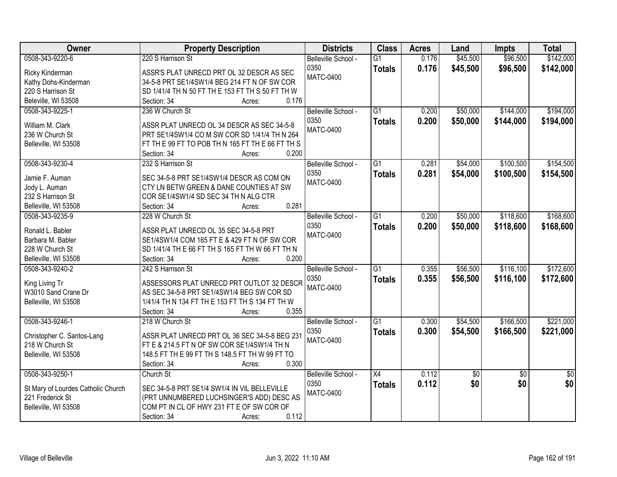| Owner                              | <b>Property Description</b>                      | <b>Districts</b>    | <b>Class</b>    | <b>Acres</b> | Land            | Impts           | <b>Total</b>    |
|------------------------------------|--------------------------------------------------|---------------------|-----------------|--------------|-----------------|-----------------|-----------------|
| 0508-343-9220-6                    | 220 S Harrison St                                | Belleville School - | $\overline{G1}$ | 0.176        | \$45,500        | \$96,500        | \$142,000       |
| Ricky Kinderman                    | ASSR'S PLAT UNRECD PRT OL 32 DESCR AS SEC        | 0350                | <b>Totals</b>   | 0.176        | \$45,500        | \$96,500        | \$142,000       |
| Kathy Dohs-Kinderman               | 34-5-8 PRT SE1/4SW1/4 BEG 214 FT N OF SW COR     | <b>MATC-0400</b>    |                 |              |                 |                 |                 |
| 220 S Harrison St                  | SD 1/41/4 TH N 50 FT TH E 153 FT TH S 50 FT TH W |                     |                 |              |                 |                 |                 |
| Beleville, WI 53508                | Section: 34<br>0.176<br>Acres:                   |                     |                 |              |                 |                 |                 |
| 0508-343-9225-1                    | 236 W Church St                                  | Belleville School - | $\overline{G1}$ | 0.200        | \$50,000        | \$144,000       | \$194,000       |
|                                    |                                                  | 0350                | <b>Totals</b>   | 0.200        | \$50,000        | \$144,000       | \$194,000       |
| William M. Clark                   | ASSR PLAT UNRECD OL 34 DESCR AS SEC 34-5-8       | <b>MATC-0400</b>    |                 |              |                 |                 |                 |
| 236 W Church St                    | PRT SE1/4SW1/4 CO M SW COR SD 1/41/4 TH N 264    |                     |                 |              |                 |                 |                 |
| Belleville, WI 53508               | FT THE 99 FT TO POB THN 165 FT THE 66 FT THS     |                     |                 |              |                 |                 |                 |
|                                    | 0.200<br>Section: 34<br>Acres:                   |                     |                 |              |                 |                 |                 |
| 0508-343-9230-4                    | 232 S Harrison St                                | Belleville School - | G1              | 0.281        | \$54,000        | \$100,500       | \$154,500       |
| Jamie F. Auman                     | SEC 34-5-8 PRT SE1/4SW1/4 DESCR AS COM ON        | 0350                | <b>Totals</b>   | 0.281        | \$54,000        | \$100,500       | \$154,500       |
| Jody L. Auman                      | CTY LN BETW GREEN & DANE COUNTIES AT SW          | <b>MATC-0400</b>    |                 |              |                 |                 |                 |
| 232 S Harrison St                  | COR SE1/4SW1/4 SD SEC 34 TH N ALG CTR            |                     |                 |              |                 |                 |                 |
| Belleville, WI 53508               | 0.281<br>Section: 34<br>Acres:                   |                     |                 |              |                 |                 |                 |
| 0508-343-9235-9                    | 228 W Church St                                  | Belleville School - | $\overline{G1}$ | 0.200        | \$50,000        | \$118,600       | \$168,600       |
|                                    |                                                  | 0350                | <b>Totals</b>   | 0.200        | \$50,000        | \$118,600       | \$168,600       |
| Ronald L. Babler                   | ASSR PLAT UNRECD OL 35 SEC 34-5-8 PRT            | <b>MATC-0400</b>    |                 |              |                 |                 |                 |
| Barbara M. Babler                  | SE1/4SW1/4 COM 165 FT E & 429 FT N OF SW COR     |                     |                 |              |                 |                 |                 |
| 228 W Church St                    | SD 1/41/4 TH E 66 FT TH S 165 FT TH W 66 FT TH N |                     |                 |              |                 |                 |                 |
| Belleville, WI 53508               | 0.200<br>Section: 34<br>Acres:                   |                     |                 |              |                 |                 |                 |
| 0508-343-9240-2                    | 242 S Harrison St                                | Belleville School - | $\overline{G1}$ | 0.355        | \$56,500        | \$116,100       | \$172,600       |
| King Living Tr                     | ASSESSORS PLAT UNRECD PRT OUTLOT 32 DESCR        | 0350                | <b>Totals</b>   | 0.355        | \$56,500        | \$116,100       | \$172,600       |
| W3010 Sand Crane Dr                | AS SEC 34-5-8 PRT SE1/4SW1/4 BEG SW COR SD       | <b>MATC-0400</b>    |                 |              |                 |                 |                 |
| Belleville, WI 53508               | 1/41/4 TH N 134 FT TH E 153 FT TH S 134 FT TH W  |                     |                 |              |                 |                 |                 |
|                                    | 0.355<br>Section: 34<br>Acres:                   |                     |                 |              |                 |                 |                 |
| 0508-343-9246-1                    | 218 W Church St                                  | Belleville School - | $\overline{G1}$ | 0.300        | \$54,500        | \$166,500       | \$221,000       |
|                                    |                                                  | 0350                | <b>Totals</b>   | 0.300        | \$54,500        | \$166,500       | \$221,000       |
| Christopher C. Santos-Lang         | ASSR PLAT UNRECD PRT OL 36 SEC 34-5-8 BEG 231    | <b>MATC-0400</b>    |                 |              |                 |                 |                 |
| 218 W Church St                    | FT E & 214.5 FT N OF SW COR SE1/4SW1/4 TH N      |                     |                 |              |                 |                 |                 |
| Belleville, WI 53508               | 148.5 FT TH E 99 FT TH S 148.5 FT TH W 99 FT TO  |                     |                 |              |                 |                 |                 |
|                                    | 0.300<br>Section: 34<br>Acres:                   |                     |                 |              |                 |                 |                 |
| 0508-343-9250-1                    | Church St                                        | Belleville School - | $\overline{X4}$ | 0.112        | $\overline{50}$ | $\overline{50}$ | $\overline{50}$ |
| St Mary of Lourdes Catholic Church | SEC 34-5-8 PRT SE1/4 SW1/4 IN VIL BELLEVILLE     | 0350                | <b>Totals</b>   | 0.112        | \$0             | \$0             | \$0             |
| 221 Frederick St                   | (PRT UNNUMBERED LUCHSINGER'S ADD) DESC AS        | <b>MATC-0400</b>    |                 |              |                 |                 |                 |
| Belleville, WI 53508               | COM PT IN CL OF HWY 231 FT E OF SW COR OF        |                     |                 |              |                 |                 |                 |
|                                    | 0.112<br>Section: 34<br>Acres:                   |                     |                 |              |                 |                 |                 |
|                                    |                                                  |                     |                 |              |                 |                 |                 |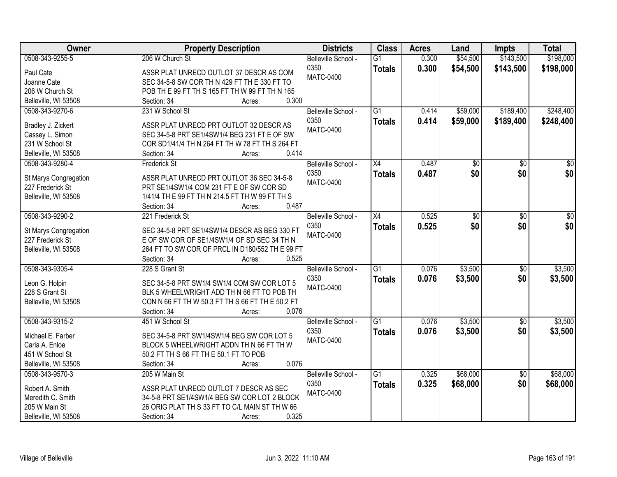| <b>Owner</b>                             | <b>Property Description</b>                                                                    | <b>Districts</b>    | <b>Class</b>    | <b>Acres</b> | Land            | <b>Impts</b>    | <b>Total</b>    |
|------------------------------------------|------------------------------------------------------------------------------------------------|---------------------|-----------------|--------------|-----------------|-----------------|-----------------|
| 0508-343-9255-5                          | 206 W Church St                                                                                | Belleville School - | $\overline{G1}$ | 0.300        | \$54,500        | \$143,500       | \$198,000       |
| Paul Cate                                | ASSR PLAT UNRECD OUTLOT 37 DESCR AS COM                                                        | 0350                | <b>Totals</b>   | 0.300        | \$54,500        | \$143,500       | \$198,000       |
| Joanne Cate                              | SEC 34-5-8 SW COR TH N 429 FT TH E 330 FT TO                                                   | <b>MATC-0400</b>    |                 |              |                 |                 |                 |
| 206 W Church St                          | POB TH E 99 FT TH S 165 FT TH W 99 FT TH N 165                                                 |                     |                 |              |                 |                 |                 |
| Belleville, WI 53508                     | 0.300<br>Section: 34<br>Acres:                                                                 |                     |                 |              |                 |                 |                 |
| 0508-343-9270-6                          | 231 W School St                                                                                | Belleville School - | $\overline{G1}$ | 0.414        | \$59,000        | \$189,400       | \$248,400       |
|                                          |                                                                                                | 0350                | <b>Totals</b>   | 0.414        | \$59,000        | \$189,400       | \$248,400       |
| Bradley J. Zickert                       | ASSR PLAT UNRECD PRT OUTLOT 32 DESCR AS                                                        | <b>MATC-0400</b>    |                 |              |                 |                 |                 |
| Cassey L. Simon                          | SEC 34-5-8 PRT SE1/4SW1/4 BEG 231 FT E OF SW                                                   |                     |                 |              |                 |                 |                 |
| 231 W School St                          | COR SD1/41/4 TH N 264 FT TH W 78 FT TH S 264 FT                                                |                     |                 |              |                 |                 |                 |
| Belleville, WI 53508                     | 0.414<br>Section: 34<br>Acres:                                                                 |                     |                 |              |                 |                 |                 |
| 0508-343-9280-4                          | <b>Frederick St</b>                                                                            | Belleville School - | $\overline{X4}$ | 0.487        | $\overline{50}$ | $\overline{50}$ | $\overline{50}$ |
| St Marys Congregation                    | ASSR PLAT UNRECD PRT OUTLOT 36 SEC 34-5-8                                                      | 0350                | <b>Totals</b>   | 0.487        | \$0             | \$0             | \$0             |
| 227 Frederick St                         | PRT SE1/4SW1/4 COM 231 FT E OF SW COR SD                                                       | <b>MATC-0400</b>    |                 |              |                 |                 |                 |
| Belleville, WI 53508                     | 1/41/4 TH E 99 FT TH N 214.5 FT TH W 99 FT TH S                                                |                     |                 |              |                 |                 |                 |
|                                          | 0.487<br>Section: 34<br>Acres:                                                                 |                     |                 |              |                 |                 |                 |
| 0508-343-9290-2                          | 221 Frederick St                                                                               | Belleville School - | $\overline{X4}$ | 0.525        | \$0             | \$0             | \$0             |
|                                          |                                                                                                | 0350                | <b>Totals</b>   | 0.525        | \$0             | \$0             | \$0             |
| St Marys Congregation                    | SEC 34-5-8 PRT SE1/4SW1/4 DESCR AS BEG 330 FT                                                  | <b>MATC-0400</b>    |                 |              |                 |                 |                 |
| 227 Frederick St<br>Belleville, WI 53508 | E OF SW COR OF SE1/4SW1/4 OF SD SEC 34 TH N<br>264 FT TO SW COR OF PRCL IN D180/552 TH E 99 FT |                     |                 |              |                 |                 |                 |
|                                          | 0.525<br>Section: 34<br>Acres:                                                                 |                     |                 |              |                 |                 |                 |
| 0508-343-9305-4                          | 228 S Grant St                                                                                 | Belleville School - | $\overline{G1}$ | 0.076        | \$3,500         | $\overline{50}$ | \$3,500         |
|                                          |                                                                                                | 0350                |                 | 0.076        |                 |                 |                 |
| Leon G. Holpin                           | SEC 34-5-8 PRT SW1/4 SW1/4 COM SW COR LOT 5                                                    | <b>MATC-0400</b>    | <b>Totals</b>   |              | \$3,500         | \$0             | \$3,500         |
| 228 S Grant St                           | BLK 5 WHEELWRIGHT ADD TH N 66 FT TO POB TH                                                     |                     |                 |              |                 |                 |                 |
| Belleville, WI 53508                     | CON N 66 FT TH W 50.3 FT TH S 66 FT TH E 50.2 FT                                               |                     |                 |              |                 |                 |                 |
|                                          | 0.076<br>Section: 34<br>Acres:                                                                 |                     |                 |              |                 |                 |                 |
| 0508-343-9315-2                          | 451 W School St                                                                                | Belleville School - | $\overline{G1}$ | 0.076        | \$3,500         | $\overline{50}$ | \$3,500         |
| Michael E. Farber                        | SEC 34-5-8 PRT SW1/4SW1/4 BEG SW COR LOT 5                                                     | 0350                | <b>Totals</b>   | 0.076        | \$3,500         | \$0             | \$3,500         |
| Carla A. Enloe                           | BLOCK 5 WHEELWRIGHT ADDN TH N 66 FT TH W                                                       | <b>MATC-0400</b>    |                 |              |                 |                 |                 |
| 451 W School St                          | 50.2 FT TH S 66 FT TH E 50.1 FT TO POB                                                         |                     |                 |              |                 |                 |                 |
| Belleville, WI 53508                     | 0.076<br>Section: 34<br>Acres:                                                                 |                     |                 |              |                 |                 |                 |
| 0508-343-9570-3                          | 205 W Main St                                                                                  | Belleville School - | $\overline{G1}$ | 0.325        | \$68,000        | $\overline{50}$ | \$68,000        |
|                                          |                                                                                                | 0350                | <b>Totals</b>   | 0.325        | \$68,000        | \$0             | \$68,000        |
| Robert A. Smith                          | ASSR PLAT UNRECD OUTLOT 7 DESCR AS SEC                                                         | <b>MATC-0400</b>    |                 |              |                 |                 |                 |
| Meredith C. Smith                        | 34-5-8 PRT SE1/4SW1/4 BEG SW COR LOT 2 BLOCK                                                   |                     |                 |              |                 |                 |                 |
| 205 W Main St                            | 26 ORIG PLAT TH S 33 FT TO C/L MAIN ST TH W 66                                                 |                     |                 |              |                 |                 |                 |
| Belleville, WI 53508                     | 0.325<br>Section: 34<br>Acres:                                                                 |                     |                 |              |                 |                 |                 |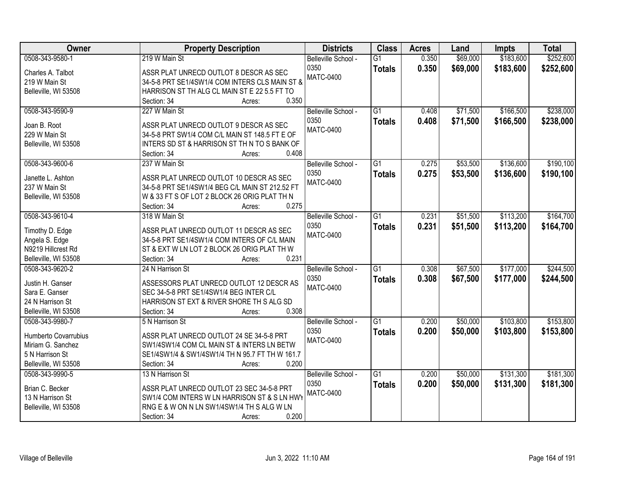| Owner                | <b>Property Description</b>                     | <b>Districts</b>    | <b>Class</b>    | <b>Acres</b> | Land     | <b>Impts</b> | <b>Total</b> |
|----------------------|-------------------------------------------------|---------------------|-----------------|--------------|----------|--------------|--------------|
| 0508-343-9580-1      | 219 W Main St                                   | Belleville School - | $\overline{G1}$ | 0.350        | \$69,000 | \$183,600    | \$252,600    |
| Charles A. Talbot    | ASSR PLAT UNRECD OUTLOT 8 DESCR AS SEC          | 0350                | <b>Totals</b>   | 0.350        | \$69,000 | \$183,600    | \$252,600    |
| 219 W Main St        | 34-5-8 PRT SE1/4SW1/4 COM INTERS CLS MAIN ST &  | <b>MATC-0400</b>    |                 |              |          |              |              |
| Belleville, WI 53508 | HARRISON ST TH ALG CL MAIN ST E 22 5.5 FT TO    |                     |                 |              |          |              |              |
|                      | 0.350<br>Section: 34<br>Acres:                  |                     |                 |              |          |              |              |
| 0508-343-9590-9      | 227 W Main St                                   | Belleville School - | $\overline{G1}$ | 0.408        | \$71,500 | \$166,500    | \$238,000    |
|                      |                                                 | 0350                | <b>Totals</b>   | 0.408        | \$71,500 | \$166,500    | \$238,000    |
| Joan B. Root         | ASSR PLAT UNRECD OUTLOT 9 DESCR AS SEC          | <b>MATC-0400</b>    |                 |              |          |              |              |
| 229 W Main St        | 34-5-8 PRT SW1/4 COM C/L MAIN ST 148.5 FT E OF  |                     |                 |              |          |              |              |
| Belleville, WI 53508 | INTERS SD ST & HARRISON ST TH N TO S BANK OF    |                     |                 |              |          |              |              |
|                      | 0.408<br>Section: 34<br>Acres:                  |                     |                 |              |          |              |              |
| 0508-343-9600-6      | 237 W Main St                                   | Belleville School - | G1              | 0.275        | \$53,500 | \$136,600    | \$190,100    |
| Janette L. Ashton    | ASSR PLAT UNRECD OUTLOT 10 DESCR AS SEC         | 0350                | <b>Totals</b>   | 0.275        | \$53,500 | \$136,600    | \$190,100    |
| 237 W Main St        | 34-5-8 PRT SE1/4SW1/4 BEG C/L MAIN ST 212.52 FT | <b>MATC-0400</b>    |                 |              |          |              |              |
| Belleville, WI 53508 | W & 33 FT S OF LOT 2 BLOCK 26 ORIG PLAT TH N    |                     |                 |              |          |              |              |
|                      | 0.275<br>Section: 34<br>Acres:                  |                     |                 |              |          |              |              |
| 0508-343-9610-4      | 318 W Main St                                   | Belleville School - | $\overline{G1}$ | 0.231        | \$51,500 | \$113,200    | \$164,700    |
|                      |                                                 | 0350                | <b>Totals</b>   | 0.231        | \$51,500 | \$113,200    | \$164,700    |
| Timothy D. Edge      | ASSR PLAT UNRECD OUTLOT 11 DESCR AS SEC         | <b>MATC-0400</b>    |                 |              |          |              |              |
| Angela S. Edge       | 34-5-8 PRT SE1/4SW1/4 COM INTERS OF C/L MAIN    |                     |                 |              |          |              |              |
| N9219 Hillcrest Rd   | ST & EXT W LN LOT 2 BLOCK 26 ORIG PLAT TH W     |                     |                 |              |          |              |              |
| Belleville, WI 53508 | 0.231<br>Section: 34<br>Acres:                  |                     |                 |              |          |              |              |
| 0508-343-9620-2      | 24 N Harrison St                                | Belleville School - | $\overline{G1}$ | 0.308        | \$67,500 | \$177,000    | \$244,500    |
| Justin H. Ganser     | ASSESSORS PLAT UNRECD OUTLOT 12 DESCR AS        | 0350                | <b>Totals</b>   | 0.308        | \$67,500 | \$177,000    | \$244,500    |
| Sara E. Ganser       | SEC 34-5-8 PRT SE1/4SW1/4 BEG INTER C/L         | <b>MATC-0400</b>    |                 |              |          |              |              |
| 24 N Harrison St     | HARRISON ST EXT & RIVER SHORE TH S ALG SD       |                     |                 |              |          |              |              |
| Belleville, WI 53508 | 0.308<br>Section: 34<br>Acres:                  |                     |                 |              |          |              |              |
| 0508-343-9980-7      | 5 N Harrison St                                 | Belleville School - | $\overline{G1}$ | 0.200        | \$50,000 | \$103,800    | \$153,800    |
|                      |                                                 | 0350                | <b>Totals</b>   | 0.200        | \$50,000 | \$103,800    | \$153,800    |
| Humberto Covarrubius | ASSR PLAT UNRECD OUTLOT 24 SE 34-5-8 PRT        | <b>MATC-0400</b>    |                 |              |          |              |              |
| Miriam G. Sanchez    | SW1/4SW1/4 COM CL MAIN ST & INTERS LN BETW      |                     |                 |              |          |              |              |
| 5 N Harrison St      | SE1/4SW1/4 & SW1/4SW1/4 TH N 95.7 FT TH W 161.7 |                     |                 |              |          |              |              |
| Belleville, WI 53508 | 0.200<br>Section: 34<br>Acres:                  |                     |                 |              |          |              |              |
| 0508-343-9990-5      | 13 N Harrison St                                | Belleville School - | $\overline{G1}$ | 0.200        | \$50,000 | \$131,300    | \$181,300    |
| Brian C. Becker      | ASSR PLAT UNRECD OUTLOT 23 SEC 34-5-8 PRT       | 0350                | <b>Totals</b>   | 0.200        | \$50,000 | \$131,300    | \$181,300    |
| 13 N Harrison St     | SW1/4 COM INTERS W LN HARRISON ST & S LN HWY    | <b>MATC-0400</b>    |                 |              |          |              |              |
| Belleville, WI 53508 | RNG E & W ON N LN SW1/4SW1/4 TH S ALG W LN      |                     |                 |              |          |              |              |
|                      | 0.200<br>Section: 34<br>Acres:                  |                     |                 |              |          |              |              |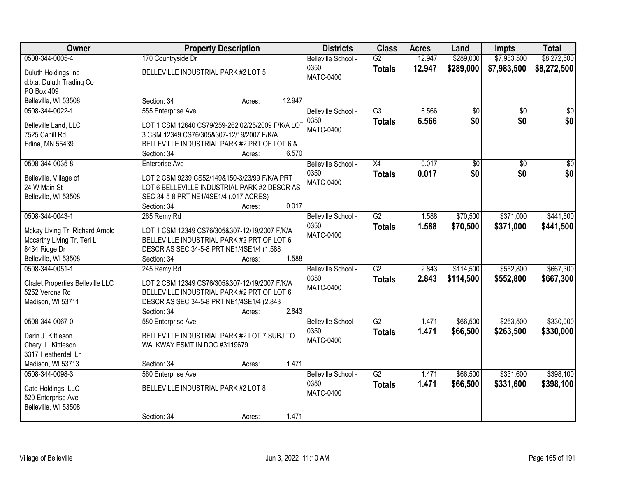| Owner                                  |                                                                                               | <b>Property Description</b> |        | <b>Districts</b>    | <b>Class</b>    | <b>Acres</b> | Land      | <b>Impts</b>    | <b>Total</b> |
|----------------------------------------|-----------------------------------------------------------------------------------------------|-----------------------------|--------|---------------------|-----------------|--------------|-----------|-----------------|--------------|
| 0508-344-0005-4                        | 170 Countryside Dr                                                                            |                             |        | Belleville School - | $\overline{G2}$ | 12.947       | \$289,000 | \$7,983,500     | \$8,272,500  |
| Duluth Holdings Inc                    | BELLEVILLE INDUSTRIAL PARK #2 LOT 5                                                           |                             |        | 0350                | <b>Totals</b>   | 12.947       | \$289,000 | \$7,983,500     | \$8,272,500  |
| d.b.a. Duluth Trading Co               |                                                                                               |                             |        | MATC-0400           |                 |              |           |                 |              |
| PO Box 409                             |                                                                                               |                             |        |                     |                 |              |           |                 |              |
| Belleville, WI 53508                   | Section: 34                                                                                   | Acres:                      | 12.947 |                     |                 |              |           |                 |              |
| 0508-344-0022-1                        | 555 Enterprise Ave                                                                            |                             |        | Belleville School - | $\overline{G3}$ | 6.566        | \$0       | \$0             | \$0          |
| Belleville Land, LLC                   | LOT 1 CSM 12640 CS79/259-262 02/25/2009 F/K/A LOT                                             |                             |        | 0350                | <b>Totals</b>   | 6.566        | \$0       | \$0             | \$0          |
| 7525 Cahill Rd                         | 3 CSM 12349 CS76/305&307-12/19/2007 F/K/A                                                     |                             |        | MATC-0400           |                 |              |           |                 |              |
| Edina, MN 55439                        | BELLEVILLE INDUSTRIAL PARK #2 PRT OF LOT 6 &                                                  |                             |        |                     |                 |              |           |                 |              |
|                                        | Section: 34                                                                                   | Acres:                      | 6.570  |                     |                 |              |           |                 |              |
| 0508-344-0035-8                        | <b>Enterprise Ave</b>                                                                         |                             |        | Belleville School - | $\overline{X4}$ | 0.017        | 30        | $\overline{50}$ | $\sqrt{50}$  |
|                                        |                                                                                               |                             |        | 0350                | <b>Totals</b>   | 0.017        | \$0       | \$0             | \$0          |
| Belleville, Village of<br>24 W Main St | LOT 2 CSM 9239 CS52/149&150-3/23/99 F/K/A PRT<br>LOT 6 BELLEVILLE INDUSTRIAL PARK #2 DESCR AS |                             |        | <b>MATC-0400</b>    |                 |              |           |                 |              |
| Belleville, WI 53508                   | SEC 34-5-8 PRT NE1/4SE1/4 (.017 ACRES)                                                        |                             |        |                     |                 |              |           |                 |              |
|                                        | Section: 34                                                                                   | Acres:                      | 0.017  |                     |                 |              |           |                 |              |
| 0508-344-0043-1                        | 265 Remy Rd                                                                                   |                             |        | Belleville School - | $\overline{G2}$ | 1.588        | \$70,500  | \$371,000       | \$441,500    |
|                                        |                                                                                               |                             |        | 0350                | <b>Totals</b>   | 1.588        | \$70,500  | \$371,000       | \$441,500    |
| Mckay Living Tr, Richard Arnold        | LOT 1 CSM 12349 CS76/305&307-12/19/2007 F/K/A                                                 |                             |        | MATC-0400           |                 |              |           |                 |              |
| Mccarthy Living Tr, Teri L             | BELLEVILLE INDUSTRIAL PARK #2 PRT OF LOT 6                                                    |                             |        |                     |                 |              |           |                 |              |
| 8434 Ridge Dr<br>Belleville, WI 53508  | DESCR AS SEC 34-5-8 PRT NE1/4SE1/4 (1.588<br>Section: 34                                      |                             | 1.588  |                     |                 |              |           |                 |              |
| 0508-344-0051-1                        | 245 Remy Rd                                                                                   | Acres:                      |        | Belleville School - | $\overline{G2}$ | 2.843        | \$114,500 | \$552,800       | \$667,300    |
|                                        |                                                                                               |                             |        | 0350                | <b>Totals</b>   | 2.843        | \$114,500 | \$552,800       | \$667,300    |
| Chalet Properties Belleville LLC       | LOT 2 CSM 12349 CS76/305&307-12/19/2007 F/K/A                                                 |                             |        | <b>MATC-0400</b>    |                 |              |           |                 |              |
| 5252 Verona Rd                         | BELLEVILLE INDUSTRIAL PARK #2 PRT OF LOT 6                                                    |                             |        |                     |                 |              |           |                 |              |
| Madison, WI 53711                      | DESCR AS SEC 34-5-8 PRT NE1/4SE1/4 (2.843                                                     |                             |        |                     |                 |              |           |                 |              |
|                                        | Section: 34                                                                                   | Acres:                      | 2.843  |                     |                 |              |           |                 |              |
| 0508-344-0067-0                        | 580 Enterprise Ave                                                                            |                             |        | Belleville School - | $\overline{G2}$ | 1.471        | \$66,500  | \$263,500       | \$330,000    |
| Darin J. Kittleson                     | BELLEVILLE INDUSTRIAL PARK #2 LOT 7 SUBJ TO                                                   |                             |        | 0350<br>MATC-0400   | <b>Totals</b>   | 1.471        | \$66,500  | \$263,500       | \$330,000    |
| Cheryl L. Kittleson                    | WALKWAY ESMT IN DOC #3119679                                                                  |                             |        |                     |                 |              |           |                 |              |
| 3317 Heatherdell Ln                    |                                                                                               |                             |        |                     |                 |              |           |                 |              |
| Madison, WI 53713                      | Section: 34                                                                                   | Acres:                      | 1.471  |                     |                 |              |           |                 |              |
| 0508-344-0098-3                        | 560 Enterprise Ave                                                                            |                             |        | Belleville School - | $\overline{G2}$ | 1.471        | \$66,500  | \$331,600       | \$398,100    |
| Cate Holdings, LLC                     | BELLEVILLE INDUSTRIAL PARK #2 LOT 8                                                           |                             |        | 0350                | <b>Totals</b>   | 1.471        | \$66,500  | \$331,600       | \$398,100    |
| 520 Enterprise Ave                     |                                                                                               |                             |        | <b>MATC-0400</b>    |                 |              |           |                 |              |
| Belleville, WI 53508                   |                                                                                               |                             |        |                     |                 |              |           |                 |              |
|                                        | Section: 34                                                                                   | Acres:                      | 1.471  |                     |                 |              |           |                 |              |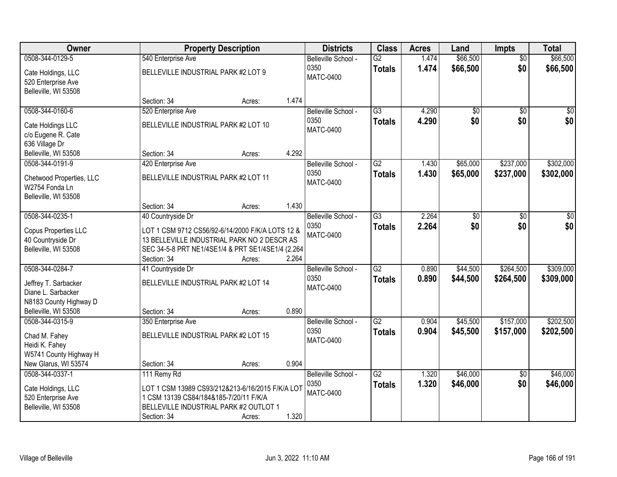| Owner                    |                                                                  | <b>Property Description</b> |       | <b>Districts</b>    | <b>Class</b>    | <b>Acres</b> | Land     | Impts           | <b>Total</b>    |
|--------------------------|------------------------------------------------------------------|-----------------------------|-------|---------------------|-----------------|--------------|----------|-----------------|-----------------|
| 0508-344-0129-5          | 540 Enterprise Ave                                               |                             |       | Belleville School - | $\overline{G2}$ | 1.474        | \$66,500 | $\overline{50}$ | \$66,500        |
| Cate Holdings, LLC       | BELLEVILLE INDUSTRIAL PARK #2 LOT 9                              |                             |       | 0350                | <b>Totals</b>   | 1.474        | \$66,500 | \$0             | \$66,500        |
| 520 Enterprise Ave       |                                                                  |                             |       | <b>MATC-0400</b>    |                 |              |          |                 |                 |
| Belleville, WI 53508     |                                                                  |                             |       |                     |                 |              |          |                 |                 |
|                          | Section: 34                                                      | Acres:                      | 1.474 |                     |                 |              |          |                 |                 |
| 0508-344-0160-6          | 520 Enterprise Ave                                               |                             |       | Belleville School - | $\overline{G3}$ | 4.290        | \$0      | $\overline{50}$ | $\overline{50}$ |
| Cate Holdings LLC        | BELLEVILLE INDUSTRIAL PARK #2 LOT 10                             |                             |       | 0350                | <b>Totals</b>   | 4.290        | \$0      | \$0             | \$0             |
| c/o Eugene R. Cate       |                                                                  |                             |       | <b>MATC-0400</b>    |                 |              |          |                 |                 |
| 636 Village Dr           |                                                                  |                             |       |                     |                 |              |          |                 |                 |
| Belleville, WI 53508     | Section: 34                                                      | Acres:                      | 4.292 |                     |                 |              |          |                 |                 |
| 0508-344-0191-9          | 420 Enterprise Ave                                               |                             |       | Belleville School - | $\overline{G2}$ | 1.430        | \$65,000 | \$237,000       | \$302,000       |
| Chetwood Properties, LLC | BELLEVILLE INDUSTRIAL PARK #2 LOT 11                             |                             |       | 0350                | <b>Totals</b>   | 1.430        | \$65,000 | \$237,000       | \$302,000       |
| W2754 Fonda Ln           |                                                                  |                             |       | <b>MATC-0400</b>    |                 |              |          |                 |                 |
| Belleville, WI 53508     |                                                                  |                             |       |                     |                 |              |          |                 |                 |
|                          | Section: 34                                                      | Acres:                      | 1.430 |                     |                 |              |          |                 |                 |
| 0508-344-0235-1          | 40 Countryside Dr                                                |                             |       | Belleville School - | $\overline{G3}$ | 2.264        | \$0      | \$0             | \$0             |
|                          |                                                                  |                             |       | 0350                | <b>Totals</b>   | 2.264        | \$0      | \$0             | \$0             |
| Copus Properties LLC     | LOT 1 CSM 9712 CS56/92-6/14/2000 F/K/A LOTS 12 &                 |                             |       | <b>MATC-0400</b>    |                 |              |          |                 |                 |
| 40 Countryside Dr        | 13 BELLEVILLE INDUSTRIAL PARK NO 2 DESCR AS                      |                             |       |                     |                 |              |          |                 |                 |
| Belleville, WI 53508     | SEC 34-5-8 PRT NE1/4SE1/4 & PRT SE1/4SE1/4 (2.264<br>Section: 34 |                             | 2.264 |                     |                 |              |          |                 |                 |
| 0508-344-0284-7          | 41 Countryside Dr                                                | Acres:                      |       | Belleville School - | $\overline{G2}$ | 0.890        | \$44,500 | \$264,500       | \$309,000       |
|                          |                                                                  |                             |       | 0350                |                 | 0.890        | \$44,500 | \$264,500       | \$309,000       |
| Jeffrey T. Sarbacker     | BELLEVILLE INDUSTRIAL PARK #2 LOT 14                             |                             |       | <b>MATC-0400</b>    | <b>Totals</b>   |              |          |                 |                 |
| Diane L. Sarbacker       |                                                                  |                             |       |                     |                 |              |          |                 |                 |
| N8183 County Highway D   |                                                                  |                             |       |                     |                 |              |          |                 |                 |
| Belleville, WI 53508     | Section: 34                                                      | Acres:                      | 0.890 |                     |                 |              |          |                 |                 |
| 0508-344-0315-9          | 350 Enterprise Ave                                               |                             |       | Belleville School - | $\overline{G2}$ | 0.904        | \$45,500 | \$157,000       | \$202,500       |
| Chad M. Fahey            | BELLEVILLE INDUSTRIAL PARK #2 LOT 15                             |                             |       | 0350                | <b>Totals</b>   | 0.904        | \$45,500 | \$157,000       | \$202,500       |
| Heidi K. Fahey           |                                                                  |                             |       | <b>MATC-0400</b>    |                 |              |          |                 |                 |
| W5741 County Highway H   |                                                                  |                             |       |                     |                 |              |          |                 |                 |
| New Glarus, WI 53574     | Section: 34                                                      | Acres:                      | 0.904 |                     |                 |              |          |                 |                 |
| 0508-344-0337-1          | 111 Remy Rd                                                      |                             |       | Belleville School - | $\overline{G2}$ | 1.320        | \$46,000 | $\overline{30}$ | \$46,000        |
| Cate Holdings, LLC       | LOT 1 CSM 13989 CS93/212&213-6/16/2015 F/K/A LOT                 |                             |       | 0350                | <b>Totals</b>   | 1.320        | \$46,000 | \$0             | \$46,000        |
| 520 Enterprise Ave       | 1 CSM 13139 CS84/184&185-7/20/11 F/K/A                           |                             |       | <b>MATC-0400</b>    |                 |              |          |                 |                 |
| Belleville, WI 53508     | BELLEVILLE INDUSTRIAL PARK #2 OUTLOT 1                           |                             |       |                     |                 |              |          |                 |                 |
|                          | Section: 34                                                      | Acres:                      | 1.320 |                     |                 |              |          |                 |                 |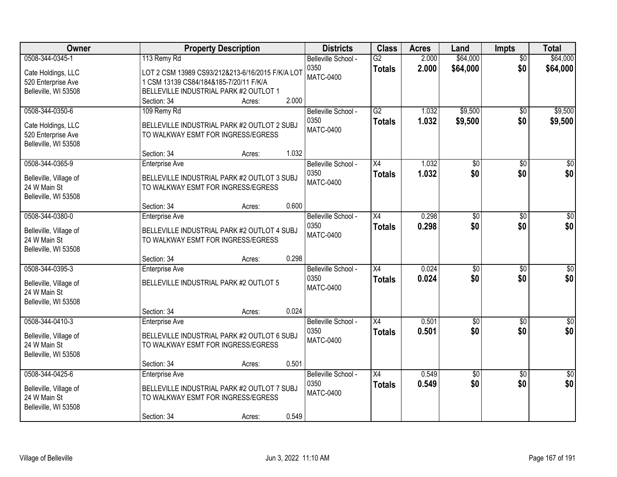| Owner                                                                               | <b>Property Description</b>                                                                                                                                                           | <b>Districts</b>                                | <b>Class</b>                     | <b>Acres</b>   | Land                   | <b>Impts</b>           | <b>Total</b>           |
|-------------------------------------------------------------------------------------|---------------------------------------------------------------------------------------------------------------------------------------------------------------------------------------|-------------------------------------------------|----------------------------------|----------------|------------------------|------------------------|------------------------|
| 0508-344-0345-1<br>Cate Holdings, LLC<br>520 Enterprise Ave<br>Belleville, WI 53508 | 113 Remy Rd<br>LOT 2 CSM 13989 CS93/212&213-6/16/2015 F/K/A LOT<br>1 CSM 13139 CS84/184&185-7/20/11 F/K/A<br>BELLEVILLE INDUSTRIAL PARK #2 OUTLOT 1<br>2.000<br>Section: 34<br>Acres: | Belleville School -<br>0350<br><b>MATC-0400</b> | G2<br><b>Totals</b>              | 2.000<br>2.000 | \$64,000<br>\$64,000   | $\overline{50}$<br>\$0 | \$64,000<br>\$64,000   |
| 0508-344-0350-6<br>Cate Holdings, LLC<br>520 Enterprise Ave<br>Belleville, WI 53508 | 109 Remy Rd<br>BELLEVILLE INDUSTRIAL PARK #2 OUTLOT 2 SUBJ<br>TO WALKWAY ESMT FOR INGRESS/EGRESS<br>1.032<br>Section: 34<br>Acres:                                                    | Belleville School -<br>0350<br>MATC-0400        | G2<br><b>Totals</b>              | 1.032<br>1.032 | \$9,500<br>\$9,500     | \$0<br>\$0             | \$9,500<br>\$9,500     |
| 0508-344-0365-9<br>Belleville, Village of<br>24 W Main St<br>Belleville, WI 53508   | <b>Enterprise Ave</b><br>BELLEVILLE INDUSTRIAL PARK #2 OUTLOT 3 SUBJ<br>TO WALKWAY ESMT FOR INGRESS/EGRESS<br>0.600<br>Section: 34<br>Acres:                                          | Belleville School -<br>0350<br><b>MATC-0400</b> | $\overline{X4}$<br><b>Totals</b> | 1.032<br>1.032 | $\overline{50}$<br>\$0 | \$0<br>\$0             | $\overline{50}$<br>\$0 |
| 0508-344-0380-0<br>Belleville, Village of<br>24 W Main St<br>Belleville, WI 53508   | <b>Enterprise Ave</b><br>BELLEVILLE INDUSTRIAL PARK #2 OUTLOT 4 SUBJ<br>TO WALKWAY ESMT FOR INGRESS/EGRESS<br>0.298<br>Section: 34<br>Acres:                                          | Belleville School -<br>0350<br><b>MATC-0400</b> | $\overline{X4}$<br><b>Totals</b> | 0.298<br>0.298 | $\overline{50}$<br>\$0 | \$0<br>\$0             | $\sqrt{50}$<br>\$0     |
| 0508-344-0395-3<br>Belleville, Village of<br>24 W Main St<br>Belleville, WI 53508   | <b>Enterprise Ave</b><br>BELLEVILLE INDUSTRIAL PARK #2 OUTLOT 5<br>0.024<br>Section: 34<br>Acres:                                                                                     | Belleville School -<br>0350<br><b>MATC-0400</b> | $\overline{X4}$<br><b>Totals</b> | 0.024<br>0.024 | \$0<br>\$0             | \$0<br>\$0             | \$0<br>\$0             |
| 0508-344-0410-3<br>Belleville, Village of<br>24 W Main St<br>Belleville, WI 53508   | Enterprise Ave<br>BELLEVILLE INDUSTRIAL PARK #2 OUTLOT 6 SUBJ<br>TO WALKWAY ESMT FOR INGRESS/EGRESS<br>0.501<br>Section: 34<br>Acres:                                                 | Belleville School -<br>0350<br><b>MATC-0400</b> | X4<br><b>Totals</b>              | 0.501<br>0.501 | \$0<br>\$0             | \$0<br>\$0             | $\sqrt{30}$<br>\$0     |
| 0508-344-0425-6<br>Belleville, Village of<br>24 W Main St<br>Belleville, WI 53508   | <b>Enterprise Ave</b><br>BELLEVILLE INDUSTRIAL PARK #2 OUTLOT 7 SUBJ<br>TO WALKWAY ESMT FOR INGRESS/EGRESS<br>0.549<br>Section: 34<br>Acres:                                          | Belleville School -<br>0350<br><b>MATC-0400</b> | $\overline{X4}$<br><b>Totals</b> | 0.549<br>0.549 | $\overline{50}$<br>\$0 | $\overline{50}$<br>\$0 | $\overline{50}$<br>\$0 |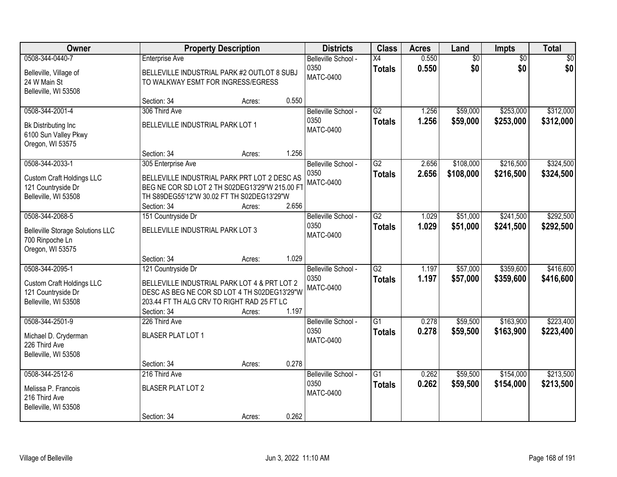| Owner                                                                                             |                                                                                                                                                                                 | <b>Property Description</b> |       | <b>Districts</b>                                | <b>Class</b>                     | <b>Acres</b>   | Land                   | <b>Impts</b>           | <b>Total</b>           |
|---------------------------------------------------------------------------------------------------|---------------------------------------------------------------------------------------------------------------------------------------------------------------------------------|-----------------------------|-------|-------------------------------------------------|----------------------------------|----------------|------------------------|------------------------|------------------------|
| 0508-344-0440-7<br>Belleville, Village of<br>24 W Main St<br>Belleville, WI 53508                 | <b>Enterprise Ave</b><br>BELLEVILLE INDUSTRIAL PARK #2 OUTLOT 8 SUBJ<br>TO WALKWAY ESMT FOR INGRESS/EGRESS                                                                      |                             |       | Belleville School -<br>0350<br><b>MATC-0400</b> | $\overline{X4}$<br><b>Totals</b> | 0.550<br>0.550 | $\overline{60}$<br>\$0 | $\overline{50}$<br>\$0 | \$0<br>\$0             |
|                                                                                                   | Section: 34                                                                                                                                                                     | Acres:                      | 0.550 |                                                 |                                  |                |                        |                        |                        |
| 0508-344-2001-4<br><b>Bk Distributing Inc</b><br>6100 Sun Valley Pkwy<br>Oregon, WI 53575         | 306 Third Ave<br>BELLEVILLE INDUSTRIAL PARK LOT 1                                                                                                                               |                             | 1.256 | Belleville School -<br>0350<br><b>MATC-0400</b> | G2<br><b>Totals</b>              | 1.256<br>1.256 | \$59,000<br>\$59,000   | \$253,000<br>\$253,000 | \$312,000<br>\$312,000 |
| 0508-344-2033-1                                                                                   | Section: 34<br>305 Enterprise Ave                                                                                                                                               | Acres:                      |       | Belleville School -                             | G2                               | 2.656          | \$108,000              | \$216,500              | \$324,500              |
| <b>Custom Craft Holdings LLC</b><br>121 Countryside Dr<br>Belleville, WI 53508                    | BELLEVILLE INDUSTRIAL PARK PRT LOT 2 DESC AS<br>BEG NE COR SD LOT 2 TH S02DEG13'29"W 215.00 FT<br>TH S89DEG55'12"W 30.02 FT TH S02DEG13'29"W<br>Section: 34                     | Acres:                      | 2.656 | 0350<br><b>MATC-0400</b>                        | <b>Totals</b>                    | 2.656          | \$108,000              | \$216,500              | \$324,500              |
| 0508-344-2068-5                                                                                   | 151 Countryside Dr                                                                                                                                                              |                             |       | Belleville School -                             | $\overline{G2}$                  | 1.029          | \$51,000               | \$241,500              | \$292,500              |
| <b>Belleville Storage Solutions LLC</b><br>700 Rinpoche Ln<br>Oregon, WI 53575                    | BELLEVILLE INDUSTRIAL PARK LOT 3                                                                                                                                                |                             |       | 0350<br><b>MATC-0400</b>                        | <b>Totals</b>                    | 1.029          | \$51,000               | \$241,500              | \$292,500              |
|                                                                                                   | Section: 34                                                                                                                                                                     | Acres:                      | 1.029 |                                                 |                                  |                |                        |                        |                        |
| 0508-344-2095-1<br><b>Custom Craft Holdings LLC</b><br>121 Countryside Dr<br>Belleville, WI 53508 | 121 Countryside Dr<br>BELLEVILLE INDUSTRIAL PARK LOT 4 & PRT LOT 2<br>DESC AS BEG NE COR SD LOT 4 TH S02DEG13'29"W<br>203.44 FT TH ALG CRV TO RIGHT RAD 25 FT LC<br>Section: 34 | Acres:                      | 1.197 | Belleville School -<br>0350<br>MATC-0400        | $\overline{G2}$<br><b>Totals</b> | 1.197<br>1.197 | \$57,000<br>\$57,000   | \$359,600<br>\$359,600 | \$416,600<br>\$416,600 |
| 0508-344-2501-9                                                                                   | 226 Third Ave                                                                                                                                                                   |                             |       | Belleville School -                             | $\overline{G1}$                  | 0.278          | \$59,500               | \$163,900              | \$223,400              |
| Michael D. Cryderman<br>226 Third Ave<br>Belleville, WI 53508                                     | <b>BLASER PLAT LOT 1</b>                                                                                                                                                        |                             |       | 0350<br><b>MATC-0400</b>                        | <b>Totals</b>                    | 0.278          | \$59,500               | \$163,900              | \$223,400              |
|                                                                                                   | Section: 34                                                                                                                                                                     | Acres:                      | 0.278 |                                                 |                                  |                |                        |                        |                        |
| 0508-344-2512-6<br>Melissa P. Francois<br>216 Third Ave<br>Belleville, WI 53508                   | 216 Third Ave<br><b>BLASER PLAT LOT 2</b><br>Section: 34                                                                                                                        | Acres:                      | 0.262 | Belleville School -<br>0350<br><b>MATC-0400</b> | $\overline{G1}$<br><b>Totals</b> | 0.262<br>0.262 | \$59,500<br>\$59,500   | \$154,000<br>\$154,000 | \$213,500<br>\$213,500 |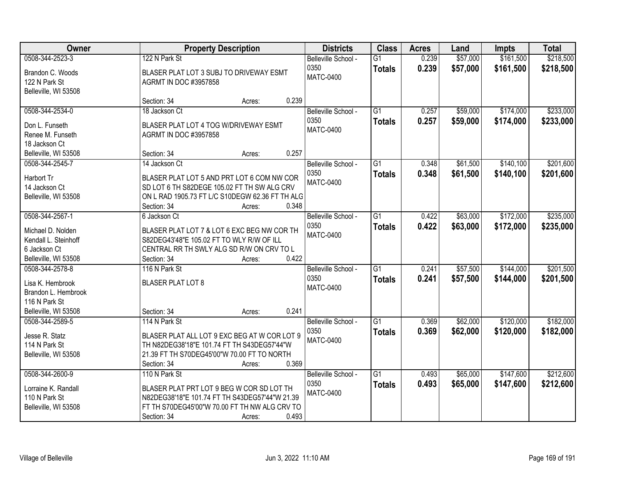| Owner<br><b>Property Description</b>                                                                 |                                                                                                                                                                                        | <b>Districts</b> | <b>Class</b>                                    | <b>Acres</b>                     | Land           | <b>Impts</b>         | <b>Total</b>           |                        |
|------------------------------------------------------------------------------------------------------|----------------------------------------------------------------------------------------------------------------------------------------------------------------------------------------|------------------|-------------------------------------------------|----------------------------------|----------------|----------------------|------------------------|------------------------|
| 0508-344-2523-3<br>Brandon C. Woods<br>122 N Park St                                                 | 122 N Park St<br>BLASER PLAT LOT 3 SUBJ TO DRIVEWAY ESMT<br><b>AGRMT IN DOC #3957858</b>                                                                                               |                  | Belleville School -<br>0350<br>MATC-0400        | $\overline{G1}$<br><b>Totals</b> | 0.239<br>0.239 | \$57,000<br>\$57,000 | \$161,500<br>\$161,500 | \$218,500<br>\$218,500 |
| Belleville, WI 53508                                                                                 | Section: 34<br>Acres:                                                                                                                                                                  | 0.239            |                                                 |                                  |                |                      |                        |                        |
| 0508-344-2534-0<br>Don L. Funseth<br>Renee M. Funseth<br>18 Jackson Ct                               | 18 Jackson Ct<br>BLASER PLAT LOT 4 TOG W/DRIVEWAY ESMT<br><b>AGRMT IN DOC #3957858</b>                                                                                                 |                  | Belleville School -<br>0350<br><b>MATC-0400</b> | $\overline{G1}$<br><b>Totals</b> | 0.257<br>0.257 | \$59,000<br>\$59,000 | \$174,000<br>\$174,000 | \$233,000<br>\$233,000 |
| Belleville, WI 53508                                                                                 | Section: 34<br>Acres:                                                                                                                                                                  | 0.257            |                                                 |                                  |                |                      |                        |                        |
| 0508-344-2545-7<br>Harbort Tr<br>14 Jackson Ct<br>Belleville, WI 53508                               | 14 Jackson Ct<br>BLASER PLAT LOT 5 AND PRT LOT 6 COM NW COR<br>SD LOT 6 TH S82DEGE 105.02 FT TH SW ALG CRV<br>ON L RAD 1905.73 FT L/C S10DEGW 62.36 FT TH ALG<br>Section: 34<br>Acres: | 0.348            | Belleville School -<br>0350<br><b>MATC-0400</b> | G1<br><b>Totals</b>              | 0.348<br>0.348 | \$61,500<br>\$61,500 | \$140,100<br>\$140,100 | \$201,600<br>\$201,600 |
| 0508-344-2567-1<br>Michael D. Nolden<br>Kendall L. Steinhoff<br>6 Jackson Ct<br>Belleville, WI 53508 | 6 Jackson Ct<br>BLASER PLAT LOT 7 & LOT 6 EXC BEG NW COR TH<br>S82DEG43'48"E 105.02 FT TO WLY R/W OF ILL<br>CENTRAL RR TH SWLY ALG SD R/W ON CRV TO L<br>Section: 34<br>Acres:         | 0.422            | Belleville School -<br>0350<br>MATC-0400        | G1<br><b>Totals</b>              | 0.422<br>0.422 | \$63,000<br>\$63,000 | \$172,000<br>\$172,000 | \$235,000<br>\$235,000 |
| 0508-344-2578-8<br>Lisa K. Hembrook<br>Brandon L. Hembrook<br>116 N Park St<br>Belleville, WI 53508  | 116 N Park St<br><b>BLASER PLAT LOT 8</b><br>Section: 34<br>Acres:                                                                                                                     | 0.241            | Belleville School -<br>0350<br><b>MATC-0400</b> | $\overline{G1}$<br><b>Totals</b> | 0.241<br>0.241 | \$57,500<br>\$57,500 | \$144,000<br>\$144,000 | \$201,500<br>\$201,500 |
| 0508-344-2589-5<br>Jesse R. Statz<br>114 N Park St<br>Belleville, WI 53508                           | 114 N Park St<br>BLASER PLAT ALL LOT 9 EXC BEG AT W COR LOT 9<br>TH N82DEG38'18"E 101.74 FT TH S43DEG57'44"W<br>21.39 FT TH S70DEG45'00"W 70.00 FT TO NORTH<br>Section: 34<br>Acres:   | 0.369            | Belleville School -<br>0350<br><b>MATC-0400</b> | $\overline{G1}$<br><b>Totals</b> | 0.369<br>0.369 | \$62,000<br>\$62,000 | \$120,000<br>\$120,000 | \$182,000<br>\$182,000 |
| 0508-344-2600-9<br>Lorraine K. Randall<br>110 N Park St<br>Belleville, WI 53508                      | 110 N Park St<br>BLASER PLAT PRT LOT 9 BEG W COR SD LOT TH<br>N82DEG38'18"E 101.74 FT TH S43DEG57'44"W 21.39<br>FT TH S70DEG45'00"W 70.00 FT TH NW ALG CRV TO<br>Section: 34<br>Acres: | 0.493            | Belleville School -<br>0350<br><b>MATC-0400</b> | $\overline{G1}$<br><b>Totals</b> | 0.493<br>0.493 | \$65,000<br>\$65,000 | \$147,600<br>\$147,600 | \$212,600<br>\$212,600 |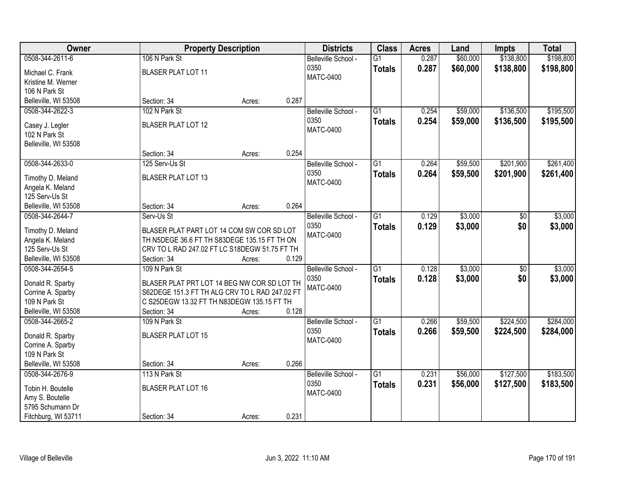| Owner                |                                                | <b>Property Description</b> |       | <b>Districts</b>    | <b>Class</b>    | <b>Acres</b> | Land     | <b>Impts</b>    | <b>Total</b> |
|----------------------|------------------------------------------------|-----------------------------|-------|---------------------|-----------------|--------------|----------|-----------------|--------------|
| 0508-344-2611-6      | 106 N Park St                                  |                             |       | Belleville School - | $\overline{G1}$ | 0.287        | \$60,000 | \$138,800       | \$198,800    |
| Michael C. Frank     | <b>BLASER PLAT LOT 11</b>                      |                             |       | 0350                | <b>Totals</b>   | 0.287        | \$60,000 | \$138,800       | \$198,800    |
| Kristine M. Werner   |                                                |                             |       | <b>MATC-0400</b>    |                 |              |          |                 |              |
| 106 N Park St        |                                                |                             |       |                     |                 |              |          |                 |              |
| Belleville, WI 53508 | Section: 34                                    | Acres:                      | 0.287 |                     |                 |              |          |                 |              |
| 0508-344-2622-3      | 102 N Park St                                  |                             |       | Belleville School - | $\overline{G1}$ | 0.254        | \$59,000 | \$136,500       | \$195,500    |
|                      |                                                |                             |       | 0350                | <b>Totals</b>   | 0.254        | \$59,000 | \$136,500       | \$195,500    |
| Casey J. Legler      | <b>BLASER PLAT LOT 12</b>                      |                             |       | <b>MATC-0400</b>    |                 |              |          |                 |              |
| 102 N Park St        |                                                |                             |       |                     |                 |              |          |                 |              |
| Belleville, WI 53508 |                                                |                             |       |                     |                 |              |          |                 |              |
|                      | Section: 34                                    | Acres:                      | 0.254 |                     |                 |              |          |                 |              |
| 0508-344-2633-0      | 125 Serv-Us St                                 |                             |       | Belleville School - | $\overline{G1}$ | 0.264        | \$59,500 | \$201,900       | \$261,400    |
| Timothy D. Meland    | <b>BLASER PLAT LOT 13</b>                      |                             |       | 0350                | <b>Totals</b>   | 0.264        | \$59,500 | \$201,900       | \$261,400    |
| Angela K. Meland     |                                                |                             |       | <b>MATC-0400</b>    |                 |              |          |                 |              |
| 125 Serv-Us St       |                                                |                             |       |                     |                 |              |          |                 |              |
| Belleville, WI 53508 | Section: 34                                    | Acres:                      | 0.264 |                     |                 |              |          |                 |              |
| 0508-344-2644-7      | Serv-Us St                                     |                             |       | Belleville School - | $\overline{G1}$ | 0.129        | \$3,000  | \$0             | \$3,000      |
|                      |                                                |                             |       | 0350                | <b>Totals</b>   | 0.129        | \$3,000  | \$0             | \$3,000      |
| Timothy D. Meland    | BLASER PLAT PART LOT 14 COM SW COR SD LOT      |                             |       | <b>MATC-0400</b>    |                 |              |          |                 |              |
| Angela K. Meland     | TH N5DEGE 36.6 FT TH S83DEGE 135.15 FT TH ON   |                             |       |                     |                 |              |          |                 |              |
| 125 Serv-Us St       | CRV TO L RAD 247.02 FT LC S18DEGW 51.75 FT TH  |                             |       |                     |                 |              |          |                 |              |
| Belleville, WI 53508 | Section: 34<br>109 N Park St                   | Acres:                      | 0.129 |                     | $\overline{G1}$ |              |          |                 |              |
| 0508-344-2654-5      |                                                |                             |       | Belleville School - |                 | 0.128        | \$3,000  | $\overline{50}$ | \$3,000      |
| Donald R. Sparby     | BLASER PLAT PRT LOT 14 BEG NW COR SD LOT TH    |                             |       | 0350                | <b>Totals</b>   | 0.128        | \$3,000  | \$0             | \$3,000      |
| Corrine A. Sparby    | S62DEGE 151.3 FT TH ALG CRV TO L RAD 247.02 FT |                             |       | MATC-0400           |                 |              |          |                 |              |
| 109 N Park St        | C S25DEGW 13.32 FT TH N83DEGW 135.15 FT TH     |                             |       |                     |                 |              |          |                 |              |
| Belleville, WI 53508 | Section: 34                                    | Acres:                      | 0.128 |                     |                 |              |          |                 |              |
| 0508-344-2665-2      | 109 N Park St                                  |                             |       | Belleville School - | $\overline{G1}$ | 0.266        | \$59,500 | \$224,500       | \$284,000    |
| Donald R. Sparby     | <b>BLASER PLAT LOT 15</b>                      |                             |       | 0350                | <b>Totals</b>   | 0.266        | \$59,500 | \$224,500       | \$284,000    |
| Corrine A. Sparby    |                                                |                             |       | <b>MATC-0400</b>    |                 |              |          |                 |              |
| 109 N Park St        |                                                |                             |       |                     |                 |              |          |                 |              |
| Belleville, WI 53508 | Section: 34                                    | Acres:                      | 0.266 |                     |                 |              |          |                 |              |
| 0508-344-2676-9      | 113 N Park St                                  |                             |       | Belleville School - | $\overline{G1}$ | 0.231        | \$56,000 | \$127,500       | \$183,500    |
|                      |                                                |                             |       | 0350                |                 | 0.231        | \$56,000 | \$127,500       | \$183,500    |
| Tobin H. Boutelle    | <b>BLASER PLAT LOT 16</b>                      |                             |       | <b>MATC-0400</b>    | <b>Totals</b>   |              |          |                 |              |
| Amy S. Boutelle      |                                                |                             |       |                     |                 |              |          |                 |              |
| 5795 Schumann Dr     |                                                |                             |       |                     |                 |              |          |                 |              |
| Fitchburg, WI 53711  | Section: 34                                    | Acres:                      | 0.231 |                     |                 |              |          |                 |              |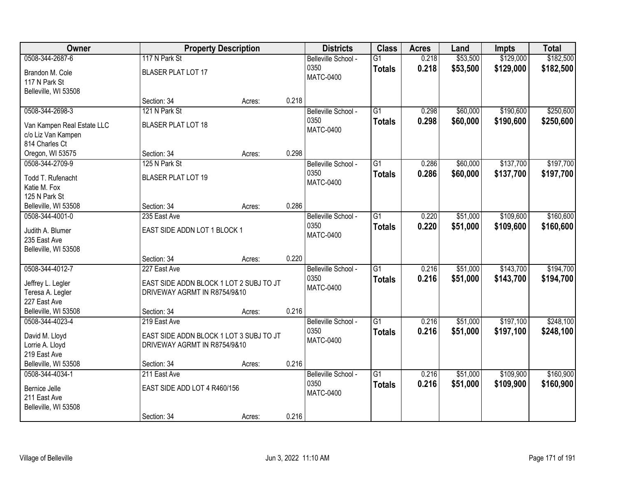| <b>Owner</b>               |                                         | <b>Property Description</b> |       | <b>Districts</b>    | <b>Class</b>    | <b>Acres</b> | Land     | <b>Impts</b> | <b>Total</b> |
|----------------------------|-----------------------------------------|-----------------------------|-------|---------------------|-----------------|--------------|----------|--------------|--------------|
| 0508-344-2687-6            | 117 N Park St                           |                             |       | Belleville School - | $\overline{G1}$ | 0.218        | \$53,500 | \$129,000    | \$182,500    |
| Brandon M. Cole            | <b>BLASER PLAT LOT 17</b>               |                             |       | 0350                | <b>Totals</b>   | 0.218        | \$53,500 | \$129,000    | \$182,500    |
| 117 N Park St              |                                         |                             |       | <b>MATC-0400</b>    |                 |              |          |              |              |
| Belleville, WI 53508       |                                         |                             |       |                     |                 |              |          |              |              |
|                            | Section: 34                             | Acres:                      | 0.218 |                     |                 |              |          |              |              |
| 0508-344-2698-3            | 121 N Park St                           |                             |       | Belleville School - | $\overline{G1}$ | 0.298        | \$60,000 | \$190,600    | \$250,600    |
| Van Kampen Real Estate LLC | <b>BLASER PLAT LOT 18</b>               |                             |       | 0350                | <b>Totals</b>   | 0.298        | \$60,000 | \$190,600    | \$250,600    |
| c/o Liz Van Kampen         |                                         |                             |       | <b>MATC-0400</b>    |                 |              |          |              |              |
| 814 Charles Ct             |                                         |                             |       |                     |                 |              |          |              |              |
| Oregon, WI 53575           | Section: 34                             | Acres:                      | 0.298 |                     |                 |              |          |              |              |
| 0508-344-2709-9            | 125 N Park St                           |                             |       | Belleville School - | G1              | 0.286        | \$60,000 | \$137,700    | \$197,700    |
| Todd T. Rufenacht          | <b>BLASER PLAT LOT 19</b>               |                             |       | 0350                | <b>Totals</b>   | 0.286        | \$60,000 | \$137,700    | \$197,700    |
| Katie M. Fox               |                                         |                             |       | <b>MATC-0400</b>    |                 |              |          |              |              |
| 125 N Park St              |                                         |                             |       |                     |                 |              |          |              |              |
| Belleville, WI 53508       | Section: 34                             | Acres:                      | 0.286 |                     |                 |              |          |              |              |
| 0508-344-4001-0            | 235 East Ave                            |                             |       | Belleville School - | G1              | 0.220        | \$51,000 | \$109,600    | \$160,600    |
| Judith A. Blumer           | EAST SIDE ADDN LOT 1 BLOCK 1            |                             |       | 0350                | <b>Totals</b>   | 0.220        | \$51,000 | \$109,600    | \$160,600    |
| 235 East Ave               |                                         |                             |       | <b>MATC-0400</b>    |                 |              |          |              |              |
| Belleville, WI 53508       |                                         |                             |       |                     |                 |              |          |              |              |
|                            | Section: 34                             | Acres:                      | 0.220 |                     |                 |              |          |              |              |
| 0508-344-4012-7            | 227 East Ave                            |                             |       | Belleville School - | $\overline{G1}$ | 0.216        | \$51,000 | \$143,700    | \$194,700    |
| Jeffrey L. Legler          | EAST SIDE ADDN BLOCK 1 LOT 2 SUBJ TO JT |                             |       | 0350                | <b>Totals</b>   | 0.216        | \$51,000 | \$143,700    | \$194,700    |
| Teresa A. Legler           | DRIVEWAY AGRMT IN R8754/9&10            |                             |       | <b>MATC-0400</b>    |                 |              |          |              |              |
| 227 East Ave               |                                         |                             |       |                     |                 |              |          |              |              |
| Belleville, WI 53508       | Section: 34                             | Acres:                      | 0.216 |                     |                 |              |          |              |              |
| 0508-344-4023-4            | 219 East Ave                            |                             |       | Belleville School - | $\overline{G1}$ | 0.216        | \$51,000 | \$197,100    | \$248,100    |
| David M. Lloyd             | EAST SIDE ADDN BLOCK 1 LOT 3 SUBJ TO JT |                             |       | 0350                | <b>Totals</b>   | 0.216        | \$51,000 | \$197,100    | \$248,100    |
| Lorrie A. Lloyd            | DRIVEWAY AGRMT IN R8754/9&10            |                             |       | <b>MATC-0400</b>    |                 |              |          |              |              |
| 219 East Ave               |                                         |                             |       |                     |                 |              |          |              |              |
| Belleville, WI 53508       | Section: 34                             | Acres:                      | 0.216 |                     |                 |              |          |              |              |
| 0508-344-4034-1            | 211 East Ave                            |                             |       | Belleville School - | $\overline{G1}$ | 0.216        | \$51,000 | \$109,900    | \$160,900    |
| Bernice Jelle              | EAST SIDE ADD LOT 4 R460/156            |                             |       | 0350                | <b>Totals</b>   | 0.216        | \$51,000 | \$109,900    | \$160,900    |
| 211 East Ave               |                                         |                             |       | <b>MATC-0400</b>    |                 |              |          |              |              |
| Belleville, WI 53508       |                                         |                             |       |                     |                 |              |          |              |              |
|                            | Section: 34                             | Acres:                      | 0.216 |                     |                 |              |          |              |              |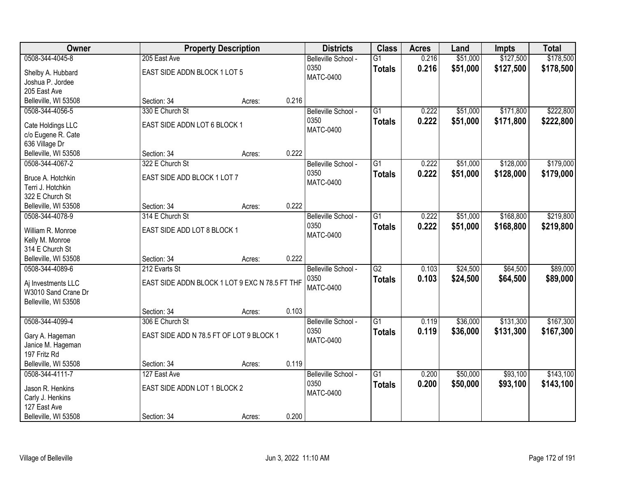| Owner                                  |                                                | <b>Property Description</b> |       | <b>Districts</b>         | <b>Class</b>    | <b>Acres</b> | Land     | <b>Impts</b> | <b>Total</b> |
|----------------------------------------|------------------------------------------------|-----------------------------|-------|--------------------------|-----------------|--------------|----------|--------------|--------------|
| 0508-344-4045-8                        | 205 East Ave                                   |                             |       | Belleville School -      | $\overline{G1}$ | 0.216        | \$51,000 | \$127,500    | \$178,500    |
| Shelby A. Hubbard                      | EAST SIDE ADDN BLOCK 1 LOT 5                   |                             |       | 0350                     | <b>Totals</b>   | 0.216        | \$51,000 | \$127,500    | \$178,500    |
| Joshua P. Jordee                       |                                                |                             |       | <b>MATC-0400</b>         |                 |              |          |              |              |
| 205 East Ave                           |                                                |                             |       |                          |                 |              |          |              |              |
| Belleville, WI 53508                   | Section: 34                                    | Acres:                      | 0.216 |                          |                 |              |          |              |              |
| 0508-344-4056-5                        | 330 E Church St                                |                             |       | Belleville School -      | $\overline{G1}$ | 0.222        | \$51,000 | \$171,800    | \$222,800    |
|                                        |                                                |                             |       | 0350                     | <b>Totals</b>   | 0.222        | \$51,000 | \$171,800    | \$222,800    |
| Cate Holdings LLC                      | EAST SIDE ADDN LOT 6 BLOCK 1                   |                             |       | <b>MATC-0400</b>         |                 |              |          |              |              |
| c/o Eugene R. Cate                     |                                                |                             |       |                          |                 |              |          |              |              |
| 636 Village Dr<br>Belleville, WI 53508 | Section: 34                                    |                             | 0.222 |                          |                 |              |          |              |              |
|                                        |                                                | Acres:                      |       |                          |                 | 0.222        |          | \$128,000    |              |
| 0508-344-4067-2                        | 322 E Church St                                |                             |       | Belleville School -      | $\overline{G1}$ |              | \$51,000 |              | \$179,000    |
| Bruce A. Hotchkin                      | EAST SIDE ADD BLOCK 1 LOT 7                    |                             |       | 0350<br><b>MATC-0400</b> | <b>Totals</b>   | 0.222        | \$51,000 | \$128,000    | \$179,000    |
| Terri J. Hotchkin                      |                                                |                             |       |                          |                 |              |          |              |              |
| 322 E Church St                        |                                                |                             |       |                          |                 |              |          |              |              |
| Belleville, WI 53508                   | Section: 34                                    | Acres:                      | 0.222 |                          |                 |              |          |              |              |
| 0508-344-4078-9                        | 314 E Church St                                |                             |       | Belleville School -      | $\overline{G1}$ | 0.222        | \$51,000 | \$168,800    | \$219,800    |
| William R. Monroe                      | EAST SIDE ADD LOT 8 BLOCK 1                    |                             |       | 0350                     | <b>Totals</b>   | 0.222        | \$51,000 | \$168,800    | \$219,800    |
| Kelly M. Monroe                        |                                                |                             |       | <b>MATC-0400</b>         |                 |              |          |              |              |
| 314 E Church St                        |                                                |                             |       |                          |                 |              |          |              |              |
| Belleville, WI 53508                   | Section: 34                                    | Acres:                      | 0.222 |                          |                 |              |          |              |              |
| 0508-344-4089-6                        | 212 Evarts St                                  |                             |       | Belleville School -      | $\overline{G2}$ | 0.103        | \$24,500 | \$64,500     | \$89,000     |
|                                        |                                                |                             |       | 0350                     |                 | 0.103        | \$24,500 | \$64,500     | \$89,000     |
| Aj Investments LLC                     | EAST SIDE ADDN BLOCK 1 LOT 9 EXC N 78.5 FT THF |                             |       | <b>MATC-0400</b>         | <b>Totals</b>   |              |          |              |              |
| W3010 Sand Crane Dr                    |                                                |                             |       |                          |                 |              |          |              |              |
| Belleville, WI 53508                   |                                                |                             |       |                          |                 |              |          |              |              |
|                                        | Section: 34                                    | Acres:                      | 0.103 |                          |                 |              |          |              |              |
| 0508-344-4099-4                        | 306 E Church St                                |                             |       | Belleville School -      | $\overline{G1}$ | 0.119        | \$36,000 | \$131,300    | \$167,300    |
| Gary A. Hageman                        | EAST SIDE ADD N 78.5 FT OF LOT 9 BLOCK 1       |                             |       | 0350                     | <b>Totals</b>   | 0.119        | \$36,000 | \$131,300    | \$167,300    |
| Janice M. Hageman                      |                                                |                             |       | MATC-0400                |                 |              |          |              |              |
| 197 Fritz Rd                           |                                                |                             |       |                          |                 |              |          |              |              |
| Belleville, WI 53508                   | Section: 34                                    | Acres:                      | 0.119 |                          |                 |              |          |              |              |
| 0508-344-4111-7                        | 127 East Ave                                   |                             |       | Belleville School -      | $\overline{G1}$ | 0.200        | \$50,000 | \$93,100     | \$143,100    |
|                                        |                                                |                             |       | 0350                     | <b>Totals</b>   | 0.200        | \$50,000 | \$93,100     | \$143,100    |
| Jason R. Henkins                       | EAST SIDE ADDN LOT 1 BLOCK 2                   |                             |       | <b>MATC-0400</b>         |                 |              |          |              |              |
| Carly J. Henkins                       |                                                |                             |       |                          |                 |              |          |              |              |
| 127 East Ave                           |                                                |                             |       |                          |                 |              |          |              |              |
| Belleville, WI 53508                   | Section: 34                                    | Acres:                      | 0.200 |                          |                 |              |          |              |              |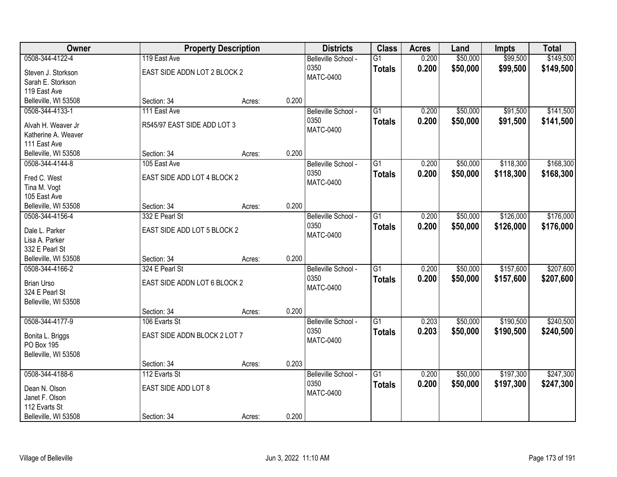| <b>Owner</b>                     |                              | <b>Property Description</b> |       | <b>Districts</b>            | <b>Class</b>    | <b>Acres</b> | Land     | <b>Impts</b> | <b>Total</b> |
|----------------------------------|------------------------------|-----------------------------|-------|-----------------------------|-----------------|--------------|----------|--------------|--------------|
| 0508-344-4122-4                  | 119 East Ave                 |                             |       | Belleville School -         | $\overline{G1}$ | 0.200        | \$50,000 | \$99,500     | \$149,500    |
| Steven J. Storkson               | EAST SIDE ADDN LOT 2 BLOCK 2 |                             |       | 0350                        | <b>Totals</b>   | 0.200        | \$50,000 | \$99,500     | \$149,500    |
| Sarah E. Storkson                |                              |                             |       | <b>MATC-0400</b>            |                 |              |          |              |              |
| 119 East Ave                     |                              |                             |       |                             |                 |              |          |              |              |
| Belleville, WI 53508             | Section: 34                  | Acres:                      | 0.200 |                             |                 |              |          |              |              |
| 0508-344-4133-1                  | 111 East Ave                 |                             |       | Belleville School -         | $\overline{G1}$ | 0.200        | \$50,000 | \$91,500     | \$141,500    |
| Alvah H. Weaver Jr               | R545/97 EAST SIDE ADD LOT 3  |                             |       | 0350                        | <b>Totals</b>   | 0.200        | \$50,000 | \$91,500     | \$141,500    |
| Katherine A. Weaver              |                              |                             |       | <b>MATC-0400</b>            |                 |              |          |              |              |
| 111 East Ave                     |                              |                             |       |                             |                 |              |          |              |              |
| Belleville, WI 53508             | Section: 34                  | Acres:                      | 0.200 |                             |                 |              |          |              |              |
| 0508-344-4144-8                  | 105 East Ave                 |                             |       | Belleville School -         | $\overline{G1}$ | 0.200        | \$50,000 | \$118,300    | \$168,300    |
| Fred C. West                     | EAST SIDE ADD LOT 4 BLOCK 2  |                             |       | 0350                        | <b>Totals</b>   | 0.200        | \$50,000 | \$118,300    | \$168,300    |
| Tina M. Vogt                     |                              |                             |       | <b>MATC-0400</b>            |                 |              |          |              |              |
| 105 East Ave                     |                              |                             |       |                             |                 |              |          |              |              |
| Belleville, WI 53508             | Section: 34                  | Acres:                      | 0.200 |                             |                 |              |          |              |              |
| 0508-344-4156-4                  | 332 E Pearl St               |                             |       | Belleville School -         | $\overline{G1}$ | 0.200        | \$50,000 | \$126,000    | \$176,000    |
|                                  |                              |                             |       | 0350                        | <b>Totals</b>   | 0.200        | \$50,000 | \$126,000    | \$176,000    |
| Dale L. Parker                   | EAST SIDE ADD LOT 5 BLOCK 2  |                             |       | <b>MATC-0400</b>            |                 |              |          |              |              |
| Lisa A. Parker<br>332 E Pearl St |                              |                             |       |                             |                 |              |          |              |              |
| Belleville, WI 53508             | Section: 34                  | Acres:                      | 0.200 |                             |                 |              |          |              |              |
| 0508-344-4166-2                  | 324 E Pearl St               |                             |       | Belleville School -         | $\overline{G1}$ | 0.200        | \$50,000 | \$157,600    | \$207,600    |
|                                  |                              |                             |       | 0350                        | <b>Totals</b>   | 0.200        | \$50,000 | \$157,600    | \$207,600    |
| <b>Brian Urso</b>                | EAST SIDE ADDN LOT 6 BLOCK 2 |                             |       | <b>MATC-0400</b>            |                 |              |          |              |              |
| 324 E Pearl St                   |                              |                             |       |                             |                 |              |          |              |              |
| Belleville, WI 53508             | Section: 34                  |                             | 0.200 |                             |                 |              |          |              |              |
| 0508-344-4177-9                  | 106 Evarts St                | Acres:                      |       | Belleville School -         | $\overline{G1}$ | 0.203        | \$50,000 | \$190,500    | \$240,500    |
|                                  |                              |                             |       | 0350                        |                 | 0.203        | \$50,000 | \$190,500    | \$240,500    |
| Bonita L. Briggs                 | EAST SIDE ADDN BLOCK 2 LOT 7 |                             |       | <b>MATC-0400</b>            | <b>Totals</b>   |              |          |              |              |
| PO Box 195                       |                              |                             |       |                             |                 |              |          |              |              |
| Belleville, WI 53508             |                              |                             |       |                             |                 |              |          |              |              |
|                                  | Section: 34                  | Acres:                      | 0.203 |                             |                 |              |          |              |              |
| 0508-344-4188-6                  | 112 Evarts St                |                             |       | Belleville School -<br>0350 | $\overline{G1}$ | 0.200        | \$50,000 | \$197,300    | \$247,300    |
| Dean N. Olson                    | EAST SIDE ADD LOT 8          |                             |       | <b>MATC-0400</b>            | <b>Totals</b>   | 0.200        | \$50,000 | \$197,300    | \$247,300    |
| Janet F. Olson                   |                              |                             |       |                             |                 |              |          |              |              |
| 112 Evarts St                    |                              |                             |       |                             |                 |              |          |              |              |
| Belleville, WI 53508             | Section: 34                  | Acres:                      | 0.200 |                             |                 |              |          |              |              |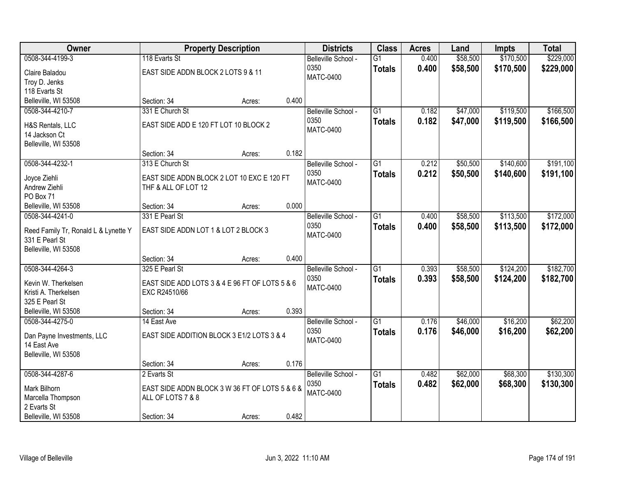| Owner                                |                                                | <b>Property Description</b> |       | <b>Districts</b>    | <b>Class</b>    | <b>Acres</b> | Land     | <b>Impts</b> | <b>Total</b> |
|--------------------------------------|------------------------------------------------|-----------------------------|-------|---------------------|-----------------|--------------|----------|--------------|--------------|
| 0508-344-4199-3                      | 118 Evarts St                                  |                             |       | Belleville School - | $\overline{G1}$ | 0.400        | \$58,500 | \$170,500    | \$229,000    |
| Claire Baladou                       | EAST SIDE ADDN BLOCK 2 LOTS 9 & 11             |                             |       | 0350                | <b>Totals</b>   | 0.400        | \$58,500 | \$170,500    | \$229,000    |
| Troy D. Jenks                        |                                                |                             |       | <b>MATC-0400</b>    |                 |              |          |              |              |
| 118 Evarts St                        |                                                |                             |       |                     |                 |              |          |              |              |
| Belleville, WI 53508                 | Section: 34                                    | Acres:                      | 0.400 |                     |                 |              |          |              |              |
| 0508-344-4210-7                      | 331 E Church St                                |                             |       | Belleville School - | $\overline{G1}$ | 0.182        | \$47,000 | \$119,500    | \$166,500    |
| H&S Rentals, LLC                     | EAST SIDE ADD E 120 FT LOT 10 BLOCK 2          |                             |       | 0350                | <b>Totals</b>   | 0.182        | \$47,000 | \$119,500    | \$166,500    |
| 14 Jackson Ct                        |                                                |                             |       | <b>MATC-0400</b>    |                 |              |          |              |              |
| Belleville, WI 53508                 |                                                |                             |       |                     |                 |              |          |              |              |
|                                      | Section: 34                                    | Acres:                      | 0.182 |                     |                 |              |          |              |              |
| 0508-344-4232-1                      | 313 E Church St                                |                             |       | Belleville School - | G1              | 0.212        | \$50,500 | \$140,600    | \$191,100    |
|                                      |                                                |                             |       | 0350                | <b>Totals</b>   | 0.212        | \$50,500 | \$140,600    | \$191,100    |
| Joyce Ziehli                         | EAST SIDE ADDN BLOCK 2 LOT 10 EXC E 120 FT     |                             |       | <b>MATC-0400</b>    |                 |              |          |              |              |
| Andrew Ziehli<br>PO Box 71           | THF & ALL OF LOT 12                            |                             |       |                     |                 |              |          |              |              |
| Belleville, WI 53508                 | Section: 34                                    | Acres:                      | 0.000 |                     |                 |              |          |              |              |
| 0508-344-4241-0                      | 331 E Pearl St                                 |                             |       | Belleville School - | G1              | 0.400        | \$58,500 | \$113,500    | \$172,000    |
|                                      |                                                |                             |       | 0350                | <b>Totals</b>   | 0.400        | \$58,500 | \$113,500    | \$172,000    |
| Reed Family Tr, Ronald L & Lynette Y | EAST SIDE ADDN LOT 1 & LOT 2 BLOCK 3           |                             |       | <b>MATC-0400</b>    |                 |              |          |              |              |
| 331 E Pearl St                       |                                                |                             |       |                     |                 |              |          |              |              |
| Belleville, WI 53508                 |                                                |                             |       |                     |                 |              |          |              |              |
|                                      | Section: 34                                    | Acres:                      | 0.400 |                     |                 |              |          |              |              |
| 0508-344-4264-3                      | 325 E Pearl St                                 |                             |       | Belleville School - | $\overline{G1}$ | 0.393        | \$58,500 | \$124,200    | \$182,700    |
| Kevin W. Therkelsen                  | EAST SIDE ADD LOTS 3 & 4 E 96 FT OF LOTS 5 & 6 |                             |       | 0350                | <b>Totals</b>   | 0.393        | \$58,500 | \$124,200    | \$182,700    |
| Kristi A. Therkelsen                 | EXC R24510/66                                  |                             |       | <b>MATC-0400</b>    |                 |              |          |              |              |
| 325 E Pearl St                       |                                                |                             |       |                     |                 |              |          |              |              |
| Belleville, WI 53508                 | Section: 34                                    | Acres:                      | 0.393 |                     |                 |              |          |              |              |
| 0508-344-4275-0                      | 14 East Ave                                    |                             |       | Belleville School - | $\overline{G1}$ | 0.176        | \$46,000 | \$16,200     | \$62,200     |
| Dan Payne Investments, LLC           | EAST SIDE ADDITION BLOCK 3 E1/2 LOTS 3 & 4     |                             |       | 0350                | <b>Totals</b>   | 0.176        | \$46,000 | \$16,200     | \$62,200     |
| 14 East Ave                          |                                                |                             |       | <b>MATC-0400</b>    |                 |              |          |              |              |
| Belleville, WI 53508                 |                                                |                             |       |                     |                 |              |          |              |              |
|                                      | Section: 34                                    | Acres:                      | 0.176 |                     |                 |              |          |              |              |
| 0508-344-4287-6                      | 2 Evarts St                                    |                             |       | Belleville School - | $\overline{G1}$ | 0.482        | \$62,000 | \$68,300     | \$130,300    |
|                                      |                                                |                             |       | 0350                | <b>Totals</b>   | 0.482        | \$62,000 | \$68,300     | \$130,300    |
| Mark Bilhorn                         | EAST SIDE ADDN BLOCK 3 W 36 FT OF LOTS 5 & 6 & |                             |       | <b>MATC-0400</b>    |                 |              |          |              |              |
| Marcella Thompson                    | ALL OF LOTS 7 & 8                              |                             |       |                     |                 |              |          |              |              |
| 2 Evarts St                          |                                                |                             |       |                     |                 |              |          |              |              |
| Belleville, WI 53508                 | Section: 34                                    | Acres:                      | 0.482 |                     |                 |              |          |              |              |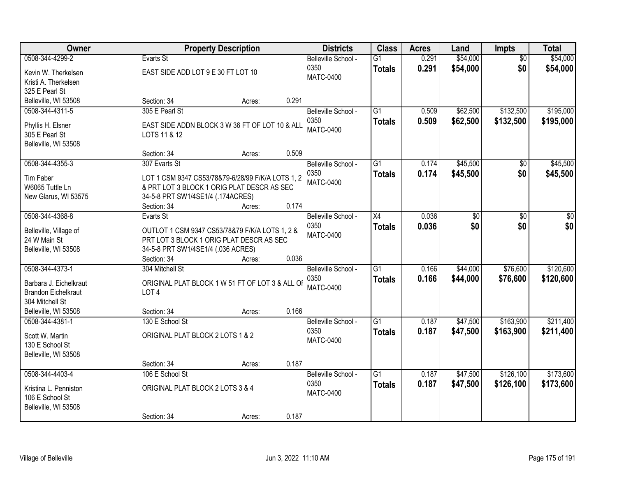| Owner                                                                               |                                                                                                                                                                      | <b>Property Description</b> |       | <b>Districts</b>                                | <b>Class</b>                     | <b>Acres</b>   | Land                 | Impts                  | <b>Total</b>           |
|-------------------------------------------------------------------------------------|----------------------------------------------------------------------------------------------------------------------------------------------------------------------|-----------------------------|-------|-------------------------------------------------|----------------------------------|----------------|----------------------|------------------------|------------------------|
| 0508-344-4299-2<br>Kevin W. Therkelsen<br>Kristi A. Therkelsen                      | Evarts St<br>EAST SIDE ADD LOT 9 E 30 FT LOT 10                                                                                                                      |                             |       | Belleville School -<br>0350<br><b>MATC-0400</b> | $\overline{G1}$<br><b>Totals</b> | 0.291<br>0.291 | \$54,000<br>\$54,000 | $\overline{50}$<br>\$0 | \$54,000<br>\$54,000   |
| 325 E Pearl St<br>Belleville, WI 53508                                              | Section: 34                                                                                                                                                          | Acres:                      | 0.291 |                                                 |                                  |                |                      |                        |                        |
| 0508-344-4311-5<br>Phyllis H. Elsner<br>305 E Pearl St<br>Belleville, WI 53508      | 305 E Pearl St<br>EAST SIDE ADDN BLOCK 3 W 36 FT OF LOT 10 & ALL<br>LOTS 11 & 12                                                                                     |                             |       | Belleville School -<br>0350<br><b>MATC-0400</b> | $\overline{G1}$<br><b>Totals</b> | 0.509<br>0.509 | \$62,500<br>\$62,500 | \$132,500<br>\$132,500 | \$195,000<br>\$195,000 |
|                                                                                     | Section: 34                                                                                                                                                          | Acres:                      | 0.509 |                                                 |                                  |                |                      |                        |                        |
| 0508-344-4355-3<br>Tim Faber<br>W6065 Tuttle Ln<br>New Glarus, WI 53575             | 307 Evarts St<br>LOT 1 CSM 9347 CS53/78&79-6/28/99 F/K/A LOTS 1, 2<br>& PRT LOT 3 BLOCK 1 ORIG PLAT DESCR AS SEC<br>34-5-8 PRT SW1/4SE1/4 (.174ACRES)<br>Section: 34 | Acres:                      | 0.174 | Belleville School -<br>0350<br><b>MATC-0400</b> | $\overline{G1}$<br><b>Totals</b> | 0.174<br>0.174 | \$45,500<br>\$45,500 | \$0<br>\$0             | \$45,500<br>\$45,500   |
| 0508-344-4368-8                                                                     | Evarts St                                                                                                                                                            |                             |       | Belleville School -                             | $\overline{X4}$                  | 0.036          | \$0                  | $\overline{50}$        | \$0                    |
| Belleville, Village of<br>24 W Main St<br>Belleville, WI 53508                      | OUTLOT 1 CSM 9347 CS53/78&79 F/K/A LOTS 1, 2 &<br>PRT LOT 3 BLOCK 1 ORIG PLAT DESCR AS SEC<br>34-5-8 PRT SW1/4SE1/4 (.036 ACRES)                                     |                             |       | 0350<br><b>MATC-0400</b>                        | <b>Totals</b>                    | 0.036          | \$0                  | \$0                    | \$0                    |
| 0508-344-4373-1                                                                     | Section: 34<br>304 Mitchell St                                                                                                                                       | Acres:                      | 0.036 |                                                 | $\overline{G1}$                  | 0.166          | \$44,000             | \$76,600               | \$120,600              |
| Barbara J. Eichelkraut<br><b>Brandon Eichelkraut</b><br>304 Mitchell St             | ORIGINAL PLAT BLOCK 1 W 51 FT OF LOT 3 & ALL OF<br>LOT <sub>4</sub>                                                                                                  |                             |       | Belleville School -<br>0350<br><b>MATC-0400</b> | <b>Totals</b>                    | 0.166          | \$44,000             | \$76,600               | \$120,600              |
| Belleville, WI 53508<br>0508-344-4381-1                                             | Section: 34<br>130 E School St                                                                                                                                       | Acres:                      | 0.166 | Belleville School -                             | $\overline{G1}$                  | 0.187          | \$47,500             | \$163,900              | \$211,400              |
| Scott W. Martin<br>130 E School St<br>Belleville, WI 53508                          | ORIGINAL PLAT BLOCK 2 LOTS 1 & 2                                                                                                                                     |                             |       | 0350<br><b>MATC-0400</b>                        | <b>Totals</b>                    | 0.187          | \$47,500             | \$163,900              | \$211,400              |
|                                                                                     | Section: 34                                                                                                                                                          | Acres:                      | 0.187 |                                                 |                                  |                |                      |                        |                        |
| 0508-344-4403-4<br>Kristina L. Penniston<br>106 E School St<br>Belleville, WI 53508 | 106 E School St<br>ORIGINAL PLAT BLOCK 2 LOTS 3 & 4<br>Section: 34                                                                                                   | Acres:                      | 0.187 | Belleville School -<br>0350<br><b>MATC-0400</b> | $\overline{G1}$<br><b>Totals</b> | 0.187<br>0.187 | \$47,500<br>\$47,500 | \$126,100<br>\$126,100 | \$173,600<br>\$173,600 |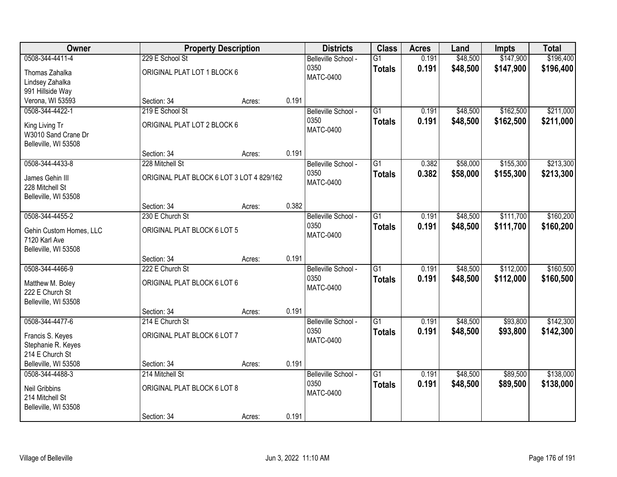| Owner                   |                                           | <b>Property Description</b> |       | <b>Districts</b>         | <b>Class</b>    | <b>Acres</b> | Land     | Impts     | <b>Total</b> |
|-------------------------|-------------------------------------------|-----------------------------|-------|--------------------------|-----------------|--------------|----------|-----------|--------------|
| 0508-344-4411-4         | 229 E School St                           |                             |       | Belleville School -      | $\overline{G1}$ | 0.191        | \$48,500 | \$147,900 | \$196,400    |
| Thomas Zahalka          | ORIGINAL PLAT LOT 1 BLOCK 6               |                             |       | 0350                     | <b>Totals</b>   | 0.191        | \$48,500 | \$147,900 | \$196,400    |
| Lindsey Zahalka         |                                           |                             |       | <b>MATC-0400</b>         |                 |              |          |           |              |
| 991 Hillside Way        |                                           |                             |       |                          |                 |              |          |           |              |
| Verona, WI 53593        | Section: 34                               | Acres:                      | 0.191 |                          |                 |              |          |           |              |
| 0508-344-4422-1         | 219 E School St                           |                             |       | Belleville School -      | $\overline{G1}$ | 0.191        | \$48,500 | \$162,500 | \$211,000    |
| King Living Tr          | ORIGINAL PLAT LOT 2 BLOCK 6               |                             |       | 0350                     | <b>Totals</b>   | 0.191        | \$48,500 | \$162,500 | \$211,000    |
| W3010 Sand Crane Dr     |                                           |                             |       | <b>MATC-0400</b>         |                 |              |          |           |              |
| Belleville, WI 53508    |                                           |                             |       |                          |                 |              |          |           |              |
|                         | Section: 34                               | Acres:                      | 0.191 |                          |                 |              |          |           |              |
| 0508-344-4433-8         | 228 Mitchell St                           |                             |       | Belleville School -      | $\overline{G1}$ | 0.382        | \$58,000 | \$155,300 | \$213,300    |
| James Gehin III         | ORIGINAL PLAT BLOCK 6 LOT 3 LOT 4 829/162 |                             |       | 0350                     | <b>Totals</b>   | 0.382        | \$58,000 | \$155,300 | \$213,300    |
| 228 Mitchell St         |                                           |                             |       | <b>MATC-0400</b>         |                 |              |          |           |              |
| Belleville, WI 53508    |                                           |                             |       |                          |                 |              |          |           |              |
|                         | Section: 34                               | Acres:                      | 0.382 |                          |                 |              |          |           |              |
| 0508-344-4455-2         | 230 E Church St                           |                             |       | Belleville School -      | $\overline{G1}$ | 0.191        | \$48,500 | \$111,700 | \$160,200    |
| Gehin Custom Homes, LLC | ORIGINAL PLAT BLOCK 6 LOT 5               |                             |       | 0350                     | <b>Totals</b>   | 0.191        | \$48,500 | \$111,700 | \$160,200    |
| 7120 Karl Ave           |                                           |                             |       | <b>MATC-0400</b>         |                 |              |          |           |              |
| Belleville, WI 53508    |                                           |                             |       |                          |                 |              |          |           |              |
|                         | Section: 34                               | Acres:                      | 0.191 |                          |                 |              |          |           |              |
| 0508-344-4466-9         | 222 E Church St                           |                             |       | Belleville School -      | $\overline{G1}$ | 0.191        | \$48,500 | \$112,000 | \$160,500    |
| Matthew M. Boley        | ORIGINAL PLAT BLOCK 6 LOT 6               |                             |       | 0350                     | <b>Totals</b>   | 0.191        | \$48,500 | \$112,000 | \$160,500    |
| 222 E Church St         |                                           |                             |       | <b>MATC-0400</b>         |                 |              |          |           |              |
| Belleville, WI 53508    |                                           |                             |       |                          |                 |              |          |           |              |
|                         | Section: 34                               | Acres:                      | 0.191 |                          |                 |              |          |           |              |
| 0508-344-4477-6         | 214 E Church St                           |                             |       | Belleville School -      | $\overline{G1}$ | 0.191        | \$48,500 | \$93,800  | \$142,300    |
| Francis S. Keyes        | ORIGINAL PLAT BLOCK 6 LOT 7               |                             |       | 0350<br><b>MATC-0400</b> | <b>Totals</b>   | 0.191        | \$48,500 | \$93,800  | \$142,300    |
| Stephanie R. Keyes      |                                           |                             |       |                          |                 |              |          |           |              |
| 214 E Church St         |                                           |                             |       |                          |                 |              |          |           |              |
| Belleville, WI 53508    | Section: 34                               | Acres:                      | 0.191 |                          |                 |              |          |           |              |
| 0508-344-4488-3         | 214 Mitchell St                           |                             |       | Belleville School -      | $\overline{G1}$ | 0.191        | \$48,500 | \$89,500  | \$138,000    |
| Neil Gribbins           | ORIGINAL PLAT BLOCK 6 LOT 8               |                             |       | 0350                     | <b>Totals</b>   | 0.191        | \$48,500 | \$89,500  | \$138,000    |
| 214 Mitchell St         |                                           |                             |       | <b>MATC-0400</b>         |                 |              |          |           |              |
| Belleville, WI 53508    |                                           |                             |       |                          |                 |              |          |           |              |
|                         | Section: 34                               | Acres:                      | 0.191 |                          |                 |              |          |           |              |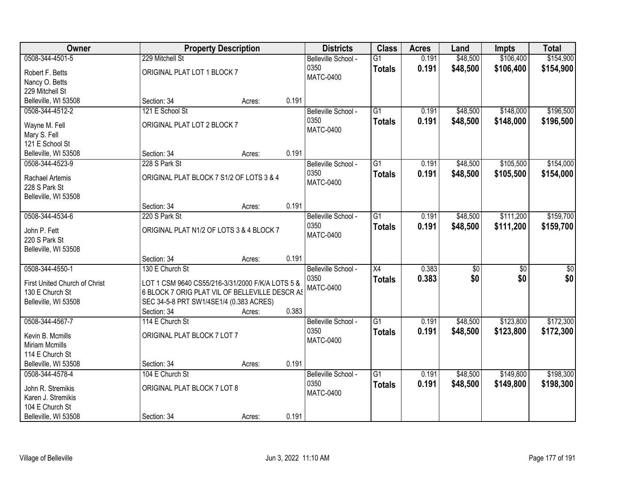| Owner                                                                                                 |                                                                                                                                                                  | <b>Property Description</b> |       | <b>Districts</b>                                | <b>Class</b>                     | <b>Acres</b>   | Land                   | <b>Impts</b>           | <b>Total</b>            |
|-------------------------------------------------------------------------------------------------------|------------------------------------------------------------------------------------------------------------------------------------------------------------------|-----------------------------|-------|-------------------------------------------------|----------------------------------|----------------|------------------------|------------------------|-------------------------|
| 0508-344-4501-5<br>Robert F. Betts<br>Nancy O. Betts                                                  | 229 Mitchell St<br>ORIGINAL PLAT LOT 1 BLOCK 7                                                                                                                   |                             |       | Belleville School -<br>0350<br><b>MATC-0400</b> | $\overline{G1}$<br><b>Totals</b> | 0.191<br>0.191 | \$48,500<br>\$48,500   | \$106,400<br>\$106,400 | \$154,900<br>\$154,900  |
| 229 Mitchell St<br>Belleville, WI 53508                                                               | Section: 34                                                                                                                                                      | Acres:                      | 0.191 |                                                 |                                  |                |                        |                        |                         |
| 0508-344-4512-2<br>Wayne M. Fell<br>Mary S. Fell                                                      | 121 E School St<br>ORIGINAL PLAT LOT 2 BLOCK 7                                                                                                                   |                             |       | Belleville School -<br>0350<br><b>MATC-0400</b> | $\overline{G1}$<br><b>Totals</b> | 0.191<br>0.191 | \$48,500<br>\$48,500   | \$148,000<br>\$148,000 | \$196,500<br>\$196,500  |
| 121 E School St<br>Belleville, WI 53508                                                               | Section: 34                                                                                                                                                      | Acres:                      | 0.191 |                                                 |                                  |                |                        |                        |                         |
| 0508-344-4523-9<br>Rachael Artemis<br>228 S Park St<br>Belleville, WI 53508                           | 228 S Park St<br>ORIGINAL PLAT BLOCK 7 S1/2 OF LOTS 3 & 4                                                                                                        |                             |       | Belleville School -<br>0350<br><b>MATC-0400</b> | $\overline{G1}$<br><b>Totals</b> | 0.191<br>0.191 | \$48,500<br>\$48,500   | \$105,500<br>\$105,500 | \$154,000<br>\$154,000  |
|                                                                                                       | Section: 34                                                                                                                                                      | Acres:                      | 0.191 |                                                 |                                  |                |                        |                        |                         |
| 0508-344-4534-6<br>John P. Fett<br>220 S Park St<br>Belleville, WI 53508                              | 220 S Park St<br>ORIGINAL PLAT N1/2 OF LOTS 3 & 4 BLOCK 7                                                                                                        |                             |       | Belleville School -<br>0350<br><b>MATC-0400</b> | $\overline{G1}$<br><b>Totals</b> | 0.191<br>0.191 | \$48,500<br>\$48,500   | \$111,200<br>\$111,200 | \$159,700<br>\$159,700  |
|                                                                                                       | Section: 34                                                                                                                                                      | Acres:                      | 0.191 |                                                 |                                  |                |                        |                        |                         |
| 0508-344-4550-1<br>First United Church of Christ<br>130 E Church St<br>Belleville, WI 53508           | 130 E Church St<br>LOT 1 CSM 9640 CS55/216-3/31/2000 F/K/A LOTS 5 &<br>6 BLOCK 7 ORIG PLAT VIL OF BELLEVILLE DESCR AS<br>SEC 34-5-8 PRT SW1/4SE1/4 (0.383 ACRES) |                             |       | Belleville School -<br>0350<br><b>MATC-0400</b> | $\overline{X4}$<br><b>Totals</b> | 0.383<br>0.383 | $\overline{50}$<br>\$0 | $\overline{50}$<br>\$0 | $\overline{\$0}$<br>\$0 |
| 0508-344-4567-7                                                                                       | Section: 34<br>114 E Church St                                                                                                                                   | Acres:                      | 0.383 | Belleville School -                             | $\overline{G1}$                  | 0.191          | \$48,500               | \$123,800              | \$172,300               |
| Kevin B. Mcmills<br><b>Miriam Mcmills</b><br>114 E Church St                                          | ORIGINAL PLAT BLOCK 7 LOT 7                                                                                                                                      |                             |       | 0350<br><b>MATC-0400</b>                        | <b>Totals</b>                    | 0.191          | \$48,500               | \$123,800              | \$172,300               |
| Belleville, WI 53508                                                                                  | Section: 34                                                                                                                                                      | Acres:                      | 0.191 |                                                 |                                  |                |                        |                        |                         |
| 0508-344-4578-4<br>John R. Stremikis<br>Karen J. Stremikis<br>104 E Church St<br>Belleville, WI 53508 | 104 E Church St<br>ORIGINAL PLAT BLOCK 7 LOT 8<br>Section: 34                                                                                                    | Acres:                      | 0.191 | Belleville School -<br>0350<br><b>MATC-0400</b> | $\overline{G1}$<br><b>Totals</b> | 0.191<br>0.191 | \$48,500<br>\$48,500   | \$149,800<br>\$149,800 | \$198,300<br>\$198,300  |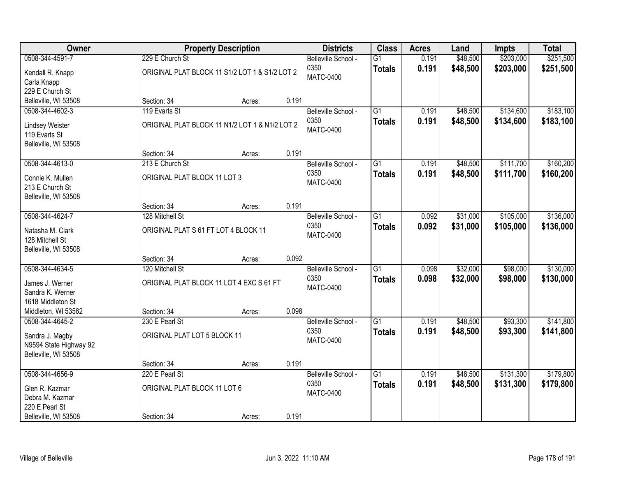| Owner                                   |                                                | <b>Property Description</b> |       | <b>Districts</b>         | <b>Class</b>    | <b>Acres</b> | Land     | <b>Impts</b> | <b>Total</b> |
|-----------------------------------------|------------------------------------------------|-----------------------------|-------|--------------------------|-----------------|--------------|----------|--------------|--------------|
| 0508-344-4591-7                         | 229 E Church St                                |                             |       | Belleville School -      | $\overline{G1}$ | 0.191        | \$48,500 | \$203,000    | \$251,500    |
| Kendall R. Knapp<br>Carla Knapp         | ORIGINAL PLAT BLOCK 11 S1/2 LOT 1 & S1/2 LOT 2 |                             |       | 0350<br>MATC-0400        | <b>Totals</b>   | 0.191        | \$48,500 | \$203,000    | \$251,500    |
| 229 E Church St                         |                                                |                             |       |                          |                 |              |          |              |              |
| Belleville, WI 53508                    | Section: 34                                    | Acres:                      | 0.191 |                          |                 |              |          |              |              |
| 0508-344-4602-3                         | 119 Evarts St                                  |                             |       | Belleville School -      | $\overline{G1}$ | 0.191        | \$48,500 | \$134,600    | \$183,100    |
| Lindsey Weister<br>119 Evarts St        | ORIGINAL PLAT BLOCK 11 N1/2 LOT 1 & N1/2 LOT 2 |                             |       | 0350<br><b>MATC-0400</b> | <b>Totals</b>   | 0.191        | \$48,500 | \$134,600    | \$183,100    |
| Belleville, WI 53508                    | Section: 34                                    | Acres:                      | 0.191 |                          |                 |              |          |              |              |
| 0508-344-4613-0                         | 213 E Church St                                |                             |       | Belleville School -      | $\overline{G1}$ | 0.191        | \$48,500 | \$111,700    | \$160,200    |
|                                         |                                                |                             |       | 0350                     | <b>Totals</b>   | 0.191        | \$48,500 | \$111,700    | \$160,200    |
| Connie K. Mullen                        | ORIGINAL PLAT BLOCK 11 LOT 3                   |                             |       | <b>MATC-0400</b>         |                 |              |          |              |              |
| 213 E Church St<br>Belleville, WI 53508 |                                                |                             |       |                          |                 |              |          |              |              |
|                                         | Section: 34                                    | Acres:                      | 0.191 |                          |                 |              |          |              |              |
| 0508-344-4624-7                         | 128 Mitchell St                                |                             |       | Belleville School -      | $\overline{G1}$ | 0.092        | \$31,000 | \$105,000    | \$136,000    |
|                                         |                                                |                             |       | 0350                     | <b>Totals</b>   | 0.092        | \$31,000 | \$105,000    | \$136,000    |
| Natasha M. Clark<br>128 Mitchell St     | ORIGINAL PLAT S 61 FT LOT 4 BLOCK 11           |                             |       | <b>MATC-0400</b>         |                 |              |          |              |              |
| Belleville, WI 53508                    |                                                |                             |       |                          |                 |              |          |              |              |
|                                         | Section: 34                                    | Acres:                      | 0.092 |                          |                 |              |          |              |              |
| 0508-344-4634-5                         | 120 Mitchell St                                |                             |       | Belleville School -      | $\overline{G1}$ | 0.098        | \$32,000 | \$98,000     | \$130,000    |
| James J. Werner                         | ORIGINAL PLAT BLOCK 11 LOT 4 EXC S 61 FT       |                             |       | 0350                     | <b>Totals</b>   | 0.098        | \$32,000 | \$98,000     | \$130,000    |
| Sandra K. Werner                        |                                                |                             |       | <b>MATC-0400</b>         |                 |              |          |              |              |
| 1618 Middleton St                       |                                                |                             |       |                          |                 |              |          |              |              |
| Middleton, WI 53562                     | Section: 34                                    | Acres:                      | 0.098 |                          |                 |              |          |              |              |
| 0508-344-4645-2                         | 230 E Pearl St                                 |                             |       | Belleville School -      | $\overline{G1}$ | 0.191        | \$48,500 | \$93,300     | \$141,800    |
| Sandra J. Magby                         | ORIGINAL PLAT LOT 5 BLOCK 11                   |                             |       | 0350                     | <b>Totals</b>   | 0.191        | \$48,500 | \$93,300     | \$141,800    |
| N9594 State Highway 92                  |                                                |                             |       | <b>MATC-0400</b>         |                 |              |          |              |              |
| Belleville, WI 53508                    |                                                |                             |       |                          |                 |              |          |              |              |
|                                         | Section: 34                                    | Acres:                      | 0.191 |                          |                 |              |          |              |              |
| 0508-344-4656-9                         | 220 E Pearl St                                 |                             |       | Belleville School -      | $\overline{G1}$ | 0.191        | \$48,500 | \$131,300    | \$179,800    |
| Glen R. Kazmar                          | ORIGINAL PLAT BLOCK 11 LOT 6                   |                             |       | 0350                     | <b>Totals</b>   | 0.191        | \$48,500 | \$131,300    | \$179,800    |
| Debra M. Kazmar                         |                                                |                             |       | <b>MATC-0400</b>         |                 |              |          |              |              |
| 220 E Pearl St                          |                                                |                             |       |                          |                 |              |          |              |              |
| Belleville, WI 53508                    | Section: 34                                    | Acres:                      | 0.191 |                          |                 |              |          |              |              |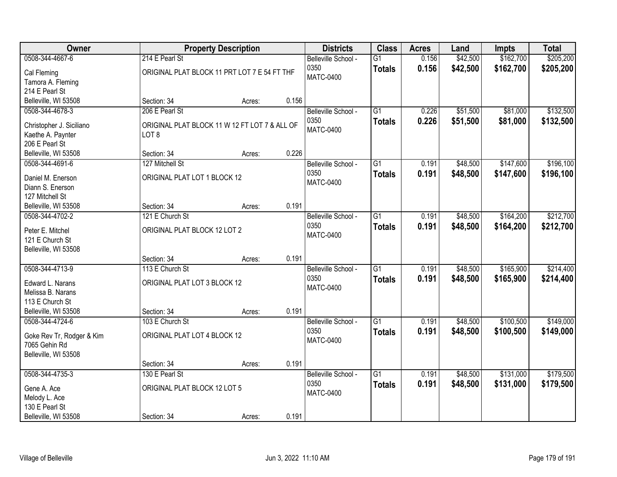| Owner                                         |                                                                   | <b>Property Description</b> |       | <b>Districts</b>                         | <b>Class</b>                     | <b>Acres</b>   | Land                 | <b>Impts</b>           | <b>Total</b>           |
|-----------------------------------------------|-------------------------------------------------------------------|-----------------------------|-------|------------------------------------------|----------------------------------|----------------|----------------------|------------------------|------------------------|
| 0508-344-4667-6<br>Cal Fleming                | 214 E Pearl St<br>ORIGINAL PLAT BLOCK 11 PRT LOT 7 E 54 FT THF    |                             |       | Belleville School -<br>0350<br>MATC-0400 | $\overline{G1}$<br><b>Totals</b> | 0.156<br>0.156 | \$42,500<br>\$42,500 | \$162,700<br>\$162,700 | \$205,200<br>\$205,200 |
| Tamora A. Fleming<br>214 E Pearl St           |                                                                   |                             |       |                                          |                                  |                |                      |                        |                        |
| Belleville, WI 53508                          | Section: 34                                                       | Acres:                      | 0.156 |                                          |                                  |                |                      |                        |                        |
| 0508-344-4678-3                               | 206 E Pearl St                                                    |                             |       | Belleville School -                      | $\overline{G1}$                  | 0.226          | \$51,500             | \$81,000               | \$132,500              |
| Christopher J. Siciliano<br>Kaethe A. Paynter | ORIGINAL PLAT BLOCK 11 W 12 FT LOT 7 & ALL OF<br>LOT <sub>8</sub> |                             |       | 0350<br><b>MATC-0400</b>                 | <b>Totals</b>                    | 0.226          | \$51,500             | \$81,000               | \$132,500              |
| 206 E Pearl St                                |                                                                   |                             |       |                                          |                                  |                |                      |                        |                        |
| Belleville, WI 53508                          | Section: 34                                                       | Acres:                      | 0.226 |                                          |                                  |                |                      |                        |                        |
| 0508-344-4691-6                               | 127 Mitchell St                                                   |                             |       | Belleville School -                      | $\overline{G1}$                  | 0.191          | \$48,500             | \$147,600              | \$196,100              |
| Daniel M. Enerson                             | ORIGINAL PLAT LOT 1 BLOCK 12                                      |                             |       | 0350                                     | <b>Totals</b>                    | 0.191          | \$48,500             | \$147,600              | \$196,100              |
| Diann S. Enerson                              |                                                                   |                             |       | <b>MATC-0400</b>                         |                                  |                |                      |                        |                        |
| 127 Mitchell St                               |                                                                   |                             |       |                                          |                                  |                |                      |                        |                        |
| Belleville, WI 53508                          | Section: 34                                                       | Acres:                      | 0.191 |                                          |                                  |                |                      |                        |                        |
| 0508-344-4702-2                               | 121 E Church St                                                   |                             |       | Belleville School -                      | $\overline{G1}$                  | 0.191          | \$48,500             | \$164,200              | \$212,700              |
|                                               |                                                                   |                             |       | 0350                                     | <b>Totals</b>                    | 0.191          | \$48,500             | \$164,200              | \$212,700              |
| Peter E. Mitchel<br>121 E Church St           | ORIGINAL PLAT BLOCK 12 LOT 2                                      |                             |       | <b>MATC-0400</b>                         |                                  |                |                      |                        |                        |
| Belleville, WI 53508                          |                                                                   |                             |       |                                          |                                  |                |                      |                        |                        |
|                                               | Section: 34                                                       | Acres:                      | 0.191 |                                          |                                  |                |                      |                        |                        |
| 0508-344-4713-9                               | 113 E Church St                                                   |                             |       | Belleville School -                      | $\overline{G1}$                  | 0.191          | \$48,500             | \$165,900              | \$214,400              |
|                                               |                                                                   |                             |       | 0350                                     | <b>Totals</b>                    | 0.191          | \$48,500             | \$165,900              | \$214,400              |
| Edward L. Narans                              | ORIGINAL PLAT LOT 3 BLOCK 12                                      |                             |       | <b>MATC-0400</b>                         |                                  |                |                      |                        |                        |
| Melissa B. Narans                             |                                                                   |                             |       |                                          |                                  |                |                      |                        |                        |
| 113 E Church St<br>Belleville, WI 53508       | Section: 34                                                       | Acres:                      | 0.191 |                                          |                                  |                |                      |                        |                        |
| 0508-344-4724-6                               | 103 E Church St                                                   |                             |       | Belleville School -                      | $\overline{G1}$                  | 0.191          | \$48,500             | \$100,500              | \$149,000              |
|                                               |                                                                   |                             |       | 0350                                     | <b>Totals</b>                    | 0.191          | \$48,500             | \$100,500              | \$149,000              |
| Goke Rev Tr, Rodger & Kim                     | ORIGINAL PLAT LOT 4 BLOCK 12                                      |                             |       | <b>MATC-0400</b>                         |                                  |                |                      |                        |                        |
| 7065 Gehin Rd                                 |                                                                   |                             |       |                                          |                                  |                |                      |                        |                        |
| Belleville, WI 53508                          |                                                                   |                             |       |                                          |                                  |                |                      |                        |                        |
|                                               | Section: 34                                                       | Acres:                      | 0.191 |                                          |                                  |                |                      |                        |                        |
| 0508-344-4735-3                               | 130 E Pearl St                                                    |                             |       | Belleville School -<br>0350              | $\overline{G1}$                  | 0.191<br>0.191 | \$48,500             | \$131,000              | \$179,500              |
| Gene A. Ace                                   | ORIGINAL PLAT BLOCK 12 LOT 5                                      |                             |       | <b>MATC-0400</b>                         | <b>Totals</b>                    |                | \$48,500             | \$131,000              | \$179,500              |
| Melody L. Ace                                 |                                                                   |                             |       |                                          |                                  |                |                      |                        |                        |
| 130 E Pearl St                                |                                                                   |                             |       |                                          |                                  |                |                      |                        |                        |
| Belleville, WI 53508                          | Section: 34                                                       | Acres:                      | 0.191 |                                          |                                  |                |                      |                        |                        |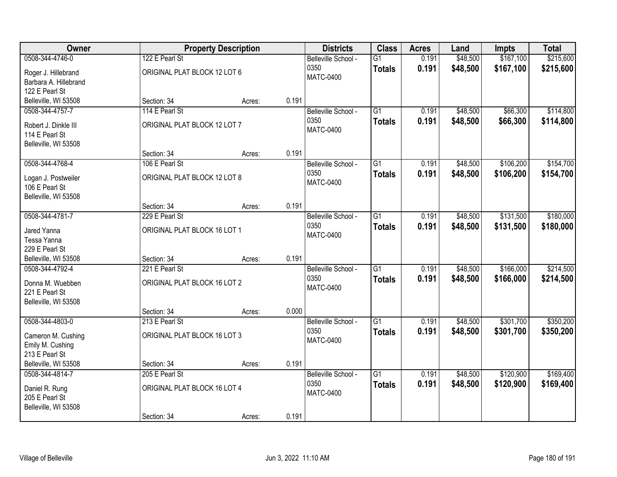| Owner                                                          |                              | <b>Property Description</b> |       | <b>Districts</b>         | <b>Class</b>    | <b>Acres</b> | Land     | Impts     | <b>Total</b> |
|----------------------------------------------------------------|------------------------------|-----------------------------|-------|--------------------------|-----------------|--------------|----------|-----------|--------------|
| 0508-344-4746-0                                                | 122 E Pearl St               |                             |       | Belleville School -      | $\overline{G1}$ | 0.191        | \$48,500 | \$167,100 | \$215,600    |
| Roger J. Hillebrand<br>Barbara A. Hillebrand                   | ORIGINAL PLAT BLOCK 12 LOT 6 |                             |       | 0350<br><b>MATC-0400</b> | <b>Totals</b>   | 0.191        | \$48,500 | \$167,100 | \$215,600    |
| 122 E Pearl St                                                 |                              |                             |       |                          |                 |              |          |           |              |
| Belleville, WI 53508                                           | Section: 34                  | Acres:                      | 0.191 |                          |                 |              |          |           |              |
| 0508-344-4757-7                                                | 114 E Pearl St               |                             |       | Belleville School -      | $\overline{G1}$ | 0.191        | \$48,500 | \$66,300  | \$114,800    |
| Robert J. Dinkle III<br>114 E Pearl St<br>Belleville, WI 53508 | ORIGINAL PLAT BLOCK 12 LOT 7 |                             |       | 0350<br>MATC-0400        | <b>Totals</b>   | 0.191        | \$48,500 | \$66,300  | \$114,800    |
|                                                                | Section: 34                  | Acres:                      | 0.191 |                          |                 |              |          |           |              |
| 0508-344-4768-4                                                | 106 E Pearl St               |                             |       | Belleville School -      | $\overline{G1}$ | 0.191        | \$48,500 | \$106,200 | \$154,700    |
|                                                                |                              |                             |       | 0350                     | <b>Totals</b>   | 0.191        | \$48,500 | \$106,200 | \$154,700    |
| Logan J. Postweiler                                            | ORIGINAL PLAT BLOCK 12 LOT 8 |                             |       | <b>MATC-0400</b>         |                 |              |          |           |              |
| 106 E Pearl St<br>Belleville, WI 53508                         |                              |                             |       |                          |                 |              |          |           |              |
|                                                                | Section: 34                  | Acres:                      | 0.191 |                          |                 |              |          |           |              |
| 0508-344-4781-7                                                | 229 E Pearl St               |                             |       | Belleville School -      | $\overline{G1}$ | 0.191        | \$48,500 | \$131,500 | \$180,000    |
|                                                                |                              |                             |       | 0350                     | <b>Totals</b>   | 0.191        | \$48,500 | \$131,500 | \$180,000    |
| Jared Yanna<br>Tessa Yanna                                     | ORIGINAL PLAT BLOCK 16 LOT 1 |                             |       | <b>MATC-0400</b>         |                 |              |          |           |              |
| 229 E Pearl St                                                 |                              |                             |       |                          |                 |              |          |           |              |
| Belleville, WI 53508                                           | Section: 34                  | Acres:                      | 0.191 |                          |                 |              |          |           |              |
| 0508-344-4792-4                                                | 221 E Pearl St               |                             |       | Belleville School -      | $\overline{G1}$ | 0.191        | \$48,500 | \$166,000 | \$214,500    |
|                                                                |                              |                             |       | 0350                     | <b>Totals</b>   | 0.191        | \$48,500 | \$166,000 | \$214,500    |
| Donna M. Wuebben<br>221 E Pearl St                             | ORIGINAL PLAT BLOCK 16 LOT 2 |                             |       | <b>MATC-0400</b>         |                 |              |          |           |              |
| Belleville, WI 53508                                           |                              |                             |       |                          |                 |              |          |           |              |
|                                                                | Section: 34                  | Acres:                      | 0.000 |                          |                 |              |          |           |              |
| 0508-344-4803-0                                                | 213 E Pearl St               |                             |       | Belleville School -      | $\overline{G1}$ | 0.191        | \$48,500 | \$301,700 | \$350,200    |
|                                                                |                              |                             |       | 0350                     | <b>Totals</b>   | 0.191        | \$48,500 | \$301,700 | \$350,200    |
| Cameron M. Cushing<br>Emily M. Cushing                         | ORIGINAL PLAT BLOCK 16 LOT 3 |                             |       | MATC-0400                |                 |              |          |           |              |
| 213 E Pearl St                                                 |                              |                             |       |                          |                 |              |          |           |              |
| Belleville, WI 53508                                           | Section: 34                  | Acres:                      | 0.191 |                          |                 |              |          |           |              |
| 0508-344-4814-7                                                | 205 E Pearl St               |                             |       | Belleville School -      | $\overline{G1}$ | 0.191        | \$48,500 | \$120,900 | \$169,400    |
|                                                                |                              |                             |       | 0350                     | <b>Totals</b>   | 0.191        | \$48,500 | \$120,900 | \$169,400    |
| Daniel R. Rung<br>205 E Pearl St                               | ORIGINAL PLAT BLOCK 16 LOT 4 |                             |       | <b>MATC-0400</b>         |                 |              |          |           |              |
| Belleville, WI 53508                                           |                              |                             |       |                          |                 |              |          |           |              |
|                                                                | Section: 34                  | Acres:                      | 0.191 |                          |                 |              |          |           |              |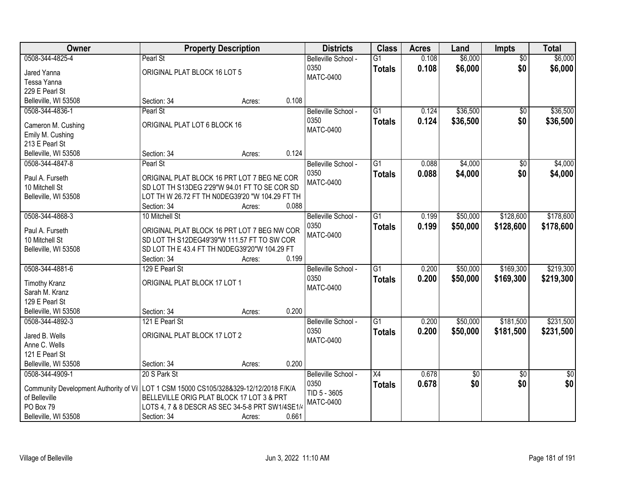| Owner                                                                                  |                                                                                              | <b>Property Description</b> |       | <b>Districts</b>         | <b>Class</b>    | <b>Acres</b> | Land       | Impts           | <b>Total</b>    |
|----------------------------------------------------------------------------------------|----------------------------------------------------------------------------------------------|-----------------------------|-------|--------------------------|-----------------|--------------|------------|-----------------|-----------------|
| 0508-344-4825-4                                                                        | Pearl St                                                                                     |                             |       | Belleville School -      | $\overline{G1}$ | 0.108        | \$6,000    | $\overline{50}$ | \$6,000         |
| Jared Yanna                                                                            | ORIGINAL PLAT BLOCK 16 LOT 5                                                                 |                             |       | 0350                     | <b>Totals</b>   | 0.108        | \$6,000    | \$0             | \$6,000         |
| Tessa Yanna                                                                            |                                                                                              |                             |       | <b>MATC-0400</b>         |                 |              |            |                 |                 |
| 229 E Pearl St                                                                         |                                                                                              |                             |       |                          |                 |              |            |                 |                 |
| Belleville, WI 53508                                                                   | Section: 34                                                                                  | Acres:                      | 0.108 |                          |                 |              |            |                 |                 |
| 0508-344-4836-1                                                                        | Pearl St                                                                                     |                             |       | Belleville School -      | $\overline{G1}$ | 0.124        | \$36,500   | $\overline{50}$ | \$36,500        |
| Cameron M. Cushing                                                                     | ORIGINAL PLAT LOT 6 BLOCK 16                                                                 |                             |       | 0350                     | <b>Totals</b>   | 0.124        | \$36,500   | \$0             | \$36,500        |
| Emily M. Cushing                                                                       |                                                                                              |                             |       | <b>MATC-0400</b>         |                 |              |            |                 |                 |
| 213 E Pearl St                                                                         |                                                                                              |                             |       |                          |                 |              |            |                 |                 |
| Belleville, WI 53508                                                                   | Section: 34                                                                                  | Acres:                      | 0.124 |                          |                 |              |            |                 |                 |
| 0508-344-4847-8                                                                        | Pearl St                                                                                     |                             |       | Belleville School -      | $\overline{G1}$ | 0.088        | \$4,000    | $\overline{50}$ | \$4,000         |
| Paul A. Furseth                                                                        | ORIGINAL PLAT BLOCK 16 PRT LOT 7 BEG NE COR                                                  |                             |       | 0350                     | <b>Totals</b>   | 0.088        | \$4,000    | \$0             | \$4,000         |
| 10 Mitchell St                                                                         | SD LOT TH S13DEG 2'29"W 94.01 FT TO SE COR SD                                                |                             |       | <b>MATC-0400</b>         |                 |              |            |                 |                 |
| Belleville, WI 53508                                                                   | LOT TH W 26.72 FT TH N0DEG39'20 "W 104.29 FT TH                                              |                             |       |                          |                 |              |            |                 |                 |
|                                                                                        | Section: 34                                                                                  | Acres:                      | 0.088 |                          |                 |              |            |                 |                 |
| 0508-344-4868-3                                                                        | 10 Mitchell St                                                                               |                             |       | Belleville School -      | $\overline{G1}$ | 0.199        | \$50,000   | \$128,600       | \$178,600       |
|                                                                                        |                                                                                              |                             |       | 0350                     | <b>Totals</b>   | 0.199        | \$50,000   | \$128,600       | \$178,600       |
| Paul A. Furseth                                                                        | ORIGINAL PLAT BLOCK 16 PRT LOT 7 BEG NW COR                                                  |                             |       | <b>MATC-0400</b>         |                 |              |            |                 |                 |
| 10 Mitchell St<br>Belleville, WI 53508                                                 | SD LOT TH S12DEG49'39"W 111.57 FT TO SW COR<br>SD LOT TH E 43.4 FT TH N0DEG39'20"W 104.29 FT |                             |       |                          |                 |              |            |                 |                 |
|                                                                                        | Section: 34                                                                                  | Acres:                      | 0.199 |                          |                 |              |            |                 |                 |
| 0508-344-4881-6                                                                        | 129 E Pearl St                                                                               |                             |       | Belleville School -      | $\overline{G1}$ | 0.200        | \$50,000   | \$169,300       | \$219,300       |
|                                                                                        |                                                                                              |                             |       | 0350                     | <b>Totals</b>   | 0.200        | \$50,000   | \$169,300       | \$219,300       |
| <b>Timothy Kranz</b>                                                                   | ORIGINAL PLAT BLOCK 17 LOT 1                                                                 |                             |       | <b>MATC-0400</b>         |                 |              |            |                 |                 |
| Sarah M. Kranz                                                                         |                                                                                              |                             |       |                          |                 |              |            |                 |                 |
| 129 E Pearl St                                                                         |                                                                                              |                             |       |                          |                 |              |            |                 |                 |
| Belleville, WI 53508                                                                   | Section: 34                                                                                  | Acres:                      | 0.200 |                          |                 |              |            |                 |                 |
| 0508-344-4892-3                                                                        | 121 E Pearl St                                                                               |                             |       | Belleville School -      | $\overline{G1}$ | 0.200        | \$50,000   | \$181,500       | \$231,500       |
| Jared B. Wells                                                                         | ORIGINAL PLAT BLOCK 17 LOT 2                                                                 |                             |       | 0350<br><b>MATC-0400</b> | <b>Totals</b>   | 0.200        | \$50,000   | \$181,500       | \$231,500       |
| Anne C. Wells                                                                          |                                                                                              |                             |       |                          |                 |              |            |                 |                 |
| 121 E Pearl St                                                                         |                                                                                              |                             |       |                          |                 |              |            |                 |                 |
| Belleville, WI 53508                                                                   | Section: 34                                                                                  | Acres:                      | 0.200 |                          |                 |              |            |                 |                 |
| 0508-344-4909-1                                                                        | 20 S Park St                                                                                 |                             |       | Belleville School -      | $\overline{X4}$ | 0.678        | $\sqrt{6}$ | $\overline{30}$ | $\overline{50}$ |
| Community Development Authority of Vi   LOT 1 CSM 15000 CS105/328&329-12/12/2018 F/K/A |                                                                                              |                             |       | 0350                     | <b>Totals</b>   | 0.678        | \$0        | \$0             | \$0             |
| of Belleville                                                                          | BELLEVILLE ORIG PLAT BLOCK 17 LOT 3 & PRT                                                    |                             |       | TID 5 - 3605             |                 |              |            |                 |                 |
| PO Box 79                                                                              | LOTS 4, 7 & 8 DESCR AS SEC 34-5-8 PRT SW1/4SE1/4                                             |                             |       | <b>MATC-0400</b>         |                 |              |            |                 |                 |
| Belleville, WI 53508                                                                   | Section: 34                                                                                  | Acres:                      | 0.661 |                          |                 |              |            |                 |                 |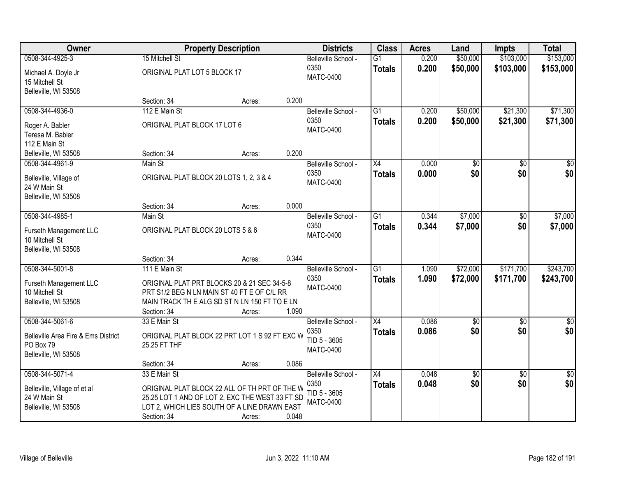| Owner                               |                                         | <b>Property Description</b>                     |       | <b>Districts</b>            | <b>Class</b>    | <b>Acres</b> | Land                   | <b>Impts</b>    | <b>Total</b>       |
|-------------------------------------|-----------------------------------------|-------------------------------------------------|-------|-----------------------------|-----------------|--------------|------------------------|-----------------|--------------------|
| 0508-344-4925-3                     | 15 Mitchell St                          |                                                 |       | Belleville School -         | $\overline{G1}$ | 0.200        | \$50,000               | \$103,000       | \$153,000          |
| Michael A. Doyle Jr                 | ORIGINAL PLAT LOT 5 BLOCK 17            |                                                 |       | 0350                        | <b>Totals</b>   | 0.200        | \$50,000               | \$103,000       | \$153,000          |
| 15 Mitchell St                      |                                         |                                                 |       | <b>MATC-0400</b>            |                 |              |                        |                 |                    |
| Belleville, WI 53508                |                                         |                                                 |       |                             |                 |              |                        |                 |                    |
|                                     | Section: 34                             | Acres:                                          | 0.200 |                             |                 |              |                        |                 |                    |
| 0508-344-4936-0                     | 112 E Main St                           |                                                 |       | Belleville School -         | $\overline{G1}$ | 0.200        | \$50,000               | \$21,300        | \$71,300           |
| Roger A. Babler                     | ORIGINAL PLAT BLOCK 17 LOT 6            |                                                 |       | 0350<br><b>MATC-0400</b>    | <b>Totals</b>   | 0.200        | \$50,000               | \$21,300        | \$71,300           |
| Teresa M. Babler                    |                                         |                                                 |       |                             |                 |              |                        |                 |                    |
| 112 E Main St                       |                                         |                                                 |       |                             |                 |              |                        |                 |                    |
| Belleville, WI 53508                | Section: 34                             | Acres:                                          | 0.200 |                             |                 |              |                        |                 |                    |
| 0508-344-4961-9                     | Main St                                 |                                                 |       | Belleville School -         | X4              | 0.000        | \$0                    | \$0             | \$0                |
| Belleville, Village of              | ORIGINAL PLAT BLOCK 20 LOTS 1, 2, 3 & 4 |                                                 |       | 0350<br><b>MATC-0400</b>    | <b>Totals</b>   | 0.000        | \$0                    | \$0             | \$0                |
| 24 W Main St                        |                                         |                                                 |       |                             |                 |              |                        |                 |                    |
| Belleville, WI 53508                |                                         |                                                 |       |                             |                 |              |                        |                 |                    |
|                                     | Section: 34                             | Acres:                                          | 0.000 |                             |                 |              |                        |                 |                    |
| 0508-344-4985-1                     | Main St                                 |                                                 |       | Belleville School -<br>0350 | $\overline{G1}$ | 0.344        | \$7,000                | \$0             | \$7,000            |
| Furseth Management LLC              | ORIGINAL PLAT BLOCK 20 LOTS 5 & 6       |                                                 |       | <b>MATC-0400</b>            | <b>Totals</b>   | 0.344        | \$7,000                | \$0             | \$7,000            |
| 10 Mitchell St                      |                                         |                                                 |       |                             |                 |              |                        |                 |                    |
| Belleville, WI 53508                |                                         |                                                 |       |                             |                 |              |                        |                 |                    |
|                                     | Section: 34                             | Acres:                                          | 0.344 |                             |                 |              |                        |                 |                    |
| 0508-344-5001-8                     | 111 E Main St                           |                                                 |       | Belleville School -<br>0350 | $\overline{G1}$ | 1.090        | \$72,000               | \$171,700       | \$243,700          |
| Furseth Management LLC              |                                         | ORIGINAL PLAT PRT BLOCKS 20 & 21 SEC 34-5-8     |       | <b>MATC-0400</b>            | <b>Totals</b>   | 1.090        | \$72,000               | \$171,700       | \$243,700          |
| 10 Mitchell St                      |                                         | PRT S1/2 BEG N LN MAIN ST 40 FT E OF C/L RR     |       |                             |                 |              |                        |                 |                    |
| Belleville, WI 53508                |                                         | MAIN TRACK THE ALG SD ST N LN 150 FT TO E LN    |       |                             |                 |              |                        |                 |                    |
|                                     | Section: 34                             | Acres:                                          | 1.090 |                             |                 |              |                        |                 |                    |
| 0508-344-5061-6                     | 33 E Main St                            |                                                 |       | Belleville School -<br>0350 | $\overline{X4}$ | 0.086        | $\overline{60}$<br>\$0 | $\overline{60}$ | $\sqrt{50}$<br>\$0 |
| Belleville Area Fire & Ems District |                                         | ORIGINAL PLAT BLOCK 22 PRT LOT 1 S 92 FT EXC W  |       | TID 5 - 3605                | <b>Totals</b>   | 0.086        |                        | \$0             |                    |
| PO Box 79                           | 25.25 FT THF                            |                                                 |       | <b>MATC-0400</b>            |                 |              |                        |                 |                    |
| Belleville, WI 53508                |                                         |                                                 |       |                             |                 |              |                        |                 |                    |
|                                     | Section: 34                             | Acres:                                          | 0.086 |                             |                 |              |                        |                 |                    |
| 0508-344-5071-4                     | 33 E Main St                            |                                                 |       | Belleville School -         | X4              | 0.048        | $\overline{50}$        | $\overline{50}$ | $\frac{1}{6}$      |
| Belleville, Village of et al        |                                         | ORIGINAL PLAT BLOCK 22 ALL OF TH PRT OF THE W   |       | 0350<br>TID 5 - 3605        | <b>Totals</b>   | 0.048        | \$0                    | \$0             | \$0                |
| 24 W Main St                        |                                         | 25.25 LOT 1 AND OF LOT 2, EXC THE WEST 33 FT SD |       | <b>MATC-0400</b>            |                 |              |                        |                 |                    |
| Belleville, WI 53508                |                                         | LOT 2, WHICH LIES SOUTH OF A LINE DRAWN EAST    |       |                             |                 |              |                        |                 |                    |
|                                     | Section: 34                             | Acres:                                          | 0.048 |                             |                 |              |                        |                 |                    |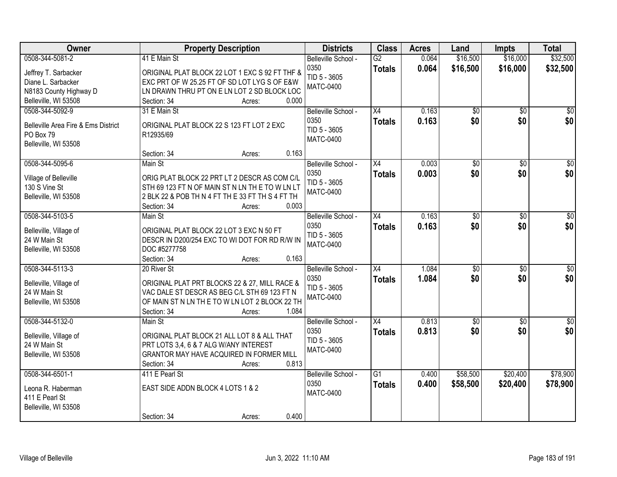| Owner                               | <b>Property Description</b>                      | <b>Districts</b>            | <b>Class</b>    | <b>Acres</b>   | Land                 | <b>Impts</b>         | <b>Total</b>         |
|-------------------------------------|--------------------------------------------------|-----------------------------|-----------------|----------------|----------------------|----------------------|----------------------|
| 0508-344-5081-2                     | 41 E Main St                                     | Belleville School -<br>0350 | $\overline{G2}$ | 0.064<br>0.064 | \$16,500<br>\$16,500 | \$16,000<br>\$16,000 | \$32,500<br>\$32,500 |
| Jeffrey T. Sarbacker                | ORIGINAL PLAT BLOCK 22 LOT 1 EXC S 92 FT THF &   | TID 5 - 3605                | <b>Totals</b>   |                |                      |                      |                      |
| Diane L. Sarbacker                  | EXC PRT OF W 25.25 FT OF SD LOT LYG S OF E&W     | <b>MATC-0400</b>            |                 |                |                      |                      |                      |
| N8183 County Highway D              | LN DRAWN THRU PT ON E LN LOT 2 SD BLOCK LOC      |                             |                 |                |                      |                      |                      |
| Belleville, WI 53508                | 0.000<br>Section: 34<br>Acres:                   |                             |                 |                |                      |                      |                      |
| 0508-344-5092-9                     | 31 E Main St                                     | Belleville School -         | $\overline{X4}$ | 0.163          | \$0                  | $\overline{50}$      | \$0                  |
| Belleville Area Fire & Ems District | ORIGINAL PLAT BLOCK 22 S 123 FT LOT 2 EXC        | 0350                        | <b>Totals</b>   | 0.163          | \$0                  | \$0                  | \$0                  |
| PO Box 79                           | R12935/69                                        | TID 5 - 3605                |                 |                |                      |                      |                      |
| Belleville, WI 53508                |                                                  | <b>MATC-0400</b>            |                 |                |                      |                      |                      |
|                                     | 0.163<br>Section: 34<br>Acres:                   |                             |                 |                |                      |                      |                      |
| 0508-344-5095-6                     | Main St                                          | Belleville School -         | X4              | 0.003          | \$0                  | \$0                  | $\overline{\$0}$     |
| Village of Belleville               | ORIG PLAT BLOCK 22 PRT LT 2 DESCR AS COM C/L     | 0350                        | <b>Totals</b>   | 0.003          | \$0                  | \$0                  | \$0                  |
| 130 S Vine St                       | STH 69 123 FT N OF MAIN ST N LN TH E TO W LN LT  | TID 5 - 3605                |                 |                |                      |                      |                      |
| Belleville, WI 53508                | 2 BLK 22 & POB TH N 4 FT TH E 33 FT TH S 4 FT TH | <b>MATC-0400</b>            |                 |                |                      |                      |                      |
|                                     | Section: 34<br>0.003<br>Acres:                   |                             |                 |                |                      |                      |                      |
| 0508-344-5103-5                     | Main St                                          | Belleville School -         | X4              | 0.163          | \$0                  | \$0                  | \$0                  |
|                                     |                                                  | 0350                        | <b>Totals</b>   | 0.163          | \$0                  | \$0                  | \$0                  |
| Belleville, Village of              | ORIGINAL PLAT BLOCK 22 LOT 3 EXC N 50 FT         | TID 5 - 3605                |                 |                |                      |                      |                      |
| 24 W Main St                        | DESCR IN D200/254 EXC TO WI DOT FOR RD R/W IN    | <b>MATC-0400</b>            |                 |                |                      |                      |                      |
| Belleville, WI 53508                | DOC #5277758                                     |                             |                 |                |                      |                      |                      |
|                                     | 0.163<br>Section: 34<br>Acres:                   |                             |                 |                |                      |                      |                      |
| 0508-344-5113-3                     | 20 River St                                      | Belleville School -         | $\overline{X4}$ | 1.084          | $\overline{50}$      | \$0                  | $\sqrt{50}$          |
| Belleville, Village of              | ORIGINAL PLAT PRT BLOCKS 22 & 27, MILL RACE &    | 0350                        | <b>Totals</b>   | 1.084          | \$0                  | \$0                  | \$0                  |
| 24 W Main St                        | VAC DALE ST DESCR AS BEG C/L STH 69 123 FT N     | TID 5 - 3605                |                 |                |                      |                      |                      |
| Belleville, WI 53508                | OF MAIN ST N LN TH E TO W LN LOT 2 BLOCK 22 TH   | <b>MATC-0400</b>            |                 |                |                      |                      |                      |
|                                     | Section: 34<br>1.084<br>Acres:                   |                             |                 |                |                      |                      |                      |
| 0508-344-5132-0                     | Main St                                          | Belleville School -         | X4              | 0.813          | $\overline{50}$      | \$0                  | $\sqrt{50}$          |
|                                     |                                                  | 0350                        | <b>Totals</b>   | 0.813          | \$0                  | \$0                  | \$0                  |
| Belleville, Village of              | ORIGINAL PLAT BLOCK 21 ALL LOT 8 & ALL THAT      | TID 5 - 3605                |                 |                |                      |                      |                      |
| 24 W Main St                        | PRT LOTS 3,4, 6 & 7 ALG W/ANY INTEREST           | <b>MATC-0400</b>            |                 |                |                      |                      |                      |
| Belleville, WI 53508                | GRANTOR MAY HAVE ACQUIRED IN FORMER MILL         |                             |                 |                |                      |                      |                      |
|                                     | 0.813<br>Section: 34<br>Acres:                   |                             |                 |                |                      |                      |                      |
| 0508-344-6501-1                     | 411 E Pearl St                                   | Belleville School -         | $\overline{G1}$ | 0.400          | \$58,500             | \$20,400             | \$78,900             |
| Leona R. Haberman                   | EAST SIDE ADDN BLOCK 4 LOTS 1 & 2                | 0350                        | <b>Totals</b>   | 0.400          | \$58,500             | \$20,400             | \$78,900             |
| 411 E Pearl St                      |                                                  | <b>MATC-0400</b>            |                 |                |                      |                      |                      |
| Belleville, WI 53508                |                                                  |                             |                 |                |                      |                      |                      |
|                                     | 0.400<br>Section: 34<br>Acres:                   |                             |                 |                |                      |                      |                      |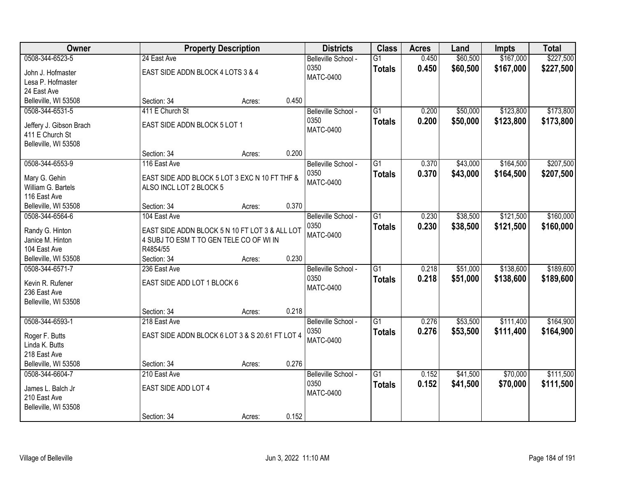| Owner                                |                                                  | <b>Property Description</b> |       | <b>Districts</b>                                | <b>Class</b>                     | <b>Acres</b>   | Land                 | <b>Impts</b>           | <b>Total</b>           |
|--------------------------------------|--------------------------------------------------|-----------------------------|-------|-------------------------------------------------|----------------------------------|----------------|----------------------|------------------------|------------------------|
| 0508-344-6523-5<br>John J. Hofmaster | 24 East Ave<br>EAST SIDE ADDN BLOCK 4 LOTS 3 & 4 |                             |       | Belleville School -<br>0350<br><b>MATC-0400</b> | $\overline{G1}$<br><b>Totals</b> | 0.450<br>0.450 | \$60,500<br>\$60,500 | \$167,000<br>\$167,000 | \$227,500<br>\$227,500 |
| Lesa P. Hofmaster                    |                                                  |                             |       |                                                 |                                  |                |                      |                        |                        |
| 24 East Ave                          |                                                  |                             |       |                                                 |                                  |                |                      |                        |                        |
| Belleville, WI 53508                 | Section: 34                                      | Acres:                      | 0.450 |                                                 |                                  |                |                      |                        |                        |
| 0508-344-6531-5                      | 411 E Church St                                  |                             |       | Belleville School -                             | $\overline{G1}$                  | 0.200          | \$50,000             | \$123,800              | \$173,800              |
| Jeffery J. Gibson Brach              | EAST SIDE ADDN BLOCK 5 LOT 1                     |                             |       | 0350                                            | <b>Totals</b>                    | 0.200          | \$50,000             | \$123,800              | \$173,800              |
| 411 E Church St                      |                                                  |                             |       | <b>MATC-0400</b>                                |                                  |                |                      |                        |                        |
| Belleville, WI 53508                 |                                                  |                             |       |                                                 |                                  |                |                      |                        |                        |
|                                      | Section: 34                                      | Acres:                      | 0.200 |                                                 |                                  |                |                      |                        |                        |
| 0508-344-6553-9                      | 116 East Ave                                     |                             |       | Belleville School -                             | $\overline{G1}$                  | 0.370          | \$43,000             | \$164,500              | \$207,500              |
|                                      |                                                  |                             |       | 0350                                            | <b>Totals</b>                    | 0.370          | \$43,000             | \$164,500              | \$207,500              |
| Mary G. Gehin                        | EAST SIDE ADD BLOCK 5 LOT 3 EXC N 10 FT THF &    |                             |       | MATC-0400                                       |                                  |                |                      |                        |                        |
| William G. Bartels                   | ALSO INCL LOT 2 BLOCK 5                          |                             |       |                                                 |                                  |                |                      |                        |                        |
| 116 East Ave<br>Belleville, WI 53508 | Section: 34                                      | Acres:                      | 0.370 |                                                 |                                  |                |                      |                        |                        |
| 0508-344-6564-6                      | 104 East Ave                                     |                             |       | Belleville School -                             | $\overline{G1}$                  | 0.230          | \$38,500             | \$121,500              | \$160,000              |
|                                      |                                                  |                             |       | 0350                                            |                                  |                |                      |                        |                        |
| Randy G. Hinton                      | EAST SIDE ADDN BLOCK 5 N 10 FT LOT 3 & ALL LOT   |                             |       | <b>MATC-0400</b>                                | <b>Totals</b>                    | 0.230          | \$38,500             | \$121,500              | \$160,000              |
| Janice M. Hinton                     | 4 SUBJ TO ESM T TO GEN TELE CO OF WI IN          |                             |       |                                                 |                                  |                |                      |                        |                        |
| 104 East Ave                         | R4854/55                                         |                             |       |                                                 |                                  |                |                      |                        |                        |
| Belleville, WI 53508                 | Section: 34                                      | Acres:                      | 0.230 |                                                 |                                  |                |                      |                        |                        |
| 0508-344-6571-7                      | 236 East Ave                                     |                             |       | Belleville School -                             | $\overline{G1}$                  | 0.218          | \$51,000             | \$138,600              | \$189,600              |
| Kevin R. Rufener                     | EAST SIDE ADD LOT 1 BLOCK 6                      |                             |       | 0350                                            | <b>Totals</b>                    | 0.218          | \$51,000             | \$138,600              | \$189,600              |
| 236 East Ave                         |                                                  |                             |       | <b>MATC-0400</b>                                |                                  |                |                      |                        |                        |
| Belleville, WI 53508                 |                                                  |                             |       |                                                 |                                  |                |                      |                        |                        |
|                                      | Section: 34                                      | Acres:                      | 0.218 |                                                 |                                  |                |                      |                        |                        |
| 0508-344-6593-1                      | 218 East Ave                                     |                             |       | Belleville School -                             | $\overline{G1}$                  | 0.276          | \$53,500             | \$111,400              | \$164,900              |
|                                      |                                                  |                             |       | 0350                                            | <b>Totals</b>                    | 0.276          | \$53,500             | \$111,400              | \$164,900              |
| Roger F. Butts                       | EAST SIDE ADDN BLOCK 6 LOT 3 & S 20.61 FT LOT 4  |                             |       | <b>MATC-0400</b>                                |                                  |                |                      |                        |                        |
| Linda K. Butts<br>218 East Ave       |                                                  |                             |       |                                                 |                                  |                |                      |                        |                        |
| Belleville, WI 53508                 | Section: 34                                      | Acres:                      | 0.276 |                                                 |                                  |                |                      |                        |                        |
| 0508-344-6604-7                      | 210 East Ave                                     |                             |       | Belleville School -                             | $\overline{G1}$                  | 0.152          | \$41,500             | \$70,000               | \$111,500              |
|                                      |                                                  |                             |       | 0350                                            | <b>Totals</b>                    | 0.152          | \$41,500             | \$70,000               | \$111,500              |
| James L. Balch Jr                    | EAST SIDE ADD LOT 4                              |                             |       | <b>MATC-0400</b>                                |                                  |                |                      |                        |                        |
| 210 East Ave                         |                                                  |                             |       |                                                 |                                  |                |                      |                        |                        |
| Belleville, WI 53508                 |                                                  |                             |       |                                                 |                                  |                |                      |                        |                        |
|                                      | Section: 34                                      | Acres:                      | 0.152 |                                                 |                                  |                |                      |                        |                        |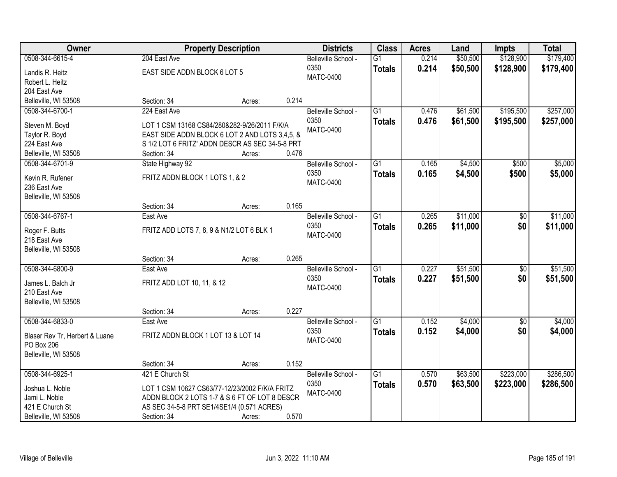| <b>Owner</b>                   |                                                 | <b>Property Description</b> |       | <b>Districts</b>    | <b>Class</b>    | <b>Acres</b> | Land     | <b>Impts</b>    | <b>Total</b> |
|--------------------------------|-------------------------------------------------|-----------------------------|-------|---------------------|-----------------|--------------|----------|-----------------|--------------|
| 0508-344-6615-4                | 204 East Ave                                    |                             |       | Belleville School - | $\overline{G1}$ | 0.214        | \$50,500 | \$128,900       | \$179,400    |
| Landis R. Heitz                | EAST SIDE ADDN BLOCK 6 LOT 5                    |                             |       | 0350                | <b>Totals</b>   | 0.214        | \$50,500 | \$128,900       | \$179,400    |
| Robert L. Heitz                |                                                 |                             |       | <b>MATC-0400</b>    |                 |              |          |                 |              |
| 204 East Ave                   |                                                 |                             |       |                     |                 |              |          |                 |              |
| Belleville, WI 53508           | Section: 34                                     | Acres:                      | 0.214 |                     |                 |              |          |                 |              |
| 0508-344-6700-1                | 224 East Ave                                    |                             |       | Belleville School - | $\overline{G1}$ | 0.476        | \$61,500 | \$195,500       | \$257,000    |
|                                |                                                 |                             |       | 0350                | <b>Totals</b>   | 0.476        | \$61,500 | \$195,500       | \$257,000    |
| Steven M. Boyd                 | LOT 1 CSM 13168 CS84/280&282-9/26/2011 F/K/A    |                             |       | <b>MATC-0400</b>    |                 |              |          |                 |              |
| Taylor R. Boyd                 | EAST SIDE ADDN BLOCK 6 LOT 2 AND LOTS 3,4,5, &  |                             |       |                     |                 |              |          |                 |              |
| 224 East Ave                   | S 1/2 LOT 6 FRITZ' ADDN DESCR AS SEC 34-5-8 PRT |                             |       |                     |                 |              |          |                 |              |
| Belleville, WI 53508           | Section: 34                                     | Acres:                      | 0.476 |                     |                 |              |          |                 |              |
| 0508-344-6701-9                | State Highway 92                                |                             |       | Belleville School - | G1              | 0.165        | \$4,500  | \$500           | \$5,000      |
| Kevin R. Rufener               | FRITZ ADDN BLOCK 1 LOTS 1, & 2                  |                             |       | 0350                | <b>Totals</b>   | 0.165        | \$4,500  | \$500           | \$5,000      |
| 236 East Ave                   |                                                 |                             |       | <b>MATC-0400</b>    |                 |              |          |                 |              |
| Belleville, WI 53508           |                                                 |                             |       |                     |                 |              |          |                 |              |
|                                | Section: 34                                     | Acres:                      | 0.165 |                     |                 |              |          |                 |              |
| 0508-344-6767-1                | East Ave                                        |                             |       | Belleville School - | G1              | 0.265        | \$11,000 | \$0             | \$11,000     |
|                                |                                                 |                             |       | 0350                |                 | 0.265        | \$11,000 | \$0             | \$11,000     |
| Roger F. Butts                 | FRITZ ADD LOTS 7, 8, 9 & N1/2 LOT 6 BLK 1       |                             |       | <b>MATC-0400</b>    | <b>Totals</b>   |              |          |                 |              |
| 218 East Ave                   |                                                 |                             |       |                     |                 |              |          |                 |              |
| Belleville, WI 53508           |                                                 |                             |       |                     |                 |              |          |                 |              |
|                                | Section: 34                                     | Acres:                      | 0.265 |                     |                 |              |          |                 |              |
| 0508-344-6800-9                | East Ave                                        |                             |       | Belleville School - | $\overline{G1}$ | 0.227        | \$51,500 | $\overline{50}$ | \$51,500     |
| James L. Balch Jr              | FRITZ ADD LOT 10, 11, & 12                      |                             |       | 0350                | <b>Totals</b>   | 0.227        | \$51,500 | \$0             | \$51,500     |
| 210 East Ave                   |                                                 |                             |       | <b>MATC-0400</b>    |                 |              |          |                 |              |
| Belleville, WI 53508           |                                                 |                             |       |                     |                 |              |          |                 |              |
|                                | Section: 34                                     | Acres:                      | 0.227 |                     |                 |              |          |                 |              |
| 0508-344-6833-0                | East Ave                                        |                             |       | Belleville School - | $\overline{G1}$ | 0.152        | \$4,000  | $\overline{50}$ | \$4,000      |
|                                |                                                 |                             |       | 0350                |                 |              |          |                 |              |
| Blaser Rev Tr, Herbert & Luane | FRITZ ADDN BLOCK 1 LOT 13 & LOT 14              |                             |       | <b>MATC-0400</b>    | <b>Totals</b>   | 0.152        | \$4,000  | \$0             | \$4,000      |
| PO Box 206                     |                                                 |                             |       |                     |                 |              |          |                 |              |
| Belleville, WI 53508           |                                                 |                             |       |                     |                 |              |          |                 |              |
|                                | Section: 34                                     | Acres:                      | 0.152 |                     |                 |              |          |                 |              |
| 0508-344-6925-1                | 421 E Church St                                 |                             |       | Belleville School - | $\overline{G1}$ | 0.570        | \$63,500 | \$223,000       | \$286,500    |
| Joshua L. Noble                | LOT 1 CSM 10627 CS63/77-12/23/2002 F/K/A FRITZ  |                             |       | 0350                | <b>Totals</b>   | 0.570        | \$63,500 | \$223,000       | \$286,500    |
| Jami L. Noble                  | ADDN BLOCK 2 LOTS 1-7 & S 6 FT OF LOT 8 DESCR   |                             |       | <b>MATC-0400</b>    |                 |              |          |                 |              |
| 421 E Church St                | AS SEC 34-5-8 PRT SE1/4SE1/4 (0.571 ACRES)      |                             |       |                     |                 |              |          |                 |              |
|                                |                                                 |                             | 0.570 |                     |                 |              |          |                 |              |
| Belleville, WI 53508           | Section: 34                                     | Acres:                      |       |                     |                 |              |          |                 |              |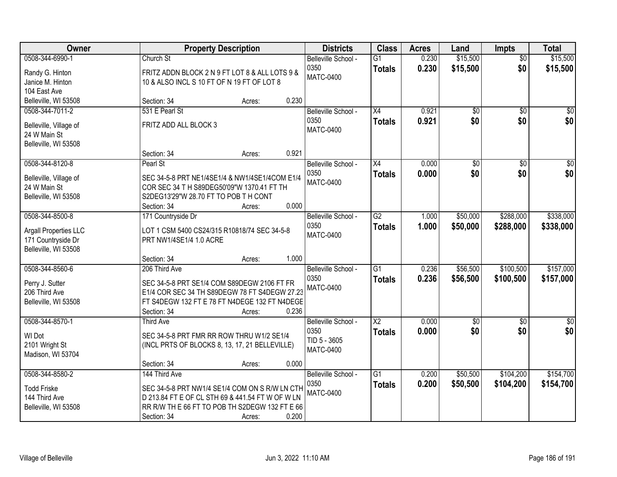| Owner                                                                                  | <b>Property Description</b>                                                                                                                                                                                                        | <b>Districts</b>                                                | <b>Class</b>                            | <b>Acres</b>   | Land                   | <b>Impts</b>           | <b>Total</b>            |
|----------------------------------------------------------------------------------------|------------------------------------------------------------------------------------------------------------------------------------------------------------------------------------------------------------------------------------|-----------------------------------------------------------------|-----------------------------------------|----------------|------------------------|------------------------|-------------------------|
| 0508-344-6990-1<br>Randy G. Hinton<br>Janice M. Hinton                                 | Church St<br>FRITZ ADDN BLOCK 2 N 9 FT LOT 8 & ALL LOTS 9 &<br>10 & ALSO INCL S 10 FT OF N 19 FT OF LOT 8                                                                                                                          | Belleville School -<br>0350<br><b>MATC-0400</b>                 | $\overline{G1}$<br><b>Totals</b>        | 0.230<br>0.230 | \$15,500<br>\$15,500   | $\overline{50}$<br>\$0 | \$15,500<br>\$15,500    |
| 104 East Ave<br>Belleville, WI 53508                                                   | 0.230<br>Section: 34<br>Acres:                                                                                                                                                                                                     |                                                                 |                                         |                |                        |                        |                         |
| 0508-344-7011-2<br>Belleville, Village of<br>24 W Main St<br>Belleville, WI 53508      | 531 E Pearl St<br>FRITZ ADD ALL BLOCK 3                                                                                                                                                                                            | Belleville School -<br>0350<br><b>MATC-0400</b>                 | $\overline{X4}$<br><b>Totals</b>        | 0.921<br>0.921 | $\overline{50}$<br>\$0 | $\overline{50}$<br>\$0 | $\sqrt{50}$<br>\$0      |
|                                                                                        | 0.921<br>Section: 34<br>Acres:                                                                                                                                                                                                     |                                                                 |                                         |                |                        |                        |                         |
| 0508-344-8120-8<br>Belleville, Village of<br>24 W Main St<br>Belleville, WI 53508      | Pearl St<br>SEC 34-5-8 PRT NE1/4SE1/4 & NW1/4SE1/4COM E1/4<br>COR SEC 34 T H S89DEG50'09"W 1370.41 FT TH<br>S2DEG13'29"W 28.70 FT TO POB T H CONT<br>0.000<br>Section: 34<br>Acres:                                                | Belleville School -<br>0350<br><b>MATC-0400</b>                 | X4<br><b>Totals</b>                     | 0.000<br>0.000 | \$0<br>\$0             | \$0<br>\$0             | $\overline{30}$<br>\$0  |
| 0508-344-8500-8<br>Argall Properties LLC<br>171 Countryside Dr<br>Belleville, WI 53508 | 171 Countryside Dr<br>LOT 1 CSM 5400 CS24/315 R10818/74 SEC 34-5-8<br>PRT NW1/4SE1/4 1.0 ACRE                                                                                                                                      | Belleville School -<br>0350<br><b>MATC-0400</b>                 | $\overline{G2}$<br><b>Totals</b>        | 1.000<br>1.000 | \$50,000<br>\$50,000   | \$288,000<br>\$288,000 | \$338,000<br>\$338,000  |
| 0508-344-8560-6<br>Perry J. Sutter<br>206 Third Ave<br>Belleville, WI 53508            | 1.000<br>Section: 34<br>Acres:<br>206 Third Ave<br>SEC 34-5-8 PRT SE1/4 COM S89DEGW 2106 FT FR<br>E1/4 COR SEC 34 TH S89DEGW 78 FT S4DEGW 27.23<br>FT S4DEGW 132 FT E 78 FT N4DEGE 132 FT N4DEGE<br>0.236<br>Section: 34<br>Acres: | Belleville School -<br>0350<br>MATC-0400                        | $\overline{G1}$<br><b>Totals</b>        | 0.236<br>0.236 | \$56,500<br>\$56,500   | \$100,500<br>\$100,500 | \$157,000<br>\$157,000  |
| 0508-344-8570-1<br>WI Dot<br>2101 Wright St<br>Madison, WI 53704                       | <b>Third Ave</b><br>SEC 34-5-8 PRT FMR RR ROW THRU W1/2 SE1/4<br>(INCL PRTS OF BLOCKS 8, 13, 17, 21 BELLEVILLE)<br>0.000<br>Section: 34<br>Acres:                                                                                  | Belleville School -<br>0350<br>TID 5 - 3605<br><b>MATC-0400</b> | $\overline{\text{X2}}$<br><b>Totals</b> | 0.000<br>0.000 | $\overline{50}$<br>\$0 | $\overline{30}$<br>\$0 | $\overline{\$0}$<br>\$0 |
| 0508-344-8580-2<br><b>Todd Friske</b><br>144 Third Ave<br>Belleville, WI 53508         | 144 Third Ave<br>SEC 34-5-8 PRT NW1/4 SE1/4 COM ON S R/W LN CTH<br>D 213.84 FT E OF CL STH 69 & 441.54 FT W OF W LN<br>RR R/W TH E 66 FT TO POB TH S2DEGW 132 FT E 66<br>0.200<br>Section: 34<br>Acres:                            | Belleville School -<br>0350<br><b>MATC-0400</b>                 | $\overline{G1}$<br><b>Totals</b>        | 0.200<br>0.200 | \$50,500<br>\$50,500   | \$104,200<br>\$104,200 | \$154,700<br>\$154,700  |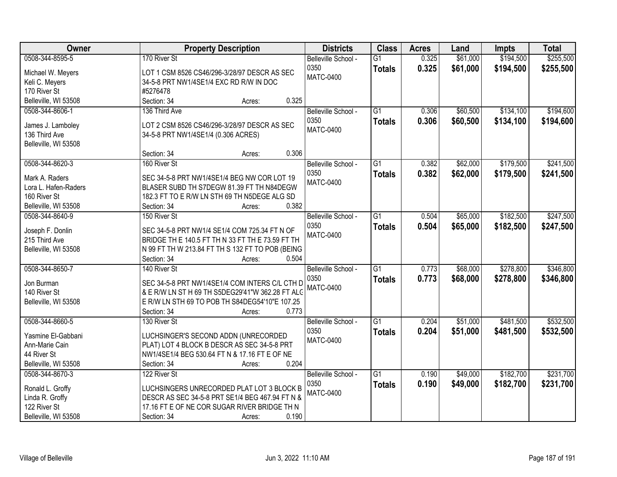| Owner                           | <b>Property Description</b>                      | <b>Districts</b>         | <b>Class</b>    | <b>Acres</b> | Land     | <b>Impts</b> | <b>Total</b> |
|---------------------------------|--------------------------------------------------|--------------------------|-----------------|--------------|----------|--------------|--------------|
| 0508-344-8595-5                 | 170 River St                                     | Belleville School -      | $\overline{G1}$ | 0.325        | \$61,000 | \$194,500    | \$255,500    |
| Michael W. Meyers               | LOT 1 CSM 8526 CS46/296-3/28/97 DESCR AS SEC     | 0350                     | <b>Totals</b>   | 0.325        | \$61,000 | \$194,500    | \$255,500    |
| Keli C. Meyers                  | 34-5-8 PRT NW1/4SE1/4 EXC RD R/W IN DOC          | <b>MATC-0400</b>         |                 |              |          |              |              |
| 170 River St                    | #5276478                                         |                          |                 |              |          |              |              |
| Belleville, WI 53508            | 0.325<br>Section: 34<br>Acres:                   |                          |                 |              |          |              |              |
| 0508-344-8606-1                 | 136 Third Ave                                    | Belleville School -      | $\overline{G1}$ | 0.306        | \$60,500 | \$134,100    | \$194,600    |
|                                 |                                                  | 0350                     | <b>Totals</b>   | 0.306        | \$60,500 | \$134,100    | \$194,600    |
| James J. Lamboley               | LOT 2 CSM 8526 CS46/296-3/28/97 DESCR AS SEC     | <b>MATC-0400</b>         |                 |              |          |              |              |
| 136 Third Ave                   | 34-5-8 PRT NW1/4SE1/4 (0.306 ACRES)              |                          |                 |              |          |              |              |
| Belleville, WI 53508            | 0.306                                            |                          |                 |              |          |              |              |
|                                 | Section: 34<br>Acres:<br>160 River St            |                          |                 |              |          |              |              |
| 0508-344-8620-3                 |                                                  | Belleville School -      | $\overline{G1}$ | 0.382        | \$62,000 | \$179,500    | \$241,500    |
| Mark A. Raders                  | SEC 34-5-8 PRT NW1/4SE1/4 BEG NW COR LOT 19      | 0350<br><b>MATC-0400</b> | <b>Totals</b>   | 0.382        | \$62,000 | \$179,500    | \$241,500    |
| Lora L. Hafen-Raders            | BLASER SUBD TH S7DEGW 81.39 FT TH N84DEGW        |                          |                 |              |          |              |              |
| 160 River St                    | 182.3 FT TO E R/W LN STH 69 TH N5DEGE ALG SD     |                          |                 |              |          |              |              |
| Belleville, WI 53508            | 0.382<br>Section: 34<br>Acres:                   |                          |                 |              |          |              |              |
| 0508-344-8640-9                 | 150 River St                                     | Belleville School -      | $\overline{G1}$ | 0.504        | \$65,000 | \$182,500    | \$247,500    |
| Joseph F. Donlin                | SEC 34-5-8 PRT NW1/4 SE1/4 COM 725.34 FT N OF    | 0350                     | <b>Totals</b>   | 0.504        | \$65,000 | \$182,500    | \$247,500    |
| 215 Third Ave                   | BRIDGE TH E 140.5 FT TH N 33 FT TH E 73.59 FT TH | <b>MATC-0400</b>         |                 |              |          |              |              |
| Belleville, WI 53508            | N 99 FT TH W 213.84 FT TH S 132 FT TO POB (BEING |                          |                 |              |          |              |              |
|                                 | 0.504<br>Section: 34<br>Acres:                   |                          |                 |              |          |              |              |
| 0508-344-8650-7                 | 140 River St                                     | Belleville School -      | $\overline{G1}$ | 0.773        | \$68,000 | \$278,800    | \$346,800    |
|                                 |                                                  | 0350                     | <b>Totals</b>   | 0.773        | \$68,000 | \$278,800    | \$346,800    |
| Jon Burman                      | SEC 34-5-8 PRT NW1/4SE1/4 COM INTERS C/L CTH D   | MATC-0400                |                 |              |          |              |              |
| 140 River St                    | & E R/W LN ST H 69 TH S5DEG29'41"W 362.28 FT ALC |                          |                 |              |          |              |              |
| Belleville, WI 53508            | E R/W LN STH 69 TO POB TH S84DEG54'10"E 107.25   |                          |                 |              |          |              |              |
|                                 | 0.773<br>Section: 34<br>Acres:                   |                          |                 |              |          |              |              |
| 0508-344-8660-5                 | 130 River St                                     | Belleville School -      | $\overline{G1}$ | 0.204        | \$51,000 | \$481,500    | \$532,500    |
| Yasmine El-Gabbani              | LUCHSINGER'S SECOND ADDN (UNRECORDED             | 0350                     | <b>Totals</b>   | 0.204        | \$51,000 | \$481,500    | \$532,500    |
| Ann-Marie Cain                  | PLAT) LOT 4 BLOCK B DESCR AS SEC 34-5-8 PRT      | <b>MATC-0400</b>         |                 |              |          |              |              |
| 44 River St                     | NW1/4SE1/4 BEG 530.64 FT N & 17.16 FT E OF NE    |                          |                 |              |          |              |              |
| Belleville, WI 53508            | 0.204<br>Section: 34<br>Acres:                   |                          |                 |              |          |              |              |
| 0508-344-8670-3                 | 122 River St                                     | Belleville School -      | $\overline{G1}$ | 0.190        | \$49,000 | \$182,700    | \$231,700    |
|                                 |                                                  | 0350                     | <b>Totals</b>   | 0.190        | \$49,000 | \$182,700    | \$231,700    |
| Ronald L. Groffy                | LUCHSINGERS UNRECORDED PLAT LOT 3 BLOCK B        | MATC-0400                |                 |              |          |              |              |
| Linda R. Groffy<br>122 River St | DESCR AS SEC 34-5-8 PRT SE1/4 BEG 467.94 FT N &  |                          |                 |              |          |              |              |
|                                 | 17.16 FT E OF NE COR SUGAR RIVER BRIDGE TH N     |                          |                 |              |          |              |              |
| Belleville, WI 53508            | 0.190<br>Section: 34<br>Acres:                   |                          |                 |              |          |              |              |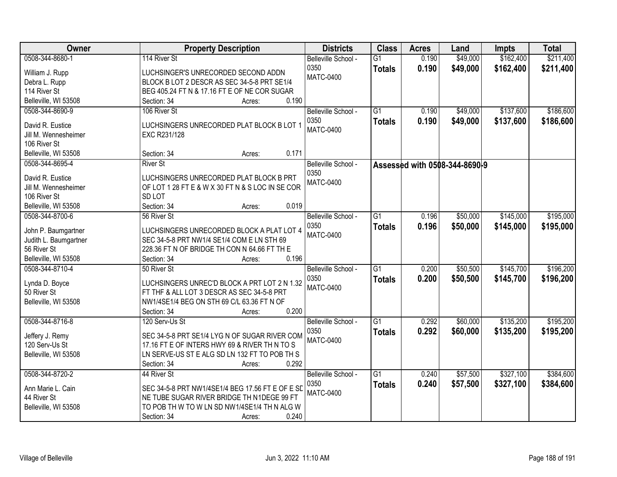| Owner                 | <b>Property Description</b>                      | <b>Districts</b>    | <b>Class</b>    | <b>Acres</b> | Land                          | <b>Impts</b> | <b>Total</b> |
|-----------------------|--------------------------------------------------|---------------------|-----------------|--------------|-------------------------------|--------------|--------------|
| 0508-344-8680-1       | 114 River St                                     | Belleville School - | $\overline{G1}$ | 0.190        | \$49,000                      | \$162,400    | \$211,400    |
| William J. Rupp       | LUCHSINGER'S UNRECORDED SECOND ADDN              | 0350                | <b>Totals</b>   | 0.190        | \$49,000                      | \$162,400    | \$211,400    |
| Debra L. Rupp         | BLOCK B LOT 2 DESCR AS SEC 34-5-8 PRT SE1/4      | <b>MATC-0400</b>    |                 |              |                               |              |              |
| 114 River St          | BEG 405.24 FT N & 17.16 FT E OF NE COR SUGAR     |                     |                 |              |                               |              |              |
| Belleville, WI 53508  | 0.190<br>Section: 34<br>Acres:                   |                     |                 |              |                               |              |              |
| 0508-344-8690-9       | 106 River St                                     | Belleville School - | $\overline{G1}$ | 0.190        | \$49,000                      | \$137,600    | \$186,600    |
|                       |                                                  | 0350                | <b>Totals</b>   | 0.190        | \$49,000                      | \$137,600    | \$186,600    |
| David R. Eustice      | LUCHSINGERS UNRECORDED PLAT BLOCK B LOT 1        | <b>MATC-0400</b>    |                 |              |                               |              |              |
| Jill M. Wennesheimer  | EXC R231/128                                     |                     |                 |              |                               |              |              |
| 106 River St          |                                                  |                     |                 |              |                               |              |              |
| Belleville, WI 53508  | 0.171<br>Section: 34<br>Acres:                   |                     |                 |              |                               |              |              |
| 0508-344-8695-4       | <b>River St</b>                                  | Belleville School - |                 |              | Assessed with 0508-344-8690-9 |              |              |
| David R. Eustice      | LUCHSINGERS UNRECORDED PLAT BLOCK B PRT          | 0350                |                 |              |                               |              |              |
| Jill M. Wennesheimer  | OF LOT 1 28 FT E & W X 30 FT N & S LOC IN SE COR | <b>MATC-0400</b>    |                 |              |                               |              |              |
| 106 River St          | SD <sub>LOT</sub>                                |                     |                 |              |                               |              |              |
| Belleville, WI 53508  | Section: 34<br>0.019<br>Acres:                   |                     |                 |              |                               |              |              |
| 0508-344-8700-6       | 56 River St                                      | Belleville School - | G1              | 0.196        | \$50,000                      | \$145,000    | \$195,000    |
|                       |                                                  | 0350                | <b>Totals</b>   | 0.196        | \$50,000                      | \$145,000    | \$195,000    |
| John P. Baumgartner   | LUCHSINGERS UNRECORDED BLOCK A PLAT LOT 4        | <b>MATC-0400</b>    |                 |              |                               |              |              |
| Judith L. Baumgartner | SEC 34-5-8 PRT NW1/4 SE1/4 COM E LN STH 69       |                     |                 |              |                               |              |              |
| 56 River St           | 228.36 FT N OF BRIDGE TH CON N 64.66 FT TH E     |                     |                 |              |                               |              |              |
| Belleville, WI 53508  | 0.196<br>Section: 34<br>Acres:                   |                     |                 |              |                               |              |              |
| 0508-344-8710-4       | 50 River St                                      | Belleville School - | $\overline{G1}$ | 0.200        | \$50,500                      | \$145,700    | \$196,200    |
| Lynda D. Boyce        | LUCHSINGERS UNREC'D BLOCK A PRT LOT 2 N 1.32     | 0350                | <b>Totals</b>   | 0.200        | \$50,500                      | \$145,700    | \$196,200    |
| 50 River St           | FT THF & ALL LOT 3 DESCR AS SEC 34-5-8 PRT       | <b>MATC-0400</b>    |                 |              |                               |              |              |
| Belleville, WI 53508  | NW1/4SE1/4 BEG ON STH 69 C/L 63.36 FT N OF       |                     |                 |              |                               |              |              |
|                       | Section: 34<br>0.200<br>Acres:                   |                     |                 |              |                               |              |              |
| 0508-344-8716-8       | 120 Serv-Us St                                   | Belleville School - | $\overline{G1}$ | 0.292        | \$60,000                      | \$135,200    | \$195,200    |
|                       |                                                  | 0350                |                 | 0.292        | \$60,000                      |              |              |
| Jeffery J. Remy       | SEC 34-5-8 PRT SE1/4 LYG N OF SUGAR RIVER COM    | <b>MATC-0400</b>    | <b>Totals</b>   |              |                               | \$135,200    | \$195,200    |
| 120 Serv-Us St        | 17.16 FT E OF INTERS HWY 69 & RIVER TH N TO S    |                     |                 |              |                               |              |              |
| Belleville, WI 53508  | LN SERVE-US ST E ALG SD LN 132 FT TO POB TH S    |                     |                 |              |                               |              |              |
|                       | Section: 34<br>0.292<br>Acres:                   |                     |                 |              |                               |              |              |
| 0508-344-8720-2       | 44 River St                                      | Belleville School - | $\overline{G1}$ | 0.240        | \$57,500                      | \$327,100    | \$384,600    |
| Ann Marie L. Cain     | SEC 34-5-8 PRT NW1/4SE1/4 BEG 17.56 FT E OF E SD | 0350                | <b>Totals</b>   | 0.240        | \$57,500                      | \$327,100    | \$384,600    |
| 44 River St           | NE TUBE SUGAR RIVER BRIDGE TH N1DEGE 99 FT       | <b>MATC-0400</b>    |                 |              |                               |              |              |
| Belleville, WI 53508  | TO POB TH W TO W LN SD NW1/4SE1/4 TH N ALG W     |                     |                 |              |                               |              |              |
|                       | 0.240<br>Section: 34                             |                     |                 |              |                               |              |              |
|                       | Acres:                                           |                     |                 |              |                               |              |              |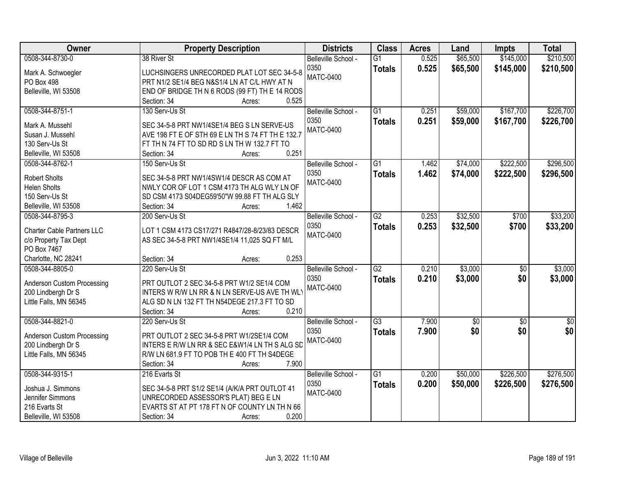| Owner                                   | <b>Property Description</b>                                          | <b>Districts</b>         | <b>Class</b>    | <b>Acres</b> | Land       | <b>Impts</b>    | <b>Total</b> |
|-----------------------------------------|----------------------------------------------------------------------|--------------------------|-----------------|--------------|------------|-----------------|--------------|
| 0508-344-8730-0                         | 38 River St                                                          | Belleville School -      | $\overline{G1}$ | 0.525        | \$65,500   | \$145,000       | \$210,500    |
| Mark A. Schwoegler                      | LUCHSINGERS UNRECORDED PLAT LOT SEC 34-5-8                           | 0350                     | <b>Totals</b>   | 0.525        | \$65,500   | \$145,000       | \$210,500    |
| PO Box 498                              | PRT N1/2 SE1/4 BEG N&S1/4 LN AT C/L HWY AT N                         | <b>MATC-0400</b>         |                 |              |            |                 |              |
| Belleville, WI 53508                    | END OF BRIDGE TH N 6 RODS (99 FT) TH E 14 RODS                       |                          |                 |              |            |                 |              |
|                                         | 0.525<br>Section: 34<br>Acres:                                       |                          |                 |              |            |                 |              |
| 0508-344-8751-1                         | 130 Serv-Us St                                                       | Belleville School -      | $\overline{G1}$ | 0.251        | \$59,000   | \$167,700       | \$226,700    |
|                                         |                                                                      | 0350                     | <b>Totals</b>   | 0.251        | \$59,000   | \$167,700       | \$226,700    |
| Mark A. Mussehl<br>Susan J. Mussehl     | SEC 34-5-8 PRT NW1/4SE1/4 BEG S LN SERVE-US                          | <b>MATC-0400</b>         |                 |              |            |                 |              |
|                                         | AVE 198 FT E OF STH 69 E LN TH S 74 FT TH E 132.7                    |                          |                 |              |            |                 |              |
| 130 Serv-Us St                          | FT TH N 74 FT TO SD RD S LN TH W 132.7 FT TO<br>0.251<br>Section: 34 |                          |                 |              |            |                 |              |
| Belleville, WI 53508<br>0508-344-8762-1 | Acres:<br>150 Serv-Us St                                             | Belleville School -      | $\overline{G1}$ | 1.462        | \$74,000   | \$222,500       | \$296,500    |
|                                         |                                                                      |                          |                 |              |            |                 |              |
| <b>Robert Sholts</b>                    | SEC 34-5-8 PRT NW1/4SW1/4 DESCR AS COM AT                            | 0350<br><b>MATC-0400</b> | <b>Totals</b>   | 1.462        | \$74,000   | \$222,500       | \$296,500    |
| <b>Helen Sholts</b>                     | NWLY COR OF LOT 1 CSM 4173 TH ALG WLY LN OF                          |                          |                 |              |            |                 |              |
| 150 Serv-Us St                          | SD CSM 4173 S04DEG59'50"W 99.88 FT TH ALG SLY                        |                          |                 |              |            |                 |              |
| Belleville, WI 53508                    | 1.462<br>Section: 34<br>Acres:                                       |                          |                 |              |            |                 |              |
| 0508-344-8795-3                         | 200 Serv-Us St                                                       | Belleville School -      | $\overline{G2}$ | 0.253        | \$32,500   | \$700           | \$33,200     |
| <b>Charter Cable Partners LLC</b>       | LOT 1 CSM 4173 CS17/271 R4847/28-8/23/83 DESCR                       | 0350                     | <b>Totals</b>   | 0.253        | \$32,500   | \$700           | \$33,200     |
| c/o Property Tax Dept                   | AS SEC 34-5-8 PRT NW1/4SE1/4 11,025 SQ FT M/L                        | <b>MATC-0400</b>         |                 |              |            |                 |              |
| PO Box 7467                             |                                                                      |                          |                 |              |            |                 |              |
| Charlotte, NC 28241                     | 0.253<br>Section: 34<br>Acres:                                       |                          |                 |              |            |                 |              |
| 0508-344-8805-0                         | 220 Serv-Us St                                                       | Belleville School -      | $\overline{G2}$ | 0.210        | \$3,000    | $\overline{50}$ | \$3,000      |
|                                         |                                                                      | 0350                     |                 | 0.210        |            |                 |              |
| Anderson Custom Processing              | PRT OUTLOT 2 SEC 34-5-8 PRT W1/2 SE1/4 COM                           | <b>MATC-0400</b>         | <b>Totals</b>   |              | \$3,000    | \$0             | \$3,000      |
| 200 Lindbergh Dr S                      | INTERS W R/W LN RR & N LN SERVE-US AVE TH WL'                        |                          |                 |              |            |                 |              |
| Little Falls, MN 56345                  | ALG SD N LN 132 FT TH N54DEGE 217.3 FT TO SD                         |                          |                 |              |            |                 |              |
|                                         | 0.210<br>Section: 34<br>Acres:                                       |                          |                 |              |            |                 |              |
| 0508-344-8821-0                         | 220 Serv-Us St                                                       | Belleville School -      | $\overline{G3}$ | 7.900        | $\sqrt{6}$ | $\sqrt{6}$      | \$0          |
| Anderson Custom Processing              | PRT OUTLOT 2 SEC 34-5-8 PRT W1/2SE1/4 COM                            | 0350                     | <b>Totals</b>   | 7.900        | \$0        | \$0             | \$0          |
| 200 Lindbergh Dr S                      | INTERS E R/W LN RR & SEC E&W1/4 LN TH S ALG SD                       | <b>MATC-0400</b>         |                 |              |            |                 |              |
| Little Falls, MN 56345                  | R/W LN 681.9 FT TO POB TH E 400 FT TH S4DEGE                         |                          |                 |              |            |                 |              |
|                                         | 7.900<br>Section: 34<br>Acres:                                       |                          |                 |              |            |                 |              |
| 0508-344-9315-1                         | 216 Evarts St                                                        | Belleville School -      | $\overline{G1}$ | 0.200        | \$50,000   | \$226,500       | \$276,500    |
|                                         |                                                                      | 0350                     | <b>Totals</b>   | 0.200        | \$50,000   | \$226,500       | \$276,500    |
| Joshua J. Simmons                       | SEC 34-5-8 PRT S1/2 SE1/4 (A/K/A PRT OUTLOT 41                       | <b>MATC-0400</b>         |                 |              |            |                 |              |
| Jennifer Simmons                        | UNRECORDED ASSESSOR'S PLAT) BEG E LN                                 |                          |                 |              |            |                 |              |
| 216 Evarts St                           | EVARTS ST AT PT 178 FT N OF COUNTY LN TH N 66                        |                          |                 |              |            |                 |              |
| Belleville, WI 53508                    | 0.200<br>Section: 34<br>Acres:                                       |                          |                 |              |            |                 |              |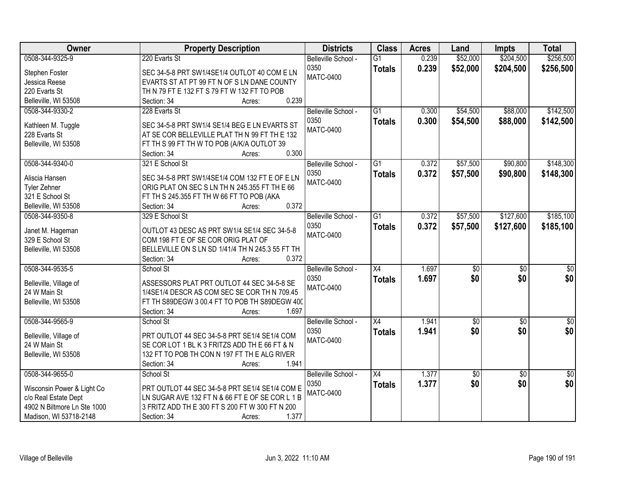| Owner                                  | <b>Property Description</b>                               | <b>Districts</b>         | <b>Class</b>    | <b>Acres</b> | Land            | <b>Impts</b>    | <b>Total</b>     |
|----------------------------------------|-----------------------------------------------------------|--------------------------|-----------------|--------------|-----------------|-----------------|------------------|
| 0508-344-9325-9                        | 220 Evarts St                                             | Belleville School -      | $\overline{G1}$ | 0.239        | \$52,000        | \$204,500       | \$256,500        |
| Stephen Foster                         | SEC 34-5-8 PRT SW1/4SE1/4 OUTLOT 40 COM E LN              | 0350                     | <b>Totals</b>   | 0.239        | \$52,000        | \$204,500       | \$256,500        |
| Jessica Reese                          | EVARTS ST AT PT 99 FT N OF S LN DANE COUNTY               | <b>MATC-0400</b>         |                 |              |                 |                 |                  |
| 220 Evarts St                          | TH N 79 FT E 132 FT S 79 FT W 132 FT TO POB               |                          |                 |              |                 |                 |                  |
| Belleville, WI 53508                   | 0.239<br>Section: 34<br>Acres:                            |                          |                 |              |                 |                 |                  |
| 0508-344-9330-2                        | 228 Evarts St                                             | Belleville School -      | $\overline{G1}$ | 0.300        | \$54,500        | \$88,000        | \$142,500        |
|                                        |                                                           | 0350                     | <b>Totals</b>   | 0.300        | \$54,500        | \$88,000        | \$142,500        |
| Kathleen M. Tuggle                     | SEC 34-5-8 PRT SW1/4 SE1/4 BEG E LN EVARTS ST             | <b>MATC-0400</b>         |                 |              |                 |                 |                  |
| 228 Evarts St                          | AT SE COR BELLEVILLE PLAT TH N 99 FT TH E 132             |                          |                 |              |                 |                 |                  |
| Belleville, WI 53508                   | FT TH S 99 FT TH W TO POB (A/K/A OUTLOT 39<br>0.300       |                          |                 |              |                 |                 |                  |
|                                        | Section: 34<br>Acres:                                     |                          |                 |              |                 |                 |                  |
| 0508-344-9340-0                        | 321 E School St                                           | Belleville School -      | $\overline{G1}$ | 0.372        | \$57,500        | \$90,800        | \$148,300        |
| Aliscia Hansen                         | SEC 34-5-8 PRT SW1/4SE1/4 COM 132 FT E OF E LN            | 0350                     | <b>Totals</b>   | 0.372        | \$57,500        | \$90,800        | \$148,300        |
| Tyler Zehner                           | ORIG PLAT ON SEC S LN TH N 245.355 FT TH E 66             | <b>MATC-0400</b>         |                 |              |                 |                 |                  |
| 321 E School St                        | FT TH S 245.355 FT TH W 66 FT TO POB (AKA                 |                          |                 |              |                 |                 |                  |
| Belleville, WI 53508                   | 0.372<br>Section: 34<br>Acres:                            |                          |                 |              |                 |                 |                  |
| 0508-344-9350-8                        | 329 E School St                                           | Belleville School -      | $\overline{G1}$ | 0.372        | \$57,500        | \$127,600       | \$185,100        |
|                                        |                                                           | 0350                     | <b>Totals</b>   | 0.372        | \$57,500        | \$127,600       | \$185,100        |
| Janet M. Hageman                       | OUTLOT 43 DESC AS PRT SW1/4 SE1/4 SEC 34-5-8              | <b>MATC-0400</b>         |                 |              |                 |                 |                  |
| 329 E School St                        | COM 198 FT E OF SE COR ORIG PLAT OF                       |                          |                 |              |                 |                 |                  |
| Belleville, WI 53508                   | BELLEVILLE ON S LN SD 1/41/4 TH N 245.3 55 FT TH<br>0.372 |                          |                 |              |                 |                 |                  |
| 0508-344-9535-5                        | Section: 34<br>Acres:                                     |                          | $\overline{X4}$ | 1.697        |                 |                 |                  |
|                                        | School St                                                 | Belleville School -      |                 |              | $\overline{50}$ | $\overline{50}$ | $\overline{\$0}$ |
| Belleville, Village of                 | ASSESSORS PLAT PRT OUTLOT 44 SEC 34-5-8 SE                | 0350<br><b>MATC-0400</b> | <b>Totals</b>   | 1.697        | \$0             | \$0             | \$0              |
| 24 W Main St                           | 1/4SE1/4 DESCR AS COM SEC SE COR TH N 709.45              |                          |                 |              |                 |                 |                  |
| Belleville, WI 53508                   | FT TH S89DEGW 3 00.4 FT TO POB TH S89DEGW 400             |                          |                 |              |                 |                 |                  |
|                                        | 1.697<br>Section: 34<br>Acres:                            |                          |                 |              |                 |                 |                  |
| 0508-344-9565-9                        | School St                                                 | Belleville School -      | $\overline{X4}$ | 1.941        | $\sqrt{6}$      | $\sqrt{6}$      | $\sqrt{30}$      |
|                                        | PRT OUTLOT 44 SEC 34-5-8 PRT SE1/4 SE1/4 COM              | 0350                     | <b>Totals</b>   | 1.941        | \$0             | \$0             | \$0              |
| Belleville, Village of<br>24 W Main St | SE COR LOT 1 BL K 3 FRITZS ADD TH E 66 FT & N             | <b>MATC-0400</b>         |                 |              |                 |                 |                  |
| Belleville, WI 53508                   | 132 FT TO POB TH CON N 197 FT TH E ALG RIVER              |                          |                 |              |                 |                 |                  |
|                                        | 1.941<br>Section: 34                                      |                          |                 |              |                 |                 |                  |
| 0508-344-9655-0                        | Acres:<br>School St                                       | Belleville School -      | $\overline{X4}$ | 1.377        |                 |                 | \$0              |
|                                        |                                                           |                          |                 |              | \$0             | $\overline{50}$ |                  |
| Wisconsin Power & Light Co             | PRT OUTLOT 44 SEC 34-5-8 PRT SE1/4 SE1/4 COM E            | 0350<br><b>MATC-0400</b> | <b>Totals</b>   | 1.377        | \$0             | \$0             | \$0              |
| c/o Real Estate Dept                   | LN SUGAR AVE 132 FT N & 66 FT E OF SE COR L 1 B           |                          |                 |              |                 |                 |                  |
| 4902 N Biltmore Ln Ste 1000            | 3 FRITZ ADD TH E 300 FT S 200 FT W 300 FT N 200           |                          |                 |              |                 |                 |                  |
| Madison, WI 53718-2148                 | 1.377<br>Section: 34<br>Acres:                            |                          |                 |              |                 |                 |                  |